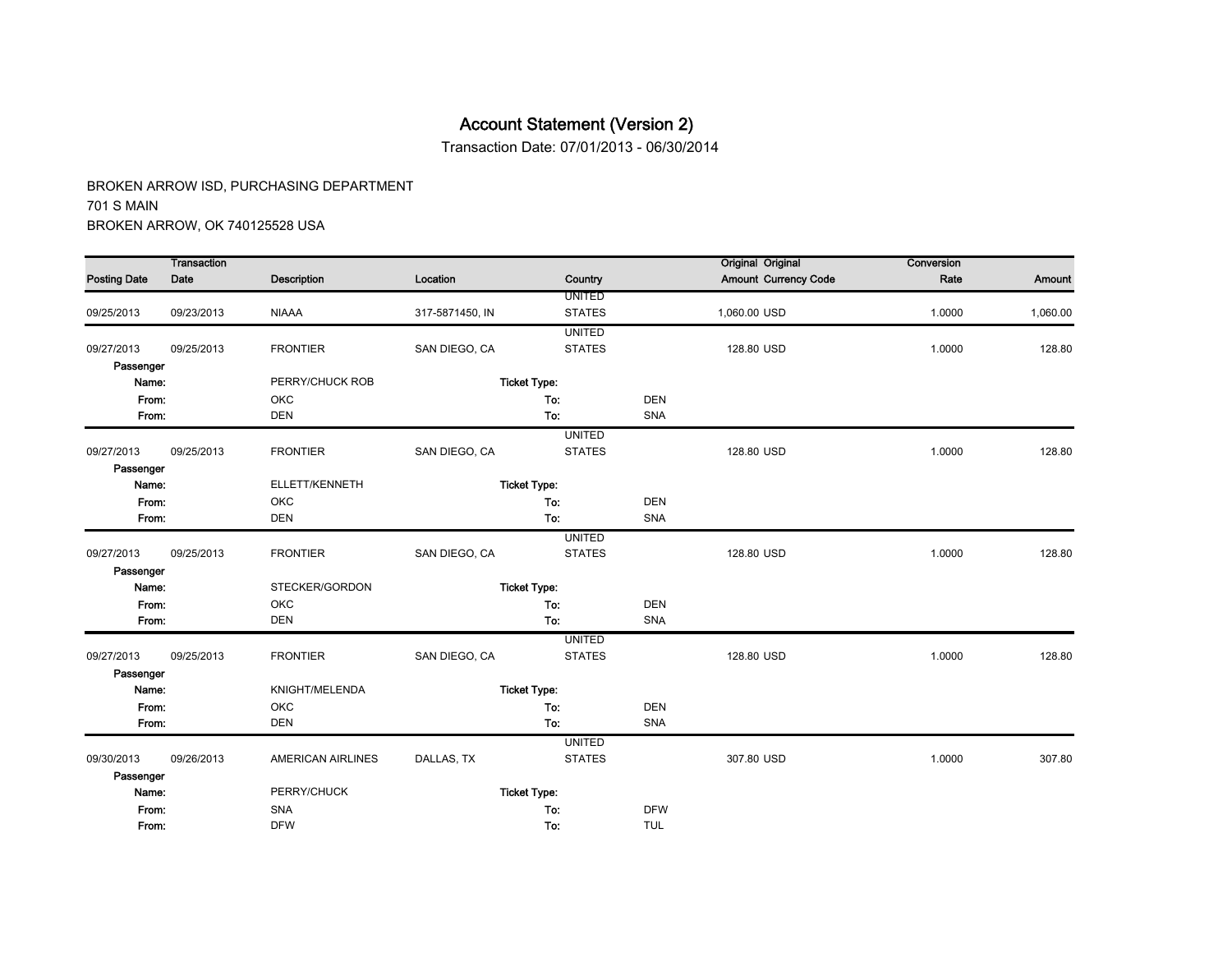Transaction Date: 07/01/2013 - 06/30/2014

|                     | <b>Transaction</b> |                          |                 |                     |            | <b>Original Original</b>    | Conversion |          |
|---------------------|--------------------|--------------------------|-----------------|---------------------|------------|-----------------------------|------------|----------|
| <b>Posting Date</b> | Date               | <b>Description</b>       | Location        | Country             |            | <b>Amount Currency Code</b> | Rate       | Amount   |
|                     |                    |                          |                 | <b>UNITED</b>       |            |                             |            |          |
| 09/25/2013          | 09/23/2013         | <b>NIAAA</b>             | 317-5871450, IN | <b>STATES</b>       |            | 1,060.00 USD                | 1.0000     | 1,060.00 |
|                     |                    |                          |                 | <b>UNITED</b>       |            |                             |            |          |
| 09/27/2013          | 09/25/2013         | <b>FRONTIER</b>          | SAN DIEGO, CA   | <b>STATES</b>       |            | 128.80 USD                  | 1.0000     | 128.80   |
| Passenger           |                    |                          |                 |                     |            |                             |            |          |
| Name:               |                    | PERRY/CHUCK ROB          |                 | <b>Ticket Type:</b> |            |                             |            |          |
| From:               |                    | OKC                      |                 | To:                 | <b>DEN</b> |                             |            |          |
| From:               |                    | <b>DEN</b>               |                 | To:                 | SNA        |                             |            |          |
|                     |                    |                          |                 | <b>UNITED</b>       |            |                             |            |          |
| 09/27/2013          | 09/25/2013         | <b>FRONTIER</b>          | SAN DIEGO, CA   | <b>STATES</b>       |            | 128.80 USD                  | 1.0000     | 128.80   |
| Passenger           |                    |                          |                 |                     |            |                             |            |          |
| Name:               |                    | ELLETT/KENNETH           |                 | <b>Ticket Type:</b> |            |                             |            |          |
| From:               |                    | OKC                      |                 | To:                 | <b>DEN</b> |                             |            |          |
| From:               |                    | <b>DEN</b>               |                 | To:                 | SNA        |                             |            |          |
|                     |                    |                          |                 | <b>UNITED</b>       |            |                             |            |          |
| 09/27/2013          | 09/25/2013         | <b>FRONTIER</b>          | SAN DIEGO, CA   | <b>STATES</b>       |            | 128.80 USD                  | 1.0000     | 128.80   |
| Passenger           |                    |                          |                 |                     |            |                             |            |          |
| Name:               |                    | STECKER/GORDON           |                 | <b>Ticket Type:</b> |            |                             |            |          |
| From:               |                    | OKC                      |                 | To:                 | <b>DEN</b> |                             |            |          |
| From:               |                    | <b>DEN</b>               |                 | To:                 | SNA        |                             |            |          |
|                     |                    |                          |                 | <b>UNITED</b>       |            |                             |            |          |
| 09/27/2013          | 09/25/2013         | <b>FRONTIER</b>          | SAN DIEGO, CA   | <b>STATES</b>       |            | 128.80 USD                  | 1.0000     | 128.80   |
| Passenger           |                    |                          |                 |                     |            |                             |            |          |
| Name:               |                    | KNIGHT/MELENDA           |                 | <b>Ticket Type:</b> |            |                             |            |          |
| From:               |                    | OKC                      |                 | To:                 | <b>DEN</b> |                             |            |          |
| From:               |                    | <b>DEN</b>               |                 | To:                 | <b>SNA</b> |                             |            |          |
|                     |                    |                          |                 | <b>UNITED</b>       |            |                             |            |          |
| 09/30/2013          | 09/26/2013         | <b>AMERICAN AIRLINES</b> | DALLAS, TX      | <b>STATES</b>       |            | 307.80 USD                  | 1.0000     | 307.80   |
| Passenger           |                    |                          |                 |                     |            |                             |            |          |
| Name:               |                    | PERRY/CHUCK              |                 | <b>Ticket Type:</b> |            |                             |            |          |
| From:               |                    | <b>SNA</b>               |                 | To:                 | <b>DFW</b> |                             |            |          |
| From:               |                    | <b>DFW</b>               |                 | To:                 | <b>TUL</b> |                             |            |          |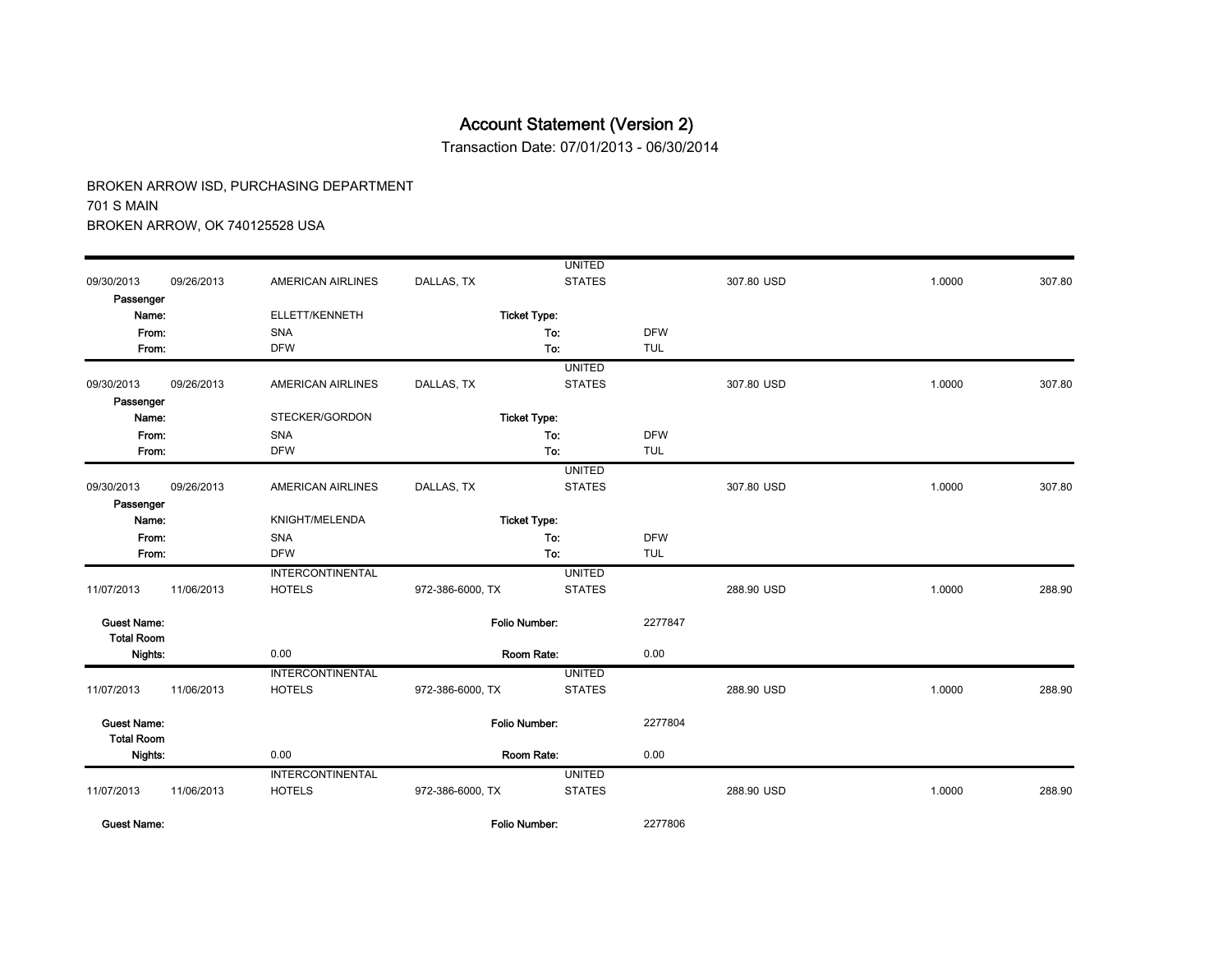Transaction Date: 07/01/2013 - 06/30/2014

|                                         |            |                          |                      | <b>UNITED</b> |            |            |        |        |
|-----------------------------------------|------------|--------------------------|----------------------|---------------|------------|------------|--------|--------|
| 09/30/2013                              | 09/26/2013 | <b>AMERICAN AIRLINES</b> | DALLAS, TX           | <b>STATES</b> |            | 307.80 USD | 1.0000 | 307.80 |
| Passenger                               |            |                          |                      |               |            |            |        |        |
| Name:                                   |            | ELLETT/KENNETH           | <b>Ticket Type:</b>  |               |            |            |        |        |
| From:                                   |            | SNA                      |                      | To:           | <b>DFW</b> |            |        |        |
| From:                                   |            | <b>DFW</b>               |                      | To:           | <b>TUL</b> |            |        |        |
|                                         |            |                          |                      | <b>UNITED</b> |            |            |        |        |
| 09/30/2013                              | 09/26/2013 | <b>AMERICAN AIRLINES</b> | DALLAS, TX           | <b>STATES</b> |            | 307.80 USD | 1.0000 | 307.80 |
| Passenger                               |            |                          |                      |               |            |            |        |        |
| Name:                                   |            | STECKER/GORDON           | <b>Ticket Type:</b>  |               |            |            |        |        |
| From:                                   |            | SNA                      |                      | To:           | <b>DFW</b> |            |        |        |
| From:                                   |            | <b>DFW</b>               |                      | To:           | <b>TUL</b> |            |        |        |
|                                         |            |                          |                      | <b>UNITED</b> |            |            |        |        |
| 09/30/2013                              | 09/26/2013 | <b>AMERICAN AIRLINES</b> | DALLAS, TX           | <b>STATES</b> |            | 307.80 USD | 1.0000 | 307.80 |
| Passenger                               |            |                          |                      |               |            |            |        |        |
| Name:                                   |            | KNIGHT/MELENDA           | <b>Ticket Type:</b>  |               |            |            |        |        |
| From:                                   |            | SNA                      |                      | To:           | <b>DFW</b> |            |        |        |
| From:                                   |            | <b>DFW</b>               |                      | To:           | <b>TUL</b> |            |        |        |
|                                         |            | <b>INTERCONTINENTAL</b>  |                      | <b>UNITED</b> |            |            |        |        |
| 11/07/2013                              | 11/06/2013 | <b>HOTELS</b>            | 972-386-6000, TX     | <b>STATES</b> |            | 288.90 USD | 1.0000 | 288.90 |
| <b>Guest Name:</b>                      |            |                          | <b>Folio Number:</b> |               | 2277847    |            |        |        |
| <b>Total Room</b>                       |            |                          |                      |               |            |            |        |        |
| Nights:                                 |            | 0.00                     | Room Rate:           |               | 0.00       |            |        |        |
|                                         |            | <b>INTERCONTINENTAL</b>  |                      | <b>UNITED</b> |            |            |        |        |
| 11/07/2013                              | 11/06/2013 | <b>HOTELS</b>            | 972-386-6000, TX     | <b>STATES</b> |            | 288.90 USD | 1.0000 | 288.90 |
| <b>Guest Name:</b><br><b>Total Room</b> |            |                          | Folio Number:        |               | 2277804    |            |        |        |
| Nights:                                 |            | 0.00                     | Room Rate:           |               | 0.00       |            |        |        |
|                                         |            | <b>INTERCONTINENTAL</b>  |                      | <b>UNITED</b> |            |            |        |        |
| 11/07/2013                              | 11/06/2013 | <b>HOTELS</b>            | 972-386-6000, TX     | <b>STATES</b> |            | 288.90 USD | 1.0000 | 288.90 |
| <b>Guest Name:</b>                      |            |                          | <b>Folio Number:</b> |               | 2277806    |            |        |        |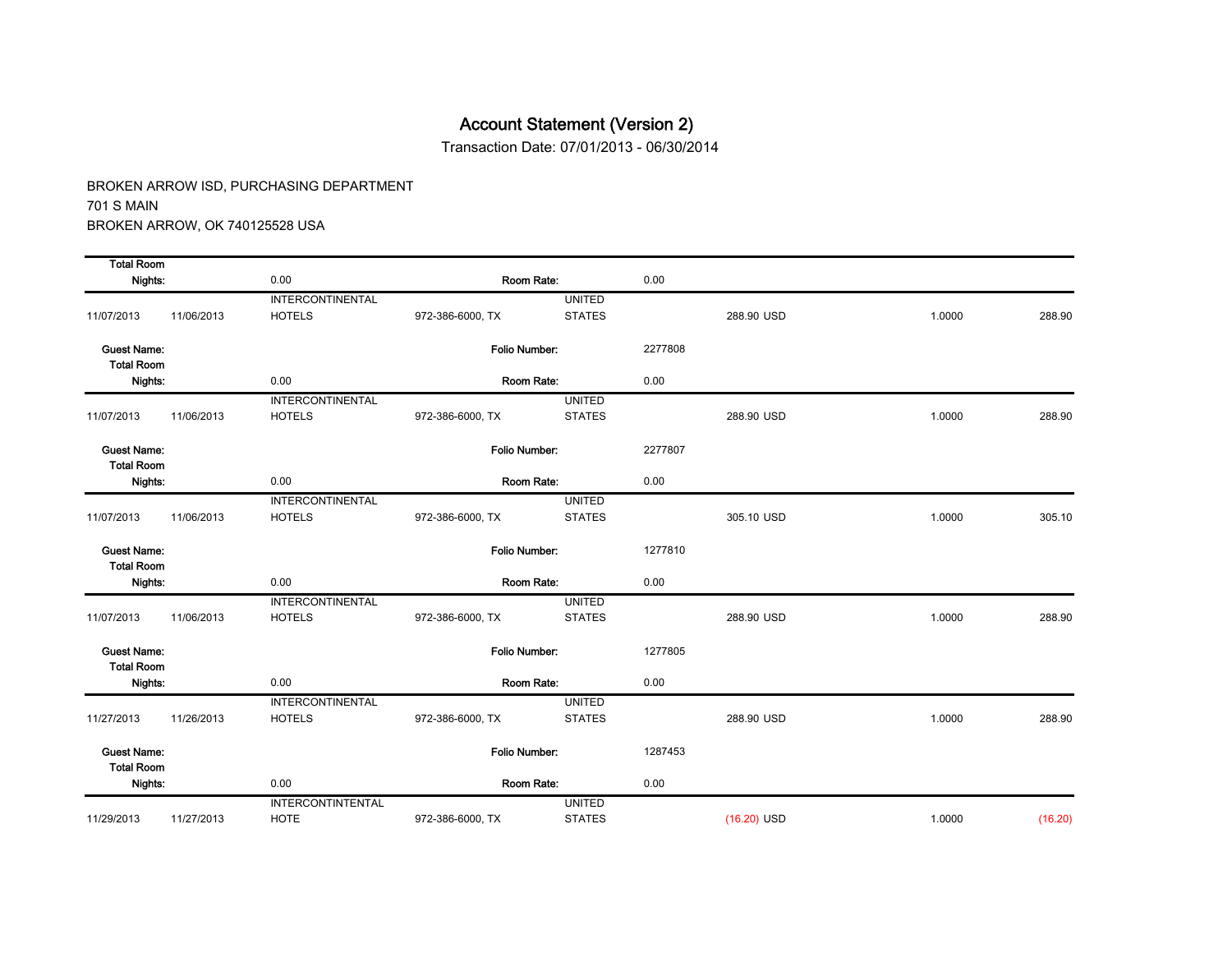Transaction Date: 07/01/2013 - 06/30/2014

| <b>Total Room</b>                       |            |                          |                      |               |         |               |        |         |
|-----------------------------------------|------------|--------------------------|----------------------|---------------|---------|---------------|--------|---------|
| Nights:                                 |            | 0.00                     | Room Rate:           |               | 0.00    |               |        |         |
|                                         |            | <b>INTERCONTINENTAL</b>  |                      | <b>UNITED</b> |         |               |        |         |
| 11/07/2013                              | 11/06/2013 | <b>HOTELS</b>            | 972-386-6000, TX     | <b>STATES</b> |         | 288.90 USD    | 1.0000 | 288.90  |
| <b>Guest Name:</b><br><b>Total Room</b> |            |                          | Folio Number:        |               | 2277808 |               |        |         |
| Nights:                                 |            | 0.00                     | Room Rate:           |               | 0.00    |               |        |         |
|                                         |            | INTERCONTINENTAL         |                      | <b>UNITED</b> |         |               |        |         |
| 11/07/2013                              | 11/06/2013 | <b>HOTELS</b>            | 972-386-6000, TX     | <b>STATES</b> |         | 288.90 USD    | 1.0000 | 288.90  |
| <b>Guest Name:</b><br><b>Total Room</b> |            |                          | <b>Folio Number:</b> |               | 2277807 |               |        |         |
| Nights:                                 |            | 0.00                     | Room Rate:           |               | 0.00    |               |        |         |
|                                         |            | <b>INTERCONTINENTAL</b>  |                      | <b>UNITED</b> |         |               |        |         |
| 11/07/2013                              | 11/06/2013 | <b>HOTELS</b>            | 972-386-6000, TX     | <b>STATES</b> |         | 305.10 USD    | 1.0000 | 305.10  |
| <b>Guest Name:</b><br><b>Total Room</b> |            |                          | Folio Number:        |               | 1277810 |               |        |         |
| Nights:                                 |            | 0.00                     | Room Rate:           |               | 0.00    |               |        |         |
|                                         |            | INTERCONTINENTAL         |                      | <b>UNITED</b> |         |               |        |         |
| 11/07/2013                              | 11/06/2013 | <b>HOTELS</b>            | 972-386-6000, TX     | <b>STATES</b> |         | 288.90 USD    | 1.0000 | 288.90  |
| <b>Guest Name:</b><br><b>Total Room</b> |            |                          | <b>Folio Number:</b> |               | 1277805 |               |        |         |
| Nights:                                 |            | 0.00                     | Room Rate:           |               | 0.00    |               |        |         |
|                                         |            | <b>INTERCONTINENTAL</b>  |                      | <b>UNITED</b> |         |               |        |         |
| 11/27/2013                              | 11/26/2013 | <b>HOTELS</b>            | 972-386-6000, TX     | <b>STATES</b> |         | 288.90 USD    | 1.0000 | 288.90  |
| <b>Guest Name:</b><br><b>Total Room</b> |            |                          | Folio Number:        |               | 1287453 |               |        |         |
| Nights:                                 |            | 0.00                     | Room Rate:           |               | 0.00    |               |        |         |
|                                         |            | <b>INTERCONTINTENTAL</b> |                      | <b>UNITED</b> |         |               |        |         |
| 11/29/2013                              | 11/27/2013 | <b>HOTE</b>              | 972-386-6000, TX     | <b>STATES</b> |         | $(16.20)$ USD | 1.0000 | (16.20) |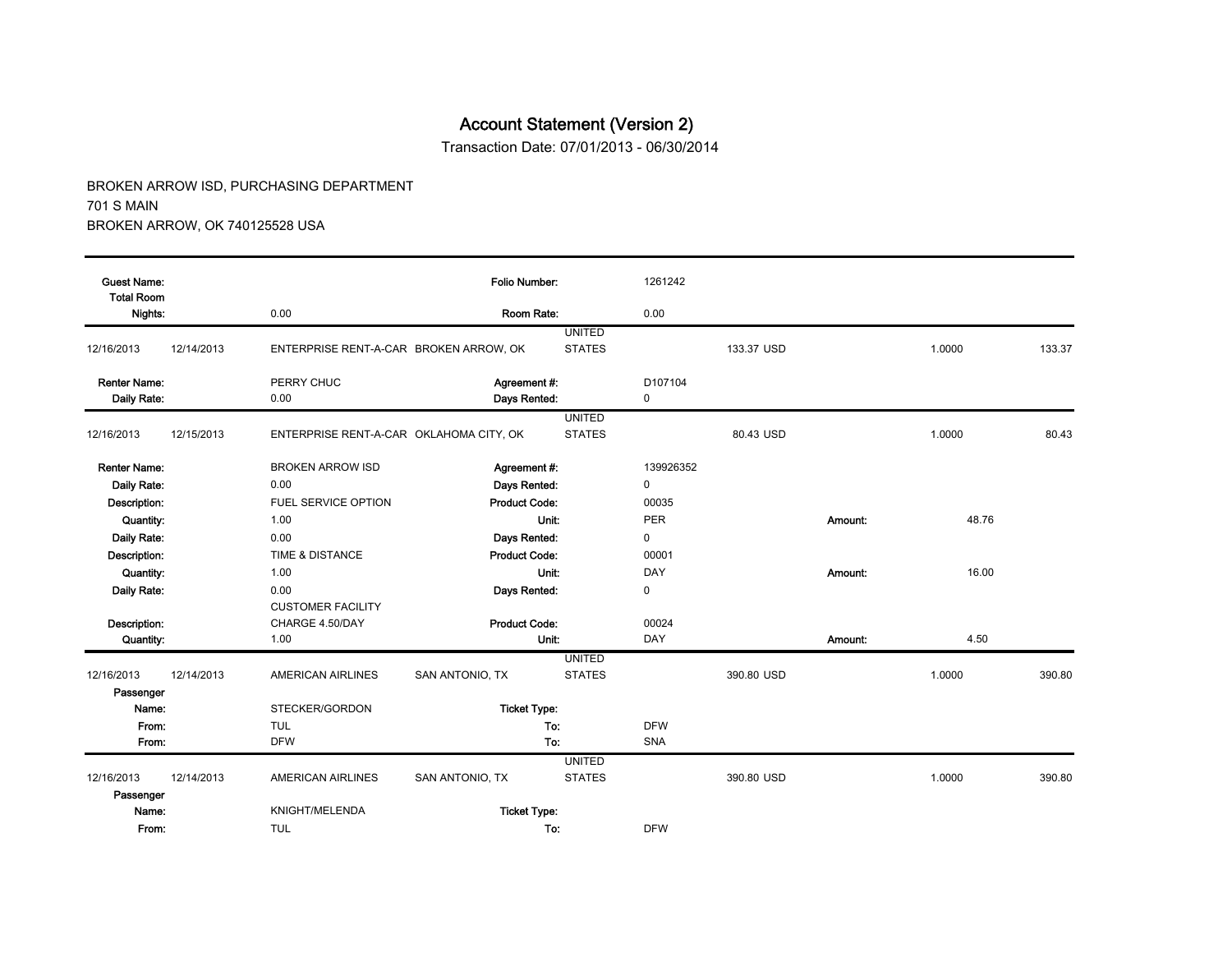Transaction Date: 07/01/2013 - 06/30/2014

| <b>Guest Name:</b><br><b>Total Room</b> |            |                                         | <b>Folio Number:</b>         |                                | 1261242      |            |         |        |        |
|-----------------------------------------|------------|-----------------------------------------|------------------------------|--------------------------------|--------------|------------|---------|--------|--------|
| Nights:                                 |            | 0.00                                    | Room Rate:                   |                                | 0.00         |            |         |        |        |
| 12/16/2013                              | 12/14/2013 | ENTERPRISE RENT-A-CAR BROKEN ARROW, OK  |                              | <b>UNITED</b><br><b>STATES</b> |              | 133.37 USD |         | 1.0000 | 133.37 |
| <b>Renter Name:</b><br>Daily Rate:      |            | PERRY CHUC<br>0.00                      | Agreement #:<br>Days Rented: |                                | D107104<br>0 |            |         |        |        |
|                                         |            |                                         |                              | <b>UNITED</b>                  |              |            |         |        |        |
| 12/16/2013                              | 12/15/2013 | ENTERPRISE RENT-A-CAR OKLAHOMA CITY, OK |                              | <b>STATES</b>                  |              | 80.43 USD  |         | 1.0000 | 80.43  |
| <b>Renter Name:</b>                     |            | <b>BROKEN ARROW ISD</b>                 | Agreement #:                 |                                | 139926352    |            |         |        |        |
| Daily Rate:                             |            | 0.00                                    | Days Rented:                 |                                | 0            |            |         |        |        |
| Description:                            |            | <b>FUEL SERVICE OPTION</b>              | <b>Product Code:</b>         |                                | 00035        |            |         |        |        |
| Quantity:                               |            | 1.00                                    | Unit:                        |                                | <b>PER</b>   |            | Amount: | 48.76  |        |
| Daily Rate:                             |            | 0.00                                    | Days Rented:                 |                                | 0            |            |         |        |        |
| Description:                            |            | TIME & DISTANCE                         | <b>Product Code:</b>         |                                | 00001        |            |         |        |        |
| Quantity:                               |            | 1.00                                    | Unit:                        |                                | DAY          |            | Amount: | 16.00  |        |
| Daily Rate:                             |            | 0.00                                    | Days Rented:                 |                                | 0            |            |         |        |        |
|                                         |            | <b>CUSTOMER FACILITY</b>                |                              |                                |              |            |         |        |        |
| Description:                            |            | CHARGE 4.50/DAY                         | <b>Product Code:</b>         |                                | 00024        |            |         |        |        |
| Quantity:                               |            | 1.00                                    | Unit:                        |                                | DAY          |            | Amount: | 4.50   |        |
|                                         |            |                                         |                              | <b>UNITED</b>                  |              |            |         |        |        |
| 12/16/2013<br>Passenger                 | 12/14/2013 | AMERICAN AIRLINES                       | SAN ANTONIO, TX              | <b>STATES</b>                  |              | 390.80 USD |         | 1.0000 | 390.80 |
| Name:                                   |            | STECKER/GORDON                          | <b>Ticket Type:</b>          |                                |              |            |         |        |        |
| From:                                   |            | <b>TUL</b>                              | To:                          |                                | <b>DFW</b>   |            |         |        |        |
| From:                                   |            | <b>DFW</b>                              | To:                          |                                | <b>SNA</b>   |            |         |        |        |
|                                         |            |                                         |                              | <b>UNITED</b>                  |              |            |         |        |        |
| 12/16/2013                              | 12/14/2013 | AMERICAN AIRLINES                       | SAN ANTONIO, TX              | <b>STATES</b>                  |              | 390.80 USD |         | 1.0000 | 390.80 |
| Passenger                               |            |                                         |                              |                                |              |            |         |        |        |
| Name:                                   |            | KNIGHT/MELENDA                          | <b>Ticket Type:</b>          |                                |              |            |         |        |        |
| From:                                   |            | <b>TUL</b>                              | To:                          |                                | <b>DFW</b>   |            |         |        |        |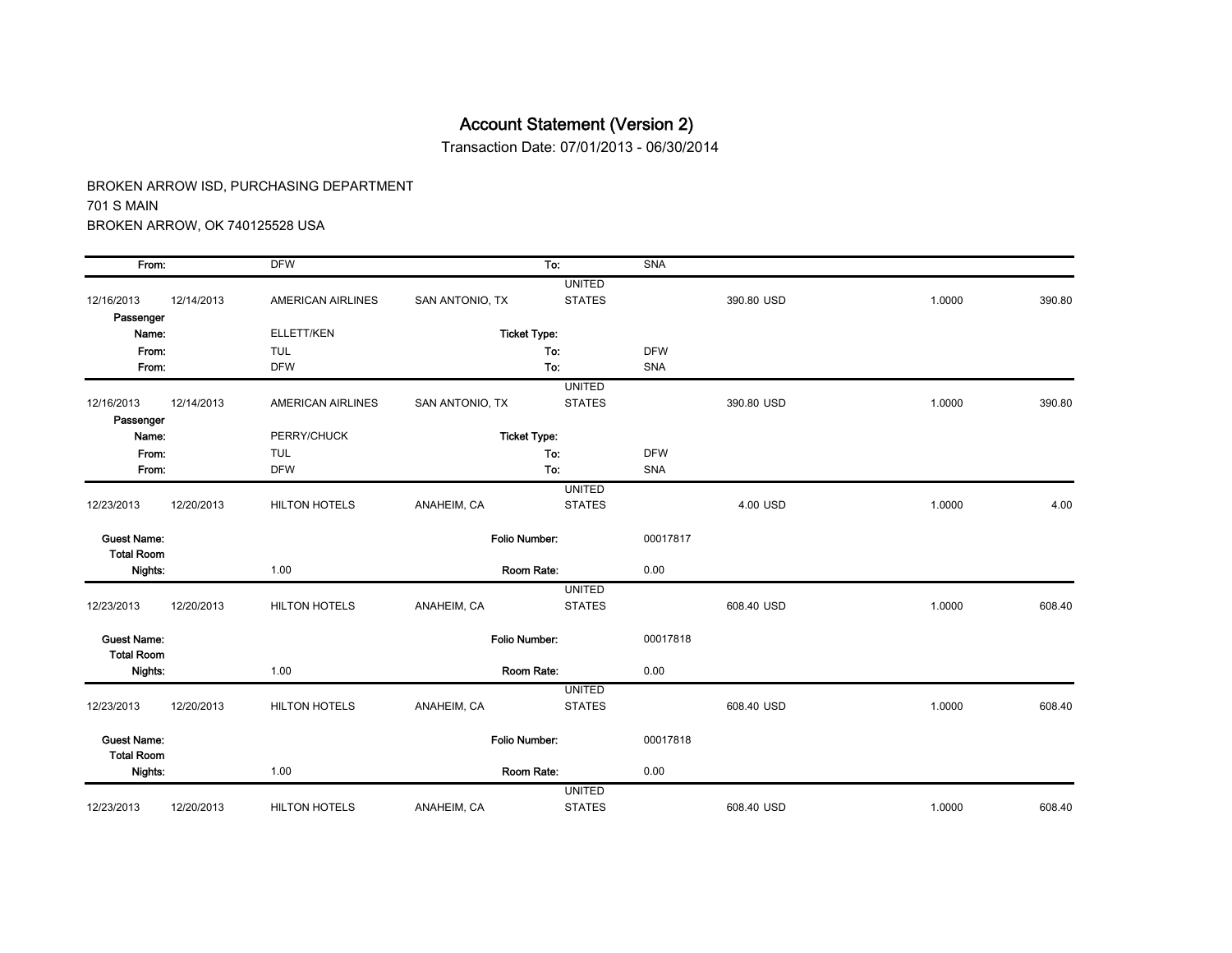Transaction Date: 07/01/2013 - 06/30/2014

| From:                                   |            | <b>DFW</b>           |                     | To:                            | <b>SNA</b> |            |        |        |
|-----------------------------------------|------------|----------------------|---------------------|--------------------------------|------------|------------|--------|--------|
| 12/16/2013                              | 12/14/2013 | AMERICAN AIRLINES    | SAN ANTONIO, TX     | <b>UNITED</b><br><b>STATES</b> |            | 390.80 USD | 1.0000 | 390.80 |
| Passenger<br>Name:                      |            | ELLETT/KEN           |                     |                                |            |            |        |        |
|                                         |            |                      | <b>Ticket Type:</b> |                                |            |            |        |        |
| From:                                   |            | <b>TUL</b>           |                     | To:                            | <b>DFW</b> |            |        |        |
| From:                                   |            | <b>DFW</b>           |                     | To:                            | SNA        |            |        |        |
| 12/16/2013<br>Passenger                 | 12/14/2013 | AMERICAN AIRLINES    | SAN ANTONIO, TX     | <b>UNITED</b><br><b>STATES</b> |            | 390.80 USD | 1.0000 | 390.80 |
| Name:                                   |            | PERRY/CHUCK          | <b>Ticket Type:</b> |                                |            |            |        |        |
| From:                                   |            | <b>TUL</b>           |                     | To:                            | <b>DFW</b> |            |        |        |
| From:                                   |            | <b>DFW</b>           |                     | To:                            | SNA        |            |        |        |
|                                         |            |                      |                     | <b>UNITED</b>                  |            |            |        |        |
| 12/23/2013                              | 12/20/2013 | <b>HILTON HOTELS</b> | ANAHEIM, CA         | <b>STATES</b>                  |            | 4.00 USD   | 1.0000 | 4.00   |
| <b>Guest Name:</b><br><b>Total Room</b> |            |                      | Folio Number:       |                                | 00017817   |            |        |        |
| Nights:                                 |            | 1.00                 | Room Rate:          |                                | 0.00       |            |        |        |
|                                         |            |                      |                     | <b>UNITED</b>                  |            |            |        |        |
| 12/23/2013                              | 12/20/2013 | <b>HILTON HOTELS</b> | ANAHEIM, CA         | <b>STATES</b>                  |            | 608.40 USD | 1.0000 | 608.40 |
| <b>Guest Name:</b><br><b>Total Room</b> |            |                      | Folio Number:       |                                | 00017818   |            |        |        |
| Nights:                                 |            | 1.00                 | Room Rate:          |                                | 0.00       |            |        |        |
|                                         |            |                      |                     | <b>UNITED</b>                  |            |            |        |        |
| 12/23/2013                              | 12/20/2013 | <b>HILTON HOTELS</b> | ANAHEIM, CA         | <b>STATES</b>                  |            | 608.40 USD | 1.0000 | 608.40 |
| <b>Guest Name:</b><br><b>Total Room</b> |            |                      | Folio Number:       |                                | 00017818   |            |        |        |
| Nights:                                 |            | 1.00                 | Room Rate:          |                                | 0.00       |            |        |        |
|                                         |            |                      |                     | <b>UNITED</b>                  |            |            |        |        |
| 12/23/2013                              | 12/20/2013 | <b>HILTON HOTELS</b> | ANAHEIM, CA         | <b>STATES</b>                  |            | 608.40 USD | 1.0000 | 608.40 |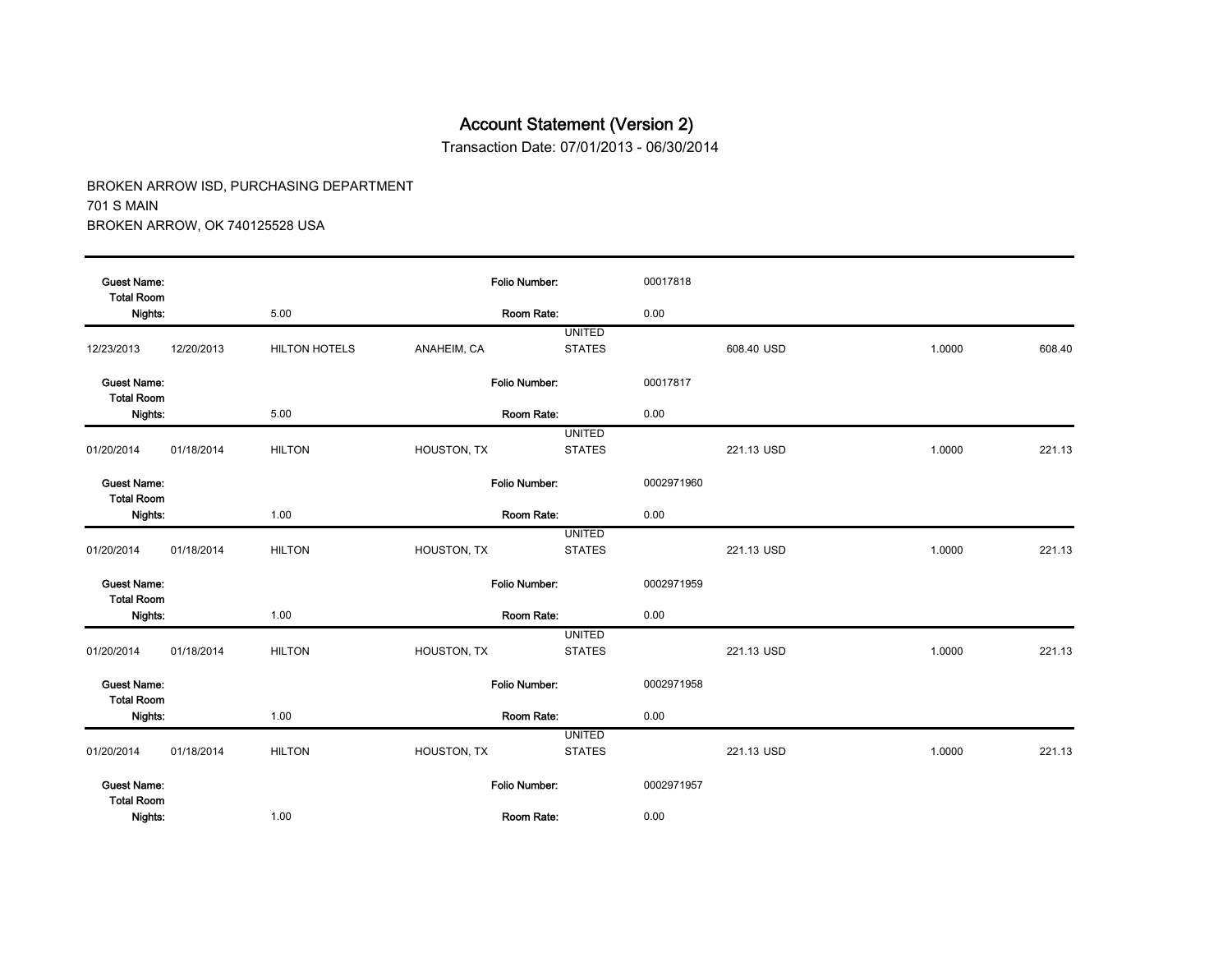Transaction Date: 07/01/2013 - 06/30/2014

| <b>Guest Name:</b><br><b>Total Room</b> |            |                      | <b>Folio Number:</b> |               | 00017818   |            |        |        |
|-----------------------------------------|------------|----------------------|----------------------|---------------|------------|------------|--------|--------|
| Nights:                                 |            | 5.00                 |                      | Room Rate:    | 0.00       |            |        |        |
|                                         |            |                      |                      | <b>UNITED</b> |            |            |        |        |
| 12/23/2013                              | 12/20/2013 | <b>HILTON HOTELS</b> | ANAHEIM, CA          | <b>STATES</b> |            | 608.40 USD | 1.0000 | 608.40 |
| <b>Guest Name:</b><br><b>Total Room</b> |            |                      | Folio Number:        |               | 00017817   |            |        |        |
| Nights:                                 |            | 5.00                 |                      | Room Rate:    | 0.00       |            |        |        |
|                                         |            |                      |                      | <b>UNITED</b> |            |            |        |        |
| 01/20/2014                              | 01/18/2014 | <b>HILTON</b>        | HOUSTON, TX          | <b>STATES</b> |            | 221.13 USD | 1.0000 | 221.13 |
| <b>Guest Name:</b><br><b>Total Room</b> |            |                      | <b>Folio Number:</b> |               | 0002971960 |            |        |        |
| Nights:                                 |            | 1.00                 |                      | Room Rate:    | 0.00       |            |        |        |
|                                         |            |                      |                      | <b>UNITED</b> |            |            |        |        |
| 01/20/2014                              | 01/18/2014 | <b>HILTON</b>        | HOUSTON, TX          | <b>STATES</b> |            | 221.13 USD | 1.0000 | 221.13 |
| <b>Guest Name:</b><br><b>Total Room</b> |            |                      | <b>Folio Number:</b> |               | 0002971959 |            |        |        |
| Nights:                                 |            | 1.00                 |                      | Room Rate:    | 0.00       |            |        |        |
|                                         |            |                      |                      | <b>UNITED</b> |            |            |        |        |
| 01/20/2014                              | 01/18/2014 | <b>HILTON</b>        | HOUSTON, TX          | <b>STATES</b> |            | 221.13 USD | 1.0000 | 221.13 |
| <b>Guest Name:</b><br><b>Total Room</b> |            |                      | <b>Folio Number:</b> |               | 0002971958 |            |        |        |
| Nights:                                 |            | 1.00                 |                      | Room Rate:    | 0.00       |            |        |        |
|                                         |            |                      |                      | <b>UNITED</b> |            |            |        |        |
| 01/20/2014                              | 01/18/2014 | <b>HILTON</b>        | HOUSTON, TX          | <b>STATES</b> |            | 221.13 USD | 1.0000 | 221.13 |
| <b>Guest Name:</b><br><b>Total Room</b> |            |                      | Folio Number:        |               | 0002971957 |            |        |        |
| Nights:                                 |            | 1.00                 |                      | Room Rate:    | 0.00       |            |        |        |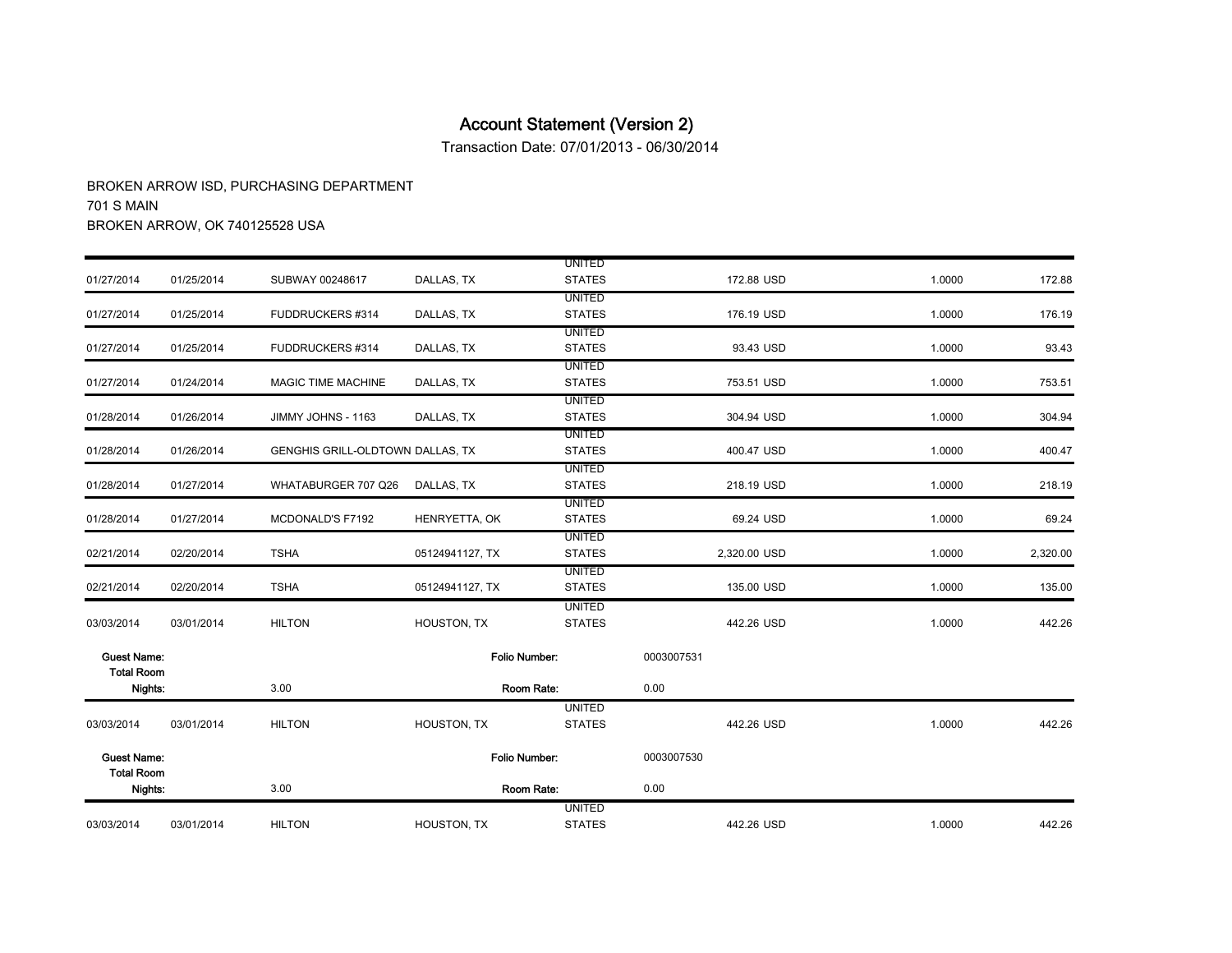Transaction Date: 07/01/2013 - 06/30/2014

| 03/03/2014                              | 03/01/2014 | <b>HILTON</b>                    | HOUSTON, TX     | <b>UNITED</b><br><b>STATES</b> | 442.26 USD   | 1.0000 | 442.26   |
|-----------------------------------------|------------|----------------------------------|-----------------|--------------------------------|--------------|--------|----------|
| <b>Total Room</b><br>Nights:            |            | 3.00                             |                 | Room Rate:                     | 0.00         |        |          |
| <b>Guest Name:</b>                      |            |                                  | Folio Number:   |                                | 0003007530   |        |          |
| 03/03/2014                              | 03/01/2014 | <b>HILTON</b>                    | HOUSTON, TX     | <b>UNITED</b><br><b>STATES</b> | 442.26 USD   | 1.0000 | 442.26   |
| Nights:                                 |            | 3.00                             |                 | Room Rate:                     | 0.00         |        |          |
| <b>Guest Name:</b><br><b>Total Room</b> |            |                                  | Folio Number:   |                                | 0003007531   |        |          |
| 03/03/2014                              | 03/01/2014 | <b>HILTON</b>                    | HOUSTON, TX     | <b>UNITED</b><br><b>STATES</b> | 442.26 USD   | 1.0000 | 442.26   |
| 02/21/2014                              | 02/20/2014 | <b>TSHA</b>                      | 05124941127, TX | <b>UNITED</b><br><b>STATES</b> | 135.00 USD   | 1.0000 | 135.00   |
| 02/21/2014                              | 02/20/2014 | <b>TSHA</b>                      | 05124941127, TX | <b>UNITED</b><br><b>STATES</b> | 2,320.00 USD | 1.0000 | 2,320.00 |
| 01/28/2014                              | 01/27/2014 | MCDONALD'S F7192                 | HENRYETTA, OK   | <b>UNITED</b><br><b>STATES</b> | 69.24 USD    | 1.0000 | 69.24    |
| 01/28/2014                              | 01/27/2014 | WHATABURGER 707 Q26              | DALLAS, TX      | UNITED<br><b>STATES</b>        | 218.19 USD   | 1.0000 | 218.19   |
| 01/28/2014                              | 01/26/2014 | GENGHIS GRILL-OLDTOWN DALLAS, TX |                 | <b>UNITED</b><br><b>STATES</b> | 400.47 USD   | 1.0000 | 400.47   |
| 01/28/2014                              | 01/26/2014 | JIMMY JOHNS - 1163               | DALLAS, TX      | <b>UNITED</b><br><b>STATES</b> | 304.94 USD   | 1.0000 | 304.94   |
| 01/27/2014                              | 01/24/2014 | MAGIC TIME MACHINE               | DALLAS, TX      | <b>UNITED</b><br><b>STATES</b> | 753.51 USD   | 1.0000 | 753.51   |
| 01/27/2014                              | 01/25/2014 | FUDDRUCKERS #314                 | DALLAS, TX      | <b>UNITED</b><br><b>STATES</b> | 93.43 USD    | 1.0000 | 93.43    |
| 01/27/2014                              | 01/25/2014 | FUDDRUCKERS #314                 | DALLAS, TX      | <b>UNITED</b><br><b>STATES</b> | 176.19 USD   | 1.0000 | 176.19   |
| 01/27/2014                              | 01/25/2014 | SUBWAY 00248617                  | DALLAS, TX      | <b>UNITED</b><br><b>STATES</b> | 172.88 USD   | 1.0000 | 172.88   |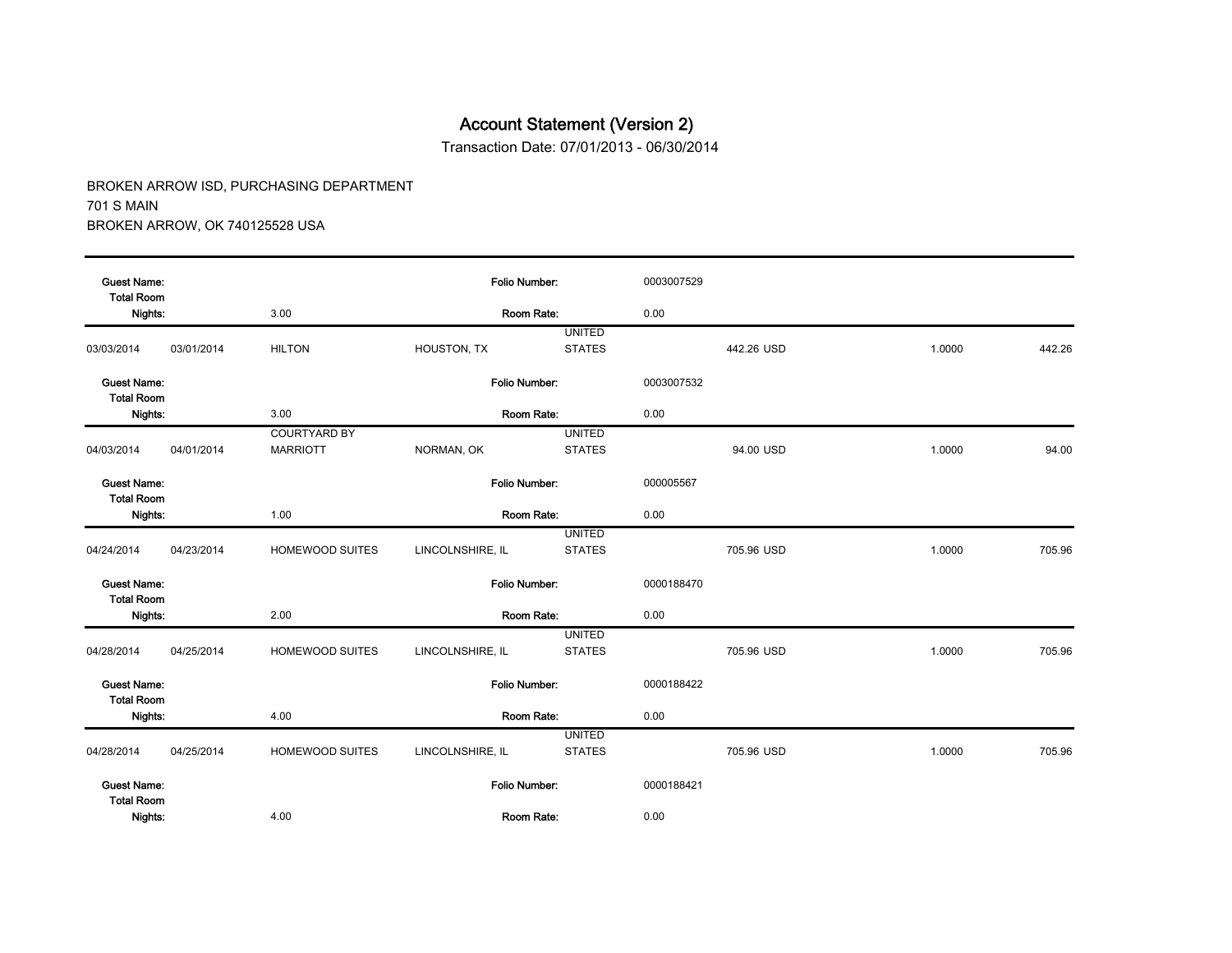Transaction Date: 07/01/2013 - 06/30/2014

| <b>Guest Name:</b><br><b>Total Room</b> |            |                                        | Folio Number:    |                                | 0003007529 |            |        |        |
|-----------------------------------------|------------|----------------------------------------|------------------|--------------------------------|------------|------------|--------|--------|
| Nights:                                 |            | 3.00                                   | Room Rate:       |                                | 0.00       |            |        |        |
| 03/03/2014                              | 03/01/2014 | <b>HILTON</b>                          | HOUSTON, TX      | <b>UNITED</b><br><b>STATES</b> |            | 442.26 USD | 1.0000 | 442.26 |
| <b>Guest Name:</b><br><b>Total Room</b> |            |                                        | Folio Number:    |                                | 0003007532 |            |        |        |
| Nights:                                 |            | 3.00                                   | Room Rate:       |                                | 0.00       |            |        |        |
| 04/03/2014                              | 04/01/2014 | <b>COURTYARD BY</b><br><b>MARRIOTT</b> | NORMAN, OK       | <b>UNITED</b><br><b>STATES</b> |            | 94.00 USD  | 1.0000 | 94.00  |
| <b>Guest Name:</b><br><b>Total Room</b> |            |                                        | Folio Number:    |                                | 000005567  |            |        |        |
| Nights:                                 |            | 1.00                                   | Room Rate:       |                                | 0.00       |            |        |        |
| 04/24/2014                              | 04/23/2014 | HOMEWOOD SUITES                        | LINCOLNSHIRE, IL | <b>UNITED</b><br><b>STATES</b> |            | 705.96 USD | 1.0000 | 705.96 |
| <b>Guest Name:</b><br><b>Total Room</b> |            |                                        | Folio Number:    |                                | 0000188470 |            |        |        |
| Nights:                                 |            | 2.00                                   | Room Rate:       |                                | 0.00       |            |        |        |
| 04/28/2014                              | 04/25/2014 | <b>HOMEWOOD SUITES</b>                 | LINCOLNSHIRE, IL | <b>UNITED</b><br><b>STATES</b> |            | 705.96 USD | 1.0000 | 705.96 |
| <b>Guest Name:</b><br><b>Total Room</b> |            |                                        | Folio Number:    |                                | 0000188422 |            |        |        |
| Nights:                                 |            | 4.00                                   | Room Rate:       |                                | 0.00       |            |        |        |
| 04/28/2014                              | 04/25/2014 | HOMEWOOD SUITES                        | LINCOLNSHIRE, IL | <b>UNITED</b><br><b>STATES</b> |            | 705.96 USD | 1.0000 | 705.96 |
| <b>Guest Name:</b><br><b>Total Room</b> |            |                                        | Folio Number:    |                                | 0000188421 |            |        |        |
| Nights:                                 |            | 4.00                                   | Room Rate:       |                                | 0.00       |            |        |        |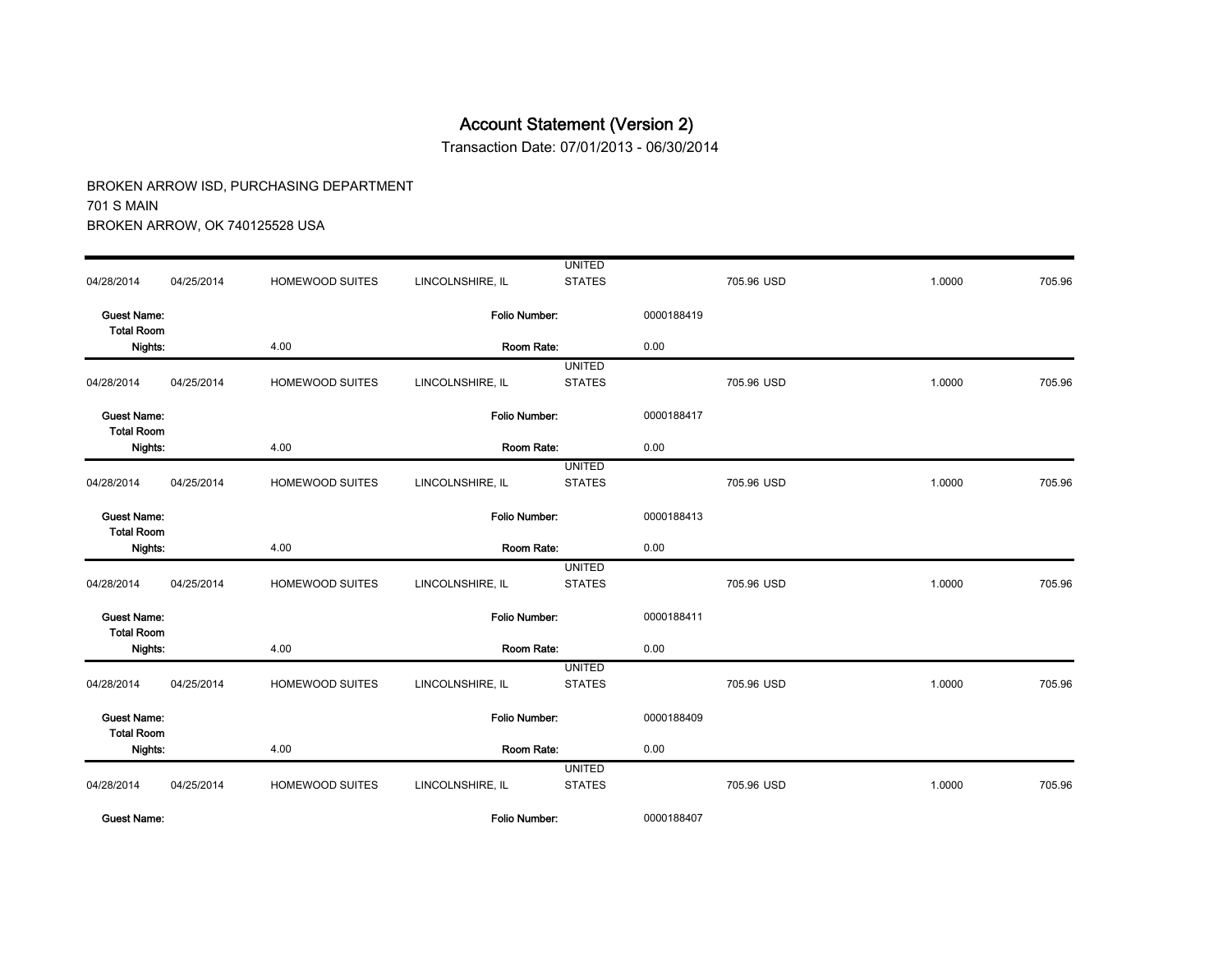Transaction Date: 07/01/2013 - 06/30/2014

|                                         |            |                        |                  | <b>UNITED</b> |            |            |        |        |
|-----------------------------------------|------------|------------------------|------------------|---------------|------------|------------|--------|--------|
| 04/28/2014                              | 04/25/2014 | HOMEWOOD SUITES        | LINCOLNSHIRE, IL | <b>STATES</b> |            | 705.96 USD | 1.0000 | 705.96 |
| <b>Guest Name:</b><br><b>Total Room</b> |            |                        | Folio Number:    |               | 0000188419 |            |        |        |
| Nights:                                 |            | 4.00                   | Room Rate:       |               | 0.00       |            |        |        |
|                                         |            |                        |                  | <b>UNITED</b> |            |            |        |        |
| 04/28/2014                              | 04/25/2014 | HOMEWOOD SUITES        | LINCOLNSHIRE, IL | <b>STATES</b> |            | 705.96 USD | 1.0000 | 705.96 |
| <b>Guest Name:</b><br><b>Total Room</b> |            |                        | Folio Number:    |               | 0000188417 |            |        |        |
| Nights:                                 |            | 4.00                   | Room Rate:       |               | 0.00       |            |        |        |
|                                         |            |                        |                  | <b>UNITED</b> |            |            |        |        |
| 04/28/2014                              | 04/25/2014 | HOMEWOOD SUITES        | LINCOLNSHIRE, IL | <b>STATES</b> |            | 705.96 USD | 1.0000 | 705.96 |
| <b>Guest Name:</b><br><b>Total Room</b> |            |                        | Folio Number:    |               | 0000188413 |            |        |        |
| Nights:                                 |            | 4.00                   | Room Rate:       |               | 0.00       |            |        |        |
|                                         |            |                        |                  | <b>UNITED</b> |            |            |        |        |
| 04/28/2014                              | 04/25/2014 | HOMEWOOD SUITES        | LINCOLNSHIRE, IL | <b>STATES</b> |            | 705.96 USD | 1.0000 | 705.96 |
| <b>Guest Name:</b><br><b>Total Room</b> |            |                        | Folio Number:    |               | 0000188411 |            |        |        |
| Nights:                                 |            | 4.00                   | Room Rate:       |               | 0.00       |            |        |        |
|                                         |            |                        |                  | <b>UNITED</b> |            |            |        |        |
| 04/28/2014                              | 04/25/2014 | <b>HOMEWOOD SUITES</b> | LINCOLNSHIRE, IL | <b>STATES</b> |            | 705.96 USD | 1.0000 | 705.96 |
| <b>Guest Name:</b><br><b>Total Room</b> |            |                        | Folio Number:    |               | 0000188409 |            |        |        |
| Nights:                                 |            | 4.00                   | Room Rate:       |               | 0.00       |            |        |        |
|                                         |            |                        |                  | <b>UNITED</b> |            |            |        |        |
| 04/28/2014                              | 04/25/2014 | HOMEWOOD SUITES        | LINCOLNSHIRE, IL | <b>STATES</b> |            | 705.96 USD | 1.0000 | 705.96 |
| <b>Guest Name:</b>                      |            |                        | Folio Number:    |               | 0000188407 |            |        |        |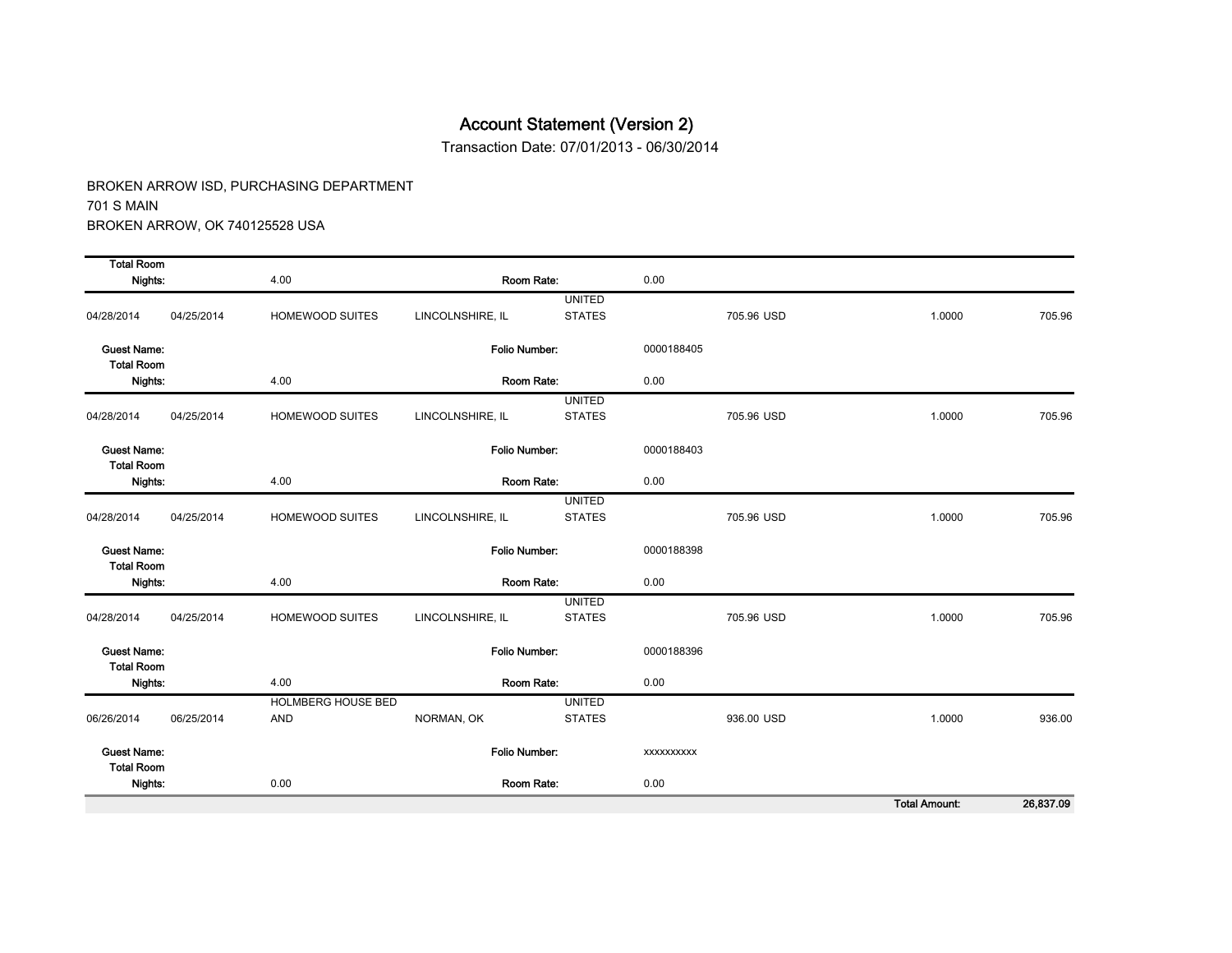Transaction Date: 07/01/2013 - 06/30/2014

BROKEN ARROW ISD, PURCHASING DEPARTMENT 701 S MAIN BROKEN ARROW, OK 740125528 USA

| <b>Total Room</b>                       |            |                           |                      |               |                   |            |                                                  |        |  |
|-----------------------------------------|------------|---------------------------|----------------------|---------------|-------------------|------------|--------------------------------------------------|--------|--|
| Nights:                                 |            | 4.00                      | Room Rate:           |               | 0.00              |            |                                                  |        |  |
|                                         |            |                           |                      | <b>UNITED</b> |                   |            |                                                  |        |  |
| 04/28/2014                              | 04/25/2014 | <b>HOMEWOOD SUITES</b>    | LINCOLNSHIRE, IL     | <b>STATES</b> |                   | 705.96 USD | 1.0000                                           | 705.96 |  |
| <b>Guest Name:</b><br><b>Total Room</b> |            |                           | Folio Number:        |               | 0000188405        |            |                                                  |        |  |
| Nights:                                 |            | 4.00                      | Room Rate:           |               | 0.00              |            |                                                  |        |  |
|                                         |            |                           |                      | <b>UNITED</b> |                   |            |                                                  |        |  |
| 04/28/2014                              | 04/25/2014 | HOMEWOOD SUITES           | LINCOLNSHIRE, IL     | <b>STATES</b> |                   | 705.96 USD | 1.0000                                           | 705.96 |  |
| <b>Guest Name:</b><br><b>Total Room</b> |            |                           | <b>Folio Number:</b> |               | 0000188403        |            |                                                  |        |  |
| Nights:                                 |            | 4.00                      | Room Rate:           |               | 0.00              |            |                                                  |        |  |
|                                         |            |                           |                      | <b>UNITED</b> |                   |            |                                                  |        |  |
| 04/28/2014                              | 04/25/2014 | HOMEWOOD SUITES           | LINCOLNSHIRE, IL     | <b>STATES</b> |                   | 705.96 USD | 1.0000                                           | 705.96 |  |
| <b>Guest Name:</b><br><b>Total Room</b> |            |                           | Folio Number:        |               | 0000188398        |            |                                                  |        |  |
| Nights:                                 |            | 4.00                      | Room Rate:           |               | 0.00              |            |                                                  |        |  |
|                                         |            |                           |                      | <b>UNITED</b> |                   |            |                                                  |        |  |
| 04/28/2014                              | 04/25/2014 | HOMEWOOD SUITES           | LINCOLNSHIRE, IL     | <b>STATES</b> |                   | 705.96 USD | 1.0000                                           | 705.96 |  |
| <b>Guest Name:</b><br><b>Total Room</b> |            |                           | Folio Number:        |               | 0000188396        |            |                                                  |        |  |
| Nights:                                 |            | 4.00                      | Room Rate:           |               | 0.00              |            |                                                  |        |  |
|                                         |            | <b>HOLMBERG HOUSE BED</b> |                      | <b>UNITED</b> |                   |            |                                                  |        |  |
| 06/26/2014                              | 06/25/2014 | AND                       | NORMAN, OK           | <b>STATES</b> |                   | 936.00 USD | 1.0000                                           | 936.00 |  |
| <b>Guest Name:</b><br><b>Total Room</b> |            |                           | Folio Number:        |               | <b>XXXXXXXXXX</b> |            |                                                  |        |  |
| Nights:                                 |            | 0.00                      | Room Rate:           |               | 0.00              |            |                                                  |        |  |
|                                         |            |                           |                      |               |                   |            | <b>The Country of the Country of the Country</b> | 0.0020 |  |

Total Amount: 26,837.09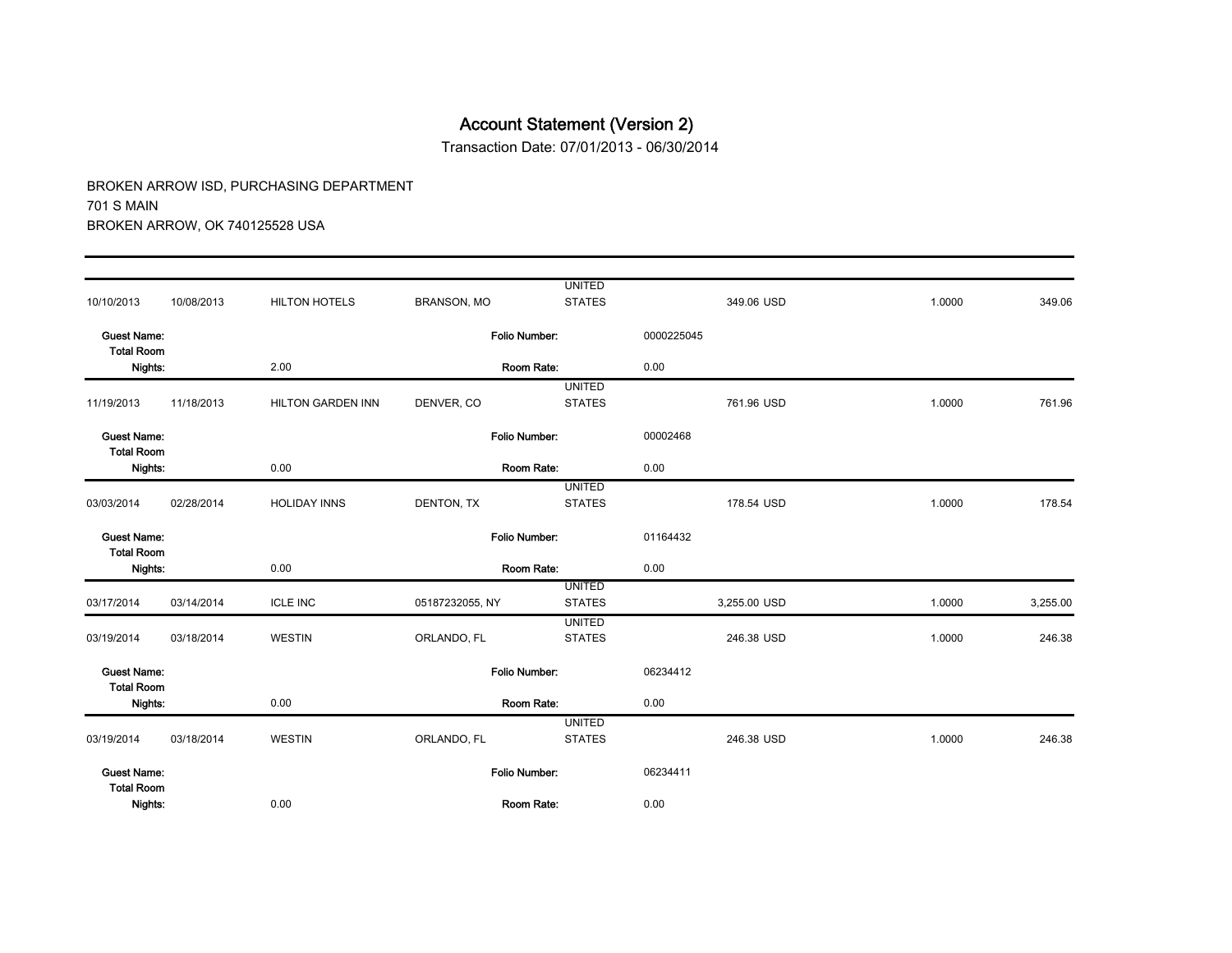Transaction Date: 07/01/2013 - 06/30/2014

|                                         |            |                      |                      | <b>UNITED</b>                  |            | 349.06 USD   | 1.0000 | 349.06   |
|-----------------------------------------|------------|----------------------|----------------------|--------------------------------|------------|--------------|--------|----------|
| 10/10/2013                              | 10/08/2013 | <b>HILTON HOTELS</b> | <b>BRANSON, MO</b>   | <b>STATES</b>                  |            |              |        |          |
| <b>Guest Name:</b><br><b>Total Room</b> |            |                      | <b>Folio Number:</b> |                                | 0000225045 |              |        |          |
| Nights:                                 |            | 2.00                 |                      | Room Rate:                     | 0.00       |              |        |          |
|                                         |            |                      |                      | <b>UNITED</b>                  |            |              |        |          |
| 11/19/2013                              | 11/18/2013 | HILTON GARDEN INN    | DENVER, CO           | <b>STATES</b>                  |            | 761.96 USD   | 1.0000 | 761.96   |
| <b>Guest Name:</b><br><b>Total Room</b> |            |                      | Folio Number:        |                                | 00002468   |              |        |          |
| Nights:                                 |            | 0.00                 |                      | Room Rate:                     | 0.00       |              |        |          |
|                                         |            |                      |                      | <b>UNITED</b>                  |            |              |        |          |
| 03/03/2014                              | 02/28/2014 | <b>HOLIDAY INNS</b>  | DENTON, TX           | <b>STATES</b>                  |            | 178.54 USD   | 1.0000 | 178.54   |
| <b>Guest Name:</b><br><b>Total Room</b> |            |                      | <b>Folio Number:</b> |                                | 01164432   |              |        |          |
| Nights:                                 |            | 0.00                 | Room Rate:           |                                | 0.00       |              |        |          |
| 03/17/2014                              | 03/14/2014 | <b>ICLE INC</b>      | 05187232055, NY      | <b>UNITED</b><br><b>STATES</b> |            | 3,255.00 USD | 1.0000 | 3,255.00 |
|                                         |            |                      |                      | <b>UNITED</b>                  |            |              |        |          |
| 03/19/2014                              | 03/18/2014 | <b>WESTIN</b>        | ORLANDO, FL          | <b>STATES</b>                  |            | 246.38 USD   | 1.0000 | 246.38   |
| <b>Guest Name:</b><br><b>Total Room</b> |            |                      | Folio Number:        |                                | 06234412   |              |        |          |
| Nights:                                 |            | 0.00                 |                      | Room Rate:                     | 0.00       |              |        |          |
|                                         |            |                      |                      | <b>UNITED</b>                  |            |              |        |          |
| 03/19/2014                              | 03/18/2014 | <b>WESTIN</b>        | ORLANDO, FL          | <b>STATES</b>                  |            | 246.38 USD   | 1.0000 | 246.38   |
| <b>Guest Name:</b><br><b>Total Room</b> |            |                      | Folio Number:        |                                | 06234411   |              |        |          |
| Nights:                                 |            | 0.00                 |                      | Room Rate:                     | 0.00       |              |        |          |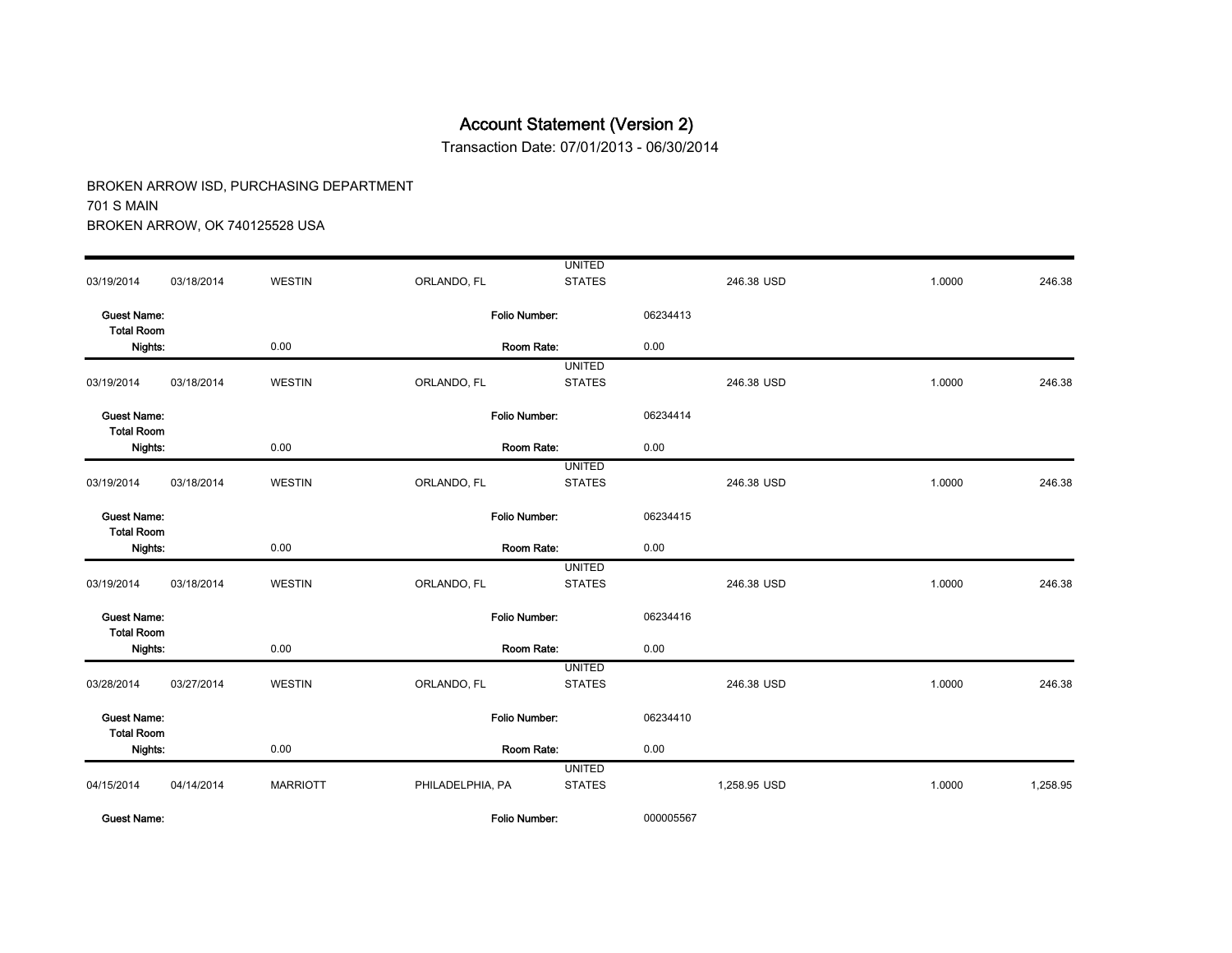Transaction Date: 07/01/2013 - 06/30/2014

|                                         |            |                 |                      | <b>UNITED</b> |           |              |        |          |
|-----------------------------------------|------------|-----------------|----------------------|---------------|-----------|--------------|--------|----------|
| 03/19/2014                              | 03/18/2014 | <b>WESTIN</b>   | ORLANDO, FL          | <b>STATES</b> |           | 246.38 USD   | 1.0000 | 246.38   |
| <b>Guest Name:</b>                      |            |                 | <b>Folio Number:</b> |               | 06234413  |              |        |          |
| <b>Total Room</b>                       |            |                 |                      |               |           |              |        |          |
| Nights:                                 |            | 0.00            | Room Rate:           |               | 0.00      |              |        |          |
|                                         |            |                 |                      | <b>UNITED</b> |           |              |        |          |
| 03/19/2014                              | 03/18/2014 | <b>WESTIN</b>   | ORLANDO, FL          | <b>STATES</b> |           | 246.38 USD   | 1.0000 | 246.38   |
| <b>Guest Name:</b><br><b>Total Room</b> |            |                 | Folio Number.        |               | 06234414  |              |        |          |
| Nights:                                 |            | 0.00            | Room Rate:           |               | 0.00      |              |        |          |
|                                         |            |                 |                      | <b>UNITED</b> |           |              |        |          |
| 03/19/2014                              | 03/18/2014 | <b>WESTIN</b>   | ORLANDO, FL          | <b>STATES</b> |           | 246.38 USD   | 1.0000 | 246.38   |
| <b>Guest Name:</b><br><b>Total Room</b> |            |                 | <b>Folio Number:</b> |               | 06234415  |              |        |          |
| Nights:                                 |            | 0.00            | Room Rate:           |               | 0.00      |              |        |          |
|                                         |            |                 |                      | <b>UNITED</b> |           |              |        |          |
| 03/19/2014                              | 03/18/2014 | <b>WESTIN</b>   | ORLANDO, FL          | <b>STATES</b> |           | 246.38 USD   | 1.0000 | 246.38   |
| <b>Guest Name:</b><br><b>Total Room</b> |            |                 | Folio Number:        |               | 06234416  |              |        |          |
| Nights:                                 |            | 0.00            | Room Rate:           |               | 0.00      |              |        |          |
|                                         |            |                 |                      | <b>UNITED</b> |           |              |        |          |
| 03/28/2014                              | 03/27/2014 | <b>WESTIN</b>   | ORLANDO, FL          | <b>STATES</b> |           | 246.38 USD   | 1.0000 | 246.38   |
| <b>Guest Name:</b><br><b>Total Room</b> |            |                 | Folio Number:        |               | 06234410  |              |        |          |
| Nights:                                 |            | 0.00            | Room Rate:           |               | 0.00      |              |        |          |
|                                         |            |                 |                      | <b>UNITED</b> |           |              |        |          |
| 04/15/2014                              | 04/14/2014 | <b>MARRIOTT</b> | PHILADELPHIA, PA     | <b>STATES</b> |           | 1,258.95 USD | 1.0000 | 1,258.95 |
| <b>Guest Name:</b>                      |            |                 | Folio Number:        |               | 000005567 |              |        |          |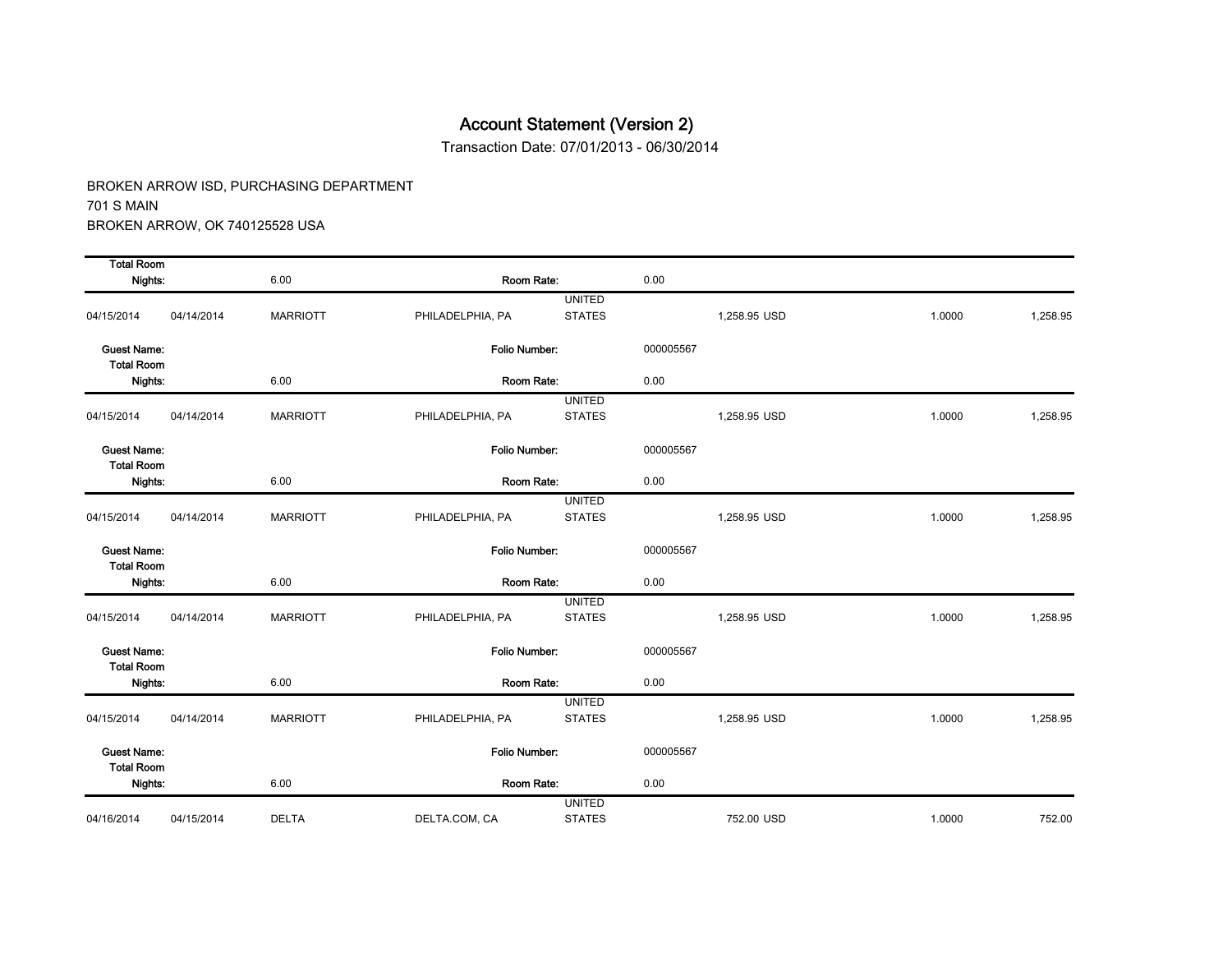Transaction Date: 07/01/2013 - 06/30/2014

| <b>Total Room</b>                       |            |                 |                      |               |           |              |        |          |
|-----------------------------------------|------------|-----------------|----------------------|---------------|-----------|--------------|--------|----------|
| Nights:                                 |            | 6.00            | Room Rate:           |               | 0.00      |              |        |          |
|                                         |            |                 |                      | <b>UNITED</b> |           |              |        |          |
| 04/15/2014                              | 04/14/2014 | <b>MARRIOTT</b> | PHILADELPHIA, PA     | <b>STATES</b> |           | 1,258.95 USD | 1.0000 | 1,258.95 |
| <b>Guest Name:</b><br><b>Total Room</b> |            |                 | Folio Number:        |               | 000005567 |              |        |          |
| Nights:                                 |            | 6.00            | Room Rate:           |               | 0.00      |              |        |          |
|                                         |            |                 |                      | <b>UNITED</b> |           |              |        |          |
| 04/15/2014                              | 04/14/2014 | <b>MARRIOTT</b> | PHILADELPHIA, PA     | <b>STATES</b> |           | 1,258.95 USD | 1.0000 | 1,258.95 |
| <b>Guest Name:</b><br><b>Total Room</b> |            |                 | <b>Folio Number:</b> |               | 000005567 |              |        |          |
| Nights:                                 |            | 6.00            | Room Rate:           |               | 0.00      |              |        |          |
|                                         |            |                 |                      | <b>UNITED</b> |           |              |        |          |
| 04/15/2014                              | 04/14/2014 | <b>MARRIOTT</b> | PHILADELPHIA, PA     | <b>STATES</b> |           | 1,258.95 USD | 1.0000 | 1.258.95 |
| <b>Guest Name:</b><br><b>Total Room</b> |            |                 | Folio Number:        |               | 000005567 |              |        |          |
| Nights:                                 |            | 6.00            | Room Rate:           |               | 0.00      |              |        |          |
|                                         |            |                 |                      | <b>UNITED</b> |           |              |        |          |
| 04/15/2014                              | 04/14/2014 | <b>MARRIOTT</b> | PHILADELPHIA, PA     | <b>STATES</b> |           | 1,258.95 USD | 1.0000 | 1,258.95 |
| <b>Guest Name:</b><br><b>Total Room</b> |            |                 | Folio Number:        |               | 000005567 |              |        |          |
| Nights:                                 |            | 6.00            | Room Rate:           |               | 0.00      |              |        |          |
|                                         |            |                 |                      | <b>UNITED</b> |           |              |        |          |
| 04/15/2014                              | 04/14/2014 | <b>MARRIOTT</b> | PHILADELPHIA, PA     | <b>STATES</b> |           | 1.258.95 USD | 1.0000 | 1.258.95 |
| <b>Guest Name:</b><br><b>Total Room</b> |            |                 | Folio Number:        |               | 000005567 |              |        |          |
| Nights:                                 |            | 6.00            | Room Rate:           |               | 0.00      |              |        |          |
|                                         |            |                 |                      | <b>UNITED</b> |           |              |        |          |
| 04/16/2014                              | 04/15/2014 | <b>DELTA</b>    | DELTA.COM, CA        | <b>STATES</b> |           | 752.00 USD   | 1.0000 | 752.00   |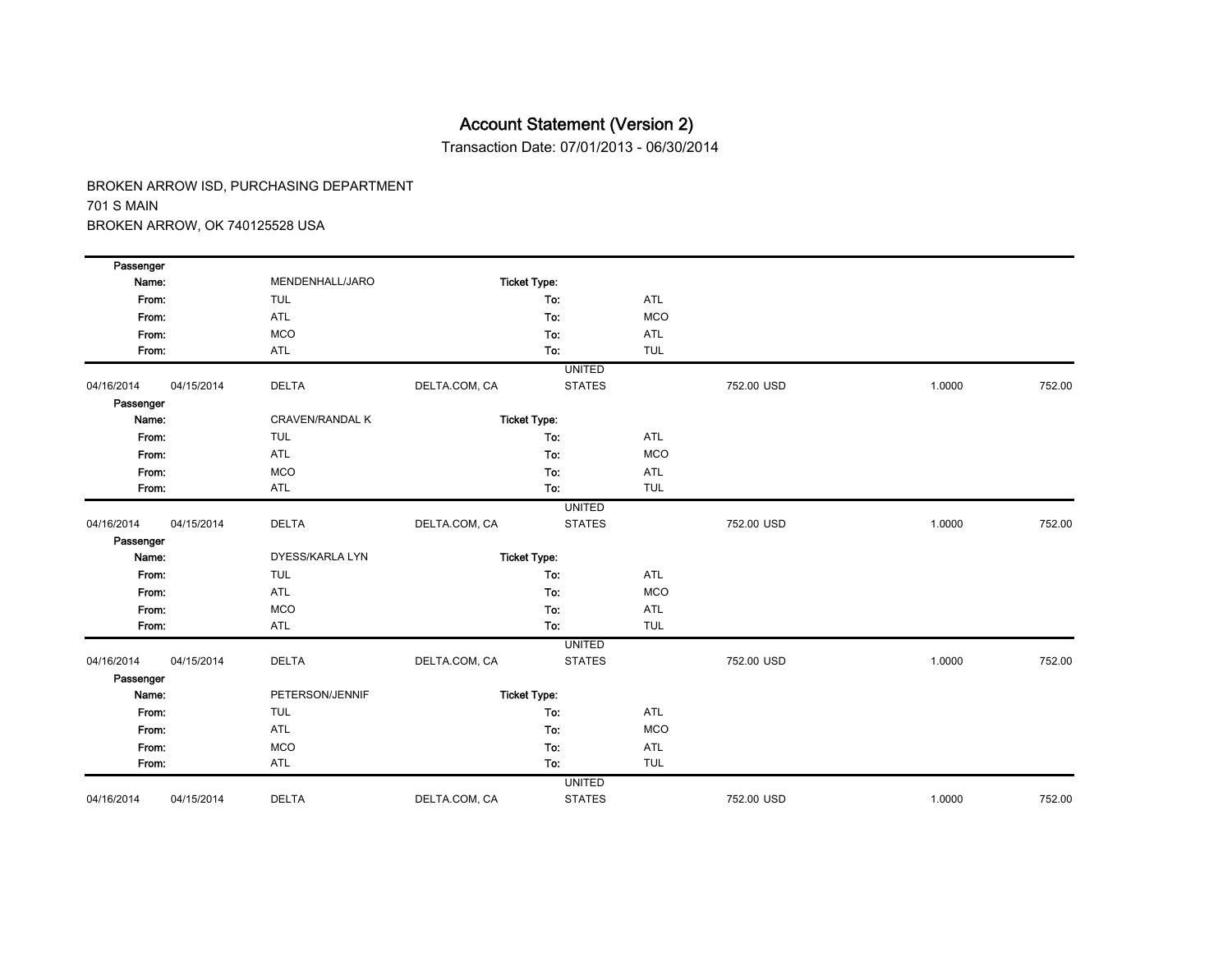Transaction Date: 07/01/2013 - 06/30/2014

| Passenger  |            |                        |               |                     |            |            |        |        |
|------------|------------|------------------------|---------------|---------------------|------------|------------|--------|--------|
| Name:      |            | MENDENHALL/JARO        |               | <b>Ticket Type:</b> |            |            |        |        |
| From:      |            | <b>TUL</b>             |               | To:                 | <b>ATL</b> |            |        |        |
| From:      |            | ATL                    |               | To:                 | <b>MCO</b> |            |        |        |
| From:      |            | <b>MCO</b>             |               | To:                 | ATL        |            |        |        |
| From:      |            | ATL                    |               | To:                 | <b>TUL</b> |            |        |        |
|            |            |                        |               | <b>UNITED</b>       |            |            |        |        |
| 04/16/2014 | 04/15/2014 | <b>DELTA</b>           | DELTA.COM, CA | <b>STATES</b>       |            | 752.00 USD | 1.0000 | 752.00 |
| Passenger  |            |                        |               |                     |            |            |        |        |
| Name:      |            | <b>CRAVEN/RANDAL K</b> |               | <b>Ticket Type:</b> |            |            |        |        |
| From:      |            | <b>TUL</b>             |               | To:                 | <b>ATL</b> |            |        |        |
| From:      |            | ATL                    |               | To:                 | <b>MCO</b> |            |        |        |
| From:      |            | <b>MCO</b>             |               | To:                 | <b>ATL</b> |            |        |        |
| From:      |            | ATL                    |               | To:                 | <b>TUL</b> |            |        |        |
|            |            |                        |               | <b>UNITED</b>       |            |            |        |        |
| 04/16/2014 | 04/15/2014 | <b>DELTA</b>           | DELTA.COM, CA | <b>STATES</b>       |            | 752.00 USD | 1.0000 | 752.00 |
| Passenger  |            |                        |               |                     |            |            |        |        |
| Name:      |            | DYESS/KARLA LYN        |               | <b>Ticket Type:</b> |            |            |        |        |
| From:      |            | <b>TUL</b>             |               | To:                 | <b>ATL</b> |            |        |        |
| From:      |            | ATL                    |               | To:                 | <b>MCO</b> |            |        |        |
| From:      |            | <b>MCO</b>             |               | To:                 | ATL        |            |        |        |
| From:      |            | ATL                    |               | To:                 | <b>TUL</b> |            |        |        |
|            |            |                        |               | <b>UNITED</b>       |            |            |        |        |
| 04/16/2014 | 04/15/2014 | <b>DELTA</b>           | DELTA.COM, CA | <b>STATES</b>       |            | 752.00 USD | 1.0000 | 752.00 |
| Passenger  |            |                        |               |                     |            |            |        |        |
| Name:      |            | PETERSON/JENNIF        |               | <b>Ticket Type:</b> |            |            |        |        |
| From:      |            | <b>TUL</b>             |               | To:                 | <b>ATL</b> |            |        |        |
| From:      |            | ATL                    |               | To:                 | <b>MCO</b> |            |        |        |
| From:      |            | <b>MCO</b>             |               | To:                 | <b>ATL</b> |            |        |        |
| From:      |            | ATL                    |               | To:                 | <b>TUL</b> |            |        |        |
|            |            |                        |               | <b>UNITED</b>       |            |            |        |        |
| 04/16/2014 | 04/15/2014 | <b>DELTA</b>           | DELTA.COM, CA | <b>STATES</b>       |            | 752.00 USD | 1.0000 | 752.00 |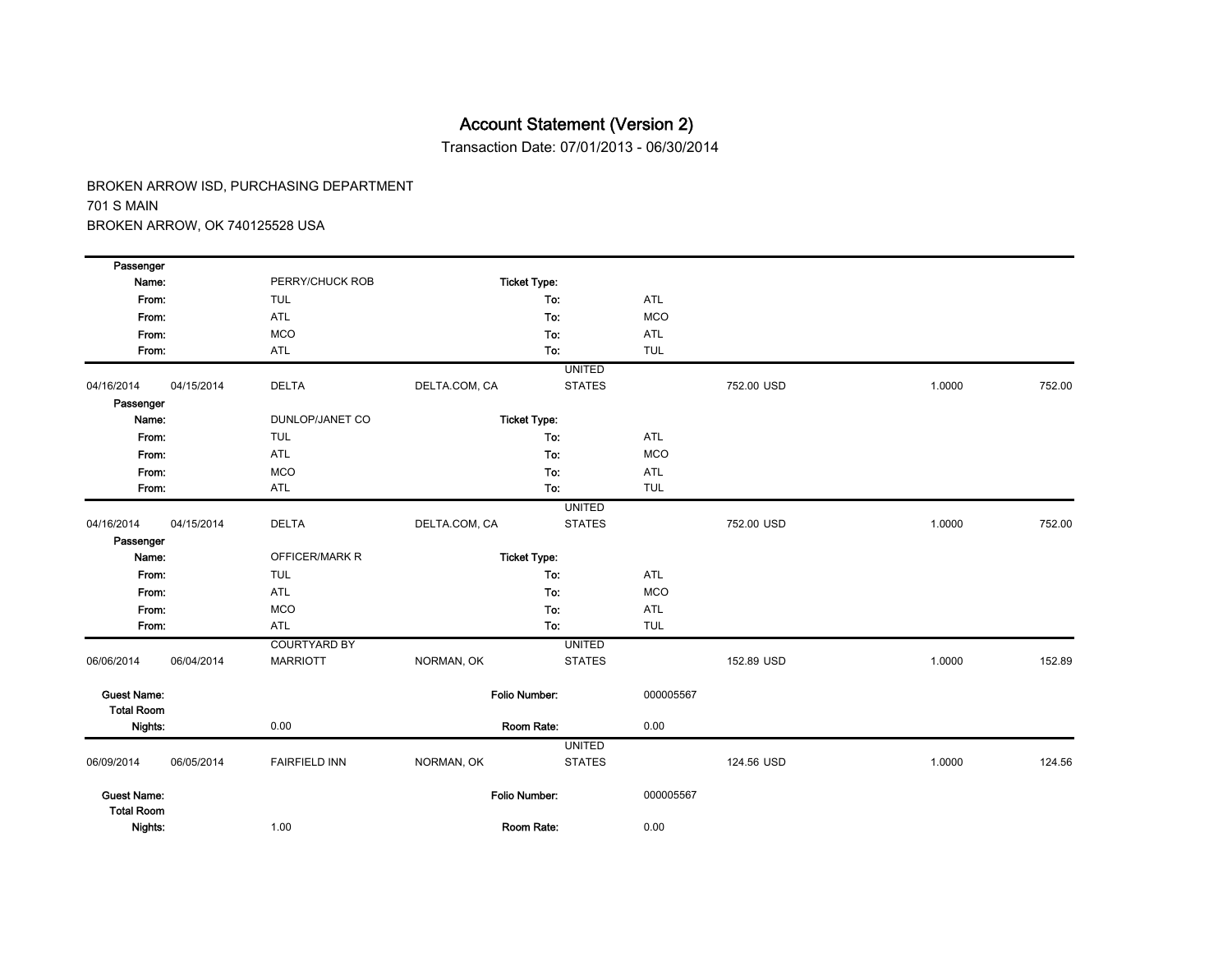Transaction Date: 07/01/2013 - 06/30/2014

| Passenger          |            |                      |               |                      |            |            |        |        |
|--------------------|------------|----------------------|---------------|----------------------|------------|------------|--------|--------|
| Name:              |            | PERRY/CHUCK ROB      |               | <b>Ticket Type:</b>  |            |            |        |        |
| From:              |            | <b>TUL</b>           |               | To:                  | ATL        |            |        |        |
| From:              |            | <b>ATL</b>           |               | To:                  | <b>MCO</b> |            |        |        |
| From:              |            | <b>MCO</b>           |               | To:                  | ATL        |            |        |        |
| From:              |            | <b>ATL</b>           |               | To:                  | <b>TUL</b> |            |        |        |
|                    |            |                      |               | <b>UNITED</b>        |            |            |        |        |
| 04/16/2014         | 04/15/2014 | <b>DELTA</b>         | DELTA.COM, CA | <b>STATES</b>        |            | 752.00 USD | 1.0000 | 752.00 |
| Passenger          |            |                      |               |                      |            |            |        |        |
| Name:              |            | DUNLOP/JANET CO      |               | <b>Ticket Type:</b>  |            |            |        |        |
| From:              |            | <b>TUL</b>           |               | To:                  | <b>ATL</b> |            |        |        |
| From:              |            | ATL                  |               | To:                  | <b>MCO</b> |            |        |        |
| From:              |            | <b>MCO</b>           |               | To:                  | ATL        |            |        |        |
| From:              |            | ATL                  |               | To:                  | <b>TUL</b> |            |        |        |
|                    |            |                      |               | <b>UNITED</b>        |            |            |        |        |
| 04/16/2014         | 04/15/2014 | <b>DELTA</b>         | DELTA.COM, CA | <b>STATES</b>        |            | 752.00 USD | 1.0000 | 752.00 |
| Passenger          |            |                      |               |                      |            |            |        |        |
| Name:              |            | OFFICER/MARK R       |               | <b>Ticket Type:</b>  |            |            |        |        |
| From:              |            | <b>TUL</b>           |               | To:                  | ATL        |            |        |        |
| From:              |            | ATL                  |               | To:                  | <b>MCO</b> |            |        |        |
| From:              |            | <b>MCO</b>           |               | To:                  | ATL        |            |        |        |
| From:              |            | ATL                  |               | To:                  | <b>TUL</b> |            |        |        |
|                    |            | <b>COURTYARD BY</b>  |               | <b>UNITED</b>        |            |            |        |        |
| 06/06/2014         | 06/04/2014 | <b>MARRIOTT</b>      | NORMAN, OK    | <b>STATES</b>        |            | 152.89 USD | 1.0000 | 152.89 |
| <b>Guest Name:</b> |            |                      |               | Folio Number:        | 000005567  |            |        |        |
| <b>Total Room</b>  |            |                      |               |                      |            |            |        |        |
| Nights:            |            | 0.00                 |               | Room Rate:           | 0.00       |            |        |        |
|                    |            |                      |               | <b>UNITED</b>        |            |            |        |        |
| 06/09/2014         | 06/05/2014 | <b>FAIRFIELD INN</b> | NORMAN, OK    | <b>STATES</b>        |            | 124.56 USD | 1.0000 | 124.56 |
| <b>Guest Name:</b> |            |                      |               | <b>Folio Number:</b> | 000005567  |            |        |        |
| <b>Total Room</b>  |            |                      |               |                      |            |            |        |        |
| Nights:            |            | 1.00                 |               | Room Rate:           | 0.00       |            |        |        |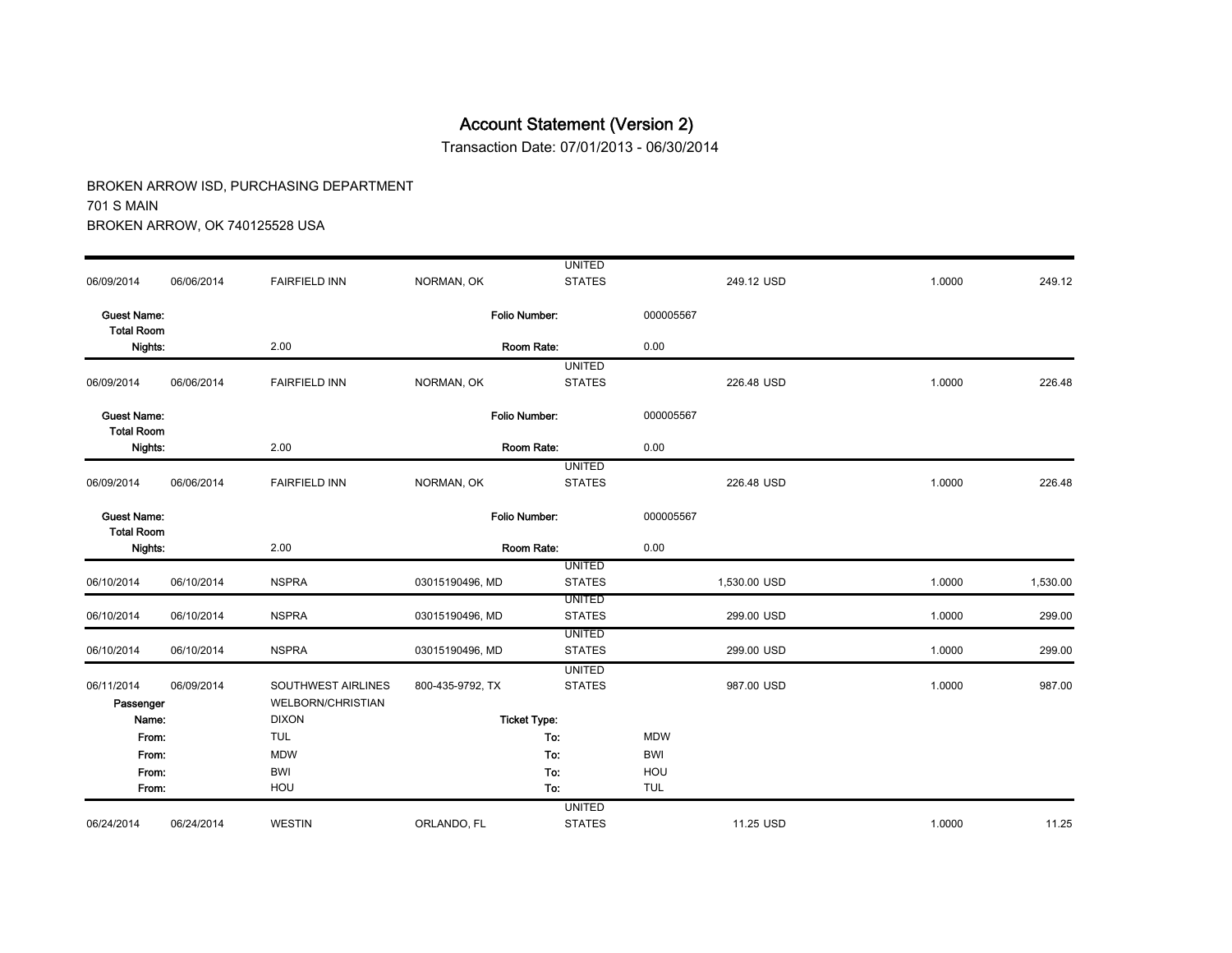Transaction Date: 07/01/2013 - 06/30/2014

|                                         |            |                          |                      | <b>UNITED</b>                  |            |              |        |          |
|-----------------------------------------|------------|--------------------------|----------------------|--------------------------------|------------|--------------|--------|----------|
| 06/09/2014                              | 06/06/2014 | <b>FAIRFIELD INN</b>     | NORMAN, OK           | <b>STATES</b>                  |            | 249.12 USD   | 1.0000 | 249.12   |
| <b>Guest Name:</b><br><b>Total Room</b> |            |                          | <b>Folio Number:</b> |                                | 000005567  |              |        |          |
| Nights:                                 |            | 2.00                     |                      | Room Rate:                     | 0.00       |              |        |          |
|                                         |            |                          |                      | <b>UNITED</b>                  |            |              |        |          |
| 06/09/2014                              | 06/06/2014 | <b>FAIRFIELD INN</b>     | NORMAN, OK           | <b>STATES</b>                  |            | 226.48 USD   | 1.0000 | 226.48   |
| <b>Guest Name:</b><br><b>Total Room</b> |            |                          | Folio Number:        |                                | 000005567  |              |        |          |
| Nights:                                 |            | 2.00                     |                      | Room Rate:                     | 0.00       |              |        |          |
|                                         |            |                          |                      | <b>UNITED</b>                  |            |              |        |          |
| 06/09/2014                              | 06/06/2014 | <b>FAIRFIELD INN</b>     | NORMAN, OK           | <b>STATES</b>                  |            | 226.48 USD   | 1.0000 | 226.48   |
| <b>Guest Name:</b><br><b>Total Room</b> |            |                          | <b>Folio Number:</b> |                                | 000005567  |              |        |          |
| Nights:                                 |            | 2.00                     | Room Rate:           |                                | 0.00       |              |        |          |
|                                         |            |                          |                      | <b>UNITED</b>                  |            |              |        |          |
| 06/10/2014                              | 06/10/2014 | <b>NSPRA</b>             | 03015190496, MD      | <b>STATES</b>                  |            | 1,530.00 USD | 1.0000 | 1,530.00 |
| 06/10/2014                              | 06/10/2014 | <b>NSPRA</b>             |                      | <b>UNITED</b><br><b>STATES</b> |            | 299.00 USD   | 1.0000 |          |
|                                         |            |                          | 03015190496, MD      | <b>UNITED</b>                  |            |              |        | 299.00   |
| 06/10/2014                              | 06/10/2014 | <b>NSPRA</b>             | 03015190496, MD      | <b>STATES</b>                  |            | 299.00 USD   | 1.0000 | 299.00   |
|                                         |            |                          |                      | <b>UNITED</b>                  |            |              |        |          |
| 06/11/2014                              | 06/09/2014 | SOUTHWEST AIRLINES       | 800-435-9792, TX     | <b>STATES</b>                  |            | 987.00 USD   | 1.0000 | 987.00   |
| Passenger                               |            | <b>WELBORN/CHRISTIAN</b> |                      |                                |            |              |        |          |
| Name:                                   |            | <b>DIXON</b>             |                      | <b>Ticket Type:</b>            |            |              |        |          |
| From:                                   |            | <b>TUL</b>               |                      | To:                            | <b>MDW</b> |              |        |          |
| From:                                   |            | <b>MDW</b>               |                      | To:                            | <b>BWI</b> |              |        |          |
| From:                                   |            | <b>BWI</b>               |                      | To:                            | HOU        |              |        |          |
| From:                                   |            | HOU                      |                      | To:                            | <b>TUL</b> |              |        |          |
|                                         |            |                          |                      | <b>UNITED</b>                  |            |              |        |          |
| 06/24/2014                              | 06/24/2014 | <b>WESTIN</b>            | ORLANDO, FL          | <b>STATES</b>                  |            | 11.25 USD    | 1.0000 | 11.25    |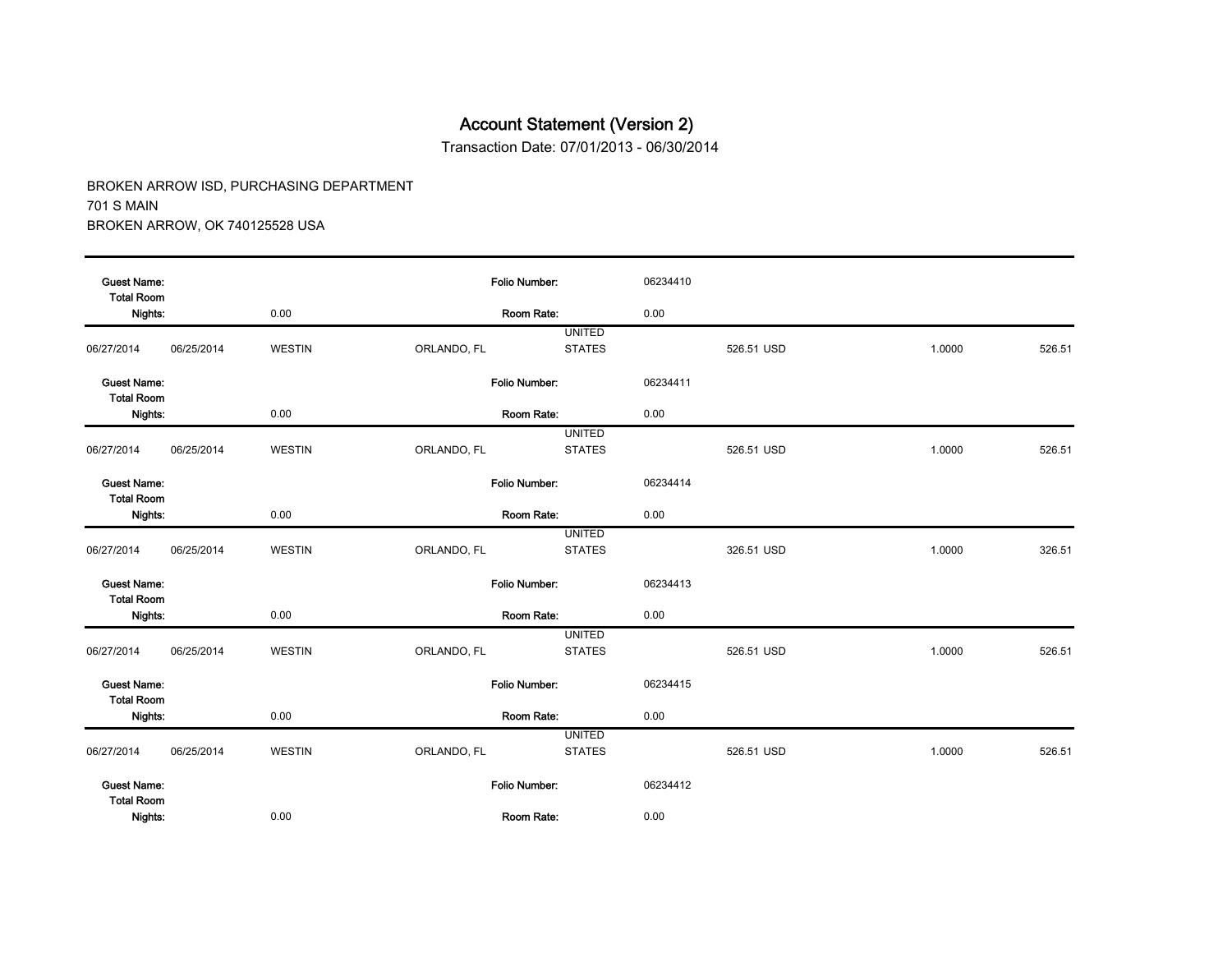Transaction Date: 07/01/2013 - 06/30/2014

| <b>Guest Name:</b><br><b>Total Room</b> |            |               | <b>Folio Number:</b> |               | 06234410 |            |        |        |
|-----------------------------------------|------------|---------------|----------------------|---------------|----------|------------|--------|--------|
| Nights:                                 |            | 0.00          |                      | Room Rate:    | 0.00     |            |        |        |
|                                         |            |               |                      | <b>UNITED</b> |          |            |        |        |
| 06/27/2014                              | 06/25/2014 | <b>WESTIN</b> | ORLANDO, FL          | <b>STATES</b> |          | 526.51 USD | 1.0000 | 526.51 |
| <b>Guest Name:</b><br><b>Total Room</b> |            |               | Folio Number:        |               | 06234411 |            |        |        |
| Nights:                                 |            | 0.00          |                      | Room Rate:    | 0.00     |            |        |        |
|                                         |            |               |                      | <b>UNITED</b> |          |            |        |        |
| 06/27/2014                              | 06/25/2014 | <b>WESTIN</b> | ORLANDO, FL          | <b>STATES</b> |          | 526.51 USD | 1.0000 | 526.51 |
| <b>Guest Name:</b><br><b>Total Room</b> |            |               | <b>Folio Number:</b> |               | 06234414 |            |        |        |
| Nights:                                 |            | 0.00          |                      | Room Rate:    | 0.00     |            |        |        |
|                                         |            |               |                      | <b>UNITED</b> |          |            |        |        |
| 06/27/2014                              | 06/25/2014 | <b>WESTIN</b> | ORLANDO, FL          | <b>STATES</b> |          | 326.51 USD | 1.0000 | 326.51 |
| <b>Guest Name:</b><br><b>Total Room</b> |            |               | Folio Number:        |               | 06234413 |            |        |        |
| Nights:                                 |            | 0.00          |                      | Room Rate:    | 0.00     |            |        |        |
|                                         |            |               |                      | <b>UNITED</b> |          |            |        |        |
| 06/27/2014                              | 06/25/2014 | <b>WESTIN</b> | ORLANDO, FL          | <b>STATES</b> |          | 526.51 USD | 1.0000 | 526.51 |
| <b>Guest Name:</b><br><b>Total Room</b> |            |               | Folio Number:        |               | 06234415 |            |        |        |
| Nights:                                 |            | 0.00          |                      | Room Rate:    | 0.00     |            |        |        |
|                                         |            |               |                      | <b>UNITED</b> |          |            |        |        |
| 06/27/2014                              | 06/25/2014 | <b>WESTIN</b> | ORLANDO, FL          | <b>STATES</b> |          | 526.51 USD | 1.0000 | 526.51 |
| <b>Guest Name:</b><br><b>Total Room</b> |            |               | Folio Number:        |               | 06234412 |            |        |        |
| Nights:                                 |            | 0.00          |                      | Room Rate:    | 0.00     |            |        |        |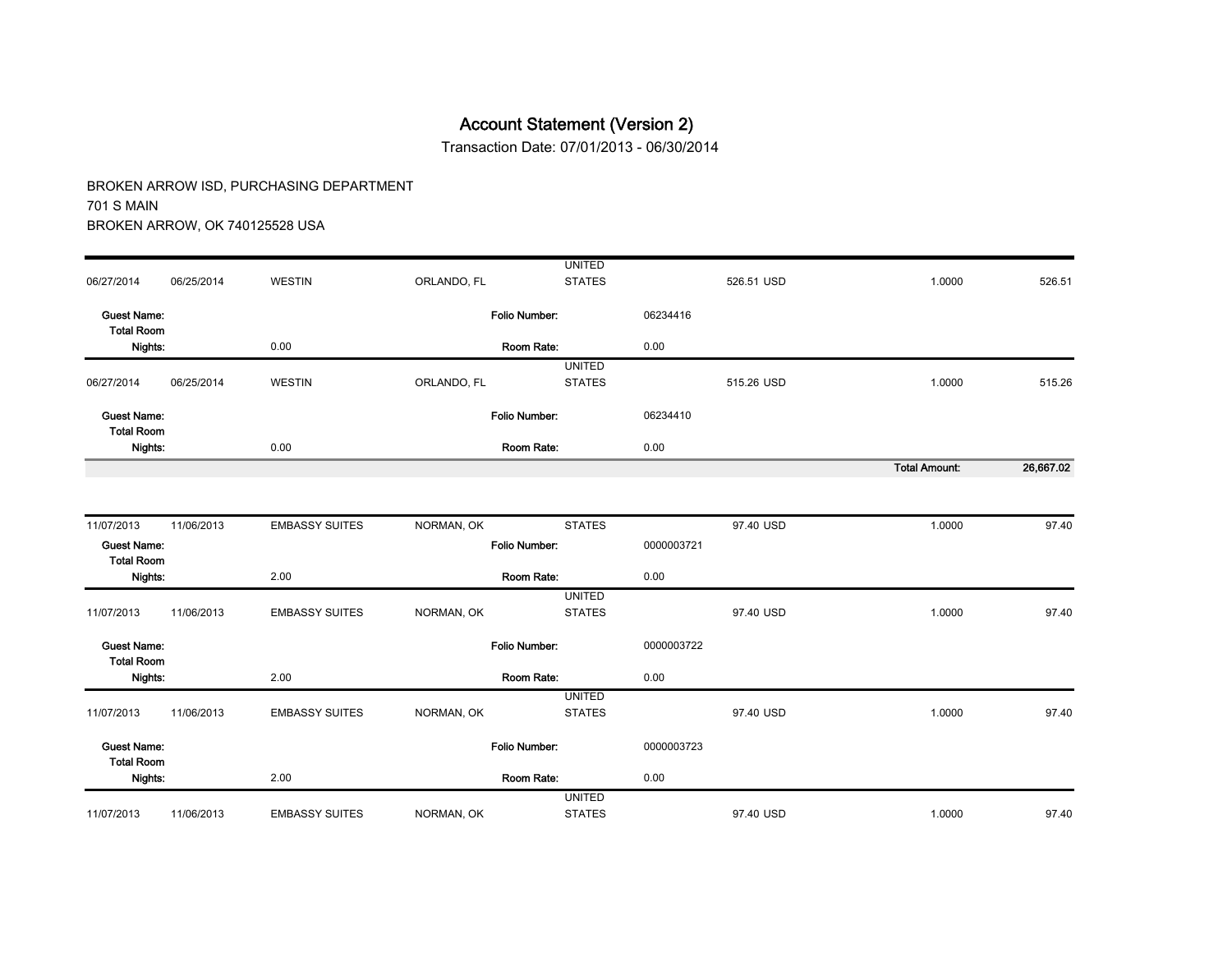Transaction Date: 07/01/2013 - 06/30/2014

|                                         |            |                       |                      | <b>UNITED</b> |            |            |                      |           |
|-----------------------------------------|------------|-----------------------|----------------------|---------------|------------|------------|----------------------|-----------|
| 06/27/2014                              | 06/25/2014 | <b>WESTIN</b>         | ORLANDO, FL          | <b>STATES</b> |            | 526.51 USD | 1.0000               | 526.51    |
| <b>Guest Name:</b><br><b>Total Room</b> |            |                       | <b>Folio Number:</b> |               | 06234416   |            |                      |           |
| Nights:                                 |            | 0.00                  |                      | Room Rate:    | 0.00       |            |                      |           |
|                                         |            |                       |                      | <b>UNITED</b> |            |            |                      |           |
| 06/27/2014                              | 06/25/2014 | <b>WESTIN</b>         | ORLANDO, FL          | <b>STATES</b> |            | 515.26 USD | 1.0000               | 515.26    |
| <b>Guest Name:</b><br><b>Total Room</b> |            |                       | <b>Folio Number:</b> |               | 06234410   |            |                      |           |
| Nights:                                 |            | 0.00                  |                      | Room Rate:    | 0.00       |            |                      |           |
|                                         |            |                       |                      |               |            |            | <b>Total Amount:</b> | 26,667.02 |
|                                         |            |                       |                      |               |            |            |                      |           |
| 11/07/2013                              | 11/06/2013 | <b>EMBASSY SUITES</b> | NORMAN, OK           | <b>STATES</b> |            | 97.40 USD  | 1.0000               | 97.40     |
| <b>Guest Name:</b><br><b>Total Room</b> |            |                       | <b>Folio Number:</b> |               | 0000003721 |            |                      |           |
| Nights:                                 |            | 2.00                  |                      | Room Rate:    | 0.00       |            |                      |           |
|                                         |            |                       |                      | <b>UNITED</b> |            |            |                      |           |
| 11/07/2013                              | 11/06/2013 | <b>EMBASSY SUITES</b> | NORMAN, OK           | <b>STATES</b> |            | 97.40 USD  | 1.0000               | 97.40     |
| <b>Guest Name:</b><br><b>Total Room</b> |            |                       | <b>Folio Number:</b> |               | 0000003722 |            |                      |           |
| Nights:                                 |            | 2.00                  |                      | Room Rate:    | 0.00       |            |                      |           |
|                                         |            |                       |                      | <b>UNITED</b> |            |            |                      |           |
| 11/07/2013                              | 11/06/2013 | <b>EMBASSY SUITES</b> | NORMAN, OK           | <b>STATES</b> |            | 97.40 USD  | 1.0000               | 97.40     |
| <b>Guest Name:</b><br><b>Total Room</b> |            |                       | <b>Folio Number:</b> |               | 0000003723 |            |                      |           |
| Nights:                                 |            | 2.00                  |                      | Room Rate:    | 0.00       |            |                      |           |
|                                         |            |                       |                      | <b>UNITED</b> |            |            |                      |           |
| 11/07/2013                              | 11/06/2013 | <b>EMBASSY SUITES</b> | NORMAN, OK           | <b>STATES</b> |            | 97.40 USD  | 1.0000               | 97.40     |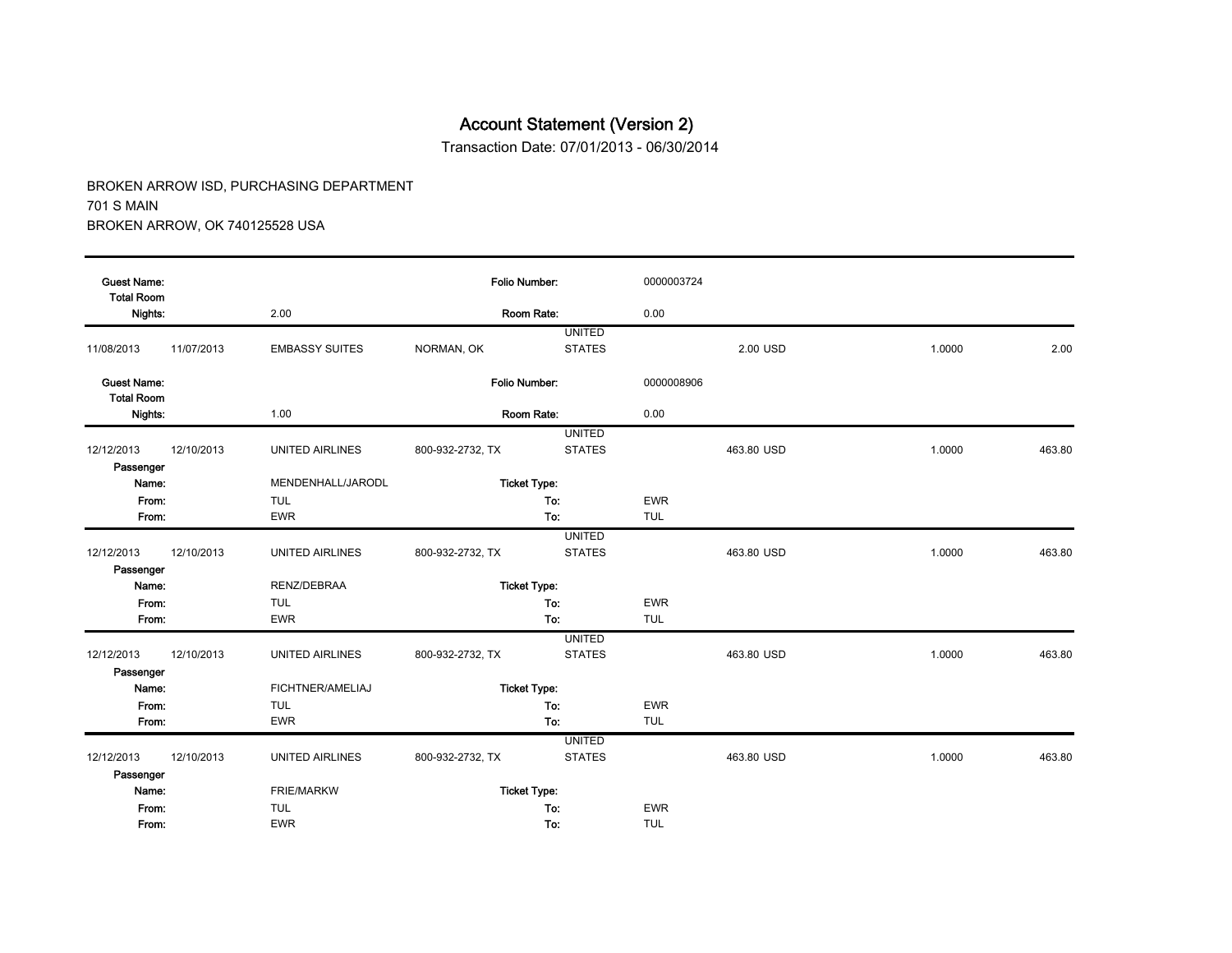Transaction Date: 07/01/2013 - 06/30/2014

| <b>Guest Name:</b><br><b>Total Room</b> |            |                        |                  | <b>Folio Number:</b>           | 0000003724 |            |        |        |  |  |
|-----------------------------------------|------------|------------------------|------------------|--------------------------------|------------|------------|--------|--------|--|--|
| Nights:                                 |            | 2.00                   |                  | Room Rate:                     | 0.00       |            |        |        |  |  |
| 11/08/2013                              | 11/07/2013 | <b>EMBASSY SUITES</b>  | NORMAN, OK       | <b>UNITED</b><br><b>STATES</b> |            | 2.00 USD   | 1.0000 | 2.00   |  |  |
| <b>Guest Name:</b><br><b>Total Room</b> |            |                        |                  | Folio Number:                  | 0000008906 |            |        |        |  |  |
| Nights:                                 |            | 1.00                   |                  | Room Rate:                     | 0.00       |            |        |        |  |  |
|                                         |            |                        |                  | <b>UNITED</b>                  |            |            |        |        |  |  |
| 12/12/2013                              | 12/10/2013 | <b>UNITED AIRLINES</b> | 800-932-2732, TX | <b>STATES</b>                  |            | 463.80 USD | 1.0000 | 463.80 |  |  |
| Passenger                               |            |                        |                  |                                |            |            |        |        |  |  |
| Name:                                   |            | MENDENHALL/JARODL      |                  | <b>Ticket Type:</b>            |            |            |        |        |  |  |
| From:                                   |            | <b>TUL</b>             |                  | To:                            | <b>EWR</b> |            |        |        |  |  |
| From:                                   |            | <b>EWR</b>             |                  | To:                            | <b>TUL</b> |            |        |        |  |  |
|                                         |            |                        |                  | <b>UNITED</b>                  |            |            |        |        |  |  |
| 12/12/2013                              | 12/10/2013 | <b>UNITED AIRLINES</b> | 800-932-2732, TX | <b>STATES</b>                  |            | 463.80 USD | 1.0000 | 463.80 |  |  |
| Passenger                               |            |                        |                  |                                |            |            |        |        |  |  |
| Name:                                   |            | RENZ/DEBRAA            |                  | <b>Ticket Type:</b>            |            |            |        |        |  |  |
| From:                                   |            | <b>TUL</b>             |                  | To:                            | <b>EWR</b> |            |        |        |  |  |
| From:                                   |            | <b>EWR</b>             |                  | To:                            | <b>TUL</b> |            |        |        |  |  |
|                                         |            |                        |                  | <b>UNITED</b>                  |            |            |        |        |  |  |
| 12/12/2013                              | 12/10/2013 | <b>UNITED AIRLINES</b> | 800-932-2732, TX | <b>STATES</b>                  |            | 463.80 USD | 1.0000 | 463.80 |  |  |
| Passenger                               |            |                        |                  |                                |            |            |        |        |  |  |
| Name:                                   |            | FICHTNER/AMELIAJ       |                  | <b>Ticket Type:</b>            |            |            |        |        |  |  |
| From:                                   |            | <b>TUL</b>             |                  | To:                            | <b>EWR</b> |            |        |        |  |  |
| From:                                   |            | <b>EWR</b>             |                  | To:                            | <b>TUL</b> |            |        |        |  |  |
|                                         |            |                        |                  | <b>UNITED</b>                  |            |            |        |        |  |  |
| 12/12/2013                              | 12/10/2013 | UNITED AIRLINES        | 800-932-2732, TX | <b>STATES</b>                  |            | 463.80 USD | 1.0000 | 463.80 |  |  |
| Passenger                               |            |                        |                  |                                |            |            |        |        |  |  |
| Name:                                   |            | <b>FRIE/MARKW</b>      |                  | <b>Ticket Type:</b>            |            |            |        |        |  |  |
| From:                                   |            | <b>TUL</b>             |                  | To:                            | <b>EWR</b> |            |        |        |  |  |
| From:                                   |            | <b>EWR</b>             |                  | To:                            | <b>TUL</b> |            |        |        |  |  |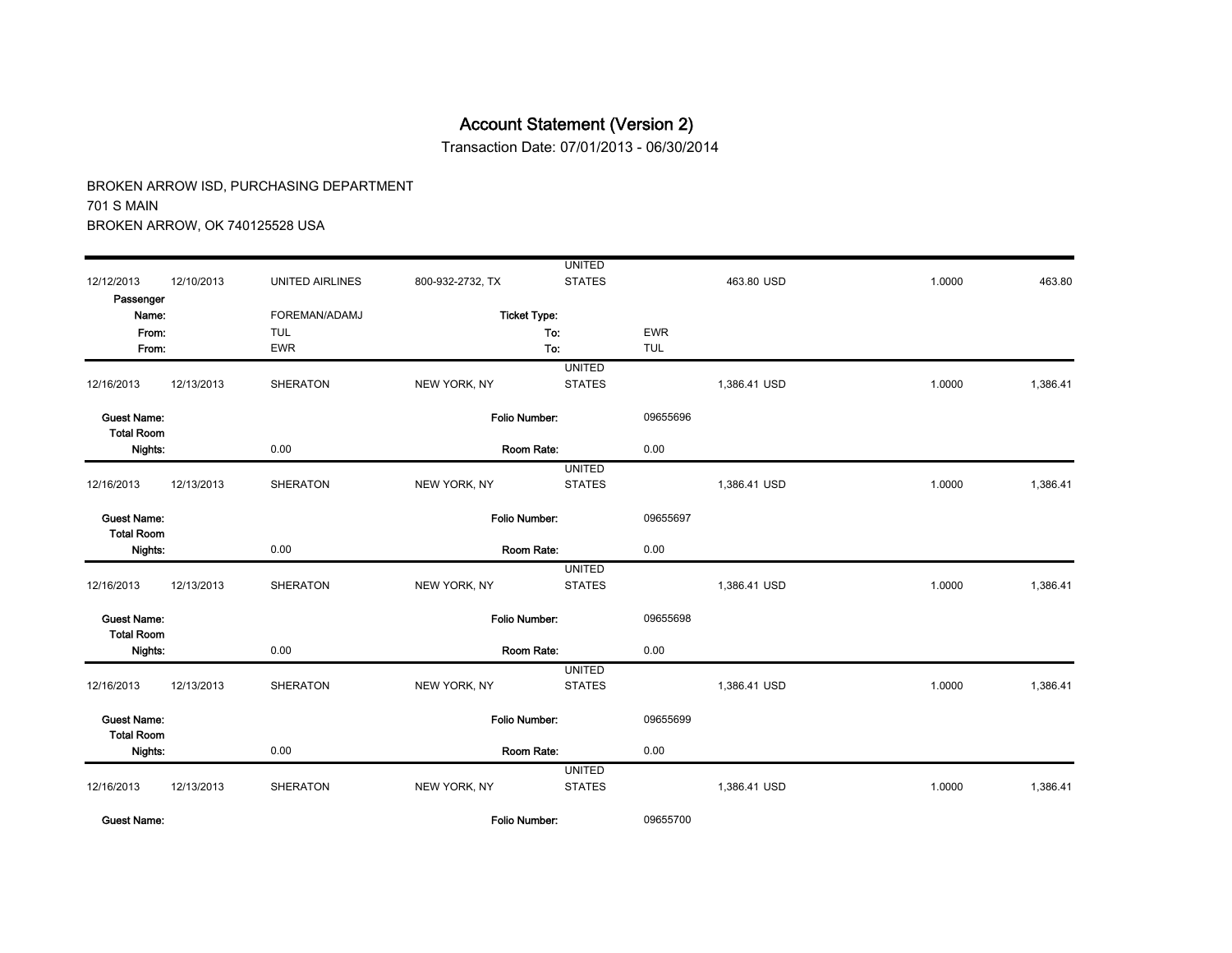Transaction Date: 07/01/2013 - 06/30/2014

|                                         |            |                        |                      | <b>UNITED</b> |            |              |        |          |
|-----------------------------------------|------------|------------------------|----------------------|---------------|------------|--------------|--------|----------|
| 12/12/2013                              | 12/10/2013 | <b>UNITED AIRLINES</b> | 800-932-2732, TX     | <b>STATES</b> |            | 463.80 USD   | 1.0000 | 463.80   |
| Passenger                               |            |                        |                      |               |            |              |        |          |
| Name:                                   |            | FOREMAN/ADAMJ          | <b>Ticket Type:</b>  |               |            |              |        |          |
| From:                                   |            | <b>TUL</b>             |                      | To:           | <b>EWR</b> |              |        |          |
| From:                                   |            | <b>EWR</b>             |                      | To:           | <b>TUL</b> |              |        |          |
|                                         |            |                        |                      | <b>UNITED</b> |            |              |        |          |
| 12/16/2013                              | 12/13/2013 | <b>SHERATON</b>        | NEW YORK, NY         | <b>STATES</b> |            | 1,386.41 USD | 1.0000 | 1,386.41 |
| <b>Guest Name:</b>                      |            |                        | Folio Number:        |               | 09655696   |              |        |          |
| <b>Total Room</b><br>Nights:            |            | 0.00                   | Room Rate:           |               | 0.00       |              |        |          |
|                                         |            |                        |                      | <b>UNITED</b> |            |              |        |          |
| 12/16/2013                              | 12/13/2013 | <b>SHERATON</b>        | NEW YORK, NY         | <b>STATES</b> |            | 1,386.41 USD | 1.0000 | 1,386.41 |
| <b>Guest Name:</b><br><b>Total Room</b> |            |                        | Folio Number:        |               | 09655697   |              |        |          |
| Nights:                                 |            | 0.00                   | Room Rate:           |               | 0.00       |              |        |          |
|                                         |            |                        |                      | <b>UNITED</b> |            |              |        |          |
| 12/16/2013                              | 12/13/2013 | <b>SHERATON</b>        | NEW YORK, NY         | <b>STATES</b> |            | 1,386.41 USD | 1.0000 | 1,386.41 |
| <b>Guest Name:</b><br><b>Total Room</b> |            |                        | Folio Number:        |               | 09655698   |              |        |          |
| Nights:                                 |            | 0.00                   | Room Rate:           |               | 0.00       |              |        |          |
|                                         |            |                        |                      | <b>UNITED</b> |            |              |        |          |
| 12/16/2013                              | 12/13/2013 | <b>SHERATON</b>        | NEW YORK, NY         | <b>STATES</b> |            | 1,386.41 USD | 1.0000 | 1,386.41 |
| <b>Guest Name:</b><br><b>Total Room</b> |            |                        | <b>Folio Number:</b> |               | 09655699   |              |        |          |
| Nights:                                 |            | 0.00                   | Room Rate:           |               | 0.00       |              |        |          |
|                                         |            |                        |                      | <b>UNITED</b> |            |              |        |          |
| 12/16/2013                              | 12/13/2013 | <b>SHERATON</b>        | NEW YORK, NY         | <b>STATES</b> |            | 1,386.41 USD | 1.0000 | 1,386.41 |
| <b>Guest Name:</b>                      |            |                        | Folio Number:        |               | 09655700   |              |        |          |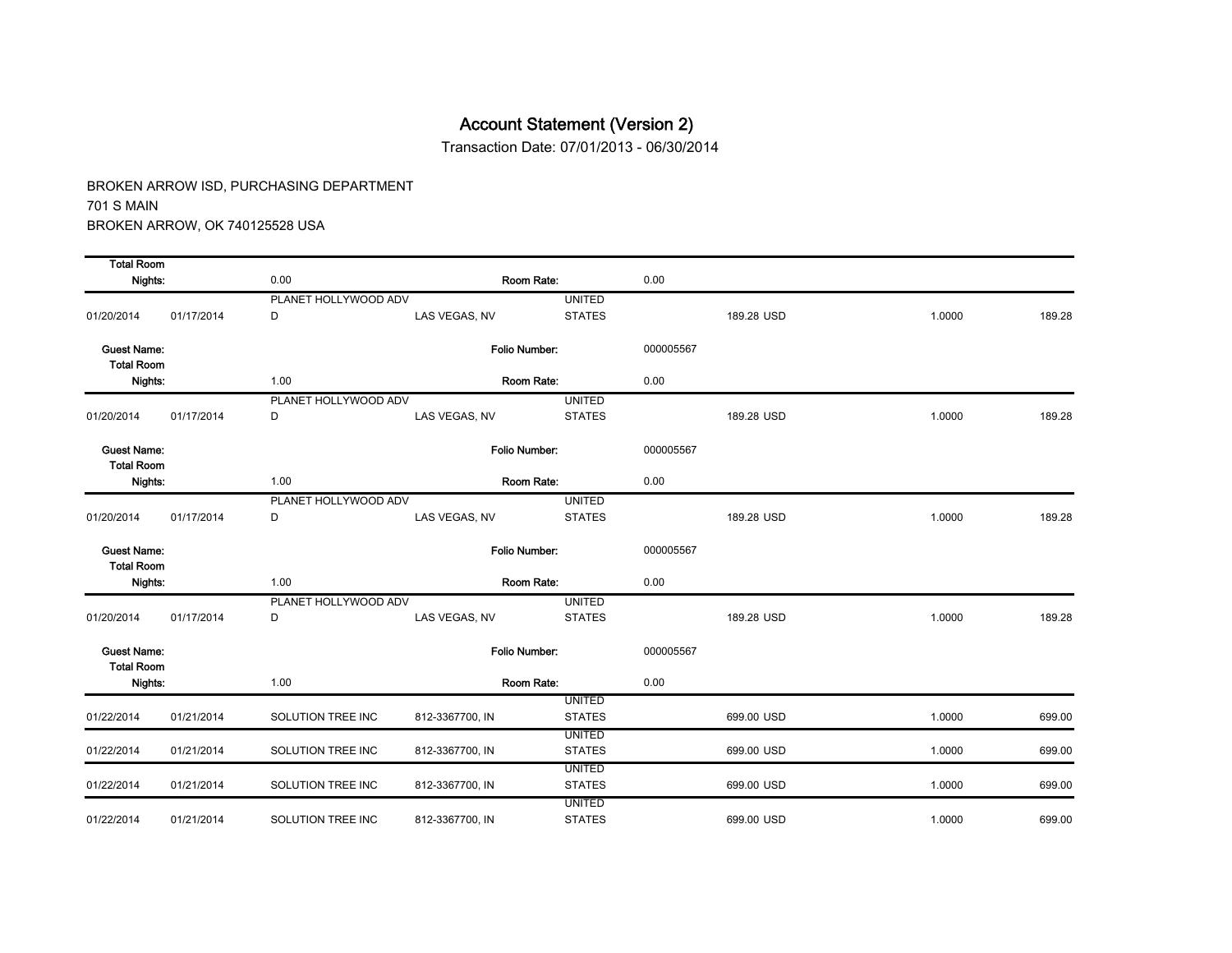Transaction Date: 07/01/2013 - 06/30/2014

| <b>Total Room</b>                       |            |                      |                      |                                |           |            |        |        |
|-----------------------------------------|------------|----------------------|----------------------|--------------------------------|-----------|------------|--------|--------|
| Nights:                                 |            | 0.00                 | Room Rate:           |                                | 0.00      |            |        |        |
|                                         |            | PLANET HOLLYWOOD ADV |                      | <b>UNITED</b>                  |           |            |        |        |
| 01/20/2014                              | 01/17/2014 | D                    | LAS VEGAS, NV        | <b>STATES</b>                  |           | 189.28 USD | 1.0000 | 189.28 |
| <b>Guest Name:</b><br><b>Total Room</b> |            |                      | Folio Number:        |                                | 000005567 |            |        |        |
| Nights:                                 |            | 1.00                 | Room Rate:           |                                | 0.00      |            |        |        |
|                                         |            | PLANET HOLLYWOOD ADV |                      | <b>UNITED</b>                  |           |            |        |        |
| 01/20/2014                              | 01/17/2014 | D                    | LAS VEGAS, NV        | <b>STATES</b>                  |           | 189.28 USD | 1.0000 | 189.28 |
| <b>Guest Name:</b><br><b>Total Room</b> |            |                      | <b>Folio Number:</b> |                                | 000005567 |            |        |        |
| Nights:                                 |            | 1.00                 | Room Rate:           |                                | 0.00      |            |        |        |
|                                         |            | PLANET HOLLYWOOD ADV |                      | <b>UNITED</b>                  |           |            |        |        |
| 01/20/2014                              | 01/17/2014 | D                    | LAS VEGAS, NV        | <b>STATES</b>                  |           | 189.28 USD | 1.0000 | 189.28 |
| <b>Guest Name:</b><br><b>Total Room</b> |            |                      | Folio Number:        |                                | 000005567 |            |        |        |
| Nights:                                 |            | 1.00                 | Room Rate:           |                                | 0.00      |            |        |        |
|                                         |            | PLANET HOLLYWOOD ADV |                      | <b>UNITED</b>                  |           |            |        |        |
| 01/20/2014                              | 01/17/2014 | D                    | LAS VEGAS, NV        | <b>STATES</b>                  |           | 189.28 USD | 1.0000 | 189.28 |
| <b>Guest Name:</b><br><b>Total Room</b> |            |                      | Folio Number:        |                                | 000005567 |            |        |        |
| Nights:                                 |            | 1.00                 | Room Rate:           |                                | 0.00      |            |        |        |
|                                         |            |                      |                      | <b>UNITED</b>                  |           |            |        |        |
| 01/22/2014                              | 01/21/2014 | SOLUTION TREE INC    | 812-3367700, IN      | <b>STATES</b>                  |           | 699.00 USD | 1.0000 | 699.00 |
| 01/22/2014                              | 01/21/2014 | SOLUTION TREE INC    | 812-3367700, IN      | <b>UNITED</b><br><b>STATES</b> |           | 699.00 USD | 1.0000 | 699.00 |
|                                         |            |                      |                      | <b>UNITED</b>                  |           |            |        |        |
| 01/22/2014                              | 01/21/2014 | SOLUTION TREE INC    | 812-3367700, IN      | <b>STATES</b>                  |           | 699.00 USD | 1.0000 | 699.00 |
|                                         |            |                      |                      | <b>UNITED</b>                  |           |            |        |        |
| 01/22/2014                              | 01/21/2014 | SOLUTION TREE INC    | 812-3367700, IN      | <b>STATES</b>                  |           | 699.00 USD | 1.0000 | 699.00 |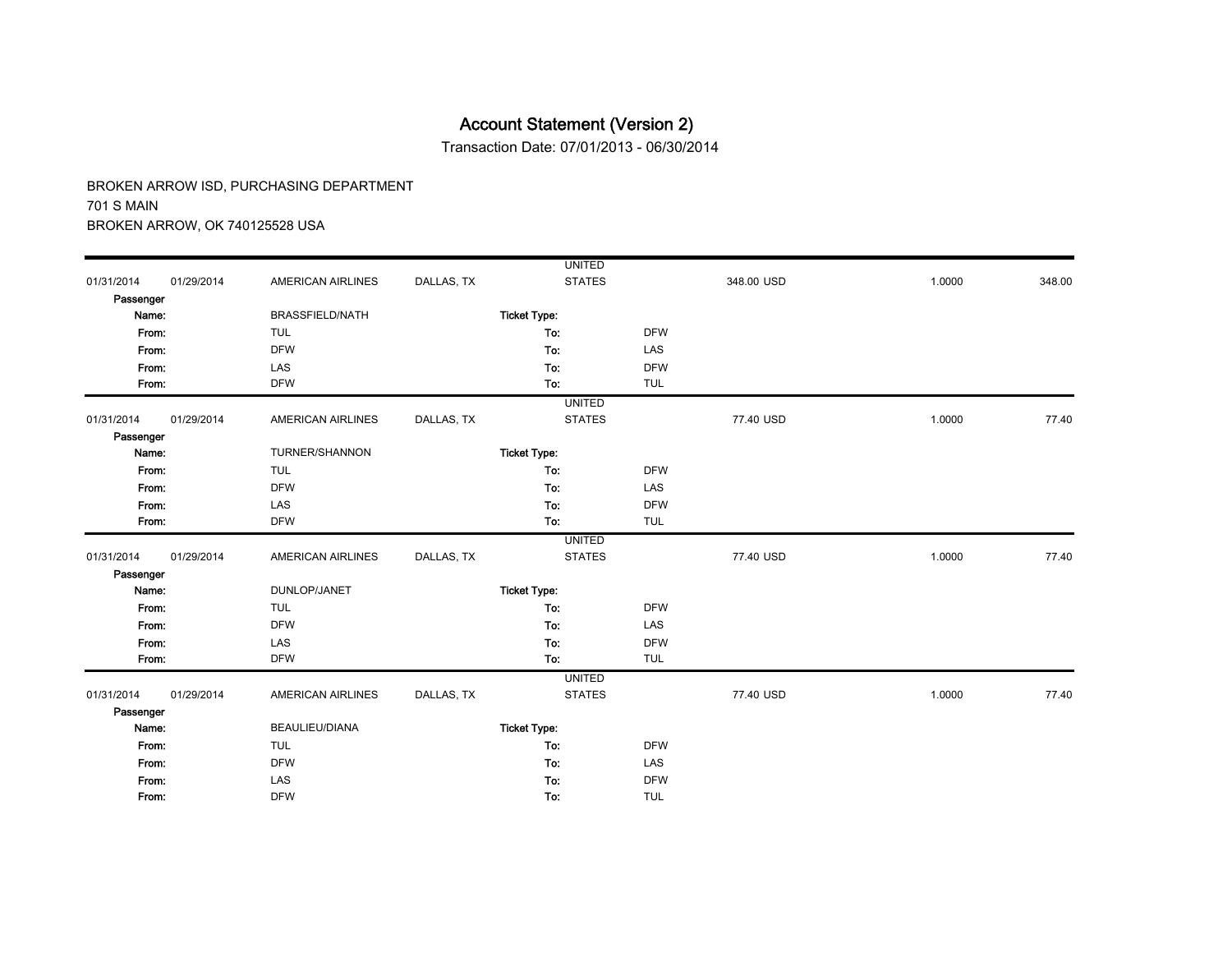Transaction Date: 07/01/2013 - 06/30/2014

|            |            |                          |            | <b>UNITED</b>       |            |            |        |        |
|------------|------------|--------------------------|------------|---------------------|------------|------------|--------|--------|
| 01/31/2014 | 01/29/2014 | <b>AMERICAN AIRLINES</b> | DALLAS, TX | <b>STATES</b>       |            | 348.00 USD | 1.0000 | 348.00 |
| Passenger  |            |                          |            |                     |            |            |        |        |
| Name:      |            | <b>BRASSFIELD/NATH</b>   |            | <b>Ticket Type:</b> |            |            |        |        |
| From:      |            | <b>TUL</b>               |            | To:                 | <b>DFW</b> |            |        |        |
| From:      |            | <b>DFW</b>               |            | To:                 | LAS        |            |        |        |
| From:      |            | LAS                      |            | To:                 | <b>DFW</b> |            |        |        |
| From:      |            | <b>DFW</b>               |            | To:                 | <b>TUL</b> |            |        |        |
|            |            |                          |            | <b>UNITED</b>       |            |            |        |        |
| 01/31/2014 | 01/29/2014 | <b>AMERICAN AIRLINES</b> | DALLAS, TX | <b>STATES</b>       |            | 77.40 USD  | 1.0000 | 77.40  |
| Passenger  |            |                          |            |                     |            |            |        |        |
| Name:      |            | TURNER/SHANNON           |            | <b>Ticket Type:</b> |            |            |        |        |
| From:      |            | <b>TUL</b>               |            | To:                 | <b>DFW</b> |            |        |        |
| From:      |            | <b>DFW</b>               |            | To:                 | LAS        |            |        |        |
| From:      |            | LAS                      |            | To:                 | <b>DFW</b> |            |        |        |
| From:      |            | <b>DFW</b>               |            | To:                 | <b>TUL</b> |            |        |        |
|            |            |                          |            | <b>UNITED</b>       |            |            |        |        |
| 01/31/2014 | 01/29/2014 | <b>AMERICAN AIRLINES</b> | DALLAS, TX | <b>STATES</b>       |            | 77.40 USD  | 1.0000 | 77.40  |
| Passenger  |            |                          |            |                     |            |            |        |        |
| Name:      |            | DUNLOP/JANET             |            | <b>Ticket Type:</b> |            |            |        |        |
| From:      |            | <b>TUL</b>               |            | To:                 | <b>DFW</b> |            |        |        |
| From:      |            | <b>DFW</b>               |            | To:                 | LAS        |            |        |        |
| From:      |            | LAS                      |            | To:                 | <b>DFW</b> |            |        |        |
| From:      |            | <b>DFW</b>               |            | To:                 | <b>TUL</b> |            |        |        |
|            |            |                          |            | <b>UNITED</b>       |            |            |        |        |
| 01/31/2014 | 01/29/2014 | <b>AMERICAN AIRLINES</b> | DALLAS, TX | <b>STATES</b>       |            | 77.40 USD  | 1.0000 | 77.40  |
| Passenger  |            |                          |            |                     |            |            |        |        |
| Name:      |            | BEAULIEU/DIANA           |            | <b>Ticket Type:</b> |            |            |        |        |
| From:      |            | <b>TUL</b>               |            | To:                 | <b>DFW</b> |            |        |        |
| From:      |            | <b>DFW</b>               |            | To:                 | LAS        |            |        |        |
| From:      |            | LAS                      |            | To:                 | <b>DFW</b> |            |        |        |
| From:      |            | <b>DFW</b>               |            | To:                 | <b>TUL</b> |            |        |        |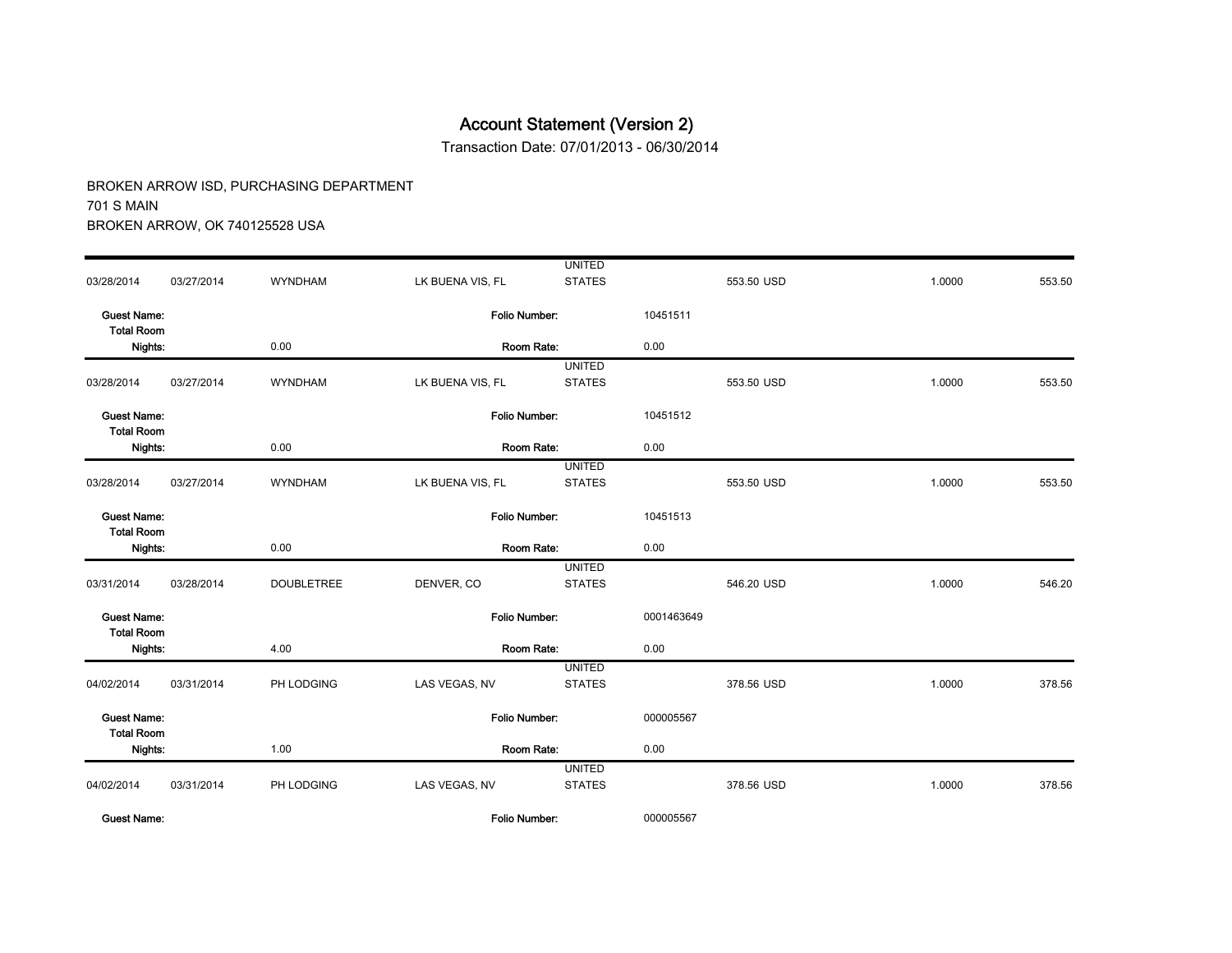Transaction Date: 07/01/2013 - 06/30/2014

|                                         |            |                   |                      | <b>UNITED</b>                  |            |            |        |        |
|-----------------------------------------|------------|-------------------|----------------------|--------------------------------|------------|------------|--------|--------|
| 03/28/2014                              | 03/27/2014 | <b>WYNDHAM</b>    | LK BUENA VIS, FL     | <b>STATES</b>                  |            | 553.50 USD | 1.0000 | 553.50 |
| <b>Guest Name:</b><br><b>Total Room</b> |            |                   | <b>Folio Number:</b> |                                | 10451511   |            |        |        |
| Nights:                                 |            | 0.00              | Room Rate:           |                                | 0.00       |            |        |        |
| 03/28/2014                              | 03/27/2014 | <b>WYNDHAM</b>    | LK BUENA VIS, FL     | <b>UNITED</b><br><b>STATES</b> |            | 553.50 USD | 1.0000 | 553.50 |
| <b>Guest Name:</b><br><b>Total Room</b> |            |                   | Folio Number.        |                                | 10451512   |            |        |        |
| Nights:                                 |            | 0.00              | Room Rate:           |                                | 0.00       |            |        |        |
| 03/28/2014                              | 03/27/2014 | <b>WYNDHAM</b>    | LK BUENA VIS, FL     | <b>UNITED</b><br><b>STATES</b> |            | 553.50 USD | 1.0000 | 553.50 |
| <b>Guest Name:</b><br><b>Total Room</b> |            |                   | <b>Folio Number:</b> |                                | 10451513   |            |        |        |
| Nights:                                 |            | 0.00              | Room Rate:           |                                | 0.00       |            |        |        |
| 03/31/2014                              | 03/28/2014 | <b>DOUBLETREE</b> | DENVER, CO           | <b>UNITED</b><br><b>STATES</b> |            | 546.20 USD | 1.0000 | 546.20 |
| <b>Guest Name:</b><br><b>Total Room</b> |            |                   | Folio Number:        |                                | 0001463649 |            |        |        |
| Nights:                                 |            | 4.00              | Room Rate:           |                                | 0.00       |            |        |        |
| 04/02/2014                              | 03/31/2014 | PH LODGING        | LAS VEGAS, NV        | <b>UNITED</b><br><b>STATES</b> |            | 378.56 USD | 1.0000 | 378.56 |
| <b>Guest Name:</b><br><b>Total Room</b> |            |                   | Folio Number:        |                                | 000005567  |            |        |        |
| Nights:                                 |            | 1.00              | Room Rate:           |                                | 0.00       |            |        |        |
| 04/02/2014                              | 03/31/2014 | PH LODGING        | LAS VEGAS, NV        | <b>UNITED</b><br><b>STATES</b> |            | 378.56 USD | 1.0000 | 378.56 |
| <b>Guest Name:</b>                      |            |                   | Folio Number:        |                                | 000005567  |            |        |        |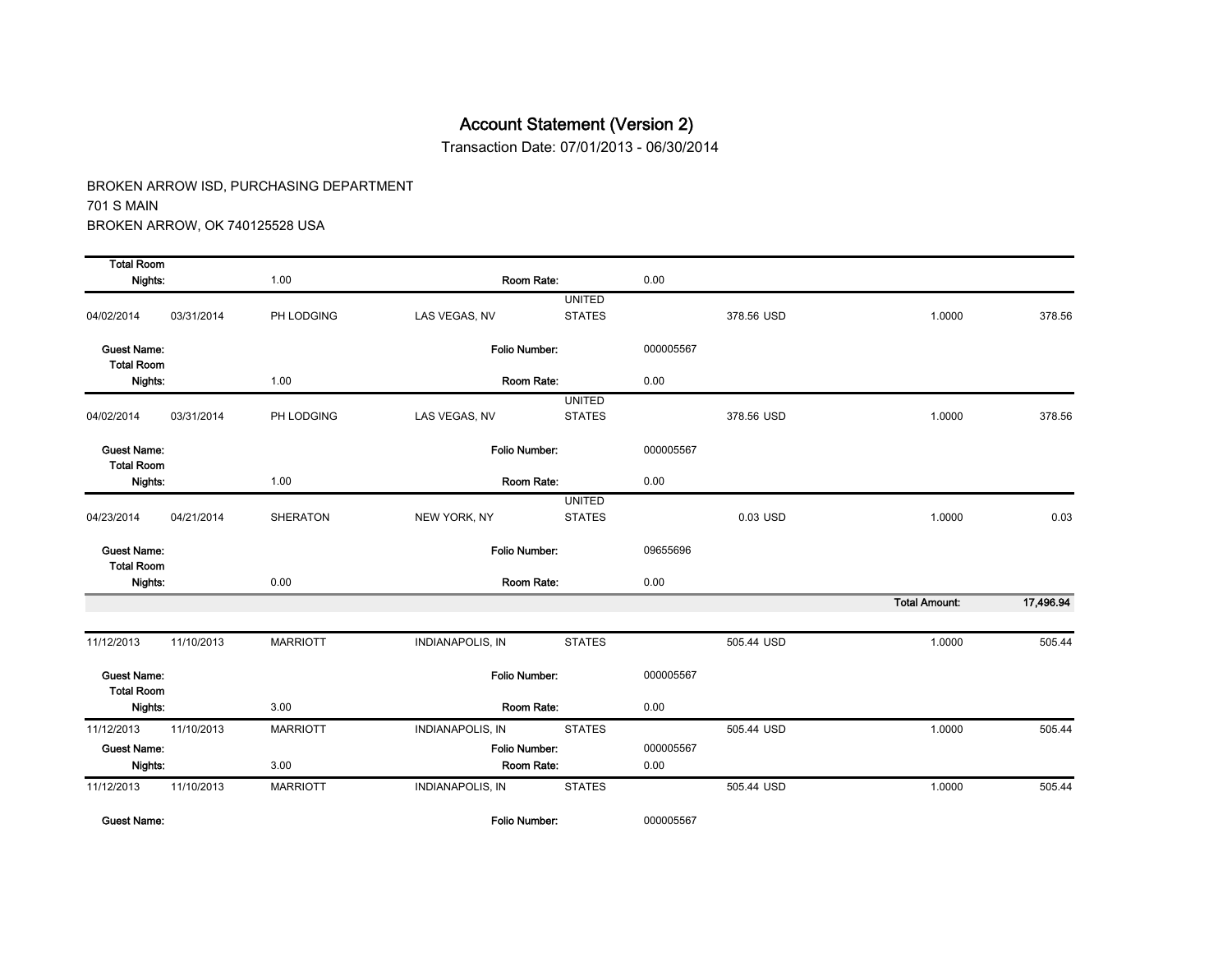Transaction Date: 07/01/2013 - 06/30/2014

BROKEN ARROW ISD, PURCHASING DEPARTMENT 701 S MAIN BROKEN ARROW, OK 740125528 USA

| <b>Total Room</b>                       |                 |                         |                                |                                                                                                                                                                          |            |                      |           |
|-----------------------------------------|-----------------|-------------------------|--------------------------------|--------------------------------------------------------------------------------------------------------------------------------------------------------------------------|------------|----------------------|-----------|
| Nights:                                 | 1.00            |                         |                                | 0.00                                                                                                                                                                     |            |                      |           |
| 03/31/2014                              | PH LODGING      | LAS VEGAS, NV           | <b>UNITED</b><br><b>STATES</b> |                                                                                                                                                                          | 378.56 USD | 1.0000               | 378.56    |
| <b>Guest Name:</b><br><b>Total Room</b> |                 |                         |                                | 000005567                                                                                                                                                                |            |                      |           |
| Nights:                                 | 1.00            |                         |                                | 0.00                                                                                                                                                                     |            |                      |           |
|                                         |                 |                         | <b>UNITED</b>                  |                                                                                                                                                                          |            |                      |           |
| 03/31/2014                              | PH LODGING      | LAS VEGAS, NV           | <b>STATES</b>                  |                                                                                                                                                                          | 378.56 USD | 1.0000               | 378.56    |
| <b>Guest Name:</b><br><b>Total Room</b> |                 |                         |                                | 000005567                                                                                                                                                                |            |                      |           |
| Nights:                                 | 1.00            |                         | Room Rate:                     |                                                                                                                                                                          |            |                      |           |
|                                         |                 |                         | <b>UNITED</b>                  |                                                                                                                                                                          |            |                      |           |
|                                         |                 |                         |                                |                                                                                                                                                                          |            |                      | 0.03      |
| <b>Guest Name:</b><br><b>Total Room</b> |                 |                         |                                | 09655696                                                                                                                                                                 |            |                      |           |
| Nights:                                 | 0.00            |                         |                                | 0.00                                                                                                                                                                     |            |                      |           |
|                                         |                 |                         |                                |                                                                                                                                                                          |            | <b>Total Amount:</b> | 17,496.94 |
| 11/10/2013                              | <b>MARRIOTT</b> | <b>INDIANAPOLIS, IN</b> | <b>STATES</b>                  |                                                                                                                                                                          | 505.44 USD | 1.0000               | 505.44    |
| <b>Guest Name:</b><br><b>Total Room</b> |                 |                         |                                | 000005567                                                                                                                                                                |            |                      |           |
| Nights:                                 | 3.00            |                         |                                | 0.00                                                                                                                                                                     |            |                      |           |
| 11/10/2013                              | <b>MARRIOTT</b> | <b>INDIANAPOLIS, IN</b> | <b>STATES</b>                  |                                                                                                                                                                          | 505.44 USD | 1.0000               | 505.44    |
| <b>Guest Name:</b>                      |                 |                         |                                | 000005567                                                                                                                                                                |            |                      |           |
| Nights:                                 | 3.00            |                         |                                | 0.00                                                                                                                                                                     |            |                      |           |
| 11/10/2013                              | <b>MARRIOTT</b> | <b>INDIANAPOLIS, IN</b> | <b>STATES</b>                  |                                                                                                                                                                          | 505.44 USD | 1.0000               | 505.44    |
|                                         | 04/21/2014      | <b>SHERATON</b>         | NEW YORK, NY                   | Room Rate:<br>Folio Number:<br>Room Rate:<br>Folio Number:<br><b>STATES</b><br>Folio Number:<br>Room Rate:<br>Folio Number:<br>Room Rate:<br>Folio Number:<br>Room Rate: | 0.00       | 0.03 USD             | 1.0000    |

Guest Name: Folio Number: 000005567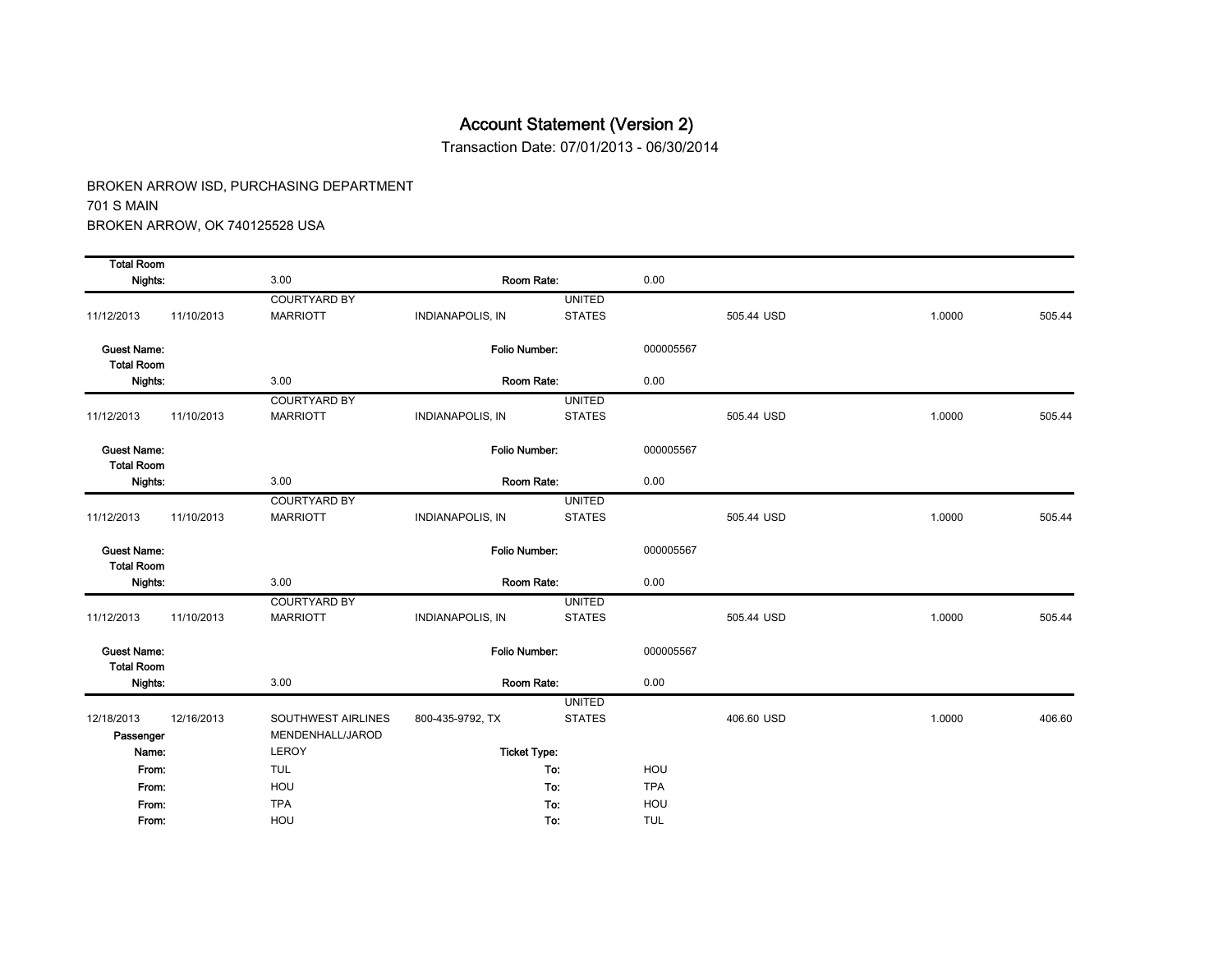Transaction Date: 07/01/2013 - 06/30/2014

| <b>Total Room</b>                       |            |                     |                         |               |            |            |        |        |
|-----------------------------------------|------------|---------------------|-------------------------|---------------|------------|------------|--------|--------|
| Nights:                                 |            | 3.00                | Room Rate:              |               | 0.00       |            |        |        |
|                                         |            | <b>COURTYARD BY</b> |                         | <b>UNITED</b> |            |            |        |        |
| 11/12/2013                              | 11/10/2013 | <b>MARRIOTT</b>     | <b>INDIANAPOLIS, IN</b> | <b>STATES</b> |            | 505.44 USD | 1.0000 | 505.44 |
| <b>Guest Name:</b><br><b>Total Room</b> |            |                     | Folio Number:           |               | 000005567  |            |        |        |
| Nights:                                 |            | 3.00                | Room Rate:              |               | 0.00       |            |        |        |
|                                         |            | <b>COURTYARD BY</b> |                         | <b>UNITED</b> |            |            |        |        |
| 11/12/2013                              | 11/10/2013 | <b>MARRIOTT</b>     | <b>INDIANAPOLIS, IN</b> | <b>STATES</b> |            | 505.44 USD | 1.0000 | 505.44 |
| <b>Guest Name:</b><br><b>Total Room</b> |            |                     | <b>Folio Number:</b>    |               | 000005567  |            |        |        |
| Nights:                                 |            | 3.00                | Room Rate:              |               | 0.00       |            |        |        |
|                                         |            | <b>COURTYARD BY</b> |                         | <b>UNITED</b> |            |            |        |        |
| 11/12/2013                              | 11/10/2013 | <b>MARRIOTT</b>     | <b>INDIANAPOLIS, IN</b> | <b>STATES</b> |            | 505.44 USD | 1.0000 | 505.44 |
| <b>Guest Name:</b><br><b>Total Room</b> |            |                     | <b>Folio Number:</b>    |               | 000005567  |            |        |        |
| Nights:                                 |            | 3.00                | Room Rate:              |               | 0.00       |            |        |        |
|                                         |            | <b>COURTYARD BY</b> |                         | <b>UNITED</b> |            |            |        |        |
| 11/12/2013                              | 11/10/2013 | <b>MARRIOTT</b>     | <b>INDIANAPOLIS, IN</b> | <b>STATES</b> |            | 505.44 USD | 1.0000 | 505.44 |
| <b>Guest Name:</b><br><b>Total Room</b> |            |                     | <b>Folio Number:</b>    |               | 000005567  |            |        |        |
| Nights:                                 |            | 3.00                | Room Rate:              |               | 0.00       |            |        |        |
|                                         |            |                     |                         | <b>UNITED</b> |            |            |        |        |
| 12/18/2013                              | 12/16/2013 | SOUTHWEST AIRLINES  | 800-435-9792, TX        | <b>STATES</b> |            | 406.60 USD | 1.0000 | 406.60 |
| Passenger                               |            | MENDENHALL/JAROD    |                         |               |            |            |        |        |
| Name:                                   |            | LEROY               | <b>Ticket Type:</b>     |               |            |            |        |        |
| From:                                   |            | <b>TUL</b>          |                         | To:           | HOU        |            |        |        |
| From:                                   |            | HOU                 |                         | To:           | <b>TPA</b> |            |        |        |
| From:                                   |            | <b>TPA</b>          |                         | To:           | HOU        |            |        |        |
| From:                                   |            | HOU                 |                         | To:           | <b>TUL</b> |            |        |        |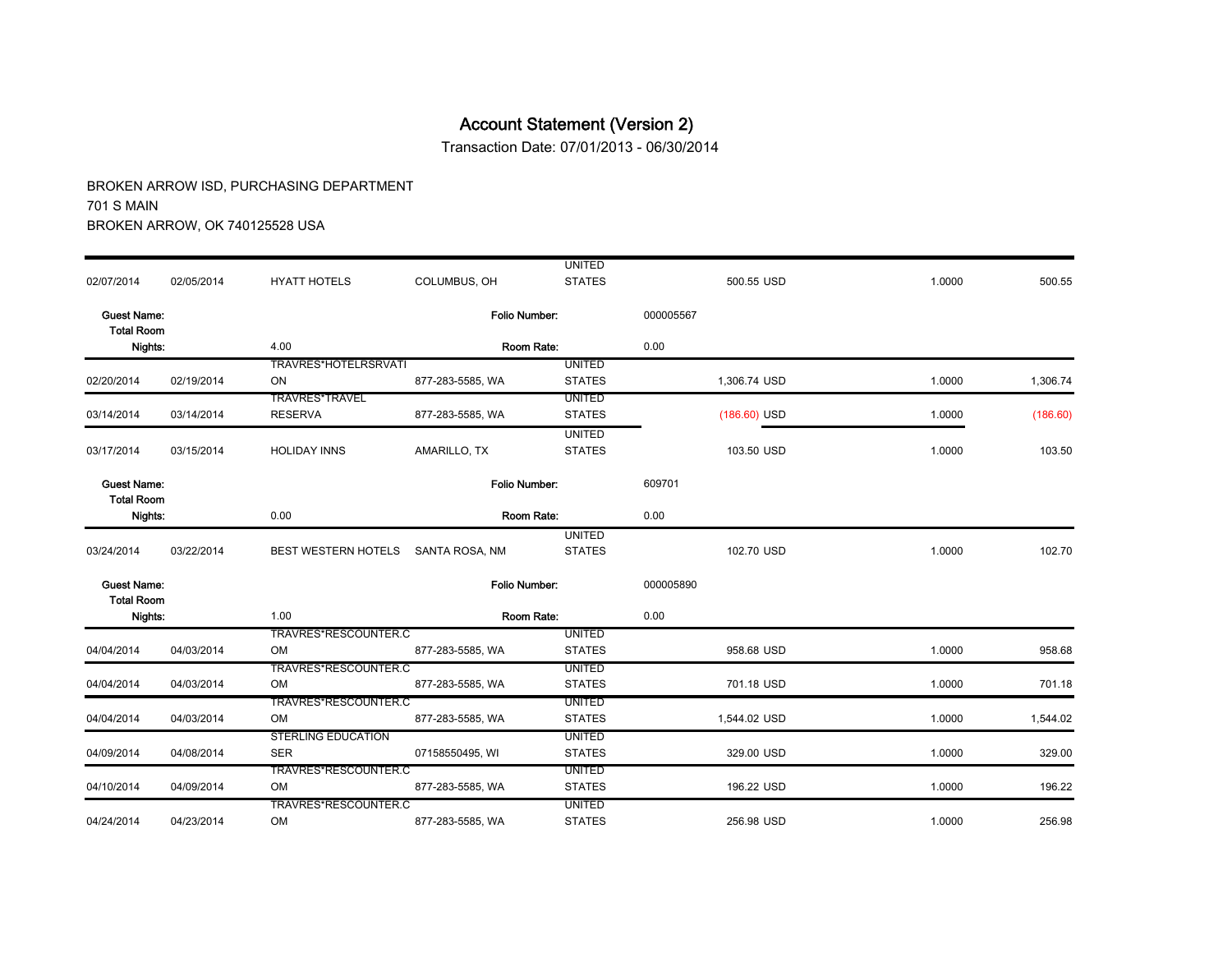Transaction Date: 07/01/2013 - 06/30/2014

|                                         |            |                            |                  | <b>UNITED</b> |                |        |          |
|-----------------------------------------|------------|----------------------------|------------------|---------------|----------------|--------|----------|
| 02/07/2014                              | 02/05/2014 | <b>HYATT HOTELS</b>        | COLUMBUS, OH     | <b>STATES</b> | 500.55 USD     | 1.0000 | 500.55   |
| <b>Guest Name:</b><br><b>Total Room</b> |            |                            | Folio Number:    |               | 000005567      |        |          |
| Nights:                                 |            | 4.00                       | Room Rate:       |               | 0.00           |        |          |
|                                         |            | TRAVRES*HOTELRSRVATI       |                  | <b>UNITED</b> |                |        |          |
| 02/20/2014                              | 02/19/2014 | ON                         | 877-283-5585, WA | <b>STATES</b> | 1,306.74 USD   | 1.0000 | 1,306.74 |
|                                         |            | <b>TRAVRES*TRAVEL</b>      |                  | <b>UNITED</b> |                |        |          |
| 03/14/2014                              | 03/14/2014 | <b>RESERVA</b>             | 877-283-5585, WA | <b>STATES</b> | $(186.60)$ USD | 1.0000 | (186.60) |
|                                         |            |                            |                  | <b>UNITED</b> |                |        |          |
| 03/17/2014                              | 03/15/2014 | <b>HOLIDAY INNS</b>        | AMARILLO, TX     | <b>STATES</b> | 103.50 USD     | 1.0000 | 103.50   |
| <b>Guest Name:</b>                      |            |                            | Folio Number:    |               | 609701         |        |          |
| <b>Total Room</b><br>Nights:            |            | 0.00                       | Room Rate:       |               | 0.00           |        |          |
|                                         |            |                            |                  | <b>UNITED</b> |                |        |          |
| 03/24/2014                              | 03/22/2014 | <b>BEST WESTERN HOTELS</b> | SANTA ROSA, NM   | <b>STATES</b> | 102.70 USD     | 1.0000 | 102.70   |
| <b>Guest Name:</b><br><b>Total Room</b> |            |                            | Folio Number:    |               | 000005890      |        |          |
| Nights:                                 |            | 1.00                       | Room Rate:       |               | 0.00           |        |          |
|                                         |            | TRAVRES*RESCOUNTER.C       |                  | <b>UNITED</b> |                |        |          |
| 04/04/2014                              | 04/03/2014 | <b>OM</b>                  | 877-283-5585. WA | <b>STATES</b> | 958.68 USD     | 1.0000 | 958.68   |
|                                         |            | TRAVRES*RESCOUNTER.C       |                  | <b>UNITED</b> |                |        |          |
| 04/04/2014                              | 04/03/2014 | OM                         | 877-283-5585, WA | <b>STATES</b> | 701.18 USD     | 1.0000 | 701.18   |
|                                         |            | TRAVRES*RESCOUNTER.C       |                  | <b>UNITED</b> |                |        |          |
| 04/04/2014                              | 04/03/2014 | <b>OM</b>                  | 877-283-5585. WA | <b>STATES</b> | 1,544.02 USD   | 1.0000 | 1,544.02 |
|                                         |            | <b>STERLING EDUCATION</b>  |                  | <b>UNITED</b> |                |        |          |
| 04/09/2014                              | 04/08/2014 | <b>SER</b>                 | 07158550495, WI  | <b>STATES</b> | 329.00 USD     | 1.0000 | 329.00   |
|                                         |            | TRAVRES*RESCOUNTER.C       |                  | <b>UNITED</b> |                |        |          |
| 04/10/2014                              | 04/09/2014 | OM                         | 877-283-5585, WA | <b>STATES</b> | 196.22 USD     | 1.0000 | 196.22   |
|                                         |            | TRAVRES*RESCOUNTER.C       |                  | <b>UNITED</b> |                |        |          |
| 04/24/2014                              | 04/23/2014 | OM                         | 877-283-5585, WA | <b>STATES</b> | 256.98 USD     | 1.0000 | 256.98   |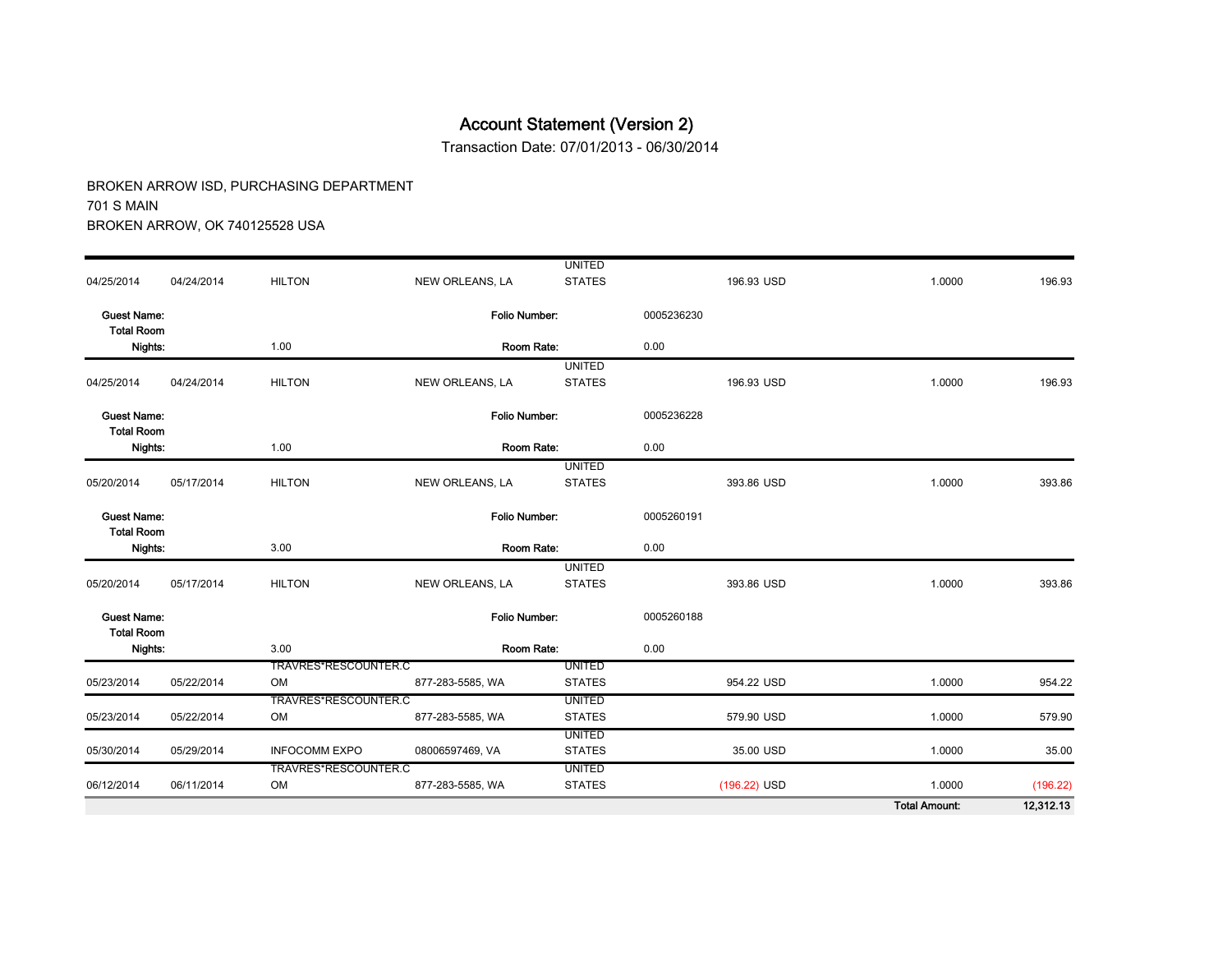Transaction Date: 07/01/2013 - 06/30/2014

|                                         |            |                            |                      |                                |            |              | <b>Total Amount:</b> | 12,312.13 |
|-----------------------------------------|------------|----------------------------|----------------------|--------------------------------|------------|--------------|----------------------|-----------|
| 06/12/2014                              | 06/11/2014 | TRAVRES*RESCOUNTER.C<br>OM | 877-283-5585, WA     | <b>UNITED</b><br><b>STATES</b> |            | (196.22) USD | 1.0000               | (196.22)  |
| 05/30/2014                              | 05/29/2014 | <b>INFOCOMM EXPO</b>       | 08006597469, VA      | <b>STATES</b>                  |            | 35.00 USD    | 1.0000               | 35.00     |
|                                         |            |                            |                      | <b>UNITED</b>                  |            |              |                      |           |
| 05/23/2014                              | 05/22/2014 | TRAVRES*RESCOUNTER.C<br>OM | 877-283-5585, WA     | <b>UNITED</b><br><b>STATES</b> |            | 579.90 USD   | 1.0000               | 579.90    |
| 05/23/2014                              | 05/22/2014 | OM                         | 877-283-5585, WA     | <b>STATES</b>                  |            | 954.22 USD   | 1.0000               | 954.22    |
|                                         |            | TRAVRES*RESCOUNTER.C       |                      | <b>UNITED</b>                  |            |              |                      |           |
| <b>Total Room</b><br>Nights:            |            | 3.00                       | Room Rate:           |                                | 0.00       |              |                      |           |
| <b>Guest Name:</b>                      |            |                            | <b>Folio Number:</b> |                                | 0005260188 |              |                      |           |
| 05/20/2014                              | 05/17/2014 | <b>HILTON</b>              | NEW ORLEANS, LA      | <b>UNITED</b><br><b>STATES</b> |            | 393.86 USD   | 1.0000               | 393.86    |
| Nights:                                 |            | 3.00                       | Room Rate:           |                                | 0.00       |              |                      |           |
| <b>Guest Name:</b><br><b>Total Room</b> |            |                            | <b>Folio Number:</b> |                                | 0005260191 |              |                      |           |
| 05/20/2014                              | 05/17/2014 | <b>HILTON</b>              | NEW ORLEANS, LA      | <b>UNITED</b><br><b>STATES</b> |            | 393.86 USD   | 1.0000               | 393.86    |
| Nights:                                 |            | 1.00                       | Room Rate:           |                                | 0.00       |              |                      |           |
| <b>Guest Name:</b><br><b>Total Room</b> |            |                            | Folio Number.        |                                | 0005236228 |              |                      |           |
| 04/25/2014                              | 04/24/2014 | <b>HILTON</b>              | NEW ORLEANS, LA      | <b>STATES</b>                  |            | 196.93 USD   | 1.0000               | 196.93    |
| Nights:                                 |            | 1.00                       | Room Rate:           | <b>UNITED</b>                  | 0.00       |              |                      |           |
| <b>Guest Name:</b><br><b>Total Room</b> |            |                            | <b>Folio Number:</b> |                                | 0005236230 |              |                      |           |
| 04/25/2014                              | 04/24/2014 | <b>HILTON</b>              | NEW ORLEANS, LA      | <b>STATES</b>                  |            | 196.93 USD   | 1.0000               | 196.93    |
|                                         |            |                            |                      | <b>UNITED</b>                  |            |              |                      |           |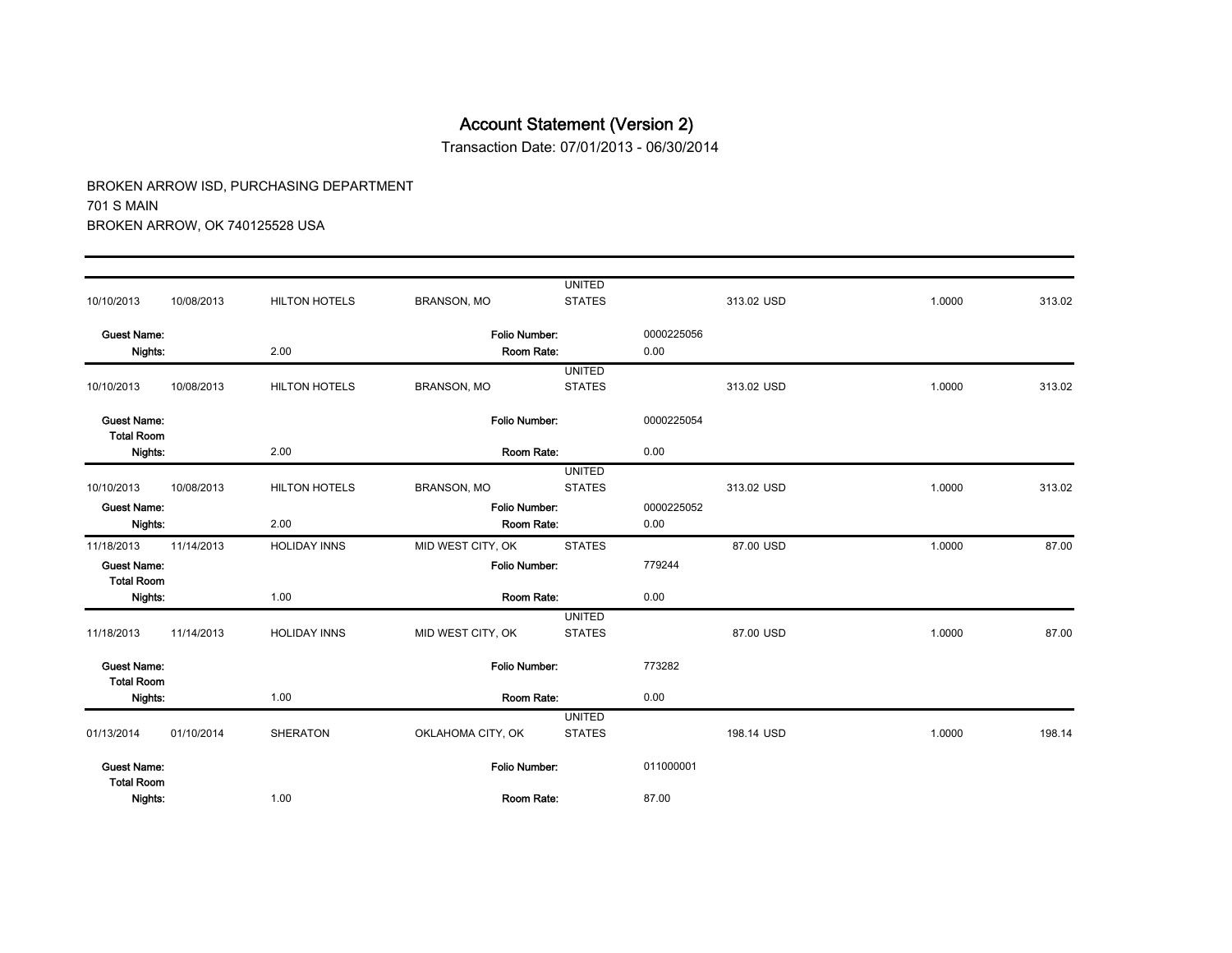Transaction Date: 07/01/2013 - 06/30/2014

| Nights:                                 |            | 1.00                 | Room Rate:                          |                                | 87.00              |            |        |        |  |
|-----------------------------------------|------------|----------------------|-------------------------------------|--------------------------------|--------------------|------------|--------|--------|--|
| <b>Guest Name:</b><br><b>Total Room</b> |            |                      | Folio Number:                       |                                | 011000001          |            |        |        |  |
| 01/13/2014                              | 01/10/2014 | <b>SHERATON</b>      | OKLAHOMA CITY, OK                   | <b>UNITED</b><br><b>STATES</b> |                    | 198.14 USD | 1.0000 | 198.14 |  |
| Nights:                                 |            | 1.00                 | Room Rate:                          |                                | 0.00               |            |        |        |  |
| <b>Guest Name:</b><br><b>Total Room</b> |            |                      | Folio Number:                       |                                | 773282             |            |        |        |  |
| 11/18/2013                              | 11/14/2013 | <b>HOLIDAY INNS</b>  | MID WEST CITY, OK                   | <b>UNITED</b><br><b>STATES</b> |                    | 87.00 USD  | 1.0000 | 87.00  |  |
| <b>Total Room</b><br>Nights:            |            | 1.00                 | Room Rate:                          |                                | 0.00               |            |        |        |  |
| 11/18/2013<br><b>Guest Name:</b>        | 11/14/2013 | <b>HOLIDAY INNS</b>  | MID WEST CITY, OK<br>Folio Number:  | <b>STATES</b>                  | 779244             | 87.00 USD  | 1.0000 | 87.00  |  |
| Nights:                                 |            | 2.00                 | Room Rate:                          |                                | 0.00               |            |        |        |  |
| 10/10/2013<br><b>Guest Name:</b>        | 10/08/2013 | <b>HILTON HOTELS</b> | <b>BRANSON, MO</b><br>Folio Number: | <b>STATES</b>                  | 0000225052         | 313.02 USD | 1.0000 | 313.02 |  |
|                                         |            |                      |                                     | <b>UNITED</b>                  |                    |            |        |        |  |
| <b>Total Room</b><br>Nights:            |            | 2.00<br>Room Rate:   |                                     |                                | 0.00               |            |        |        |  |
| <b>Guest Name:</b>                      |            |                      | Folio Number:                       |                                | 0000225054         |            |        |        |  |
| 10/10/2013                              | 10/08/2013 | <b>HILTON HOTELS</b> | <b>BRANSON, MO</b>                  | <b>UNITED</b><br><b>STATES</b> |                    | 313.02 USD | 1.0000 | 313.02 |  |
| <b>Guest Name:</b><br>Nights:           |            | 2.00                 | Folio Number:<br>Room Rate:         |                                | 0000225056<br>0.00 |            |        |        |  |
| 10/10/2013                              | 10/08/2013 | <b>HILTON HOTELS</b> | <b>BRANSON, MO</b>                  | <b>STATES</b>                  |                    | 313.02 USD | 1.0000 | 313.02 |  |
|                                         |            |                      |                                     | <b>UNITED</b>                  |                    |            |        |        |  |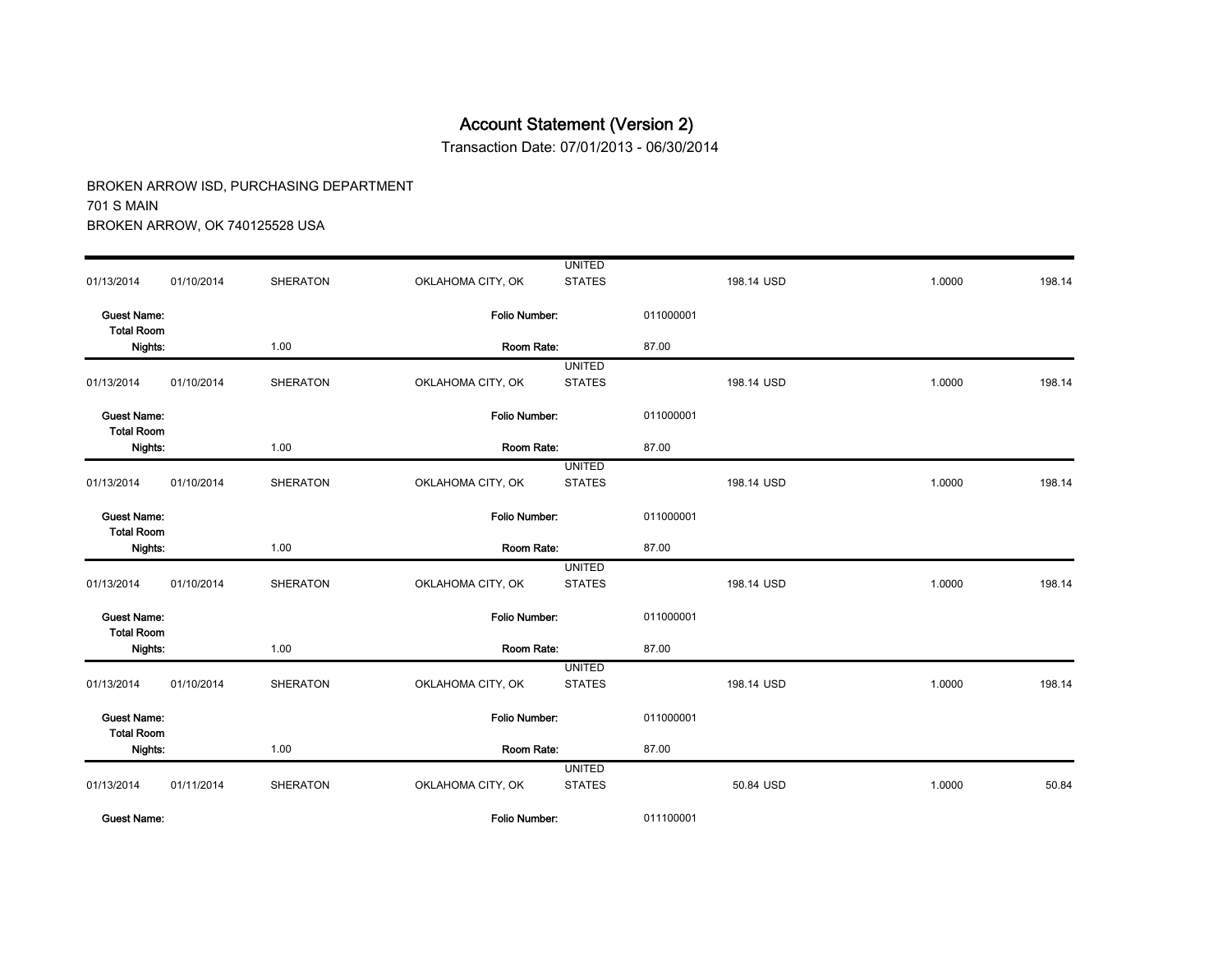Transaction Date: 07/01/2013 - 06/30/2014

| <b>Guest Name:</b>                      |            |                 | Folio Number:        |                                | 011100001 |            |        |        |
|-----------------------------------------|------------|-----------------|----------------------|--------------------------------|-----------|------------|--------|--------|
| 01/13/2014                              | 01/11/2014 | <b>SHERATON</b> | OKLAHOMA CITY, OK    | <b>UNITED</b><br><b>STATES</b> |           | 50.84 USD  | 1.0000 | 50.84  |
| Nights:                                 |            | 1.00            | Room Rate:           |                                | 87.00     |            |        |        |
| <b>Guest Name:</b><br><b>Total Room</b> |            |                 | <b>Folio Number:</b> |                                | 011000001 |            |        |        |
| 01/13/2014                              | 01/10/2014 | <b>SHERATON</b> | OKLAHOMA CITY, OK    | <b>UNITED</b><br><b>STATES</b> |           | 198.14 USD | 1.0000 | 198.14 |
| Nights:                                 |            | 1.00            | Room Rate:           |                                | 87.00     |            |        |        |
| <b>Guest Name:</b><br><b>Total Room</b> |            |                 | Folio Number:        |                                | 011000001 |            |        |        |
| 01/13/2014                              | 01/10/2014 | <b>SHERATON</b> | OKLAHOMA CITY, OK    | <b>UNITED</b><br><b>STATES</b> |           | 198.14 USD | 1.0000 | 198.14 |
| Nights:                                 |            | 1.00            | Room Rate:           |                                | 87.00     |            |        |        |
| <b>Guest Name:</b><br><b>Total Room</b> |            |                 | <b>Folio Number:</b> |                                | 011000001 |            |        |        |
| 01/13/2014                              | 01/10/2014 | <b>SHERATON</b> | OKLAHOMA CITY, OK    | <b>UNITED</b><br><b>STATES</b> |           | 198.14 USD | 1.0000 | 198.14 |
| Nights:                                 |            | 1.00            | Room Rate:           | 87.00                          |           |            |        |        |
| <b>Guest Name:</b><br><b>Total Room</b> |            |                 | Folio Number:        |                                | 011000001 |            |        |        |
| 01/13/2014                              | 01/10/2014 | <b>SHERATON</b> | OKLAHOMA CITY, OK    | <b>STATES</b>                  |           | 198.14 USD | 1.0000 | 198.14 |
| Nights:                                 |            | 1.00            | Room Rate:           | <b>UNITED</b>                  | 87.00     |            |        |        |
| <b>Guest Name:</b><br><b>Total Room</b> |            |                 | <b>Folio Number:</b> |                                | 011000001 |            |        |        |
| 01/13/2014                              | 01/10/2014 | <b>SHERATON</b> | OKLAHOMA CITY, OK    | <b>STATES</b>                  |           | 198.14 USD | 1.0000 | 198.14 |
|                                         |            |                 |                      | <b>UNITED</b>                  |           |            |        |        |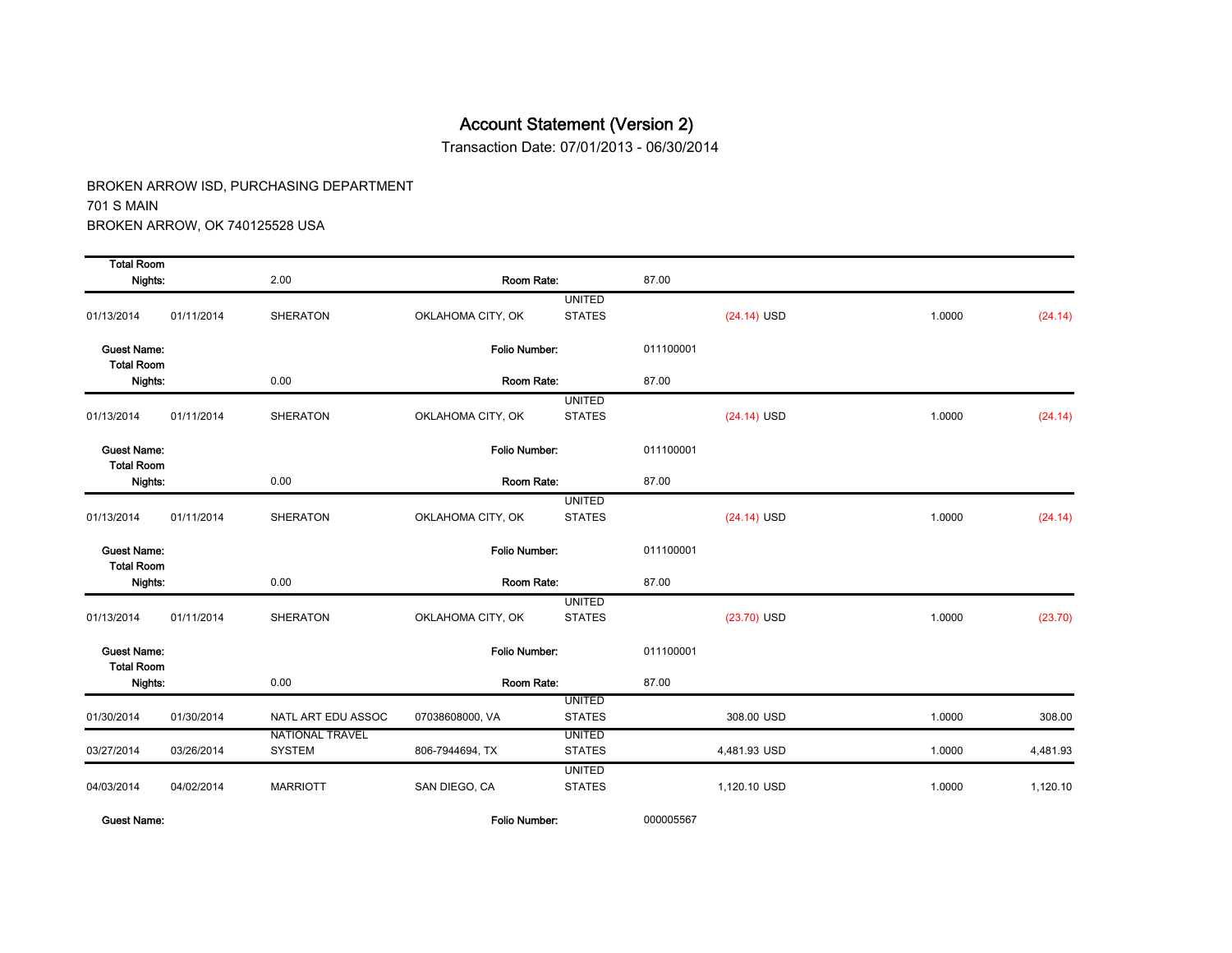Transaction Date: 07/01/2013 - 06/30/2014

BROKEN ARROW ISD, PURCHASING DEPARTMENT 701 S MAIN BROKEN ARROW, OK 740125528 USA

| <b>Total Room</b>                       |            |                                  |                      |                                |           |               |        |          |
|-----------------------------------------|------------|----------------------------------|----------------------|--------------------------------|-----------|---------------|--------|----------|
| Nights:                                 |            | 2.00                             | Room Rate:           |                                | 87.00     |               |        |          |
| 01/13/2014                              | 01/11/2014 | <b>SHERATON</b>                  | OKLAHOMA CITY, OK    | <b>UNITED</b><br><b>STATES</b> |           | $(24.14)$ USD | 1.0000 | (24.14)  |
| <b>Guest Name:</b><br><b>Total Room</b> |            |                                  | Folio Number:        |                                | 011100001 |               |        |          |
| Nights:                                 |            | 0.00                             | Room Rate:           |                                | 87.00     |               |        |          |
| 01/13/2014                              | 01/11/2014 | <b>SHERATON</b>                  | OKLAHOMA CITY, OK    | <b>UNITED</b><br><b>STATES</b> |           | $(24.14)$ USD | 1.0000 | (24.14)  |
| <b>Guest Name:</b><br><b>Total Room</b> |            |                                  | <b>Folio Number:</b> |                                | 011100001 |               |        |          |
| Nights:                                 |            | 0.00                             | Room Rate:           |                                | 87.00     |               |        |          |
| 01/13/2014                              | 01/11/2014 | <b>SHERATON</b>                  | OKLAHOMA CITY, OK    | <b>UNITED</b><br><b>STATES</b> |           | $(24.14)$ USD | 1.0000 | (24.14)  |
| <b>Guest Name:</b><br><b>Total Room</b> |            |                                  | Folio Number:        |                                | 011100001 |               |        |          |
| Nights:                                 |            | 0.00                             | Room Rate:           |                                | 87.00     |               |        |          |
| 01/13/2014                              | 01/11/2014 | <b>SHERATON</b>                  | OKLAHOMA CITY, OK    | <b>UNITED</b><br><b>STATES</b> |           | (23.70) USD   | 1.0000 | (23.70)  |
| <b>Guest Name:</b><br><b>Total Room</b> |            |                                  | Folio Number:        |                                | 011100001 |               |        |          |
| Nights:                                 |            | 0.00                             | Room Rate:           |                                | 87.00     |               |        |          |
| 01/30/2014                              | 01/30/2014 | NATL ART EDU ASSOC               | 07038608000, VA      | <b>UNITED</b><br><b>STATES</b> |           | 308.00 USD    | 1.0000 | 308.00   |
| 03/27/2014                              | 03/26/2014 | <b>NATIONAL TRAVEL</b><br>SYSTEM | 806-7944694, TX      | <b>UNITED</b><br><b>STATES</b> |           | 4,481.93 USD  | 1.0000 | 4,481.93 |
| 04/03/2014                              | 04/02/2014 | <b>MARRIOTT</b>                  | SAN DIEGO, CA        | <b>UNITED</b><br><b>STATES</b> |           | 1,120.10 USD  | 1.0000 | 1,120.10 |

Guest Name: Folio Number: 000005567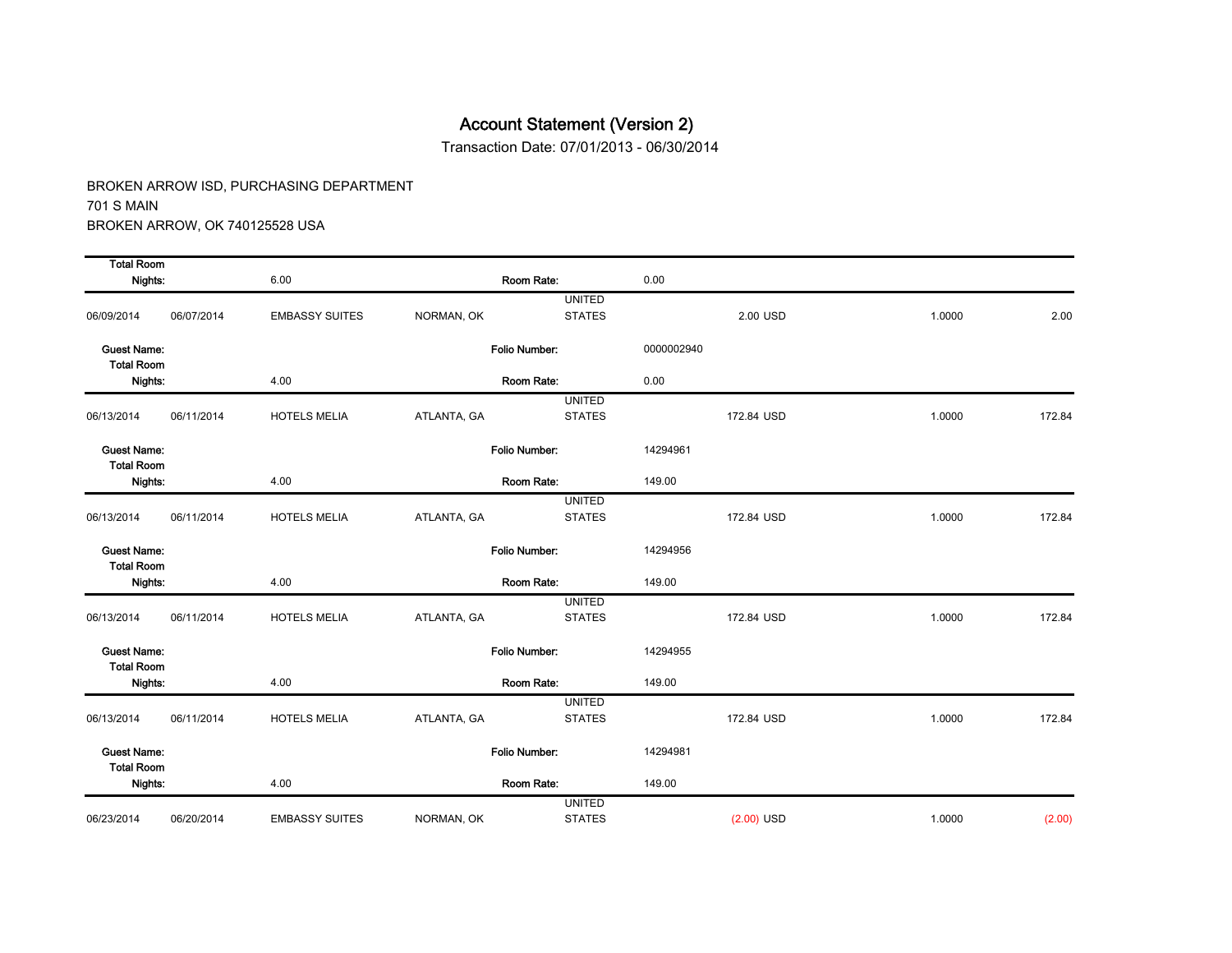Transaction Date: 07/01/2013 - 06/30/2014

| <b>Total Room</b>                       |            |                       |             |                                |            |              |        |        |
|-----------------------------------------|------------|-----------------------|-------------|--------------------------------|------------|--------------|--------|--------|
| Nights:                                 |            | 6.00                  |             | Room Rate:                     | 0.00       |              |        |        |
| 06/09/2014                              | 06/07/2014 | <b>EMBASSY SUITES</b> | NORMAN, OK  | <b>UNITED</b><br><b>STATES</b> |            | 2.00 USD     | 1.0000 | 2.00   |
| <b>Guest Name:</b><br><b>Total Room</b> |            |                       |             | Folio Number:                  | 0000002940 |              |        |        |
| Nights:                                 |            | 4.00                  |             | Room Rate:                     | 0.00       |              |        |        |
| 06/13/2014                              | 06/11/2014 | <b>HOTELS MELIA</b>   | ATLANTA, GA | <b>UNITED</b><br><b>STATES</b> |            | 172.84 USD   | 1.0000 | 172.84 |
| <b>Guest Name:</b><br><b>Total Room</b> |            |                       |             | Folio Number:                  | 14294961   |              |        |        |
| Nights:                                 |            | 4.00                  |             | Room Rate:                     | 149.00     |              |        |        |
| 06/13/2014                              | 06/11/2014 | <b>HOTELS MELIA</b>   | ATLANTA, GA | <b>UNITED</b><br><b>STATES</b> |            | 172.84 USD   | 1.0000 | 172.84 |
| <b>Guest Name:</b><br><b>Total Room</b> |            |                       |             | Folio Number:                  | 14294956   |              |        |        |
| Nights:                                 |            | 4.00                  |             | Room Rate:                     | 149.00     |              |        |        |
| 06/13/2014                              | 06/11/2014 | <b>HOTELS MELIA</b>   | ATLANTA, GA | <b>UNITED</b><br><b>STATES</b> |            | 172.84 USD   | 1.0000 | 172.84 |
| <b>Guest Name:</b><br><b>Total Room</b> |            |                       |             | Folio Number:                  | 14294955   |              |        |        |
| Nights:                                 |            | 4.00                  |             | Room Rate:                     | 149.00     |              |        |        |
| 06/13/2014                              | 06/11/2014 | <b>HOTELS MELIA</b>   | ATLANTA, GA | <b>UNITED</b><br><b>STATES</b> |            | 172.84 USD   | 1.0000 | 172.84 |
| <b>Guest Name:</b><br><b>Total Room</b> |            |                       |             | Folio Number:                  | 14294981   |              |        |        |
| Nights:                                 |            | 4.00                  |             | Room Rate:                     | 149.00     |              |        |        |
| 06/23/2014                              | 06/20/2014 | <b>EMBASSY SUITES</b> | NORMAN, OK  | <b>UNITED</b><br><b>STATES</b> |            | $(2.00)$ USD | 1.0000 | (2.00) |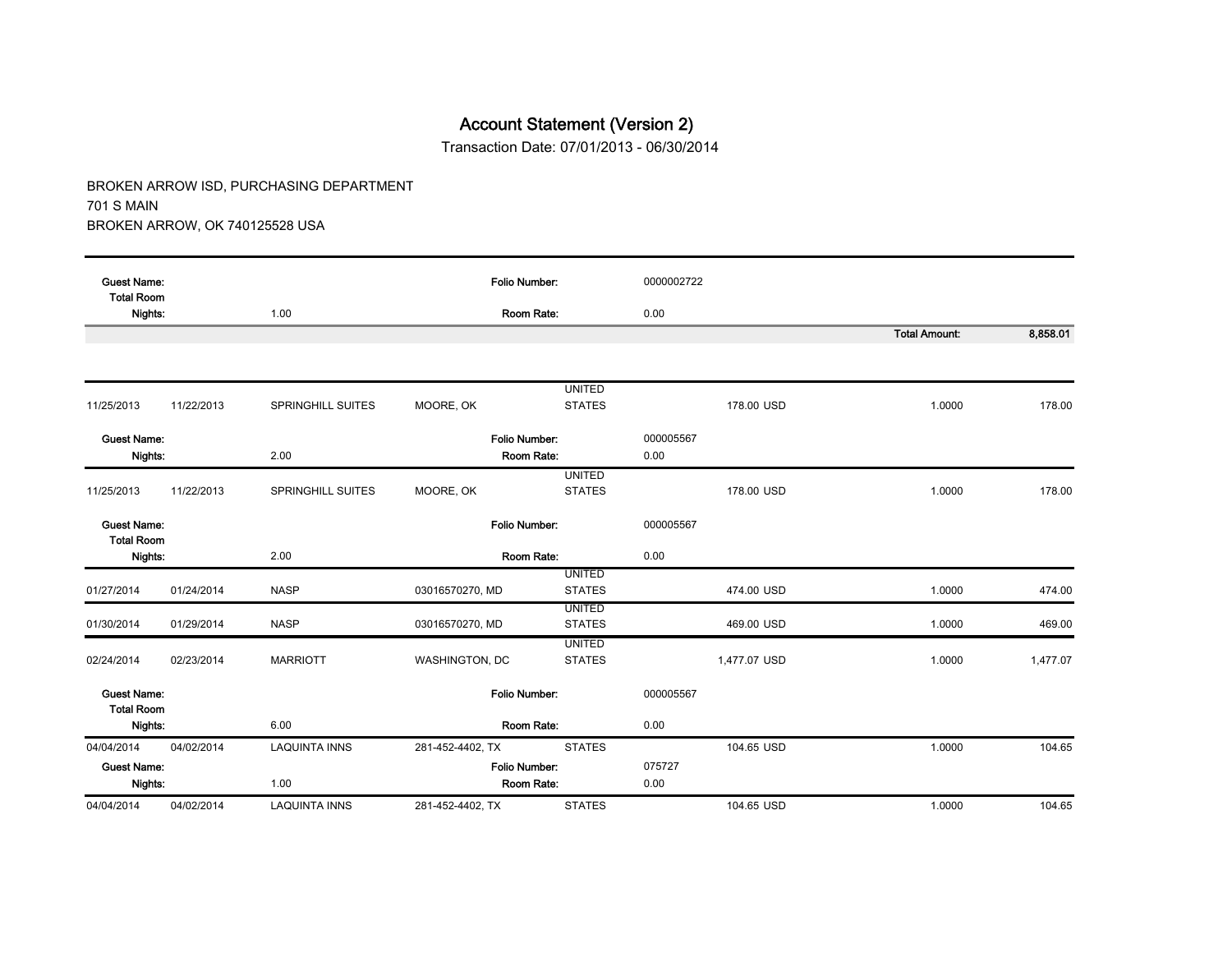Transaction Date: 07/01/2013 - 06/30/2014

| <b>Guest Name:</b><br><b>Total Room</b> |            |                      | <b>Folio Number:</b> |                                | 0000002722        |                      |          |
|-----------------------------------------|------------|----------------------|----------------------|--------------------------------|-------------------|----------------------|----------|
| Nights:                                 |            | 1.00                 | Room Rate:           |                                | 0.00              |                      |          |
|                                         |            |                      |                      |                                |                   | <b>Total Amount:</b> | 8,858.01 |
|                                         |            |                      |                      |                                |                   |                      |          |
|                                         |            |                      |                      | <b>UNITED</b>                  |                   |                      |          |
| 11/25/2013                              | 11/22/2013 | SPRINGHILL SUITES    | MOORE, OK            | <b>STATES</b>                  | 178.00 USD        | 1.0000               | 178.00   |
| <b>Guest Name:</b>                      |            |                      | <b>Folio Number:</b> |                                |                   |                      |          |
| Nights:                                 |            | 2.00                 | Room Rate:           |                                | 000005567<br>0.00 |                      |          |
|                                         |            |                      |                      |                                |                   |                      |          |
| 11/25/2013                              | 11/22/2013 | SPRINGHILL SUITES    | MOORE, OK            | <b>UNITED</b><br><b>STATES</b> | 178.00 USD        | 1.0000               | 178.00   |
|                                         |            |                      |                      |                                |                   |                      |          |
| <b>Guest Name:</b><br><b>Total Room</b> |            |                      | <b>Folio Number:</b> |                                | 000005567         |                      |          |
| Nights:                                 |            | 2.00                 | Room Rate:           |                                | 0.00              |                      |          |
|                                         |            |                      |                      | <b>UNITED</b>                  |                   |                      |          |
| 01/27/2014                              | 01/24/2014 | <b>NASP</b>          | 03016570270, MD      | <b>STATES</b>                  | 474.00 USD        | 1.0000               | 474.00   |
| 01/30/2014                              | 01/29/2014 | <b>NASP</b>          | 03016570270, MD      | <b>UNITED</b><br><b>STATES</b> | 469.00 USD        | 1.0000               | 469.00   |
|                                         |            |                      |                      | <b>UNITED</b>                  |                   |                      |          |
| 02/24/2014                              | 02/23/2014 | <b>MARRIOTT</b>      | WASHINGTON, DC       | <b>STATES</b>                  | 1,477.07 USD      | 1.0000               | 1,477.07 |
|                                         |            |                      |                      |                                |                   |                      |          |
| <b>Guest Name:</b><br><b>Total Room</b> |            |                      | <b>Folio Number:</b> |                                | 000005567         |                      |          |
| Nights:                                 |            | 6.00                 | Room Rate:           |                                | 0.00              |                      |          |
| 04/04/2014                              | 04/02/2014 | <b>LAQUINTA INNS</b> | 281-452-4402, TX     | <b>STATES</b>                  | 104.65 USD        | 1.0000               | 104.65   |
| <b>Guest Name:</b>                      |            |                      | <b>Folio Number:</b> |                                | 075727            |                      |          |
| Nights:                                 |            | 1.00                 | Room Rate:           |                                | 0.00              |                      |          |
| 04/04/2014                              | 04/02/2014 | <b>LAQUINTA INNS</b> | 281-452-4402, TX     | <b>STATES</b>                  | 104.65 USD        | 1.0000               | 104.65   |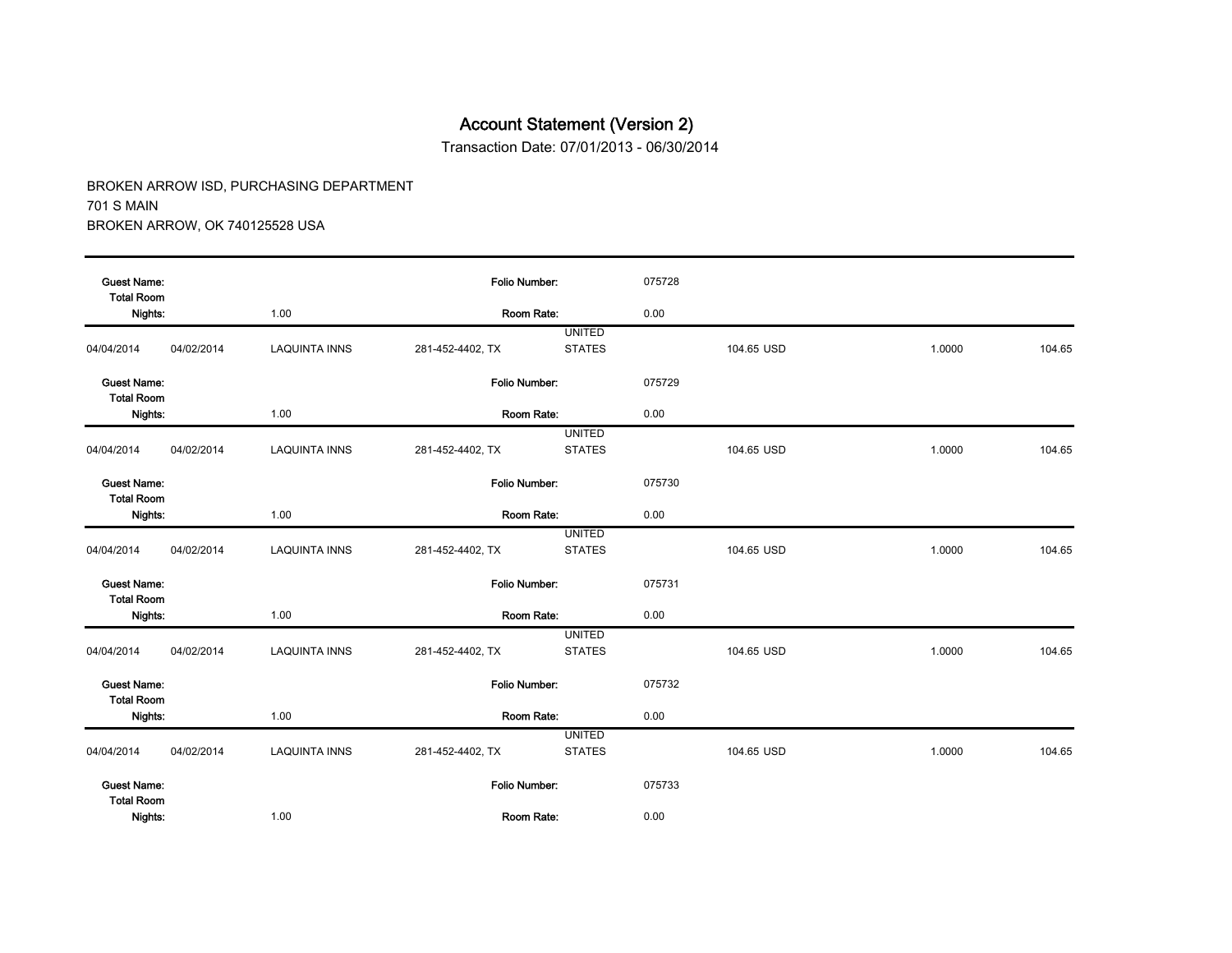Transaction Date: 07/01/2013 - 06/30/2014

| <b>Guest Name:</b><br><b>Total Room</b> |            |                      | Folio Number:    |                                | 075728 |            |        |        |
|-----------------------------------------|------------|----------------------|------------------|--------------------------------|--------|------------|--------|--------|
| Nights:                                 |            | 1.00                 | Room Rate:       |                                | 0.00   |            |        |        |
|                                         |            |                      |                  | <b>UNITED</b>                  |        |            |        |        |
| 04/04/2014                              | 04/02/2014 | <b>LAQUINTA INNS</b> | 281-452-4402, TX | <b>STATES</b>                  |        | 104.65 USD | 1.0000 | 104.65 |
| <b>Guest Name:</b><br><b>Total Room</b> |            |                      | Folio Number:    |                                | 075729 |            |        |        |
| Nights:                                 |            | 1.00                 | Room Rate:       |                                | 0.00   |            |        |        |
|                                         |            |                      |                  | <b>UNITED</b>                  |        |            |        |        |
| 04/04/2014                              | 04/02/2014 | <b>LAQUINTA INNS</b> | 281-452-4402, TX | <b>STATES</b>                  |        | 104.65 USD | 1.0000 | 104.65 |
| <b>Guest Name:</b><br><b>Total Room</b> |            |                      | Folio Number:    |                                | 075730 |            |        |        |
| Nights:                                 |            | 1.00                 | Room Rate:       |                                | 0.00   |            |        |        |
|                                         |            |                      |                  | <b>UNITED</b>                  |        |            |        |        |
| 04/04/2014                              | 04/02/2014 | <b>LAQUINTA INNS</b> | 281-452-4402, TX | <b>STATES</b>                  |        | 104.65 USD | 1.0000 | 104.65 |
| <b>Guest Name:</b><br><b>Total Room</b> |            |                      | Folio Number:    |                                | 075731 |            |        |        |
| Nights:                                 |            | 1.00                 | Room Rate:       |                                | 0.00   |            |        |        |
|                                         |            |                      |                  | <b>UNITED</b>                  |        |            |        |        |
| 04/04/2014                              | 04/02/2014 | <b>LAQUINTA INNS</b> | 281-452-4402, TX | <b>STATES</b>                  |        | 104.65 USD | 1.0000 | 104.65 |
| <b>Guest Name:</b><br><b>Total Room</b> |            |                      | Folio Number:    |                                | 075732 |            |        |        |
| Nights:                                 |            | 1.00                 | Room Rate:       |                                | 0.00   |            |        |        |
| 04/04/2014                              | 04/02/2014 | <b>LAQUINTA INNS</b> | 281-452-4402, TX | <b>UNITED</b><br><b>STATES</b> |        | 104.65 USD | 1.0000 | 104.65 |
| <b>Guest Name:</b><br><b>Total Room</b> |            |                      | Folio Number:    |                                | 075733 |            |        |        |
| Nights:                                 |            | 1.00                 | Room Rate:       |                                | 0.00   |            |        |        |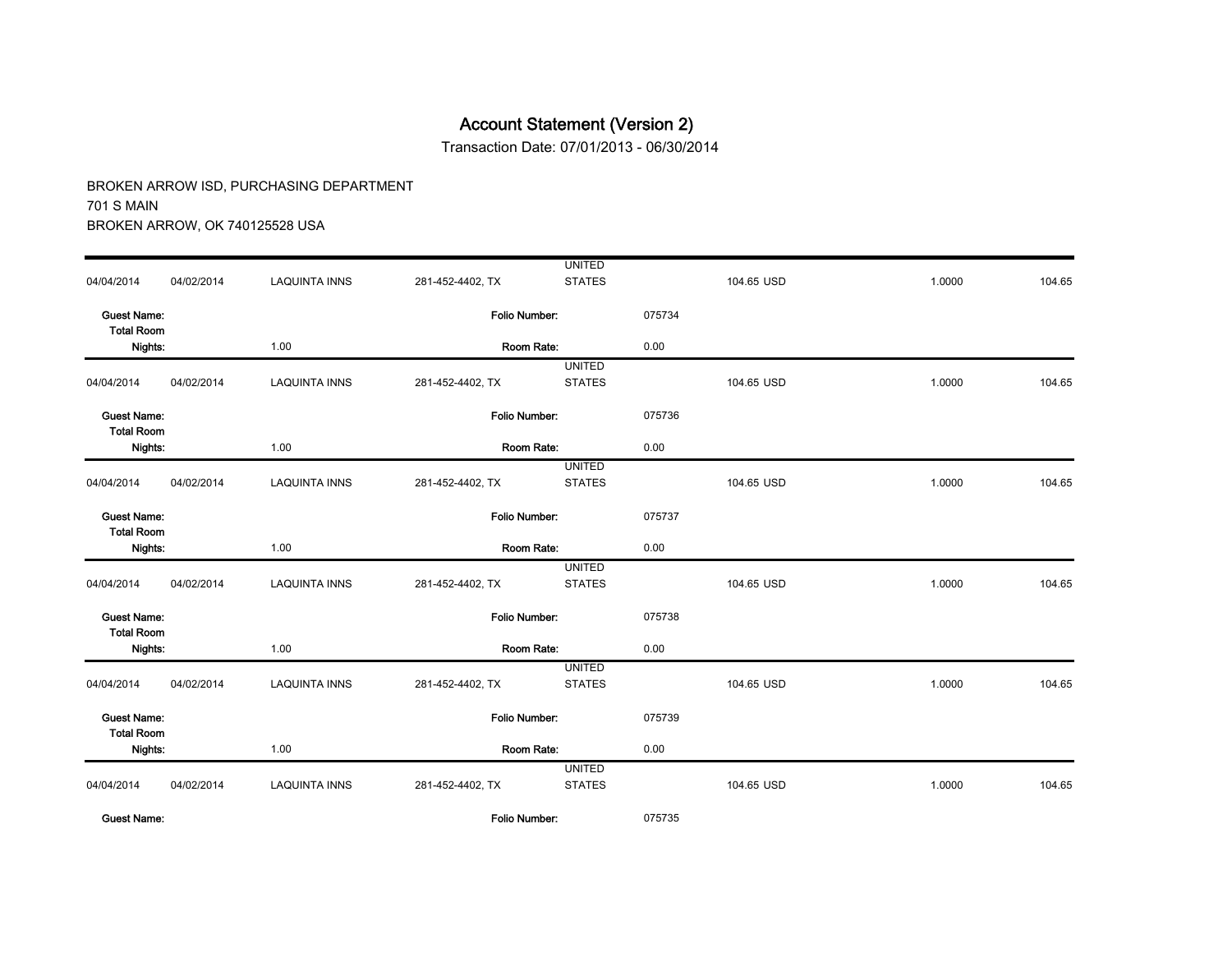Transaction Date: 07/01/2013 - 06/30/2014

|                                         |            |                      |                      | <b>UNITED</b> |        |            |        |        |
|-----------------------------------------|------------|----------------------|----------------------|---------------|--------|------------|--------|--------|
| 04/04/2014                              | 04/02/2014 | <b>LAQUINTA INNS</b> | 281-452-4402, TX     | <b>STATES</b> |        | 104.65 USD | 1.0000 | 104.65 |
| <b>Guest Name:</b><br><b>Total Room</b> |            |                      | Folio Number:        |               | 075734 |            |        |        |
| Nights:                                 |            | 1.00                 | Room Rate:           |               | 0.00   |            |        |        |
|                                         |            |                      |                      | <b>UNITED</b> |        |            |        |        |
| 04/04/2014                              | 04/02/2014 | <b>LAQUINTA INNS</b> | 281-452-4402, TX     | <b>STATES</b> |        | 104.65 USD | 1.0000 | 104.65 |
| <b>Guest Name:</b><br><b>Total Room</b> |            |                      | Folio Number:        |               | 075736 |            |        |        |
| Nights:                                 | 1.00       |                      | Room Rate:           |               | 0.00   |            |        |        |
|                                         |            |                      |                      | <b>UNITED</b> |        |            |        |        |
| 04/04/2014                              | 04/02/2014 | <b>LAQUINTA INNS</b> | 281-452-4402, TX     | <b>STATES</b> |        | 104.65 USD | 1.0000 | 104.65 |
| <b>Guest Name:</b><br><b>Total Room</b> |            |                      | Folio Number:        |               | 075737 |            |        |        |
| Nights:                                 |            | 1.00                 | Room Rate:           |               | 0.00   |            |        |        |
|                                         |            |                      |                      | <b>UNITED</b> |        |            |        |        |
| 04/04/2014                              | 04/02/2014 | <b>LAQUINTA INNS</b> | 281-452-4402, TX     | <b>STATES</b> |        | 104.65 USD | 1.0000 | 104.65 |
| <b>Guest Name:</b><br><b>Total Room</b> |            |                      | Folio Number:        |               | 075738 |            |        |        |
| Nights:                                 |            | 1.00                 | Room Rate:           |               | 0.00   |            |        |        |
|                                         |            |                      |                      | <b>UNITED</b> |        |            |        |        |
| 04/04/2014                              | 04/02/2014 | <b>LAQUINTA INNS</b> | 281-452-4402, TX     | <b>STATES</b> |        | 104.65 USD | 1.0000 | 104.65 |
| <b>Guest Name:</b><br><b>Total Room</b> |            |                      | Folio Number:        |               | 075739 |            |        |        |
| Nights:                                 |            | 1.00                 | Room Rate:           |               | 0.00   |            |        |        |
|                                         |            |                      |                      | <b>UNITED</b> |        |            |        |        |
| 04/04/2014                              | 04/02/2014 | <b>LAQUINTA INNS</b> | 281-452-4402, TX     | <b>STATES</b> |        | 104.65 USD | 1.0000 | 104.65 |
| <b>Guest Name:</b>                      |            |                      | <b>Folio Number:</b> |               | 075735 |            |        |        |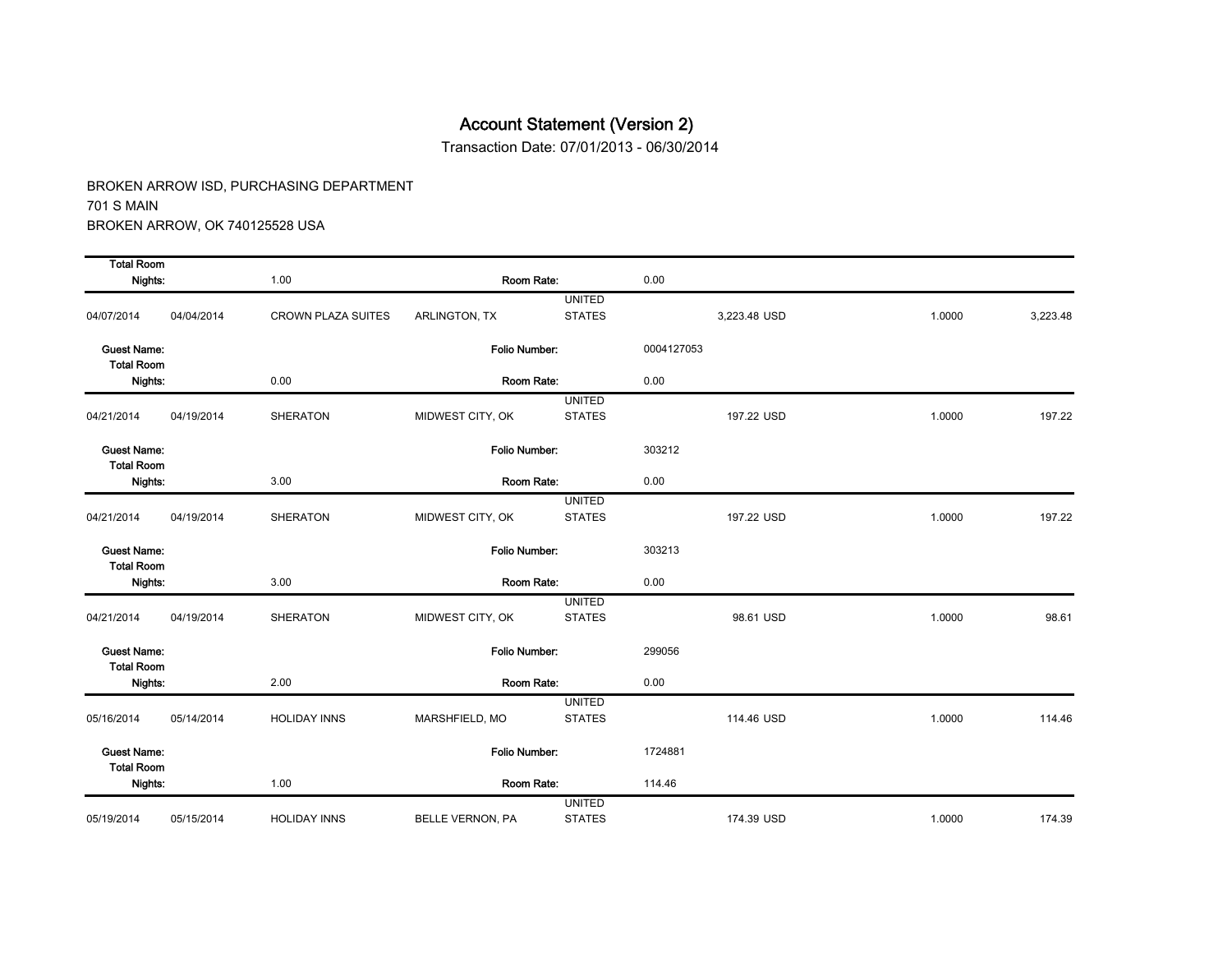Transaction Date: 07/01/2013 - 06/30/2014

| <b>Total Room</b>                       |            |                           |                         |                                |            |              |        |          |
|-----------------------------------------|------------|---------------------------|-------------------------|--------------------------------|------------|--------------|--------|----------|
| Nights:                                 |            | 1.00                      | Room Rate:              |                                | 0.00       |              |        |          |
| 04/07/2014                              | 04/04/2014 | <b>CROWN PLAZA SUITES</b> | ARLINGTON, TX           | <b>UNITED</b><br><b>STATES</b> |            | 3,223.48 USD | 1.0000 | 3,223.48 |
| <b>Guest Name:</b><br><b>Total Room</b> |            |                           | Folio Number:           |                                | 0004127053 |              |        |          |
| Nights:                                 |            | 0.00                      | Room Rate:              |                                | 0.00       |              |        |          |
| 04/21/2014                              | 04/19/2014 | <b>SHERATON</b>           | MIDWEST CITY, OK        | <b>UNITED</b><br><b>STATES</b> |            | 197.22 USD   | 1.0000 | 197.22   |
| <b>Guest Name:</b><br><b>Total Room</b> |            |                           | Folio Number:           |                                | 303212     |              |        |          |
| Nights:                                 |            | 3.00                      | Room Rate:              |                                | 0.00       |              |        |          |
| 04/21/2014                              | 04/19/2014 | <b>SHERATON</b>           | MIDWEST CITY, OK        | <b>UNITED</b><br><b>STATES</b> |            | 197.22 USD   | 1.0000 | 197.22   |
| <b>Guest Name:</b><br><b>Total Room</b> |            |                           | Folio Number:           |                                | 303213     |              |        |          |
| Nights:                                 |            | 3.00                      | Room Rate:              |                                | 0.00       |              |        |          |
| 04/21/2014                              | 04/19/2014 | <b>SHERATON</b>           | MIDWEST CITY, OK        | <b>UNITED</b><br><b>STATES</b> |            | 98.61 USD    | 1.0000 | 98.61    |
| <b>Guest Name:</b><br><b>Total Room</b> |            |                           | Folio Number:           |                                | 299056     |              |        |          |
| Nights:                                 |            | 2.00                      | Room Rate:              |                                | 0.00       |              |        |          |
| 05/16/2014                              | 05/14/2014 | <b>HOLIDAY INNS</b>       | MARSHFIELD, MO          | <b>UNITED</b><br><b>STATES</b> |            | 114.46 USD   | 1.0000 | 114.46   |
| <b>Guest Name:</b><br><b>Total Room</b> |            |                           | Folio Number:           |                                | 1724881    |              |        |          |
| Nights:                                 |            | 1.00                      | Room Rate:              |                                | 114.46     |              |        |          |
| 05/19/2014                              | 05/15/2014 | <b>HOLIDAY INNS</b>       | <b>BELLE VERNON, PA</b> | <b>UNITED</b><br><b>STATES</b> |            | 174.39 USD   | 1.0000 | 174.39   |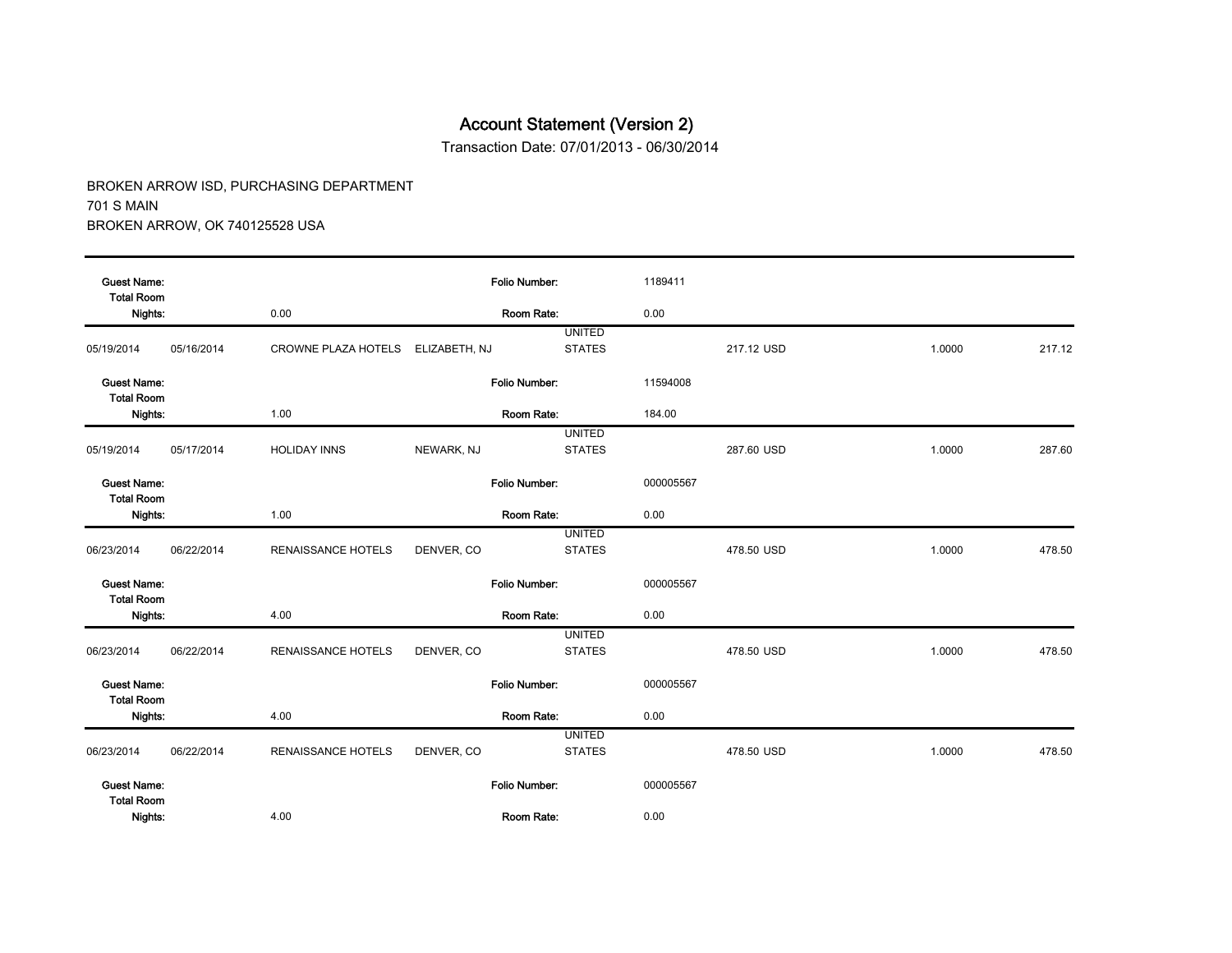Transaction Date: 07/01/2013 - 06/30/2014

| <b>Guest Name:</b><br><b>Total Room</b> |            |                           |               | Folio Number:        |                                | 1189411   |            |        |        |
|-----------------------------------------|------------|---------------------------|---------------|----------------------|--------------------------------|-----------|------------|--------|--------|
| Nights:                                 |            | 0.00                      |               | Room Rate:           |                                | 0.00      |            |        |        |
| 05/19/2014                              | 05/16/2014 | CROWNE PLAZA HOTELS       | ELIZABETH, NJ |                      | <b>UNITED</b><br><b>STATES</b> |           | 217.12 USD | 1.0000 | 217.12 |
| <b>Guest Name:</b><br><b>Total Room</b> |            |                           |               | <b>Folio Number:</b> |                                | 11594008  |            |        |        |
| Nights:                                 |            | 1.00                      |               | Room Rate:           |                                | 184.00    |            |        |        |
| 05/19/2014                              | 05/17/2014 | <b>HOLIDAY INNS</b>       | NEWARK, NJ    |                      | <b>UNITED</b><br><b>STATES</b> |           | 287.60 USD | 1.0000 | 287.60 |
| <b>Guest Name:</b><br><b>Total Room</b> |            |                           |               | Folio Number:        |                                | 000005567 |            |        |        |
| Nights:                                 |            | 1.00                      |               | Room Rate:           |                                | 0.00      |            |        |        |
| 06/23/2014                              | 06/22/2014 | RENAISSANCE HOTELS        | DENVER, CO    |                      | <b>UNITED</b><br><b>STATES</b> |           | 478.50 USD | 1.0000 | 478.50 |
| <b>Guest Name:</b><br><b>Total Room</b> |            |                           |               | Folio Number:        |                                | 000005567 |            |        |        |
| Nights:                                 |            | 4.00                      |               | Room Rate:           |                                | 0.00      |            |        |        |
| 06/23/2014                              | 06/22/2014 | <b>RENAISSANCE HOTELS</b> | DENVER, CO    |                      | <b>UNITED</b><br><b>STATES</b> |           | 478.50 USD | 1.0000 | 478.50 |
| <b>Guest Name:</b><br><b>Total Room</b> |            |                           |               | Folio Number:        |                                | 000005567 |            |        |        |
| Nights:                                 |            | 4.00                      |               | Room Rate:           |                                | 0.00      |            |        |        |
| 06/23/2014                              | 06/22/2014 | RENAISSANCE HOTELS        | DENVER, CO    |                      | <b>UNITED</b><br><b>STATES</b> |           | 478.50 USD | 1.0000 | 478.50 |
| <b>Guest Name:</b><br><b>Total Room</b> |            |                           |               | Folio Number:        |                                | 000005567 |            |        |        |
| Nights:                                 |            | 4.00                      |               | Room Rate:           |                                | 0.00      |            |        |        |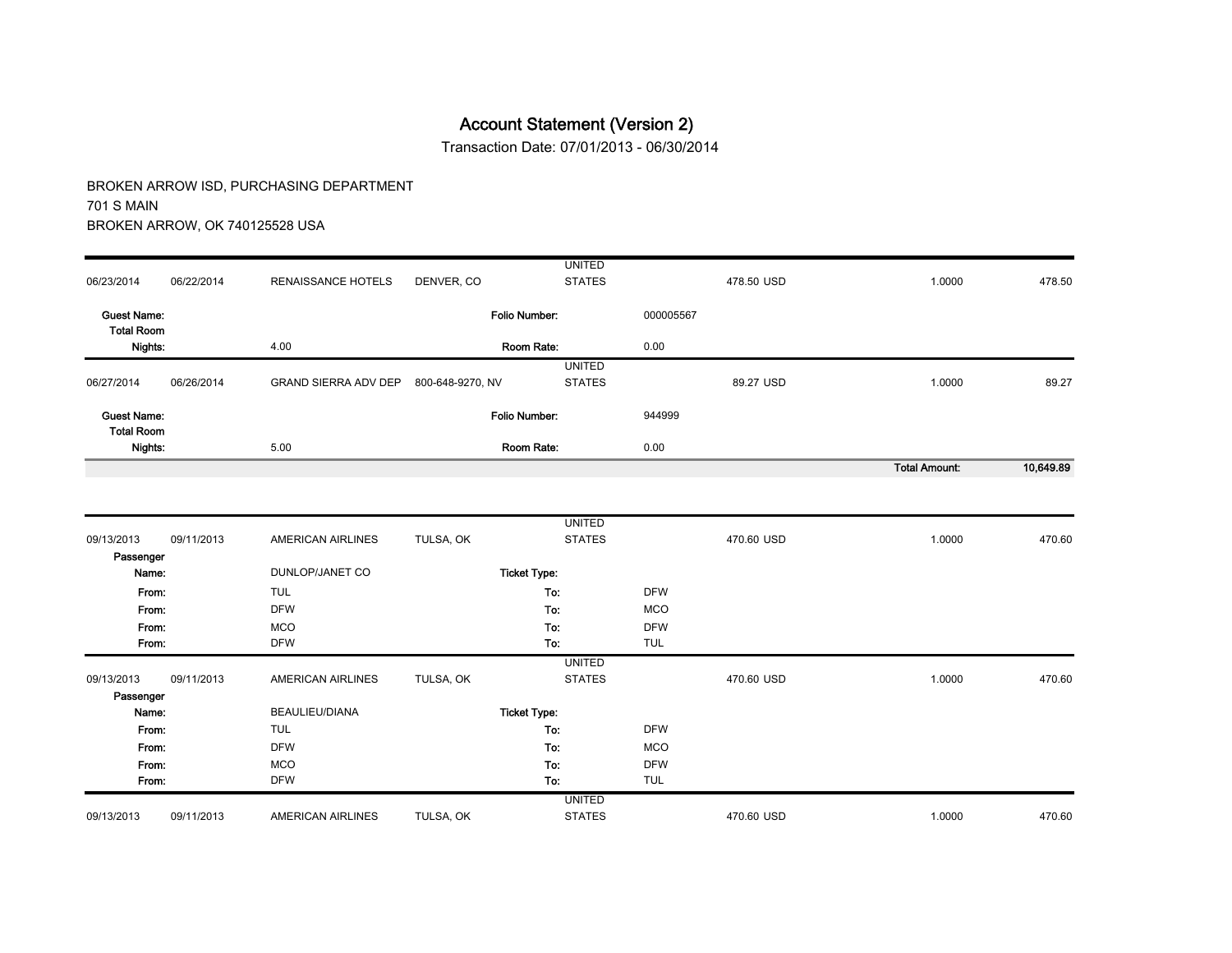Transaction Date: 07/01/2013 - 06/30/2014

|                                         |            |                             |                  | <b>UNITED</b>        |                          |            |                      |           |
|-----------------------------------------|------------|-----------------------------|------------------|----------------------|--------------------------|------------|----------------------|-----------|
| 06/23/2014                              | 06/22/2014 | <b>RENAISSANCE HOTELS</b>   | DENVER, CO       | <b>STATES</b>        |                          | 478.50 USD | 1.0000               | 478.50    |
| <b>Guest Name:</b><br><b>Total Room</b> |            |                             |                  | <b>Folio Number:</b> | 000005567                |            |                      |           |
| Nights:                                 |            | 4.00                        |                  | Room Rate:           | 0.00                     |            |                      |           |
|                                         |            |                             |                  | <b>UNITED</b>        |                          |            |                      |           |
| 06/27/2014                              | 06/26/2014 | <b>GRAND SIERRA ADV DEP</b> | 800-648-9270, NV | <b>STATES</b>        |                          | 89.27 USD  | 1.0000               | 89.27     |
| <b>Guest Name:</b><br><b>Total Room</b> |            |                             |                  | Folio Number:        | 944999                   |            |                      |           |
| Nights:                                 |            | 5.00                        |                  | Room Rate:           | 0.00                     |            |                      |           |
|                                         |            |                             |                  |                      |                          |            | <b>Total Amount:</b> | 10,649.89 |
|                                         |            |                             |                  |                      |                          |            |                      |           |
|                                         |            |                             |                  | <b>UNITED</b>        |                          |            |                      |           |
| 09/13/2013                              | 09/11/2013 | AMERICAN AIRLINES           | TULSA, OK        | <b>STATES</b>        |                          | 470.60 USD | 1.0000               | 470.60    |
| Passenger                               |            |                             |                  |                      |                          |            |                      |           |
| Name:                                   |            | DUNLOP/JANET CO             |                  | <b>Ticket Type:</b>  |                          |            |                      |           |
| From:                                   |            | <b>TUL</b>                  |                  | To:                  | <b>DFW</b>               |            |                      |           |
| From:                                   |            | <b>DFW</b>                  |                  | To:                  | <b>MCO</b>               |            |                      |           |
| From:                                   |            | <b>MCO</b>                  |                  | To:                  | <b>DFW</b>               |            |                      |           |
| From:                                   |            | <b>DFW</b>                  |                  | To:                  | <b>TUL</b>               |            |                      |           |
|                                         |            |                             |                  | <b>UNITED</b>        |                          |            |                      |           |
| 09/13/2013                              | 09/11/2013 | <b>AMERICAN AIRLINES</b>    | TULSA, OK        | <b>STATES</b>        |                          | 470.60 USD | 1.0000               | 470.60    |
| Passenger                               |            |                             |                  |                      |                          |            |                      |           |
| Name:                                   |            | BEAULIEU/DIANA              |                  | <b>Ticket Type:</b>  |                          |            |                      |           |
| From:                                   |            | <b>TUL</b>                  |                  | To:                  | <b>DFW</b>               |            |                      |           |
| From:                                   |            | <b>DFW</b>                  |                  | To:                  | <b>MCO</b>               |            |                      |           |
| From:<br>From:                          |            | <b>MCO</b><br><b>DFW</b>    |                  | To:<br>To:           | <b>DFW</b><br><b>TUL</b> |            |                      |           |
|                                         |            |                             |                  | <b>UNITED</b>        |                          |            |                      |           |
| 09/13/2013                              | 09/11/2013 | <b>AMERICAN AIRLINES</b>    | TULSA, OK        | <b>STATES</b>        |                          | 470.60 USD | 1.0000               | 470.60    |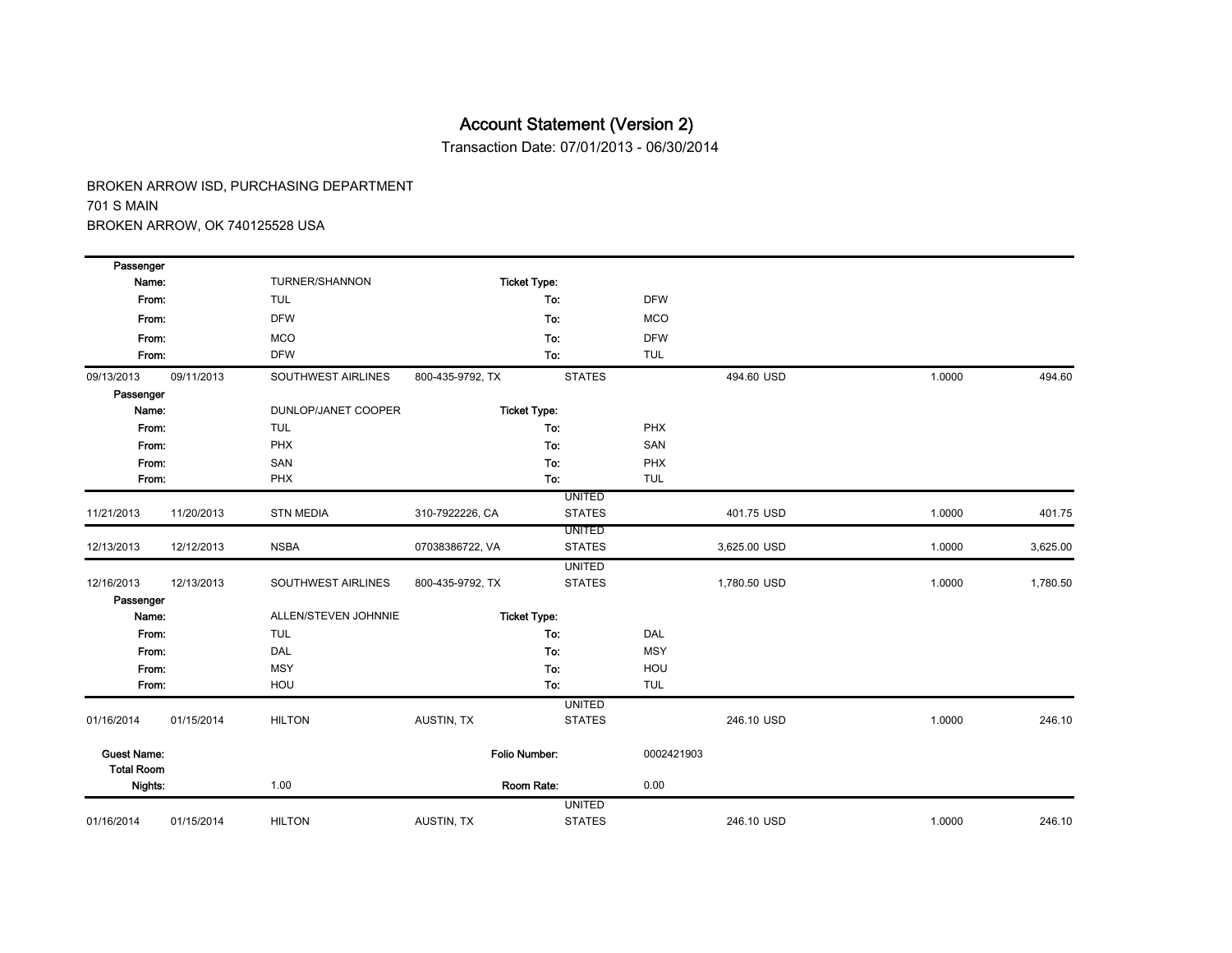Transaction Date: 07/01/2013 - 06/30/2014

| Passenger                               |            |                      |                  |                      |            |              |        |          |
|-----------------------------------------|------------|----------------------|------------------|----------------------|------------|--------------|--------|----------|
| Name:                                   |            | TURNER/SHANNON       |                  | <b>Ticket Type:</b>  |            |              |        |          |
| From:                                   |            | <b>TUL</b>           |                  | To:                  | <b>DFW</b> |              |        |          |
| From:                                   |            | <b>DFW</b>           |                  | To:                  | <b>MCO</b> |              |        |          |
| From:                                   |            | <b>MCO</b>           |                  | To:                  | <b>DFW</b> |              |        |          |
| From:                                   |            | <b>DFW</b>           |                  | To:                  | <b>TUL</b> |              |        |          |
| 09/13/2013                              | 09/11/2013 | SOUTHWEST AIRLINES   | 800-435-9792, TX | <b>STATES</b>        |            | 494.60 USD   | 1.0000 | 494.60   |
| Passenger                               |            |                      |                  |                      |            |              |        |          |
| Name:                                   |            | DUNLOP/JANET COOPER  |                  | <b>Ticket Type:</b>  |            |              |        |          |
| From:                                   |            | <b>TUL</b>           |                  | To:                  | PHX        |              |        |          |
| From:                                   |            | PHX                  |                  | To:                  | SAN        |              |        |          |
| From:                                   |            | SAN                  |                  | To:                  | PHX        |              |        |          |
| From:                                   |            | PHX                  |                  | To:                  | <b>TUL</b> |              |        |          |
|                                         |            |                      |                  | <b>UNITED</b>        |            |              |        |          |
| 11/21/2013                              | 11/20/2013 | <b>STN MEDIA</b>     | 310-7922226, CA  | <b>STATES</b>        |            | 401.75 USD   | 1.0000 | 401.75   |
|                                         |            |                      |                  | <b>UNITED</b>        |            |              |        |          |
| 12/13/2013                              | 12/12/2013 | <b>NSBA</b>          | 07038386722, VA  | <b>STATES</b>        |            | 3,625.00 USD | 1.0000 | 3,625.00 |
|                                         |            |                      |                  | <b>UNITED</b>        |            |              |        |          |
| 12/16/2013                              | 12/13/2013 | SOUTHWEST AIRLINES   | 800-435-9792, TX | <b>STATES</b>        |            | 1,780.50 USD | 1.0000 | 1,780.50 |
| Passenger                               |            |                      |                  |                      |            |              |        |          |
| Name:                                   |            | ALLEN/STEVEN JOHNNIE |                  | <b>Ticket Type:</b>  |            |              |        |          |
| From:                                   |            | <b>TUL</b>           |                  | To:                  | DAL        |              |        |          |
| From:                                   |            | DAL                  |                  | To:                  | <b>MSY</b> |              |        |          |
| From:                                   |            | <b>MSY</b>           |                  | To:                  | HOU        |              |        |          |
| From:                                   |            | HOU                  |                  | To:                  | <b>TUL</b> |              |        |          |
|                                         |            |                      |                  | <b>UNITED</b>        |            |              |        |          |
| 01/16/2014                              | 01/15/2014 | <b>HILTON</b>        | AUSTIN, TX       | <b>STATES</b>        |            | 246.10 USD   | 1.0000 | 246.10   |
| <b>Guest Name:</b><br><b>Total Room</b> |            |                      |                  | <b>Folio Number:</b> | 0002421903 |              |        |          |
| Nights:                                 |            | 1.00                 |                  | Room Rate:           | 0.00       |              |        |          |
|                                         |            |                      |                  | <b>UNITED</b>        |            |              |        |          |
| 01/16/2014                              | 01/15/2014 | <b>HILTON</b>        | AUSTIN, TX       | <b>STATES</b>        |            | 246.10 USD   | 1.0000 | 246.10   |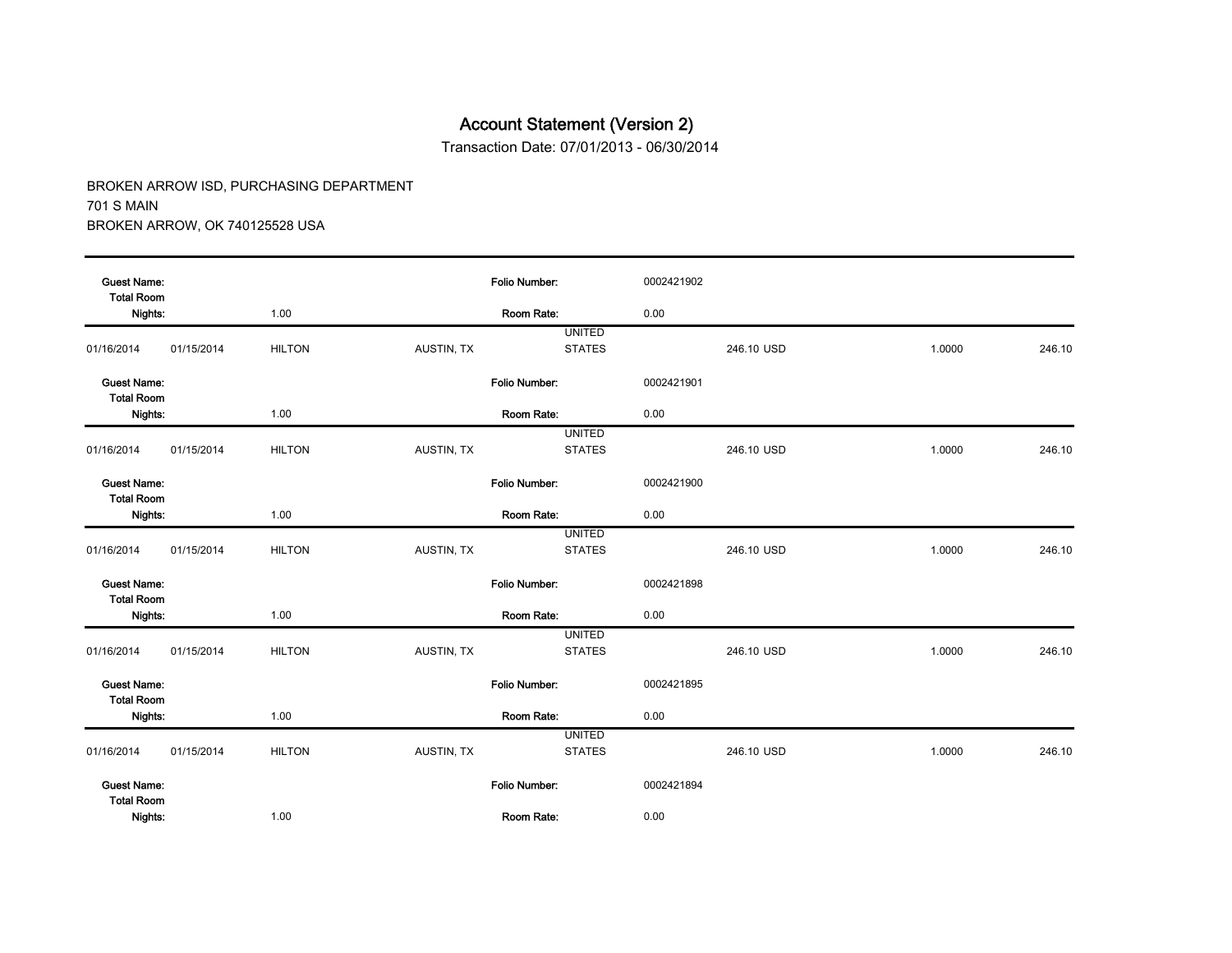Transaction Date: 07/01/2013 - 06/30/2014

| <b>Guest Name:</b><br><b>Total Room</b> |            |               |            | <b>Folio Number:</b> | 0002421902 |            |        |        |
|-----------------------------------------|------------|---------------|------------|----------------------|------------|------------|--------|--------|
| Nights:                                 |            | 1.00          |            | Room Rate:           | 0.00       |            |        |        |
|                                         |            |               |            | <b>UNITED</b>        |            |            |        |        |
| 01/16/2014                              | 01/15/2014 | <b>HILTON</b> | AUSTIN, TX | <b>STATES</b>        |            | 246.10 USD | 1.0000 | 246.10 |
| <b>Guest Name:</b><br><b>Total Room</b> |            |               |            | Folio Number:        | 0002421901 |            |        |        |
| Nights:                                 |            | 1.00          |            | Room Rate:           | 0.00       |            |        |        |
|                                         |            |               |            | <b>UNITED</b>        |            |            |        |        |
| 01/16/2014                              | 01/15/2014 | <b>HILTON</b> | AUSTIN, TX | <b>STATES</b>        |            | 246.10 USD | 1.0000 | 246.10 |
| <b>Guest Name:</b><br><b>Total Room</b> |            |               |            | <b>Folio Number:</b> | 0002421900 |            |        |        |
| Nights:                                 |            | 1.00          |            | Room Rate:           | 0.00       |            |        |        |
|                                         |            |               |            | <b>UNITED</b>        |            |            |        |        |
| 01/16/2014                              | 01/15/2014 | <b>HILTON</b> | AUSTIN, TX | <b>STATES</b>        |            | 246.10 USD | 1.0000 | 246.10 |
| <b>Guest Name:</b><br><b>Total Room</b> |            |               |            | Folio Number:        | 0002421898 |            |        |        |
| Nights:                                 |            | 1.00          |            | Room Rate:           | 0.00       |            |        |        |
|                                         |            |               |            | <b>UNITED</b>        |            |            |        |        |
| 01/16/2014                              | 01/15/2014 | <b>HILTON</b> | AUSTIN, TX | <b>STATES</b>        |            | 246.10 USD | 1.0000 | 246.10 |
| <b>Guest Name:</b><br><b>Total Room</b> |            |               |            | <b>Folio Number:</b> | 0002421895 |            |        |        |
| Nights:                                 |            | 1.00          |            | Room Rate:           | 0.00       |            |        |        |
|                                         |            |               |            | <b>UNITED</b>        |            |            |        |        |
| 01/16/2014                              | 01/15/2014 | <b>HILTON</b> | AUSTIN, TX | <b>STATES</b>        |            | 246.10 USD | 1.0000 | 246.10 |
| <b>Guest Name:</b><br><b>Total Room</b> |            |               |            | Folio Number:        | 0002421894 |            |        |        |
| Nights:                                 |            | 1.00          |            | Room Rate:           | 0.00       |            |        |        |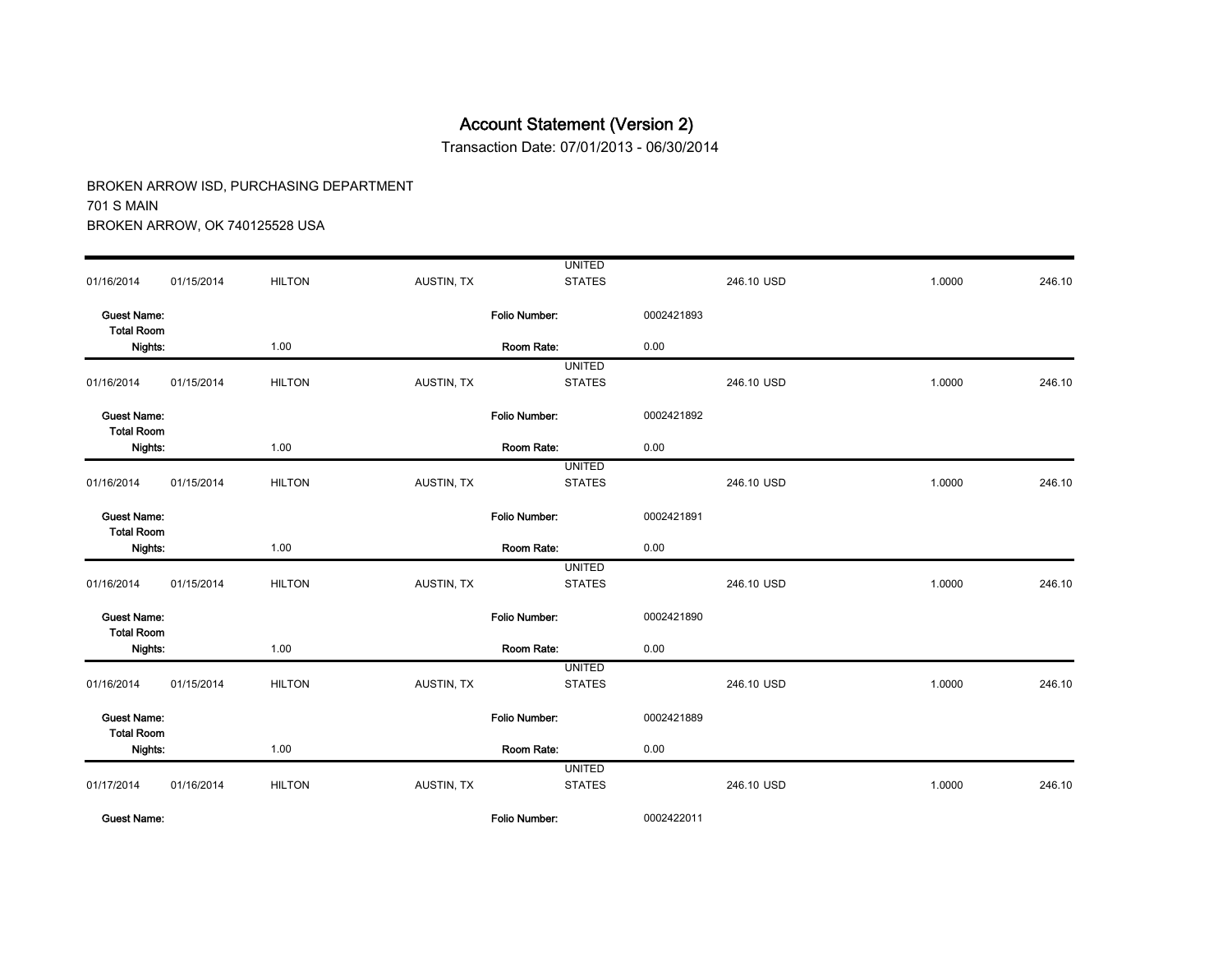Transaction Date: 07/01/2013 - 06/30/2014

|                                         |            |               |            | <b>UNITED</b>        |            |            |        |        |
|-----------------------------------------|------------|---------------|------------|----------------------|------------|------------|--------|--------|
| 01/16/2014                              | 01/15/2014 | <b>HILTON</b> | AUSTIN, TX | <b>STATES</b>        |            | 246.10 USD | 1.0000 | 246.10 |
| <b>Guest Name:</b><br><b>Total Room</b> |            |               |            | <b>Folio Number:</b> | 0002421893 |            |        |        |
| Nights:                                 |            | 1.00          |            | Room Rate:           | 0.00       |            |        |        |
|                                         |            |               |            | <b>UNITED</b>        |            |            |        |        |
| 01/16/2014                              | 01/15/2014 | <b>HILTON</b> | AUSTIN, TX | <b>STATES</b>        |            | 246.10 USD | 1.0000 | 246.10 |
| <b>Guest Name:</b><br><b>Total Room</b> |            |               |            | Folio Number:        | 0002421892 |            |        |        |
| Nights:                                 |            | 1.00          |            | Room Rate:           | 0.00       |            |        |        |
|                                         |            |               |            | <b>UNITED</b>        |            |            |        |        |
| 01/16/2014                              | 01/15/2014 | <b>HILTON</b> | AUSTIN, TX | <b>STATES</b>        |            | 246.10 USD | 1.0000 | 246.10 |
| <b>Guest Name:</b><br><b>Total Room</b> |            |               |            | Folio Number:        | 0002421891 |            |        |        |
| Nights:                                 |            | 1.00          |            | Room Rate:           | 0.00       |            |        |        |
|                                         |            |               |            | <b>UNITED</b>        |            |            |        |        |
| 01/16/2014                              | 01/15/2014 | <b>HILTON</b> | AUSTIN, TX | <b>STATES</b>        |            | 246.10 USD | 1.0000 | 246.10 |
| <b>Guest Name:</b><br><b>Total Room</b> |            |               |            | Folio Number.        | 0002421890 |            |        |        |
| Nights:                                 |            | 1.00          |            | Room Rate:           | 0.00       |            |        |        |
|                                         |            |               |            | <b>UNITED</b>        |            |            |        |        |
| 01/16/2014                              | 01/15/2014 | <b>HILTON</b> | AUSTIN, TX | <b>STATES</b>        |            | 246.10 USD | 1.0000 | 246.10 |
| <b>Guest Name:</b><br><b>Total Room</b> |            |               |            | Folio Number:        | 0002421889 |            |        |        |
| Nights:                                 |            | 1.00          |            | Room Rate:           | 0.00       |            |        |        |
|                                         |            |               |            | <b>UNITED</b>        |            |            |        |        |
| 01/17/2014                              | 01/16/2014 | <b>HILTON</b> | AUSTIN, TX | <b>STATES</b>        |            | 246.10 USD | 1.0000 | 246.10 |
| <b>Guest Name:</b>                      |            |               |            | Folio Number:        | 0002422011 |            |        |        |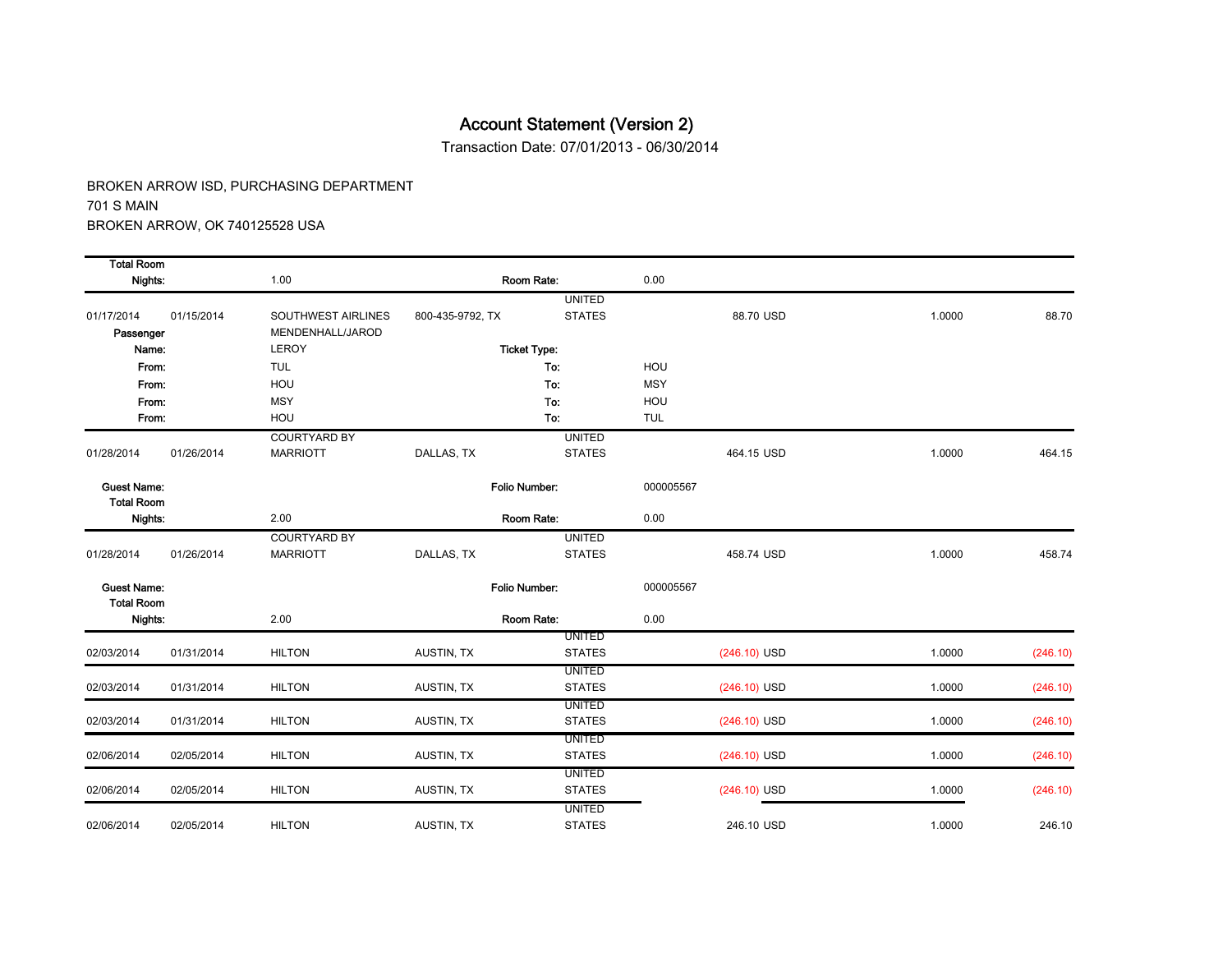Transaction Date: 07/01/2013 - 06/30/2014

| <b>Total Room</b>                       |            |                     |                  |                     |            |                |        |          |
|-----------------------------------------|------------|---------------------|------------------|---------------------|------------|----------------|--------|----------|
| Nights:                                 |            | 1.00                |                  | Room Rate:          | 0.00       |                |        |          |
|                                         |            |                     |                  | <b>UNITED</b>       |            |                |        |          |
| 01/17/2014                              | 01/15/2014 | SOUTHWEST AIRLINES  | 800-435-9792, TX | <b>STATES</b>       |            | 88.70 USD      | 1.0000 | 88.70    |
| Passenger                               |            | MENDENHALL/JAROD    |                  |                     |            |                |        |          |
| Name:                                   |            | <b>LEROY</b>        |                  | <b>Ticket Type:</b> |            |                |        |          |
| From:                                   |            | <b>TUL</b>          |                  | To:                 | HOU        |                |        |          |
| From:                                   |            | HOU                 |                  | To:                 | <b>MSY</b> |                |        |          |
| From:                                   |            | <b>MSY</b>          |                  | To:                 | HOU        |                |        |          |
| From:                                   |            | HOU                 |                  | To:                 | <b>TUL</b> |                |        |          |
|                                         |            | <b>COURTYARD BY</b> |                  | <b>UNITED</b>       |            |                |        |          |
| 01/28/2014                              | 01/26/2014 | <b>MARRIOTT</b>     | DALLAS, TX       | <b>STATES</b>       |            | 464.15 USD     | 1.0000 | 464.15   |
| <b>Guest Name:</b>                      |            |                     |                  | Folio Number:       | 000005567  |                |        |          |
| <b>Total Room</b><br>Nights:            |            | 2.00                |                  | Room Rate:          | 0.00       |                |        |          |
|                                         |            | <b>COURTYARD BY</b> |                  | <b>UNITED</b>       |            |                |        |          |
| 01/28/2014                              | 01/26/2014 | <b>MARRIOTT</b>     | DALLAS, TX       | <b>STATES</b>       |            | 458.74 USD     | 1.0000 | 458.74   |
| <b>Guest Name:</b><br><b>Total Room</b> |            |                     |                  | Folio Number:       | 000005567  |                |        |          |
| Nights:                                 |            | 2.00                |                  | Room Rate:          | 0.00       |                |        |          |
|                                         |            |                     |                  | <b>UNITED</b>       |            |                |        |          |
| 02/03/2014                              | 01/31/2014 | <b>HILTON</b>       | AUSTIN, TX       | <b>STATES</b>       |            | $(246.10)$ USD | 1.0000 | (246.10) |
|                                         |            |                     |                  | <b>UNITED</b>       |            |                |        |          |
| 02/03/2014                              | 01/31/2014 | <b>HILTON</b>       | AUSTIN, TX       | <b>STATES</b>       |            | $(246.10)$ USD | 1.0000 | (246.10) |
|                                         |            |                     |                  | <b>UNITED</b>       |            |                |        |          |
| 02/03/2014                              | 01/31/2014 | <b>HILTON</b>       | AUSTIN, TX       | <b>STATES</b>       |            | $(246.10)$ USD | 1.0000 | (246.10) |
|                                         |            |                     |                  | <b>UNITED</b>       |            |                |        |          |
| 02/06/2014                              | 02/05/2014 | <b>HILTON</b>       | AUSTIN, TX       | <b>STATES</b>       |            | $(246.10)$ USD | 1.0000 | (246.10) |
|                                         |            |                     |                  | <b>UNITED</b>       |            |                |        |          |
| 02/06/2014                              | 02/05/2014 | <b>HILTON</b>       | AUSTIN, TX       | <b>STATES</b>       |            | $(246.10)$ USD | 1.0000 | (246.10) |
|                                         |            |                     |                  | <b>UNITED</b>       |            |                |        |          |
| 02/06/2014                              | 02/05/2014 | <b>HILTON</b>       | AUSTIN, TX       | <b>STATES</b>       |            | 246.10 USD     | 1.0000 | 246.10   |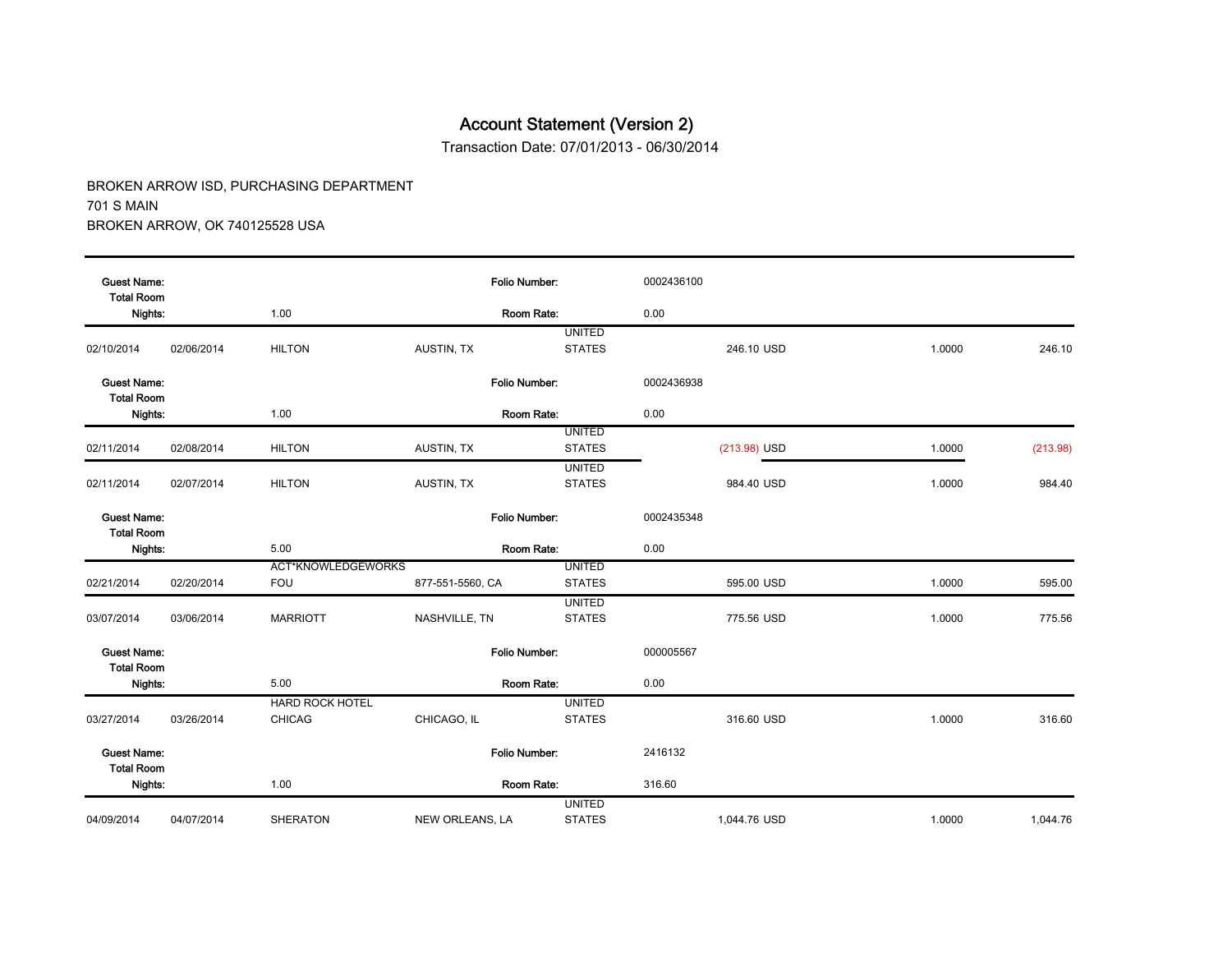Transaction Date: 07/01/2013 - 06/30/2014

| <b>Guest Name:</b>                      |            |                           | Folio Number:        |               | 0002436100 |              |        |          |
|-----------------------------------------|------------|---------------------------|----------------------|---------------|------------|--------------|--------|----------|
| <b>Total Room</b><br>Nights:            |            | 1.00                      | Room Rate:           |               | 0.00       |              |        |          |
|                                         |            |                           |                      | <b>UNITED</b> |            |              |        |          |
| 02/10/2014                              | 02/06/2014 | <b>HILTON</b>             | AUSTIN, TX           | <b>STATES</b> |            | 246.10 USD   | 1.0000 | 246.10   |
| <b>Guest Name:</b><br><b>Total Room</b> |            |                           | Folio Number:        |               | 0002436938 |              |        |          |
| Nights:                                 |            | 1.00                      | Room Rate:           |               | 0.00       |              |        |          |
|                                         |            |                           |                      | <b>UNITED</b> |            |              |        |          |
| 02/11/2014                              | 02/08/2014 | <b>HILTON</b>             | AUSTIN, TX           | <b>STATES</b> |            | (213.98) USD | 1.0000 | (213.98) |
|                                         |            |                           |                      | <b>UNITED</b> |            |              |        |          |
| 02/11/2014                              | 02/07/2014 | <b>HILTON</b>             | AUSTIN, TX           | <b>STATES</b> |            | 984.40 USD   | 1.0000 | 984.40   |
| <b>Guest Name:</b><br><b>Total Room</b> |            |                           | Folio Number:        |               | 0002435348 |              |        |          |
| Nights:                                 |            | 5.00                      | Room Rate:           |               | 0.00       |              |        |          |
|                                         |            | <b>ACT*KNOWLEDGEWORKS</b> |                      | <b>UNITED</b> |            |              |        |          |
| 02/21/2014                              | 02/20/2014 | <b>FOU</b>                | 877-551-5560, CA     | <b>STATES</b> |            | 595.00 USD   | 1.0000 | 595.00   |
|                                         |            |                           |                      | <b>UNITED</b> |            |              |        |          |
| 03/07/2014                              | 03/06/2014 | <b>MARRIOTT</b>           | NASHVILLE, TN        | <b>STATES</b> |            | 775.56 USD   | 1.0000 | 775.56   |
| <b>Guest Name:</b><br><b>Total Room</b> |            |                           | Folio Number:        |               | 000005567  |              |        |          |
| Nights:                                 |            | 5.00                      | Room Rate:           |               | 0.00       |              |        |          |
|                                         |            | <b>HARD ROCK HOTEL</b>    |                      | <b>UNITED</b> |            |              |        |          |
| 03/27/2014                              | 03/26/2014 | <b>CHICAG</b>             | CHICAGO, IL          | <b>STATES</b> |            | 316.60 USD   | 1.0000 | 316.60   |
| <b>Guest Name:</b><br><b>Total Room</b> |            |                           | <b>Folio Number:</b> |               | 2416132    |              |        |          |
| Nights:                                 |            | 1.00                      | Room Rate:           |               | 316.60     |              |        |          |
|                                         |            |                           |                      | <b>UNITED</b> |            |              |        |          |
| 04/09/2014                              | 04/07/2014 | <b>SHERATON</b>           | NEW ORLEANS, LA      | <b>STATES</b> |            | 1,044.76 USD | 1.0000 | 1,044.76 |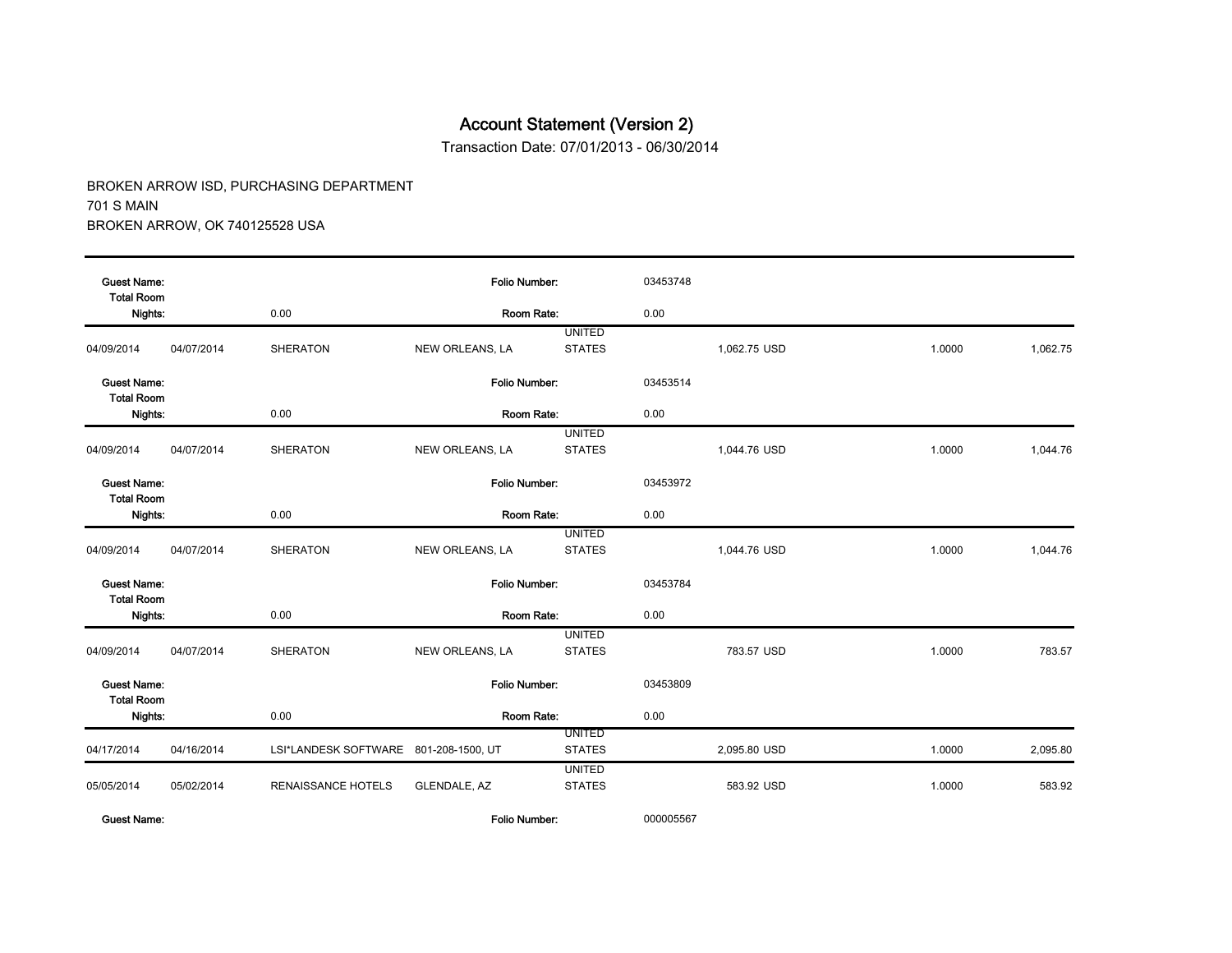Transaction Date: 07/01/2013 - 06/30/2014

BROKEN ARROW ISD, PURCHASING DEPARTMENT 701 S MAIN BROKEN ARROW, OK 740125528 USA

| <b>Guest Name:</b><br><b>Total Room</b> |            |                                       | <b>Folio Number:</b> |                                | 03453748 |              |        |          |
|-----------------------------------------|------------|---------------------------------------|----------------------|--------------------------------|----------|--------------|--------|----------|
| Nights:                                 |            | 0.00                                  | Room Rate:           |                                | 0.00     |              |        |          |
| 04/09/2014                              | 04/07/2014 | <b>SHERATON</b>                       | NEW ORLEANS, LA      | <b>UNITED</b><br><b>STATES</b> |          | 1,062.75 USD | 1.0000 | 1,062.75 |
| <b>Guest Name:</b><br><b>Total Room</b> |            |                                       | Folio Number:        |                                | 03453514 |              |        |          |
| Nights:                                 |            | 0.00                                  | Room Rate:           |                                | 0.00     |              |        |          |
| 04/09/2014                              | 04/07/2014 | <b>SHERATON</b>                       | NEW ORLEANS, LA      | <b>UNITED</b><br><b>STATES</b> |          | 1,044.76 USD | 1.0000 | 1.044.76 |
| <b>Guest Name:</b>                      |            |                                       | Folio Number:        |                                | 03453972 |              |        |          |
| <b>Total Room</b><br>Nights:            |            | 0.00                                  | Room Rate:           |                                | 0.00     |              |        |          |
| 04/09/2014                              | 04/07/2014 | <b>SHERATON</b>                       | NEW ORLEANS, LA      | <b>UNITED</b><br><b>STATES</b> |          | 1,044.76 USD | 1.0000 | 1,044.76 |
| <b>Guest Name:</b><br><b>Total Room</b> |            |                                       | <b>Folio Number:</b> |                                | 03453784 |              |        |          |
| Nights:                                 |            | 0.00                                  | Room Rate:           |                                | 0.00     |              |        |          |
| 04/09/2014                              | 04/07/2014 | <b>SHERATON</b>                       | NEW ORLEANS, LA      | <b>UNITED</b><br><b>STATES</b> |          | 783.57 USD   | 1.0000 | 783.57   |
| <b>Guest Name:</b><br><b>Total Room</b> |            |                                       | Folio Number:        |                                | 03453809 |              |        |          |
| Nights:                                 |            | 0.00                                  | Room Rate:           |                                | 0.00     |              |        |          |
| 04/17/2014                              | 04/16/2014 | LSI*LANDESK SOFTWARE 801-208-1500, UT |                      | <b>UNITED</b><br><b>STATES</b> |          | 2,095.80 USD | 1.0000 | 2,095.80 |
| 05/05/2014                              | 05/02/2014 | <b>RENAISSANCE HOTELS</b>             | GLENDALE, AZ         | <b>UNITED</b><br><b>STATES</b> |          | 583.92 USD   | 1.0000 | 583.92   |

Guest Name: Folio Number: 000005567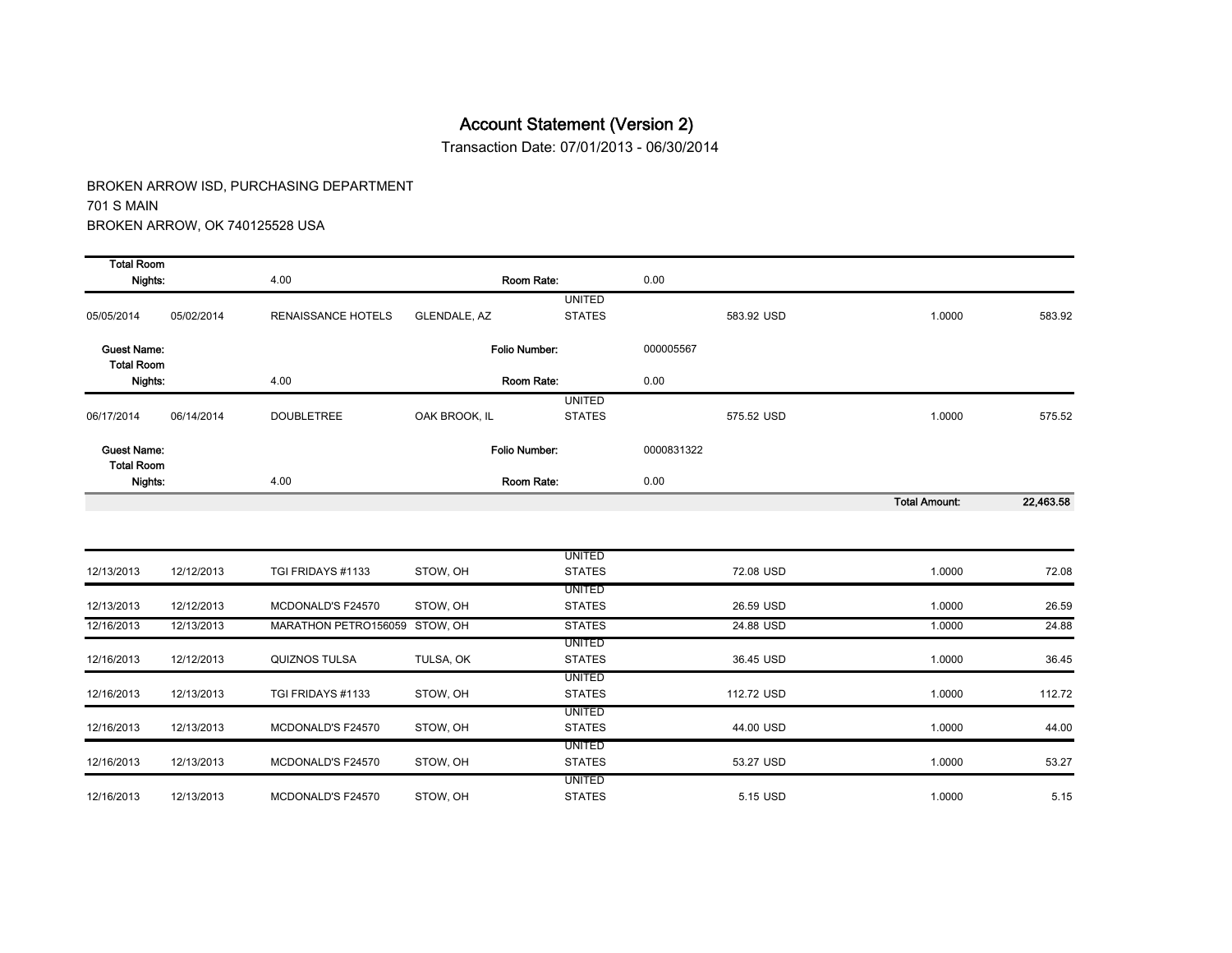Transaction Date: 07/01/2013 - 06/30/2014

| <b>Total Room</b>                       |            |                               |               |                                |            |            |                      |           |
|-----------------------------------------|------------|-------------------------------|---------------|--------------------------------|------------|------------|----------------------|-----------|
| Nights:                                 |            | 4.00                          |               | Room Rate:                     | 0.00       |            |                      |           |
|                                         |            |                               |               | <b>UNITED</b>                  |            |            |                      |           |
| 05/05/2014                              | 05/02/2014 | <b>RENAISSANCE HOTELS</b>     | GLENDALE, AZ  | <b>STATES</b>                  |            | 583.92 USD | 1.0000               | 583.92    |
| <b>Guest Name:</b><br><b>Total Room</b> |            |                               |               | Folio Number:                  | 000005567  |            |                      |           |
| Nights:                                 |            | 4.00                          |               | Room Rate:                     | 0.00       |            |                      |           |
|                                         |            |                               |               | <b>UNITED</b>                  |            |            |                      |           |
| 06/17/2014                              | 06/14/2014 | <b>DOUBLETREE</b>             | OAK BROOK, IL | <b>STATES</b>                  |            | 575.52 USD | 1.0000               | 575.52    |
| Guest Name:<br><b>Total Room</b>        |            |                               |               | Folio Number:                  | 0000831322 |            |                      |           |
| Nights:                                 |            | 4.00                          |               | Room Rate:                     | 0.00       |            |                      |           |
|                                         |            |                               |               |                                |            |            | <b>Total Amount:</b> | 22,463.58 |
|                                         |            |                               |               |                                |            |            |                      |           |
| 12/13/2013                              | 12/12/2013 | TGI FRIDAYS #1133             | STOW, OH      | <b>UNITED</b><br><b>STATES</b> |            | 72.08 USD  | 1.0000               | 72.08     |
|                                         |            |                               |               | <b>UNITED</b>                  |            |            |                      |           |
| 12/13/2013                              | 12/12/2013 | MCDONALD'S F24570             | STOW, OH      | <b>STATES</b>                  |            | 26.59 USD  | 1.0000               | 26.59     |
| 12/16/2013                              | 12/13/2013 | MARATHON PETRO156059 STOW, OH |               | <b>STATES</b>                  |            | 24.88 USD  | 1.0000               | 24.88     |
|                                         |            |                               |               | <b>UNITED</b>                  |            |            |                      |           |
| 12/16/2013                              | 12/12/2013 | <b>QUIZNOS TULSA</b>          | TULSA, OK     | <b>STATES</b><br><b>UNITED</b> |            | 36.45 USD  | 1.0000               | 36.45     |
| 12/16/2013                              | 12/13/2013 | TGI FRIDAYS #1133             | STOW, OH      | <b>STATES</b>                  |            | 112.72 USD | 1.0000               | 112.72    |
|                                         |            |                               |               | <b>UNITED</b>                  |            |            |                      |           |
| 12/16/2013                              | 12/13/2013 | MCDONALD'S F24570             | STOW, OH      | <b>STATES</b>                  |            | 44.00 USD  | 1.0000               | 44.00     |
| 12/16/2013                              | 12/13/2013 | MCDONALD'S F24570             | STOW, OH      | <b>UNITED</b><br><b>STATES</b> |            | 53.27 USD  | 1.0000               | 53.27     |
|                                         |            |                               |               | <b>UNITED</b>                  |            |            |                      |           |
| 12/16/2013                              | 12/13/2013 | MCDONALD'S F24570             | STOW, OH      | <b>STATES</b>                  |            | 5.15 USD   | 1.0000               | 5.15      |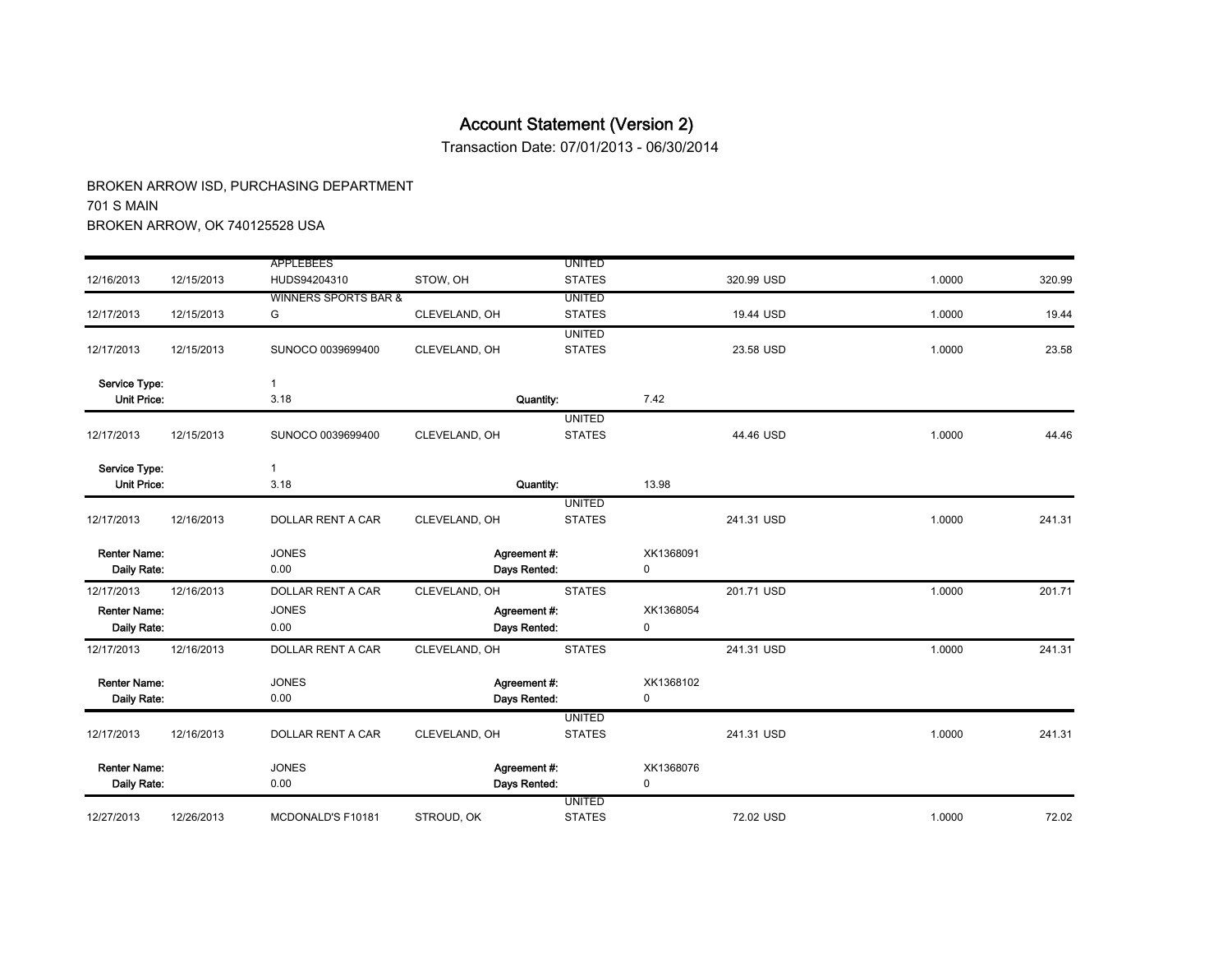Transaction Date: 07/01/2013 - 06/30/2014

|                     |            | <b>APPLEBEES</b>                |               | <b>UNITED</b> |             |            |        |        |
|---------------------|------------|---------------------------------|---------------|---------------|-------------|------------|--------|--------|
| 12/16/2013          | 12/15/2013 | HUDS94204310                    | STOW, OH      | <b>STATES</b> |             | 320.99 USD | 1.0000 | 320.99 |
|                     |            | <b>WINNERS SPORTS BAR &amp;</b> |               | <b>UNITED</b> |             |            |        |        |
| 12/17/2013          | 12/15/2013 | G                               | CLEVELAND, OH | <b>STATES</b> |             | 19.44 USD  | 1.0000 | 19.44  |
|                     |            |                                 |               | <b>UNITED</b> |             |            |        |        |
| 12/17/2013          | 12/15/2013 | SUNOCO 0039699400               | CLEVELAND, OH | <b>STATES</b> |             | 23.58 USD  | 1.0000 | 23.58  |
| Service Type:       |            | $\mathbf{1}$                    |               |               |             |            |        |        |
| <b>Unit Price:</b>  |            | 3.18                            |               | Quantity:     | 7.42        |            |        |        |
|                     |            |                                 |               | <b>UNITED</b> |             |            |        |        |
| 12/17/2013          | 12/15/2013 | SUNOCO 0039699400               | CLEVELAND, OH | <b>STATES</b> |             | 44.46 USD  | 1.0000 | 44.46  |
| Service Type:       |            | $\mathbf{1}$                    |               |               |             |            |        |        |
| <b>Unit Price:</b>  |            | 3.18                            |               | Quantity:     | 13.98       |            |        |        |
|                     |            |                                 |               | <b>UNITED</b> |             |            |        |        |
| 12/17/2013          | 12/16/2013 | DOLLAR RENT A CAR               | CLEVELAND, OH | <b>STATES</b> |             | 241.31 USD | 1.0000 | 241.31 |
| <b>Renter Name:</b> |            | <b>JONES</b>                    | Agreement #:  |               | XK1368091   |            |        |        |
| Daily Rate:         |            | 0.00                            | Days Rented:  |               | 0           |            |        |        |
| 12/17/2013          | 12/16/2013 | DOLLAR RENT A CAR               | CLEVELAND, OH | <b>STATES</b> |             | 201.71 USD | 1.0000 | 201.71 |
| <b>Renter Name:</b> |            | <b>JONES</b>                    | Agreement #:  |               | XK1368054   |            |        |        |
| Daily Rate:         |            | 0.00                            | Days Rented:  |               | 0           |            |        |        |
| 12/17/2013          | 12/16/2013 | <b>DOLLAR RENT A CAR</b>        | CLEVELAND, OH | <b>STATES</b> |             | 241.31 USD | 1.0000 | 241.31 |
| <b>Renter Name:</b> |            | <b>JONES</b>                    | Agreement #:  |               | XK1368102   |            |        |        |
| Daily Rate:         |            | 0.00                            | Days Rented:  |               | 0           |            |        |        |
|                     |            |                                 |               | <b>UNITED</b> |             |            |        |        |
| 12/17/2013          | 12/16/2013 | DOLLAR RENT A CAR               | CLEVELAND, OH | <b>STATES</b> |             | 241.31 USD | 1.0000 | 241.31 |
| <b>Renter Name:</b> |            | <b>JONES</b>                    | Agreement #:  |               | XK1368076   |            |        |        |
| Daily Rate:         |            | 0.00                            | Days Rented:  |               | $\mathbf 0$ |            |        |        |
|                     |            |                                 |               | <b>UNITED</b> |             |            |        |        |
| 12/27/2013          | 12/26/2013 | MCDONALD'S F10181               | STROUD, OK    | <b>STATES</b> |             | 72.02 USD  | 1.0000 | 72.02  |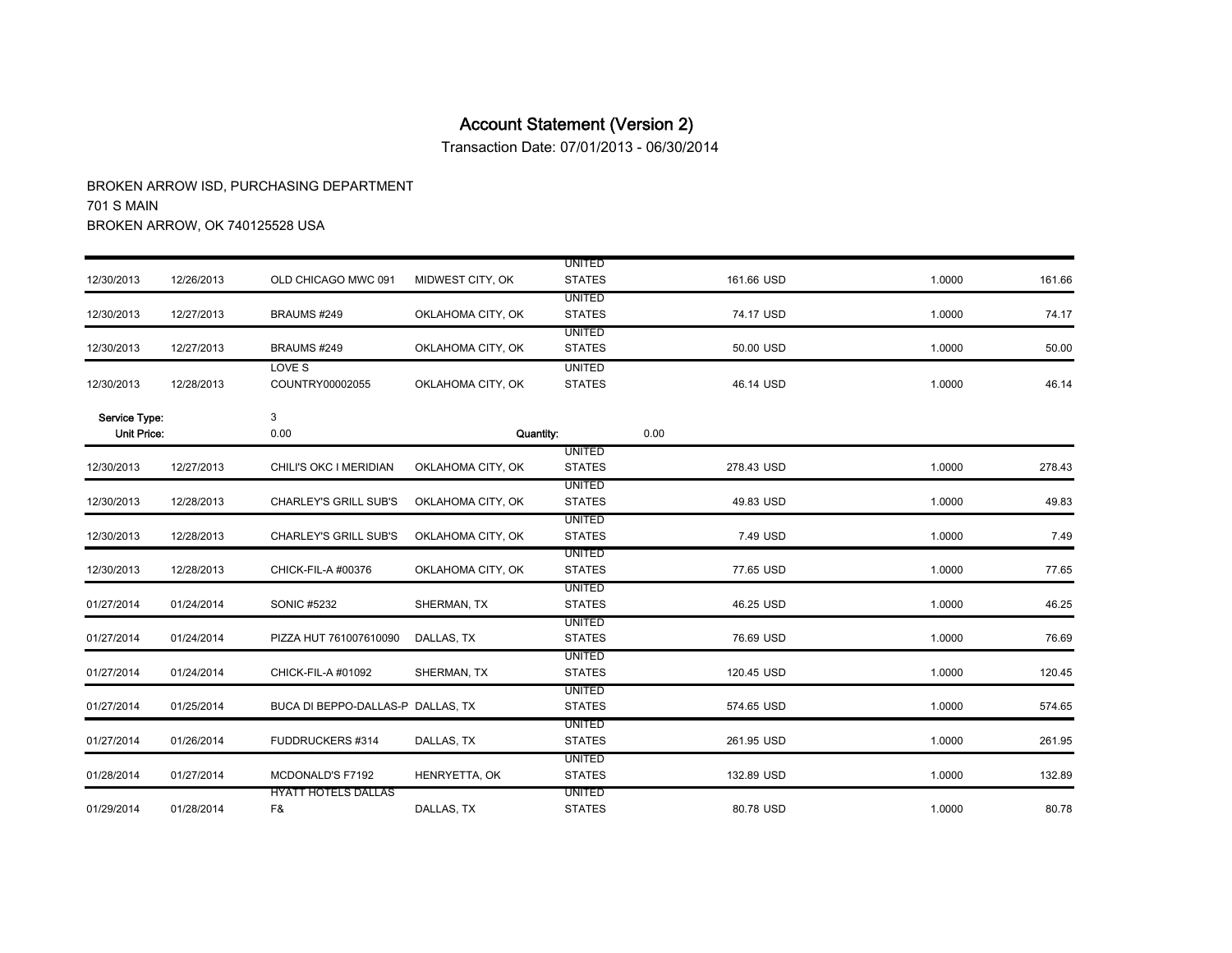Transaction Date: 07/01/2013 - 06/30/2014

|                    |            |                                   |                   | <b>UNITED</b> |            |        |        |
|--------------------|------------|-----------------------------------|-------------------|---------------|------------|--------|--------|
| 12/30/2013         | 12/26/2013 | OLD CHICAGO MWC 091               | MIDWEST CITY, OK  | <b>STATES</b> | 161.66 USD | 1.0000 | 161.66 |
|                    |            |                                   |                   | <b>UNITED</b> |            |        |        |
| 12/30/2013         | 12/27/2013 | BRAUMS #249                       | OKLAHOMA CITY, OK | <b>STATES</b> | 74.17 USD  | 1.0000 | 74.17  |
|                    |            |                                   |                   | <b>UNITED</b> |            |        |        |
| 12/30/2013         | 12/27/2013 | BRAUMS #249                       | OKLAHOMA CITY, OK | <b>STATES</b> | 50.00 USD  | 1.0000 | 50.00  |
|                    |            | LOVE S                            |                   | <b>UNITED</b> |            |        |        |
| 12/30/2013         | 12/28/2013 | COUNTRY00002055                   | OKLAHOMA CITY, OK | <b>STATES</b> | 46.14 USD  | 1.0000 | 46.14  |
| Service Type:      |            | 3                                 |                   |               |            |        |        |
| <b>Unit Price:</b> |            | 0.00                              | Quantity:         |               | 0.00       |        |        |
|                    |            |                                   |                   | <b>UNITED</b> |            |        |        |
| 12/30/2013         | 12/27/2013 | CHILI'S OKC I MERIDIAN            | OKLAHOMA CITY, OK | <b>STATES</b> | 278.43 USD | 1.0000 | 278.43 |
|                    |            |                                   |                   | <b>UNITED</b> |            |        |        |
| 12/30/2013         | 12/28/2013 | <b>CHARLEY'S GRILL SUB'S</b>      | OKLAHOMA CITY, OK | <b>STATES</b> | 49.83 USD  | 1.0000 | 49.83  |
|                    |            |                                   |                   | <b>UNITED</b> |            |        |        |
| 12/30/2013         | 12/28/2013 | <b>CHARLEY'S GRILL SUB'S</b>      | OKLAHOMA CITY, OK | <b>STATES</b> | 7.49 USD   | 1.0000 | 7.49   |
|                    |            |                                   |                   | <b>UNITED</b> |            |        |        |
| 12/30/2013         | 12/28/2013 | CHICK-FIL-A #00376                | OKLAHOMA CITY, OK | <b>STATES</b> | 77.65 USD  | 1.0000 | 77.65  |
|                    |            |                                   |                   | <b>UNITED</b> |            |        |        |
| 01/27/2014         | 01/24/2014 | SONIC #5232                       | SHERMAN, TX       | <b>STATES</b> | 46.25 USD  | 1.0000 | 46.25  |
|                    |            |                                   |                   | <b>UNITED</b> |            |        |        |
| 01/27/2014         | 01/24/2014 | PIZZA HUT 761007610090            | DALLAS, TX        | <b>STATES</b> | 76.69 USD  | 1.0000 | 76.69  |
|                    |            |                                   |                   | <b>UNITED</b> |            |        |        |
| 01/27/2014         | 01/24/2014 | CHICK-FIL-A #01092                | SHERMAN, TX       | <b>STATES</b> | 120.45 USD | 1.0000 | 120.45 |
|                    |            |                                   |                   | <b>UNITED</b> |            |        |        |
| 01/27/2014         | 01/25/2014 | BUCA DI BEPPO-DALLAS-P DALLAS. TX |                   | <b>STATES</b> | 574.65 USD | 1.0000 | 574.65 |
|                    |            |                                   |                   | <b>UNITED</b> |            |        |        |
| 01/27/2014         | 01/26/2014 | FUDDRUCKERS #314                  | DALLAS, TX        | <b>STATES</b> | 261.95 USD | 1.0000 | 261.95 |
|                    |            |                                   |                   | <b>UNITED</b> |            |        |        |
| 01/28/2014         | 01/27/2014 | MCDONALD'S F7192                  | HENRYETTA, OK     | <b>STATES</b> | 132.89 USD | 1.0000 | 132.89 |
|                    |            | <b>HYATT HOTELS DALLAS</b>        |                   | <b>UNITED</b> |            |        |        |
| 01/29/2014         | 01/28/2014 | F&                                | DALLAS, TX        | <b>STATES</b> | 80.78 USD  | 1.0000 | 80.78  |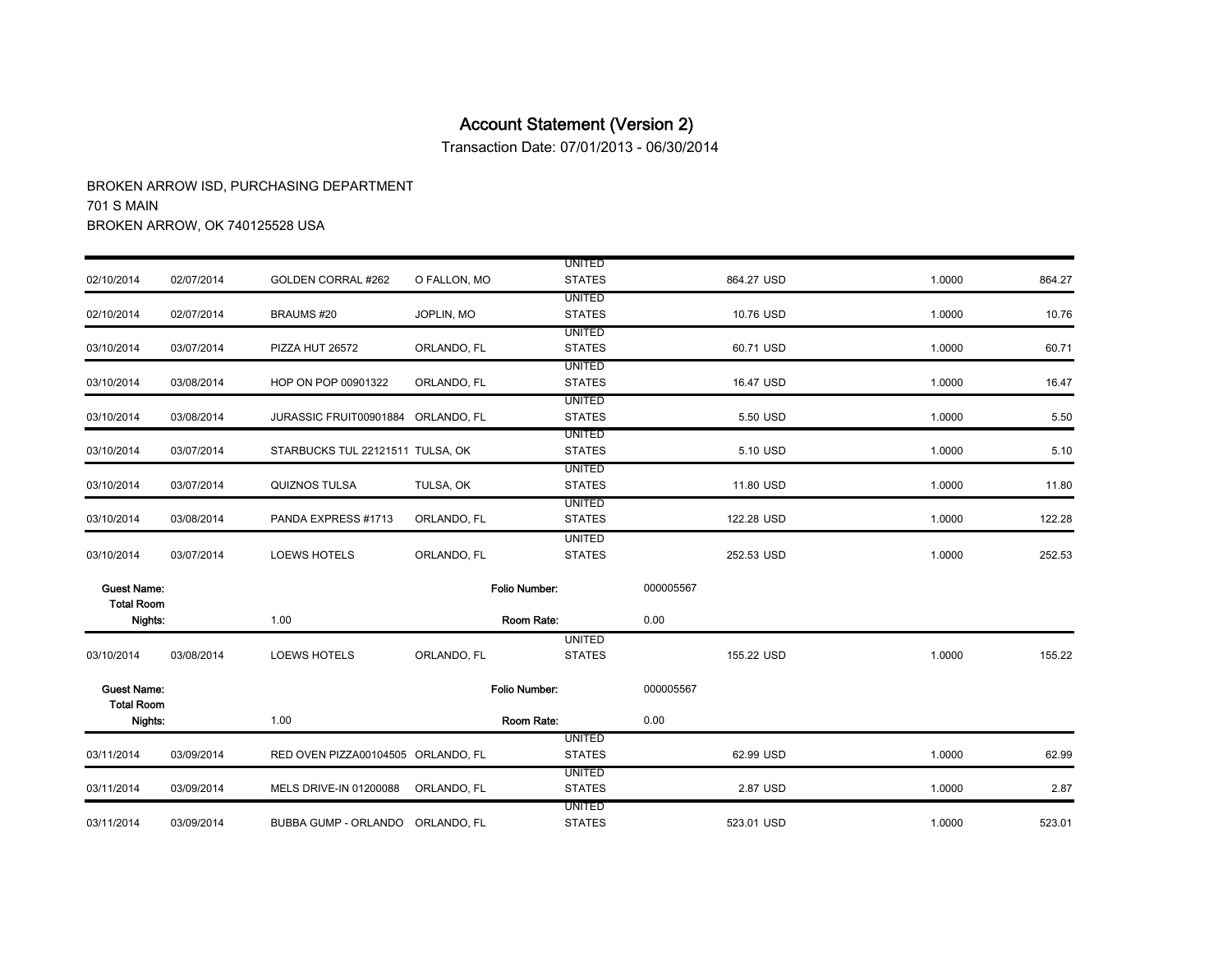Transaction Date: 07/01/2013 - 06/30/2014

| 864.27                                                                                                               |
|----------------------------------------------------------------------------------------------------------------------|
|                                                                                                                      |
|                                                                                                                      |
| 10.76                                                                                                                |
|                                                                                                                      |
| 60.71                                                                                                                |
| 16.47                                                                                                                |
|                                                                                                                      |
| 5.50                                                                                                                 |
|                                                                                                                      |
| 5.10                                                                                                                 |
| 11.80                                                                                                                |
|                                                                                                                      |
| 122.28                                                                                                               |
|                                                                                                                      |
| 252.53                                                                                                               |
|                                                                                                                      |
|                                                                                                                      |
|                                                                                                                      |
|                                                                                                                      |
| 155.22                                                                                                               |
|                                                                                                                      |
|                                                                                                                      |
|                                                                                                                      |
|                                                                                                                      |
| 62.99                                                                                                                |
| 2.87                                                                                                                 |
|                                                                                                                      |
| 523.01                                                                                                               |
| 1.0000<br>1.0000<br>1.0000<br>1.0000<br>1.0000<br>1.0000<br>1.0000<br>1.0000<br>1.0000<br>1.0000<br>1.0000<br>1.0000 |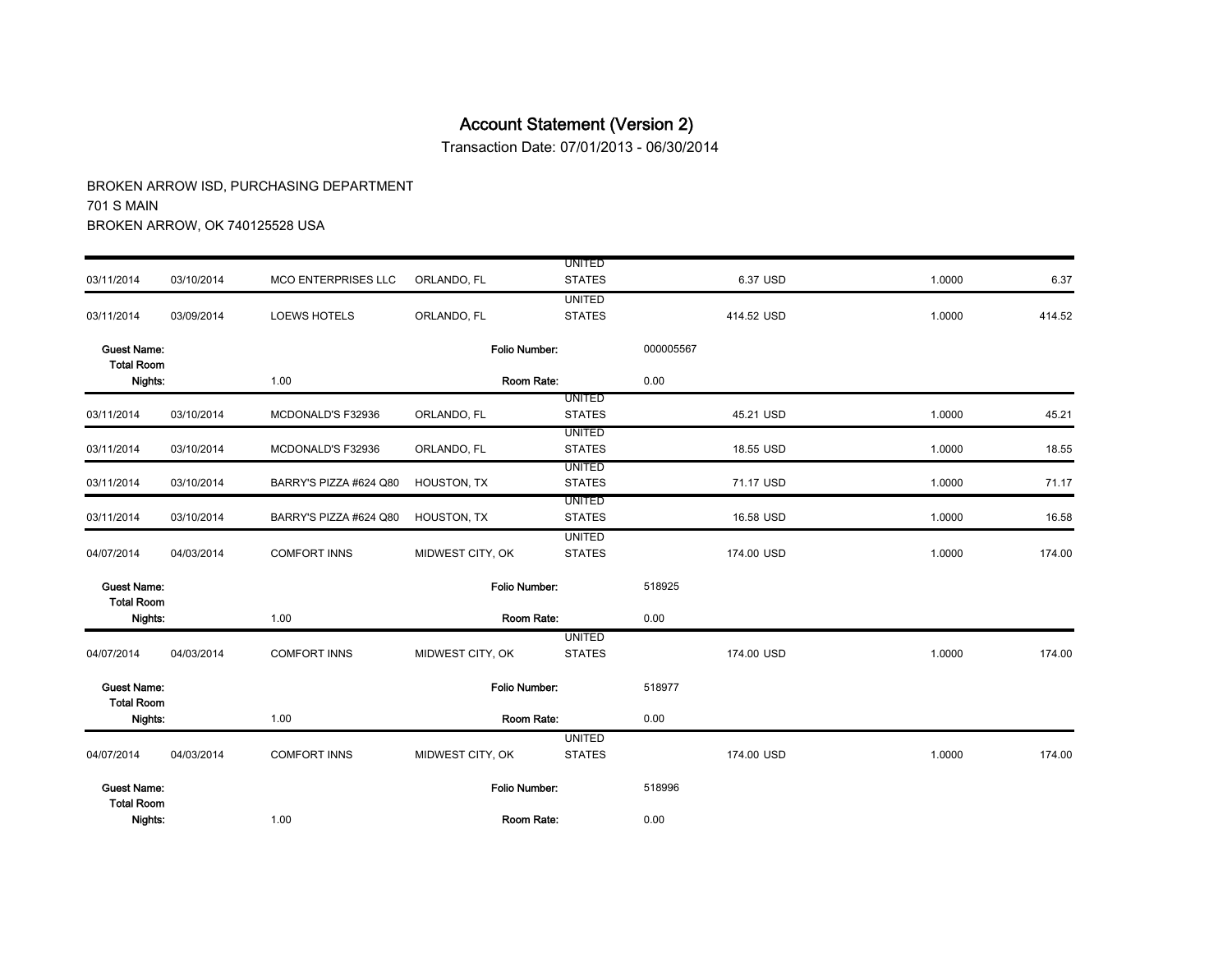Transaction Date: 07/01/2013 - 06/30/2014

|                                         |            |                        |                      | <b>UNITED</b>                  |           |            |        |        |
|-----------------------------------------|------------|------------------------|----------------------|--------------------------------|-----------|------------|--------|--------|
| 03/11/2014                              | 03/10/2014 | MCO ENTERPRISES LLC    | ORLANDO, FL          | <b>STATES</b>                  |           | 6.37 USD   | 1.0000 | 6.37   |
|                                         |            |                        |                      | <b>UNITED</b>                  |           |            |        |        |
| 03/11/2014                              | 03/09/2014 | <b>LOEWS HOTELS</b>    | ORLANDO, FL          | <b>STATES</b>                  |           | 414.52 USD | 1.0000 | 414.52 |
| <b>Guest Name:</b><br><b>Total Room</b> |            |                        | Folio Number:        |                                | 000005567 |            |        |        |
| Nights:                                 |            | 1.00                   | Room Rate:           |                                | 0.00      |            |        |        |
|                                         |            |                        |                      | <b>UNITED</b>                  |           |            |        |        |
| 03/11/2014                              | 03/10/2014 | MCDONALD'S F32936      | ORLANDO, FL          | <b>STATES</b>                  |           | 45.21 USD  | 1.0000 | 45.21  |
| 03/11/2014                              | 03/10/2014 | MCDONALD'S F32936      | ORLANDO, FL          | <b>UNITED</b><br><b>STATES</b> |           | 18.55 USD  | 1.0000 | 18.55  |
|                                         |            |                        |                      | <b>UNITED</b>                  |           |            |        |        |
| 03/11/2014                              | 03/10/2014 | BARRY'S PIZZA #624 Q80 | HOUSTON, TX          | <b>STATES</b>                  |           | 71.17 USD  | 1.0000 | 71.17  |
| 03/11/2014                              | 03/10/2014 | BARRY'S PIZZA #624 Q80 | HOUSTON, TX          | <b>UNITED</b><br><b>STATES</b> |           | 16.58 USD  | 1.0000 | 16.58  |
| 04/07/2014                              | 04/03/2014 | <b>COMFORT INNS</b>    | MIDWEST CITY, OK     | <b>UNITED</b><br><b>STATES</b> |           | 174.00 USD | 1.0000 | 174.00 |
| <b>Guest Name:</b><br><b>Total Room</b> |            |                        | <b>Folio Number:</b> |                                | 518925    |            |        |        |
| Nights:                                 |            | 1.00                   | Room Rate:           |                                | 0.00      |            |        |        |
|                                         |            |                        |                      | <b>UNITED</b>                  |           |            |        |        |
| 04/07/2014                              | 04/03/2014 | <b>COMFORT INNS</b>    | MIDWEST CITY, OK     | <b>STATES</b>                  |           | 174.00 USD | 1.0000 | 174.00 |
| <b>Guest Name:</b><br><b>Total Room</b> |            |                        | Folio Number:        |                                | 518977    |            |        |        |
| Nights:                                 |            | 1.00                   | Room Rate:           |                                | 0.00      |            |        |        |
|                                         |            |                        |                      | <b>UNITED</b>                  |           |            |        |        |
| 04/07/2014                              | 04/03/2014 | <b>COMFORT INNS</b>    | MIDWEST CITY, OK     | <b>STATES</b>                  |           | 174.00 USD | 1.0000 | 174.00 |
| <b>Guest Name:</b>                      |            |                        | Folio Number:        |                                | 518996    |            |        |        |
| <b>Total Room</b><br>Nights:            |            | 1.00                   | Room Rate:           |                                | 0.00      |            |        |        |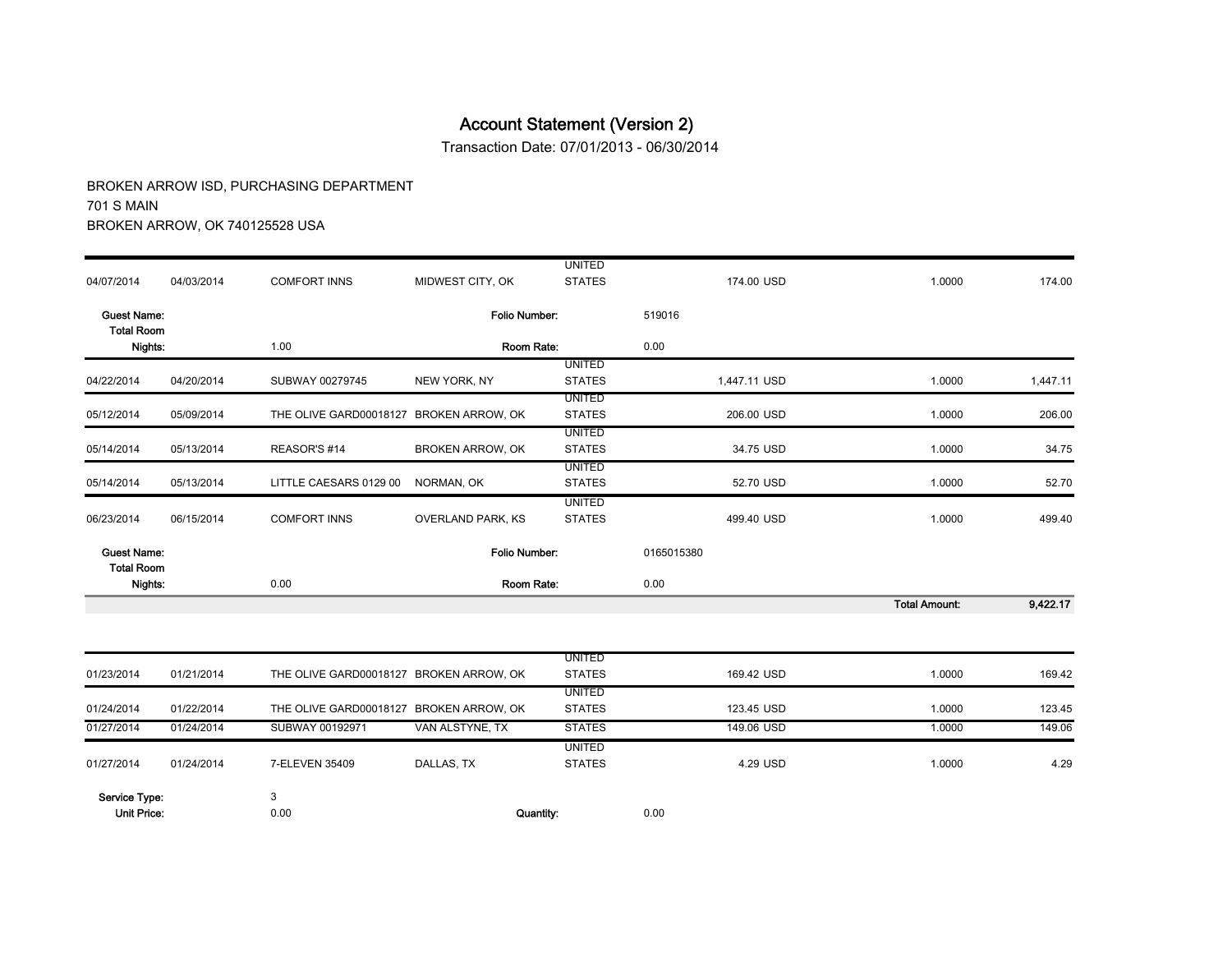Transaction Date: 07/01/2013 - 06/30/2014

|                                         |            |                                         |                          | <b>UNITED</b>                  |              |                      |          |
|-----------------------------------------|------------|-----------------------------------------|--------------------------|--------------------------------|--------------|----------------------|----------|
| 04/07/2014                              | 04/03/2014 | <b>COMFORT INNS</b>                     | MIDWEST CITY, OK         | <b>STATES</b>                  | 174.00 USD   | 1.0000               | 174.00   |
| <b>Guest Name:</b><br><b>Total Room</b> |            |                                         | Folio Number:            |                                | 519016       |                      |          |
| Nights:                                 |            | 1.00                                    | Room Rate:               |                                | 0.00         |                      |          |
| 04/22/2014                              | 04/20/2014 | SUBWAY 00279745                         | NEW YORK, NY             | <b>UNITED</b><br><b>STATES</b> | 1,447.11 USD | 1.0000               | 1,447.11 |
| 05/12/2014                              | 05/09/2014 | THE OLIVE GARD00018127 BROKEN ARROW, OK |                          | <b>UNITED</b><br><b>STATES</b> | 206.00 USD   | 1.0000               | 206.00   |
|                                         |            |                                         |                          | <b>UNITED</b>                  |              |                      |          |
| 05/14/2014                              | 05/13/2014 | REASOR'S #14                            | <b>BROKEN ARROW, OK</b>  | <b>STATES</b>                  | 34.75 USD    | 1.0000               | 34.75    |
| 05/14/2014                              | 05/13/2014 | LITTLE CAESARS 0129 00                  | NORMAN, OK               | <b>UNITED</b><br><b>STATES</b> | 52.70 USD    | 1.0000               | 52.70    |
| 06/23/2014                              | 06/15/2014 | <b>COMFORT INNS</b>                     | <b>OVERLAND PARK, KS</b> | <b>UNITED</b><br><b>STATES</b> | 499.40 USD   | 1.0000               | 499.40   |
| <b>Guest Name:</b><br><b>Total Room</b> |            |                                         | Folio Number:            |                                | 0165015380   |                      |          |
| Nights:                                 |            | 0.00                                    | Room Rate:               |                                | 0.00         |                      |          |
|                                         |            |                                         |                          |                                |              | <b>Total Amount:</b> | 9,422.17 |
|                                         |            |                                         |                          | <b>UNITED</b>                  |              |                      |          |
| 01/23/2014                              | 01/21/2014 | THE OLIVE GARD00018127 BROKEN ARROW, OK |                          | <b>STATES</b>                  | 169.42 USD   | 1.0000               | 169.42   |
| 01/24/2014                              | 01/22/2014 | THE OLIVE GARD00018127 BROKEN ARROW, OK |                          | <b>UNITED</b><br><b>STATES</b> | 123.45 USD   | 1.0000               | 123.45   |
| 01/27/2014                              | 01/24/2014 | SUBWAY 00192971                         | VAN ALSTYNE, TX          | <b>STATES</b>                  | 149.06 USD   | 1.0000               | 149.06   |
| 01/27/2014                              | 01/24/2014 | 7-ELEVEN 35409                          | DALLAS, TX               | <b>UNITED</b><br><b>STATES</b> | 4.29 USD     | 1.0000               | 4.29     |
|                                         |            |                                         |                          |                                |              |                      |          |
| Service Type:                           |            | 3                                       |                          |                                |              |                      |          |
| <b>Unit Price:</b>                      |            | 0.00                                    | Quantity:                |                                | 0.00         |                      |          |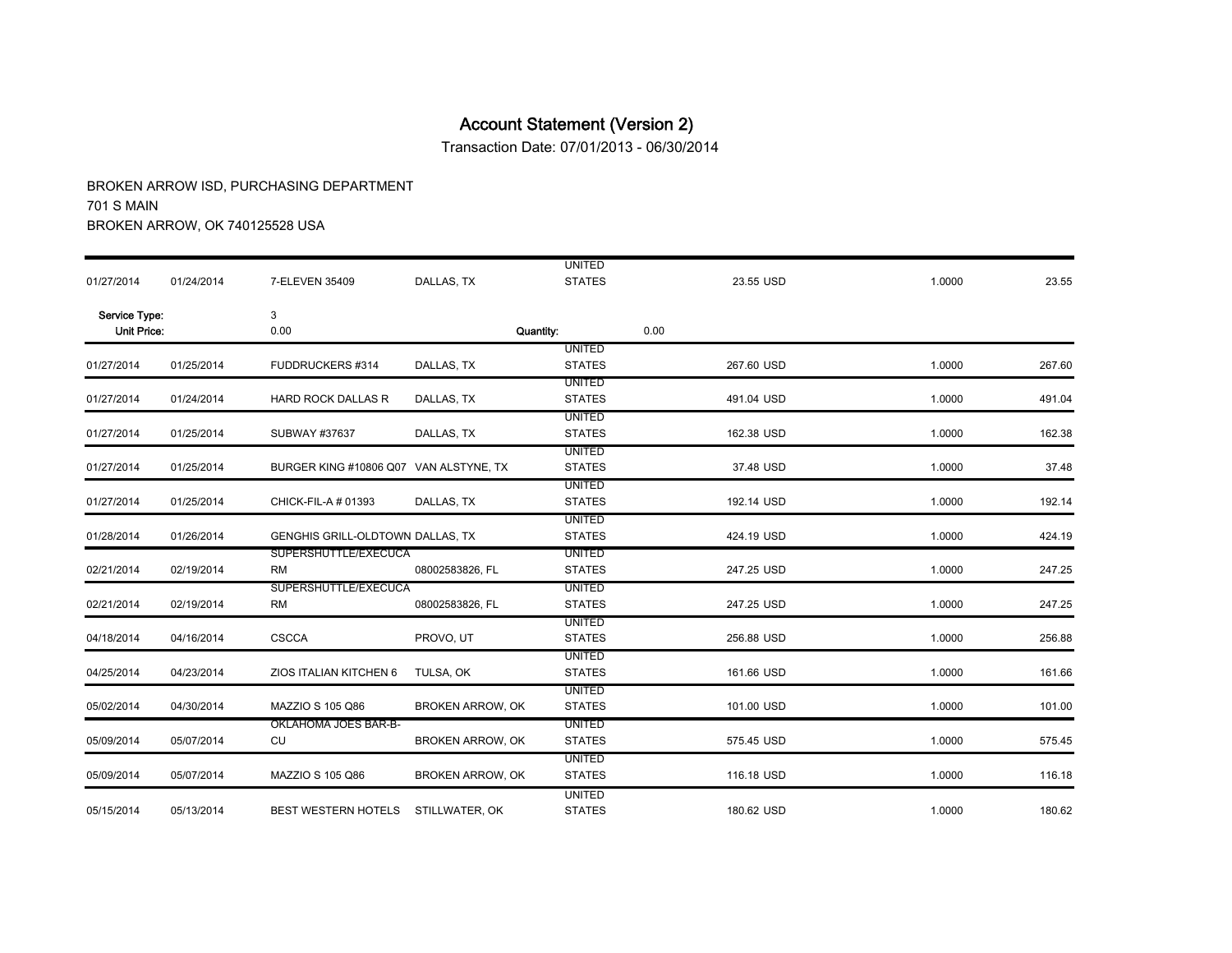Transaction Date: 07/01/2013 - 06/30/2014

|                    |            |                                        |                         | <b>UNITED</b>                  |            |        |        |
|--------------------|------------|----------------------------------------|-------------------------|--------------------------------|------------|--------|--------|
| 01/27/2014         | 01/24/2014 | 7-ELEVEN 35409                         | DALLAS, TX              | <b>STATES</b>                  | 23.55 USD  | 1.0000 | 23.55  |
| Service Type:      |            | 3                                      |                         |                                |            |        |        |
| <b>Unit Price:</b> |            | 0.00                                   |                         | Quantity:                      | 0.00       |        |        |
|                    |            |                                        |                         | <b>UNITED</b>                  |            |        |        |
| 01/27/2014         | 01/25/2014 | FUDDRUCKERS #314                       | DALLAS, TX              | <b>STATES</b>                  | 267.60 USD | 1.0000 | 267.60 |
|                    |            |                                        |                         | <b>UNITED</b>                  |            |        |        |
| 01/27/2014         | 01/24/2014 | <b>HARD ROCK DALLAS R</b>              | DALLAS, TX              | <b>STATES</b>                  | 491.04 USD | 1.0000 | 491.04 |
|                    |            |                                        |                         | <b>UNITED</b>                  |            |        |        |
| 01/27/2014         | 01/25/2014 | SUBWAY #37637                          | DALLAS, TX              | <b>STATES</b>                  | 162.38 USD | 1.0000 | 162.38 |
|                    |            |                                        |                         | <b>UNITED</b>                  |            |        |        |
| 01/27/2014         | 01/25/2014 | BURGER KING #10806 Q07 VAN ALSTYNE, TX |                         | <b>STATES</b>                  | 37.48 USD  | 1.0000 | 37.48  |
| 01/27/2014         | 01/25/2014 | CHICK-FIL-A # 01393                    | DALLAS, TX              | <b>UNITED</b><br><b>STATES</b> | 192.14 USD | 1.0000 | 192.14 |
|                    |            |                                        |                         | <b>UNITED</b>                  |            |        |        |
| 01/28/2014         | 01/26/2014 | GENGHIS GRILL-OLDTOWN DALLAS, TX       |                         | <b>STATES</b>                  | 424.19 USD | 1.0000 | 424.19 |
|                    |            | SUPERSHUTTLE/EXECUCA                   |                         | <b>UNITED</b>                  |            |        |        |
| 02/21/2014         | 02/19/2014 | <b>RM</b>                              | 08002583826, FL         | <b>STATES</b>                  | 247.25 USD | 1.0000 | 247.25 |
|                    |            | SUPERSHUTTLE/EXECUCA                   |                         | <b>UNITED</b>                  |            |        |        |
| 02/21/2014         | 02/19/2014 | <b>RM</b>                              | 08002583826, FL         | <b>STATES</b>                  | 247.25 USD | 1.0000 | 247.25 |
|                    |            |                                        |                         | <b>UNITED</b>                  |            |        |        |
| 04/18/2014         | 04/16/2014 | <b>CSCCA</b>                           | PROVO, UT               | <b>STATES</b>                  | 256.88 USD | 1.0000 | 256.88 |
|                    |            |                                        |                         | <b>UNITED</b>                  |            |        |        |
| 04/25/2014         | 04/23/2014 | ZIOS ITALIAN KITCHEN 6                 | TULSA, OK               | <b>STATES</b>                  | 161.66 USD | 1.0000 | 161.66 |
|                    |            |                                        |                         | <b>UNITED</b>                  |            |        |        |
| 05/02/2014         | 04/30/2014 | MAZZIO S 105 Q86                       | <b>BROKEN ARROW, OK</b> | <b>STATES</b>                  | 101.00 USD | 1.0000 | 101.00 |
|                    |            | OKLAHOMA JOES BAR-B-                   |                         | <b>UNITED</b>                  |            |        |        |
| 05/09/2014         | 05/07/2014 | CU                                     | <b>BROKEN ARROW, OK</b> | <b>STATES</b>                  | 575.45 USD | 1.0000 | 575.45 |
|                    |            |                                        |                         | <b>UNITED</b>                  |            |        |        |
| 05/09/2014         | 05/07/2014 | MAZZIO S 105 Q86                       | <b>BROKEN ARROW, OK</b> | <b>STATES</b>                  | 116.18 USD | 1.0000 | 116.18 |
|                    |            |                                        |                         | <b>UNITED</b>                  |            |        |        |
| 05/15/2014         | 05/13/2014 | BEST WESTERN HOTELS                    | STILLWATER, OK          | <b>STATES</b>                  | 180.62 USD | 1.0000 | 180.62 |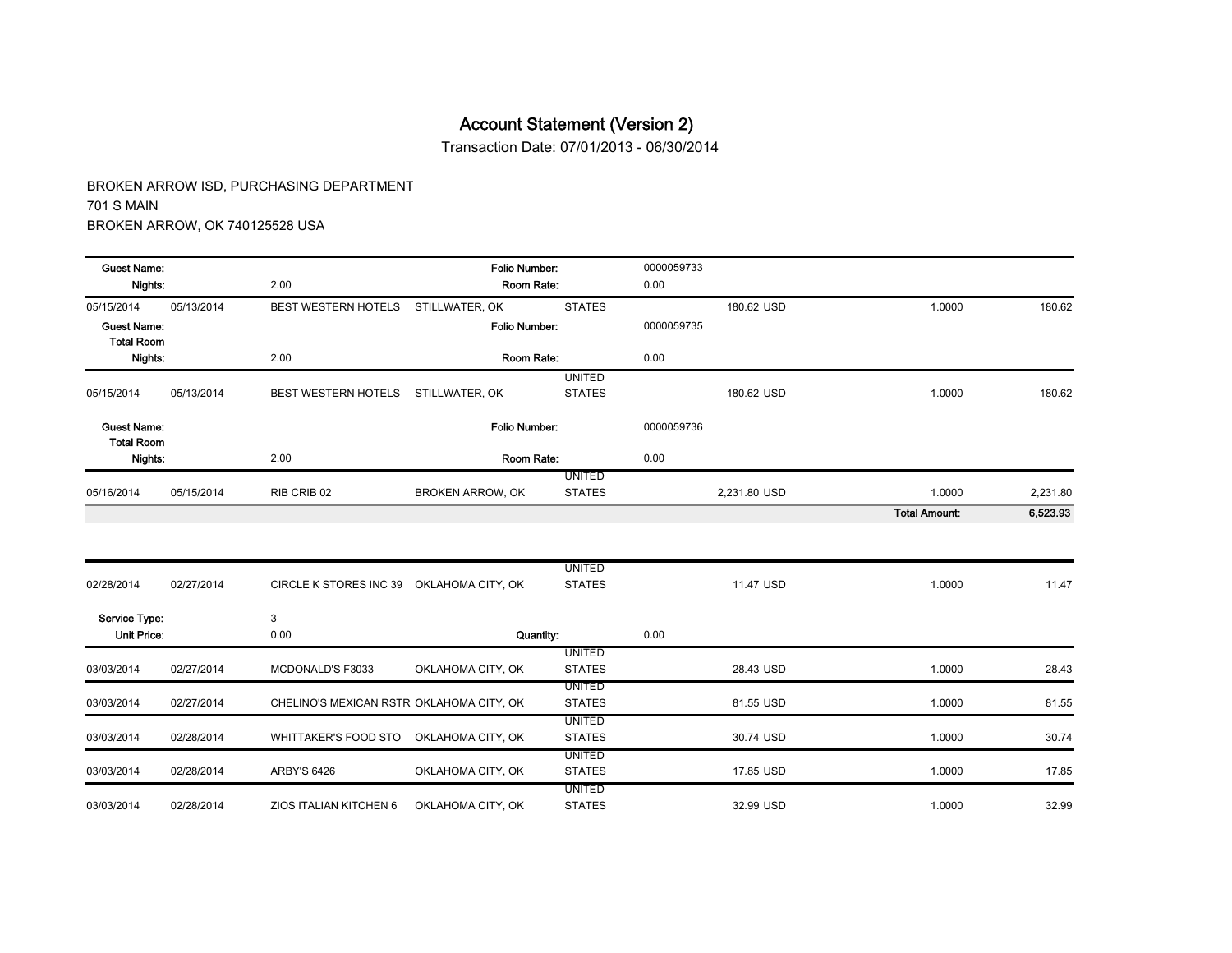Transaction Date: 07/01/2013 - 06/30/2014

| <b>Guest Name:</b>                      |            |                                          | Folio Number:           |                                | 0000059733 |              |                      |          |
|-----------------------------------------|------------|------------------------------------------|-------------------------|--------------------------------|------------|--------------|----------------------|----------|
| Nights:                                 |            | 2.00                                     | Room Rate:              |                                | 0.00       |              |                      |          |
| 05/15/2014                              | 05/13/2014 | <b>BEST WESTERN HOTELS</b>               | STILLWATER, OK          | <b>STATES</b>                  |            | 180.62 USD   | 1.0000               | 180.62   |
| <b>Guest Name:</b><br><b>Total Room</b> |            |                                          | Folio Number:           |                                | 0000059735 |              |                      |          |
| Nights:                                 |            | 2.00                                     | Room Rate:              |                                | 0.00       |              |                      |          |
|                                         |            |                                          |                         | <b>UNITED</b>                  |            |              |                      |          |
| 05/15/2014                              | 05/13/2014 | BEST WESTERN HOTELS                      | STILLWATER, OK          | <b>STATES</b>                  |            | 180.62 USD   | 1.0000               | 180.62   |
| <b>Guest Name:</b><br><b>Total Room</b> |            |                                          | Folio Number:           |                                | 0000059736 |              |                      |          |
| Nights:                                 |            | 2.00                                     | Room Rate:              |                                | 0.00       |              |                      |          |
|                                         |            |                                          |                         | <b>UNITED</b>                  |            |              |                      |          |
| 05/16/2014                              | 05/15/2014 | RIB CRIB 02                              | <b>BROKEN ARROW, OK</b> | <b>STATES</b>                  |            | 2,231.80 USD | 1.0000               | 2,231.80 |
|                                         |            |                                          |                         |                                |            |              | <b>Total Amount:</b> | 6,523.93 |
|                                         |            |                                          |                         | <b>UNITED</b>                  |            |              |                      |          |
| 02/28/2014                              | 02/27/2014 | CIRCLE K STORES INC 39 OKLAHOMA CITY, OK |                         | <b>STATES</b>                  |            | 11.47 USD    | 1.0000               | 11.47    |
| Service Type:                           |            | 3                                        |                         |                                |            |              |                      |          |
| <b>Unit Price:</b>                      |            | 0.00                                     | Quantity:               |                                | 0.00       |              |                      |          |
|                                         |            |                                          |                         | <b>UNITED</b>                  |            |              |                      |          |
| 03/03/2014                              | 02/27/2014 | MCDONALD'S F3033                         | OKLAHOMA CITY, OK       | <b>STATES</b>                  |            | 28.43 USD    | 1.0000               | 28.43    |
| 03/03/2014                              | 02/27/2014 | CHELINO'S MEXICAN RSTR OKLAHOMA CITY, OK |                         | <b>UNITED</b><br><b>STATES</b> |            | 81.55 USD    | 1.0000               | 81.55    |
|                                         |            |                                          |                         | <b>UNITED</b>                  |            |              |                      |          |
| 03/03/2014                              | 02/28/2014 | WHITTAKER'S FOOD STO                     | OKLAHOMA CITY, OK       | <b>STATES</b>                  |            | 30.74 USD    | 1.0000               | 30.74    |
| 03/03/2014                              | 02/28/2014 | <b>ARBY'S 6426</b>                       | OKLAHOMA CITY, OK       | <b>UNITED</b><br><b>STATES</b> |            | 17.85 USD    | 1.0000               | 17.85    |
|                                         |            |                                          |                         | <b>UNITED</b>                  |            |              |                      |          |
| 03/03/2014                              | 02/28/2014 | ZIOS ITALIAN KITCHEN 6                   | OKLAHOMA CITY, OK       | <b>STATES</b>                  |            | 32.99 USD    | 1.0000               | 32.99    |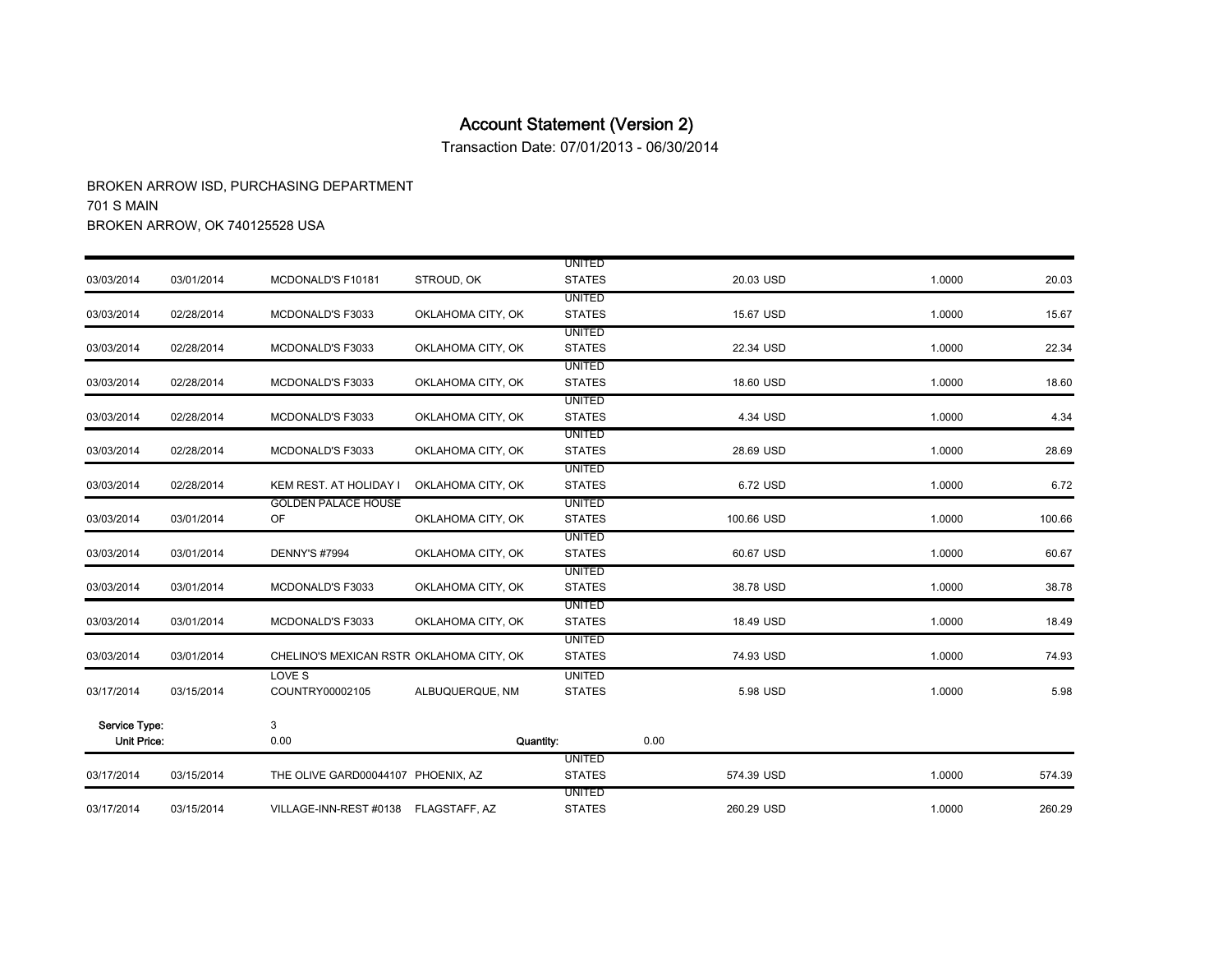Transaction Date: 07/01/2013 - 06/30/2014

|                    |            |                                          |                   | <b>UNITED</b>                  |            |        |        |
|--------------------|------------|------------------------------------------|-------------------|--------------------------------|------------|--------|--------|
| 03/03/2014         | 03/01/2014 | MCDONALD'S F10181                        | STROUD, OK        | <b>STATES</b>                  | 20.03 USD  | 1.0000 | 20.03  |
|                    |            |                                          |                   | <b>UNITED</b>                  |            |        |        |
| 03/03/2014         | 02/28/2014 | MCDONALD'S F3033                         | OKLAHOMA CITY, OK | <b>STATES</b>                  | 15.67 USD  | 1.0000 | 15.67  |
|                    |            |                                          |                   | <b>UNITED</b>                  |            |        |        |
| 03/03/2014         | 02/28/2014 | <b>MCDONALD'S F3033</b>                  | OKLAHOMA CITY, OK | <b>STATES</b>                  | 22.34 USD  | 1.0000 | 22.34  |
|                    |            |                                          |                   | <b>UNITED</b>                  |            |        |        |
| 03/03/2014         | 02/28/2014 | MCDONALD'S F3033                         | OKLAHOMA CITY, OK | <b>STATES</b>                  | 18.60 USD  | 1.0000 | 18.60  |
|                    |            |                                          |                   | <b>UNITED</b>                  |            |        |        |
| 03/03/2014         | 02/28/2014 | MCDONALD'S F3033                         | OKLAHOMA CITY, OK | <b>STATES</b>                  | 4.34 USD   | 1.0000 | 4.34   |
| 03/03/2014         | 02/28/2014 | MCDONALD'S F3033                         | OKLAHOMA CITY, OK | <b>UNITED</b><br><b>STATES</b> | 28.69 USD  | 1.0000 | 28.69  |
|                    |            |                                          |                   | <b>UNITED</b>                  |            |        |        |
| 03/03/2014         | 02/28/2014 | KEM REST. AT HOLIDAY I                   | OKLAHOMA CITY, OK | <b>STATES</b>                  | 6.72 USD   | 1.0000 | 6.72   |
|                    |            | <b>GOLDEN PALACE HOUSE</b>               |                   | <b>UNITED</b>                  |            |        |        |
| 03/03/2014         | 03/01/2014 | OF                                       | OKLAHOMA CITY, OK | <b>STATES</b>                  | 100.66 USD | 1.0000 | 100.66 |
|                    |            |                                          |                   | <b>UNITED</b>                  |            |        |        |
| 03/03/2014         | 03/01/2014 | <b>DENNY'S #7994</b>                     | OKLAHOMA CITY, OK | <b>STATES</b>                  | 60.67 USD  | 1.0000 | 60.67  |
|                    |            |                                          |                   | <b>UNITED</b>                  |            |        |        |
| 03/03/2014         | 03/01/2014 | MCDONALD'S F3033                         | OKLAHOMA CITY, OK | <b>STATES</b>                  | 38.78 USD  | 1.0000 | 38.78  |
|                    |            |                                          |                   | <b>UNITED</b>                  |            |        |        |
| 03/03/2014         | 03/01/2014 | MCDONALD'S F3033                         | OKLAHOMA CITY, OK | <b>STATES</b>                  | 18.49 USD  | 1.0000 | 18.49  |
|                    |            |                                          |                   | <b>UNITED</b>                  |            |        |        |
| 03/03/2014         | 03/01/2014 | CHELINO'S MEXICAN RSTR OKLAHOMA CITY, OK |                   | <b>STATES</b>                  | 74.93 USD  | 1.0000 | 74.93  |
|                    |            | LOVE S                                   |                   | <b>UNITED</b>                  |            |        |        |
| 03/17/2014         | 03/15/2014 | COUNTRY00002105                          | ALBUQUERQUE, NM   | <b>STATES</b>                  | 5.98 USD   | 1.0000 | 5.98   |
| Service Type:      |            | 3                                        |                   |                                |            |        |        |
| <b>Unit Price:</b> |            | 0.00                                     |                   | Quantity:                      | 0.00       |        |        |
|                    |            |                                          |                   | <b>UNITED</b>                  |            |        |        |
| 03/17/2014         | 03/15/2014 | THE OLIVE GARD00044107 PHOENIX, AZ       |                   | <b>STATES</b>                  | 574.39 USD | 1.0000 | 574.39 |
|                    |            |                                          |                   | <b>UNITED</b>                  |            |        |        |
| 03/17/2014         | 03/15/2014 | VILLAGE-INN-REST #0138 FLAGSTAFF, AZ     |                   | <b>STATES</b>                  | 260.29 USD | 1.0000 | 260.29 |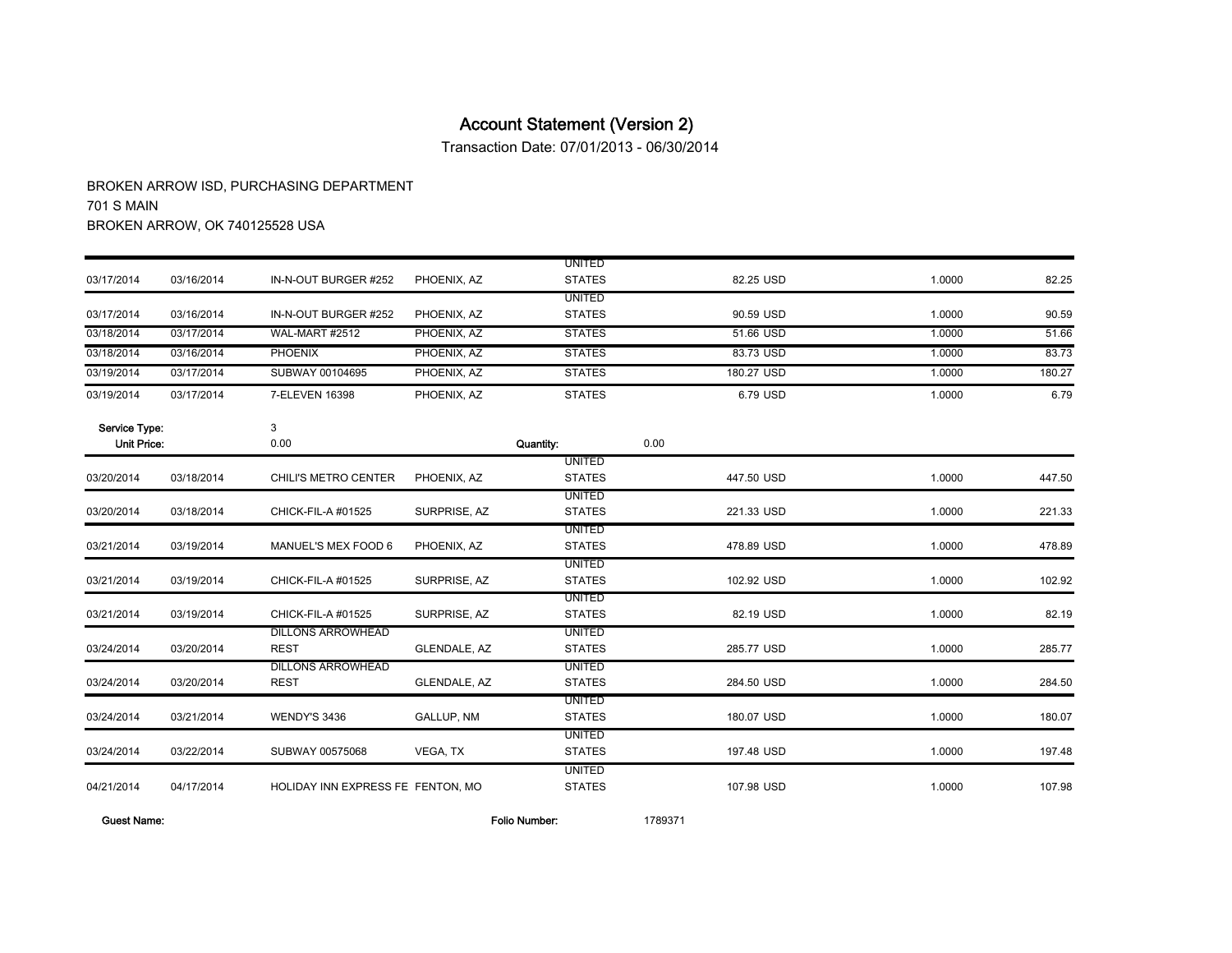Transaction Date: 07/01/2013 - 06/30/2014

BROKEN ARROW ISD, PURCHASING DEPARTMENT 701 S MAIN BROKEN ARROW, OK 740125528 USA

|               |            |                                   |              | <b>UNITED</b> |            |        |        |
|---------------|------------|-----------------------------------|--------------|---------------|------------|--------|--------|
| 03/17/2014    | 03/16/2014 | IN-N-OUT BURGER #252              | PHOENIX, AZ  | <b>STATES</b> | 82.25 USD  | 1.0000 | 82.25  |
|               |            |                                   |              | <b>UNITED</b> |            |        |        |
| 03/17/2014    | 03/16/2014 | IN-N-OUT BURGER #252              | PHOENIX, AZ  | <b>STATES</b> | 90.59 USD  | 1.0000 | 90.59  |
| 03/18/2014    | 03/17/2014 | WAL-MART #2512                    | PHOENIX, AZ  | <b>STATES</b> | 51.66 USD  | 1.0000 | 51.66  |
| 03/18/2014    | 03/16/2014 | <b>PHOENIX</b>                    | PHOENIX, AZ  | <b>STATES</b> | 83.73 USD  | 1.0000 | 83.73  |
| 03/19/2014    | 03/17/2014 | SUBWAY 00104695                   | PHOENIX, AZ  | <b>STATES</b> | 180.27 USD | 1.0000 | 180.27 |
| 03/19/2014    | 03/17/2014 | 7-ELEVEN 16398                    | PHOENIX, AZ  | <b>STATES</b> | 6.79 USD   | 1.0000 | 6.79   |
| Service Type: |            | 3                                 |              |               |            |        |        |
| Unit Price:   |            | 0.00                              |              | Quantity:     | 0.00       |        |        |
|               |            |                                   |              | <b>UNITED</b> |            |        |        |
| 03/20/2014    | 03/18/2014 | CHILI'S METRO CENTER              | PHOENIX, AZ  | <b>STATES</b> | 447.50 USD | 1.0000 | 447.50 |
|               |            |                                   |              | <b>UNITED</b> |            |        |        |
| 03/20/2014    | 03/18/2014 | CHICK-FIL-A #01525                | SURPRISE, AZ | <b>STATES</b> | 221.33 USD | 1.0000 | 221.33 |
|               |            |                                   |              | <b>UNITED</b> |            |        |        |
| 03/21/2014    | 03/19/2014 | MANUEL'S MEX FOOD 6               | PHOENIX, AZ  | <b>STATES</b> | 478.89 USD | 1.0000 | 478.89 |
|               |            |                                   |              | <b>UNITED</b> |            |        |        |
| 03/21/2014    | 03/19/2014 | CHICK-FIL-A #01525                | SURPRISE, AZ | <b>STATES</b> | 102.92 USD | 1.0000 | 102.92 |
|               |            |                                   |              | <b>UNITED</b> |            |        |        |
| 03/21/2014    | 03/19/2014 | CHICK-FIL-A #01525                | SURPRISE, AZ | <b>STATES</b> | 82.19 USD  | 1.0000 | 82.19  |
|               |            | <b>DILLONS ARROWHEAD</b>          |              | <b>UNITED</b> |            |        |        |
| 03/24/2014    | 03/20/2014 | <b>REST</b>                       | GLENDALE, AZ | <b>STATES</b> | 285.77 USD | 1.0000 | 285.77 |
|               |            | <b>DILLONS ARROWHEAD</b>          |              | UNITED        |            |        |        |
| 03/24/2014    | 03/20/2014 | <b>REST</b>                       | GLENDALE, AZ | <b>STATES</b> | 284.50 USD | 1.0000 | 284.50 |
|               |            |                                   |              | <b>UNITED</b> |            |        |        |
| 03/24/2014    | 03/21/2014 | <b>WENDY'S 3436</b>               | GALLUP, NM   | <b>STATES</b> | 180.07 USD | 1.0000 | 180.07 |
|               |            |                                   |              | <b>UNITED</b> |            |        |        |
| 03/24/2014    | 03/22/2014 | SUBWAY 00575068                   | VEGA, TX     | <b>STATES</b> | 197.48 USD | 1.0000 | 197.48 |
|               |            |                                   |              | <b>UNITED</b> |            |        |        |
| 04/21/2014    | 04/17/2014 | HOLIDAY INN EXPRESS FE FENTON, MO |              | <b>STATES</b> | 107.98 USD | 1.0000 | 107.98 |

Guest Name: Folio Number: 1789371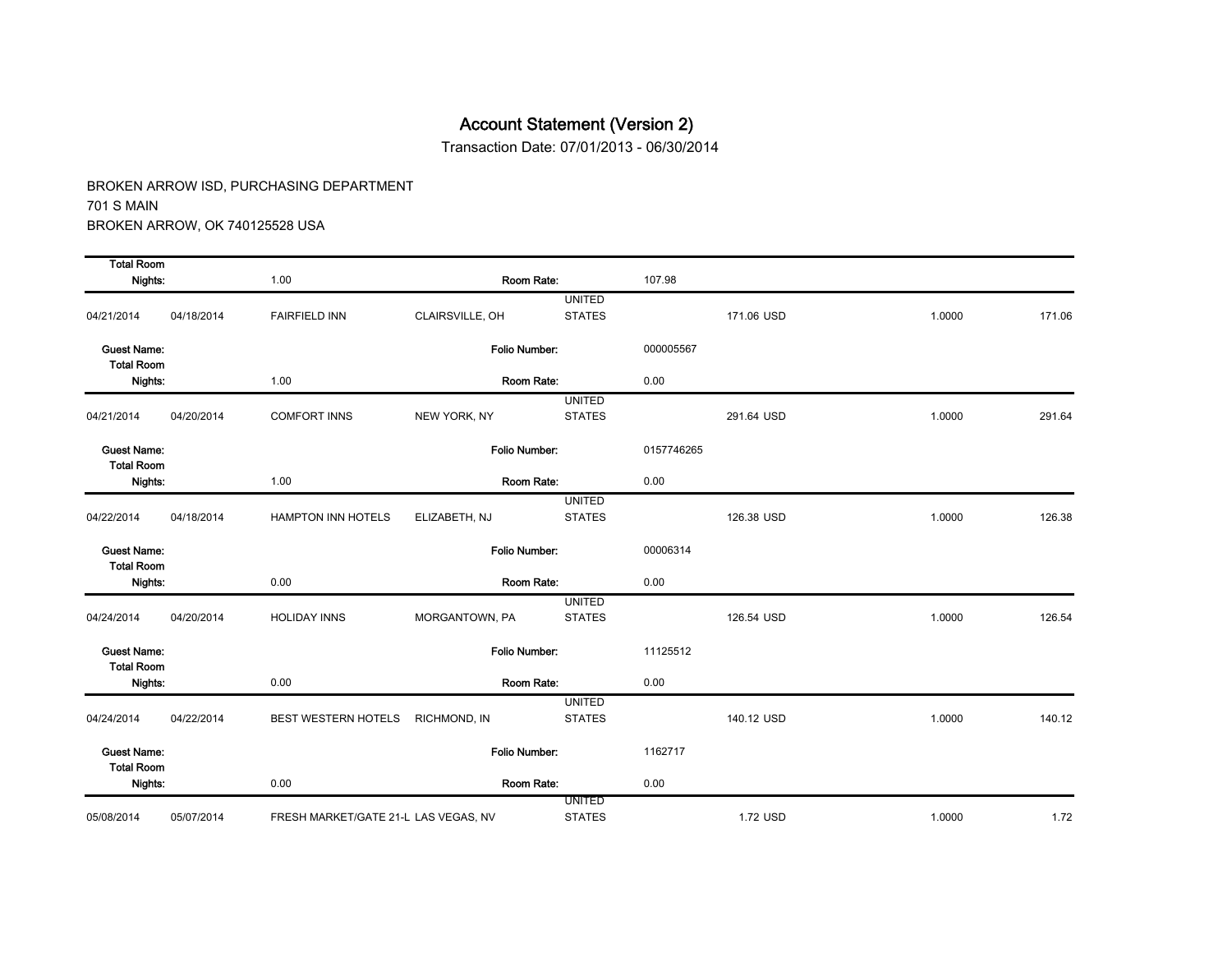Transaction Date: 07/01/2013 - 06/30/2014

| <b>Total Room</b>                       |            |                                      |                      |                                |            |            |        |        |
|-----------------------------------------|------------|--------------------------------------|----------------------|--------------------------------|------------|------------|--------|--------|
| Nights:                                 |            | 1.00                                 | Room Rate:           |                                | 107.98     |            |        |        |
| 04/21/2014                              | 04/18/2014 | <b>FAIRFIELD INN</b>                 | CLAIRSVILLE, OH      | <b>UNITED</b><br><b>STATES</b> |            | 171.06 USD | 1.0000 | 171.06 |
| <b>Guest Name:</b><br><b>Total Room</b> |            |                                      | Folio Number:        |                                | 000005567  |            |        |        |
| Nights:                                 |            | 1.00                                 | Room Rate:           |                                | 0.00       |            |        |        |
| 04/21/2014                              | 04/20/2014 | <b>COMFORT INNS</b>                  | NEW YORK, NY         | <b>UNITED</b><br><b>STATES</b> |            | 291.64 USD | 1.0000 | 291.64 |
| <b>Guest Name:</b><br><b>Total Room</b> |            |                                      | <b>Folio Number:</b> |                                | 0157746265 |            |        |        |
| Nights:                                 |            | 1.00                                 | Room Rate:           |                                | 0.00       |            |        |        |
| 04/22/2014                              | 04/18/2014 | <b>HAMPTON INN HOTELS</b>            | ELIZABETH, NJ        | <b>UNITED</b><br><b>STATES</b> |            | 126.38 USD | 1.0000 | 126.38 |
| <b>Guest Name:</b><br><b>Total Room</b> |            |                                      | Folio Number:        |                                | 00006314   |            |        |        |
| Nights:                                 |            | 0.00                                 | Room Rate:           |                                | 0.00       |            |        |        |
| 04/24/2014                              | 04/20/2014 | <b>HOLIDAY INNS</b>                  | MORGANTOWN, PA       | <b>UNITED</b><br><b>STATES</b> |            | 126.54 USD | 1.0000 | 126.54 |
| <b>Guest Name:</b><br><b>Total Room</b> |            |                                      | <b>Folio Number:</b> |                                | 11125512   |            |        |        |
| Nights:                                 |            | 0.00                                 | Room Rate:           |                                | 0.00       |            |        |        |
| 04/24/2014                              | 04/22/2014 | <b>BEST WESTERN HOTELS</b>           | RICHMOND, IN         | <b>UNITED</b><br><b>STATES</b> |            | 140.12 USD | 1.0000 | 140.12 |
| <b>Guest Name:</b><br><b>Total Room</b> |            |                                      | Folio Number:        |                                | 1162717    |            |        |        |
| Nights:                                 |            | 0.00                                 | Room Rate:           |                                | 0.00       |            |        |        |
| 05/08/2014                              | 05/07/2014 | FRESH MARKET/GATE 21-L LAS VEGAS, NV |                      | <b>UNITED</b><br><b>STATES</b> |            | 1.72 USD   | 1.0000 | 1.72   |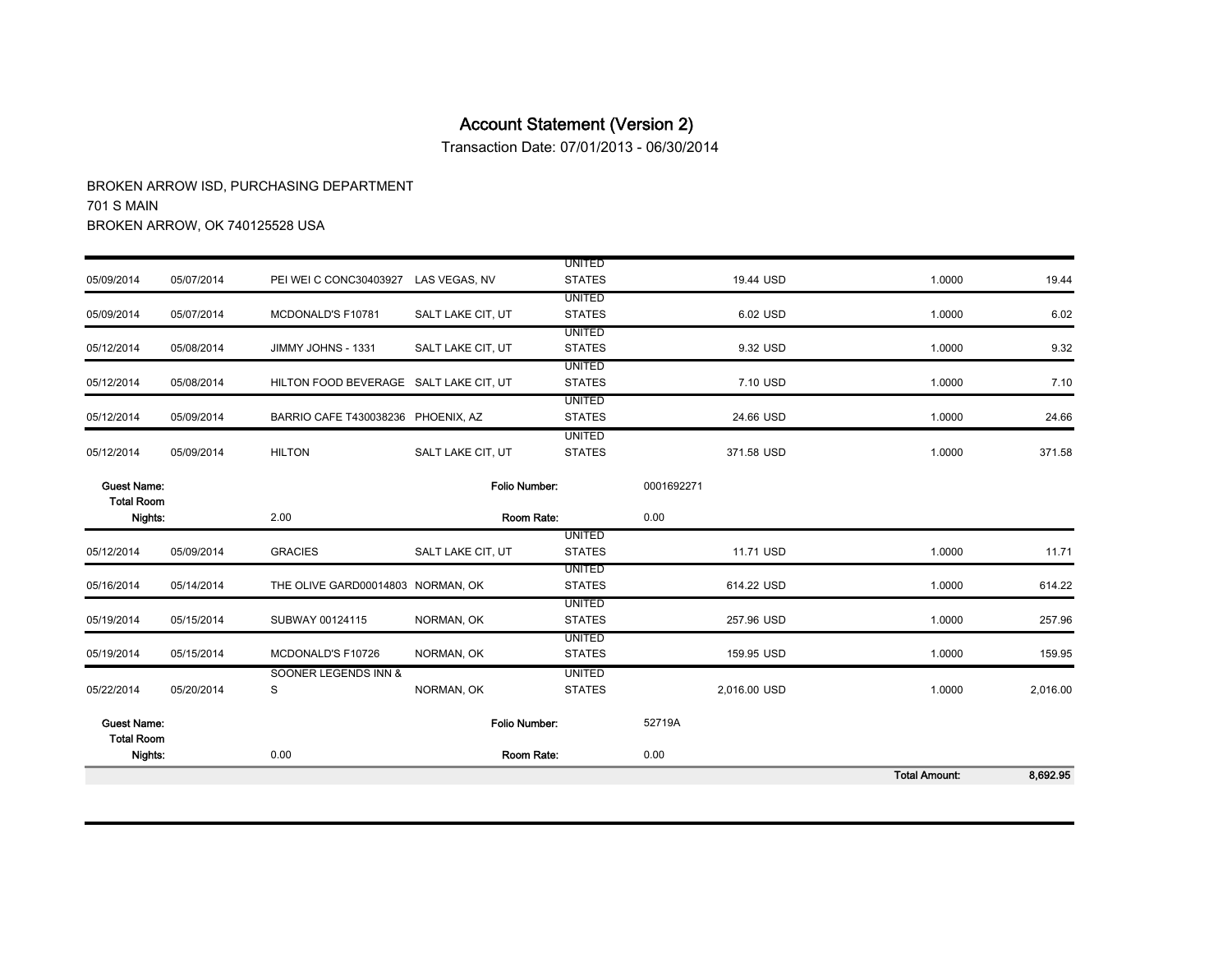Transaction Date: 07/01/2013 - 06/30/2014

|                                         |            |                                        |                   |                                |              | <b>Total Amount:</b> | 8,692.95 |
|-----------------------------------------|------------|----------------------------------------|-------------------|--------------------------------|--------------|----------------------|----------|
| <b>Total Room</b><br>Nights:            |            | 0.00                                   |                   | Room Rate:                     | 0.00         |                      |          |
| <b>Guest Name:</b>                      |            |                                        | Folio Number:     |                                | 52719A       |                      |          |
| 05/22/2014                              | 05/20/2014 | S                                      | NORMAN, OK        | <b>STATES</b>                  | 2,016.00 USD | 1.0000               | 2,016.00 |
|                                         |            | SOONER LEGENDS INN &                   |                   | <b>UNITED</b>                  |              |                      |          |
| 05/19/2014                              | 05/15/2014 | MCDONALD'S F10726                      | NORMAN, OK        | <b>UNITED</b><br><b>STATES</b> | 159.95 USD   | 1.0000               | 159.95   |
| 05/19/2014                              | 05/15/2014 | SUBWAY 00124115                        | NORMAN, OK        | <b>UNITED</b><br><b>STATES</b> | 257.96 USD   | 1.0000               | 257.96   |
| 05/16/2014                              | 05/14/2014 | THE OLIVE GARD00014803 NORMAN, OK      |                   | <b>UNITED</b><br><b>STATES</b> | 614.22 USD   | 1.0000               | 614.22   |
| 05/12/2014                              | 05/09/2014 | <b>GRACIES</b>                         | SALT LAKE CIT, UT | <b>UNITED</b><br><b>STATES</b> | 11.71 USD    | 1.0000               | 11.71    |
| Nights:                                 |            | 2.00                                   |                   | Room Rate:                     | 0.00         |                      |          |
| <b>Guest Name:</b><br><b>Total Room</b> |            |                                        | Folio Number:     |                                | 0001692271   |                      |          |
| 05/12/2014                              | 05/09/2014 | <b>HILTON</b>                          | SALT LAKE CIT, UT | <b>UNITED</b><br><b>STATES</b> | 371.58 USD   | 1.0000               | 371.58   |
| 05/12/2014                              | 05/09/2014 | BARRIO CAFE T430038236 PHOENIX, AZ     |                   | <b>UNITED</b><br><b>STATES</b> | 24.66 USD    | 1.0000               | 24.66    |
| 05/12/2014                              | 05/08/2014 | HILTON FOOD BEVERAGE SALT LAKE CIT, UT |                   | <b>UNITED</b><br><b>STATES</b> | 7.10 USD     | 1.0000               | 7.10     |
| 05/12/2014                              | 05/08/2014 | JIMMY JOHNS - 1331                     | SALT LAKE CIT, UT | <b>UNITED</b><br><b>STATES</b> | 9.32 USD     | 1.0000               | 9.32     |
| 05/09/2014                              | 05/07/2014 | MCDONALD'S F10781                      | SALT LAKE CIT, UT | <b>UNITED</b><br><b>STATES</b> | 6.02 USD     | 1.0000               | 6.02     |
| 05/09/2014                              | 05/07/2014 | PEI WEI C CONC30403927 LAS VEGAS, NV   |                   | <b>UNITED</b><br><b>STATES</b> | 19.44 USD    | 1.0000               | 19.44    |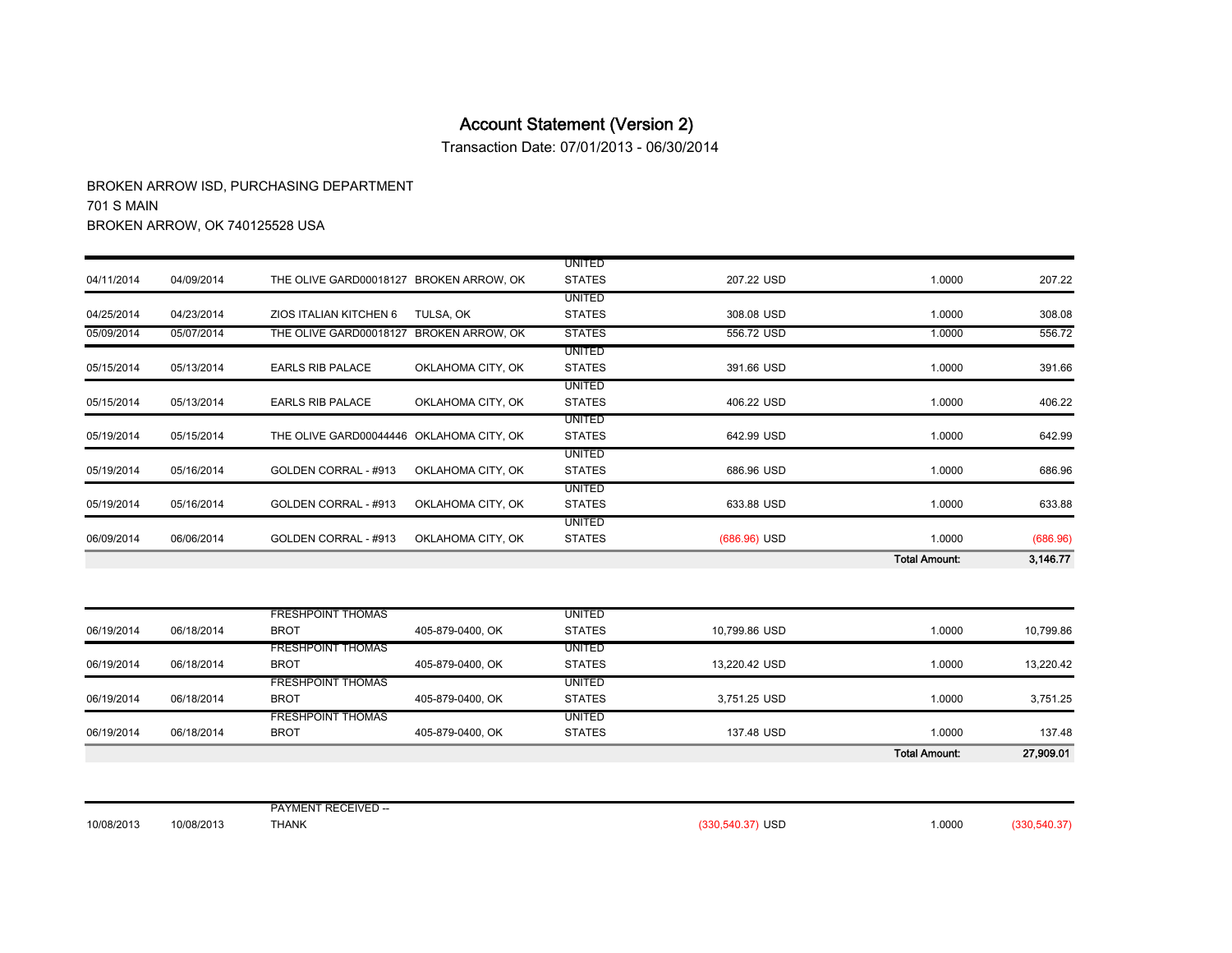Transaction Date: 07/01/2013 - 06/30/2014

BROKEN ARROW ISD, PURCHASING DEPARTMENT 701 S MAIN BROKEN ARROW, OK 740125528 USA

|            |            |                                          |                   |                                |                | <b>Total Amount:</b> | 3,146.77 |
|------------|------------|------------------------------------------|-------------------|--------------------------------|----------------|----------------------|----------|
| 06/09/2014 | 06/06/2014 | GOLDEN CORRAL - #913                     | OKLAHOMA CITY, OK | <b>STATES</b>                  | $(686.96)$ USD | 1.0000               | (686.96) |
|            |            |                                          |                   | UNITED                         |                |                      |          |
| 05/19/2014 | 05/16/2014 | GOLDEN CORRAL - #913                     | OKLAHOMA CITY, OK | <b>UNITED</b><br><b>STATES</b> | 633.88 USD     | 1.0000               | 633.88   |
| 05/19/2014 | 05/16/2014 | GOLDEN CORRAL - #913                     | OKLAHOMA CITY, OK | <b>UNITED</b><br><b>STATES</b> | 686.96 USD     | 1.0000               | 686.96   |
| 05/19/2014 | 05/15/2014 | THE OLIVE GARD00044446 OKLAHOMA CITY, OK |                   | UNITED<br><b>STATES</b>        | 642.99 USD     | 1.0000               | 642.99   |
| 05/15/2014 | 05/13/2014 | <b>EARLS RIB PALACE</b>                  | OKLAHOMA CITY, OK | UNITED<br><b>STATES</b>        | 406.22 USD     | 1.0000               | 406.22   |
| 05/15/2014 | 05/13/2014 | <b>EARLS RIB PALACE</b>                  | OKLAHOMA CITY, OK | UNITED<br><b>STATES</b>        | 391.66 USD     | 1.0000               | 391.66   |
| 05/09/2014 | 05/07/2014 | THE OLIVE GARD00018127                   | BROKEN ARROW, OK  | <b>STATES</b>                  | 556.72 USD     | 1.0000               | 556.72   |
| 04/25/2014 | 04/23/2014 | ZIOS ITALIAN KITCHEN 6                   | TULSA, OK         | <b>UNITED</b><br><b>STATES</b> | 308.08 USD     | 1.0000               | 308.08   |
| 04/11/2014 | 04/09/2014 | THE OLIVE GARD00018127 BROKEN ARROW. OK  |                   | <b>UNITED</b><br><b>STATES</b> | 207.22 USD     | 1.0000               | 207.22   |

|            |            |                          |                  |               |               | <b>Total Amount:</b> | 27,909.01 |
|------------|------------|--------------------------|------------------|---------------|---------------|----------------------|-----------|
| 06/19/2014 | 06/18/2014 | <b>BROT</b>              | 405-879-0400, OK | <b>STATES</b> | 137.48 USD    | 1.0000               | 137.48    |
|            |            | <b>FRESHPOINT THOMAS</b> |                  | <b>UNITED</b> |               |                      |           |
| 06/19/2014 | 06/18/2014 | <b>BROT</b>              | 405-879-0400, OK | <b>STATES</b> | 3,751.25 USD  | 1.0000               | 3,751.25  |
|            |            | <b>FRESHPOINT THOMAS</b> |                  | <b>UNITED</b> |               |                      |           |
| 06/19/2014 | 06/18/2014 | <b>BROT</b>              | 405-879-0400, OK | <b>STATES</b> | 13,220.42 USD | 1.0000               | 13,220.42 |
|            |            | <b>FRESHPOINT THOMAS</b> |                  | <b>UNITED</b> |               |                      |           |
| 06/19/2014 | 06/18/2014 | <b>BROT</b>              | 405-879-0400, OK | <b>STATES</b> | 10,799.86 USD | 1.0000               | 10,799.86 |
|            |            | <b>FRESHPOINT THOMAS</b> |                  | <b>UNITED</b> |               |                      |           |

10/08/2013 10/08/2013 PAYMENT RECEIVED -- THANK(330,540.37) USD 1.0000 (330,540.37)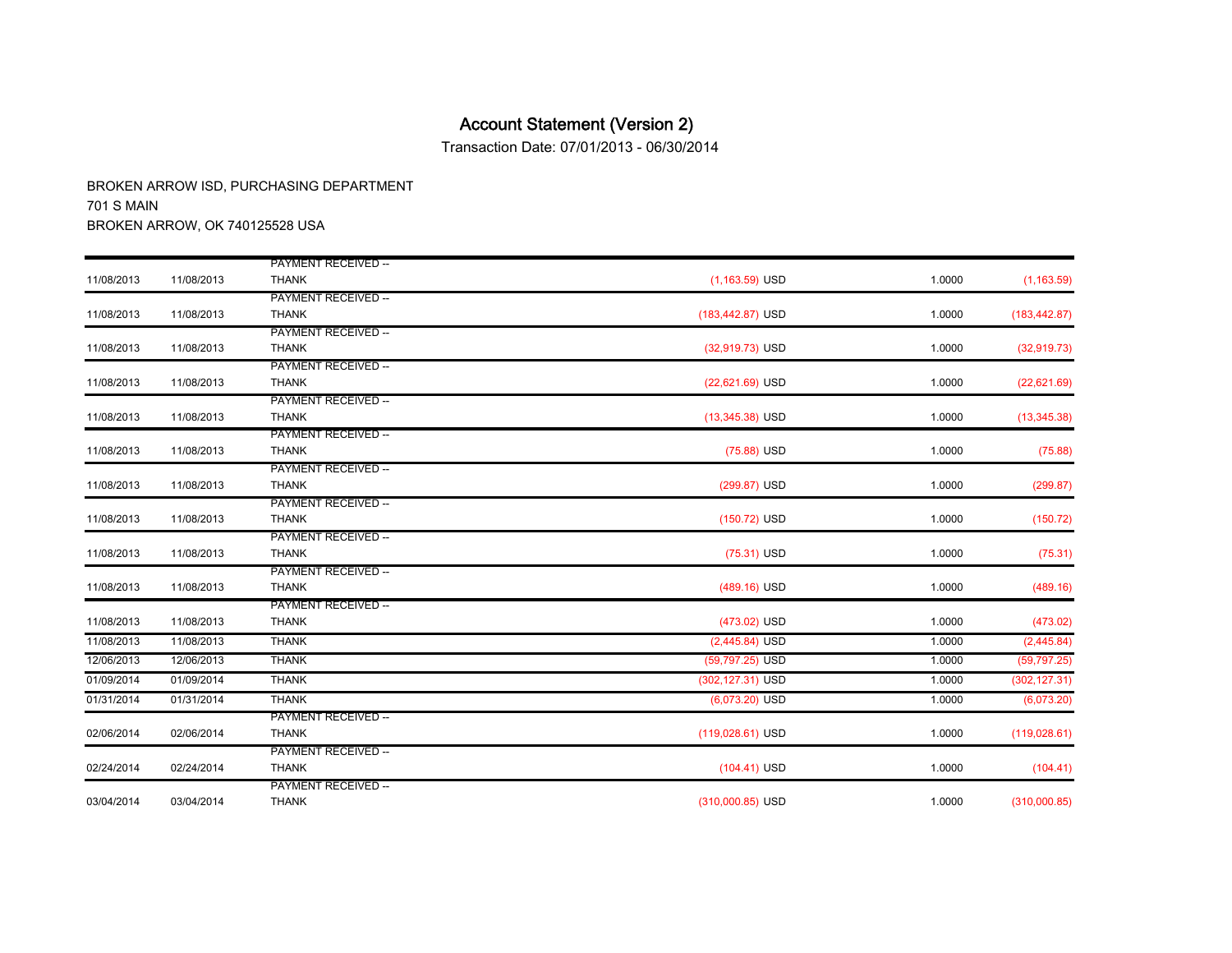Transaction Date: 07/01/2013 - 06/30/2014

| 11/08/2013 | 11/08/2013 | <b>PAYMENT RECEIVED --</b><br><b>THANK</b> | $(75.88)$ USD      | 1.0000 | (75.88)       |
|------------|------------|--------------------------------------------|--------------------|--------|---------------|
|            |            | <b>PAYMENT RECEIVED --</b>                 |                    |        |               |
| 11/08/2013 | 11/08/2013 | <b>THANK</b>                               | (299.87) USD       | 1.0000 | (299.87)      |
|            |            | <b>PAYMENT RECEIVED --</b>                 |                    |        |               |
| 11/08/2013 | 11/08/2013 | <b>THANK</b>                               | (150.72) USD       | 1.0000 | (150.72)      |
|            |            | <b>PAYMENT RECEIVED --</b>                 |                    |        |               |
| 11/08/2013 | 11/08/2013 | <b>THANK</b>                               | $(75.31)$ USD      | 1.0000 | (75.31)       |
|            |            | <b>PAYMENT RECEIVED --</b>                 |                    |        |               |
| 11/08/2013 | 11/08/2013 | <b>THANK</b>                               | $(489.16)$ USD     | 1.0000 | (489.16)      |
|            |            | <b>PAYMENT RECEIVED --</b>                 |                    |        |               |
| 11/08/2013 | 11/08/2013 | <b>THANK</b>                               | (473.02) USD       | 1.0000 | (473.02)      |
| 11/08/2013 | 11/08/2013 | <b>THANK</b>                               | $(2,445.84)$ USD   | 1.0000 | (2,445.84)    |
| 12/06/2013 | 12/06/2013 | <b>THANK</b>                               | (59,797.25) USD    | 1.0000 | (59, 797.25)  |
| 01/09/2014 | 01/09/2014 | <b>THANK</b>                               | (302,127.31) USD   | 1.0000 | (302, 127.31) |
| 01/31/2014 | 01/31/2014 | <b>THANK</b>                               | $(6,073.20)$ USD   | 1.0000 | (6,073.20)    |
|            |            | <b>PAYMENT RECEIVED --</b>                 |                    |        |               |
| 02/06/2014 | 02/06/2014 | <b>THANK</b>                               | $(119,028.61)$ USD | 1.0000 | (119, 028.61) |
|            |            | <b>PAYMENT RECEIVED --</b>                 |                    |        |               |
|            |            |                                            |                    |        |               |
| 02/24/2014 | 02/24/2014 | <b>THANK</b>                               | $(104.41)$ USD     | 1.0000 | (104.41)      |
|            |            | <b>PAYMENT RECEIVED --</b>                 |                    |        |               |
| 03/04/2014 | 03/04/2014 | <b>THANK</b>                               | $(310,000.85)$ USD | 1.0000 | (310,000.85)  |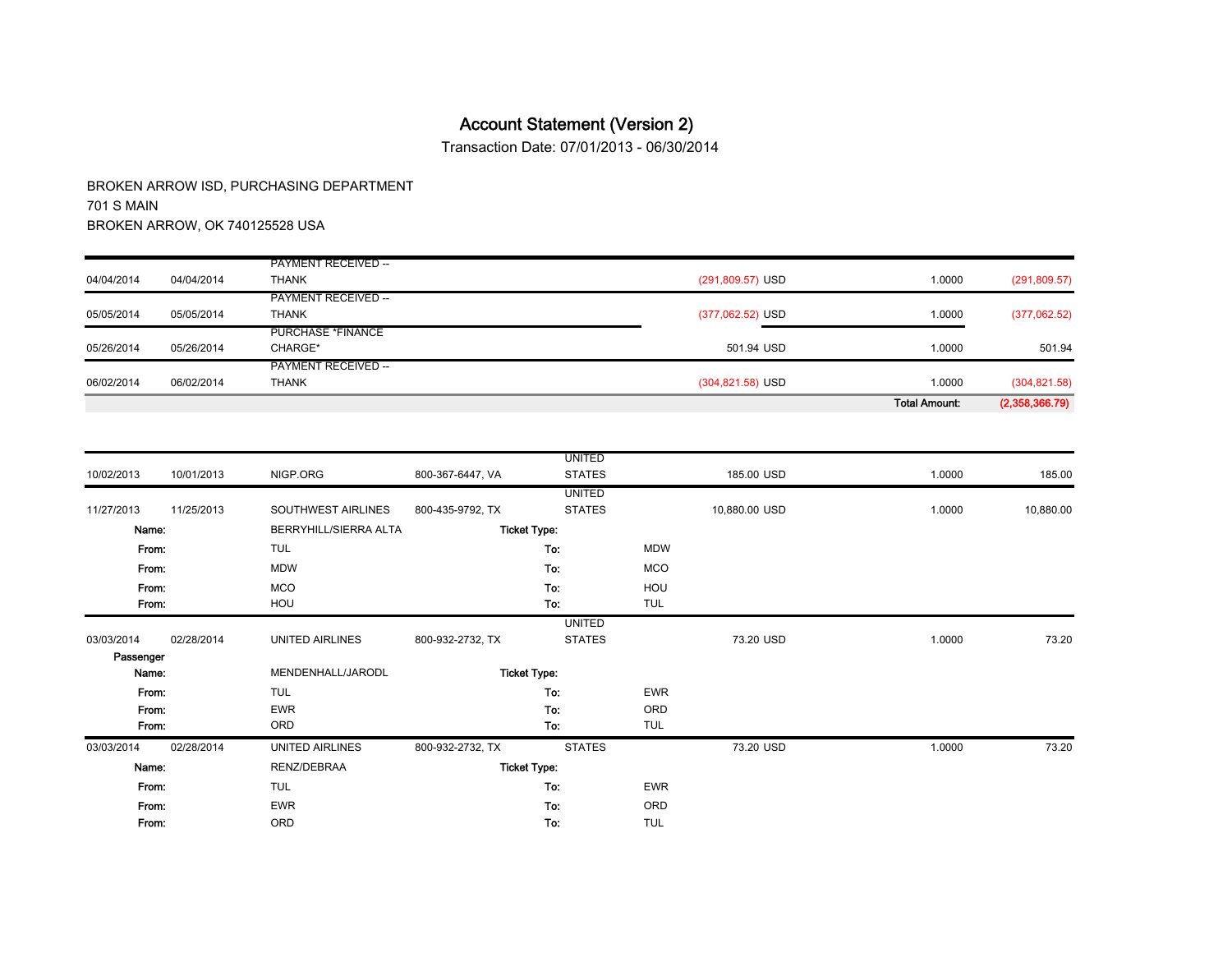Transaction Date: 07/01/2013 - 06/30/2014

| 06/02/2014 | 06/02/2014 | PAYMENT RECEIVED --<br><b>THANK</b> | $(304, 821.58)$ USD | 1.0000 | (304, 821.58) |
|------------|------------|-------------------------------------|---------------------|--------|---------------|
|            |            |                                     |                     |        |               |
|            |            |                                     |                     |        |               |
| 05/26/2014 | 05/26/2014 | CHARGE*                             | 501.94 USD          | 1.0000 | 501.94        |
|            |            | <b>PURCHASE *FINANCE</b>            |                     |        |               |
| 05/05/2014 | 05/05/2014 | <b>THANK</b>                        | (377,062.52) USD    | 1.0000 | (377,062.52)  |
|            |            | <b>PAYMENT RECEIVED --</b>          |                     |        |               |
| 04/04/2014 | 04/04/2014 | <b>THANK</b>                        | $(291,809.57)$ USD  | 1.0000 | (291, 809.57) |
|            |            | <b>PAYMENT RECEIVED --</b>          |                     |        |               |

|            |            |                       |                  | <b>UNITED</b>       |            |               |        |           |
|------------|------------|-----------------------|------------------|---------------------|------------|---------------|--------|-----------|
| 10/02/2013 | 10/01/2013 | NIGP.ORG              | 800-367-6447, VA | <b>STATES</b>       |            | 185.00 USD    | 1.0000 | 185.00    |
|            |            |                       |                  | <b>UNITED</b>       |            |               |        |           |
| 11/27/2013 | 11/25/2013 | SOUTHWEST AIRLINES    | 800-435-9792, TX | <b>STATES</b>       |            | 10,880.00 USD | 1.0000 | 10,880.00 |
|            | Name:      | BERRYHILL/SIERRA ALTA |                  | <b>Ticket Type:</b> |            |               |        |           |
|            | From:      | <b>TUL</b>            |                  | To:                 | <b>MDW</b> |               |        |           |
|            | From:      | <b>MDW</b>            |                  | To:                 | <b>MCO</b> |               |        |           |
|            | From:      | <b>MCO</b>            |                  | To:                 | HOU        |               |        |           |
|            | From:      | HOU                   |                  | To:                 | TUL        |               |        |           |
|            |            |                       |                  | <b>UNITED</b>       |            |               |        |           |
| 03/03/2014 | 02/28/2014 | UNITED AIRLINES       | 800-932-2732, TX | <b>STATES</b>       |            | 73.20 USD     | 1.0000 | 73.20     |
| Passenger  |            |                       |                  |                     |            |               |        |           |
|            | Name:      | MENDENHALL/JARODL     |                  | <b>Ticket Type:</b> |            |               |        |           |
|            | From.      | <b>TUL</b>            |                  | To:                 | <b>EWR</b> |               |        |           |
|            | From:      | <b>EWR</b>            |                  | To:                 | ORD        |               |        |           |
|            | From:      | ORD                   |                  | To:                 | TUL        |               |        |           |
| 03/03/2014 | 02/28/2014 | UNITED AIRLINES       | 800-932-2732, TX | <b>STATES</b>       |            | 73.20 USD     | 1.0000 | 73.20     |
|            | Name:      | RENZ/DEBRAA           |                  | <b>Ticket Type:</b> |            |               |        |           |
|            | From:      | <b>TUL</b>            |                  | To:                 | <b>EWR</b> |               |        |           |
|            | From:      | <b>EWR</b>            |                  | To:                 | ORD        |               |        |           |
|            | From:      | ORD                   |                  | To:                 | TUL        |               |        |           |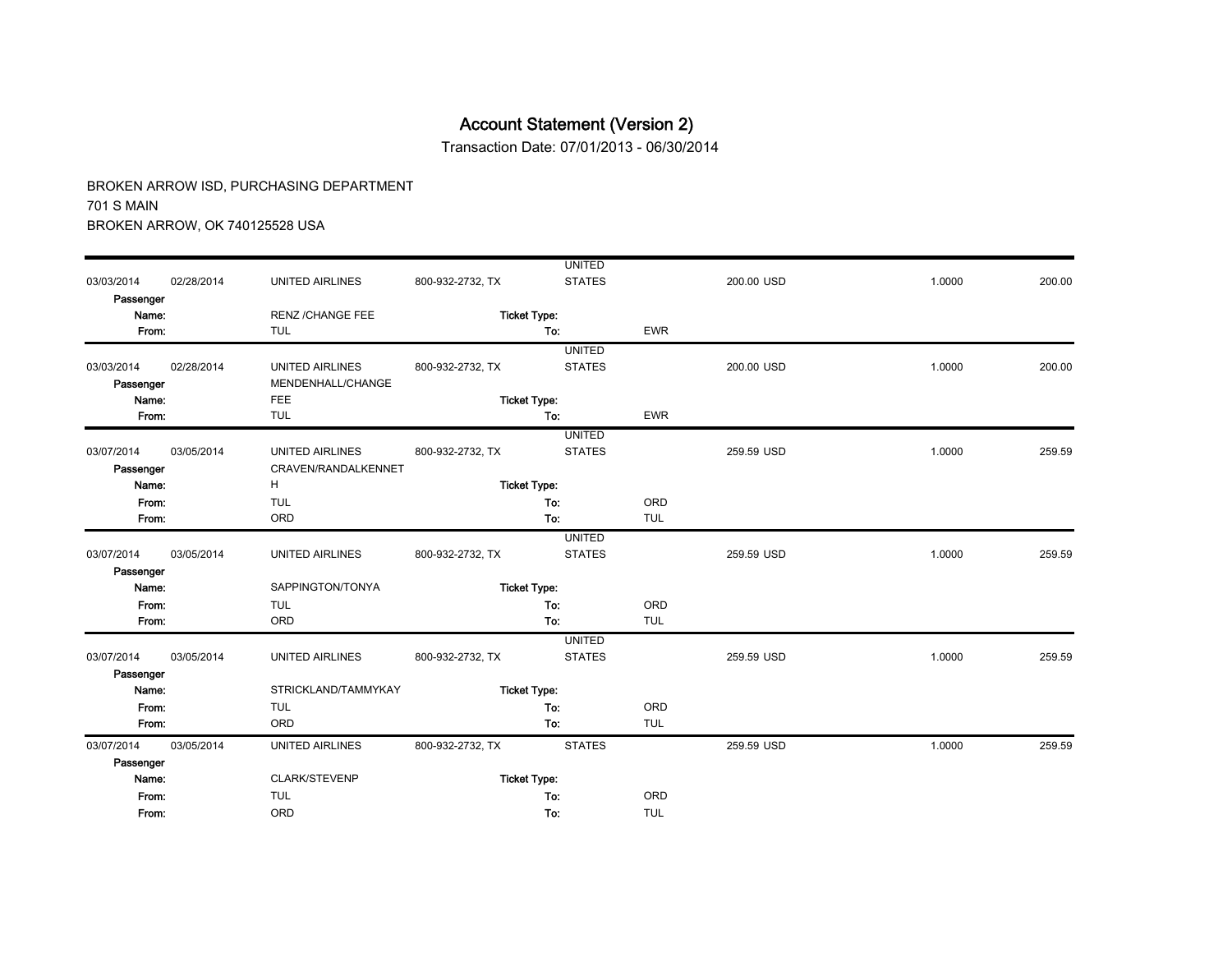Transaction Date: 07/01/2013 - 06/30/2014

|            |            |                         |                  | <b>UNITED</b>       |            |            |        |        |
|------------|------------|-------------------------|------------------|---------------------|------------|------------|--------|--------|
| 03/03/2014 | 02/28/2014 | <b>UNITED AIRLINES</b>  | 800-932-2732, TX | <b>STATES</b>       |            | 200.00 USD | 1.0000 | 200.00 |
| Passenger  |            |                         |                  |                     |            |            |        |        |
| Name:      |            | <b>RENZ /CHANGE FEE</b> |                  | <b>Ticket Type:</b> |            |            |        |        |
| From:      |            | <b>TUL</b>              |                  | To:                 | <b>EWR</b> |            |        |        |
|            |            |                         |                  | <b>UNITED</b>       |            |            |        |        |
| 03/03/2014 | 02/28/2014 | <b>UNITED AIRLINES</b>  | 800-932-2732, TX | <b>STATES</b>       |            | 200.00 USD | 1.0000 | 200.00 |
| Passenger  |            | MENDENHALL/CHANGE       |                  |                     |            |            |        |        |
| Name:      |            | <b>FEE</b>              |                  | <b>Ticket Type:</b> |            |            |        |        |
| From:      |            | <b>TUL</b>              |                  | To:                 | <b>EWR</b> |            |        |        |
|            |            |                         |                  | <b>UNITED</b>       |            |            |        |        |
| 03/07/2014 | 03/05/2014 | <b>UNITED AIRLINES</b>  | 800-932-2732, TX | <b>STATES</b>       |            | 259.59 USD | 1.0000 | 259.59 |
| Passenger  |            | CRAVEN/RANDALKENNET     |                  |                     |            |            |        |        |
| Name:      |            | H                       |                  | <b>Ticket Type:</b> |            |            |        |        |
| From:      |            | <b>TUL</b>              |                  | To:                 | ORD        |            |        |        |
| From:      |            | ORD                     |                  | To:                 | <b>TUL</b> |            |        |        |
|            |            |                         |                  | <b>UNITED</b>       |            |            |        |        |
| 03/07/2014 | 03/05/2014 | <b>UNITED AIRLINES</b>  | 800-932-2732, TX | <b>STATES</b>       |            | 259.59 USD | 1.0000 | 259.59 |
| Passenger  |            |                         |                  |                     |            |            |        |        |
| Name:      |            | SAPPINGTON/TONYA        |                  | <b>Ticket Type:</b> |            |            |        |        |
| From:      |            | <b>TUL</b>              |                  | To:                 | ORD        |            |        |        |
| From:      |            | ORD                     |                  | To:                 | <b>TUL</b> |            |        |        |
|            |            |                         |                  | <b>UNITED</b>       |            |            |        |        |
| 03/07/2014 | 03/05/2014 | <b>UNITED AIRLINES</b>  | 800-932-2732, TX | <b>STATES</b>       |            | 259.59 USD | 1.0000 | 259.59 |
| Passenger  |            |                         |                  |                     |            |            |        |        |
| Name:      |            | STRICKLAND/TAMMYKAY     |                  | <b>Ticket Type:</b> |            |            |        |        |
| From:      |            | <b>TUL</b>              |                  | To:                 | ORD        |            |        |        |
| From:      |            | ORD                     |                  | To:                 | <b>TUL</b> |            |        |        |
| 03/07/2014 | 03/05/2014 | <b>UNITED AIRLINES</b>  | 800-932-2732, TX | <b>STATES</b>       |            | 259.59 USD | 1.0000 | 259.59 |
| Passenger  |            |                         |                  |                     |            |            |        |        |
| Name:      |            | CLARK/STEVENP           |                  | <b>Ticket Type:</b> |            |            |        |        |
| From:      |            | <b>TUL</b>              |                  | To:                 | ORD        |            |        |        |
| From:      |            | ORD                     |                  | To:                 | <b>TUL</b> |            |        |        |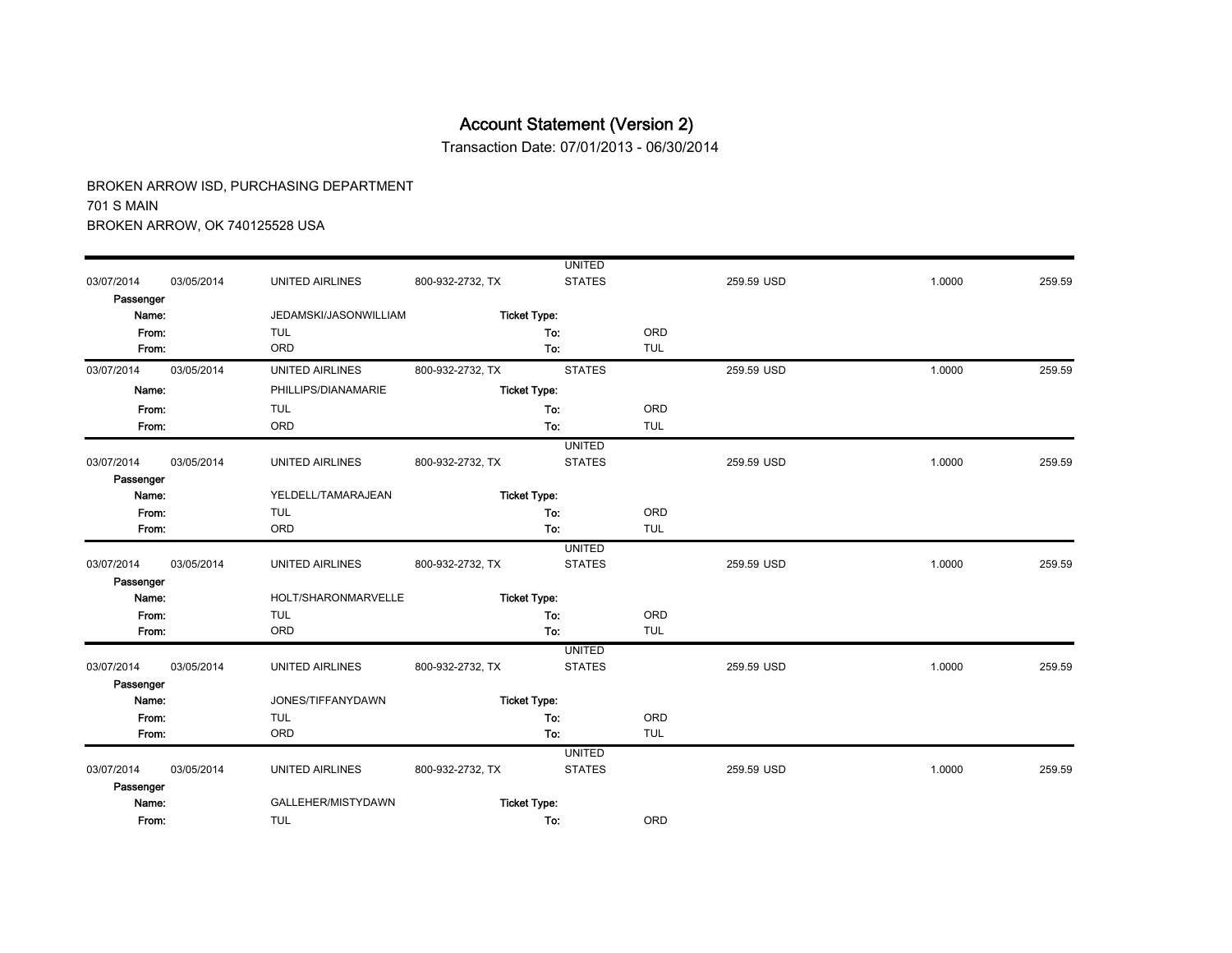Transaction Date: 07/01/2013 - 06/30/2014

|            |            |                        |                  | <b>UNITED</b>       |            |            |        |        |
|------------|------------|------------------------|------------------|---------------------|------------|------------|--------|--------|
| 03/07/2014 | 03/05/2014 | <b>UNITED AIRLINES</b> | 800-932-2732, TX | <b>STATES</b>       |            | 259.59 USD | 1.0000 | 259.59 |
| Passenger  |            |                        |                  |                     |            |            |        |        |
| Name:      |            | JEDAMSKI/JASONWILLIAM  |                  | <b>Ticket Type:</b> |            |            |        |        |
| From:      |            | <b>TUL</b>             |                  | To:                 | ORD        |            |        |        |
| From:      |            | ORD                    |                  | To:                 | <b>TUL</b> |            |        |        |
| 03/07/2014 | 03/05/2014 | <b>UNITED AIRLINES</b> | 800-932-2732, TX | <b>STATES</b>       |            | 259.59 USD | 1.0000 | 259.59 |
| Name:      |            | PHILLIPS/DIANAMARIE    |                  | <b>Ticket Type:</b> |            |            |        |        |
| From:      |            | <b>TUL</b>             |                  | To:                 | ORD        |            |        |        |
| From:      |            | ORD                    |                  | To:                 | <b>TUL</b> |            |        |        |
|            |            |                        |                  | <b>UNITED</b>       |            |            |        |        |
| 03/07/2014 | 03/05/2014 | UNITED AIRLINES        | 800-932-2732, TX | <b>STATES</b>       |            | 259.59 USD | 1.0000 | 259.59 |
| Passenger  |            |                        |                  |                     |            |            |        |        |
| Name:      |            | YELDELL/TAMARAJEAN     |                  | <b>Ticket Type:</b> |            |            |        |        |
| From:      |            | <b>TUL</b>             |                  | To:                 | ORD        |            |        |        |
| From:      |            | ORD                    |                  | To:                 | <b>TUL</b> |            |        |        |
|            |            |                        |                  | <b>UNITED</b>       |            |            |        |        |
| 03/07/2014 | 03/05/2014 | <b>UNITED AIRLINES</b> | 800-932-2732, TX | <b>STATES</b>       |            | 259.59 USD | 1.0000 | 259.59 |
| Passenger  |            |                        |                  |                     |            |            |        |        |
| Name:      |            | HOLT/SHARONMARVELLE    |                  | <b>Ticket Type:</b> |            |            |        |        |
| From:      |            | <b>TUL</b>             |                  | To:                 | ORD        |            |        |        |
| From:      |            | ORD                    |                  | To:                 | <b>TUL</b> |            |        |        |
|            |            |                        |                  | <b>UNITED</b>       |            |            |        |        |
| 03/07/2014 | 03/05/2014 | UNITED AIRLINES        | 800-932-2732, TX | <b>STATES</b>       |            | 259.59 USD | 1.0000 | 259.59 |
| Passenger  |            |                        |                  |                     |            |            |        |        |
| Name:      |            | JONES/TIFFANYDAWN      |                  | <b>Ticket Type:</b> |            |            |        |        |
| From:      |            | <b>TUL</b>             |                  | To:                 | ORD        |            |        |        |
| From:      |            | ORD                    |                  | To:                 | <b>TUL</b> |            |        |        |
|            |            |                        |                  | <b>UNITED</b>       |            |            |        |        |
| 03/07/2014 | 03/05/2014 | UNITED AIRLINES        | 800-932-2732, TX | <b>STATES</b>       |            | 259.59 USD | 1.0000 | 259.59 |
| Passenger  |            |                        |                  |                     |            |            |        |        |
| Name:      |            | GALLEHER/MISTYDAWN     |                  | <b>Ticket Type:</b> |            |            |        |        |
| From:      |            | <b>TUL</b>             |                  | To:                 | <b>ORD</b> |            |        |        |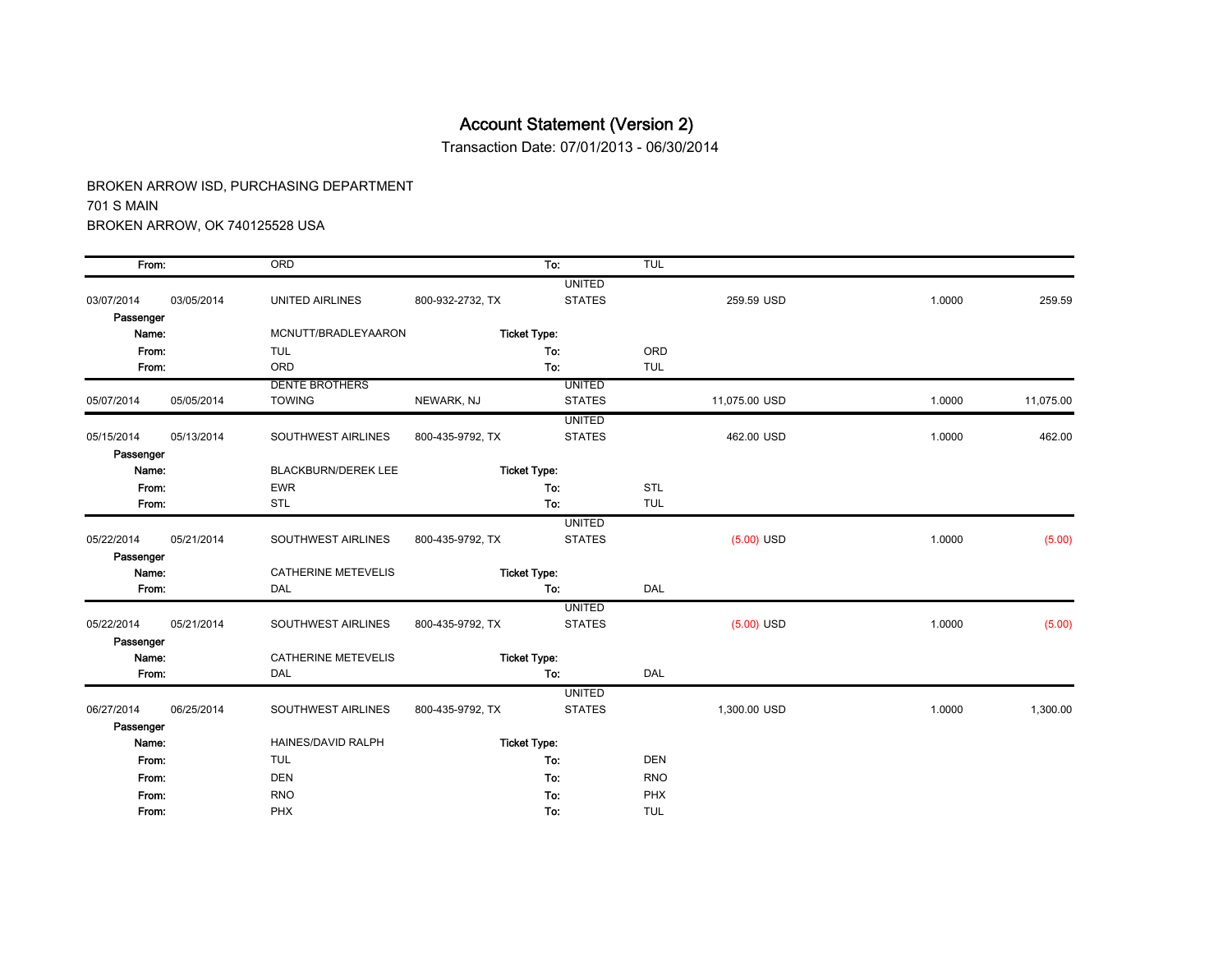Transaction Date: 07/01/2013 - 06/30/2014

| From:      |            | ORD                        |                  | To:                 | <b>TUL</b> |               |        |           |
|------------|------------|----------------------------|------------------|---------------------|------------|---------------|--------|-----------|
|            |            |                            |                  | <b>UNITED</b>       |            |               |        |           |
| 03/07/2014 | 03/05/2014 | UNITED AIRLINES            | 800-932-2732, TX | <b>STATES</b>       |            | 259.59 USD    | 1.0000 | 259.59    |
| Passenger  |            |                            |                  |                     |            |               |        |           |
| Name:      |            | MCNUTT/BRADLEYAARON        |                  | <b>Ticket Type:</b> |            |               |        |           |
| From:      |            | <b>TUL</b>                 |                  | To:                 | ORD        |               |        |           |
| From:      |            | ORD                        |                  | To:                 | <b>TUL</b> |               |        |           |
|            |            | <b>DENTE BROTHERS</b>      |                  | <b>UNITED</b>       |            |               |        |           |
| 05/07/2014 | 05/05/2014 | <b>TOWING</b>              | NEWARK, NJ       | <b>STATES</b>       |            | 11,075.00 USD | 1.0000 | 11,075.00 |
|            |            |                            |                  | <b>UNITED</b>       |            |               |        |           |
| 05/15/2014 | 05/13/2014 | SOUTHWEST AIRLINES         | 800-435-9792, TX | <b>STATES</b>       |            | 462.00 USD    | 1.0000 | 462.00    |
| Passenger  |            |                            |                  |                     |            |               |        |           |
| Name:      |            | <b>BLACKBURN/DEREK LEE</b> |                  | <b>Ticket Type:</b> |            |               |        |           |
| From:      |            | <b>EWR</b>                 |                  | To:                 | <b>STL</b> |               |        |           |
| From:      |            | <b>STL</b>                 |                  | To:                 | <b>TUL</b> |               |        |           |
|            |            |                            |                  | <b>UNITED</b>       |            |               |        |           |
| 05/22/2014 | 05/21/2014 | SOUTHWEST AIRLINES         | 800-435-9792, TX | <b>STATES</b>       |            | $(5.00)$ USD  | 1.0000 | (5.00)    |
| Passenger  |            |                            |                  |                     |            |               |        |           |
| Name:      |            | <b>CATHERINE METEVELIS</b> |                  | <b>Ticket Type:</b> |            |               |        |           |
| From:      |            | DAL                        |                  | To:                 | DAL        |               |        |           |
|            |            |                            |                  | <b>UNITED</b>       |            |               |        |           |
| 05/22/2014 | 05/21/2014 | SOUTHWEST AIRLINES         | 800-435-9792, TX | <b>STATES</b>       |            | $(5.00)$ USD  | 1.0000 | (5.00)    |
| Passenger  |            |                            |                  |                     |            |               |        |           |
| Name:      |            | <b>CATHERINE METEVELIS</b> |                  | <b>Ticket Type:</b> |            |               |        |           |
| From:      |            | <b>DAL</b>                 |                  | To:                 | DAL        |               |        |           |
|            |            |                            |                  | <b>UNITED</b>       |            |               |        |           |
| 06/27/2014 | 06/25/2014 | SOUTHWEST AIRLINES         | 800-435-9792, TX | <b>STATES</b>       |            | 1,300.00 USD  | 1.0000 | 1,300.00  |
| Passenger  |            |                            |                  |                     |            |               |        |           |
| Name:      |            | HAINES/DAVID RALPH         |                  | <b>Ticket Type:</b> |            |               |        |           |
| From:      |            | <b>TUL</b>                 |                  | To:                 | <b>DEN</b> |               |        |           |
| From:      |            | <b>DEN</b>                 |                  | To:                 | <b>RNO</b> |               |        |           |
| From:      |            | <b>RNO</b>                 |                  | To:                 | PHX        |               |        |           |
| From:      |            | PHX                        |                  | To:                 | <b>TUL</b> |               |        |           |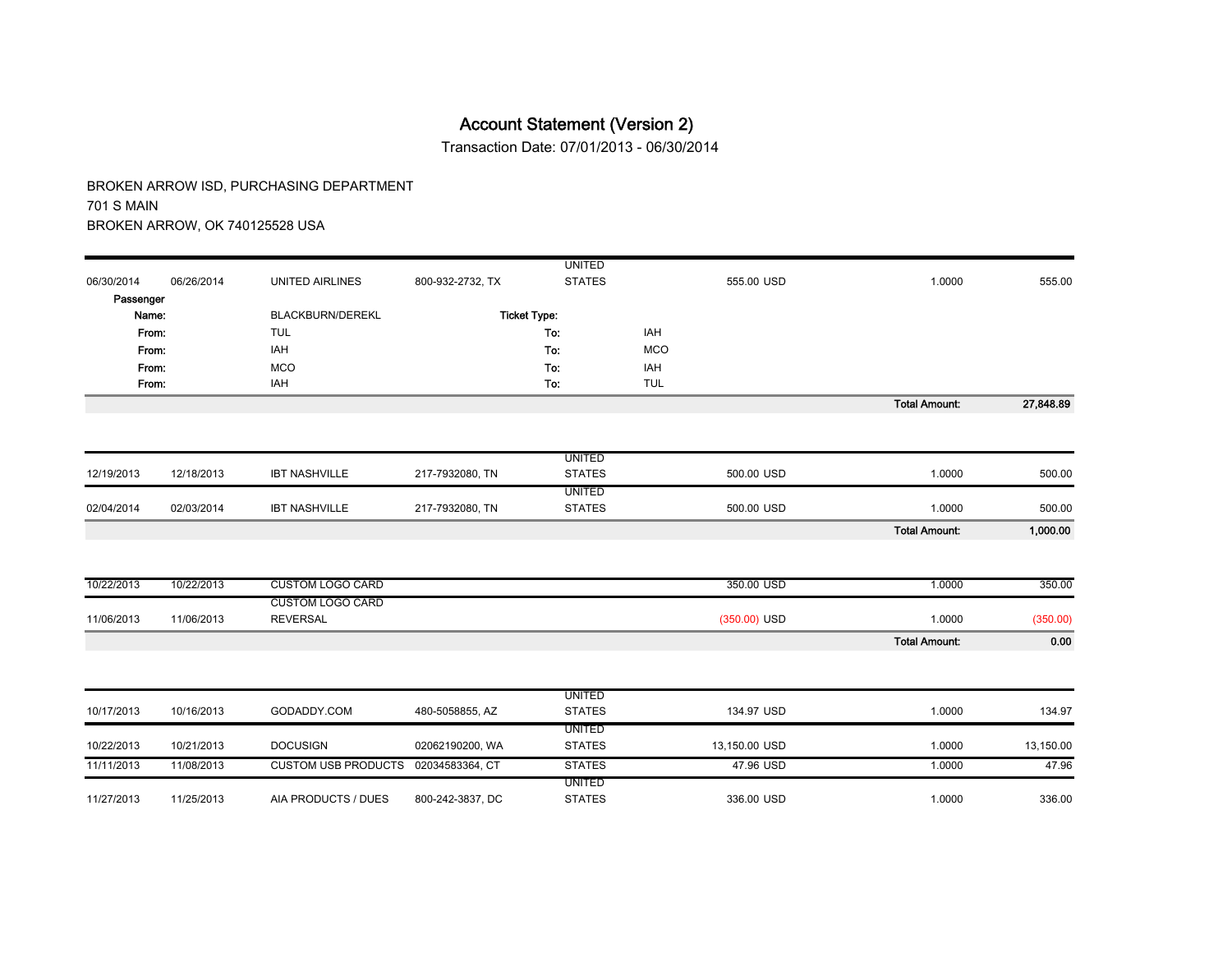Transaction Date: 07/01/2013 - 06/30/2014

|            |            |                                     |                  | <b>UNITED</b>       |            |                |                      |           |
|------------|------------|-------------------------------------|------------------|---------------------|------------|----------------|----------------------|-----------|
| 06/30/2014 | 06/26/2014 | <b>UNITED AIRLINES</b>              | 800-932-2732, TX | <b>STATES</b>       |            | 555.00 USD     | 1.0000               | 555.00    |
| Passenger  |            |                                     |                  |                     |            |                |                      |           |
| Name:      |            | BLACKBURN/DEREKL                    |                  | <b>Ticket Type:</b> |            |                |                      |           |
|            | From:      | <b>TUL</b>                          |                  | To:                 | IAH        |                |                      |           |
| From:      |            | IAH                                 |                  | To:                 | <b>MCO</b> |                |                      |           |
|            | From:      | <b>MCO</b>                          |                  | To:                 | IAH        |                |                      |           |
| From:      |            | IAH                                 |                  | To:                 | <b>TUL</b> |                |                      |           |
|            |            |                                     |                  |                     |            |                | <b>Total Amount:</b> | 27,848.89 |
|            |            |                                     |                  |                     |            |                |                      |           |
|            |            |                                     |                  |                     |            |                |                      |           |
|            |            |                                     |                  | <b>UNITED</b>       |            |                |                      |           |
| 12/19/2013 | 12/18/2013 | <b>IBT NASHVILLE</b>                | 217-7932080, TN  | <b>STATES</b>       |            | 500.00 USD     | 1.0000               | 500.00    |
|            |            |                                     |                  | <b>UNITED</b>       |            |                |                      |           |
| 02/04/2014 | 02/03/2014 | <b>IBT NASHVILLE</b>                | 217-7932080, TN  | <b>STATES</b>       |            | 500.00 USD     | 1.0000               | 500.00    |
|            |            |                                     |                  |                     |            |                | <b>Total Amount:</b> | 1,000.00  |
|            |            |                                     |                  |                     |            |                |                      |           |
| 10/22/2013 | 10/22/2013 | <b>CUSTOM LOGO CARD</b>             |                  |                     |            | 350.00 USD     | 1.0000               | 350.00    |
|            |            | <b>CUSTOM LOGO CARD</b>             |                  |                     |            |                |                      |           |
| 11/06/2013 | 11/06/2013 | <b>REVERSAL</b>                     |                  |                     |            | $(350.00)$ USD | 1.0000               | (350.00)  |
|            |            |                                     |                  |                     |            |                | <b>Total Amount:</b> | 0.00      |
|            |            |                                     |                  |                     |            |                |                      |           |
|            |            |                                     |                  | <b>UNITED</b>       |            |                |                      |           |
| 10/17/2013 | 10/16/2013 | GODADDY.COM                         | 480-5058855, AZ  | <b>STATES</b>       |            | 134.97 USD     | 1.0000               | 134.97    |
|            |            |                                     |                  | <b>UNITED</b>       |            |                |                      |           |
| 10/22/2013 | 10/21/2013 | <b>DOCUSIGN</b>                     | 02062190200, WA  | <b>STATES</b>       |            | 13,150.00 USD  | 1.0000               | 13,150.00 |
| 11/11/2013 | 11/08/2013 | CUSTOM USB PRODUCTS 02034583364, CT |                  | <b>STATES</b>       |            | 47.96 USD      | 1.0000               | 47.96     |
|            |            |                                     |                  | <b>UNITED</b>       |            |                |                      |           |
| 11/27/2013 | 11/25/2013 | AIA PRODUCTS / DUES                 | 800-242-3837, DC | <b>STATES</b>       |            | 336.00 USD     | 1.0000               | 336.00    |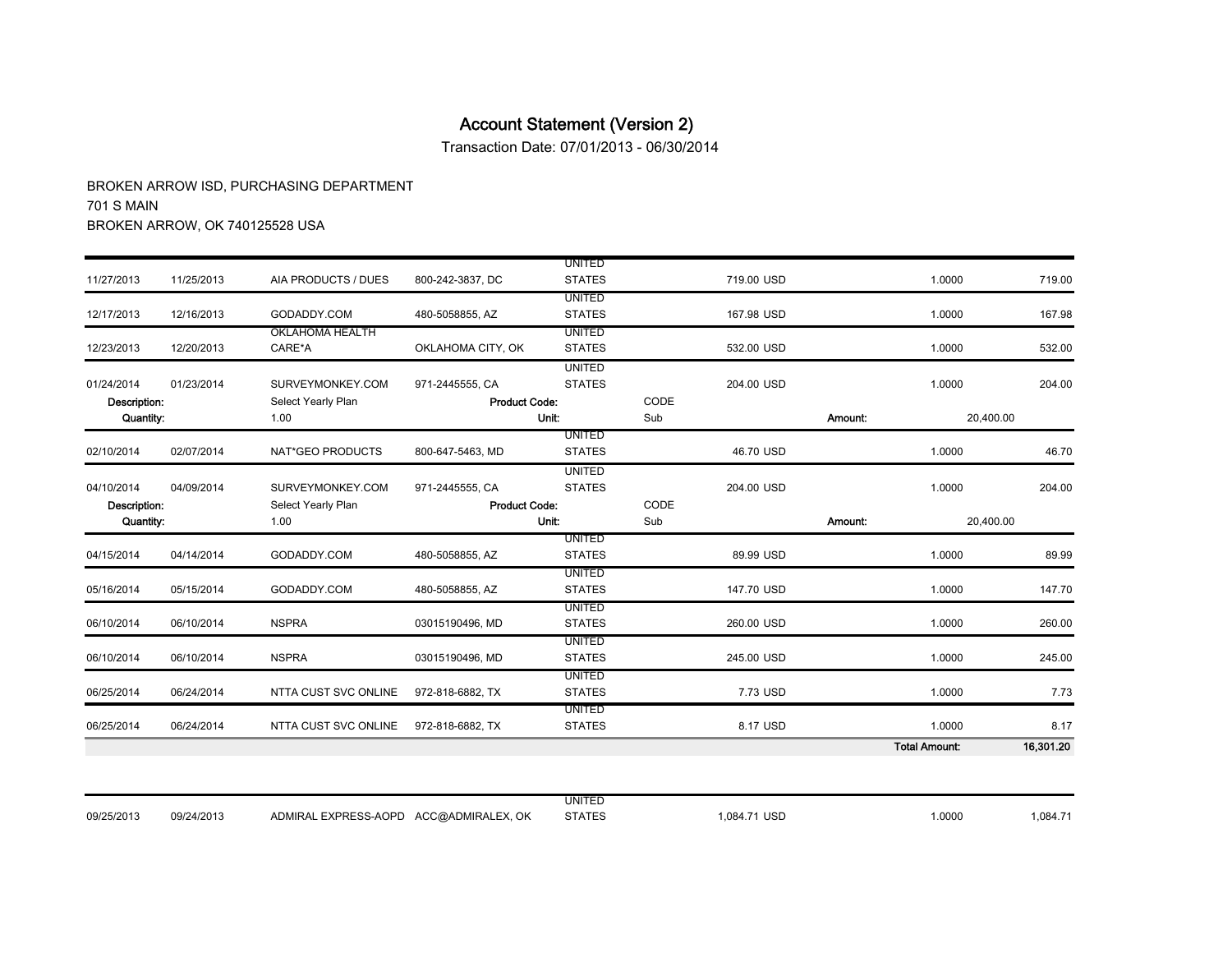Transaction Date: 07/01/2013 - 06/30/2014

| 06/25/2014<br>06/25/2014   | 06/24/2014<br>06/24/2014 | NTTA CUST SVC ONLINE<br>NTTA CUST SVC ONLINE | 972-818-6882, TX<br>972-818-6882, TX    | <b>STATES</b><br>UNITED<br><b>STATES</b> |      | 8.17 USD   |         | 1.0000<br>1.0000<br><b>Total Amount:</b> | 7.73<br>8.17<br>16,301.20 |
|----------------------------|--------------------------|----------------------------------------------|-----------------------------------------|------------------------------------------|------|------------|---------|------------------------------------------|---------------------------|
|                            |                          |                                              |                                         |                                          |      |            |         |                                          |                           |
|                            |                          |                                              |                                         |                                          |      | 7.73 USD   |         |                                          |                           |
|                            |                          |                                              |                                         | <b>UNITED</b>                            |      |            |         |                                          |                           |
| 06/10/2014                 | 06/10/2014               | <b>NSPRA</b>                                 | 03015190496, MD                         | <b>UNITED</b><br><b>STATES</b>           |      | 245.00 USD |         | 1.0000                                   | 245.00                    |
| 06/10/2014                 | 06/10/2014               | <b>NSPRA</b>                                 | 03015190496, MD                         | <b>STATES</b>                            |      | 260.00 USD |         | 1.0000                                   | 260.00                    |
| 05/16/2014                 | 05/15/2014               | GODADDY.COM                                  | 480-5058855, AZ                         | <b>STATES</b><br><b>UNITED</b>           |      | 147.70 USD |         | 1.0000                                   | 147.70                    |
| 04/15/2014                 | 04/14/2014               | GODADDY.COM                                  | 480-5058855, AZ                         | <b>STATES</b><br><b>UNITED</b>           |      | 89.99 USD  |         | 1.0000                                   | 89.99                     |
|                            |                          |                                              |                                         | <b>UNITED</b>                            |      |            |         |                                          |                           |
| Quantity:                  |                          | 1.00                                         |                                         | Unit:                                    | Sub  |            | Amount: | 20,400.00                                |                           |
| 04/10/2014<br>Description: | 04/09/2014               | SURVEYMONKEY.COM<br>Select Yearly Plan       | 971-2445555, CA<br><b>Product Code:</b> | <b>STATES</b>                            | CODE | 204.00 USD |         | 1.0000                                   | 204.00                    |
|                            |                          |                                              |                                         | <b>UNITED</b>                            |      |            |         |                                          |                           |
| 02/10/2014                 | 02/07/2014               | NAT*GEO PRODUCTS                             | 800-647-5463, MD                        | <b>UNITED</b><br><b>STATES</b>           |      | 46.70 USD  |         | 1.0000                                   | 46.70                     |
| Quantity:                  |                          | 1.00                                         |                                         | Unit:                                    | Sub  |            | Amount: | 20,400.00                                |                           |
| Description:               |                          | Select Yearly Plan                           | <b>Product Code:</b>                    |                                          | CODE |            |         |                                          |                           |
| 01/24/2014                 | 01/23/2014               | SURVEYMONKEY.COM                             | 971-2445555, CA                         | <b>UNITED</b><br><b>STATES</b>           |      | 204.00 USD |         | 1.0000                                   | 204.00                    |
| 12/23/2013                 | 12/20/2013               | CARE*A                                       | OKLAHOMA CITY, OK                       | <b>STATES</b>                            |      | 532.00 USD |         | 1.0000                                   | 532.00                    |
|                            |                          | <b>OKLAHOMA HEALTH</b>                       |                                         | <b>UNITED</b>                            |      |            |         |                                          |                           |
| 12/17/2013                 | 12/16/2013               | GODADDY.COM                                  | 480-5058855, AZ                         | <b>UNITED</b><br><b>STATES</b>           |      | 167.98 USD |         | 1.0000                                   | 167.98                    |
| 11/27/2013                 | 11/25/2013               | AIA PRODUCTS / DUES                          | 800-242-3837, DC                        | <b>STATES</b>                            |      | 719.00 USD |         | 1.0000                                   | 719.00                    |
|                            |                          |                                              |                                         | <b>UNITED</b>                            |      |            |         |                                          |                           |

|            |            |                                           | UNITED        |              |       |         |
|------------|------------|-------------------------------------------|---------------|--------------|-------|---------|
| 09/25/2013 | 09/24/2013 | ACC@ADMIRALEX, OK<br>ADMIRAL EXPRESS-AOPD | <b>STATES</b> | 1,084.71 USD | .0000 | 1,084.7 |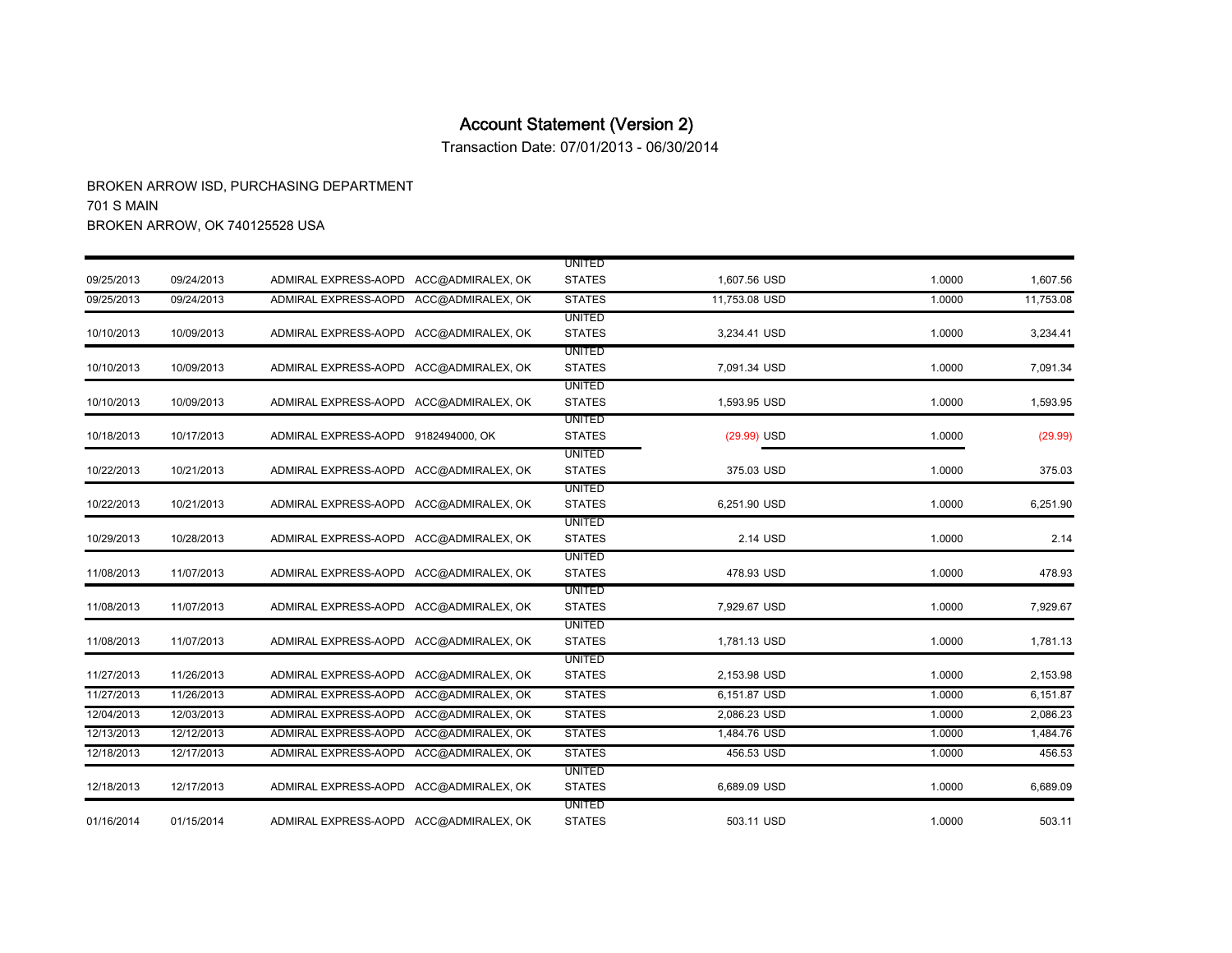Transaction Date: 07/01/2013 - 06/30/2014

|            |            |                                        |                   | <b>UNITED</b>                  |               |        |           |
|------------|------------|----------------------------------------|-------------------|--------------------------------|---------------|--------|-----------|
| 09/25/2013 | 09/24/2013 | ADMIRAL EXPRESS-AOPD ACC@ADMIRALEX, OK |                   | <b>STATES</b>                  | 1,607.56 USD  | 1.0000 | 1,607.56  |
| 09/25/2013 | 09/24/2013 | ADMIRAL EXPRESS-AOPD ACC@ADMIRALEX. OK |                   | <b>STATES</b>                  | 11.753.08 USD | 1.0000 | 11,753.08 |
|            |            |                                        |                   | <b>UNITED</b>                  |               |        |           |
| 10/10/2013 | 10/09/2013 | ADMIRAL EXPRESS-AOPD ACC@ADMIRALEX, OK |                   | <b>STATES</b>                  | 3,234.41 USD  | 1.0000 | 3,234.41  |
|            |            |                                        |                   | <b>UNITED</b>                  |               |        |           |
| 10/10/2013 | 10/09/2013 | ADMIRAL EXPRESS-AOPD ACC@ADMIRALEX, OK |                   | <b>STATES</b>                  | 7,091.34 USD  | 1.0000 | 7,091.34  |
|            |            |                                        |                   | <b>UNITED</b>                  |               |        |           |
| 10/10/2013 | 10/09/2013 | ADMIRAL EXPRESS-AOPD ACC@ADMIRALEX, OK |                   | <b>STATES</b>                  | 1,593.95 USD  | 1.0000 | 1,593.95  |
| 10/18/2013 | 10/17/2013 | ADMIRAL EXPRESS-AOPD 9182494000, OK    |                   | <b>UNITED</b><br><b>STATES</b> | $(29.99)$ USD |        | (29.99)   |
|            |            |                                        |                   | <b>UNITED</b>                  |               | 1.0000 |           |
| 10/22/2013 | 10/21/2013 | ADMIRAL EXPRESS-AOPD ACC@ADMIRALEX, OK |                   | <b>STATES</b>                  | 375.03 USD    | 1.0000 | 375.03    |
|            |            |                                        |                   | <b>UNITED</b>                  |               |        |           |
| 10/22/2013 | 10/21/2013 | ADMIRAL EXPRESS-AOPD ACC@ADMIRALEX, OK |                   | <b>STATES</b>                  | 6,251.90 USD  | 1.0000 | 6,251.90  |
|            |            |                                        |                   | <b>UNITED</b>                  |               |        |           |
| 10/29/2013 | 10/28/2013 | ADMIRAL EXPRESS-AOPD ACC@ADMIRALEX. OK |                   | <b>STATES</b>                  | 2.14 USD      | 1.0000 | 2.14      |
|            |            |                                        |                   | <b>UNITED</b>                  |               |        |           |
| 11/08/2013 | 11/07/2013 | ADMIRAL EXPRESS-AOPD ACC@ADMIRALEX, OK |                   | <b>STATES</b>                  | 478.93 USD    | 1.0000 | 478.93    |
|            |            |                                        |                   | UNITED                         |               |        |           |
| 11/08/2013 | 11/07/2013 | ADMIRAL EXPRESS-AOPD ACC@ADMIRALEX, OK |                   | <b>STATES</b>                  | 7,929.67 USD  | 1.0000 | 7,929.67  |
|            |            |                                        |                   | <b>UNITED</b>                  |               |        |           |
| 11/08/2013 | 11/07/2013 | ADMIRAL EXPRESS-AOPD ACC@ADMIRALEX, OK |                   | <b>STATES</b>                  | 1,781.13 USD  | 1.0000 | 1,781.13  |
| 11/27/2013 | 11/26/2013 | ADMIRAL EXPRESS-AOPD                   | ACC@ADMIRALEX, OK | <b>UNITED</b><br><b>STATES</b> | 2,153.98 USD  | 1.0000 | 2,153.98  |
| 11/27/2013 | 11/26/2013 | ADMIRAL EXPRESS-AOPD                   | ACC@ADMIRALEX, OK | <b>STATES</b>                  | 6.151.87 USD  | 1.0000 | 6,151.87  |
| 12/04/2013 | 12/03/2013 | ADMIRAL EXPRESS-AOPD                   | ACC@ADMIRALEX, OK | <b>STATES</b>                  | 2,086.23 USD  | 1.0000 | 2,086.23  |
| 12/13/2013 | 12/12/2013 | ADMIRAL EXPRESS-AOPD                   | ACC@ADMIRALEX, OK | <b>STATES</b>                  | 1,484.76 USD  | 1.0000 | 1,484.76  |
|            |            |                                        |                   |                                |               |        |           |
| 12/18/2013 | 12/17/2013 | ADMIRAL EXPRESS-AOPD                   | ACC@ADMIRALEX, OK | <b>STATES</b>                  | 456.53 USD    | 1.0000 | 456.53    |
| 12/18/2013 | 12/17/2013 | ADMIRAL EXPRESS-AOPD ACC@ADMIRALEX, OK |                   | <b>UNITED</b><br><b>STATES</b> | 6,689.09 USD  | 1.0000 | 6,689.09  |
|            |            |                                        |                   | <b>UNITED</b>                  |               |        |           |
| 01/16/2014 | 01/15/2014 | ADMIRAL EXPRESS-AOPD ACC@ADMIRALEX, OK |                   | <b>STATES</b>                  | 503.11 USD    | 1.0000 | 503.11    |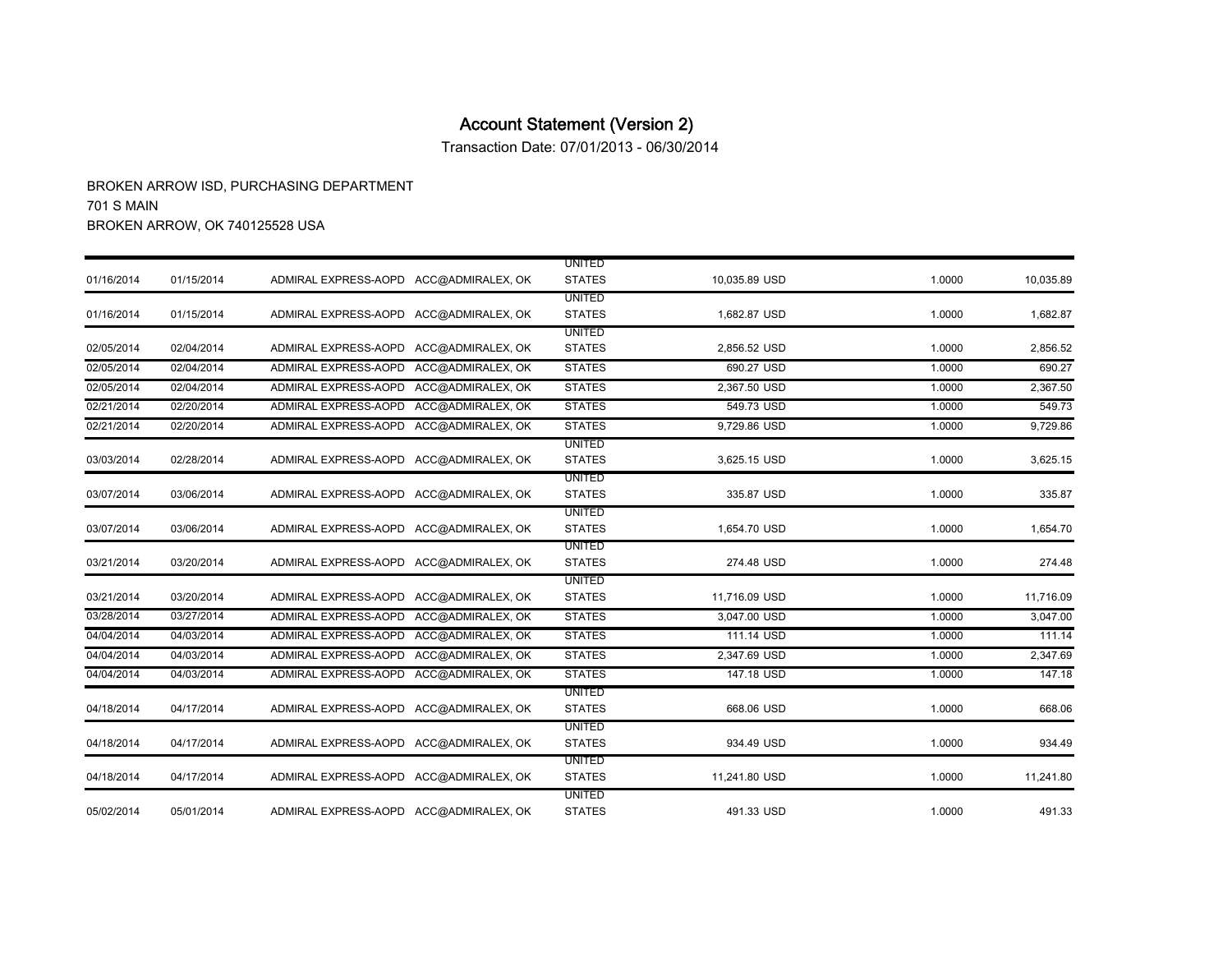Transaction Date: 07/01/2013 - 06/30/2014

|            |            |                                        |                   | <b>UNITED</b> |               |        |           |
|------------|------------|----------------------------------------|-------------------|---------------|---------------|--------|-----------|
| 01/16/2014 | 01/15/2014 | ADMIRAL EXPRESS-AOPD ACC@ADMIRALEX, OK |                   | <b>STATES</b> | 10,035.89 USD | 1.0000 | 10,035.89 |
|            |            |                                        |                   | <b>UNITED</b> |               |        |           |
| 01/16/2014 | 01/15/2014 | ADMIRAL EXPRESS-AOPD ACC@ADMIRALEX, OK |                   | <b>STATES</b> | 1,682.87 USD  | 1.0000 | 1,682.87  |
|            |            |                                        |                   | <b>UNITED</b> |               |        |           |
| 02/05/2014 | 02/04/2014 | ADMIRAL EXPRESS-AOPD                   | ACC@ADMIRALEX, OK | <b>STATES</b> | 2,856.52 USD  | 1.0000 | 2,856.52  |
| 02/05/2014 | 02/04/2014 | ADMIRAL EXPRESS-AOPD                   | ACC@ADMIRALEX, OK | <b>STATES</b> | 690.27 USD    | 1.0000 | 690.27    |
| 02/05/2014 | 02/04/2014 | ADMIRAL EXPRESS-AOPD                   | ACC@ADMIRALEX, OK | <b>STATES</b> | 2,367.50 USD  | 1.0000 | 2,367.50  |
| 02/21/2014 | 02/20/2014 | ADMIRAL EXPRESS-AOPD                   | ACC@ADMIRALEX. OK | <b>STATES</b> | 549.73 USD    | 1.0000 | 549.73    |
| 02/21/2014 | 02/20/2014 | ADMIRAL EXPRESS-AOPD                   | ACC@ADMIRALEX, OK | <b>STATES</b> | 9,729.86 USD  | 1.0000 | 9,729.86  |
|            |            |                                        |                   | <b>UNITED</b> |               |        |           |
| 03/03/2014 | 02/28/2014 | ADMIRAL EXPRESS-AOPD ACC@ADMIRALEX. OK |                   | <b>STATES</b> | 3,625.15 USD  | 1.0000 | 3,625.15  |
|            |            |                                        |                   | <b>UNITED</b> |               |        |           |
| 03/07/2014 | 03/06/2014 | ADMIRAL EXPRESS-AOPD ACC@ADMIRALEX, OK |                   | <b>STATES</b> | 335.87 USD    | 1.0000 | 335.87    |
|            |            |                                        |                   | <b>UNITED</b> |               |        |           |
| 03/07/2014 | 03/06/2014 | ADMIRAL EXPRESS-AOPD ACC@ADMIRALEX, OK |                   | <b>STATES</b> | 1,654.70 USD  | 1.0000 | 1,654.70  |
|            |            |                                        |                   | <b>UNITED</b> |               |        |           |
| 03/21/2014 | 03/20/2014 | ADMIRAL EXPRESS-AOPD                   | ACC@ADMIRALEX, OK | <b>STATES</b> | 274.48 USD    | 1.0000 | 274.48    |
|            |            |                                        |                   | <b>UNITED</b> |               |        |           |
| 03/21/2014 | 03/20/2014 | ADMIRAL EXPRESS-AOPD                   | ACC@ADMIRALEX, OK | <b>STATES</b> | 11,716.09 USD | 1.0000 | 11,716.09 |
| 03/28/2014 | 03/27/2014 | ADMIRAL EXPRESS-AOPD                   | ACC@ADMIRALEX, OK | <b>STATES</b> | 3,047.00 USD  | 1.0000 | 3,047.00  |
| 04/04/2014 | 04/03/2014 | ADMIRAL EXPRESS-AOPD                   | ACC@ADMIRALEX, OK | <b>STATES</b> | 111.14 USD    | 1.0000 | 111.14    |
| 04/04/2014 | 04/03/2014 | ADMIRAL EXPRESS-AOPD                   | ACC@ADMIRALEX. OK | <b>STATES</b> | 2,347.69 USD  | 1.0000 | 2,347.69  |
| 04/04/2014 | 04/03/2014 | ADMIRAL EXPRESS-AOPD                   | ACC@ADMIRALEX, OK | <b>STATES</b> | 147.18 USD    | 1.0000 | 147.18    |
|            |            |                                        |                   | <b>UNITED</b> |               |        |           |
| 04/18/2014 | 04/17/2014 | ADMIRAL EXPRESS-AOPD ACC@ADMIRALEX, OK |                   | <b>STATES</b> | 668.06 USD    | 1.0000 | 668.06    |
|            |            |                                        |                   | <b>UNITED</b> |               |        |           |
| 04/18/2014 | 04/17/2014 | ADMIRAL EXPRESS-AOPD ACC@ADMIRALEX, OK |                   | <b>STATES</b> | 934.49 USD    | 1.0000 | 934.49    |
|            |            |                                        |                   | <b>UNITED</b> |               |        |           |
| 04/18/2014 | 04/17/2014 | ADMIRAL EXPRESS-AOPD ACC@ADMIRALEX, OK |                   | <b>STATES</b> | 11,241.80 USD | 1.0000 | 11,241.80 |
|            |            |                                        |                   | <b>UNITED</b> |               |        |           |
| 05/02/2014 | 05/01/2014 | ADMIRAL EXPRESS-AOPD ACC@ADMIRALEX, OK |                   | <b>STATES</b> | 491.33 USD    | 1.0000 | 491.33    |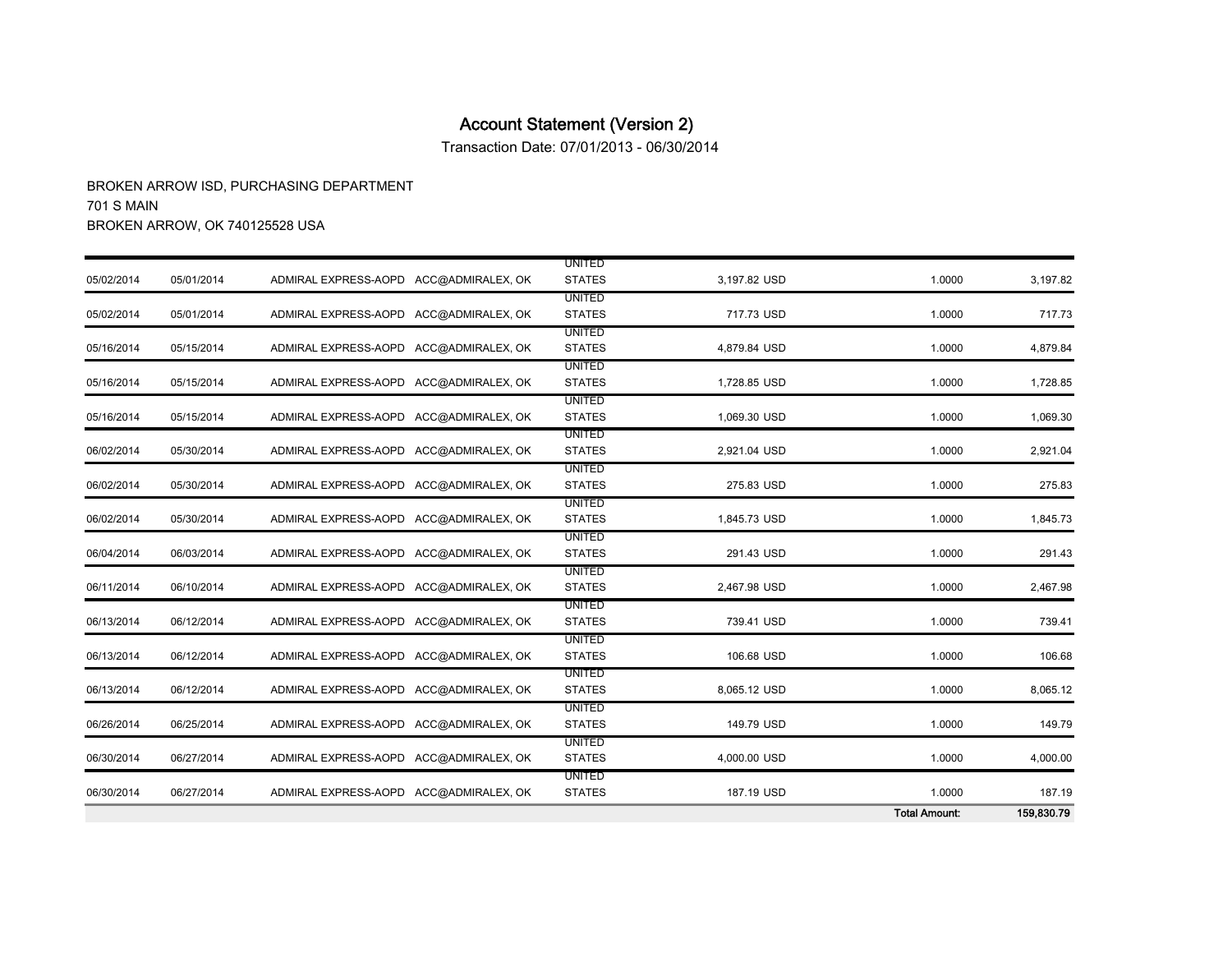Transaction Date: 07/01/2013 - 06/30/2014

|            |            |                                        |                                |              | <b>Total Amount:</b> | 159,830.79 |
|------------|------------|----------------------------------------|--------------------------------|--------------|----------------------|------------|
| 06/30/2014 | 06/27/2014 | ADMIRAL EXPRESS-AOPD ACC@ADMIRALEX, OK | <b>UNITED</b><br><b>STATES</b> | 187.19 USD   | 1.0000               | 187.19     |
| 06/30/2014 | 06/27/2014 | ADMIRAL EXPRESS-AOPD ACC@ADMIRALEX, OK | <b>UNITED</b><br><b>STATES</b> | 4,000.00 USD | 1.0000               | 4,000.00   |
| 06/26/2014 | 06/25/2014 | ADMIRAL EXPRESS-AOPD ACC@ADMIRALEX, OK | <b>UNITED</b><br><b>STATES</b> | 149.79 USD   | 1.0000               | 149.79     |
| 06/13/2014 | 06/12/2014 | ADMIRAL EXPRESS-AOPD ACC@ADMIRALEX, OK | <b>UNITED</b><br><b>STATES</b> | 8,065.12 USD | 1.0000               | 8,065.12   |
| 06/13/2014 | 06/12/2014 | ADMIRAL EXPRESS-AOPD ACC@ADMIRALEX, OK | <b>UNITED</b><br><b>STATES</b> | 106.68 USD   | 1.0000               | 106.68     |
| 06/13/2014 | 06/12/2014 | ADMIRAL EXPRESS-AOPD ACC@ADMIRALEX, OK | <b>UNITED</b><br><b>STATES</b> | 739.41 USD   | 1.0000               | 739.41     |
| 06/11/2014 | 06/10/2014 | ADMIRAL EXPRESS-AOPD ACC@ADMIRALEX, OK | <b>UNITED</b><br><b>STATES</b> | 2,467.98 USD | 1.0000               | 2,467.98   |
| 06/04/2014 | 06/03/2014 | ADMIRAL EXPRESS-AOPD ACC@ADMIRALEX, OK | <b>UNITED</b><br><b>STATES</b> | 291.43 USD   | 1.0000               | 291.43     |
| 06/02/2014 | 05/30/2014 | ADMIRAL EXPRESS-AOPD ACC@ADMIRALEX. OK | <b>UNITED</b><br><b>STATES</b> | 1,845.73 USD | 1.0000               | 1,845.73   |
| 06/02/2014 | 05/30/2014 | ADMIRAL EXPRESS-AOPD ACC@ADMIRALEX, OK | <b>UNITED</b><br><b>STATES</b> | 275.83 USD   | 1.0000               | 275.83     |
| 06/02/2014 | 05/30/2014 | ADMIRAL EXPRESS-AOPD ACC@ADMIRALEX, OK | <b>UNITED</b><br><b>STATES</b> | 2,921.04 USD | 1.0000               | 2,921.04   |
| 05/16/2014 | 05/15/2014 | ADMIRAL EXPRESS-AOPD ACC@ADMIRALEX, OK | <b>UNITED</b><br><b>STATES</b> | 1,069.30 USD | 1.0000               | 1,069.30   |
| 05/16/2014 | 05/15/2014 | ADMIRAL EXPRESS-AOPD ACC@ADMIRALEX, OK | <b>UNITED</b><br><b>STATES</b> | 1,728.85 USD | 1.0000               | 1,728.85   |
| 05/16/2014 | 05/15/2014 | ADMIRAL EXPRESS-AOPD ACC@ADMIRALEX, OK | <b>UNITED</b><br><b>STATES</b> | 4,879.84 USD | 1.0000               | 4,879.84   |
| 05/02/2014 | 05/01/2014 | ADMIRAL EXPRESS-AOPD ACC@ADMIRALEX, OK | <b>UNITED</b><br><b>STATES</b> | 717.73 USD   | 1.0000               | 717.73     |
| 05/02/2014 | 05/01/2014 | ADMIRAL EXPRESS-AOPD ACC@ADMIRALEX, OK | <b>UNITED</b><br><b>STATES</b> | 3,197.82 USD | 1.0000               | 3,197.82   |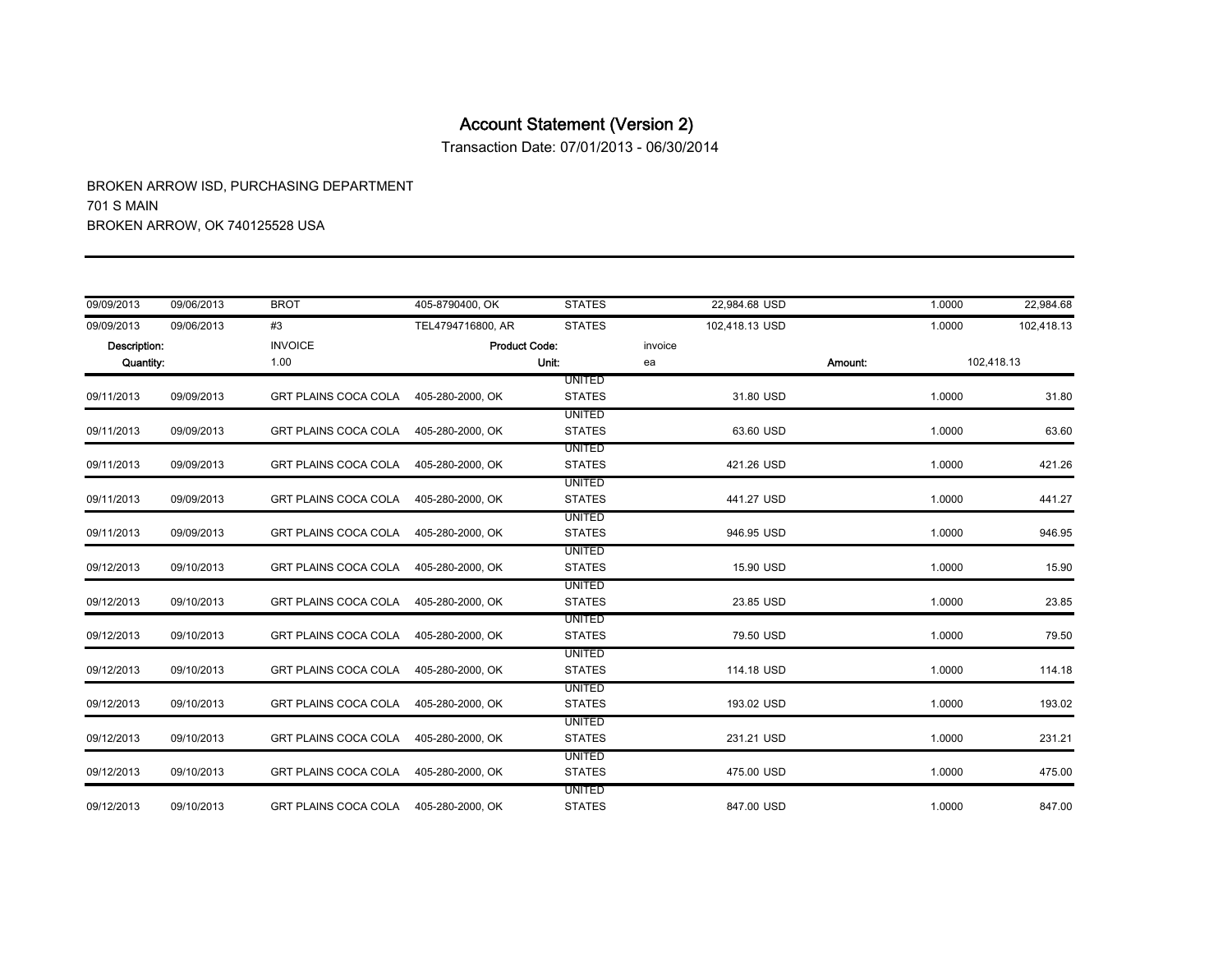Transaction Date: 07/01/2013 - 06/30/2014

| 09/09/2013   | 09/06/2013 | <b>BROT</b>                           | 405-8790400, OK      | <b>STATES</b> |         | 22.984.68 USD  |         | 1.0000 | 22,984.68  |
|--------------|------------|---------------------------------------|----------------------|---------------|---------|----------------|---------|--------|------------|
| 09/09/2013   | 09/06/2013 | #3                                    | TEL4794716800, AR    | <b>STATES</b> |         | 102,418.13 USD |         | 1.0000 | 102,418.13 |
| Description: |            | <b>INVOICE</b>                        | <b>Product Code:</b> |               | invoice |                |         |        |            |
| Quantity:    |            | 1.00                                  |                      | Unit:         | ea      |                | Amount: |        | 102,418.13 |
|              |            |                                       |                      | <b>UNITED</b> |         |                |         |        |            |
| 09/11/2013   | 09/09/2013 | GRT PLAINS COCA COLA 405-280-2000, OK |                      | <b>STATES</b> |         | 31.80 USD      |         | 1.0000 | 31.80      |
|              |            |                                       |                      | <b>UNITED</b> |         |                |         |        |            |
| 09/11/2013   | 09/09/2013 | <b>GRT PLAINS COCA COLA</b>           | 405-280-2000, OK     | <b>STATES</b> |         | 63.60 USD      |         | 1.0000 | 63.60      |
|              |            |                                       |                      | <b>UNITED</b> |         |                |         |        |            |
| 09/11/2013   | 09/09/2013 | <b>GRT PLAINS COCA COLA</b>           | 405-280-2000, OK     | <b>STATES</b> |         | 421.26 USD     |         | 1.0000 | 421.26     |
|              |            |                                       |                      | UNITED        |         |                |         |        |            |
| 09/11/2013   | 09/09/2013 | <b>GRT PLAINS COCA COLA</b>           | 405-280-2000, OK     | <b>STATES</b> |         | 441.27 USD     |         | 1.0000 | 441.27     |
|              |            |                                       |                      | <b>UNITED</b> |         |                |         |        |            |
| 09/11/2013   | 09/09/2013 | GRT PLAINS COCA COLA                  | 405-280-2000, OK     | <b>STATES</b> |         | 946.95 USD     |         | 1.0000 | 946.95     |
|              |            |                                       |                      | <b>UNITED</b> |         |                |         |        |            |
| 09/12/2013   | 09/10/2013 | <b>GRT PLAINS COCA COLA</b>           | 405-280-2000, OK     | <b>STATES</b> |         | 15.90 USD      |         | 1.0000 | 15.90      |
|              |            |                                       |                      | <b>UNITED</b> |         |                |         |        |            |
| 09/12/2013   | 09/10/2013 | <b>GRT PLAINS COCA COLA</b>           | 405-280-2000, OK     | <b>STATES</b> |         | 23.85 USD      |         | 1.0000 | 23.85      |
|              |            |                                       |                      | <b>UNITED</b> |         |                |         |        |            |
| 09/12/2013   | 09/10/2013 | GRT PLAINS COCA COLA                  | 405-280-2000, OK     | <b>STATES</b> |         | 79.50 USD      |         | 1.0000 | 79.50      |
|              |            |                                       |                      | UNITED        |         |                |         |        |            |
| 09/12/2013   | 09/10/2013 | <b>GRT PLAINS COCA COLA</b>           | 405-280-2000, OK     | <b>STATES</b> |         | 114.18 USD     |         | 1.0000 | 114.18     |
|              |            |                                       |                      | <b>UNITED</b> |         |                |         |        |            |
| 09/12/2013   | 09/10/2013 | <b>GRT PLAINS COCA COLA</b>           | 405-280-2000, OK     | <b>STATES</b> |         | 193.02 USD     |         | 1.0000 | 193.02     |
|              |            |                                       |                      | <b>UNITED</b> |         |                |         |        |            |
| 09/12/2013   | 09/10/2013 | GRT PLAINS COCA COLA                  | 405-280-2000, OK     | <b>STATES</b> |         | 231.21 USD     |         | 1.0000 | 231.21     |
|              |            |                                       |                      | UNITED        |         |                |         |        |            |
| 09/12/2013   | 09/10/2013 | <b>GRT PLAINS COCA COLA</b>           | 405-280-2000, OK     | <b>STATES</b> |         | 475.00 USD     |         | 1.0000 | 475.00     |
|              |            |                                       |                      | UNITED        |         |                |         |        |            |
| 09/12/2013   | 09/10/2013 | GRT PLAINS COCA COLA 405-280-2000. OK |                      | <b>STATES</b> |         | 847.00 USD     |         | 1.0000 | 847.00     |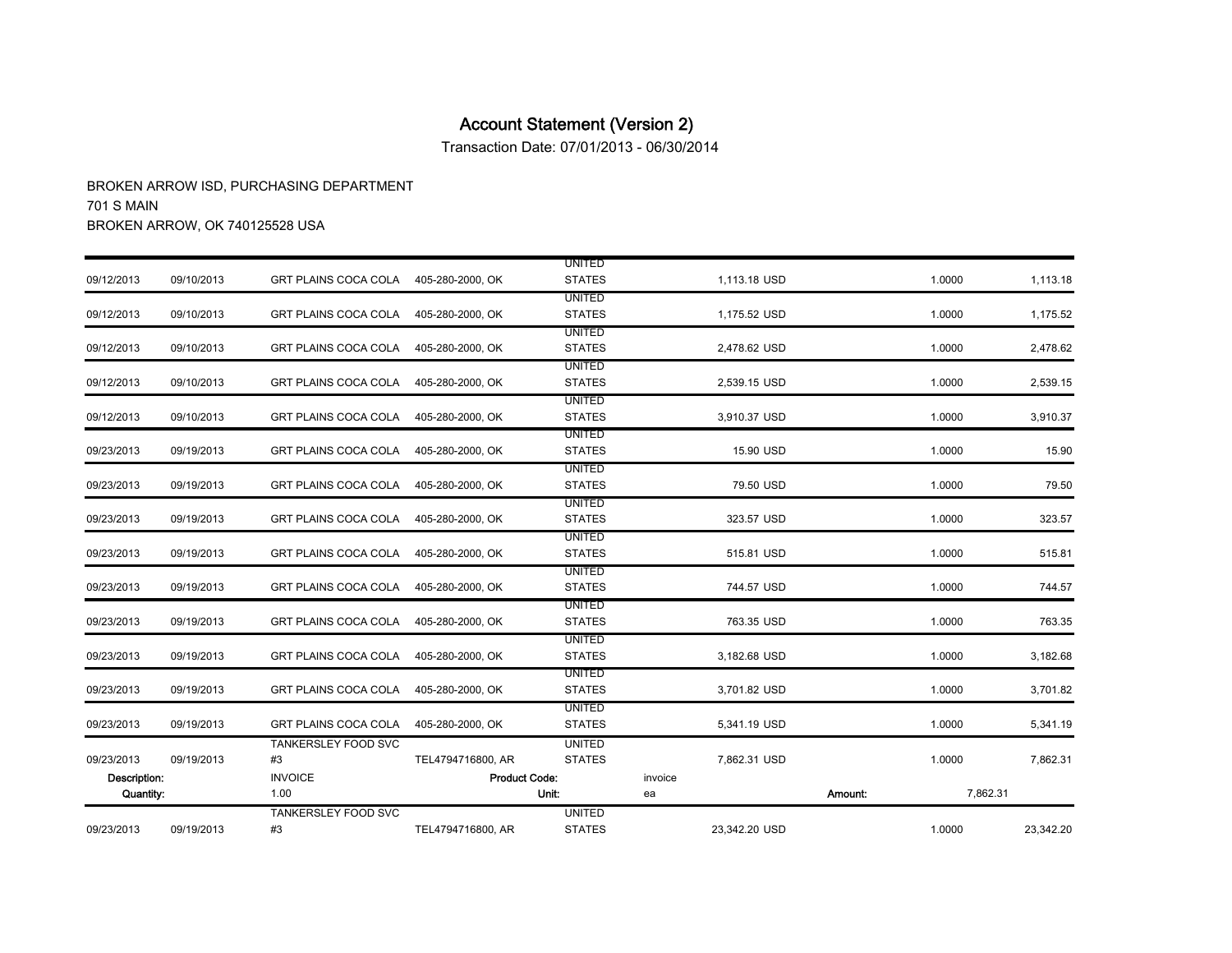Transaction Date: 07/01/2013 - 06/30/2014

| 09/23/2013   | 09/19/2013 | TANKERSLEY FOOD SVC<br>#3             | TEL4794716800, AR    | <b>UNITED</b><br><b>STATES</b> |         | 23,342.20 USD |         | 1.0000   | 23,342.20 |
|--------------|------------|---------------------------------------|----------------------|--------------------------------|---------|---------------|---------|----------|-----------|
| Quantity:    |            | 1.00                                  |                      | Unit:                          | ea      |               | Amount: | 7,862.31 |           |
| Description: |            | <b>INVOICE</b>                        | <b>Product Code:</b> |                                | invoice |               |         |          |           |
| 09/23/2013   | 09/19/2013 | #3                                    | TEL4794716800, AR    | <b>STATES</b>                  |         | 7,862.31 USD  |         | 1.0000   | 7,862.31  |
|              |            | <b>TANKERSLEY FOOD SVC</b>            |                      | <b>UNITED</b>                  |         |               |         |          |           |
| 09/23/2013   | 09/19/2013 | <b>GRT PLAINS COCA COLA</b>           | 405-280-2000, OK     | <b>UNITED</b><br><b>STATES</b> |         | 5,341.19 USD  |         | 1.0000   | 5,341.19  |
| 09/23/2013   | 09/19/2013 | <b>GRT PLAINS COCA COLA</b>           | 405-280-2000, OK     | <b>UNITED</b><br><b>STATES</b> |         | 3,701.82 USD  |         | 1.0000   | 3,701.82  |
| 09/23/2013   | 09/19/2013 | <b>GRT PLAINS COCA COLA</b>           | 405-280-2000, OK     | <b>UNITED</b><br><b>STATES</b> |         | 3,182.68 USD  |         | 1.0000   | 3,182.68  |
| 09/23/2013   | 09/19/2013 | <b>GRT PLAINS COCA COLA</b>           | 405-280-2000, OK     | <b>UNITED</b><br><b>STATES</b> |         | 763.35 USD    |         | 1.0000   | 763.35    |
| 09/23/2013   | 09/19/2013 | <b>GRT PLAINS COCA COLA</b>           | 405-280-2000, OK     | UNITED<br><b>STATES</b>        |         | 744.57 USD    |         | 1.0000   | 744.57    |
| 09/23/2013   | 09/19/2013 | <b>GRT PLAINS COCA COLA</b>           | 405-280-2000, OK     | <b>UNITED</b><br><b>STATES</b> |         | 515.81 USD    |         | 1.0000   | 515.81    |
| 09/23/2013   | 09/19/2013 | <b>GRT PLAINS COCA COLA</b>           | 405-280-2000, OK     | UNITED<br><b>STATES</b>        |         | 323.57 USD    |         | 1.0000   | 323.57    |
| 09/23/2013   | 09/19/2013 | GRT PLAINS COCA COLA                  | 405-280-2000, OK     | <b>UNITED</b><br><b>STATES</b> |         | 79.50 USD     |         | 1.0000   | 79.50     |
| 09/23/2013   | 09/19/2013 | GRT PLAINS COCA COLA                  | 405-280-2000, OK     | <b>UNITED</b><br><b>STATES</b> |         | 15.90 USD     |         | 1.0000   | 15.90     |
| 09/12/2013   | 09/10/2013 | <b>GRT PLAINS COCA COLA</b>           | 405-280-2000, OK     | <b>UNITED</b><br><b>STATES</b> |         | 3,910.37 USD  |         | 1.0000   | 3,910.37  |
| 09/12/2013   | 09/10/2013 | <b>GRT PLAINS COCA COLA</b>           | 405-280-2000, OK     | <b>UNITED</b><br><b>STATES</b> |         | 2,539.15 USD  |         | 1.0000   | 2,539.15  |
| 09/12/2013   | 09/10/2013 | GRT PLAINS COCA COLA                  | 405-280-2000, OK     | UNITED<br><b>STATES</b>        |         | 2,478.62 USD  |         | 1.0000   | 2,478.62  |
| 09/12/2013   | 09/10/2013 | GRT PLAINS COCA COLA                  | 405-280-2000, OK     | <b>UNITED</b><br><b>STATES</b> |         | 1,175.52 USD  |         | 1.0000   | 1,175.52  |
| 09/12/2013   | 09/10/2013 | GRT PLAINS COCA COLA 405-280-2000, OK |                      | UNITED<br><b>STATES</b>        |         | 1,113.18 USD  |         | 1.0000   | 1,113.18  |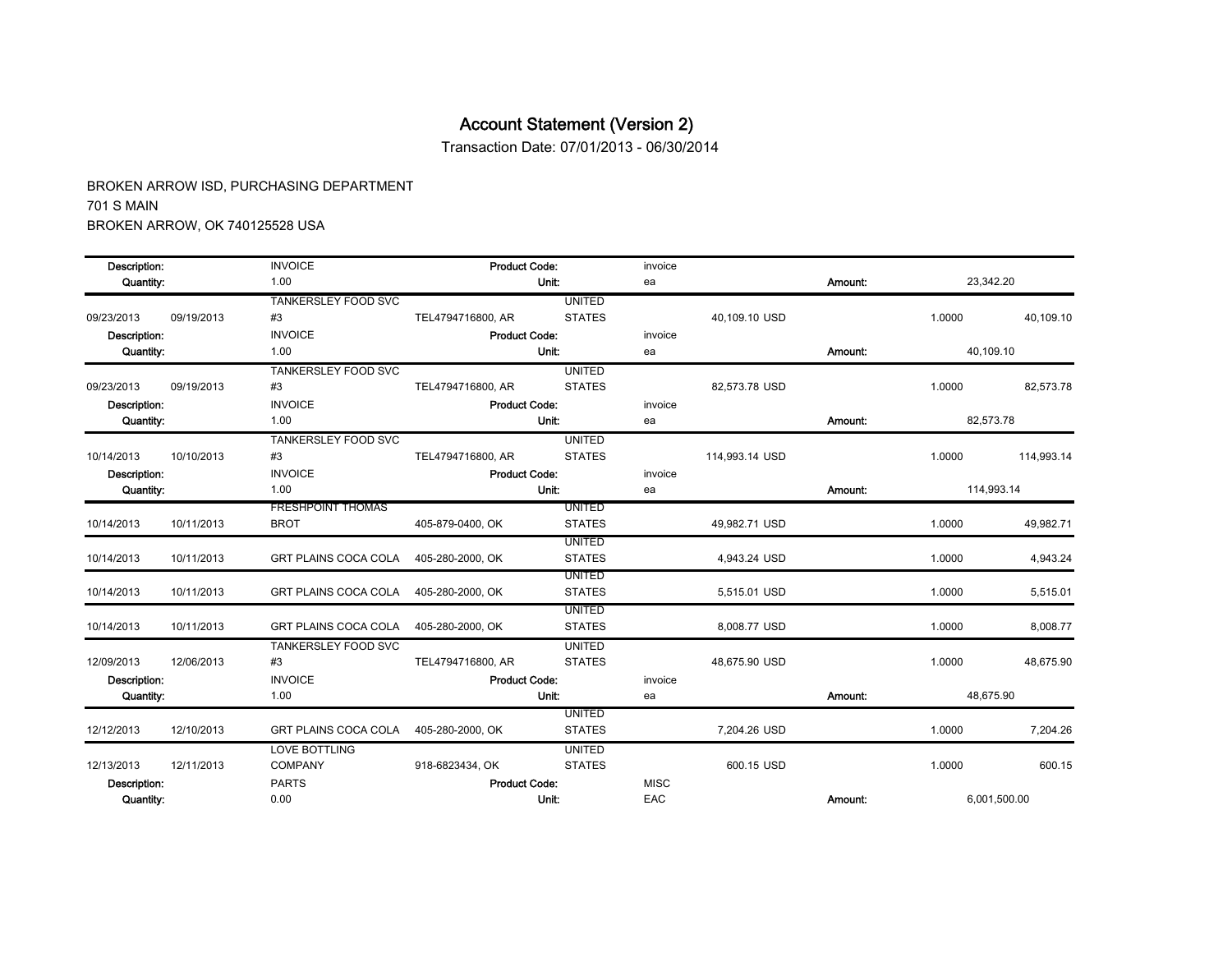Transaction Date: 07/01/2013 - 06/30/2014

| Description:     |            | <b>INVOICE</b>              | <b>Product Code:</b> |               | invoice     |                |         |            |              |
|------------------|------------|-----------------------------|----------------------|---------------|-------------|----------------|---------|------------|--------------|
| Quantity:        |            | 1.00                        |                      | Unit:         | ea          |                | Amount: | 23,342.20  |              |
|                  |            | TANKERSLEY FOOD SVC         |                      | <b>UNITED</b> |             |                |         |            |              |
| 09/23/2013       | 09/19/2013 | #3                          | TEL4794716800, AR    | <b>STATES</b> |             | 40.109.10 USD  |         | 1.0000     | 40.109.10    |
| Description:     |            | <b>INVOICE</b>              | <b>Product Code:</b> |               | invoice     |                |         |            |              |
| <b>Quantity:</b> |            | 1.00                        |                      | Unit:         | ea          |                | Amount: | 40,109.10  |              |
|                  |            | <b>TANKERSLEY FOOD SVC</b>  |                      | <b>UNITED</b> |             |                |         |            |              |
| 09/23/2013       | 09/19/2013 | #3                          | TEL4794716800, AR    | <b>STATES</b> |             | 82,573.78 USD  |         | 1.0000     | 82,573.78    |
| Description:     |            | <b>INVOICE</b>              | <b>Product Code:</b> |               | invoice     |                |         |            |              |
| Quantity:        |            | 1.00                        |                      | Unit:         | ea          |                | Amount: | 82,573.78  |              |
|                  |            | TANKERSLEY FOOD SVC         |                      | <b>UNITED</b> |             |                |         |            |              |
| 10/14/2013       | 10/10/2013 | #3                          | TEL4794716800, AR    | <b>STATES</b> |             | 114,993.14 USD |         | 1.0000     | 114,993.14   |
| Description:     |            | <b>INVOICE</b>              | <b>Product Code:</b> |               | invoice     |                |         |            |              |
| Quantity:        |            | 1.00                        |                      | Unit:         | ea          |                | Amount: | 114,993.14 |              |
|                  |            | <b>FRESHPOINT THOMAS</b>    |                      | <b>UNITED</b> |             |                |         |            |              |
| 10/14/2013       | 10/11/2013 | <b>BROT</b>                 | 405-879-0400, OK     | <b>STATES</b> |             | 49.982.71 USD  |         | 1.0000     | 49.982.71    |
|                  |            |                             |                      | <b>UNITED</b> |             |                |         |            |              |
| 10/14/2013       | 10/11/2013 | GRT PLAINS COCA COLA        | 405-280-2000, OK     | <b>STATES</b> |             | 4,943.24 USD   |         | 1.0000     | 4,943.24     |
|                  |            |                             |                      | <b>UNITED</b> |             |                |         |            |              |
| 10/14/2013       | 10/11/2013 | GRT PLAINS COCA COLA        | 405-280-2000, OK     | <b>STATES</b> |             | 5,515.01 USD   |         | 1.0000     | 5,515.01     |
|                  |            |                             |                      | <b>UNITED</b> |             |                |         |            |              |
| 10/14/2013       | 10/11/2013 | <b>GRT PLAINS COCA COLA</b> | 405-280-2000, OK     | <b>STATES</b> |             | 8,008.77 USD   |         | 1.0000     | 8,008.77     |
|                  |            | <b>TANKERSLEY FOOD SVC</b>  |                      | <b>UNITED</b> |             |                |         |            |              |
| 12/09/2013       | 12/06/2013 | #3                          | TEL4794716800, AR    | <b>STATES</b> |             | 48,675.90 USD  |         | 1.0000     | 48.675.90    |
| Description:     |            | <b>INVOICE</b>              | <b>Product Code:</b> |               | invoice     |                |         |            |              |
| Quantity:        |            | 1.00                        |                      | Unit:         | ea          |                | Amount: | 48,675.90  |              |
|                  |            |                             |                      | <b>UNITED</b> |             |                |         |            |              |
| 12/12/2013       | 12/10/2013 | <b>GRT PLAINS COCA COLA</b> | 405-280-2000, OK     | <b>STATES</b> |             | 7.204.26 USD   |         | 1.0000     | 7.204.26     |
|                  |            | <b>LOVE BOTTLING</b>        |                      | <b>UNITED</b> |             |                |         |            |              |
| 12/13/2013       | 12/11/2013 | <b>COMPANY</b>              | 918-6823434, OK      | <b>STATES</b> |             | 600.15 USD     |         | 1.0000     | 600.15       |
| Description:     |            | <b>PARTS</b>                | <b>Product Code:</b> |               | <b>MISC</b> |                |         |            |              |
| Quantity:        |            | 0.00                        |                      | Unit:         | EAC         |                | Amount: |            | 6,001,500.00 |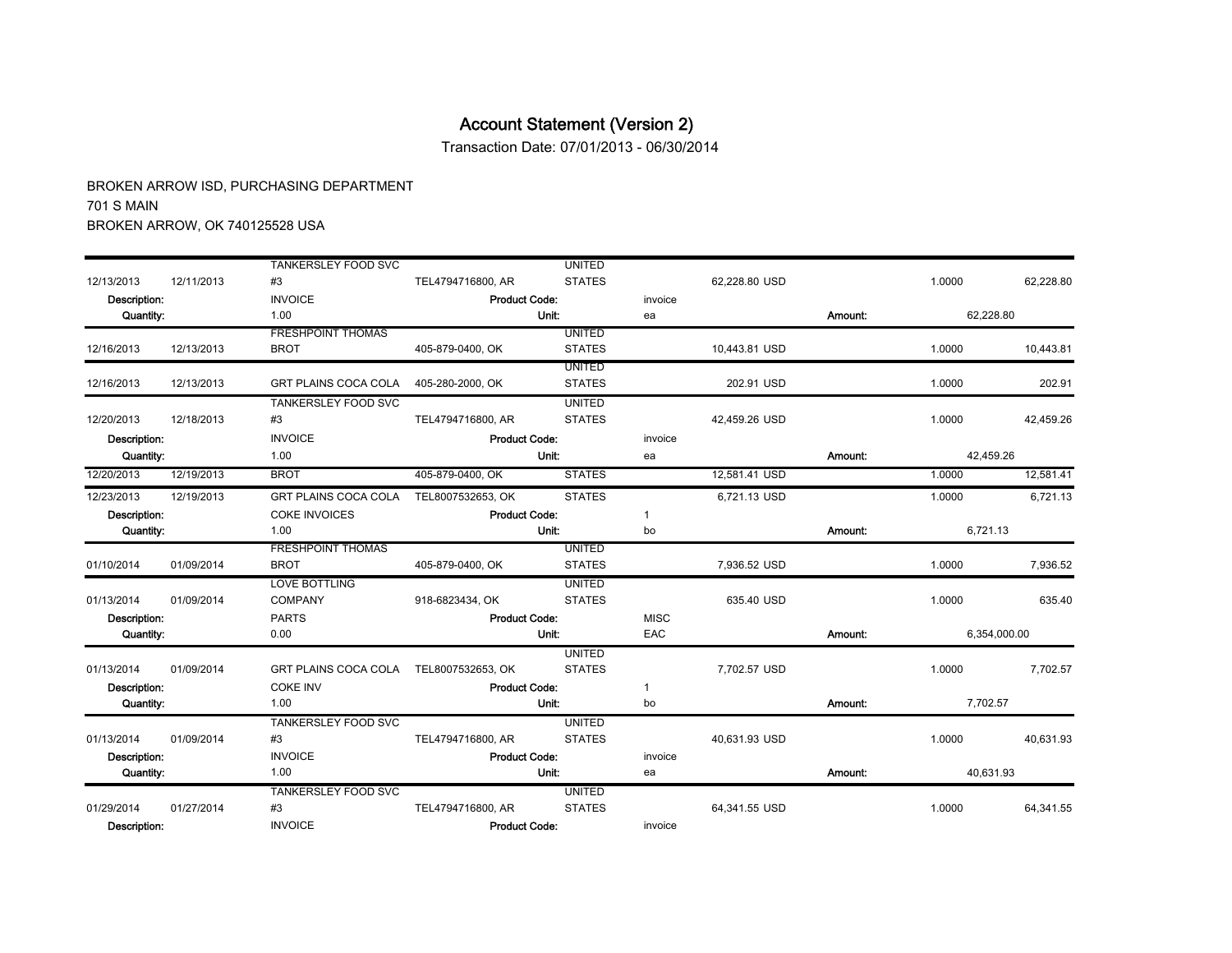Transaction Date: 07/01/2013 - 06/30/2014

|                  |            | <b>TANKERSLEY FOOD SVC</b>  |                      | <b>UNITED</b> |              |               |         |           |              |  |
|------------------|------------|-----------------------------|----------------------|---------------|--------------|---------------|---------|-----------|--------------|--|
| 12/13/2013       | 12/11/2013 | #3                          | TEL4794716800, AR    | <b>STATES</b> |              | 62.228.80 USD |         | 1.0000    | 62.228.80    |  |
| Description:     |            | <b>INVOICE</b>              | <b>Product Code:</b> |               | invoice      |               |         |           |              |  |
| Quantity:        |            | 1.00                        | Unit:                |               | ea           | Amount:       |         | 62.228.80 |              |  |
|                  |            | <b>FRESHPOINT THOMAS</b>    |                      | <b>UNITED</b> |              |               |         |           |              |  |
| 12/16/2013       | 12/13/2013 | <b>BROT</b>                 | 405-879-0400, OK     | <b>STATES</b> |              | 10.443.81 USD |         | 1.0000    | 10.443.81    |  |
|                  |            |                             |                      | <b>UNITED</b> |              |               |         |           |              |  |
| 12/16/2013       | 12/13/2013 | <b>GRT PLAINS COCA COLA</b> | 405-280-2000, OK     | <b>STATES</b> |              | 202.91 USD    |         | 1.0000    | 202.91       |  |
|                  |            | <b>TANKERSLEY FOOD SVC</b>  |                      | <b>UNITED</b> |              |               |         |           |              |  |
| 12/20/2013       | 12/18/2013 | #3                          | TEL4794716800, AR    | <b>STATES</b> |              | 42,459.26 USD |         | 1.0000    | 42,459.26    |  |
| Description:     |            | <b>INVOICE</b>              | <b>Product Code:</b> |               | invoice      |               |         |           |              |  |
| Quantity:        |            | 1.00                        | <b>Unit:</b>         |               | ea           |               | Amount: | 42.459.26 |              |  |
| 12/20/2013       | 12/19/2013 | <b>BROT</b>                 | 405-879-0400, OK     | <b>STATES</b> |              | 12.581.41 USD |         | 1.0000    | 12.581.41    |  |
| 12/23/2013       | 12/19/2013 | GRT PLAINS COCA COLA        | TEL8007532653, OK    | <b>STATES</b> |              | 6,721.13 USD  |         | 1.0000    | 6.721.13     |  |
| Description:     |            | <b>COKE INVOICES</b>        | <b>Product Code:</b> |               | $\mathbf{1}$ |               |         |           |              |  |
| <b>Quantity:</b> |            | 1.00                        | Unit:                |               | bo           |               | Amount: | 6,721.13  |              |  |
|                  |            | <b>FRESHPOINT THOMAS</b>    |                      | <b>UNITED</b> |              |               |         |           |              |  |
| 01/10/2014       | 01/09/2014 | <b>BROT</b>                 | 405-879-0400, OK     | <b>STATES</b> |              | 7,936.52 USD  |         | 1.0000    | 7.936.52     |  |
|                  |            | <b>LOVE BOTTLING</b>        |                      | <b>UNITED</b> |              |               |         |           |              |  |
| 01/13/2014       | 01/09/2014 | <b>COMPANY</b>              | 918-6823434, OK      | <b>STATES</b> |              | 635.40 USD    |         | 1.0000    | 635.40       |  |
| Description:     |            | <b>PARTS</b>                | <b>Product Code:</b> |               | <b>MISC</b>  |               |         |           |              |  |
| Quantity:        |            | 0.00                        |                      | Unit:         | EAC          |               | Amount: |           | 6,354,000.00 |  |
|                  |            |                             |                      | <b>UNITED</b> |              |               |         |           |              |  |
| 01/13/2014       | 01/09/2014 | <b>GRT PLAINS COCA COLA</b> | TEL8007532653, OK    | <b>STATES</b> |              | 7.702.57 USD  |         | 1.0000    | 7.702.57     |  |
| Description:     |            | <b>COKE INV</b>             | <b>Product Code:</b> |               | $\mathbf{1}$ |               |         |           |              |  |
| Quantity:        |            | 1.00                        |                      | Unit:         | bo           |               | Amount: | 7,702.57  |              |  |
|                  |            | <b>TANKERSLEY FOOD SVC</b>  |                      | <b>UNITED</b> |              |               |         |           |              |  |
| 01/13/2014       | 01/09/2014 | #3                          | TEL4794716800, AR    | <b>STATES</b> |              | 40,631.93 USD |         | 1.0000    | 40.631.93    |  |
| Description:     |            | <b>INVOICE</b>              | <b>Product Code:</b> |               | invoice      |               |         |           |              |  |
| <b>Quantity:</b> |            | 1.00                        | Unit:                |               | ea           |               | Amount: | 40,631.93 |              |  |
|                  |            | <b>TANKERSLEY FOOD SVC</b>  |                      | <b>UNITED</b> |              |               |         |           |              |  |
| 01/29/2014       | 01/27/2014 | #3                          | TEL4794716800, AR    | <b>STATES</b> |              | 64.341.55 USD |         | 1.0000    | 64.341.55    |  |
| Description:     |            | <b>INVOICE</b>              | <b>Product Code:</b> |               | invoice      |               |         |           |              |  |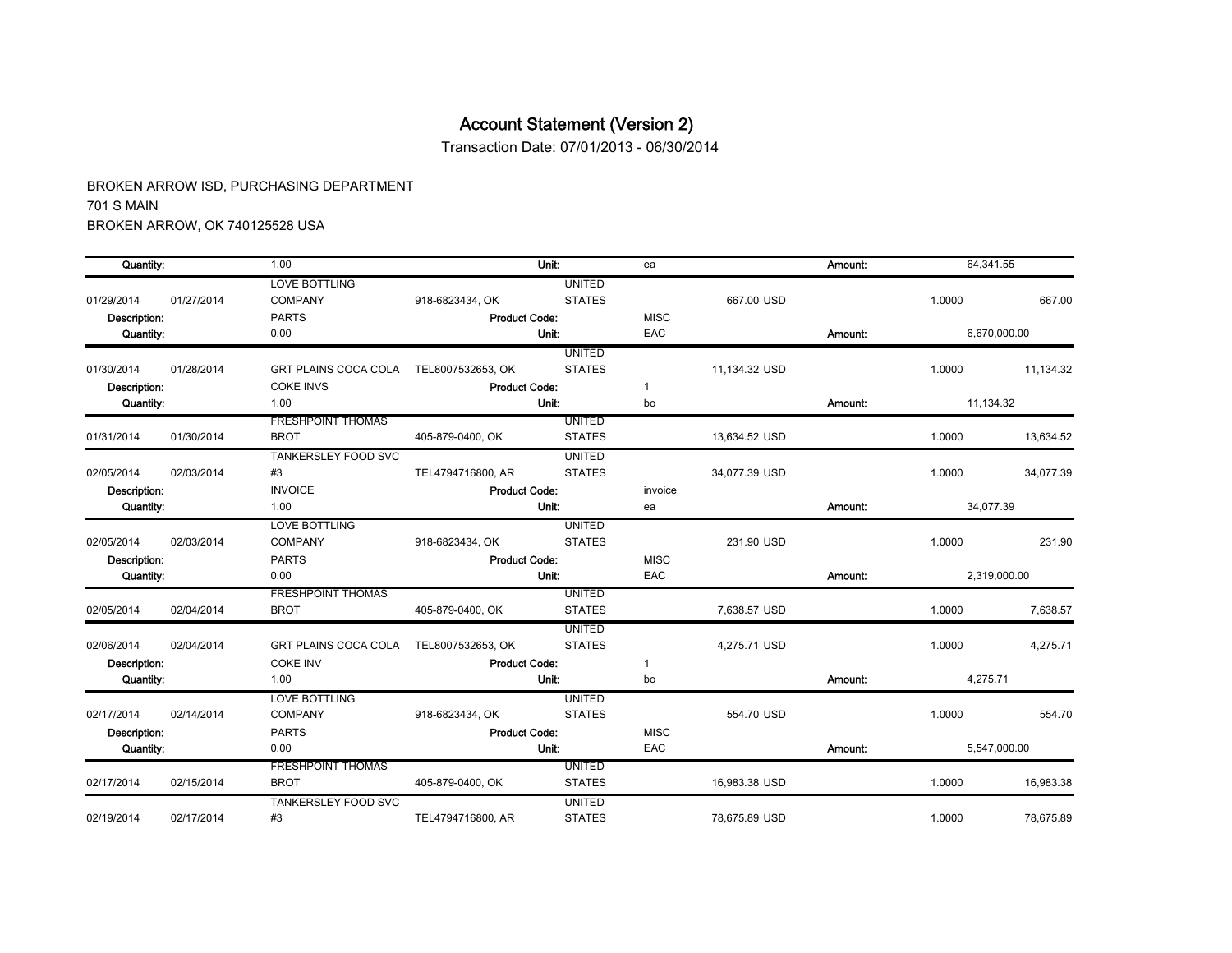Transaction Date: 07/01/2013 - 06/30/2014

| Quantity:        |                                | 1.00                        | Unit:                |               | ea           |               | Amount: | 64,341.55    |           |
|------------------|--------------------------------|-----------------------------|----------------------|---------------|--------------|---------------|---------|--------------|-----------|
|                  |                                | <b>LOVE BOTTLING</b>        |                      | <b>UNITED</b> |              |               |         |              |           |
| 01/29/2014       | 01/27/2014                     | <b>COMPANY</b>              | 918-6823434, OK      | <b>STATES</b> |              | 667.00 USD    |         | 1.0000       | 667.00    |
| Description:     |                                | <b>PARTS</b>                | <b>Product Code:</b> |               | <b>MISC</b>  |               |         |              |           |
| <b>Quantity:</b> |                                | 0.00                        | Unit:                |               | EAC          |               | Amount: | 6,670,000.00 |           |
|                  |                                |                             |                      | <b>UNITED</b> |              |               |         |              |           |
| 01/30/2014       | 01/28/2014                     | <b>GRT PLAINS COCA COLA</b> | TEL8007532653, OK    | <b>STATES</b> |              | 11,134.32 USD |         | 1.0000       | 11.134.32 |
| Description:     |                                | <b>COKE INVS</b>            | <b>Product Code:</b> |               | $\mathbf{1}$ |               |         |              |           |
| Quantity:        |                                | 1.00                        | Unit:                |               | bo           |               | Amount: | 11,134.32    |           |
|                  |                                | <b>FRESHPOINT THOMAS</b>    |                      | <b>UNITED</b> |              |               |         |              |           |
| 01/31/2014       | 01/30/2014                     | <b>BROT</b>                 | 405-879-0400, OK     | <b>STATES</b> |              | 13,634.52 USD |         | 1.0000       | 13,634.52 |
|                  |                                | <b>TANKERSLEY FOOD SVC</b>  |                      | <b>UNITED</b> |              |               |         |              |           |
| 02/05/2014       | 02/03/2014                     | #3                          | TEL4794716800, AR    | <b>STATES</b> |              | 34,077.39 USD |         | 1.0000       | 34,077.39 |
|                  | <b>INVOICE</b><br>Description: |                             | <b>Product Code:</b> |               | invoice      |               |         |              |           |
| Quantity:        |                                | 1.00                        | Unit:                |               | ea           |               | Amount: | 34,077.39    |           |
|                  |                                | <b>LOVE BOTTLING</b>        |                      | <b>UNITED</b> |              |               |         |              |           |
| 02/05/2014       | 02/03/2014                     | COMPANY                     | 918-6823434, OK      | <b>STATES</b> |              | 231.90 USD    |         | 1.0000       | 231.90    |
| Description:     |                                | <b>PARTS</b>                | <b>Product Code:</b> |               | <b>MISC</b>  |               |         |              |           |
| Quantity:        |                                | 0.00                        | Unit:                |               | EAC          |               | Amount: | 2,319,000.00 |           |
|                  |                                | <b>FRESHPOINT THOMAS</b>    |                      | <b>UNITED</b> |              |               |         |              |           |
| 02/05/2014       | 02/04/2014                     | <b>BROT</b>                 | 405-879-0400, OK     | <b>STATES</b> |              | 7,638.57 USD  |         | 1.0000       | 7.638.57  |
|                  |                                |                             |                      | <b>UNITED</b> |              |               |         |              |           |
| 02/06/2014       | 02/04/2014                     | <b>GRT PLAINS COCA COLA</b> | TEL8007532653, OK    | <b>STATES</b> |              | 4.275.71 USD  |         | 1.0000       | 4,275.71  |
| Description:     |                                | <b>COKE INV</b>             | <b>Product Code:</b> |               | $\mathbf 1$  |               |         |              |           |
| Quantity:        |                                | 1.00                        | Unit:                |               | bo           |               | Amount: | 4,275.71     |           |
|                  |                                | <b>LOVE BOTTLING</b>        |                      | <b>UNITED</b> |              |               |         |              |           |
| 02/17/2014       | 02/14/2014                     | <b>COMPANY</b>              | 918-6823434, OK      | <b>STATES</b> |              | 554.70 USD    |         | 1.0000       | 554.70    |
| Description:     |                                | <b>PARTS</b>                | <b>Product Code:</b> |               | <b>MISC</b>  |               |         |              |           |
| Quantity:        |                                | 0.00                        | Unit:                |               | EAC          |               | Amount: | 5,547,000.00 |           |
|                  |                                | <b>FRESHPOINT THOMAS</b>    |                      | <b>UNITED</b> |              |               |         |              |           |
| 02/17/2014       | 02/15/2014                     | <b>BROT</b>                 | 405-879-0400, OK     | <b>STATES</b> |              | 16,983.38 USD |         | 1.0000       | 16,983.38 |
|                  |                                | <b>TANKERSLEY FOOD SVC</b>  |                      | <b>UNITED</b> |              |               |         |              |           |
| 02/19/2014       | 02/17/2014                     | #3                          | TEL4794716800, AR    | <b>STATES</b> |              | 78.675.89 USD |         | 1.0000       | 78.675.89 |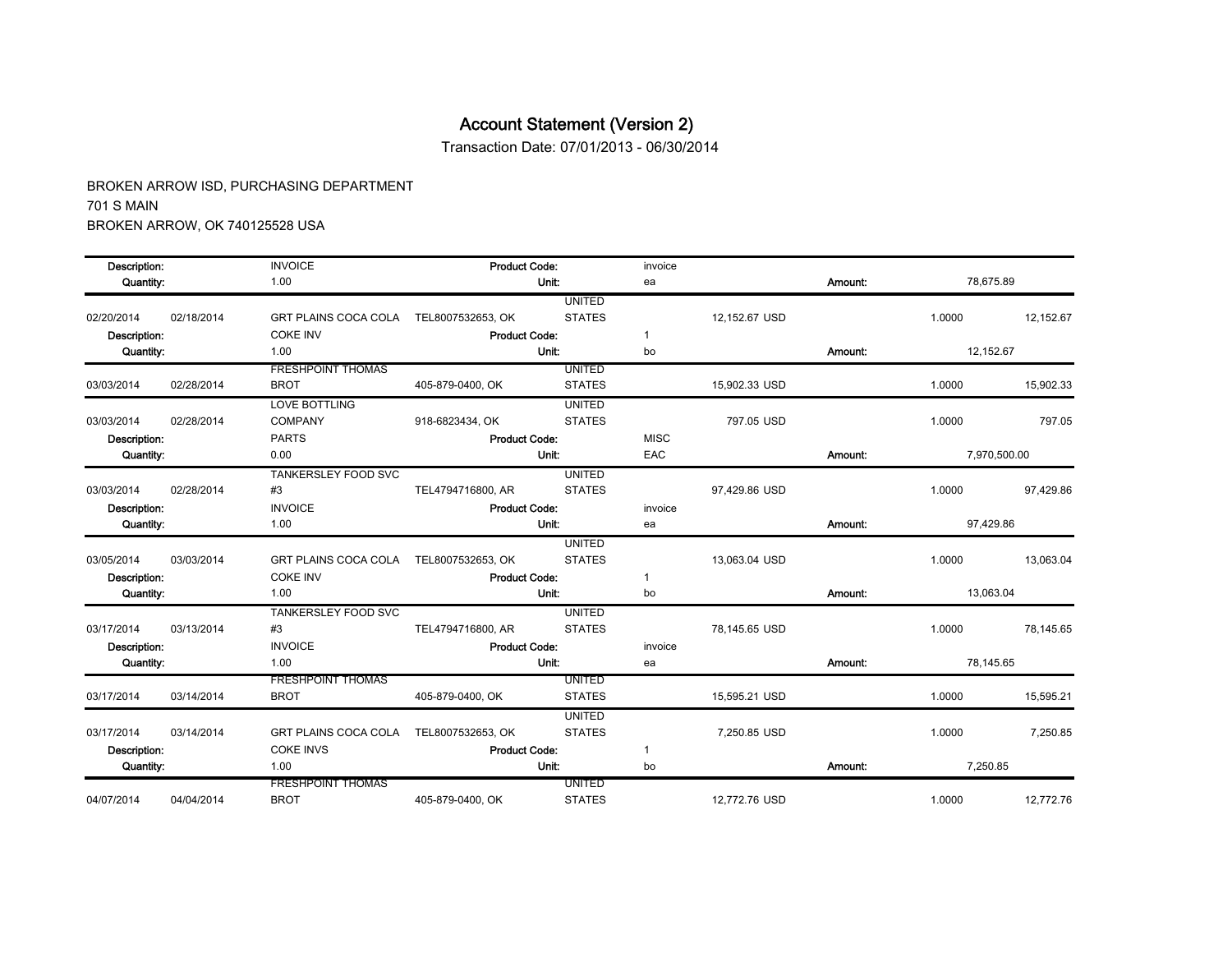Transaction Date: 07/01/2013 - 06/30/2014

| Description: |            | <b>INVOICE</b>                         | <b>Product Code:</b> |               | invoice        |               |         |              |           |
|--------------|------------|----------------------------------------|----------------------|---------------|----------------|---------------|---------|--------------|-----------|
| Quantity:    |            | 1.00                                   | Unit:                |               | ea             |               | Amount: | 78,675.89    |           |
|              |            |                                        |                      | <b>UNITED</b> |                |               |         |              |           |
| 02/20/2014   | 02/18/2014 | <b>GRT PLAINS COCA COLA</b>            | TEL8007532653, OK    | <b>STATES</b> |                | 12,152.67 USD |         | 1.0000       | 12,152.67 |
| Description: |            | <b>COKE INV</b>                        | <b>Product Code:</b> |               | 1              |               |         |              |           |
| Quantity:    |            | 1.00                                   | Unit:                |               | bo             |               | Amount: | 12,152.67    |           |
|              |            | <b>FRESHPOINT THOMAS</b>               |                      | UNITED        |                |               |         |              |           |
| 03/03/2014   | 02/28/2014 | <b>BROT</b>                            | 405-879-0400, OK     | <b>STATES</b> |                | 15,902.33 USD |         | 1.0000       | 15,902.33 |
|              |            | <b>LOVE BOTTLING</b>                   |                      | <b>UNITED</b> |                |               |         |              |           |
| 03/03/2014   | 02/28/2014 | <b>COMPANY</b>                         | 918-6823434, OK      | <b>STATES</b> |                | 797.05 USD    |         | 1.0000       | 797.05    |
| Description: |            | <b>PARTS</b>                           | <b>Product Code:</b> |               | <b>MISC</b>    |               |         |              |           |
| Quantity:    |            | 0.00                                   |                      | Unit:         | EAC<br>Amount: |               |         | 7,970,500.00 |           |
|              |            | TANKERSLEY FOOD SVC                    |                      | <b>UNITED</b> |                |               |         |              |           |
| 03/03/2014   | 02/28/2014 | #3                                     | TEL4794716800, AR    | <b>STATES</b> |                | 97,429.86 USD |         | 1.0000       | 97,429.86 |
| Description: |            | <b>INVOICE</b>                         | <b>Product Code:</b> |               | invoice        |               |         |              |           |
| Quantity:    |            | 1.00                                   | Unit:                |               | ea             |               | Amount: | 97.429.86    |           |
|              |            |                                        |                      | <b>UNITED</b> |                |               |         |              |           |
| 03/05/2014   | 03/03/2014 | GRT PLAINS COCA COLA TEL8007532653, OK |                      | <b>STATES</b> |                | 13.063.04 USD |         | 1.0000       | 13.063.04 |
| Description: |            | <b>COKE INV</b>                        | <b>Product Code:</b> |               | $\mathbf{1}$   |               |         |              |           |
| Quantity:    |            | 1.00                                   | Unit:                |               | bo             |               | Amount: | 13,063.04    |           |
|              |            | <b>TANKERSLEY FOOD SVC</b>             |                      | <b>UNITED</b> |                |               |         |              |           |
| 03/17/2014   | 03/13/2014 | #3                                     | TEL4794716800, AR    | <b>STATES</b> |                | 78,145.65 USD |         | 1.0000       | 78,145.65 |
| Description: |            | <b>INVOICE</b>                         | <b>Product Code:</b> |               | invoice        |               |         |              |           |
| Quantity:    |            | 1.00                                   | Unit:                |               | ea             |               | Amount: | 78,145.65    |           |
|              |            | <b>FRESHPOINT THOMAS</b>               |                      | <b>UNITED</b> |                |               |         |              |           |
| 03/17/2014   | 03/14/2014 | <b>BROT</b>                            | 405-879-0400, OK     | <b>STATES</b> |                | 15,595.21 USD |         | 1.0000       | 15.595.21 |
|              |            |                                        |                      | <b>UNITED</b> |                |               |         |              |           |
| 03/17/2014   | 03/14/2014 | GRT PLAINS COCA COLA                   | TEL8007532653, OK    | <b>STATES</b> |                | 7,250.85 USD  |         | 1.0000       | 7,250.85  |
| Description: |            | <b>COKE INVS</b>                       | <b>Product Code:</b> |               | $\mathbf{1}$   |               |         |              |           |
| Quantity:    |            | 1.00                                   | Unit:                |               | bo             |               | Amount: | 7,250.85     |           |
|              |            | <b>FRESHPOINT THOMAS</b>               |                      | <b>UNITED</b> |                |               |         |              |           |
| 04/07/2014   | 04/04/2014 | <b>BROT</b>                            | 405-879-0400, OK     | <b>STATES</b> |                | 12,772.76 USD |         | 1.0000       | 12,772.76 |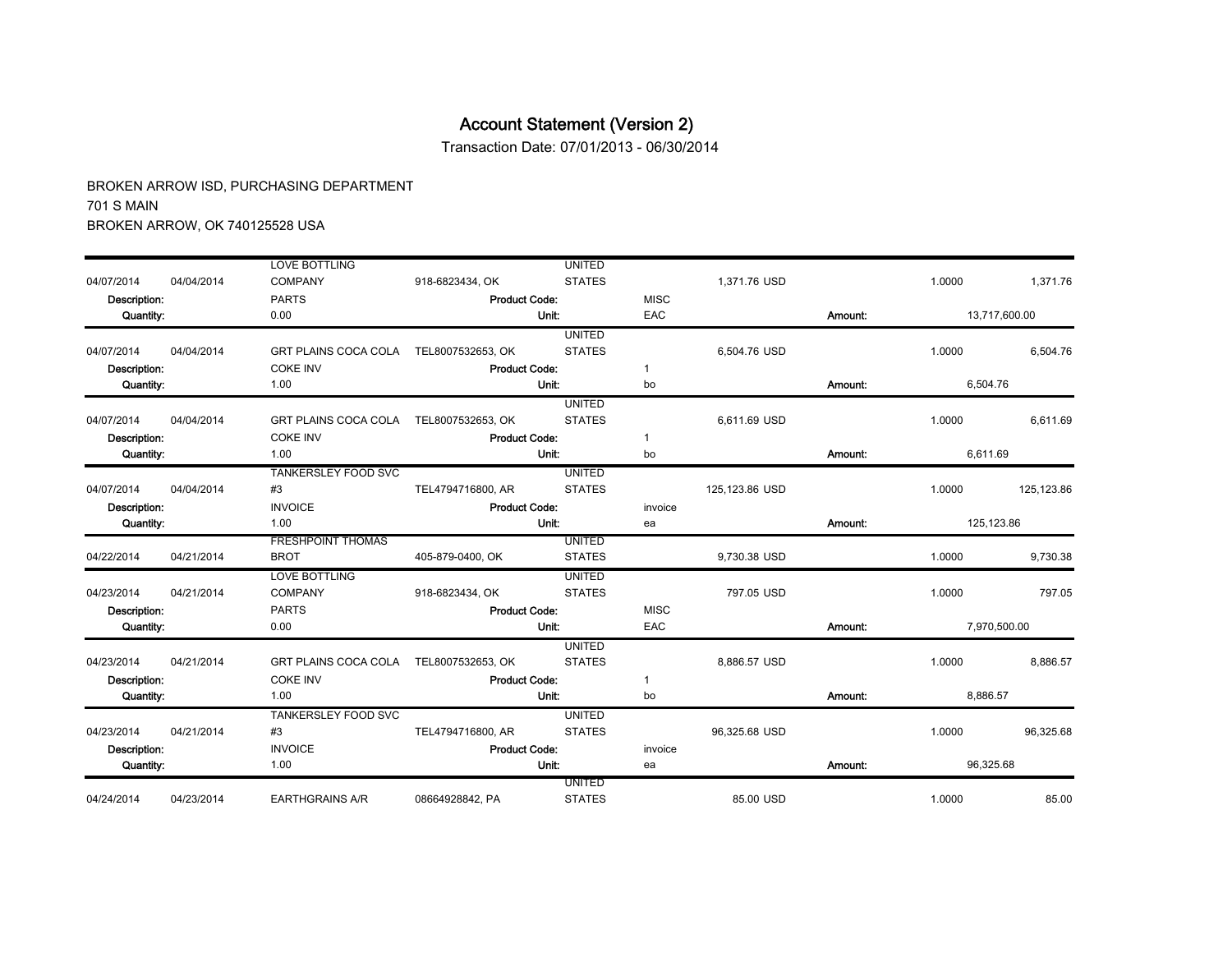Transaction Date: 07/01/2013 - 06/30/2014

|              |            | <b>LOVE BOTTLING</b>                   |                      | <b>UNITED</b> |              |                |         |           |               |
|--------------|------------|----------------------------------------|----------------------|---------------|--------------|----------------|---------|-----------|---------------|
| 04/07/2014   | 04/04/2014 | <b>COMPANY</b>                         | 918-6823434, OK      | <b>STATES</b> |              | 1.371.76 USD   |         | 1.0000    | 1,371.76      |
| Description: |            | <b>PARTS</b>                           | <b>Product Code:</b> |               | <b>MISC</b>  |                |         |           |               |
| Quantity:    |            | 0.00                                   |                      | Unit:         | EAC          |                | Amount: |           | 13,717,600.00 |
|              |            |                                        |                      | <b>UNITED</b> |              |                |         |           |               |
| 04/07/2014   | 04/04/2014 | <b>GRT PLAINS COCA COLA</b>            | TEL8007532653, OK    | <b>STATES</b> |              | 6,504.76 USD   |         | 1.0000    | 6,504.76      |
| Description: |            | <b>COKE INV</b>                        | <b>Product Code:</b> |               | $\mathbf{1}$ |                |         |           |               |
| Quantity:    |            | 1.00                                   |                      | Unit:         | bo           |                | Amount: | 6,504.76  |               |
|              |            |                                        |                      | <b>UNITED</b> |              |                |         |           |               |
| 04/07/2014   | 04/04/2014 | GRT PLAINS COCA COLA                   | TEL8007532653, OK    | <b>STATES</b> |              | 6,611.69 USD   |         | 1.0000    | 6,611.69      |
| Description: |            | <b>COKE INV</b>                        | <b>Product Code:</b> |               | $\mathbf{1}$ |                |         |           |               |
| Quantity:    |            | 1.00                                   |                      | Unit:         | bo           |                | Amount: | 6,611.69  |               |
|              |            | <b>TANKERSLEY FOOD SVC</b>             |                      | <b>UNITED</b> |              |                |         |           |               |
| 04/07/2014   | 04/04/2014 | #3                                     | TEL4794716800, AR    | <b>STATES</b> |              | 125,123.86 USD |         | 1.0000    | 125,123.86    |
| Description: |            | <b>INVOICE</b>                         | <b>Product Code:</b> |               | invoice      |                |         |           |               |
| Quantity:    |            | 1.00                                   |                      | Unit:         | ea           |                | Amount: |           | 125.123.86    |
|              |            | <b>FRESHPOINT THOMAS</b>               |                      | <b>UNITED</b> |              |                |         |           |               |
| 04/22/2014   | 04/21/2014 | <b>BROT</b>                            | 405-879-0400, OK     | <b>STATES</b> |              | 9.730.38 USD   |         | 1.0000    | 9,730.38      |
|              |            | <b>LOVE BOTTLING</b>                   |                      | <b>UNITED</b> |              |                |         |           |               |
| 04/23/2014   | 04/21/2014 | <b>COMPANY</b>                         | 918-6823434, OK      | <b>STATES</b> |              | 797.05 USD     |         | 1.0000    | 797.05        |
| Description: |            | <b>PARTS</b>                           | <b>Product Code:</b> |               | <b>MISC</b>  |                |         |           |               |
| Quantity:    |            | 0.00                                   |                      | Unit:         | EAC          |                | Amount: |           | 7,970,500.00  |
|              |            |                                        |                      | <b>UNITED</b> |              |                |         |           |               |
| 04/23/2014   | 04/21/2014 | GRT PLAINS COCA COLA TEL8007532653, OK |                      | <b>STATES</b> |              | 8,886.57 USD   |         | 1.0000    | 8,886.57      |
| Description: |            | <b>COKE INV</b>                        | <b>Product Code:</b> |               | $\mathbf{1}$ |                |         |           |               |
| Quantity:    |            | 1.00                                   |                      | Unit:         | bo           |                | Amount: | 8,886.57  |               |
|              |            | <b>TANKERSLEY FOOD SVC</b>             |                      | <b>UNITED</b> |              |                |         |           |               |
| 04/23/2014   | 04/21/2014 | #3                                     | TEL4794716800, AR    | <b>STATES</b> |              | 96,325.68 USD  |         | 1.0000    | 96.325.68     |
| Description: |            | <b>INVOICE</b>                         | <b>Product Code:</b> |               | invoice      |                |         |           |               |
| Quantity:    |            | 1.00                                   |                      | Unit:         | ea           |                | Amount: | 96,325.68 |               |
|              |            |                                        |                      | <b>UNITED</b> |              |                |         |           |               |
| 04/24/2014   | 04/23/2014 | <b>EARTHGRAINS A/R</b>                 | 08664928842, PA      | <b>STATES</b> |              | 85.00 USD      |         | 1.0000    | 85.00         |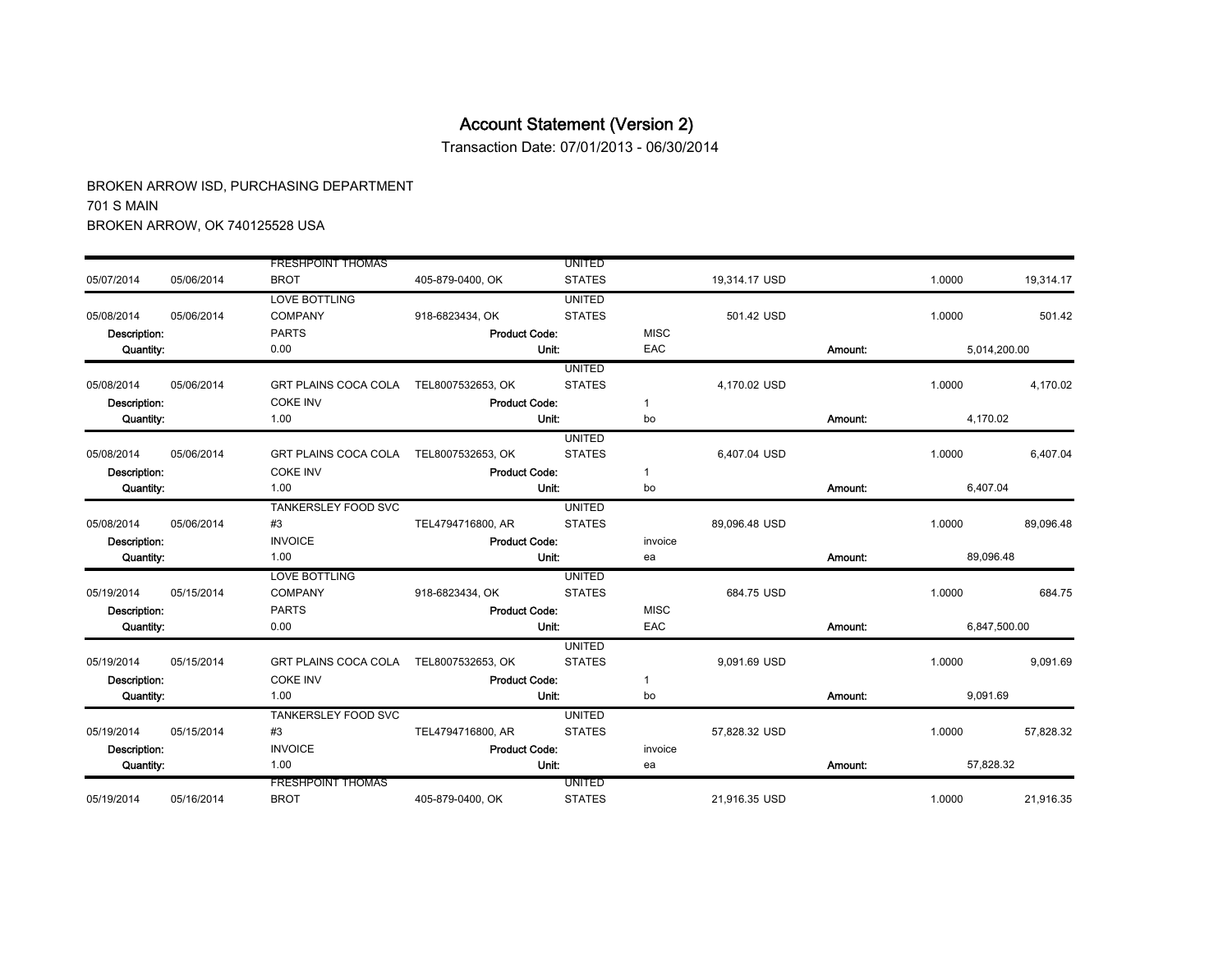Transaction Date: 07/01/2013 - 06/30/2014

|              |            | <b>FRESHPOINT THOMAS</b>               |                      | <b>UNITED</b> |              |               |         |           |              |
|--------------|------------|----------------------------------------|----------------------|---------------|--------------|---------------|---------|-----------|--------------|
| 05/07/2014   | 05/06/2014 | <b>BROT</b>                            | 405-879-0400, OK     | <b>STATES</b> |              | 19,314.17 USD |         | 1.0000    | 19.314.17    |
|              |            | <b>LOVE BOTTLING</b>                   |                      | <b>UNITED</b> |              |               |         |           |              |
| 05/08/2014   | 05/06/2014 | <b>COMPANY</b>                         | 918-6823434, OK      | <b>STATES</b> |              | 501.42 USD    |         | 1.0000    | 501.42       |
| Description: |            | <b>PARTS</b>                           | <b>Product Code:</b> |               | <b>MISC</b>  |               |         |           |              |
| Quantity:    |            | 0.00                                   |                      | <b>Unit:</b>  | EAC          |               | Amount: |           | 5,014,200.00 |
|              |            |                                        |                      | <b>UNITED</b> |              |               |         |           |              |
| 05/08/2014   | 05/06/2014 | <b>GRT PLAINS COCA COLA</b>            | TEL8007532653, OK    | <b>STATES</b> |              | 4,170.02 USD  |         | 1.0000    | 4,170.02     |
| Description: |            | <b>COKE INV</b>                        | <b>Product Code:</b> |               | $\mathbf{1}$ |               |         |           |              |
| Quantity:    |            | 1.00                                   |                      | Unit:         | bo           |               | Amount: | 4,170.02  |              |
|              |            |                                        |                      | <b>UNITED</b> |              |               |         |           |              |
| 05/08/2014   | 05/06/2014 | GRT PLAINS COCA COLA TEL8007532653, OK |                      | <b>STATES</b> |              | 6,407.04 USD  |         | 1.0000    | 6,407.04     |
| Description: |            | <b>COKE INV</b>                        | <b>Product Code:</b> |               | $\mathbf{1}$ |               |         |           |              |
| Quantity:    |            | 1.00                                   |                      | Unit:         | bo           |               | Amount: | 6,407.04  |              |
|              |            | <b>TANKERSLEY FOOD SVC</b>             |                      | <b>UNITED</b> |              |               |         |           |              |
| 05/08/2014   | 05/06/2014 | #3                                     | TEL4794716800, AR    | <b>STATES</b> |              | 89.096.48 USD |         | 1.0000    | 89.096.48    |
| Description: |            | <b>INVOICE</b>                         | <b>Product Code:</b> |               | invoice      |               |         |           |              |
| Quantity:    |            | 1.00                                   |                      | Unit:         | ea           |               | Amount: | 89,096.48 |              |
|              |            | <b>LOVE BOTTLING</b>                   |                      | <b>UNITED</b> |              |               |         |           |              |
| 05/19/2014   | 05/15/2014 | <b>COMPANY</b>                         | 918-6823434, OK      | <b>STATES</b> |              | 684.75 USD    |         | 1.0000    | 684.75       |
| Description: |            | <b>PARTS</b>                           | <b>Product Code:</b> |               | <b>MISC</b>  |               |         |           |              |
| Quantity:    |            | 0.00                                   |                      | Unit:         | EAC          |               | Amount: |           | 6,847,500.00 |
|              |            |                                        |                      | <b>UNITED</b> |              |               |         |           |              |
| 05/19/2014   | 05/15/2014 | GRT PLAINS COCA COLA TEL8007532653, OK |                      | <b>STATES</b> |              | 9,091.69 USD  |         | 1.0000    | 9,091.69     |
| Description: |            | <b>COKE INV</b>                        | <b>Product Code:</b> |               | $\mathbf{1}$ |               |         |           |              |
| Quantity:    |            | 1.00                                   |                      | Unit:         | bo           |               | Amount: | 9,091.69  |              |
|              |            | <b>TANKERSLEY FOOD SVC</b>             |                      | <b>UNITED</b> |              |               |         |           |              |
| 05/19/2014   | 05/15/2014 | #3                                     | TEL4794716800, AR    | <b>STATES</b> |              | 57,828.32 USD |         | 1.0000    | 57.828.32    |
| Description: |            | <b>INVOICE</b>                         | <b>Product Code:</b> |               | invoice      |               |         |           |              |
| Quantity:    |            | 1.00                                   |                      | Unit:         | ea           |               | Amount: | 57,828.32 |              |
|              |            | <b>FRESHPOINT THOMAS</b>               |                      | <b>UNITED</b> |              |               |         |           |              |
| 05/19/2014   | 05/16/2014 | <b>BROT</b>                            | 405-879-0400, OK     | <b>STATES</b> |              | 21.916.35 USD |         | 1.0000    | 21.916.35    |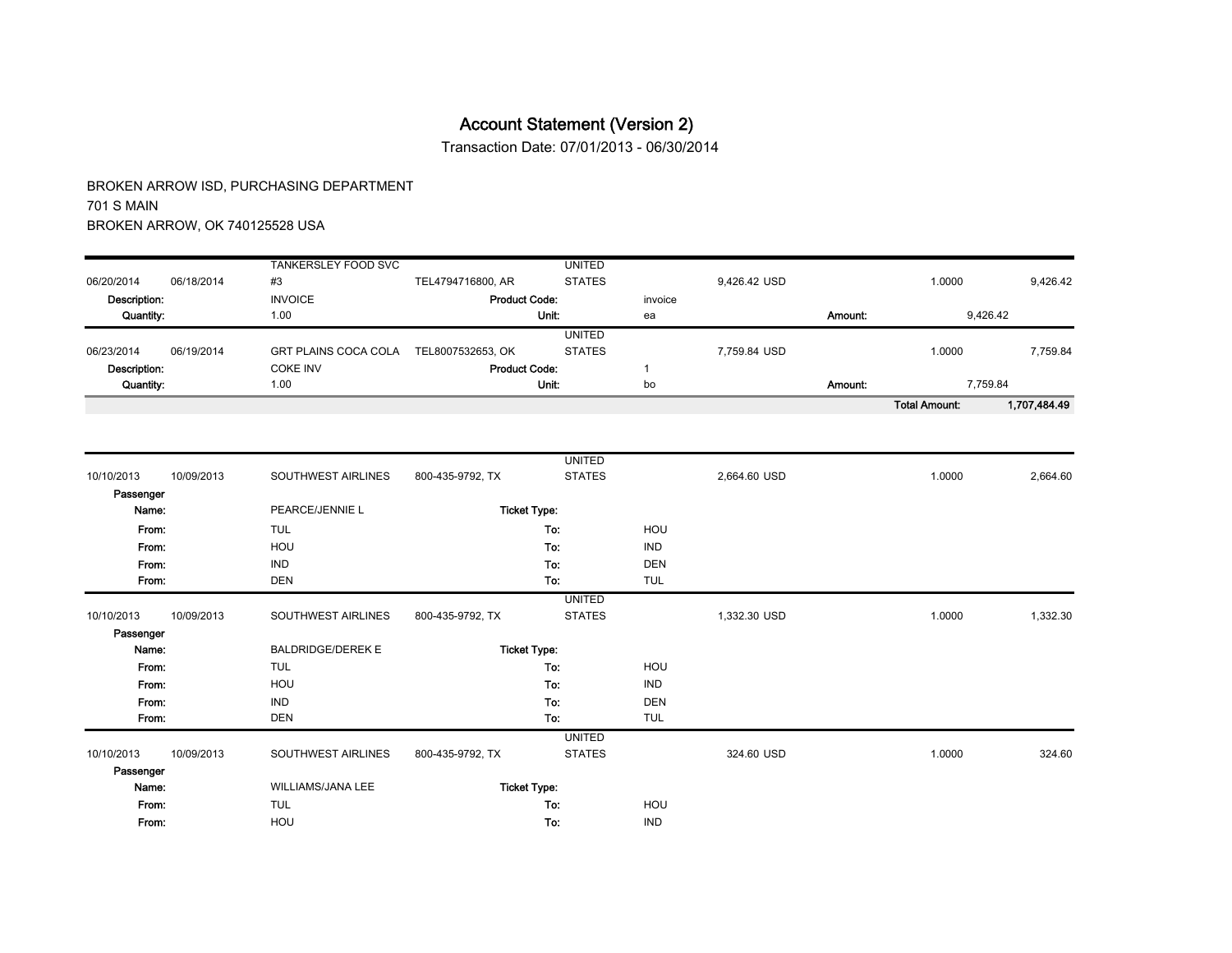Transaction Date: 07/01/2013 - 06/30/2014

| TANKERSLEY FOOD SVC<br>#3<br>TEL4794716800, AR<br>06/20/2014<br>06/18/2014<br>Description:<br><b>Product Code:</b><br><b>INVOICE</b><br>Quantity:<br>1.00<br>06/19/2014<br><b>GRT PLAINS COCA COLA</b><br>06/23/2014<br>TEL8007532653, OK<br><b>COKE INV</b><br><b>Product Code:</b><br>Description:<br>Quantity:<br>1.00 |               |         |              |         | <b>Total Amount:</b> | 1,707,484.49 |
|---------------------------------------------------------------------------------------------------------------------------------------------------------------------------------------------------------------------------------------------------------------------------------------------------------------------------|---------------|---------|--------------|---------|----------------------|--------------|
|                                                                                                                                                                                                                                                                                                                           | Unit:         | bo      |              | Amount: | 7,759.84             |              |
|                                                                                                                                                                                                                                                                                                                           |               |         |              |         |                      |              |
|                                                                                                                                                                                                                                                                                                                           | <b>STATES</b> |         | 7.759.84 USD |         | 1.0000               | 7,759.84     |
|                                                                                                                                                                                                                                                                                                                           | <b>UNITED</b> |         |              |         |                      |              |
|                                                                                                                                                                                                                                                                                                                           | Unit:         | ea      |              | Amount: | 9.426.42             |              |
|                                                                                                                                                                                                                                                                                                                           |               | invoice |              |         |                      |              |
|                                                                                                                                                                                                                                                                                                                           | <b>STATES</b> |         | 9.426.42 USD |         | 1.0000               | 9,426.42     |
|                                                                                                                                                                                                                                                                                                                           | <b>UNITED</b> |         |              |         |                      |              |

|            |            |                          |                  | <b>UNITED</b>       |            |              |        |          |
|------------|------------|--------------------------|------------------|---------------------|------------|--------------|--------|----------|
| 10/10/2013 | 10/09/2013 | SOUTHWEST AIRLINES       | 800-435-9792, TX | <b>STATES</b>       |            | 2,664.60 USD | 1.0000 | 2,664.60 |
| Passenger  |            |                          |                  |                     |            |              |        |          |
| Name:      |            | PEARCE/JENNIE L          |                  | <b>Ticket Type:</b> |            |              |        |          |
| From:      |            | <b>TUL</b>               |                  | To:                 | HOU        |              |        |          |
| From.      |            | HOU                      |                  | To:                 | <b>IND</b> |              |        |          |
| From:      |            | <b>IND</b>               |                  | To:                 | <b>DEN</b> |              |        |          |
| From:      |            | <b>DEN</b>               |                  | To:                 | TUL        |              |        |          |
|            |            |                          |                  | <b>UNITED</b>       |            |              |        |          |
| 10/10/2013 | 10/09/2013 | SOUTHWEST AIRLINES       | 800-435-9792, TX | <b>STATES</b>       |            | 1,332.30 USD | 1.0000 | 1,332.30 |
| Passenger  |            |                          |                  |                     |            |              |        |          |
| Name:      |            | <b>BALDRIDGE/DEREK E</b> |                  | <b>Ticket Type:</b> |            |              |        |          |
| From:      |            | <b>TUL</b>               |                  | To:                 | HOU        |              |        |          |
| From:      |            | HOU                      |                  | To:                 | <b>IND</b> |              |        |          |
| From:      |            | <b>IND</b>               |                  | To:                 | <b>DEN</b> |              |        |          |
| From:      |            | <b>DEN</b>               |                  | To:                 | <b>TUL</b> |              |        |          |
|            |            |                          |                  | <b>UNITED</b>       |            |              |        |          |
| 10/10/2013 | 10/09/2013 | SOUTHWEST AIRLINES       | 800-435-9792, TX | <b>STATES</b>       |            | 324.60 USD   | 1.0000 | 324.60   |
| Passenger  |            |                          |                  |                     |            |              |        |          |
| Name:      |            | WILLIAMS/JANA LEE        |                  | <b>Ticket Type:</b> |            |              |        |          |
| From:      |            | <b>TUL</b>               |                  | To:                 | HOU        |              |        |          |
| From:      |            | HOU                      |                  | To:                 | <b>IND</b> |              |        |          |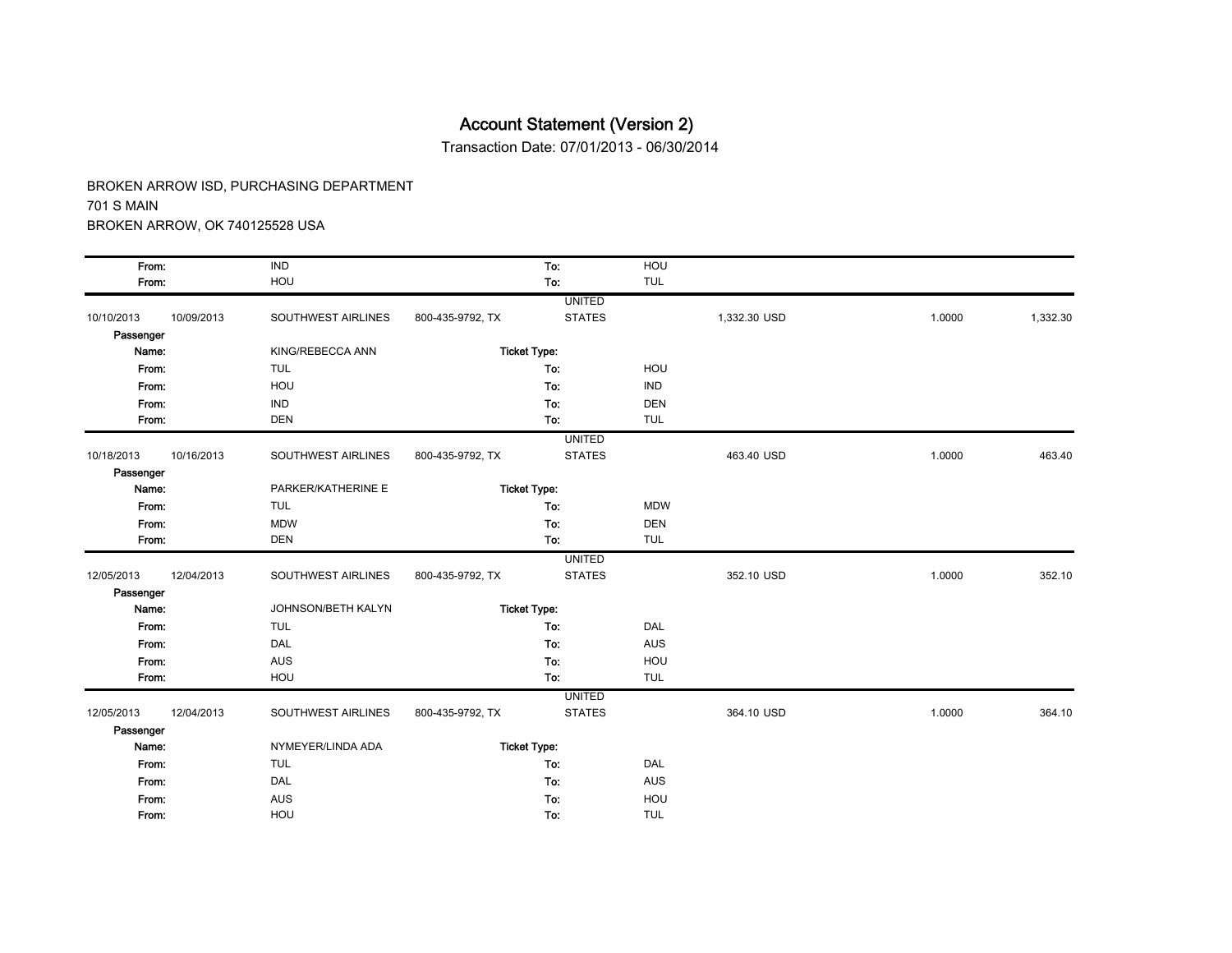Transaction Date: 07/01/2013 - 06/30/2014

| From:      |            | <b>IND</b>         |                  | To:                 | HOU        |              |        |          |
|------------|------------|--------------------|------------------|---------------------|------------|--------------|--------|----------|
| From:      |            | HOU                |                  | To:                 | <b>TUL</b> |              |        |          |
|            |            |                    |                  | <b>UNITED</b>       |            |              |        |          |
| 10/10/2013 | 10/09/2013 | SOUTHWEST AIRLINES | 800-435-9792, TX | <b>STATES</b>       |            | 1,332.30 USD | 1.0000 | 1,332.30 |
| Passenger  |            |                    |                  |                     |            |              |        |          |
| Name:      |            | KING/REBECCA ANN   |                  | <b>Ticket Type:</b> |            |              |        |          |
| From:      |            | <b>TUL</b>         |                  | To:                 | HOU        |              |        |          |
| From:      |            | HOU                |                  | To:                 | <b>IND</b> |              |        |          |
| From:      |            | <b>IND</b>         |                  | To:                 | <b>DEN</b> |              |        |          |
| From:      |            | <b>DEN</b>         |                  | To:                 | <b>TUL</b> |              |        |          |
|            |            |                    |                  | <b>UNITED</b>       |            |              |        |          |
| 10/18/2013 | 10/16/2013 | SOUTHWEST AIRLINES | 800-435-9792, TX | <b>STATES</b>       |            | 463.40 USD   | 1.0000 | 463.40   |
| Passenger  |            |                    |                  |                     |            |              |        |          |
| Name:      |            | PARKER/KATHERINE E |                  | <b>Ticket Type:</b> |            |              |        |          |
| From:      |            | <b>TUL</b>         |                  | To:                 | <b>MDW</b> |              |        |          |
| From:      |            | <b>MDW</b>         |                  | To:                 | <b>DEN</b> |              |        |          |
| From:      |            | <b>DEN</b>         |                  | To:                 | <b>TUL</b> |              |        |          |
|            |            |                    |                  | <b>UNITED</b>       |            |              |        |          |
| 12/05/2013 | 12/04/2013 | SOUTHWEST AIRLINES | 800-435-9792, TX | <b>STATES</b>       |            | 352.10 USD   | 1.0000 | 352.10   |
| Passenger  |            |                    |                  |                     |            |              |        |          |
| Name:      |            | JOHNSON/BETH KALYN |                  | <b>Ticket Type:</b> |            |              |        |          |
| From:      |            | <b>TUL</b>         |                  | To:                 | DAL        |              |        |          |
| From:      |            | <b>DAL</b>         |                  | To:                 | <b>AUS</b> |              |        |          |
| From:      |            | <b>AUS</b>         |                  | To:                 | HOU        |              |        |          |
| From:      |            | HOU                |                  | To:                 | <b>TUL</b> |              |        |          |
|            |            |                    |                  | <b>UNITED</b>       |            |              |        |          |
| 12/05/2013 | 12/04/2013 | SOUTHWEST AIRLINES | 800-435-9792, TX | <b>STATES</b>       |            | 364.10 USD   | 1.0000 | 364.10   |
| Passenger  |            |                    |                  |                     |            |              |        |          |
| Name:      |            | NYMEYER/LINDA ADA  |                  | <b>Ticket Type:</b> |            |              |        |          |
| From:      |            | <b>TUL</b>         |                  | To:                 | DAL        |              |        |          |
| From:      |            | <b>DAL</b>         |                  | To:                 | <b>AUS</b> |              |        |          |
| From:      |            | <b>AUS</b>         |                  | To:                 | HOU        |              |        |          |
| From:      |            | HOU                |                  | To:                 | <b>TUL</b> |              |        |          |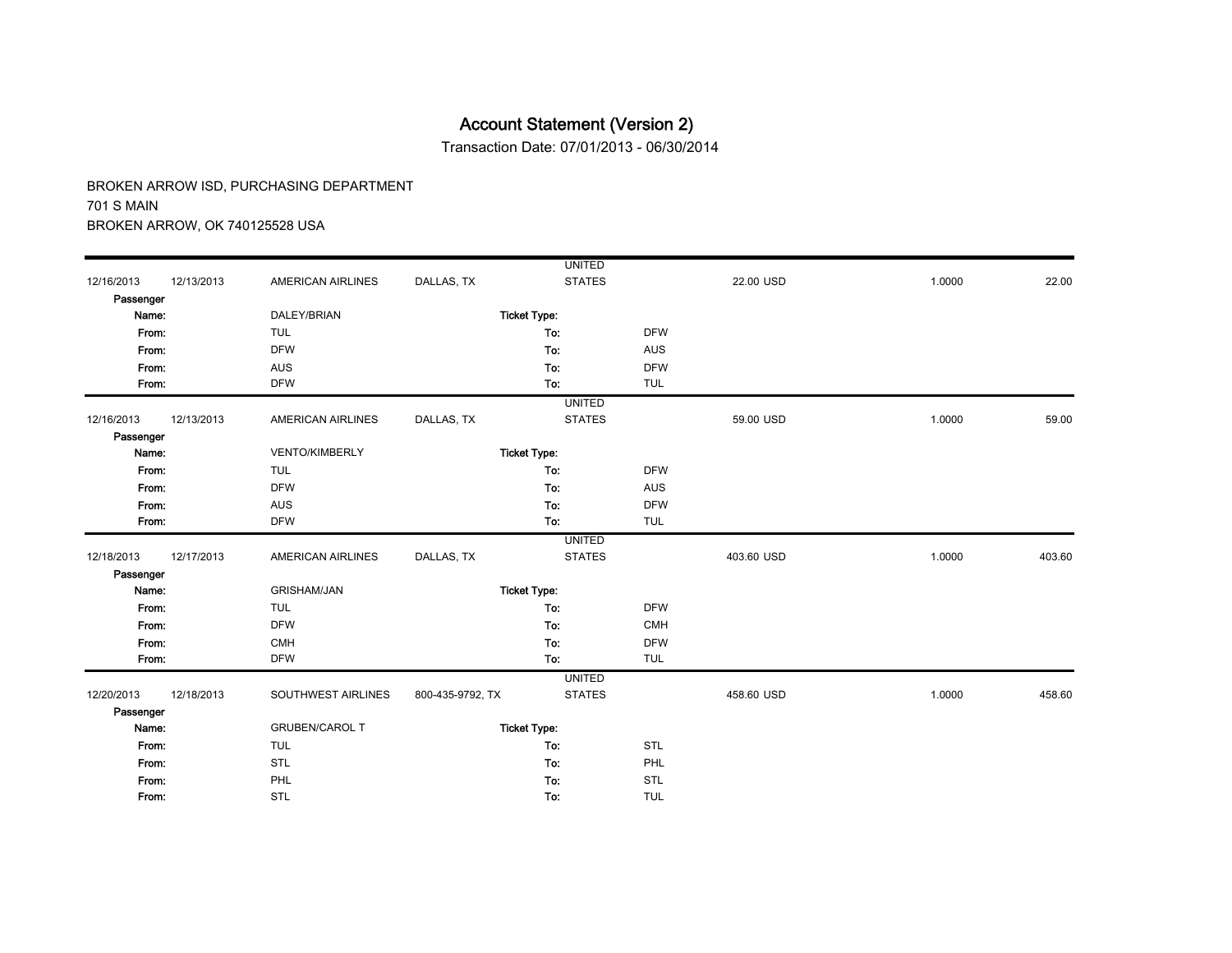Transaction Date: 07/01/2013 - 06/30/2014

|            |            |                          |                  | <b>UNITED</b>       |            |            |        |        |
|------------|------------|--------------------------|------------------|---------------------|------------|------------|--------|--------|
| 12/16/2013 | 12/13/2013 | <b>AMERICAN AIRLINES</b> | DALLAS, TX       | <b>STATES</b>       |            | 22.00 USD  | 1.0000 | 22.00  |
| Passenger  |            |                          |                  |                     |            |            |        |        |
| Name:      |            | DALEY/BRIAN              |                  | <b>Ticket Type:</b> |            |            |        |        |
| From:      |            | <b>TUL</b>               |                  | To:                 | <b>DFW</b> |            |        |        |
| From:      |            | <b>DFW</b>               |                  | To:                 | <b>AUS</b> |            |        |        |
| From:      |            | <b>AUS</b>               |                  | To:                 | <b>DFW</b> |            |        |        |
| From:      |            | <b>DFW</b>               |                  | To:                 | <b>TUL</b> |            |        |        |
|            |            |                          |                  | <b>UNITED</b>       |            |            |        |        |
| 12/16/2013 | 12/13/2013 | <b>AMERICAN AIRLINES</b> | DALLAS, TX       | <b>STATES</b>       |            | 59.00 USD  | 1.0000 | 59.00  |
| Passenger  |            |                          |                  |                     |            |            |        |        |
| Name:      |            | <b>VENTO/KIMBERLY</b>    |                  | <b>Ticket Type:</b> |            |            |        |        |
| From:      |            | <b>TUL</b>               |                  | To:                 | <b>DFW</b> |            |        |        |
| From:      |            | <b>DFW</b>               |                  | To:                 | <b>AUS</b> |            |        |        |
| From:      |            | <b>AUS</b>               |                  | To:                 | <b>DFW</b> |            |        |        |
| From:      |            | <b>DFW</b>               |                  | To:                 | <b>TUL</b> |            |        |        |
|            |            |                          |                  | <b>UNITED</b>       |            |            |        |        |
| 12/18/2013 | 12/17/2013 | <b>AMERICAN AIRLINES</b> | DALLAS, TX       | <b>STATES</b>       |            | 403.60 USD | 1.0000 | 403.60 |
| Passenger  |            |                          |                  |                     |            |            |        |        |
| Name:      |            | <b>GRISHAM/JAN</b>       |                  | <b>Ticket Type:</b> |            |            |        |        |
| From:      |            | <b>TUL</b>               |                  | To:                 | <b>DFW</b> |            |        |        |
| From:      |            | <b>DFW</b>               |                  | To:                 | <b>CMH</b> |            |        |        |
| From:      |            | <b>CMH</b>               |                  | To:                 | <b>DFW</b> |            |        |        |
| From:      |            | <b>DFW</b>               |                  | To:                 | <b>TUL</b> |            |        |        |
|            |            |                          |                  | <b>UNITED</b>       |            |            |        |        |
| 12/20/2013 | 12/18/2013 | SOUTHWEST AIRLINES       | 800-435-9792, TX | <b>STATES</b>       |            | 458.60 USD | 1.0000 | 458.60 |
| Passenger  |            |                          |                  |                     |            |            |        |        |
| Name:      |            | <b>GRUBEN/CAROL T</b>    |                  | <b>Ticket Type:</b> |            |            |        |        |
| From:      |            | <b>TUL</b>               |                  | To:                 | STL        |            |        |        |
| From:      |            | <b>STL</b>               |                  | To:                 | PHL        |            |        |        |
| From:      |            | PHL                      |                  | To:                 | STL        |            |        |        |
| From:      |            | <b>STL</b>               |                  | To:                 | <b>TUL</b> |            |        |        |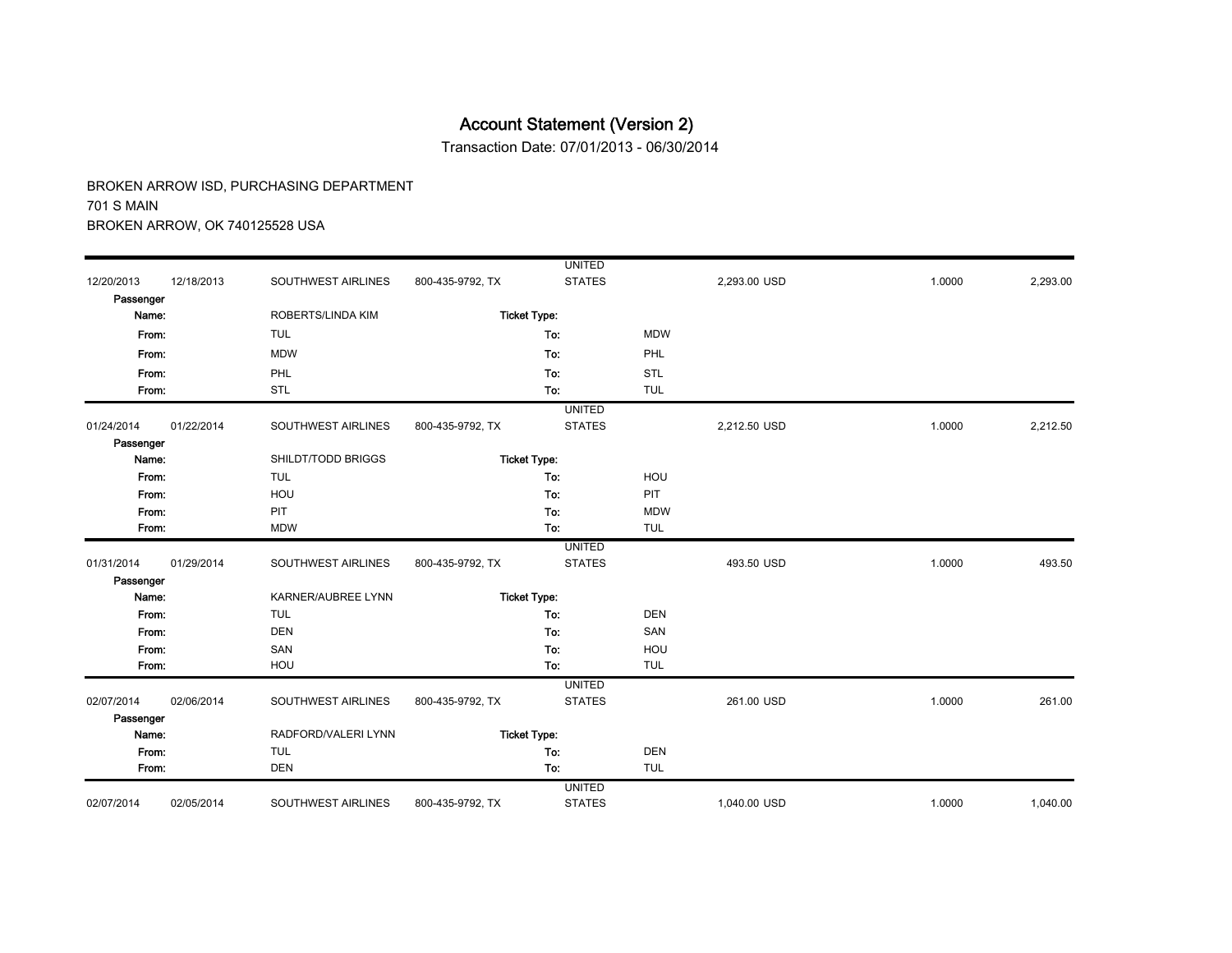Transaction Date: 07/01/2013 - 06/30/2014

|            |            |                     |                  | <b>UNITED</b>       |            |              |        |          |
|------------|------------|---------------------|------------------|---------------------|------------|--------------|--------|----------|
| 12/20/2013 | 12/18/2013 | SOUTHWEST AIRLINES  | 800-435-9792, TX | <b>STATES</b>       |            | 2,293.00 USD | 1.0000 | 2,293.00 |
| Passenger  |            |                     |                  |                     |            |              |        |          |
| Name:      |            | ROBERTS/LINDA KIM   |                  | <b>Ticket Type:</b> |            |              |        |          |
| From:      |            | <b>TUL</b>          |                  | To:                 | <b>MDW</b> |              |        |          |
| From:      |            | <b>MDW</b>          |                  | To:                 | PHL        |              |        |          |
| From:      |            | PHL                 |                  | To:                 | <b>STL</b> |              |        |          |
| From:      |            | STL                 |                  | To:                 | <b>TUL</b> |              |        |          |
|            |            |                     |                  | <b>UNITED</b>       |            |              |        |          |
| 01/24/2014 | 01/22/2014 | SOUTHWEST AIRLINES  | 800-435-9792, TX | <b>STATES</b>       |            | 2,212.50 USD | 1.0000 | 2,212.50 |
| Passenger  |            |                     |                  |                     |            |              |        |          |
| Name:      |            | SHILDT/TODD BRIGGS  |                  | <b>Ticket Type:</b> |            |              |        |          |
| From:      |            | <b>TUL</b>          |                  | To:                 | HOU        |              |        |          |
| From:      |            | HOU                 |                  | To:                 | PIT        |              |        |          |
| From:      |            | PIT                 |                  | To:                 | <b>MDW</b> |              |        |          |
| From:      |            | <b>MDW</b>          |                  | To:                 | <b>TUL</b> |              |        |          |
|            |            |                     |                  | <b>UNITED</b>       |            |              |        |          |
| 01/31/2014 | 01/29/2014 | SOUTHWEST AIRLINES  | 800-435-9792, TX | <b>STATES</b>       |            | 493.50 USD   | 1.0000 | 493.50   |
| Passenger  |            |                     |                  |                     |            |              |        |          |
| Name:      |            | KARNER/AUBREE LYNN  |                  | <b>Ticket Type:</b> |            |              |        |          |
| From:      |            | <b>TUL</b>          |                  | To:                 | <b>DEN</b> |              |        |          |
| From:      |            | <b>DEN</b>          |                  | To:                 | SAN        |              |        |          |
| From:      |            | SAN                 |                  | To:                 | HOU        |              |        |          |
| From:      |            | HOU                 |                  | To:                 | <b>TUL</b> |              |        |          |
|            |            |                     |                  | <b>UNITED</b>       |            |              |        |          |
| 02/07/2014 | 02/06/2014 | SOUTHWEST AIRLINES  | 800-435-9792, TX | <b>STATES</b>       |            | 261.00 USD   | 1.0000 | 261.00   |
| Passenger  |            |                     |                  |                     |            |              |        |          |
| Name:      |            | RADFORD/VALERI LYNN |                  | <b>Ticket Type:</b> |            |              |        |          |
| From:      |            | <b>TUL</b>          |                  | To:                 | <b>DEN</b> |              |        |          |
| From:      |            | <b>DEN</b>          |                  | To:                 | <b>TUL</b> |              |        |          |
|            |            |                     |                  | <b>UNITED</b>       |            |              |        |          |
| 02/07/2014 | 02/05/2014 | SOUTHWEST AIRLINES  | 800-435-9792, TX | <b>STATES</b>       |            | 1,040.00 USD | 1.0000 | 1,040.00 |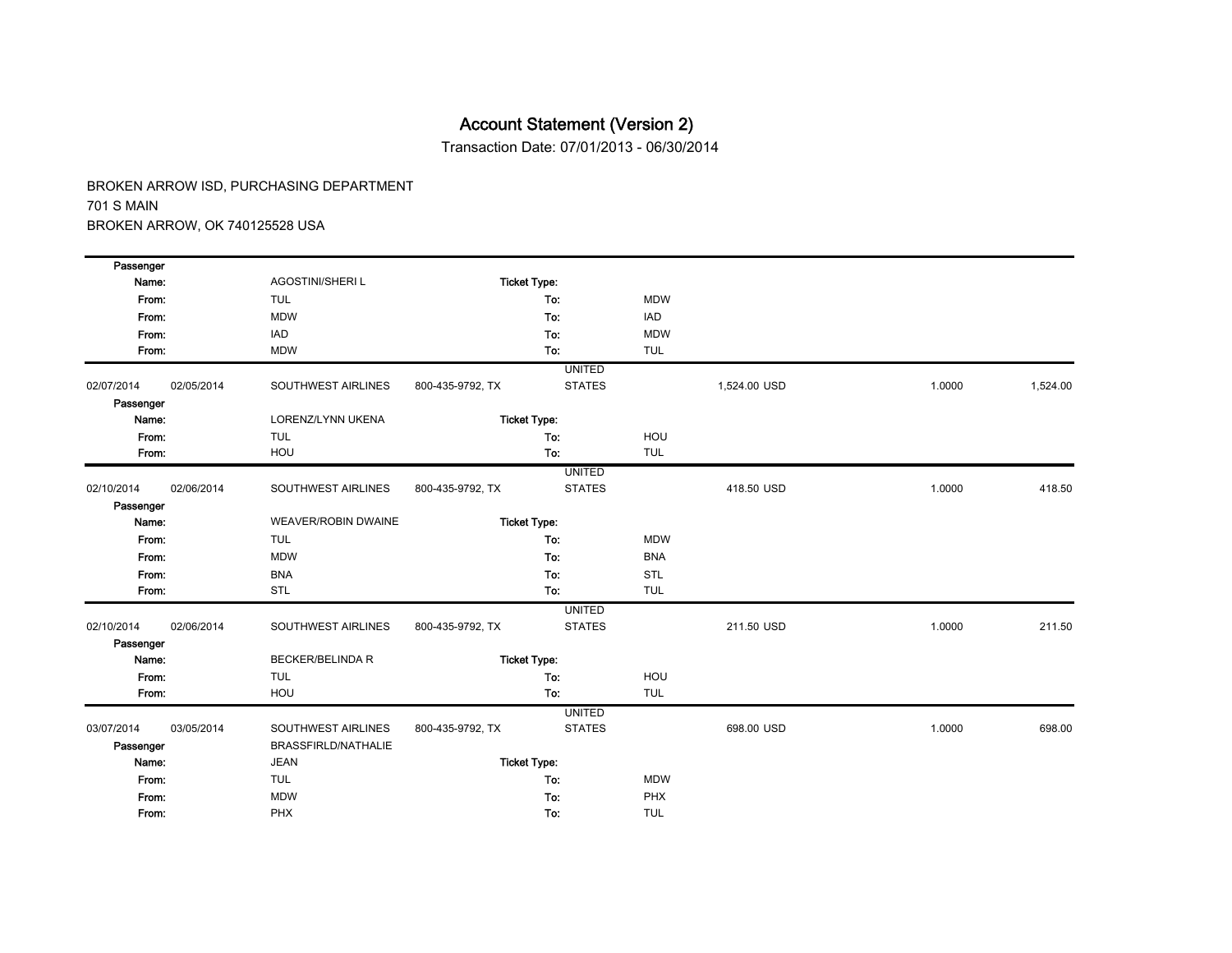Transaction Date: 07/01/2013 - 06/30/2014

| Passenger  |            |                            |                  |                     |            |              |        |          |
|------------|------------|----------------------------|------------------|---------------------|------------|--------------|--------|----------|
| Name:      |            | <b>AGOSTINI/SHERI L</b>    |                  | <b>Ticket Type:</b> |            |              |        |          |
| From:      |            | <b>TUL</b>                 |                  | To:                 | <b>MDW</b> |              |        |          |
| From:      |            | <b>MDW</b>                 |                  | To:                 | <b>IAD</b> |              |        |          |
| From:      |            | IAD                        |                  | To:                 | <b>MDW</b> |              |        |          |
| From:      |            | <b>MDW</b>                 |                  | To:                 | <b>TUL</b> |              |        |          |
|            |            |                            |                  | <b>UNITED</b>       |            |              |        |          |
| 02/07/2014 | 02/05/2014 | SOUTHWEST AIRLINES         | 800-435-9792, TX | <b>STATES</b>       |            | 1,524.00 USD | 1.0000 | 1,524.00 |
| Passenger  |            |                            |                  |                     |            |              |        |          |
| Name:      |            | LORENZ/LYNN UKENA          |                  | <b>Ticket Type:</b> |            |              |        |          |
| From:      |            | <b>TUL</b>                 |                  | To:                 | HOU        |              |        |          |
| From:      |            | HOU                        |                  | To:                 | <b>TUL</b> |              |        |          |
|            |            |                            |                  | <b>UNITED</b>       |            |              |        |          |
| 02/10/2014 | 02/06/2014 | SOUTHWEST AIRLINES         | 800-435-9792, TX | <b>STATES</b>       |            | 418.50 USD   | 1.0000 | 418.50   |
| Passenger  |            |                            |                  |                     |            |              |        |          |
| Name:      |            | <b>WEAVER/ROBIN DWAINE</b> |                  | <b>Ticket Type:</b> |            |              |        |          |
| From:      |            | <b>TUL</b>                 |                  | To:                 | <b>MDW</b> |              |        |          |
| From:      |            | <b>MDW</b>                 |                  | To:                 | <b>BNA</b> |              |        |          |
| From:      |            | <b>BNA</b>                 |                  | To:                 | STL        |              |        |          |
| From:      |            | <b>STL</b>                 |                  | To:                 | <b>TUL</b> |              |        |          |
|            |            |                            |                  | <b>UNITED</b>       |            |              |        |          |
| 02/10/2014 | 02/06/2014 | SOUTHWEST AIRLINES         | 800-435-9792, TX | <b>STATES</b>       |            | 211.50 USD   | 1.0000 | 211.50   |
| Passenger  |            |                            |                  |                     |            |              |        |          |
| Name:      |            | <b>BECKER/BELINDA R</b>    |                  | <b>Ticket Type:</b> |            |              |        |          |
| From:      |            | <b>TUL</b>                 |                  | To:                 | HOU        |              |        |          |
| From:      |            | HOU                        |                  | To:                 | <b>TUL</b> |              |        |          |
|            |            |                            |                  | <b>UNITED</b>       |            |              |        |          |
| 03/07/2014 | 03/05/2014 | SOUTHWEST AIRLINES         | 800-435-9792, TX | <b>STATES</b>       |            | 698.00 USD   | 1.0000 | 698.00   |
| Passenger  |            | <b>BRASSFIRLD/NATHALIE</b> |                  |                     |            |              |        |          |
| Name:      |            | <b>JEAN</b>                |                  | <b>Ticket Type:</b> |            |              |        |          |
| From:      |            | <b>TUL</b>                 |                  | To:                 | <b>MDW</b> |              |        |          |
| From:      |            | <b>MDW</b>                 |                  | To:                 | PHX        |              |        |          |
| From:      |            | PHX                        |                  | To:                 | <b>TUL</b> |              |        |          |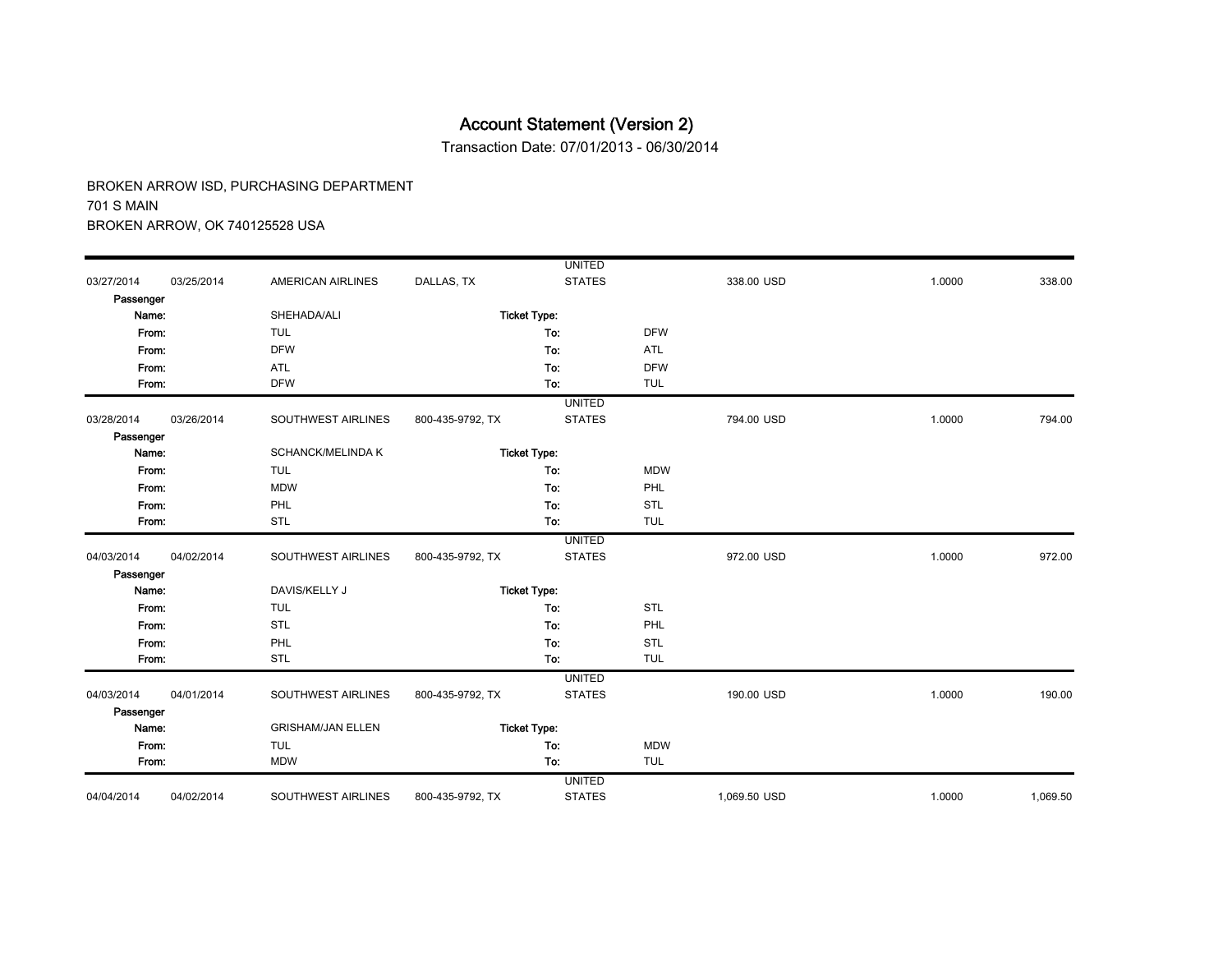Transaction Date: 07/01/2013 - 06/30/2014

|            |            |                          |                  | <b>UNITED</b>       |            |              |        |          |
|------------|------------|--------------------------|------------------|---------------------|------------|--------------|--------|----------|
| 03/27/2014 | 03/25/2014 | <b>AMERICAN AIRLINES</b> | DALLAS, TX       | <b>STATES</b>       |            | 338.00 USD   | 1.0000 | 338.00   |
| Passenger  |            |                          |                  |                     |            |              |        |          |
| Name:      |            | SHEHADA/ALI              |                  | <b>Ticket Type:</b> |            |              |        |          |
| From:      |            | <b>TUL</b>               |                  | To:                 | <b>DFW</b> |              |        |          |
| From:      |            | <b>DFW</b>               |                  | To:                 | ATL        |              |        |          |
| From:      |            | <b>ATL</b>               |                  | To:                 | <b>DFW</b> |              |        |          |
| From:      |            | <b>DFW</b>               |                  | To:                 | <b>TUL</b> |              |        |          |
|            |            |                          |                  | <b>UNITED</b>       |            |              |        |          |
| 03/28/2014 | 03/26/2014 | SOUTHWEST AIRLINES       | 800-435-9792, TX | <b>STATES</b>       |            | 794.00 USD   | 1.0000 | 794.00   |
| Passenger  |            |                          |                  |                     |            |              |        |          |
| Name:      |            | SCHANCK/MELINDA K        |                  | <b>Ticket Type:</b> |            |              |        |          |
| From:      |            | <b>TUL</b>               |                  | To:                 | <b>MDW</b> |              |        |          |
| From:      |            | <b>MDW</b>               |                  | To:                 | PHL        |              |        |          |
| From:      |            | PHL                      |                  | To:                 | STL        |              |        |          |
| From:      |            | <b>STL</b>               |                  | To:                 | <b>TUL</b> |              |        |          |
|            |            |                          |                  | <b>UNITED</b>       |            |              |        |          |
| 04/03/2014 | 04/02/2014 | SOUTHWEST AIRLINES       | 800-435-9792, TX | <b>STATES</b>       |            | 972.00 USD   | 1.0000 | 972.00   |
| Passenger  |            |                          |                  |                     |            |              |        |          |
| Name:      |            | DAVIS/KELLY J            |                  | <b>Ticket Type:</b> |            |              |        |          |
| From:      |            | <b>TUL</b>               |                  | To:                 | <b>STL</b> |              |        |          |
| From:      |            | <b>STL</b>               |                  | To:                 | PHL        |              |        |          |
| From:      |            | PHL                      |                  | To:                 | <b>STL</b> |              |        |          |
| From:      |            | <b>STL</b>               |                  | To:                 | <b>TUL</b> |              |        |          |
|            |            |                          |                  | <b>UNITED</b>       |            |              |        |          |
| 04/03/2014 | 04/01/2014 | SOUTHWEST AIRLINES       | 800-435-9792, TX | <b>STATES</b>       |            | 190.00 USD   | 1.0000 | 190.00   |
| Passenger  |            |                          |                  |                     |            |              |        |          |
| Name:      |            | <b>GRISHAM/JAN ELLEN</b> |                  | <b>Ticket Type:</b> |            |              |        |          |
| From:      |            | <b>TUL</b>               |                  | To:                 | <b>MDW</b> |              |        |          |
| From:      |            | <b>MDW</b>               |                  | To:                 | <b>TUL</b> |              |        |          |
|            |            |                          |                  | <b>UNITED</b>       |            |              |        |          |
| 04/04/2014 | 04/02/2014 | SOUTHWEST AIRLINES       | 800-435-9792, TX | <b>STATES</b>       |            | 1,069.50 USD | 1.0000 | 1,069.50 |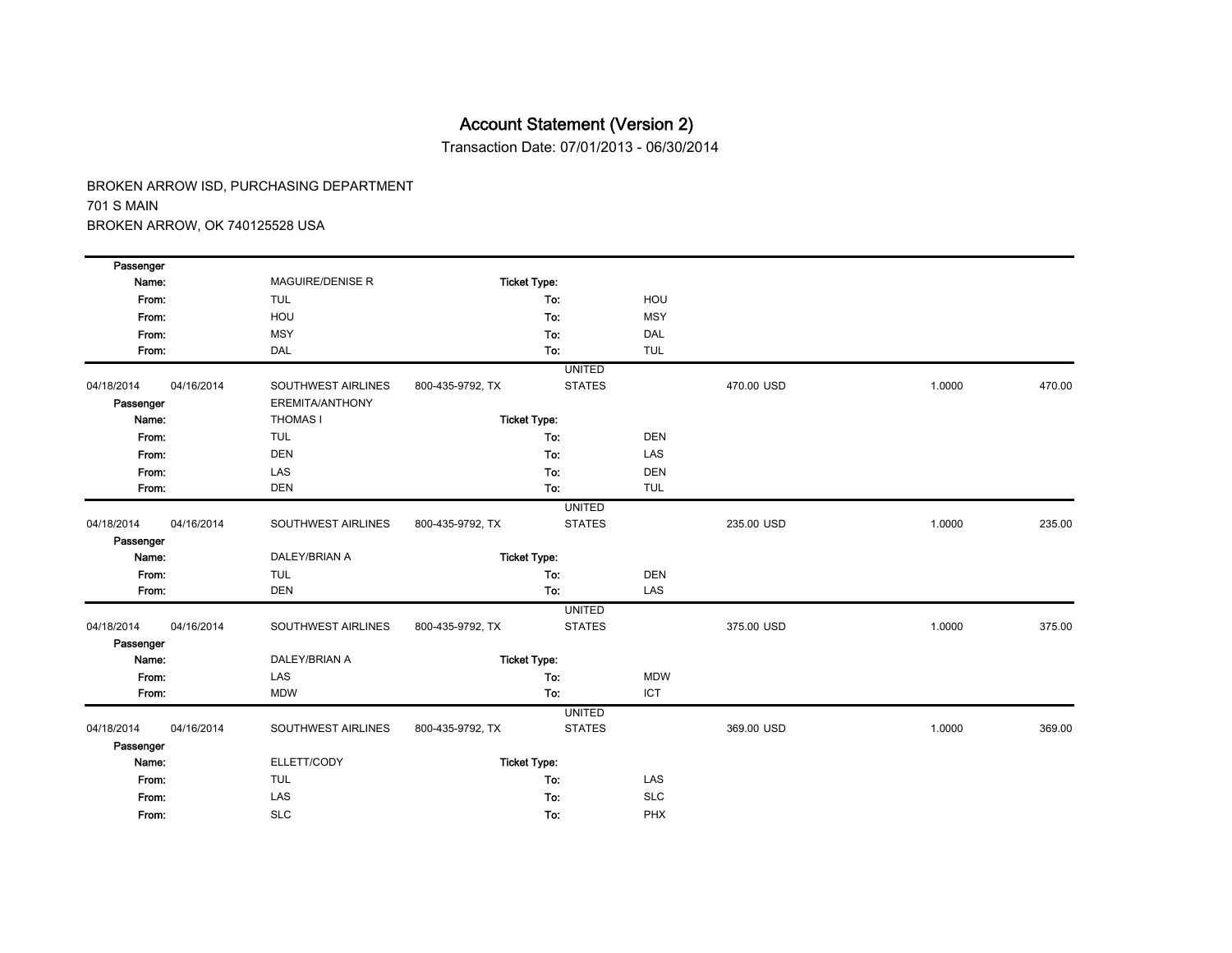Transaction Date: 07/01/2013 - 06/30/2014

| Passenger  |            |                         |                  |                     |            |            |        |        |
|------------|------------|-------------------------|------------------|---------------------|------------|------------|--------|--------|
| Name:      |            | <b>MAGUIRE/DENISE R</b> |                  | <b>Ticket Type:</b> |            |            |        |        |
| From:      |            | <b>TUL</b>              |                  | To:                 | HOU        |            |        |        |
| From:      |            | HOU                     |                  | To:                 | <b>MSY</b> |            |        |        |
| From:      |            | <b>MSY</b>              |                  | To:                 | <b>DAL</b> |            |        |        |
| From:      |            | DAL                     |                  | To:                 | <b>TUL</b> |            |        |        |
|            |            |                         |                  | <b>UNITED</b>       |            |            |        |        |
| 04/18/2014 | 04/16/2014 | SOUTHWEST AIRLINES      | 800-435-9792, TX | <b>STATES</b>       |            | 470.00 USD | 1.0000 | 470.00 |
| Passenger  |            | EREMITA/ANTHONY         |                  |                     |            |            |        |        |
| Name:      |            | <b>THOMAS I</b>         |                  | <b>Ticket Type:</b> |            |            |        |        |
| From:      |            | <b>TUL</b>              |                  | To:                 | <b>DEN</b> |            |        |        |
| From:      |            | <b>DEN</b>              |                  | To:                 | LAS        |            |        |        |
| From:      |            | LAS                     |                  | To:                 | <b>DEN</b> |            |        |        |
| From:      |            | <b>DEN</b>              |                  | To:                 | <b>TUL</b> |            |        |        |
|            |            |                         |                  | <b>UNITED</b>       |            |            |        |        |
| 04/18/2014 | 04/16/2014 | SOUTHWEST AIRLINES      | 800-435-9792, TX | <b>STATES</b>       |            | 235.00 USD | 1.0000 | 235.00 |
| Passenger  |            |                         |                  |                     |            |            |        |        |
| Name:      |            | DALEY/BRIAN A           |                  | <b>Ticket Type:</b> |            |            |        |        |
| From:      |            | <b>TUL</b>              |                  | To:                 | <b>DEN</b> |            |        |        |
| From:      |            | <b>DEN</b>              |                  | To:                 | LAS        |            |        |        |
|            |            |                         |                  | <b>UNITED</b>       |            |            |        |        |
| 04/18/2014 | 04/16/2014 | SOUTHWEST AIRLINES      | 800-435-9792, TX | <b>STATES</b>       |            | 375.00 USD | 1.0000 | 375.00 |
| Passenger  |            |                         |                  |                     |            |            |        |        |
| Name:      |            | DALEY/BRIAN A           |                  | <b>Ticket Type:</b> |            |            |        |        |
| From:      |            | LAS                     |                  | To:                 | <b>MDW</b> |            |        |        |
| From:      |            | <b>MDW</b>              |                  | To:                 | <b>ICT</b> |            |        |        |
|            |            |                         |                  | <b>UNITED</b>       |            |            |        |        |
| 04/18/2014 | 04/16/2014 | SOUTHWEST AIRLINES      | 800-435-9792, TX | <b>STATES</b>       |            | 369.00 USD | 1.0000 | 369.00 |
| Passenger  |            |                         |                  |                     |            |            |        |        |
| Name:      |            | ELLETT/CODY             |                  | <b>Ticket Type:</b> |            |            |        |        |
| From:      |            | <b>TUL</b>              |                  | To:                 | LAS        |            |        |        |
| From:      |            | LAS                     |                  | To:                 | <b>SLC</b> |            |        |        |
| From:      |            | <b>SLC</b>              |                  | To:                 | PHX        |            |        |        |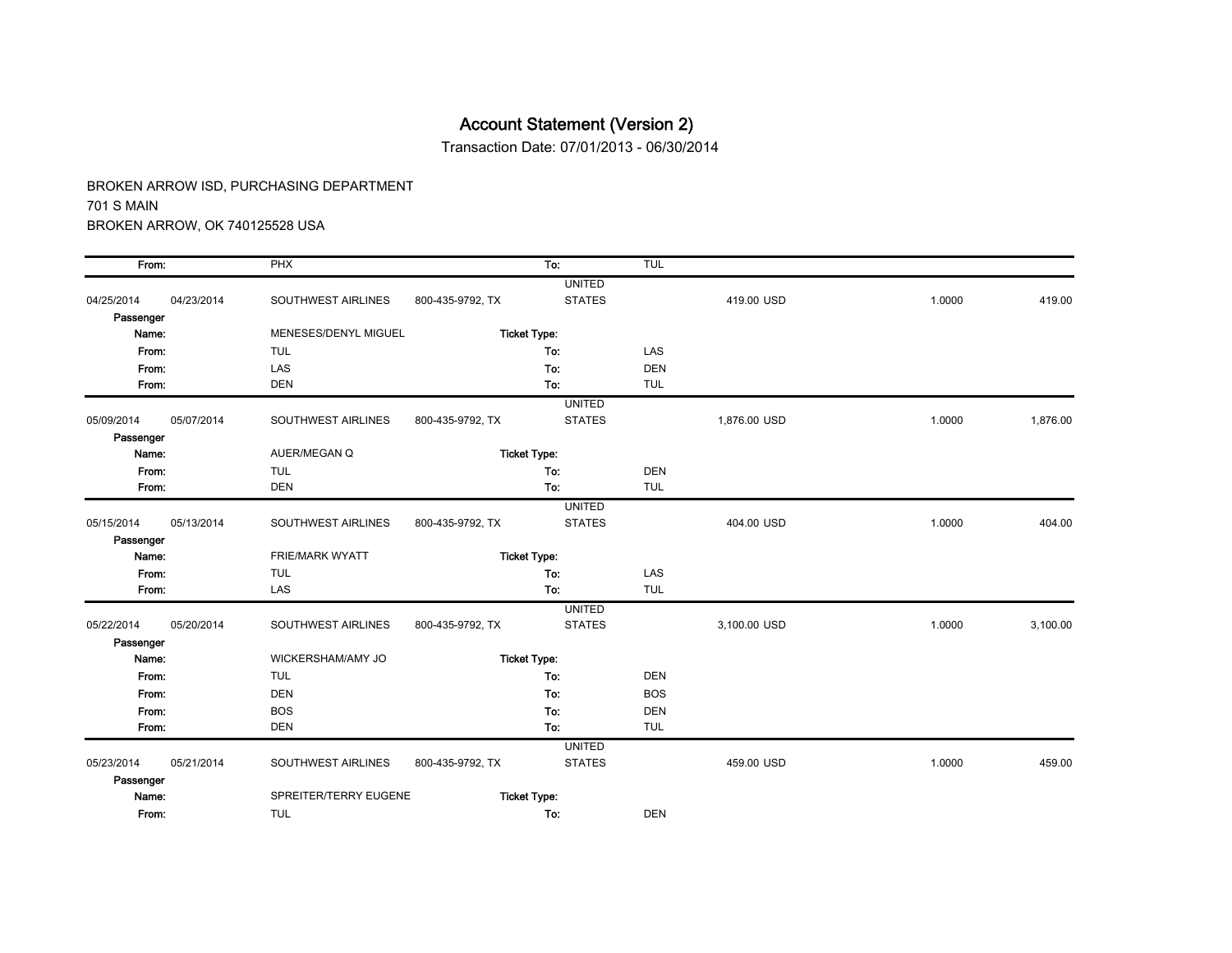Transaction Date: 07/01/2013 - 06/30/2014

| From:      |            | PHX                       |                  | To:                 | TUL        |              |        |          |
|------------|------------|---------------------------|------------------|---------------------|------------|--------------|--------|----------|
|            |            |                           |                  | <b>UNITED</b>       |            |              |        |          |
| 04/25/2014 | 04/23/2014 | SOUTHWEST AIRLINES        | 800-435-9792, TX | <b>STATES</b>       |            | 419.00 USD   | 1.0000 | 419.00   |
| Passenger  |            |                           |                  |                     |            |              |        |          |
| Name:      |            | MENESES/DENYL MIGUEL      |                  | <b>Ticket Type:</b> |            |              |        |          |
| From:      |            | <b>TUL</b>                |                  | To:                 | <b>LAS</b> |              |        |          |
| From:      |            | LAS                       |                  | To:                 | <b>DEN</b> |              |        |          |
| From:      |            | <b>DEN</b>                |                  | To:                 | <b>TUL</b> |              |        |          |
|            |            |                           |                  | <b>UNITED</b>       |            |              |        |          |
| 05/09/2014 | 05/07/2014 | SOUTHWEST AIRLINES        | 800-435-9792, TX | <b>STATES</b>       |            | 1,876.00 USD | 1.0000 | 1,876.00 |
| Passenger  |            |                           |                  |                     |            |              |        |          |
| Name:      |            | AUER/MEGAN Q              |                  | <b>Ticket Type:</b> |            |              |        |          |
| From:      |            | <b>TUL</b>                |                  | To:                 | <b>DEN</b> |              |        |          |
| From:      |            | <b>DEN</b>                |                  | To:                 | <b>TUL</b> |              |        |          |
|            |            |                           |                  | <b>UNITED</b>       |            |              |        |          |
| 05/15/2014 | 05/13/2014 | <b>SOUTHWEST AIRLINES</b> | 800-435-9792, TX | <b>STATES</b>       |            | 404.00 USD   | 1.0000 | 404.00   |
| Passenger  |            |                           |                  |                     |            |              |        |          |
| Name:      |            | <b>FRIE/MARK WYATT</b>    |                  | <b>Ticket Type:</b> |            |              |        |          |
| From:      |            | <b>TUL</b>                |                  | To:                 | LAS        |              |        |          |
| From:      |            | LAS                       |                  | To:                 | <b>TUL</b> |              |        |          |
|            |            |                           |                  | <b>UNITED</b>       |            |              |        |          |
| 05/22/2014 | 05/20/2014 | SOUTHWEST AIRLINES        | 800-435-9792, TX | <b>STATES</b>       |            | 3,100.00 USD | 1.0000 | 3,100.00 |
| Passenger  |            |                           |                  |                     |            |              |        |          |
| Name:      |            | WICKERSHAM/AMY JO         |                  | <b>Ticket Type:</b> |            |              |        |          |
| From:      |            | <b>TUL</b>                |                  | To:                 | <b>DEN</b> |              |        |          |
| From:      |            | <b>DEN</b>                |                  | To:                 | <b>BOS</b> |              |        |          |
| From:      |            | <b>BOS</b>                |                  | To:                 | <b>DEN</b> |              |        |          |
| From:      |            | <b>DEN</b>                |                  | To:                 | <b>TUL</b> |              |        |          |
|            |            |                           |                  | <b>UNITED</b>       |            |              |        |          |
| 05/23/2014 | 05/21/2014 | SOUTHWEST AIRLINES        | 800-435-9792, TX | <b>STATES</b>       |            | 459.00 USD   | 1.0000 | 459.00   |
| Passenger  |            |                           |                  |                     |            |              |        |          |
| Name:      |            | SPREITER/TERRY EUGENE     |                  | <b>Ticket Type:</b> |            |              |        |          |
| From:      |            | <b>TUL</b>                |                  | To:                 | <b>DEN</b> |              |        |          |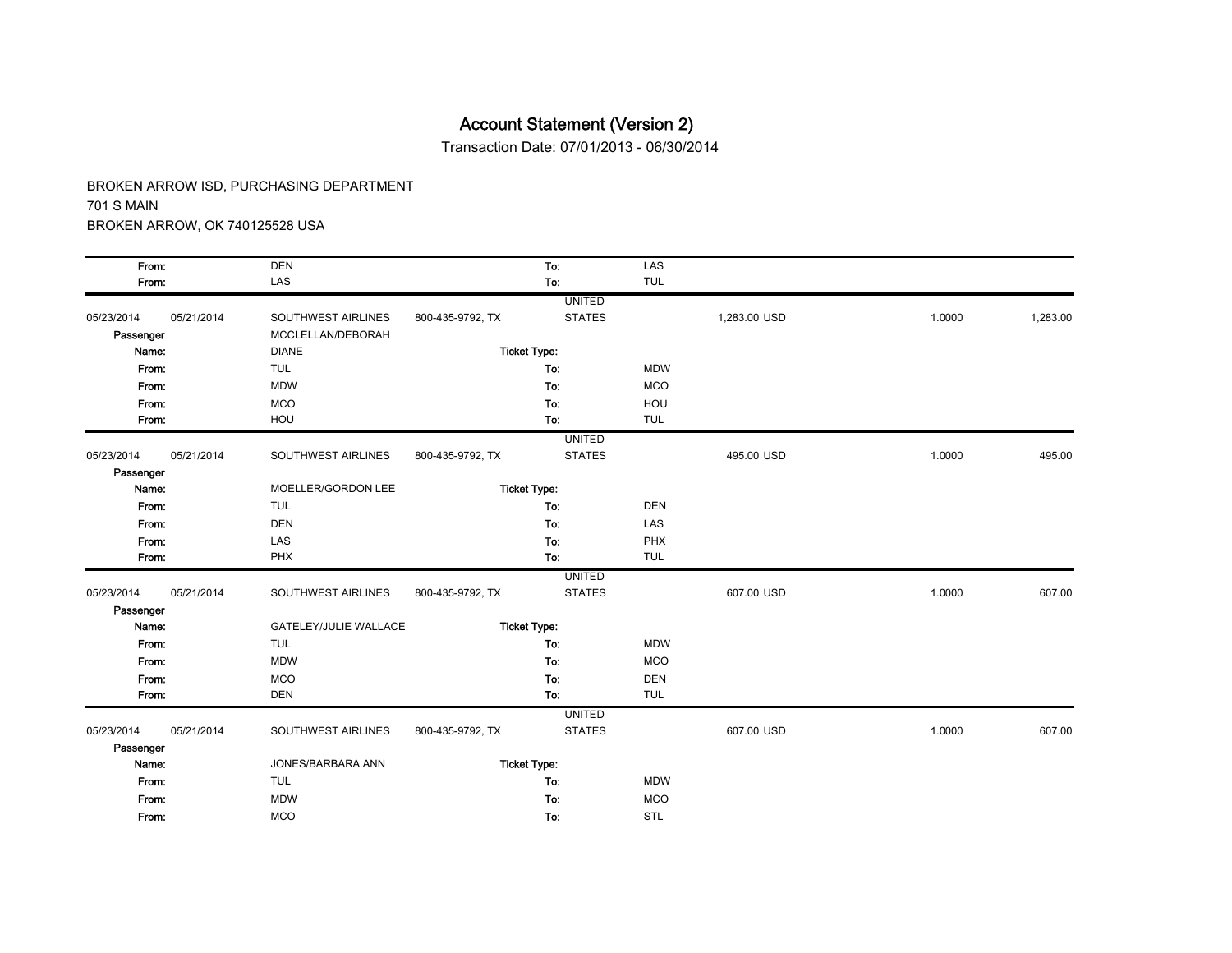Transaction Date: 07/01/2013 - 06/30/2014

| From:      |            | <b>DEN</b>                   |                  | To:                 | LAS        |              |        |          |
|------------|------------|------------------------------|------------------|---------------------|------------|--------------|--------|----------|
| From:      |            | LAS                          |                  | To:                 | <b>TUL</b> |              |        |          |
|            |            |                              |                  | <b>UNITED</b>       |            |              |        |          |
| 05/23/2014 | 05/21/2014 | SOUTHWEST AIRLINES           | 800-435-9792, TX | <b>STATES</b>       |            | 1,283.00 USD | 1.0000 | 1,283.00 |
| Passenger  |            | MCCLELLAN/DEBORAH            |                  |                     |            |              |        |          |
| Name:      |            | <b>DIANE</b>                 |                  | <b>Ticket Type:</b> |            |              |        |          |
| From:      |            | <b>TUL</b>                   |                  | To:                 | <b>MDW</b> |              |        |          |
| From:      |            | <b>MDW</b>                   |                  | To:                 | <b>MCO</b> |              |        |          |
| From:      |            | <b>MCO</b>                   |                  | To:                 | HOU        |              |        |          |
| From:      |            | HOU                          |                  | To:                 | <b>TUL</b> |              |        |          |
|            |            |                              |                  | <b>UNITED</b>       |            |              |        |          |
| 05/23/2014 | 05/21/2014 | SOUTHWEST AIRLINES           | 800-435-9792, TX | <b>STATES</b>       |            | 495.00 USD   | 1.0000 | 495.00   |
| Passenger  |            |                              |                  |                     |            |              |        |          |
| Name:      |            | MOELLER/GORDON LEE           |                  | <b>Ticket Type:</b> |            |              |        |          |
| From:      |            | <b>TUL</b>                   |                  | To:                 | <b>DEN</b> |              |        |          |
| From:      |            | <b>DEN</b>                   |                  | To:                 | LAS        |              |        |          |
| From:      |            | LAS                          |                  | To:                 | PHX        |              |        |          |
| From:      |            | PHX                          |                  | To:                 | <b>TUL</b> |              |        |          |
|            |            |                              |                  | <b>UNITED</b>       |            |              |        |          |
| 05/23/2014 | 05/21/2014 | SOUTHWEST AIRLINES           | 800-435-9792, TX | <b>STATES</b>       |            | 607.00 USD   | 1.0000 | 607.00   |
| Passenger  |            |                              |                  |                     |            |              |        |          |
| Name:      |            | <b>GATELEY/JULIE WALLACE</b> |                  | <b>Ticket Type:</b> |            |              |        |          |
| From:      |            | <b>TUL</b>                   |                  | To:                 | <b>MDW</b> |              |        |          |
| From:      |            | <b>MDW</b>                   |                  | To:                 | <b>MCO</b> |              |        |          |
| From:      |            | <b>MCO</b>                   |                  | To:                 | <b>DEN</b> |              |        |          |
| From:      |            | <b>DEN</b>                   |                  | To:                 | <b>TUL</b> |              |        |          |
|            |            |                              |                  | <b>UNITED</b>       |            |              |        |          |
| 05/23/2014 | 05/21/2014 | SOUTHWEST AIRLINES           | 800-435-9792, TX | <b>STATES</b>       |            | 607.00 USD   | 1.0000 | 607.00   |
| Passenger  |            |                              |                  |                     |            |              |        |          |
| Name:      |            | JONES/BARBARA ANN            |                  | <b>Ticket Type:</b> |            |              |        |          |
| From:      |            | <b>TUL</b>                   |                  | To:                 | <b>MDW</b> |              |        |          |
| From:      |            | <b>MDW</b>                   |                  | To:                 | <b>MCO</b> |              |        |          |
| From:      |            | <b>MCO</b>                   |                  | To:                 | <b>STL</b> |              |        |          |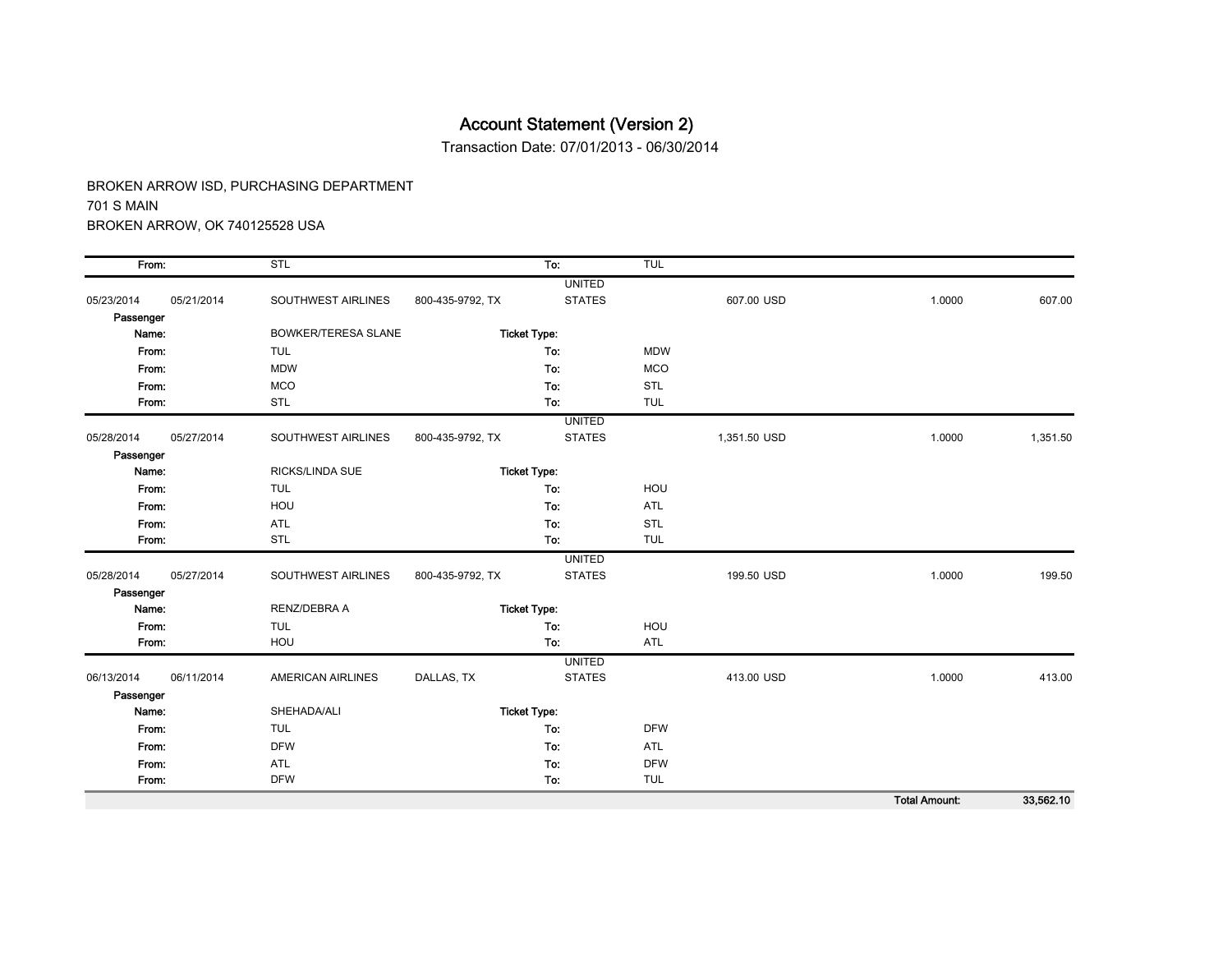Transaction Date: 07/01/2013 - 06/30/2014

| From:      |            | STL                        |                  | To:                 | TUL        |              |                      |           |
|------------|------------|----------------------------|------------------|---------------------|------------|--------------|----------------------|-----------|
|            |            |                            |                  | <b>UNITED</b>       |            |              |                      |           |
| 05/23/2014 | 05/21/2014 | SOUTHWEST AIRLINES         | 800-435-9792, TX | <b>STATES</b>       |            | 607.00 USD   | 1.0000               | 607.00    |
| Passenger  |            |                            |                  |                     |            |              |                      |           |
| Name:      |            | <b>BOWKER/TERESA SLANE</b> |                  | <b>Ticket Type:</b> |            |              |                      |           |
| From:      |            | <b>TUL</b>                 |                  | To:                 | <b>MDW</b> |              |                      |           |
| From:      |            | <b>MDW</b>                 |                  | To:                 | <b>MCO</b> |              |                      |           |
| From:      |            | <b>MCO</b>                 |                  | To:                 | <b>STL</b> |              |                      |           |
| From:      |            | <b>STL</b>                 |                  | To:                 | <b>TUL</b> |              |                      |           |
|            |            |                            |                  | <b>UNITED</b>       |            |              |                      |           |
| 05/28/2014 | 05/27/2014 | SOUTHWEST AIRLINES         | 800-435-9792, TX | <b>STATES</b>       |            | 1,351.50 USD | 1.0000               | 1,351.50  |
| Passenger  |            |                            |                  |                     |            |              |                      |           |
| Name:      |            | <b>RICKS/LINDA SUE</b>     |                  | <b>Ticket Type:</b> |            |              |                      |           |
| From:      |            | <b>TUL</b>                 |                  | To:                 | HOU        |              |                      |           |
| From:      |            | HOU                        |                  | To:                 | <b>ATL</b> |              |                      |           |
| From:      |            | <b>ATL</b>                 |                  | To:                 | <b>STL</b> |              |                      |           |
| From:      |            | <b>STL</b>                 |                  | To:                 | <b>TUL</b> |              |                      |           |
|            |            |                            |                  | <b>UNITED</b>       |            |              |                      |           |
| 05/28/2014 | 05/27/2014 | SOUTHWEST AIRLINES         | 800-435-9792, TX | <b>STATES</b>       |            | 199.50 USD   | 1.0000               | 199.50    |
| Passenger  |            |                            |                  |                     |            |              |                      |           |
| Name:      |            | RENZ/DEBRA A               |                  | <b>Ticket Type:</b> |            |              |                      |           |
| From:      |            | <b>TUL</b>                 |                  | To:                 | HOU        |              |                      |           |
| From:      |            | HOU                        |                  | To:                 | <b>ATL</b> |              |                      |           |
|            |            |                            |                  | <b>UNITED</b>       |            |              |                      |           |
| 06/13/2014 | 06/11/2014 | <b>AMERICAN AIRLINES</b>   | DALLAS, TX       | <b>STATES</b>       |            | 413.00 USD   | 1.0000               | 413.00    |
| Passenger  |            |                            |                  |                     |            |              |                      |           |
| Name:      |            | SHEHADA/ALI                |                  | <b>Ticket Type:</b> |            |              |                      |           |
| From:      |            | <b>TUL</b>                 |                  | To:                 | <b>DFW</b> |              |                      |           |
| From:      |            | <b>DFW</b>                 |                  | To:                 | <b>ATL</b> |              |                      |           |
| From:      |            | ATL                        |                  | To:                 | <b>DFW</b> |              |                      |           |
| From:      |            | <b>DFW</b>                 |                  | To:                 | <b>TUL</b> |              |                      |           |
|            |            |                            |                  |                     |            |              | <b>Total Amount:</b> | 33,562.10 |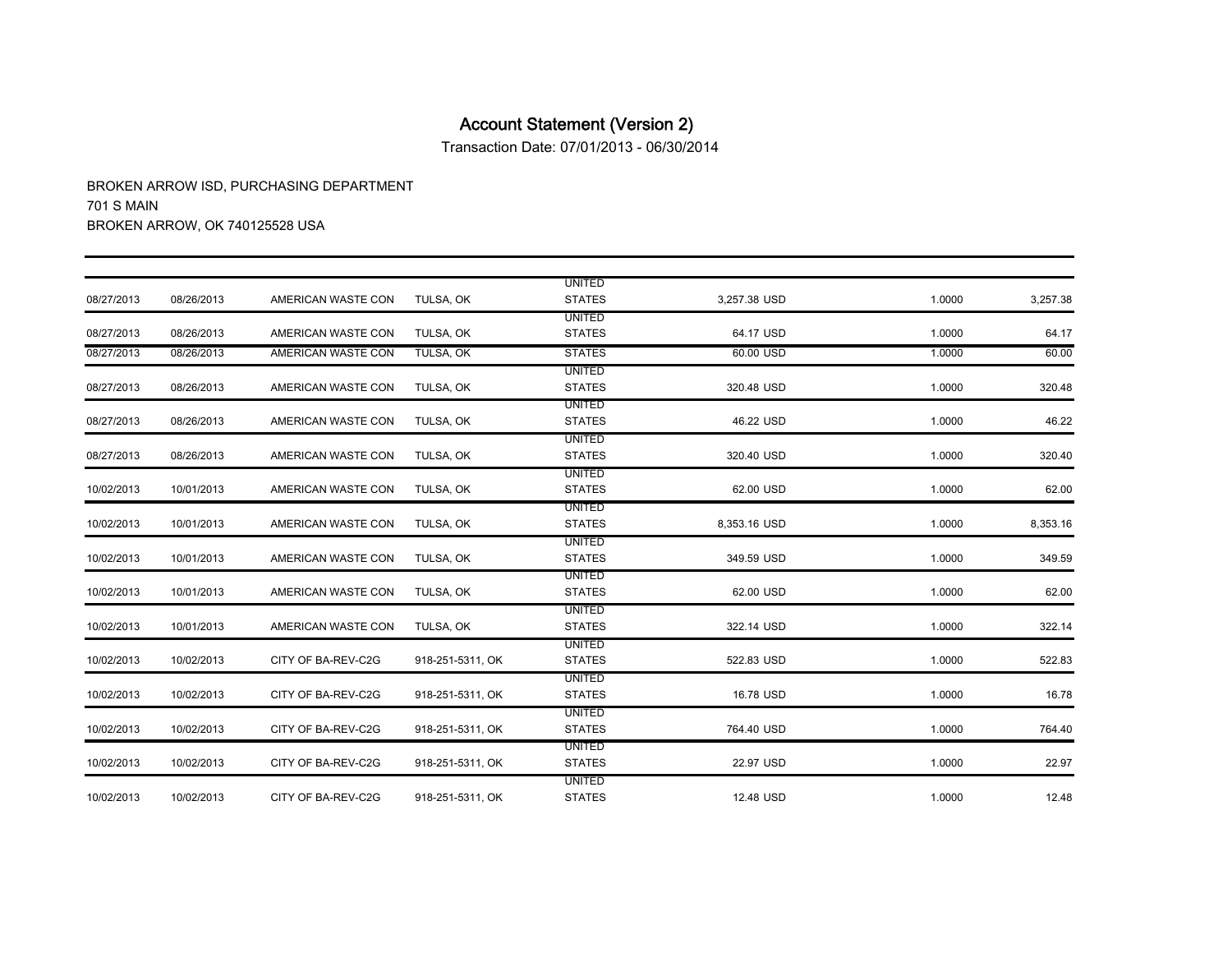Transaction Date: 07/01/2013 - 06/30/2014

|            |            |                    |                  | <b>UNITED</b> |              |        |          |
|------------|------------|--------------------|------------------|---------------|--------------|--------|----------|
| 08/27/2013 | 08/26/2013 | AMERICAN WASTE CON | TULSA, OK        | <b>STATES</b> | 3,257.38 USD | 1.0000 | 3,257.38 |
|            |            |                    |                  | <b>UNITED</b> |              |        |          |
| 08/27/2013 | 08/26/2013 | AMERICAN WASTE CON | TULSA, OK        | <b>STATES</b> | 64.17 USD    | 1.0000 | 64.17    |
| 08/27/2013 | 08/26/2013 | AMERICAN WASTE CON | TULSA, OK        | <b>STATES</b> | 60.00 USD    | 1.0000 | 60.00    |
|            |            |                    |                  | <b>UNITED</b> |              |        |          |
| 08/27/2013 | 08/26/2013 | AMERICAN WASTE CON | TULSA, OK        | <b>STATES</b> | 320.48 USD   | 1.0000 | 320.48   |
|            |            |                    |                  | <b>UNITED</b> |              |        |          |
| 08/27/2013 | 08/26/2013 | AMERICAN WASTE CON | TULSA, OK        | <b>STATES</b> | 46.22 USD    | 1.0000 | 46.22    |
|            |            |                    |                  | UNITED        |              |        |          |
| 08/27/2013 | 08/26/2013 | AMERICAN WASTE CON | TULSA, OK        | <b>STATES</b> | 320.40 USD   | 1.0000 | 320.40   |
|            |            |                    |                  | UNITED        |              |        |          |
| 10/02/2013 | 10/01/2013 | AMERICAN WASTE CON | TULSA, OK        | <b>STATES</b> | 62.00 USD    | 1.0000 | 62.00    |
|            |            |                    |                  | <b>UNITED</b> |              |        |          |
| 10/02/2013 | 10/01/2013 | AMERICAN WASTE CON | TULSA, OK        | <b>STATES</b> | 8,353.16 USD | 1.0000 | 8,353.16 |
|            |            |                    |                  | <b>UNITED</b> |              |        |          |
| 10/02/2013 | 10/01/2013 | AMERICAN WASTE CON | TULSA, OK        | <b>STATES</b> | 349.59 USD   | 1.0000 | 349.59   |
|            |            |                    |                  | <b>UNITED</b> |              |        |          |
| 10/02/2013 | 10/01/2013 | AMERICAN WASTE CON | TULSA, OK        | <b>STATES</b> | 62.00 USD    | 1.0000 | 62.00    |
|            |            |                    |                  | UNITED        |              |        |          |
| 10/02/2013 | 10/01/2013 | AMERICAN WASTE CON | TULSA, OK        | <b>STATES</b> | 322.14 USD   | 1.0000 | 322.14   |
|            |            |                    |                  | <b>UNITED</b> |              |        |          |
| 10/02/2013 | 10/02/2013 | CITY OF BA-REV-C2G | 918-251-5311, OK | <b>STATES</b> | 522.83 USD   | 1.0000 | 522.83   |
|            |            |                    |                  | <b>UNITED</b> |              |        |          |
| 10/02/2013 | 10/02/2013 | CITY OF BA-REV-C2G | 918-251-5311, OK | <b>STATES</b> | 16.78 USD    | 1.0000 | 16.78    |
|            |            |                    |                  | UNITED        |              |        |          |
| 10/02/2013 | 10/02/2013 | CITY OF BA-REV-C2G | 918-251-5311, OK | <b>STATES</b> | 764.40 USD   | 1.0000 | 764.40   |
|            |            |                    |                  | <b>UNITED</b> |              |        |          |
| 10/02/2013 | 10/02/2013 | CITY OF BA-REV-C2G | 918-251-5311, OK | <b>STATES</b> | 22.97 USD    | 1.0000 | 22.97    |
|            |            |                    |                  | UNITED        |              |        |          |
| 10/02/2013 | 10/02/2013 | CITY OF BA-REV-C2G | 918-251-5311, OK | <b>STATES</b> | 12.48 USD    | 1.0000 | 12.48    |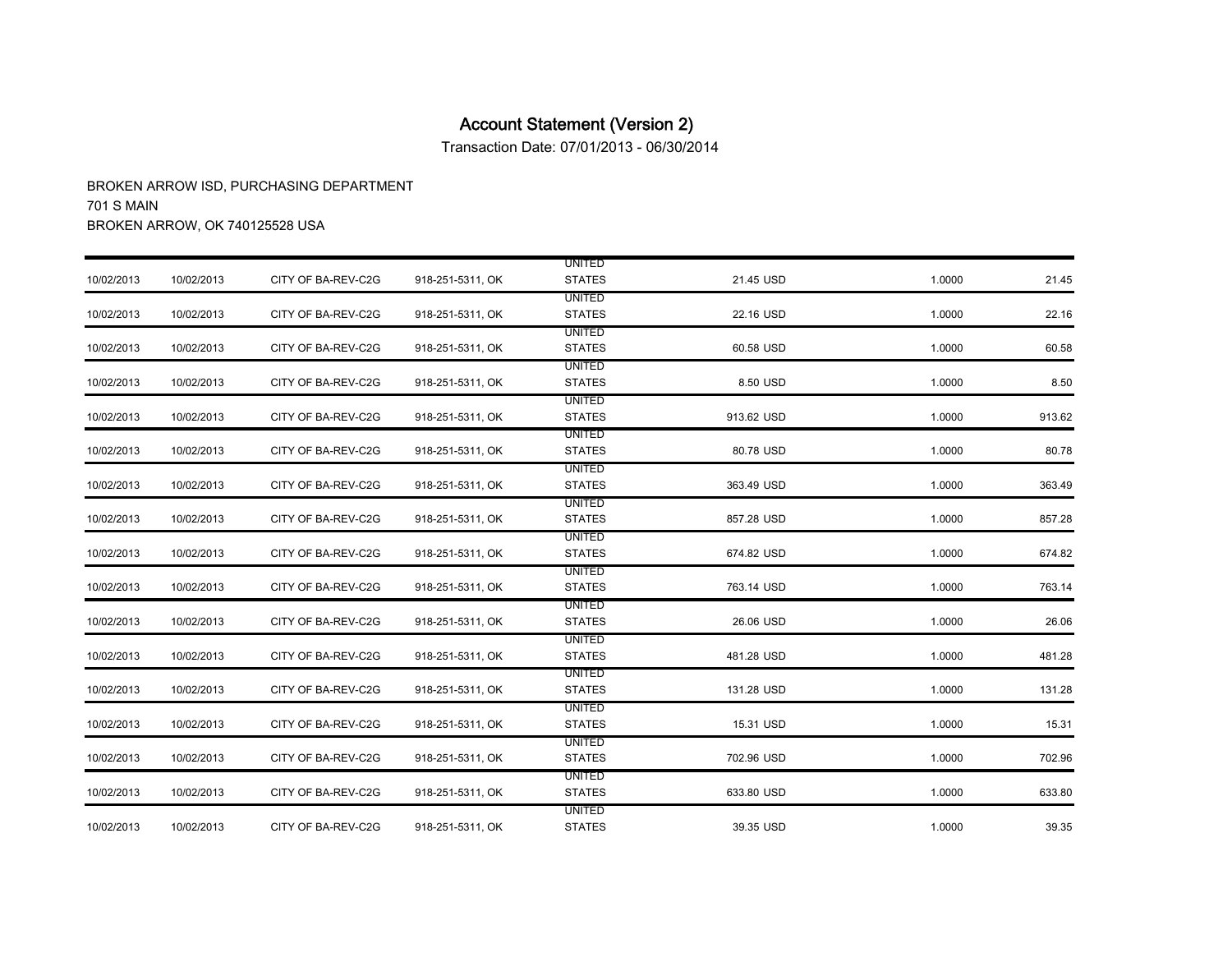Transaction Date: 07/01/2013 - 06/30/2014

|            |            |                    |                  | <b>UNITED</b> |            |        |        |
|------------|------------|--------------------|------------------|---------------|------------|--------|--------|
| 10/02/2013 | 10/02/2013 | CITY OF BA-REV-C2G | 918-251-5311, OK | <b>STATES</b> | 21.45 USD  | 1.0000 | 21.45  |
|            |            |                    |                  | <b>UNITED</b> |            |        |        |
| 10/02/2013 | 10/02/2013 | CITY OF BA-REV-C2G | 918-251-5311, OK | <b>STATES</b> | 22.16 USD  | 1.0000 | 22.16  |
|            |            |                    |                  | <b>UNITED</b> |            |        |        |
| 10/02/2013 | 10/02/2013 | CITY OF BA-REV-C2G | 918-251-5311, OK | <b>STATES</b> | 60.58 USD  | 1.0000 | 60.58  |
|            |            |                    |                  | <b>UNITED</b> |            |        |        |
| 10/02/2013 | 10/02/2013 | CITY OF BA-REV-C2G | 918-251-5311, OK | <b>STATES</b> | 8.50 USD   | 1.0000 | 8.50   |
|            |            |                    |                  | UNITED        |            |        |        |
| 10/02/2013 | 10/02/2013 | CITY OF BA-REV-C2G | 918-251-5311, OK | <b>STATES</b> | 913.62 USD | 1.0000 | 913.62 |
|            |            |                    |                  | <b>UNITED</b> |            |        |        |
| 10/02/2013 | 10/02/2013 | CITY OF BA-REV-C2G | 918-251-5311, OK | <b>STATES</b> | 80.78 USD  | 1.0000 | 80.78  |
|            |            |                    |                  | UNITED        |            |        |        |
| 10/02/2013 | 10/02/2013 | CITY OF BA-REV-C2G | 918-251-5311, OK | <b>STATES</b> | 363.49 USD | 1.0000 | 363.49 |
|            |            |                    |                  | <b>UNITED</b> |            |        |        |
| 10/02/2013 | 10/02/2013 | CITY OF BA-REV-C2G | 918-251-5311, OK | <b>STATES</b> | 857.28 USD | 1.0000 | 857.28 |
|            |            |                    |                  | <b>UNITED</b> |            |        |        |
| 10/02/2013 | 10/02/2013 | CITY OF BA-REV-C2G | 918-251-5311, OK | <b>STATES</b> | 674.82 USD | 1.0000 | 674.82 |
|            |            |                    |                  | <b>UNITED</b> |            |        |        |
| 10/02/2013 | 10/02/2013 | CITY OF BA-REV-C2G | 918-251-5311, OK | <b>STATES</b> | 763.14 USD | 1.0000 | 763.14 |
|            |            |                    |                  | <b>UNITED</b> |            |        |        |
| 10/02/2013 | 10/02/2013 | CITY OF BA-REV-C2G | 918-251-5311, OK | <b>STATES</b> | 26.06 USD  | 1.0000 | 26.06  |
|            |            |                    |                  | UNITED        |            |        |        |
| 10/02/2013 | 10/02/2013 | CITY OF BA-REV-C2G | 918-251-5311, OK | <b>STATES</b> | 481.28 USD | 1.0000 | 481.28 |
|            |            |                    |                  | <b>UNITED</b> |            |        |        |
| 10/02/2013 | 10/02/2013 | CITY OF BA-REV-C2G | 918-251-5311, OK | <b>STATES</b> | 131.28 USD | 1.0000 | 131.28 |
|            |            |                    |                  | <b>UNITED</b> |            |        |        |
| 10/02/2013 | 10/02/2013 | CITY OF BA-REV-C2G | 918-251-5311, OK | <b>STATES</b> | 15.31 USD  | 1.0000 | 15.31  |
|            |            |                    |                  | UNITED        |            |        |        |
| 10/02/2013 | 10/02/2013 | CITY OF BA-REV-C2G | 918-251-5311, OK | <b>STATES</b> | 702.96 USD | 1.0000 | 702.96 |
|            |            |                    |                  | UNITED        |            |        |        |
| 10/02/2013 | 10/02/2013 | CITY OF BA-REV-C2G | 918-251-5311, OK | <b>STATES</b> | 633.80 USD | 1.0000 | 633.80 |
|            |            |                    |                  | <b>UNITED</b> |            |        |        |
| 10/02/2013 | 10/02/2013 | CITY OF BA-REV-C2G | 918-251-5311, OK | <b>STATES</b> | 39.35 USD  | 1.0000 | 39.35  |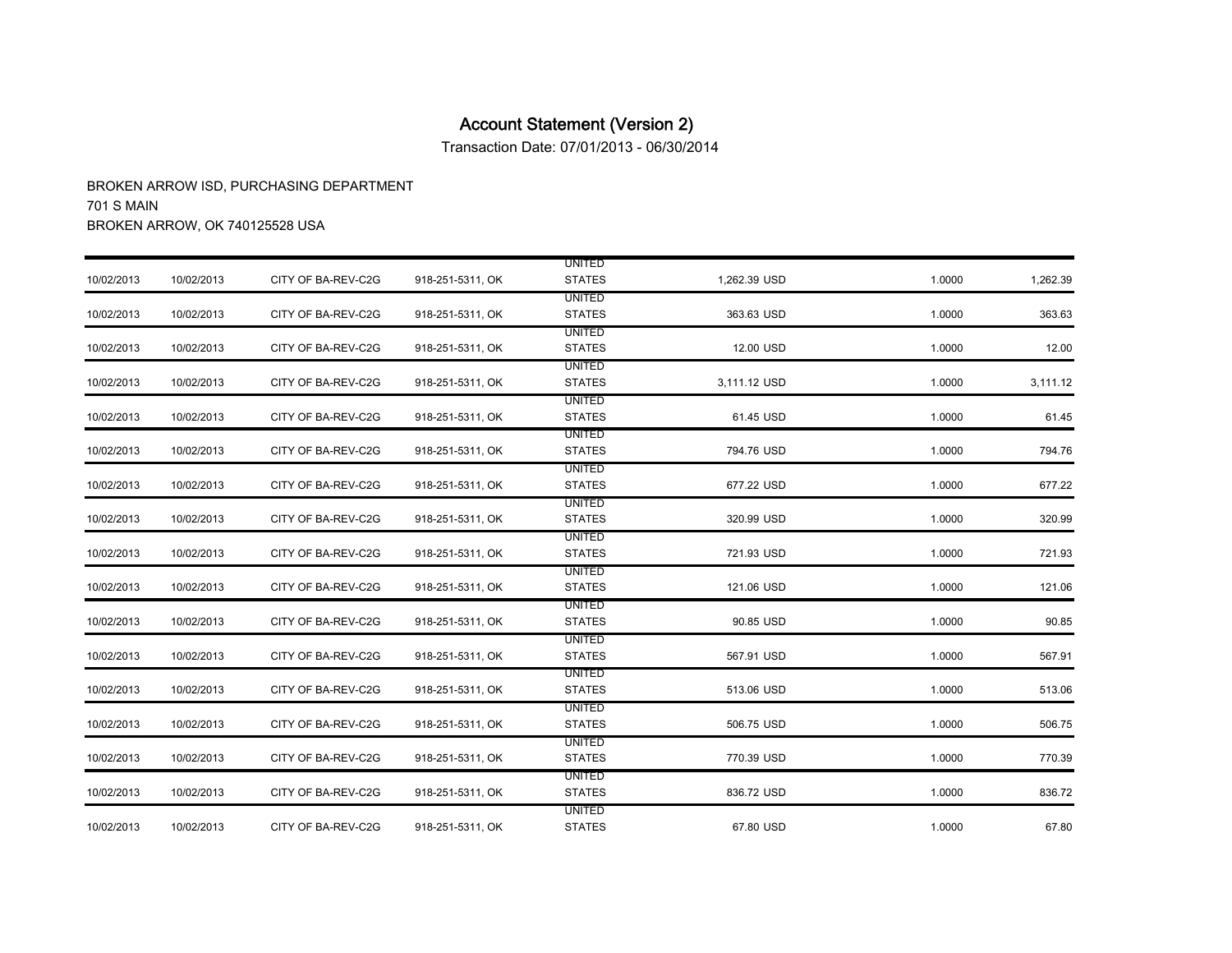Transaction Date: 07/01/2013 - 06/30/2014

|            |            |                    |                  | <b>UNITED</b>                  |              |        |          |
|------------|------------|--------------------|------------------|--------------------------------|--------------|--------|----------|
| 10/02/2013 | 10/02/2013 | CITY OF BA-REV-C2G | 918-251-5311, OK | <b>STATES</b>                  | 1,262.39 USD | 1.0000 | 1,262.39 |
| 10/02/2013 | 10/02/2013 | CITY OF BA-REV-C2G | 918-251-5311, OK | <b>UNITED</b><br><b>STATES</b> | 363.63 USD   | 1.0000 | 363.63   |
|            |            |                    |                  | <b>UNITED</b>                  |              |        |          |
| 10/02/2013 | 10/02/2013 | CITY OF BA-REV-C2G | 918-251-5311, OK | <b>STATES</b>                  | 12.00 USD    | 1.0000 | 12.00    |
|            |            |                    |                  | <b>UNITED</b>                  |              |        |          |
| 10/02/2013 | 10/02/2013 | CITY OF BA-REV-C2G | 918-251-5311, OK | <b>STATES</b>                  | 3,111.12 USD | 1.0000 | 3,111.12 |
|            |            |                    |                  | UNITED                         |              |        |          |
| 10/02/2013 | 10/02/2013 | CITY OF BA-REV-C2G | 918-251-5311, OK | <b>STATES</b>                  | 61.45 USD    | 1.0000 | 61.45    |
| 10/02/2013 | 10/02/2013 | CITY OF BA-REV-C2G | 918-251-5311, OK | <b>UNITED</b><br><b>STATES</b> | 794.76 USD   | 1.0000 | 794.76   |
|            |            |                    |                  | UNITED                         |              |        |          |
| 10/02/2013 | 10/02/2013 | CITY OF BA-REV-C2G | 918-251-5311, OK | <b>STATES</b>                  | 677.22 USD   | 1.0000 | 677.22   |
|            |            |                    |                  | <b>UNITED</b>                  |              |        |          |
| 10/02/2013 | 10/02/2013 | CITY OF BA-REV-C2G | 918-251-5311, OK | <b>STATES</b>                  | 320.99 USD   | 1.0000 | 320.99   |
|            |            |                    |                  | <b>UNITED</b>                  |              |        |          |
| 10/02/2013 | 10/02/2013 | CITY OF BA-REV-C2G | 918-251-5311, OK | <b>STATES</b>                  | 721.93 USD   | 1.0000 | 721.93   |
|            |            |                    |                  | <b>UNITED</b>                  |              |        |          |
| 10/02/2013 | 10/02/2013 | CITY OF BA-REV-C2G | 918-251-5311, OK | <b>STATES</b>                  | 121.06 USD   | 1.0000 | 121.06   |
|            |            |                    |                  | <b>UNITED</b>                  |              |        |          |
| 10/02/2013 | 10/02/2013 | CITY OF BA-REV-C2G | 918-251-5311, OK | <b>STATES</b>                  | 90.85 USD    | 1.0000 | 90.85    |
|            |            |                    |                  | UNITED                         |              |        |          |
| 10/02/2013 | 10/02/2013 | CITY OF BA-REV-C2G | 918-251-5311, OK | <b>STATES</b>                  | 567.91 USD   | 1.0000 | 567.91   |
|            |            |                    |                  | <b>UNITED</b>                  |              |        |          |
| 10/02/2013 | 10/02/2013 | CITY OF BA-REV-C2G | 918-251-5311, OK | <b>STATES</b>                  | 513.06 USD   | 1.0000 | 513.06   |
|            |            |                    |                  | <b>UNITED</b>                  |              |        |          |
| 10/02/2013 | 10/02/2013 | CITY OF BA-REV-C2G | 918-251-5311, OK | <b>STATES</b>                  | 506.75 USD   | 1.0000 | 506.75   |
|            |            |                    |                  | UNITED                         |              |        |          |
| 10/02/2013 | 10/02/2013 | CITY OF BA-REV-C2G | 918-251-5311, OK | <b>STATES</b>                  | 770.39 USD   | 1.0000 | 770.39   |
|            |            |                    |                  | UNITED                         |              |        |          |
| 10/02/2013 | 10/02/2013 | CITY OF BA-REV-C2G | 918-251-5311, OK | <b>STATES</b>                  | 836.72 USD   | 1.0000 | 836.72   |
|            |            |                    |                  | UNITED                         |              |        |          |
| 10/02/2013 | 10/02/2013 | CITY OF BA-REV-C2G | 918-251-5311, OK | <b>STATES</b>                  | 67.80 USD    | 1.0000 | 67.80    |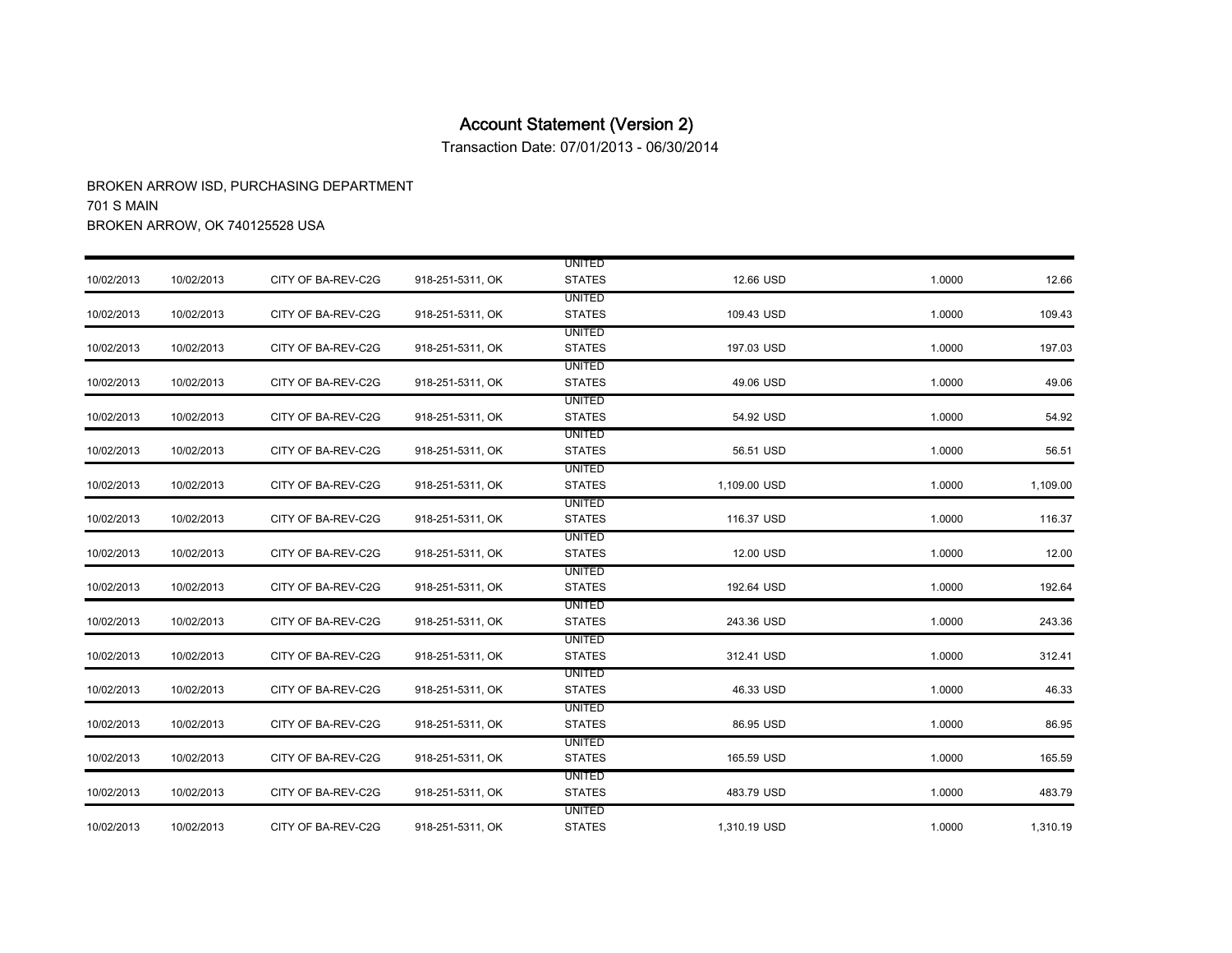Transaction Date: 07/01/2013 - 06/30/2014

|            |            |                    |                  | <b>UNITED</b>                  |              |        |          |
|------------|------------|--------------------|------------------|--------------------------------|--------------|--------|----------|
| 10/02/2013 | 10/02/2013 | CITY OF BA-REV-C2G | 918-251-5311, OK | <b>STATES</b>                  | 12.66 USD    | 1.0000 | 12.66    |
| 10/02/2013 | 10/02/2013 | CITY OF BA-REV-C2G | 918-251-5311, OK | <b>UNITED</b><br><b>STATES</b> | 109.43 USD   | 1.0000 | 109.43   |
|            |            |                    |                  | <b>UNITED</b>                  |              |        |          |
| 10/02/2013 | 10/02/2013 | CITY OF BA-REV-C2G | 918-251-5311, OK | <b>STATES</b>                  | 197.03 USD   | 1.0000 | 197.03   |
|            |            |                    |                  | <b>UNITED</b>                  |              |        |          |
| 10/02/2013 | 10/02/2013 | CITY OF BA-REV-C2G | 918-251-5311, OK | <b>STATES</b>                  | 49.06 USD    | 1.0000 | 49.06    |
|            |            |                    |                  | <b>UNITED</b>                  |              |        |          |
| 10/02/2013 | 10/02/2013 | CITY OF BA-REV-C2G | 918-251-5311, OK | <b>STATES</b>                  | 54.92 USD    | 1.0000 | 54.92    |
|            |            |                    |                  | <b>UNITED</b>                  |              |        |          |
| 10/02/2013 | 10/02/2013 | CITY OF BA-REV-C2G | 918-251-5311, OK | <b>STATES</b>                  | 56.51 USD    | 1.0000 | 56.51    |
|            |            |                    |                  | UNITED                         |              |        |          |
| 10/02/2013 | 10/02/2013 | CITY OF BA-REV-C2G | 918-251-5311, OK | <b>STATES</b>                  | 1,109.00 USD | 1.0000 | 1,109.00 |
|            |            |                    |                  | <b>UNITED</b>                  |              |        |          |
| 10/02/2013 | 10/02/2013 | CITY OF BA-REV-C2G | 918-251-5311, OK | <b>STATES</b>                  | 116.37 USD   | 1.0000 | 116.37   |
|            |            |                    |                  | UNITED                         |              |        |          |
| 10/02/2013 | 10/02/2013 | CITY OF BA-REV-C2G | 918-251-5311, OK | <b>STATES</b>                  | 12.00 USD    | 1.0000 | 12.00    |
|            |            |                    |                  | <b>UNITED</b>                  |              |        |          |
| 10/02/2013 | 10/02/2013 | CITY OF BA-REV-C2G | 918-251-5311, OK | <b>STATES</b>                  | 192.64 USD   | 1.0000 | 192.64   |
|            |            |                    |                  | <b>UNITED</b>                  |              |        |          |
| 10/02/2013 | 10/02/2013 | CITY OF BA-REV-C2G | 918-251-5311, OK | <b>STATES</b>                  | 243.36 USD   | 1.0000 | 243.36   |
|            |            |                    |                  | UNITED                         |              |        |          |
| 10/02/2013 | 10/02/2013 | CITY OF BA-REV-C2G | 918-251-5311, OK | <b>STATES</b>                  | 312.41 USD   | 1.0000 | 312.41   |
|            |            |                    |                  | <b>UNITED</b>                  |              |        |          |
| 10/02/2013 | 10/02/2013 | CITY OF BA-REV-C2G | 918-251-5311, OK | <b>STATES</b>                  | 46.33 USD    | 1.0000 | 46.33    |
|            |            |                    |                  | <b>UNITED</b>                  |              |        |          |
| 10/02/2013 | 10/02/2013 | CITY OF BA-REV-C2G | 918-251-5311, OK | <b>STATES</b>                  | 86.95 USD    | 1.0000 | 86.95    |
|            |            |                    |                  | UNITED                         |              |        |          |
| 10/02/2013 | 10/02/2013 | CITY OF BA-REV-C2G | 918-251-5311, OK | <b>STATES</b>                  | 165.59 USD   | 1.0000 | 165.59   |
|            |            |                    |                  | UNITED                         |              |        |          |
| 10/02/2013 | 10/02/2013 | CITY OF BA-REV-C2G | 918-251-5311, OK | <b>STATES</b>                  | 483.79 USD   | 1.0000 | 483.79   |
|            |            |                    |                  | UNITED                         |              |        |          |
| 10/02/2013 | 10/02/2013 | CITY OF BA-REV-C2G | 918-251-5311, OK | <b>STATES</b>                  | 1,310.19 USD | 1.0000 | 1,310.19 |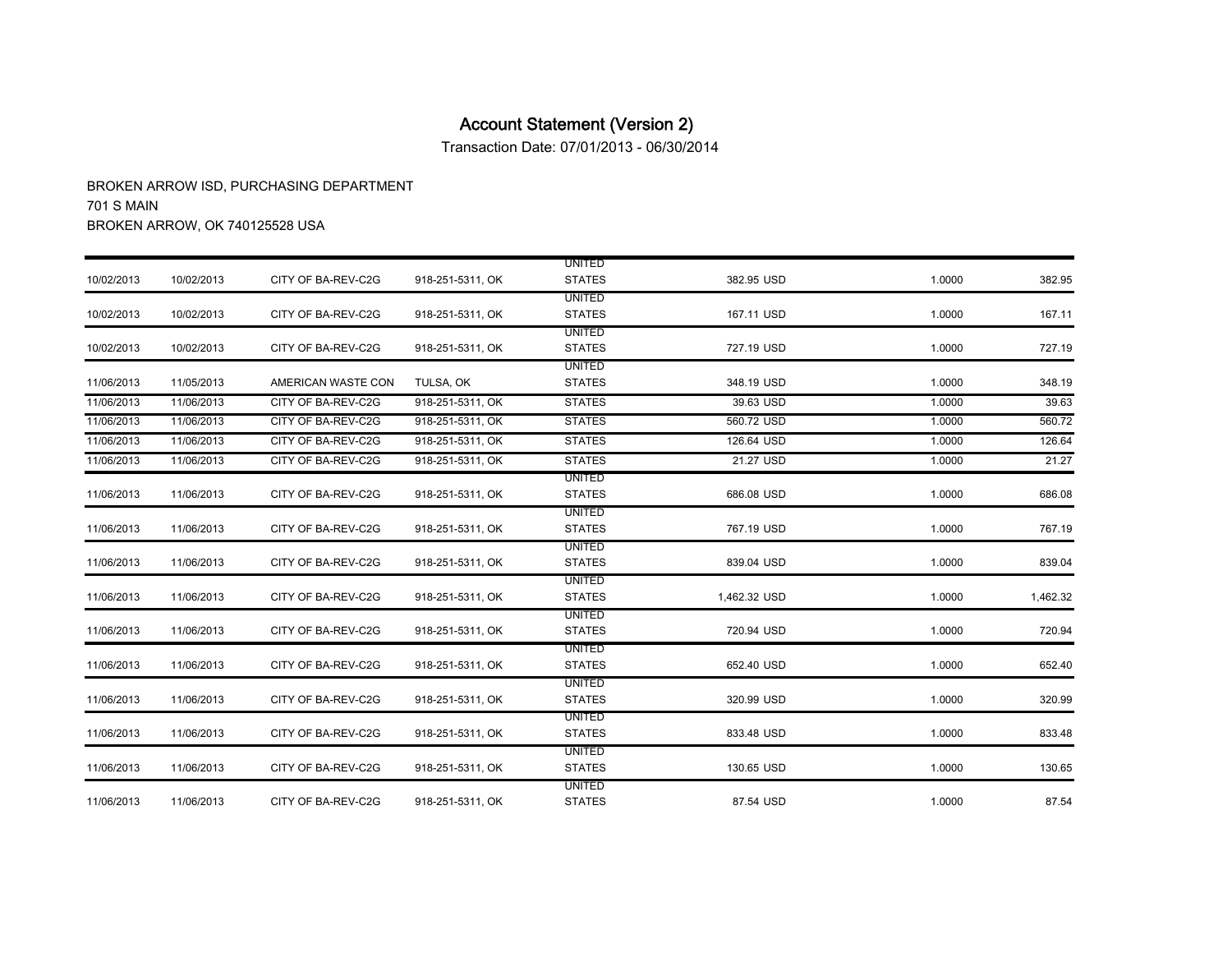Transaction Date: 07/01/2013 - 06/30/2014

|            |            |                    |                  | <b>UNITED</b>                  |              |        |          |
|------------|------------|--------------------|------------------|--------------------------------|--------------|--------|----------|
| 10/02/2013 | 10/02/2013 | CITY OF BA-REV-C2G | 918-251-5311, OK | <b>STATES</b>                  | 382.95 USD   | 1.0000 | 382.95   |
|            |            |                    |                  | <b>UNITED</b>                  |              |        |          |
| 10/02/2013 | 10/02/2013 | CITY OF BA-REV-C2G | 918-251-5311, OK | <b>STATES</b>                  | 167.11 USD   | 1.0000 | 167.11   |
|            |            |                    |                  | <b>UNITED</b>                  |              |        |          |
| 10/02/2013 | 10/02/2013 | CITY OF BA-REV-C2G | 918-251-5311, OK | <b>STATES</b>                  | 727.19 USD   | 1.0000 | 727.19   |
|            |            |                    |                  | <b>UNITED</b>                  |              |        |          |
| 11/06/2013 | 11/05/2013 | AMERICAN WASTE CON | TULSA, OK        | <b>STATES</b>                  | 348.19 USD   | 1.0000 | 348.19   |
| 11/06/2013 | 11/06/2013 | CITY OF BA-REV-C2G | 918-251-5311, OK | <b>STATES</b>                  | 39.63 USD    | 1.0000 | 39.63    |
| 11/06/2013 | 11/06/2013 | CITY OF BA-REV-C2G | 918-251-5311, OK | <b>STATES</b>                  | 560.72 USD   | 1.0000 | 560.72   |
| 11/06/2013 | 11/06/2013 | CITY OF BA-REV-C2G | 918-251-5311, OK | <b>STATES</b>                  | 126.64 USD   | 1.0000 | 126.64   |
| 11/06/2013 | 11/06/2013 | CITY OF BA-REV-C2G | 918-251-5311, OK | <b>STATES</b>                  | 21.27 USD    | 1.0000 | 21.27    |
|            |            |                    |                  | UNITED                         |              |        |          |
| 11/06/2013 | 11/06/2013 | CITY OF BA-REV-C2G | 918-251-5311, OK | <b>STATES</b>                  | 686.08 USD   | 1.0000 | 686.08   |
|            |            |                    |                  | UNITED                         |              |        |          |
| 11/06/2013 | 11/06/2013 | CITY OF BA-REV-C2G | 918-251-5311, OK | <b>STATES</b>                  | 767.19 USD   | 1.0000 | 767.19   |
|            |            |                    |                  | UNITED                         |              |        |          |
| 11/06/2013 | 11/06/2013 | CITY OF BA-REV-C2G | 918-251-5311, OK | <b>STATES</b>                  | 839.04 USD   | 1.0000 | 839.04   |
|            |            |                    |                  | <b>UNITED</b>                  |              |        |          |
| 11/06/2013 | 11/06/2013 | CITY OF BA-REV-C2G | 918-251-5311, OK | <b>STATES</b>                  | 1,462.32 USD | 1.0000 | 1,462.32 |
|            |            |                    |                  | <b>UNITED</b>                  |              |        |          |
| 11/06/2013 | 11/06/2013 | CITY OF BA-REV-C2G | 918-251-5311, OK | <b>STATES</b>                  | 720.94 USD   | 1.0000 | 720.94   |
|            |            |                    |                  | <b>UNITED</b>                  |              |        |          |
| 11/06/2013 | 11/06/2013 | CITY OF BA-REV-C2G | 918-251-5311, OK | <b>STATES</b>                  | 652.40 USD   | 1.0000 | 652.40   |
| 11/06/2013 | 11/06/2013 | CITY OF BA-REV-C2G | 918-251-5311, OK | <b>UNITED</b><br><b>STATES</b> | 320.99 USD   | 1.0000 | 320.99   |
|            |            |                    |                  | <b>UNITED</b>                  |              |        |          |
| 11/06/2013 | 11/06/2013 | CITY OF BA-REV-C2G | 918-251-5311, OK | <b>STATES</b>                  | 833.48 USD   | 1.0000 | 833.48   |
|            |            |                    |                  | <b>UNITED</b>                  |              |        |          |
| 11/06/2013 | 11/06/2013 | CITY OF BA-REV-C2G | 918-251-5311, OK | <b>STATES</b>                  | 130.65 USD   | 1.0000 | 130.65   |
|            |            |                    |                  | <b>UNITED</b>                  |              |        |          |
| 11/06/2013 | 11/06/2013 | CITY OF BA-REV-C2G | 918-251-5311, OK | <b>STATES</b>                  | 87.54 USD    | 1.0000 | 87.54    |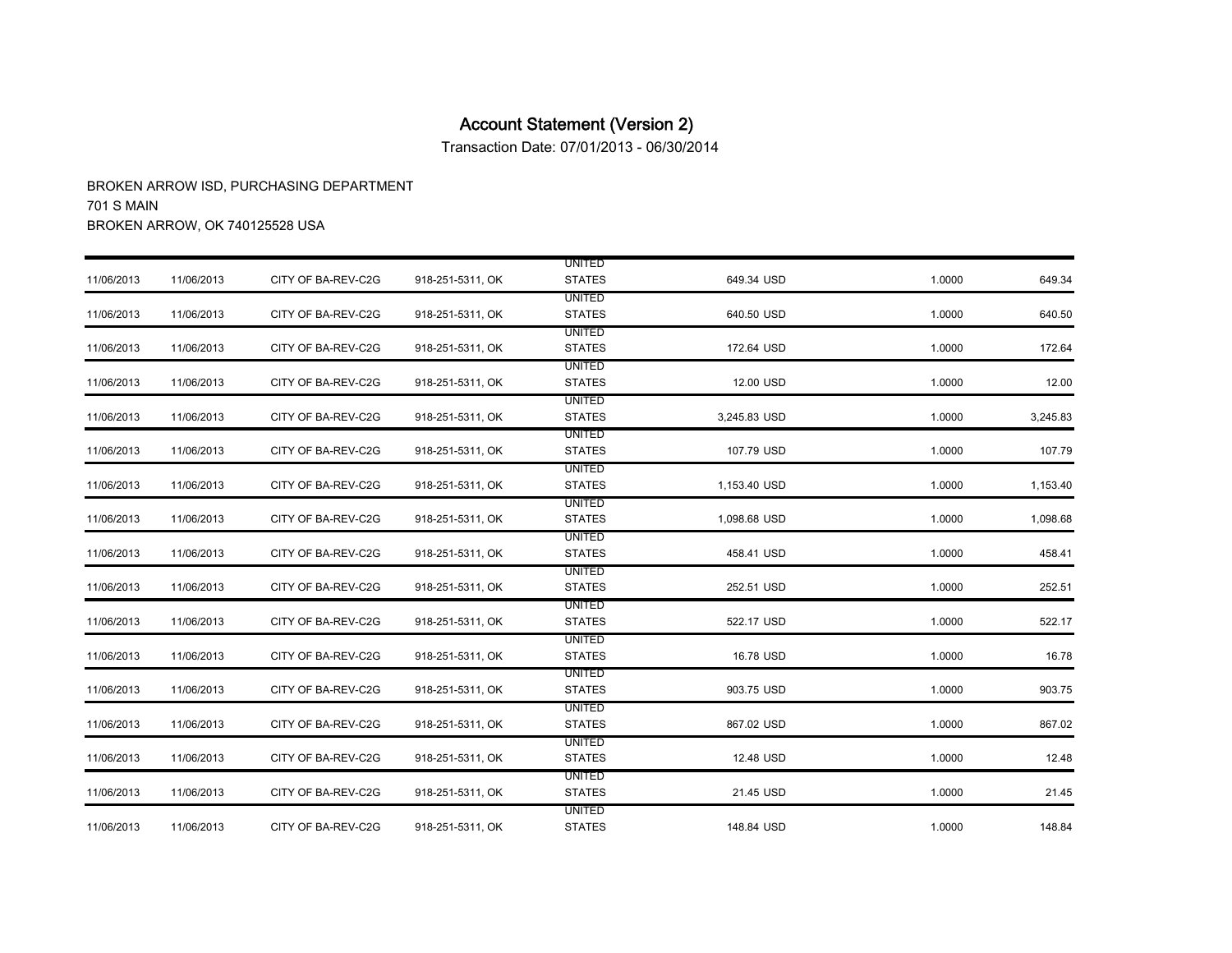Transaction Date: 07/01/2013 - 06/30/2014

|            |            |                    |                  | <b>UNITED</b>                  |              |        |          |
|------------|------------|--------------------|------------------|--------------------------------|--------------|--------|----------|
| 11/06/2013 | 11/06/2013 | CITY OF BA-REV-C2G | 918-251-5311, OK | <b>STATES</b>                  | 649.34 USD   | 1.0000 | 649.34   |
|            |            |                    |                  | <b>UNITED</b>                  |              |        |          |
| 11/06/2013 | 11/06/2013 | CITY OF BA-REV-C2G | 918-251-5311, OK | <b>STATES</b>                  | 640.50 USD   | 1.0000 | 640.50   |
|            |            |                    |                  | <b>UNITED</b>                  |              |        |          |
| 11/06/2013 | 11/06/2013 | CITY OF BA-REV-C2G | 918-251-5311, OK | <b>STATES</b>                  | 172.64 USD   | 1.0000 | 172.64   |
|            |            |                    |                  | <b>UNITED</b>                  |              |        |          |
| 11/06/2013 | 11/06/2013 | CITY OF BA-REV-C2G | 918-251-5311, OK | <b>STATES</b>                  | 12.00 USD    | 1.0000 | 12.00    |
|            |            |                    |                  | <b>UNITED</b>                  |              |        |          |
| 11/06/2013 | 11/06/2013 | CITY OF BA-REV-C2G | 918-251-5311, OK | <b>STATES</b>                  | 3,245.83 USD | 1.0000 | 3,245.83 |
|            |            |                    |                  | <b>UNITED</b>                  |              |        |          |
| 11/06/2013 | 11/06/2013 | CITY OF BA-REV-C2G | 918-251-5311, OK | <b>STATES</b>                  | 107.79 USD   | 1.0000 | 107.79   |
|            |            |                    |                  | <b>UNITED</b>                  |              |        |          |
| 11/06/2013 | 11/06/2013 | CITY OF BA-REV-C2G | 918-251-5311, OK | <b>STATES</b>                  | 1,153.40 USD | 1.0000 | 1,153.40 |
|            |            |                    |                  | UNITED                         |              |        |          |
| 11/06/2013 | 11/06/2013 | CITY OF BA-REV-C2G | 918-251-5311, OK | <b>STATES</b>                  | 1,098.68 USD | 1.0000 | 1,098.68 |
|            |            |                    |                  | <b>UNITED</b>                  |              |        |          |
| 11/06/2013 | 11/06/2013 | CITY OF BA-REV-C2G | 918-251-5311, OK | <b>STATES</b>                  | 458.41 USD   | 1.0000 | 458.41   |
|            |            |                    |                  | <b>UNITED</b>                  |              |        |          |
| 11/06/2013 | 11/06/2013 | CITY OF BA-REV-C2G | 918-251-5311, OK | <b>STATES</b>                  | 252.51 USD   | 1.0000 | 252.51   |
|            |            |                    |                  | <b>UNITED</b>                  |              |        |          |
| 11/06/2013 | 11/06/2013 | CITY OF BA-REV-C2G | 918-251-5311, OK | <b>STATES</b>                  | 522.17 USD   | 1.0000 | 522.17   |
|            |            |                    |                  | <b>UNITED</b>                  |              |        |          |
| 11/06/2013 | 11/06/2013 | CITY OF BA-REV-C2G | 918-251-5311, OK | <b>STATES</b>                  | 16.78 USD    | 1.0000 | 16.78    |
|            |            | CITY OF BA-REV-C2G |                  | <b>UNITED</b><br><b>STATES</b> | 903.75 USD   | 1.0000 | 903.75   |
| 11/06/2013 | 11/06/2013 |                    | 918-251-5311, OK |                                |              |        |          |
| 11/06/2013 | 11/06/2013 | CITY OF BA-REV-C2G | 918-251-5311, OK | <b>UNITED</b><br><b>STATES</b> | 867.02 USD   | 1.0000 | 867.02   |
|            |            |                    |                  |                                |              |        |          |
|            |            |                    |                  | <b>UNITED</b>                  |              |        |          |
| 11/06/2013 | 11/06/2013 | CITY OF BA-REV-C2G | 918-251-5311, OK | <b>STATES</b>                  | 12.48 USD    | 1.0000 | 12.48    |
| 11/06/2013 | 11/06/2013 | CITY OF BA-REV-C2G | 918-251-5311, OK | <b>UNITED</b>                  | 21.45 USD    | 1.0000 |          |
|            |            |                    |                  | <b>STATES</b>                  |              |        | 21.45    |
|            |            |                    |                  | <b>UNITED</b>                  |              |        |          |
| 11/06/2013 | 11/06/2013 | CITY OF BA-REV-C2G | 918-251-5311, OK | <b>STATES</b>                  | 148.84 USD   | 1.0000 | 148.84   |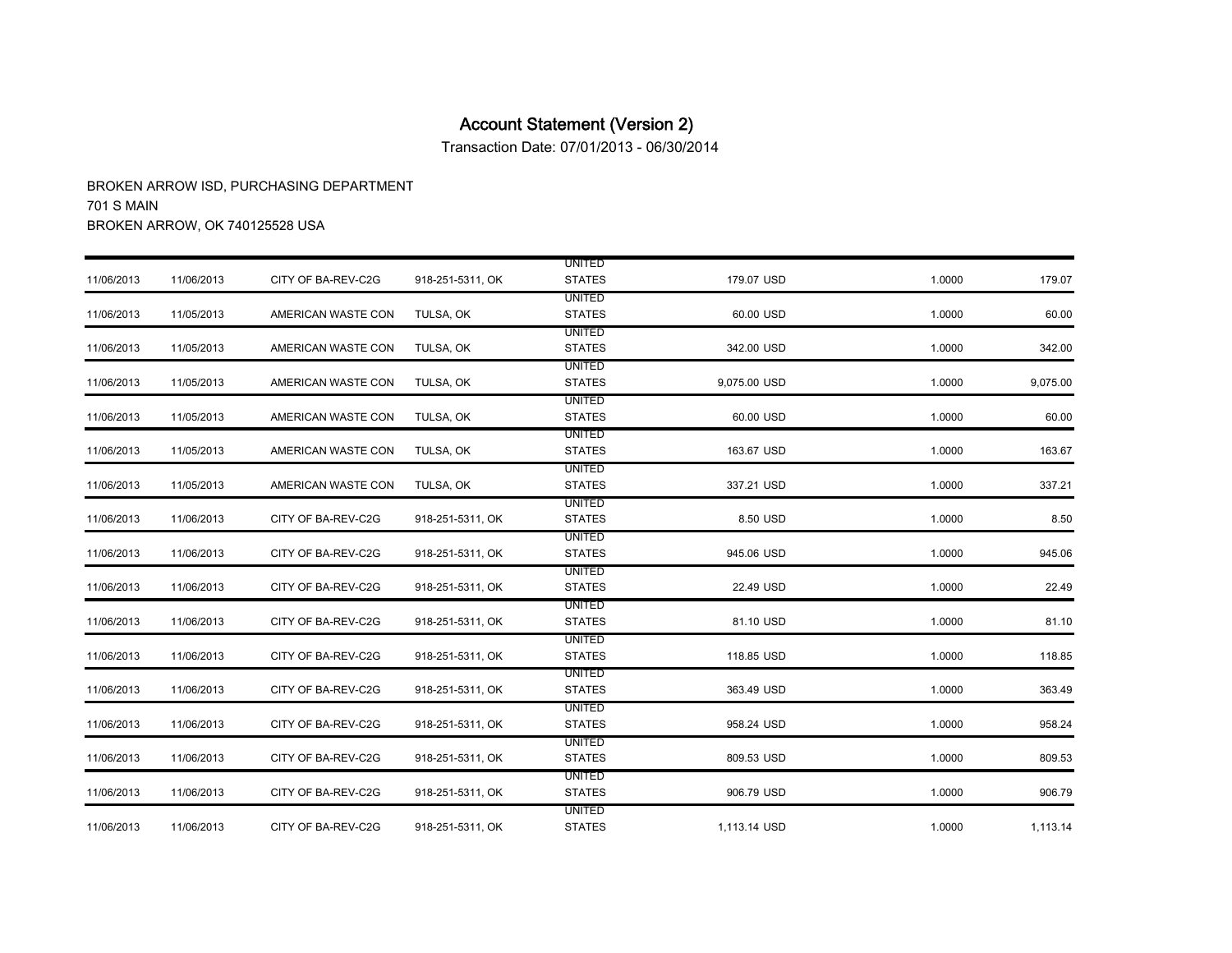Transaction Date: 07/01/2013 - 06/30/2014

|            |            |                    |                  | <b>UNITED</b>                  |              |        |          |
|------------|------------|--------------------|------------------|--------------------------------|--------------|--------|----------|
| 11/06/2013 | 11/06/2013 | CITY OF BA-REV-C2G | 918-251-5311, OK | <b>STATES</b>                  | 179.07 USD   | 1.0000 | 179.07   |
| 11/06/2013 | 11/05/2013 | AMERICAN WASTE CON | TULSA, OK        | <b>UNITED</b><br><b>STATES</b> | 60.00 USD    | 1.0000 | 60.00    |
| 11/06/2013 | 11/05/2013 | AMERICAN WASTE CON | TULSA, OK        | <b>UNITED</b><br><b>STATES</b> | 342.00 USD   | 1.0000 | 342.00   |
| 11/06/2013 | 11/05/2013 | AMERICAN WASTE CON | TULSA, OK        | <b>UNITED</b><br><b>STATES</b> | 9,075.00 USD | 1.0000 | 9,075.00 |
| 11/06/2013 | 11/05/2013 | AMERICAN WASTE CON | TULSA, OK        | <b>UNITED</b><br><b>STATES</b> | 60.00 USD    | 1.0000 | 60.00    |
| 11/06/2013 | 11/05/2013 | AMERICAN WASTE CON | TULSA, OK        | <b>UNITED</b><br><b>STATES</b> | 163.67 USD   | 1.0000 | 163.67   |
| 11/06/2013 | 11/05/2013 | AMERICAN WASTE CON | TULSA, OK        | <b>UNITED</b><br><b>STATES</b> | 337.21 USD   | 1.0000 | 337.21   |
| 11/06/2013 | 11/06/2013 | CITY OF BA-REV-C2G | 918-251-5311, OK | UNITED<br><b>STATES</b>        | 8.50 USD     | 1.0000 | 8.50     |
| 11/06/2013 | 11/06/2013 | CITY OF BA-REV-C2G | 918-251-5311, OK | <b>UNITED</b><br><b>STATES</b> | 945.06 USD   | 1.0000 | 945.06   |
| 11/06/2013 | 11/06/2013 | CITY OF BA-REV-C2G | 918-251-5311, OK | <b>UNITED</b><br><b>STATES</b> | 22.49 USD    | 1.0000 | 22.49    |
| 11/06/2013 | 11/06/2013 | CITY OF BA-REV-C2G | 918-251-5311, OK | UNITED<br><b>STATES</b>        | 81.10 USD    | 1.0000 | 81.10    |
| 11/06/2013 | 11/06/2013 | CITY OF BA-REV-C2G | 918-251-5311, OK | UNITED<br><b>STATES</b>        | 118.85 USD   | 1.0000 | 118.85   |
| 11/06/2013 | 11/06/2013 | CITY OF BA-REV-C2G | 918-251-5311, OK | <b>UNITED</b><br><b>STATES</b> | 363.49 USD   | 1.0000 | 363.49   |
| 11/06/2013 | 11/06/2013 | CITY OF BA-REV-C2G | 918-251-5311, OK | <b>UNITED</b><br><b>STATES</b> | 958.24 USD   | 1.0000 | 958.24   |
| 11/06/2013 | 11/06/2013 | CITY OF BA-REV-C2G | 918-251-5311, OK | <b>UNITED</b><br><b>STATES</b> | 809.53 USD   | 1.0000 | 809.53   |
| 11/06/2013 | 11/06/2013 | CITY OF BA-REV-C2G | 918-251-5311, OK | <b>UNITED</b><br><b>STATES</b> | 906.79 USD   | 1.0000 | 906.79   |
| 11/06/2013 | 11/06/2013 | CITY OF BA-REV-C2G | 918-251-5311, OK | <b>UNITED</b><br><b>STATES</b> | 1,113.14 USD | 1.0000 | 1,113.14 |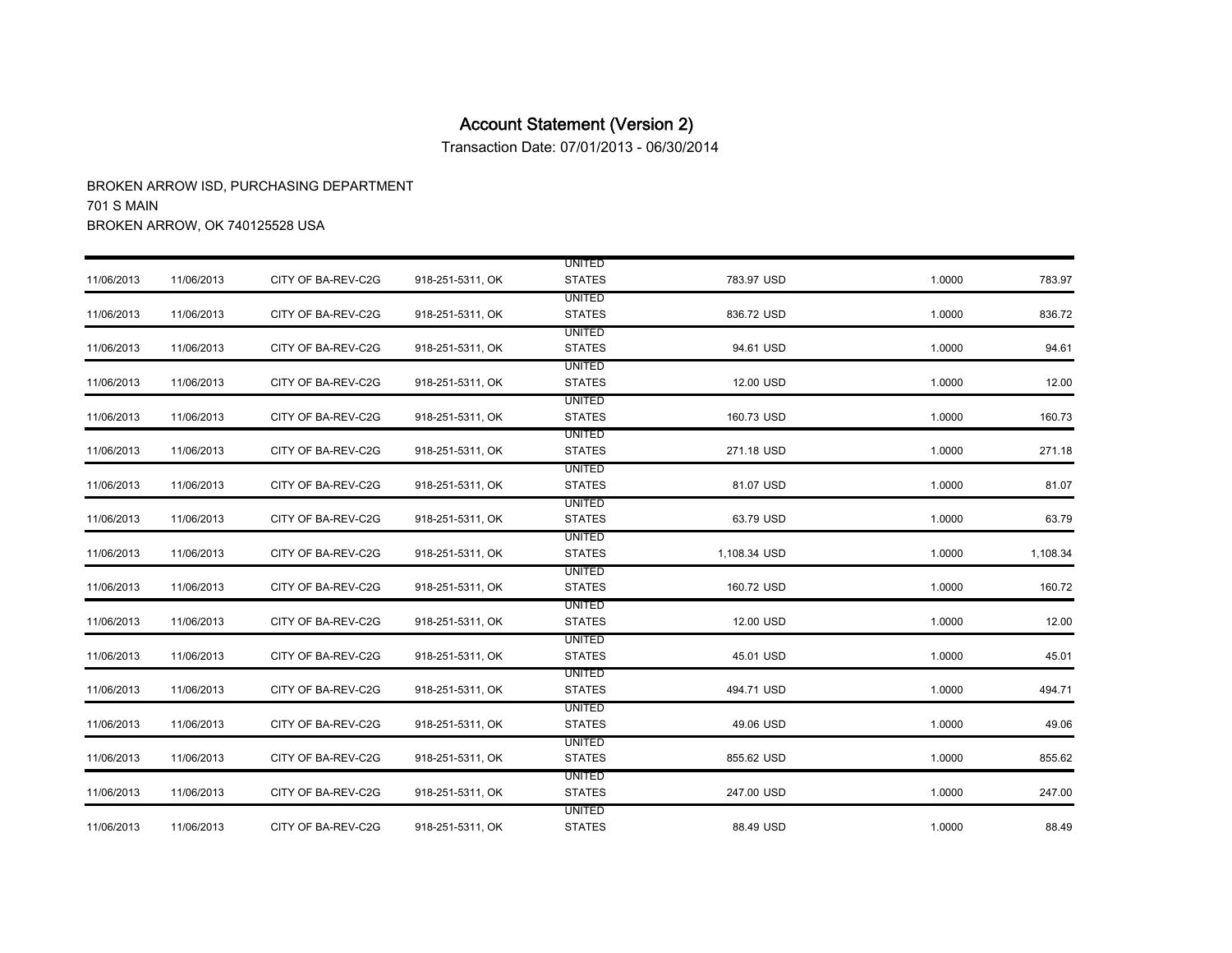Transaction Date: 07/01/2013 - 06/30/2014

|            |            |                    |                  | <b>UNITED</b> |              |        |          |
|------------|------------|--------------------|------------------|---------------|--------------|--------|----------|
| 11/06/2013 | 11/06/2013 | CITY OF BA-REV-C2G | 918-251-5311, OK | <b>STATES</b> | 783.97 USD   | 1.0000 | 783.97   |
|            |            |                    |                  | <b>UNITED</b> |              |        |          |
| 11/06/2013 | 11/06/2013 | CITY OF BA-REV-C2G | 918-251-5311, OK | <b>STATES</b> | 836.72 USD   | 1.0000 | 836.72   |
|            |            |                    |                  | <b>UNITED</b> |              |        |          |
| 11/06/2013 | 11/06/2013 | CITY OF BA-REV-C2G | 918-251-5311, OK | <b>STATES</b> | 94.61 USD    | 1.0000 | 94.61    |
|            |            |                    |                  | <b>UNITED</b> |              |        |          |
| 11/06/2013 | 11/06/2013 | CITY OF BA-REV-C2G | 918-251-5311, OK | <b>STATES</b> | 12.00 USD    | 1.0000 | 12.00    |
|            |            |                    |                  | <b>UNITED</b> |              |        |          |
| 11/06/2013 | 11/06/2013 | CITY OF BA-REV-C2G | 918-251-5311, OK | <b>STATES</b> | 160.73 USD   | 1.0000 | 160.73   |
|            |            |                    |                  | <b>UNITED</b> |              |        |          |
| 11/06/2013 | 11/06/2013 | CITY OF BA-REV-C2G | 918-251-5311, OK | <b>STATES</b> | 271.18 USD   | 1.0000 | 271.18   |
|            |            |                    |                  | <b>UNITED</b> |              |        |          |
| 11/06/2013 | 11/06/2013 | CITY OF BA-REV-C2G | 918-251-5311, OK | <b>STATES</b> | 81.07 USD    | 1.0000 | 81.07    |
|            |            |                    |                  | <b>UNITED</b> |              |        |          |
| 11/06/2013 | 11/06/2013 | CITY OF BA-REV-C2G | 918-251-5311, OK | <b>STATES</b> | 63.79 USD    | 1.0000 | 63.79    |
|            |            |                    |                  | <b>UNITED</b> |              |        |          |
| 11/06/2013 | 11/06/2013 | CITY OF BA-REV-C2G | 918-251-5311, OK | <b>STATES</b> | 1,108.34 USD | 1.0000 | 1,108.34 |
|            |            |                    |                  | <b>UNITED</b> |              |        |          |
| 11/06/2013 | 11/06/2013 | CITY OF BA-REV-C2G | 918-251-5311, OK | <b>STATES</b> | 160.72 USD   | 1.0000 | 160.72   |
|            |            |                    |                  | <b>UNITED</b> |              |        |          |
| 11/06/2013 | 11/06/2013 | CITY OF BA-REV-C2G | 918-251-5311, OK | <b>STATES</b> | 12.00 USD    | 1.0000 | 12.00    |
|            |            |                    |                  | <b>UNITED</b> |              |        |          |
| 11/06/2013 | 11/06/2013 | CITY OF BA-REV-C2G | 918-251-5311, OK | <b>STATES</b> | 45.01 USD    | 1.0000 | 45.01    |
|            |            |                    |                  | UNITED        |              |        |          |
| 11/06/2013 | 11/06/2013 | CITY OF BA-REV-C2G | 918-251-5311, OK | <b>STATES</b> | 494.71 USD   | 1.0000 | 494.71   |
|            |            |                    |                  | <b>UNITED</b> |              |        |          |
| 11/06/2013 | 11/06/2013 | CITY OF BA-REV-C2G | 918-251-5311, OK | <b>STATES</b> | 49.06 USD    | 1.0000 | 49.06    |
|            |            |                    |                  | <b>UNITED</b> |              |        |          |
| 11/06/2013 | 11/06/2013 | CITY OF BA-REV-C2G | 918-251-5311, OK | <b>STATES</b> | 855.62 USD   | 1.0000 | 855.62   |
|            |            |                    |                  | <b>UNITED</b> |              |        |          |
| 11/06/2013 | 11/06/2013 | CITY OF BA-REV-C2G | 918-251-5311, OK | <b>STATES</b> | 247.00 USD   | 1.0000 | 247.00   |
|            |            |                    |                  | <b>UNITED</b> |              |        |          |
| 11/06/2013 | 11/06/2013 | CITY OF BA-REV-C2G | 918-251-5311, OK | <b>STATES</b> | 88.49 USD    | 1.0000 | 88.49    |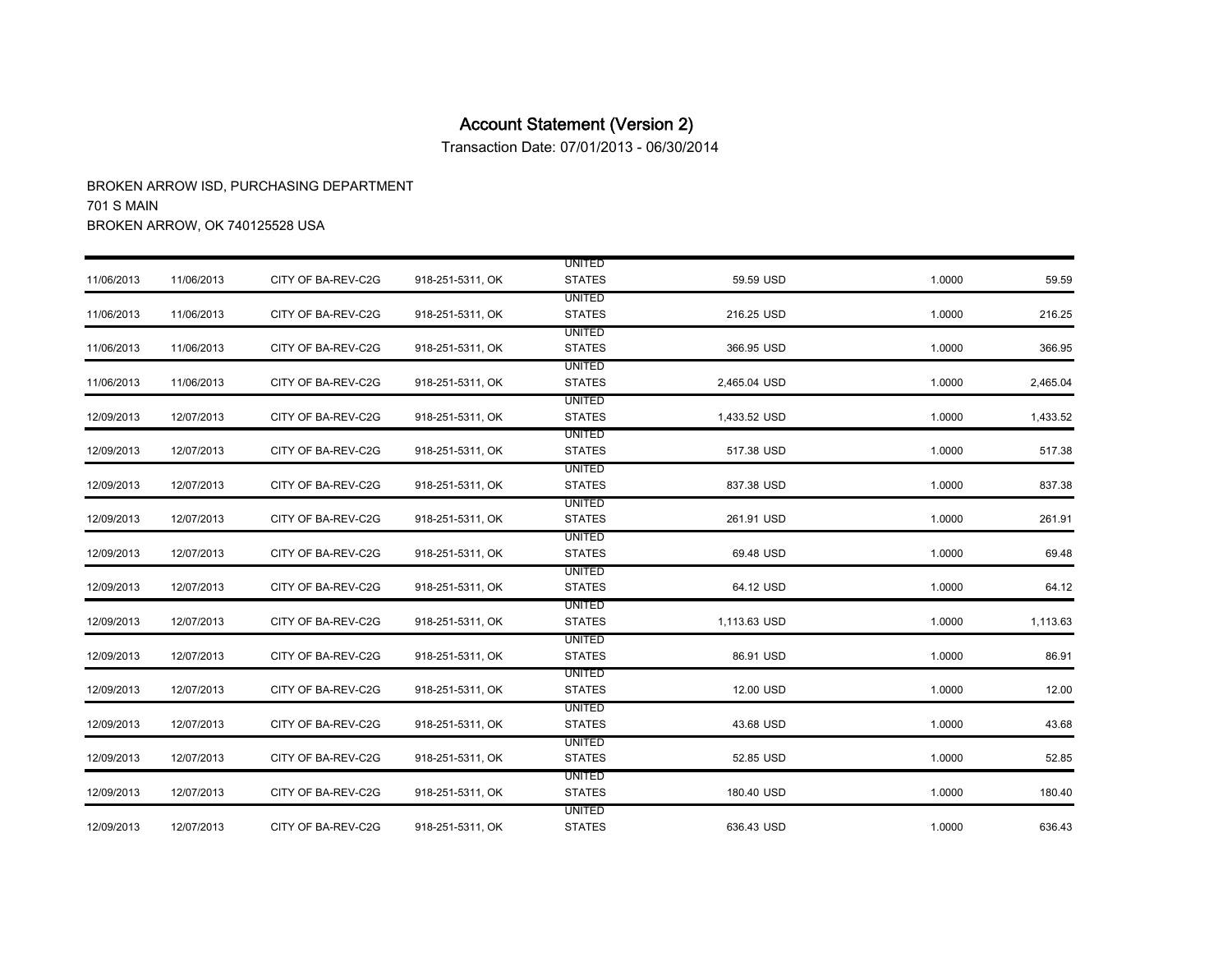Transaction Date: 07/01/2013 - 06/30/2014

|            |            |                    |                  | <b>UNITED</b>                  |              |        |          |
|------------|------------|--------------------|------------------|--------------------------------|--------------|--------|----------|
| 11/06/2013 | 11/06/2013 | CITY OF BA-REV-C2G | 918-251-5311, OK | <b>STATES</b>                  | 59.59 USD    | 1.0000 | 59.59    |
| 11/06/2013 | 11/06/2013 | CITY OF BA-REV-C2G | 918-251-5311, OK | <b>UNITED</b><br><b>STATES</b> | 216.25 USD   | 1.0000 | 216.25   |
|            |            |                    |                  | <b>UNITED</b>                  |              |        |          |
| 11/06/2013 | 11/06/2013 | CITY OF BA-REV-C2G | 918-251-5311, OK | <b>STATES</b>                  | 366.95 USD   | 1.0000 | 366.95   |
|            |            |                    |                  | <b>UNITED</b>                  |              |        |          |
| 11/06/2013 | 11/06/2013 | CITY OF BA-REV-C2G | 918-251-5311, OK | <b>STATES</b>                  | 2,465.04 USD | 1.0000 | 2,465.04 |
|            |            |                    |                  | <b>UNITED</b>                  |              |        |          |
| 12/09/2013 | 12/07/2013 | CITY OF BA-REV-C2G | 918-251-5311, OK | <b>STATES</b>                  | 1,433.52 USD | 1.0000 | 1,433.52 |
|            |            |                    |                  | <b>UNITED</b>                  |              |        |          |
| 12/09/2013 | 12/07/2013 | CITY OF BA-REV-C2G | 918-251-5311, OK | <b>STATES</b>                  | 517.38 USD   | 1.0000 | 517.38   |
|            |            |                    |                  | <b>UNITED</b>                  |              |        |          |
| 12/09/2013 | 12/07/2013 | CITY OF BA-REV-C2G | 918-251-5311, OK | <b>STATES</b>                  | 837.38 USD   | 1.0000 | 837.38   |
|            |            |                    |                  | UNITED                         |              |        |          |
| 12/09/2013 | 12/07/2013 | CITY OF BA-REV-C2G | 918-251-5311, OK | <b>STATES</b>                  | 261.91 USD   | 1.0000 | 261.91   |
|            |            |                    |                  | UNITED                         |              |        |          |
| 12/09/2013 | 12/07/2013 | CITY OF BA-REV-C2G | 918-251-5311, OK | <b>STATES</b>                  | 69.48 USD    | 1.0000 | 69.48    |
|            |            |                    |                  | <b>UNITED</b>                  |              |        |          |
| 12/09/2013 | 12/07/2013 | CITY OF BA-REV-C2G | 918-251-5311, OK | <b>STATES</b>                  | 64.12 USD    | 1.0000 | 64.12    |
|            |            |                    |                  | UNITED                         |              |        |          |
| 12/09/2013 | 12/07/2013 | CITY OF BA-REV-C2G | 918-251-5311, OK | <b>STATES</b>                  | 1,113.63 USD | 1.0000 | 1,113.63 |
|            |            |                    |                  | UNITED                         |              |        |          |
| 12/09/2013 | 12/07/2013 | CITY OF BA-REV-C2G | 918-251-5311, OK | <b>STATES</b>                  | 86.91 USD    | 1.0000 | 86.91    |
|            |            |                    |                  | UNITED                         |              |        |          |
| 12/09/2013 | 12/07/2013 | CITY OF BA-REV-C2G | 918-251-5311, OK | <b>STATES</b>                  | 12.00 USD    | 1.0000 | 12.00    |
|            |            |                    |                  | <b>UNITED</b>                  |              |        |          |
| 12/09/2013 | 12/07/2013 | CITY OF BA-REV-C2G | 918-251-5311, OK | <b>STATES</b>                  | 43.68 USD    | 1.0000 | 43.68    |
|            |            |                    |                  | UNITED                         |              |        |          |
| 12/09/2013 | 12/07/2013 | CITY OF BA-REV-C2G | 918-251-5311, OK | <b>STATES</b>                  | 52.85 USD    | 1.0000 | 52.85    |
|            |            |                    |                  | UNITED                         |              |        |          |
| 12/09/2013 | 12/07/2013 | CITY OF BA-REV-C2G | 918-251-5311, OK | <b>STATES</b>                  | 180.40 USD   | 1.0000 | 180.40   |
|            |            |                    |                  | <b>UNITED</b>                  |              |        |          |
| 12/09/2013 | 12/07/2013 | CITY OF BA-REV-C2G | 918-251-5311, OK | <b>STATES</b>                  | 636.43 USD   | 1.0000 | 636.43   |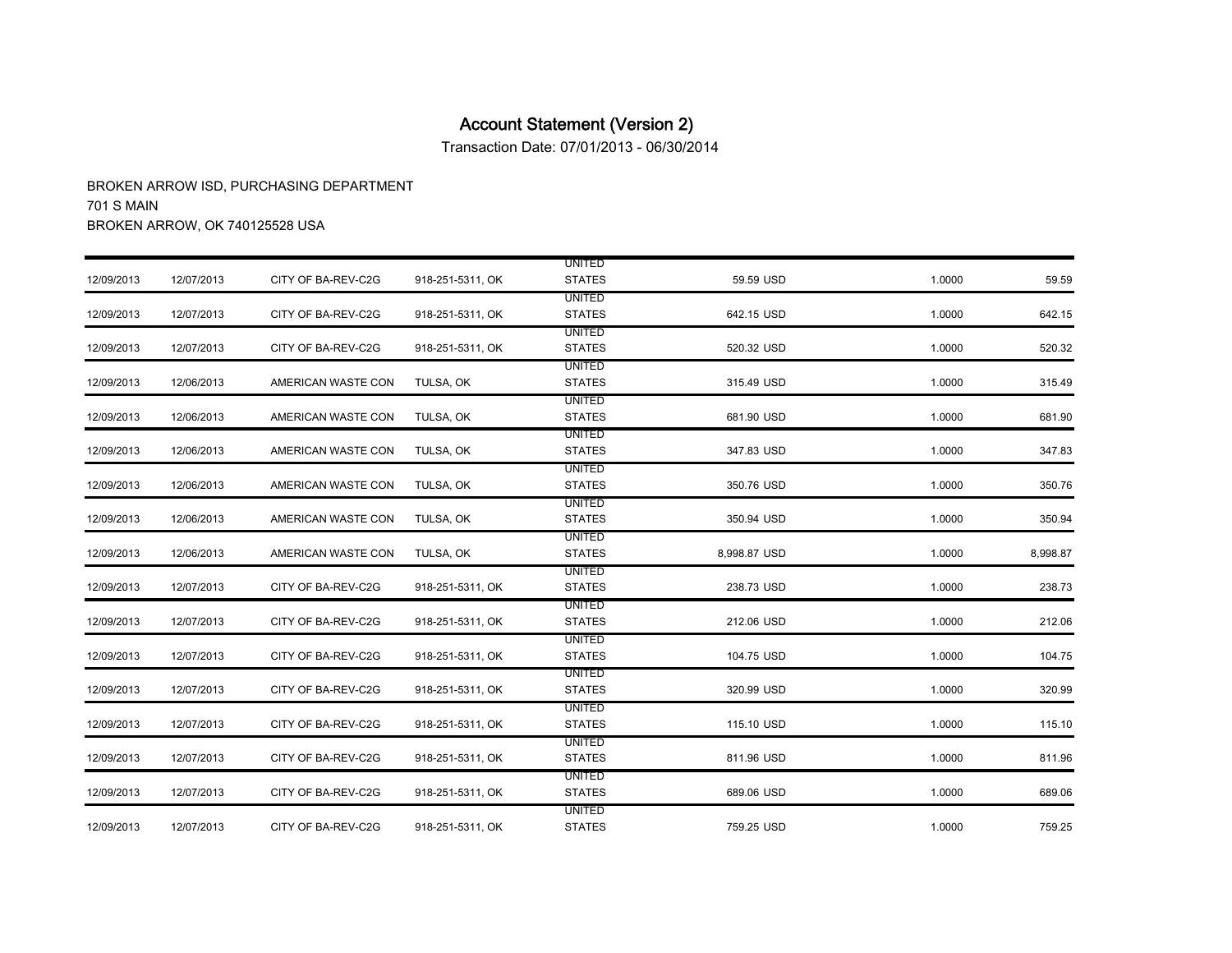Transaction Date: 07/01/2013 - 06/30/2014

|            |            |                    |                  | <b>UNITED</b> |              |        |          |
|------------|------------|--------------------|------------------|---------------|--------------|--------|----------|
| 12/09/2013 | 12/07/2013 | CITY OF BA-REV-C2G | 918-251-5311, OK | <b>STATES</b> | 59.59 USD    | 1.0000 | 59.59    |
|            |            |                    |                  | <b>UNITED</b> |              |        |          |
| 12/09/2013 | 12/07/2013 | CITY OF BA-REV-C2G | 918-251-5311, OK | <b>STATES</b> | 642.15 USD   | 1.0000 | 642.15   |
|            |            |                    |                  | <b>UNITED</b> |              |        |          |
| 12/09/2013 | 12/07/2013 | CITY OF BA-REV-C2G | 918-251-5311, OK | <b>STATES</b> | 520.32 USD   | 1.0000 | 520.32   |
|            |            |                    |                  | <b>UNITED</b> |              |        |          |
| 12/09/2013 | 12/06/2013 | AMERICAN WASTE CON | TULSA, OK        | <b>STATES</b> | 315.49 USD   | 1.0000 | 315.49   |
|            |            |                    |                  | UNITED        |              |        |          |
| 12/09/2013 | 12/06/2013 | AMERICAN WASTE CON | TULSA, OK        | <b>STATES</b> | 681.90 USD   | 1.0000 | 681.90   |
|            |            |                    |                  | <b>UNITED</b> |              |        |          |
| 12/09/2013 | 12/06/2013 | AMERICAN WASTE CON | TULSA, OK        | <b>STATES</b> | 347.83 USD   | 1.0000 | 347.83   |
|            |            |                    |                  | UNITED        |              |        |          |
| 12/09/2013 | 12/06/2013 | AMERICAN WASTE CON | TULSA, OK        | <b>STATES</b> | 350.76 USD   | 1.0000 | 350.76   |
|            |            |                    |                  | <b>UNITED</b> |              |        |          |
| 12/09/2013 | 12/06/2013 | AMERICAN WASTE CON | TULSA, OK        | <b>STATES</b> | 350.94 USD   | 1.0000 | 350.94   |
|            |            |                    |                  | <b>UNITED</b> |              |        |          |
| 12/09/2013 | 12/06/2013 | AMERICAN WASTE CON | TULSA, OK        | <b>STATES</b> | 8,998.87 USD | 1.0000 | 8,998.87 |
|            |            |                    |                  | UNITED        |              |        |          |
| 12/09/2013 | 12/07/2013 | CITY OF BA-REV-C2G | 918-251-5311, OK | <b>STATES</b> | 238.73 USD   | 1.0000 | 238.73   |
|            |            |                    |                  | UNITED        |              |        |          |
| 12/09/2013 | 12/07/2013 | CITY OF BA-REV-C2G | 918-251-5311, OK | <b>STATES</b> | 212.06 USD   | 1.0000 | 212.06   |
|            |            |                    |                  | UNITED        |              |        |          |
| 12/09/2013 | 12/07/2013 | CITY OF BA-REV-C2G | 918-251-5311, OK | <b>STATES</b> | 104.75 USD   | 1.0000 | 104.75   |
|            |            |                    |                  | <b>UNITED</b> |              |        |          |
| 12/09/2013 | 12/07/2013 | CITY OF BA-REV-C2G | 918-251-5311, OK | <b>STATES</b> | 320.99 USD   | 1.0000 | 320.99   |
|            |            |                    |                  | <b>UNITED</b> |              |        |          |
| 12/09/2013 | 12/07/2013 | CITY OF BA-REV-C2G | 918-251-5311, OK | <b>STATES</b> | 115.10 USD   | 1.0000 | 115.10   |
|            |            |                    |                  | UNITED        |              |        |          |
| 12/09/2013 | 12/07/2013 | CITY OF BA-REV-C2G | 918-251-5311, OK | <b>STATES</b> | 811.96 USD   | 1.0000 | 811.96   |
|            |            |                    |                  | UNITED        |              |        |          |
| 12/09/2013 | 12/07/2013 | CITY OF BA-REV-C2G | 918-251-5311, OK | <b>STATES</b> | 689.06 USD   | 1.0000 | 689.06   |
|            |            |                    |                  | <b>UNITED</b> |              |        |          |
| 12/09/2013 | 12/07/2013 | CITY OF BA-REV-C2G | 918-251-5311, OK | <b>STATES</b> | 759.25 USD   | 1.0000 | 759.25   |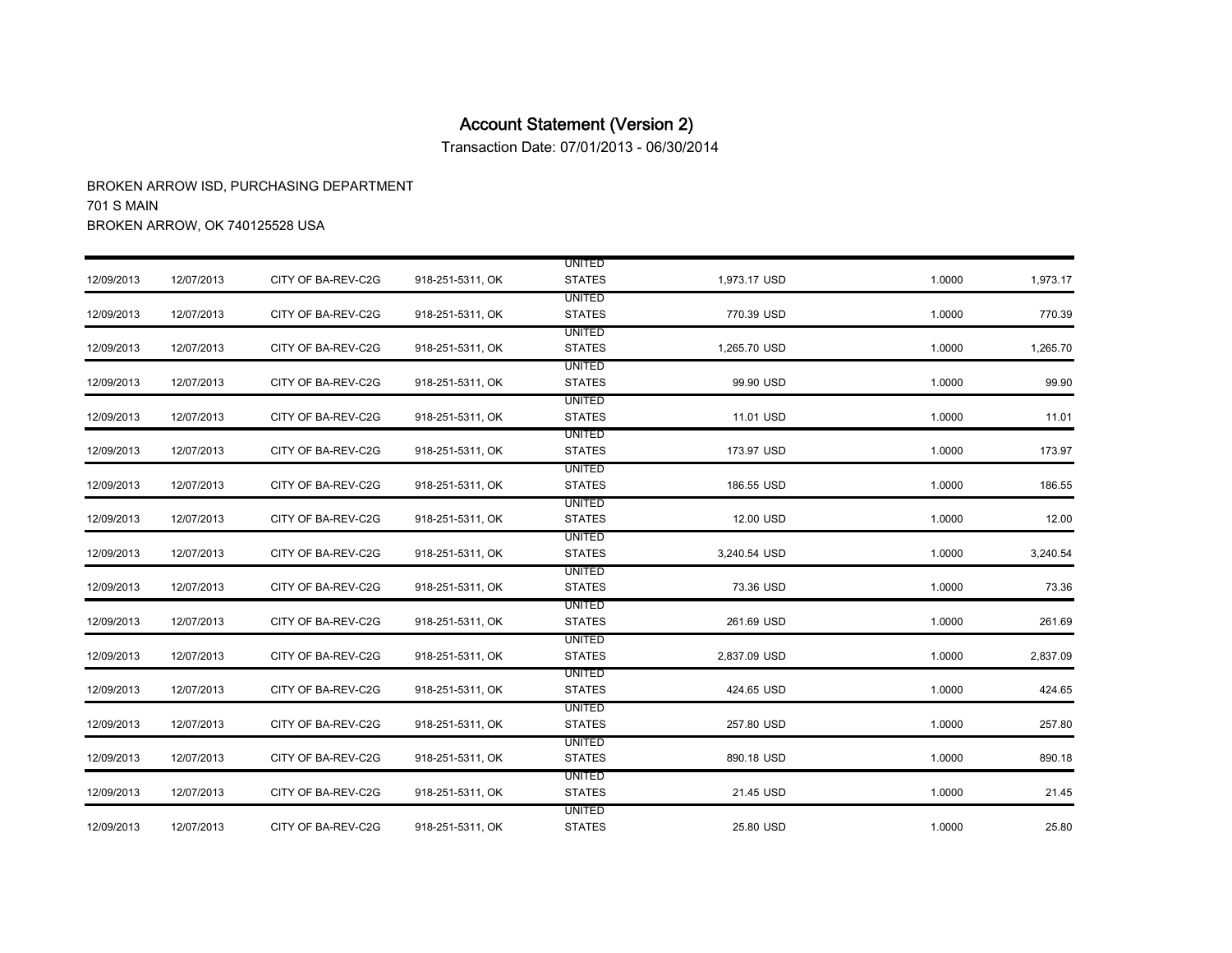Transaction Date: 07/01/2013 - 06/30/2014

|            |            |                    |                  | <b>UNITED</b> |              |        |          |
|------------|------------|--------------------|------------------|---------------|--------------|--------|----------|
| 12/09/2013 | 12/07/2013 | CITY OF BA-REV-C2G | 918-251-5311, OK | <b>STATES</b> | 1,973.17 USD | 1.0000 | 1,973.17 |
|            |            |                    |                  | <b>UNITED</b> |              |        |          |
| 12/09/2013 | 12/07/2013 | CITY OF BA-REV-C2G | 918-251-5311, OK | <b>STATES</b> | 770.39 USD   | 1.0000 | 770.39   |
|            |            |                    |                  | <b>UNITED</b> |              |        |          |
| 12/09/2013 | 12/07/2013 | CITY OF BA-REV-C2G | 918-251-5311, OK | <b>STATES</b> | 1,265.70 USD | 1.0000 | 1,265.70 |
|            |            |                    |                  | <b>UNITED</b> |              |        |          |
| 12/09/2013 | 12/07/2013 | CITY OF BA-REV-C2G | 918-251-5311, OK | <b>STATES</b> | 99.90 USD    | 1.0000 | 99.90    |
|            |            |                    |                  | <b>UNITED</b> |              |        |          |
| 12/09/2013 | 12/07/2013 | CITY OF BA-REV-C2G | 918-251-5311, OK | <b>STATES</b> | 11.01 USD    | 1.0000 | 11.01    |
|            |            |                    |                  | <b>UNITED</b> |              |        |          |
| 12/09/2013 | 12/07/2013 | CITY OF BA-REV-C2G | 918-251-5311, OK | <b>STATES</b> | 173.97 USD   | 1.0000 | 173.97   |
|            |            |                    |                  | <b>UNITED</b> |              |        |          |
| 12/09/2013 | 12/07/2013 | CITY OF BA-REV-C2G | 918-251-5311, OK | <b>STATES</b> | 186.55 USD   | 1.0000 | 186.55   |
|            |            |                    |                  | <b>UNITED</b> |              |        |          |
| 12/09/2013 | 12/07/2013 | CITY OF BA-REV-C2G | 918-251-5311, OK | <b>STATES</b> | 12.00 USD    | 1.0000 | 12.00    |
|            |            |                    |                  | <b>UNITED</b> |              |        |          |
| 12/09/2013 | 12/07/2013 | CITY OF BA-REV-C2G | 918-251-5311, OK | <b>STATES</b> | 3,240.54 USD | 1.0000 | 3,240.54 |
|            |            |                    |                  | <b>UNITED</b> |              |        |          |
| 12/09/2013 | 12/07/2013 | CITY OF BA-REV-C2G | 918-251-5311, OK | <b>STATES</b> | 73.36 USD    | 1.0000 | 73.36    |
|            |            |                    |                  | <b>UNITED</b> |              |        |          |
| 12/09/2013 | 12/07/2013 | CITY OF BA-REV-C2G | 918-251-5311, OK | <b>STATES</b> | 261.69 USD   | 1.0000 | 261.69   |
|            |            |                    |                  | <b>UNITED</b> |              |        |          |
| 12/09/2013 | 12/07/2013 | CITY OF BA-REV-C2G | 918-251-5311, OK | <b>STATES</b> | 2,837.09 USD | 1.0000 | 2,837.09 |
|            |            |                    |                  | <b>UNITED</b> |              |        |          |
| 12/09/2013 | 12/07/2013 | CITY OF BA-REV-C2G | 918-251-5311, OK | <b>STATES</b> | 424.65 USD   | 1.0000 | 424.65   |
|            |            |                    |                  | <b>UNITED</b> |              |        |          |
| 12/09/2013 | 12/07/2013 | CITY OF BA-REV-C2G | 918-251-5311, OK | <b>STATES</b> | 257.80 USD   | 1.0000 | 257.80   |
|            |            |                    |                  | <b>UNITED</b> |              |        |          |
| 12/09/2013 | 12/07/2013 | CITY OF BA-REV-C2G | 918-251-5311, OK | <b>STATES</b> | 890.18 USD   | 1.0000 | 890.18   |
|            |            |                    |                  | <b>UNITED</b> |              |        |          |
| 12/09/2013 | 12/07/2013 | CITY OF BA-REV-C2G | 918-251-5311, OK | <b>STATES</b> | 21.45 USD    | 1.0000 | 21.45    |
|            |            |                    |                  | <b>UNITED</b> |              |        |          |
| 12/09/2013 | 12/07/2013 | CITY OF BA-REV-C2G | 918-251-5311, OK | <b>STATES</b> | 25.80 USD    | 1.0000 | 25.80    |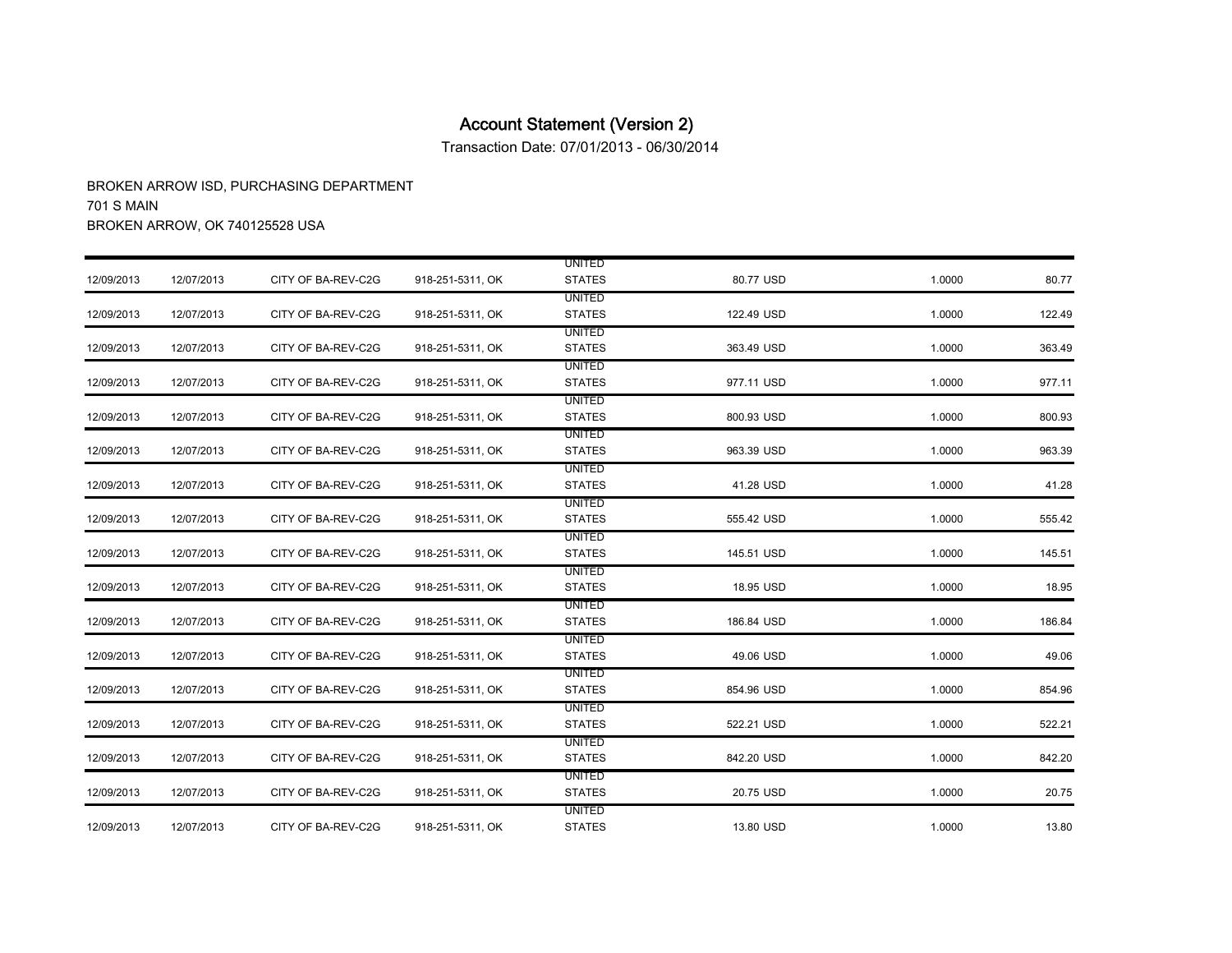Transaction Date: 07/01/2013 - 06/30/2014

|            |            |                    |                  | <b>UNITED</b> |            |        |        |
|------------|------------|--------------------|------------------|---------------|------------|--------|--------|
| 12/09/2013 | 12/07/2013 | CITY OF BA-REV-C2G | 918-251-5311, OK | <b>STATES</b> | 80.77 USD  | 1.0000 | 80.77  |
|            |            |                    |                  | <b>UNITED</b> |            |        |        |
| 12/09/2013 | 12/07/2013 | CITY OF BA-REV-C2G | 918-251-5311, OK | <b>STATES</b> | 122.49 USD | 1.0000 | 122.49 |
|            |            |                    |                  | <b>UNITED</b> |            |        |        |
| 12/09/2013 | 12/07/2013 | CITY OF BA-REV-C2G | 918-251-5311, OK | <b>STATES</b> | 363.49 USD | 1.0000 | 363.49 |
|            |            |                    |                  | <b>UNITED</b> |            |        |        |
| 12/09/2013 | 12/07/2013 | CITY OF BA-REV-C2G | 918-251-5311, OK | <b>STATES</b> | 977.11 USD | 1.0000 | 977.11 |
|            |            |                    |                  | <b>UNITED</b> |            |        |        |
| 12/09/2013 | 12/07/2013 | CITY OF BA-REV-C2G | 918-251-5311, OK | <b>STATES</b> | 800.93 USD | 1.0000 | 800.93 |
|            |            |                    |                  | <b>UNITED</b> |            |        |        |
| 12/09/2013 | 12/07/2013 | CITY OF BA-REV-C2G | 918-251-5311, OK | <b>STATES</b> | 963.39 USD | 1.0000 | 963.39 |
|            |            |                    |                  | <b>UNITED</b> |            |        |        |
| 12/09/2013 | 12/07/2013 | CITY OF BA-REV-C2G | 918-251-5311, OK | <b>STATES</b> | 41.28 USD  | 1.0000 | 41.28  |
|            |            |                    |                  | <b>UNITED</b> |            |        |        |
| 12/09/2013 | 12/07/2013 | CITY OF BA-REV-C2G | 918-251-5311, OK | <b>STATES</b> | 555.42 USD | 1.0000 | 555.42 |
|            |            |                    |                  | <b>UNITED</b> |            |        |        |
| 12/09/2013 | 12/07/2013 | CITY OF BA-REV-C2G | 918-251-5311, OK | <b>STATES</b> | 145.51 USD | 1.0000 | 145.51 |
|            |            |                    |                  | <b>UNITED</b> |            |        |        |
| 12/09/2013 | 12/07/2013 | CITY OF BA-REV-C2G | 918-251-5311, OK | <b>STATES</b> | 18.95 USD  | 1.0000 | 18.95  |
|            |            |                    |                  | <b>UNITED</b> |            |        |        |
| 12/09/2013 | 12/07/2013 | CITY OF BA-REV-C2G | 918-251-5311, OK | <b>STATES</b> | 186.84 USD | 1.0000 | 186.84 |
|            |            |                    |                  | <b>UNITED</b> |            |        |        |
| 12/09/2013 | 12/07/2013 | CITY OF BA-REV-C2G | 918-251-5311, OK | <b>STATES</b> | 49.06 USD  | 1.0000 | 49.06  |
|            |            |                    |                  | <b>UNITED</b> |            |        |        |
| 12/09/2013 | 12/07/2013 | CITY OF BA-REV-C2G | 918-251-5311, OK | <b>STATES</b> | 854.96 USD | 1.0000 | 854.96 |
|            |            |                    |                  | <b>UNITED</b> |            |        |        |
| 12/09/2013 | 12/07/2013 | CITY OF BA-REV-C2G | 918-251-5311, OK | <b>STATES</b> | 522.21 USD | 1.0000 | 522.21 |
|            |            |                    |                  | <b>UNITED</b> |            |        |        |
| 12/09/2013 | 12/07/2013 | CITY OF BA-REV-C2G | 918-251-5311, OK | <b>STATES</b> | 842.20 USD | 1.0000 | 842.20 |
|            |            |                    |                  | <b>UNITED</b> |            |        |        |
| 12/09/2013 | 12/07/2013 | CITY OF BA-REV-C2G | 918-251-5311, OK | <b>STATES</b> | 20.75 USD  | 1.0000 | 20.75  |
|            |            |                    |                  | <b>UNITED</b> |            |        |        |
| 12/09/2013 | 12/07/2013 | CITY OF BA-REV-C2G | 918-251-5311, OK | <b>STATES</b> | 13.80 USD  | 1.0000 | 13.80  |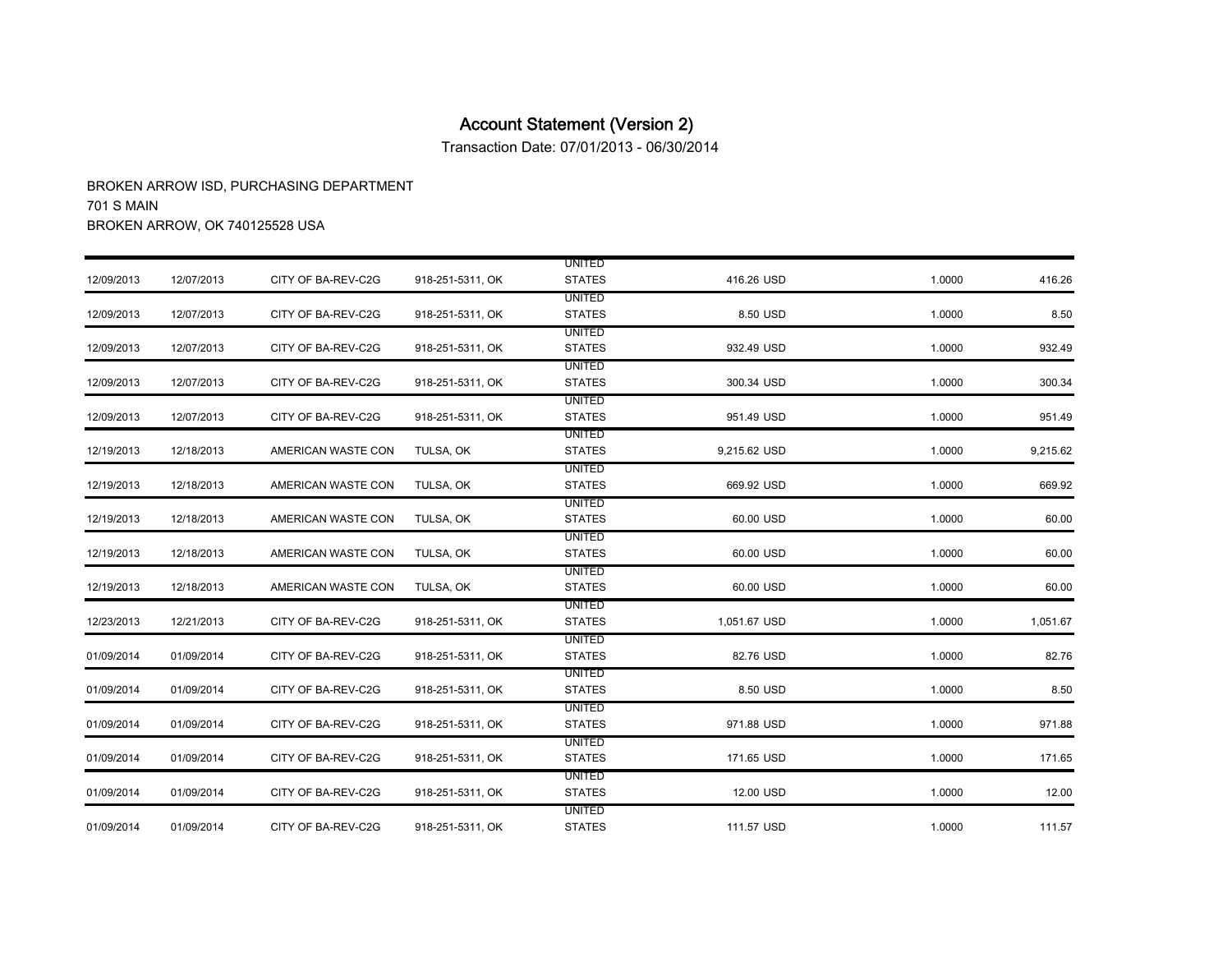Transaction Date: 07/01/2013 - 06/30/2014

|            |            |                    |                  | <b>UNITED</b>                  |              |        |          |
|------------|------------|--------------------|------------------|--------------------------------|--------------|--------|----------|
| 12/09/2013 | 12/07/2013 | CITY OF BA-REV-C2G | 918-251-5311, OK | <b>STATES</b>                  | 416.26 USD   | 1.0000 | 416.26   |
| 12/09/2013 | 12/07/2013 | CITY OF BA-REV-C2G | 918-251-5311, OK | <b>UNITED</b><br><b>STATES</b> | 8.50 USD     | 1.0000 | 8.50     |
|            |            |                    |                  |                                |              |        |          |
|            |            |                    |                  | <b>UNITED</b>                  |              |        |          |
| 12/09/2013 | 12/07/2013 | CITY OF BA-REV-C2G | 918-251-5311, OK | <b>STATES</b>                  | 932.49 USD   | 1.0000 | 932.49   |
| 12/09/2013 | 12/07/2013 | CITY OF BA-REV-C2G | 918-251-5311, OK | <b>UNITED</b><br><b>STATES</b> | 300.34 USD   | 1.0000 |          |
|            |            |                    |                  |                                |              |        | 300.34   |
|            |            |                    |                  | <b>UNITED</b>                  |              |        |          |
| 12/09/2013 | 12/07/2013 | CITY OF BA-REV-C2G | 918-251-5311, OK | <b>STATES</b>                  | 951.49 USD   | 1.0000 | 951.49   |
|            |            |                    |                  | <b>UNITED</b>                  |              |        |          |
| 12/19/2013 | 12/18/2013 | AMERICAN WASTE CON | TULSA, OK        | <b>STATES</b>                  | 9,215.62 USD | 1.0000 | 9,215.62 |
|            |            |                    |                  | UNITED                         |              |        |          |
| 12/19/2013 | 12/18/2013 | AMERICAN WASTE CON | TULSA, OK        | <b>STATES</b>                  | 669.92 USD   | 1.0000 | 669.92   |
|            |            |                    |                  | <b>UNITED</b>                  |              |        |          |
| 12/19/2013 | 12/18/2013 | AMERICAN WASTE CON | TULSA, OK        | <b>STATES</b>                  | 60.00 USD    | 1.0000 | 60.00    |
|            |            |                    |                  | <b>UNITED</b>                  |              |        |          |
| 12/19/2013 | 12/18/2013 | AMERICAN WASTE CON | TULSA, OK        | <b>STATES</b>                  | 60.00 USD    | 1.0000 | 60.00    |
|            |            |                    |                  | <b>UNITED</b>                  |              |        |          |
| 12/19/2013 | 12/18/2013 | AMERICAN WASTE CON | TULSA, OK        | <b>STATES</b>                  | 60.00 USD    | 1.0000 | 60.00    |
|            |            |                    |                  | <b>UNITED</b>                  |              |        |          |
| 12/23/2013 | 12/21/2013 | CITY OF BA-REV-C2G | 918-251-5311, OK | <b>STATES</b>                  | 1,051.67 USD | 1.0000 | 1,051.67 |
|            |            |                    |                  | <b>UNITED</b>                  |              |        |          |
| 01/09/2014 | 01/09/2014 | CITY OF BA-REV-C2G | 918-251-5311, OK | <b>STATES</b>                  | 82.76 USD    | 1.0000 | 82.76    |
|            |            |                    |                  | <b>UNITED</b>                  |              |        |          |
| 01/09/2014 | 01/09/2014 | CITY OF BA-REV-C2G | 918-251-5311, OK | <b>STATES</b>                  | 8.50 USD     | 1.0000 | 8.50     |
|            |            |                    |                  | UNITED                         |              |        |          |
| 01/09/2014 | 01/09/2014 | CITY OF BA-REV-C2G | 918-251-5311, OK | <b>STATES</b>                  | 971.88 USD   | 1.0000 | 971.88   |
|            |            |                    |                  | <b>UNITED</b>                  |              |        |          |
| 01/09/2014 | 01/09/2014 | CITY OF BA-REV-C2G | 918-251-5311, OK | <b>STATES</b>                  | 171.65 USD   | 1.0000 | 171.65   |
|            |            |                    |                  | <b>UNITED</b>                  |              |        |          |
| 01/09/2014 | 01/09/2014 | CITY OF BA-REV-C2G | 918-251-5311, OK | <b>STATES</b>                  | 12.00 USD    | 1.0000 | 12.00    |
|            |            |                    |                  | <b>UNITED</b>                  |              |        |          |
| 01/09/2014 | 01/09/2014 | CITY OF BA-REV-C2G | 918-251-5311, OK | <b>STATES</b>                  | 111.57 USD   | 1.0000 | 111.57   |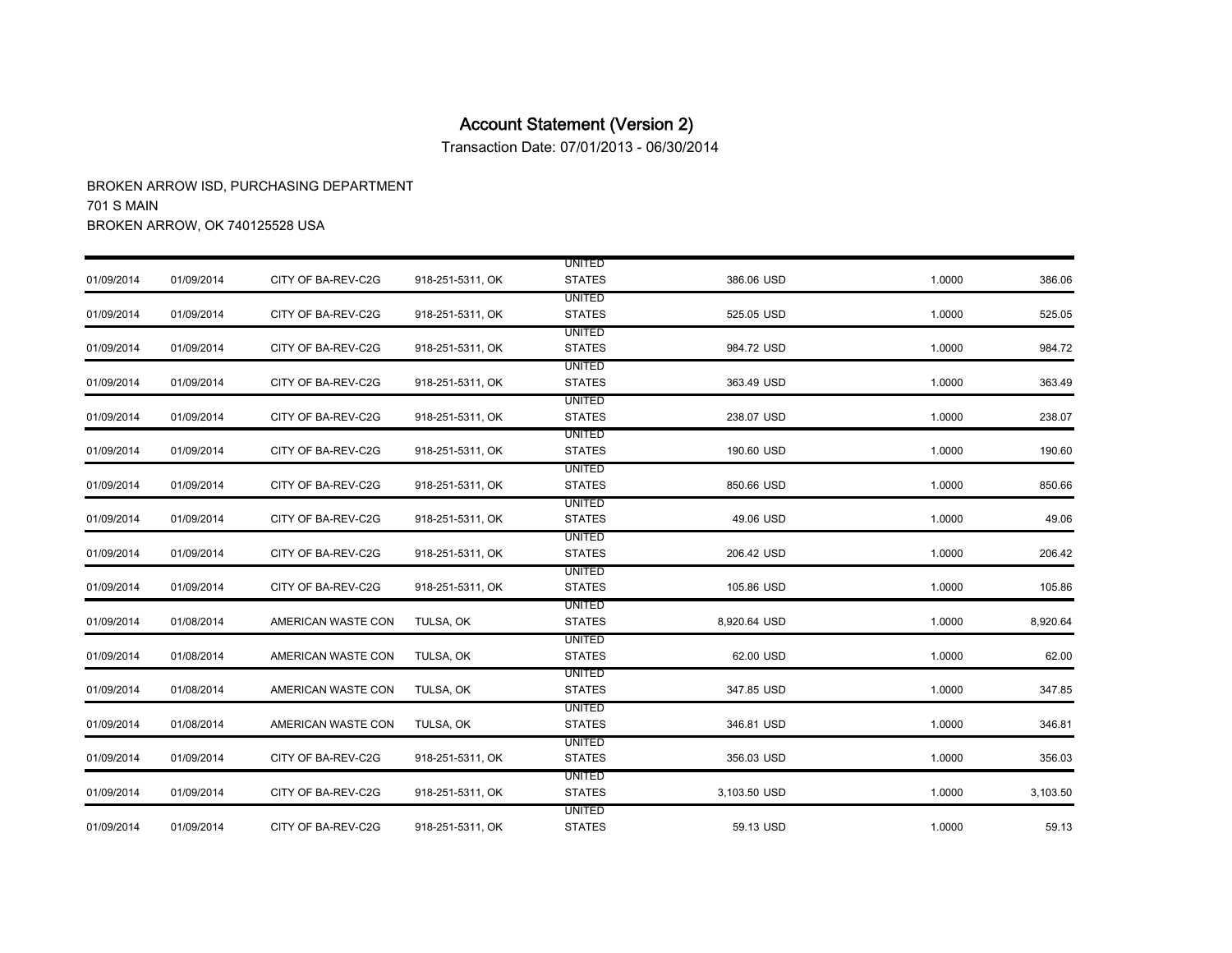Transaction Date: 07/01/2013 - 06/30/2014

|            |            |                    |                  | <b>UNITED</b> |              |        |          |
|------------|------------|--------------------|------------------|---------------|--------------|--------|----------|
| 01/09/2014 | 01/09/2014 | CITY OF BA-REV-C2G | 918-251-5311, OK | <b>STATES</b> | 386.06 USD   | 1.0000 | 386.06   |
|            |            |                    |                  | <b>UNITED</b> |              |        |          |
| 01/09/2014 | 01/09/2014 | CITY OF BA-REV-C2G | 918-251-5311, OK | <b>STATES</b> | 525.05 USD   | 1.0000 | 525.05   |
|            |            |                    |                  | <b>UNITED</b> |              |        |          |
| 01/09/2014 | 01/09/2014 | CITY OF BA-REV-C2G | 918-251-5311, OK | <b>STATES</b> | 984.72 USD   | 1.0000 | 984.72   |
|            |            |                    |                  | <b>UNITED</b> |              |        |          |
| 01/09/2014 | 01/09/2014 | CITY OF BA-REV-C2G | 918-251-5311, OK | <b>STATES</b> | 363.49 USD   | 1.0000 | 363.49   |
|            |            |                    |                  | <b>UNITED</b> |              |        |          |
| 01/09/2014 | 01/09/2014 | CITY OF BA-REV-C2G | 918-251-5311, OK | <b>STATES</b> | 238.07 USD   | 1.0000 | 238.07   |
|            |            |                    |                  | <b>UNITED</b> |              |        |          |
| 01/09/2014 | 01/09/2014 | CITY OF BA-REV-C2G | 918-251-5311, OK | <b>STATES</b> | 190.60 USD   | 1.0000 | 190.60   |
|            |            |                    |                  | <b>UNITED</b> |              |        |          |
| 01/09/2014 | 01/09/2014 | CITY OF BA-REV-C2G | 918-251-5311, OK | <b>STATES</b> | 850.66 USD   | 1.0000 | 850.66   |
|            |            |                    |                  | UNITED        |              |        |          |
| 01/09/2014 | 01/09/2014 | CITY OF BA-REV-C2G | 918-251-5311, OK | <b>STATES</b> | 49.06 USD    | 1.0000 | 49.06    |
|            |            |                    |                  | <b>UNITED</b> |              |        |          |
| 01/09/2014 | 01/09/2014 | CITY OF BA-REV-C2G | 918-251-5311, OK | <b>STATES</b> | 206.42 USD   | 1.0000 | 206.42   |
|            |            |                    |                  | UNITED        |              |        |          |
| 01/09/2014 | 01/09/2014 | CITY OF BA-REV-C2G | 918-251-5311, OK | <b>STATES</b> | 105.86 USD   | 1.0000 | 105.86   |
|            |            |                    |                  | UNITED        |              |        |          |
| 01/09/2014 | 01/08/2014 | AMERICAN WASTE CON | TULSA, OK        | <b>STATES</b> | 8,920.64 USD | 1.0000 | 8,920.64 |
|            |            |                    |                  | UNITED        |              |        |          |
| 01/09/2014 | 01/08/2014 | AMERICAN WASTE CON | TULSA, OK        | <b>STATES</b> | 62.00 USD    | 1.0000 | 62.00    |
|            |            |                    |                  | <b>UNITED</b> |              |        |          |
| 01/09/2014 | 01/08/2014 | AMERICAN WASTE CON | TULSA, OK        | <b>STATES</b> | 347.85 USD   | 1.0000 | 347.85   |
|            |            |                    |                  | <b>UNITED</b> |              |        |          |
| 01/09/2014 | 01/08/2014 | AMERICAN WASTE CON | TULSA, OK        | <b>STATES</b> | 346.81 USD   | 1.0000 | 346.81   |
|            |            |                    |                  | <b>UNITED</b> |              |        |          |
| 01/09/2014 | 01/09/2014 | CITY OF BA-REV-C2G | 918-251-5311, OK | <b>STATES</b> | 356.03 USD   | 1.0000 | 356.03   |
|            |            |                    |                  | <b>UNITED</b> |              |        |          |
| 01/09/2014 | 01/09/2014 | CITY OF BA-REV-C2G | 918-251-5311, OK | <b>STATES</b> | 3,103.50 USD | 1.0000 | 3,103.50 |
|            |            |                    |                  | <b>UNITED</b> |              |        |          |
| 01/09/2014 | 01/09/2014 | CITY OF BA-REV-C2G | 918-251-5311, OK | <b>STATES</b> | 59.13 USD    | 1.0000 | 59.13    |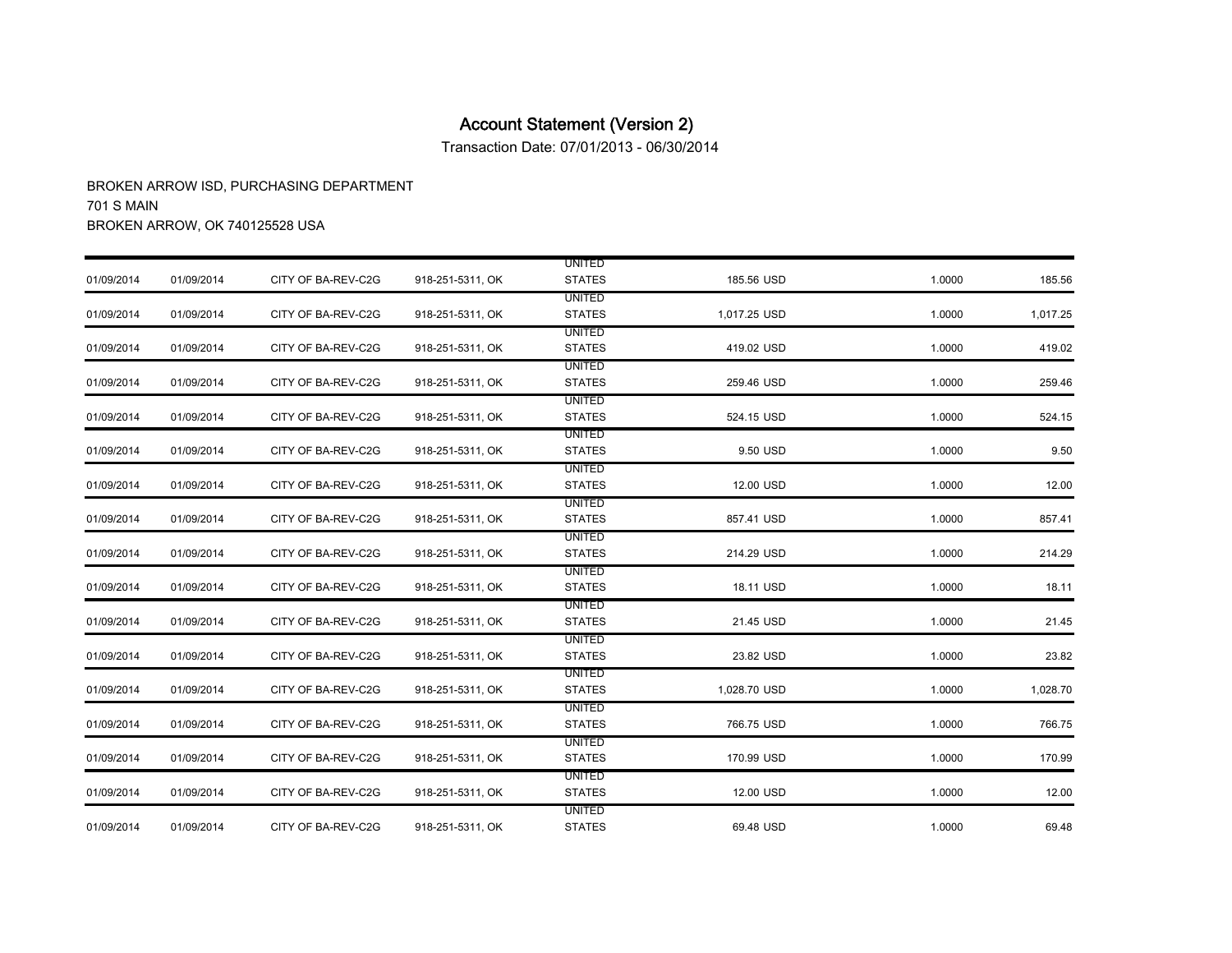Transaction Date: 07/01/2013 - 06/30/2014

|            |            |                    |                  | <b>UNITED</b> |              |        |          |
|------------|------------|--------------------|------------------|---------------|--------------|--------|----------|
| 01/09/2014 | 01/09/2014 | CITY OF BA-REV-C2G | 918-251-5311, OK | <b>STATES</b> | 185.56 USD   | 1.0000 | 185.56   |
|            |            |                    |                  | <b>UNITED</b> |              |        |          |
| 01/09/2014 | 01/09/2014 | CITY OF BA-REV-C2G | 918-251-5311, OK | <b>STATES</b> | 1,017.25 USD | 1.0000 | 1,017.25 |
|            |            |                    |                  | <b>UNITED</b> |              |        |          |
| 01/09/2014 | 01/09/2014 | CITY OF BA-REV-C2G | 918-251-5311, OK | <b>STATES</b> | 419.02 USD   | 1.0000 | 419.02   |
|            |            |                    |                  | <b>UNITED</b> |              |        |          |
| 01/09/2014 | 01/09/2014 | CITY OF BA-REV-C2G | 918-251-5311, OK | <b>STATES</b> | 259.46 USD   | 1.0000 | 259.46   |
|            |            |                    |                  | <b>UNITED</b> |              |        |          |
| 01/09/2014 | 01/09/2014 | CITY OF BA-REV-C2G | 918-251-5311, OK | <b>STATES</b> | 524.15 USD   | 1.0000 | 524.15   |
|            |            |                    |                  | <b>UNITED</b> |              |        |          |
| 01/09/2014 | 01/09/2014 | CITY OF BA-REV-C2G | 918-251-5311, OK | <b>STATES</b> | 9.50 USD     | 1.0000 | 9.50     |
|            |            |                    |                  | <b>UNITED</b> |              |        |          |
| 01/09/2014 | 01/09/2014 | CITY OF BA-REV-C2G | 918-251-5311, OK | <b>STATES</b> | 12.00 USD    | 1.0000 | 12.00    |
|            |            |                    |                  | <b>UNITED</b> |              |        |          |
| 01/09/2014 | 01/09/2014 | CITY OF BA-REV-C2G | 918-251-5311, OK | <b>STATES</b> | 857.41 USD   | 1.0000 | 857.41   |
|            |            |                    |                  | <b>UNITED</b> |              |        |          |
| 01/09/2014 | 01/09/2014 | CITY OF BA-REV-C2G | 918-251-5311, OK | <b>STATES</b> | 214.29 USD   | 1.0000 | 214.29   |
|            |            |                    |                  | UNITED        |              |        |          |
| 01/09/2014 | 01/09/2014 | CITY OF BA-REV-C2G | 918-251-5311, OK | <b>STATES</b> | 18.11 USD    | 1.0000 | 18.11    |
|            |            |                    |                  | UNITED        |              |        |          |
| 01/09/2014 | 01/09/2014 | CITY OF BA-REV-C2G | 918-251-5311, OK | <b>STATES</b> | 21.45 USD    | 1.0000 | 21.45    |
|            |            |                    |                  | <b>UNITED</b> |              |        |          |
| 01/09/2014 | 01/09/2014 | CITY OF BA-REV-C2G | 918-251-5311, OK | <b>STATES</b> | 23.82 USD    | 1.0000 | 23.82    |
|            |            |                    |                  | <b>UNITED</b> |              |        |          |
| 01/09/2014 | 01/09/2014 | CITY OF BA-REV-C2G | 918-251-5311, OK | <b>STATES</b> | 1,028.70 USD | 1.0000 | 1,028.70 |
|            |            |                    |                  | <b>UNITED</b> |              |        |          |
| 01/09/2014 | 01/09/2014 | CITY OF BA-REV-C2G | 918-251-5311, OK | <b>STATES</b> | 766.75 USD   | 1.0000 | 766.75   |
|            |            |                    |                  | <b>UNITED</b> |              |        |          |
| 01/09/2014 | 01/09/2014 | CITY OF BA-REV-C2G | 918-251-5311, OK | <b>STATES</b> | 170.99 USD   | 1.0000 | 170.99   |
|            |            |                    |                  | UNITED        |              |        |          |
| 01/09/2014 | 01/09/2014 | CITY OF BA-REV-C2G | 918-251-5311, OK | <b>STATES</b> | 12.00 USD    | 1.0000 | 12.00    |
|            |            |                    |                  | <b>UNITED</b> |              |        |          |
| 01/09/2014 | 01/09/2014 | CITY OF BA-REV-C2G | 918-251-5311, OK | <b>STATES</b> | 69.48 USD    | 1.0000 | 69.48    |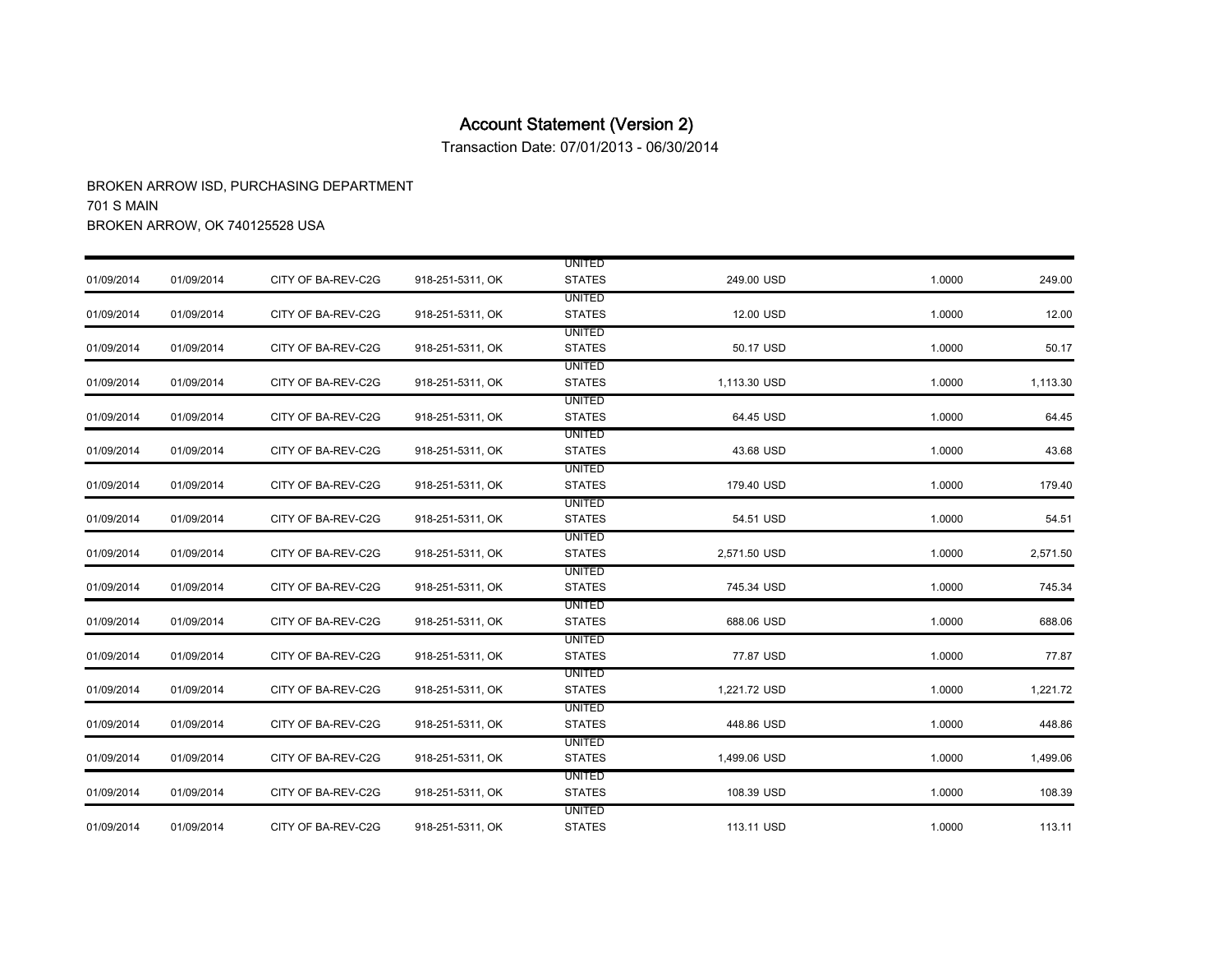Transaction Date: 07/01/2013 - 06/30/2014

|            |            |                    |                  | <b>UNITED</b> |              |        |          |
|------------|------------|--------------------|------------------|---------------|--------------|--------|----------|
| 01/09/2014 | 01/09/2014 | CITY OF BA-REV-C2G | 918-251-5311, OK | <b>STATES</b> | 249.00 USD   | 1.0000 | 249.00   |
|            |            |                    |                  | <b>UNITED</b> |              |        |          |
| 01/09/2014 | 01/09/2014 | CITY OF BA-REV-C2G | 918-251-5311, OK | <b>STATES</b> | 12.00 USD    | 1.0000 | 12.00    |
|            |            |                    |                  | <b>UNITED</b> |              |        |          |
| 01/09/2014 | 01/09/2014 | CITY OF BA-REV-C2G | 918-251-5311, OK | <b>STATES</b> | 50.17 USD    | 1.0000 | 50.17    |
|            |            |                    |                  | <b>UNITED</b> |              |        |          |
| 01/09/2014 | 01/09/2014 | CITY OF BA-REV-C2G | 918-251-5311, OK | <b>STATES</b> | 1,113.30 USD | 1.0000 | 1,113.30 |
|            |            |                    |                  | <b>UNITED</b> |              |        |          |
| 01/09/2014 | 01/09/2014 | CITY OF BA-REV-C2G | 918-251-5311, OK | <b>STATES</b> | 64.45 USD    | 1.0000 | 64.45    |
|            |            |                    |                  | <b>UNITED</b> |              |        |          |
| 01/09/2014 | 01/09/2014 | CITY OF BA-REV-C2G | 918-251-5311, OK | <b>STATES</b> | 43.68 USD    | 1.0000 | 43.68    |
|            |            |                    |                  | <b>UNITED</b> |              |        |          |
| 01/09/2014 | 01/09/2014 | CITY OF BA-REV-C2G | 918-251-5311, OK | <b>STATES</b> | 179.40 USD   | 1.0000 | 179.40   |
|            |            |                    |                  | <b>UNITED</b> |              |        |          |
| 01/09/2014 | 01/09/2014 | CITY OF BA-REV-C2G | 918-251-5311, OK | <b>STATES</b> | 54.51 USD    | 1.0000 | 54.51    |
|            |            |                    |                  | <b>UNITED</b> |              |        |          |
| 01/09/2014 | 01/09/2014 | CITY OF BA-REV-C2G | 918-251-5311, OK | <b>STATES</b> | 2,571.50 USD | 1.0000 | 2,571.50 |
|            |            |                    |                  | <b>UNITED</b> |              |        |          |
| 01/09/2014 | 01/09/2014 | CITY OF BA-REV-C2G | 918-251-5311, OK | <b>STATES</b> | 745.34 USD   | 1.0000 | 745.34   |
|            |            |                    |                  | <b>UNITED</b> |              |        |          |
| 01/09/2014 | 01/09/2014 | CITY OF BA-REV-C2G | 918-251-5311, OK | <b>STATES</b> | 688.06 USD   | 1.0000 | 688.06   |
|            |            |                    |                  | <b>UNITED</b> |              |        |          |
| 01/09/2014 | 01/09/2014 | CITY OF BA-REV-C2G | 918-251-5311, OK | <b>STATES</b> | 77.87 USD    | 1.0000 | 77.87    |
|            |            |                    |                  | UNITED        |              |        |          |
| 01/09/2014 | 01/09/2014 | CITY OF BA-REV-C2G | 918-251-5311, OK | <b>STATES</b> | 1,221.72 USD | 1.0000 | 1,221.72 |
|            |            |                    |                  | <b>UNITED</b> |              |        |          |
| 01/09/2014 | 01/09/2014 | CITY OF BA-REV-C2G | 918-251-5311, OK | <b>STATES</b> | 448.86 USD   | 1.0000 | 448.86   |
|            |            |                    |                  | <b>UNITED</b> |              |        |          |
| 01/09/2014 | 01/09/2014 | CITY OF BA-REV-C2G | 918-251-5311, OK | <b>STATES</b> | 1,499.06 USD | 1.0000 | 1,499.06 |
|            |            |                    |                  | <b>UNITED</b> |              |        |          |
| 01/09/2014 | 01/09/2014 | CITY OF BA-REV-C2G | 918-251-5311, OK | <b>STATES</b> | 108.39 USD   | 1.0000 | 108.39   |
|            |            |                    |                  | <b>UNITED</b> |              |        |          |
| 01/09/2014 | 01/09/2014 | CITY OF BA-REV-C2G | 918-251-5311, OK | <b>STATES</b> | 113.11 USD   | 1.0000 | 113.11   |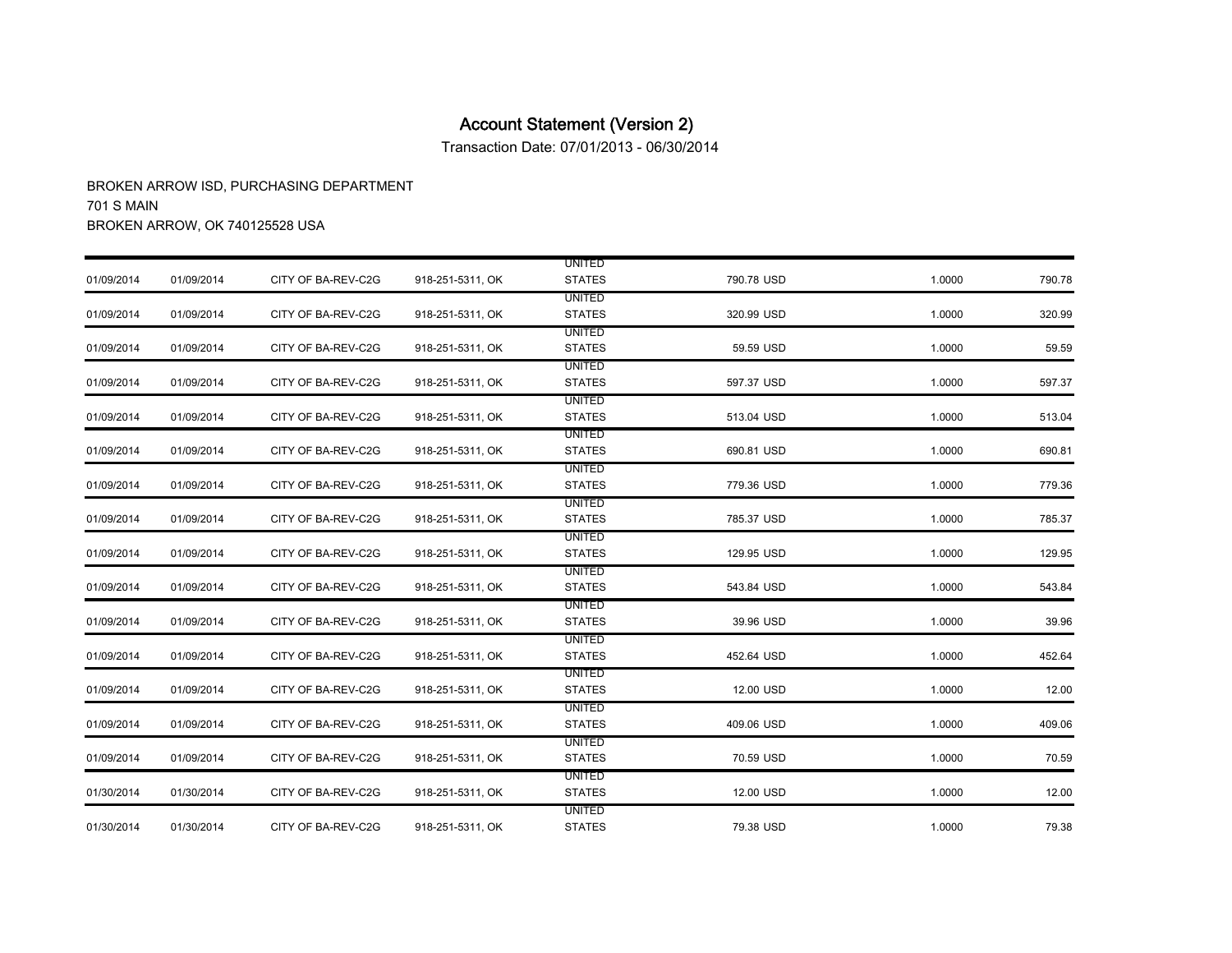Transaction Date: 07/01/2013 - 06/30/2014

|            |            |                    |                  | <b>UNITED</b> |            |        |        |
|------------|------------|--------------------|------------------|---------------|------------|--------|--------|
| 01/09/2014 | 01/09/2014 | CITY OF BA-REV-C2G | 918-251-5311, OK | <b>STATES</b> | 790.78 USD | 1.0000 | 790.78 |
|            |            |                    |                  | <b>UNITED</b> |            |        |        |
| 01/09/2014 | 01/09/2014 | CITY OF BA-REV-C2G | 918-251-5311, OK | <b>STATES</b> | 320.99 USD | 1.0000 | 320.99 |
|            |            |                    |                  | <b>UNITED</b> |            |        |        |
| 01/09/2014 | 01/09/2014 | CITY OF BA-REV-C2G | 918-251-5311, OK | <b>STATES</b> | 59.59 USD  | 1.0000 | 59.59  |
|            |            |                    |                  | <b>UNITED</b> |            |        |        |
| 01/09/2014 | 01/09/2014 | CITY OF BA-REV-C2G | 918-251-5311, OK | <b>STATES</b> | 597.37 USD | 1.0000 | 597.37 |
|            |            |                    |                  | <b>UNITED</b> |            |        |        |
| 01/09/2014 | 01/09/2014 | CITY OF BA-REV-C2G | 918-251-5311, OK | <b>STATES</b> | 513.04 USD | 1.0000 | 513.04 |
|            |            |                    |                  | <b>UNITED</b> |            |        |        |
| 01/09/2014 | 01/09/2014 | CITY OF BA-REV-C2G | 918-251-5311, OK | <b>STATES</b> | 690.81 USD | 1.0000 | 690.81 |
|            |            |                    |                  | UNITED        |            |        |        |
| 01/09/2014 | 01/09/2014 | CITY OF BA-REV-C2G | 918-251-5311, OK | <b>STATES</b> | 779.36 USD | 1.0000 | 779.36 |
|            |            |                    |                  | <b>UNITED</b> |            |        |        |
| 01/09/2014 | 01/09/2014 | CITY OF BA-REV-C2G | 918-251-5311, OK | <b>STATES</b> | 785.37 USD | 1.0000 | 785.37 |
|            |            |                    |                  | <b>UNITED</b> |            |        |        |
| 01/09/2014 | 01/09/2014 | CITY OF BA-REV-C2G | 918-251-5311, OK | <b>STATES</b> | 129.95 USD | 1.0000 | 129.95 |
|            |            |                    |                  | <b>UNITED</b> |            |        |        |
| 01/09/2014 | 01/09/2014 | CITY OF BA-REV-C2G | 918-251-5311, OK | <b>STATES</b> | 543.84 USD | 1.0000 | 543.84 |
|            |            |                    |                  | <b>UNITED</b> |            |        |        |
| 01/09/2014 | 01/09/2014 | CITY OF BA-REV-C2G | 918-251-5311, OK | <b>STATES</b> | 39.96 USD  | 1.0000 | 39.96  |
|            |            |                    |                  | <b>UNITED</b> |            |        |        |
| 01/09/2014 | 01/09/2014 | CITY OF BA-REV-C2G | 918-251-5311, OK | <b>STATES</b> | 452.64 USD | 1.0000 | 452.64 |
|            |            |                    |                  | <b>UNITED</b> |            |        |        |
| 01/09/2014 | 01/09/2014 | CITY OF BA-REV-C2G | 918-251-5311, OK | <b>STATES</b> | 12.00 USD  | 1.0000 | 12.00  |
|            |            |                    |                  | <b>UNITED</b> |            |        |        |
| 01/09/2014 | 01/09/2014 | CITY OF BA-REV-C2G | 918-251-5311, OK | <b>STATES</b> | 409.06 USD | 1.0000 | 409.06 |
|            |            |                    |                  | <b>UNITED</b> |            |        |        |
| 01/09/2014 | 01/09/2014 | CITY OF BA-REV-C2G | 918-251-5311, OK | <b>STATES</b> | 70.59 USD  | 1.0000 | 70.59  |
|            |            |                    |                  | <b>UNITED</b> |            |        |        |
| 01/30/2014 | 01/30/2014 | CITY OF BA-REV-C2G | 918-251-5311, OK | <b>STATES</b> | 12.00 USD  | 1.0000 | 12.00  |
|            |            |                    |                  | <b>UNITED</b> |            |        |        |
| 01/30/2014 | 01/30/2014 | CITY OF BA-REV-C2G | 918-251-5311, OK | <b>STATES</b> | 79.38 USD  | 1.0000 | 79.38  |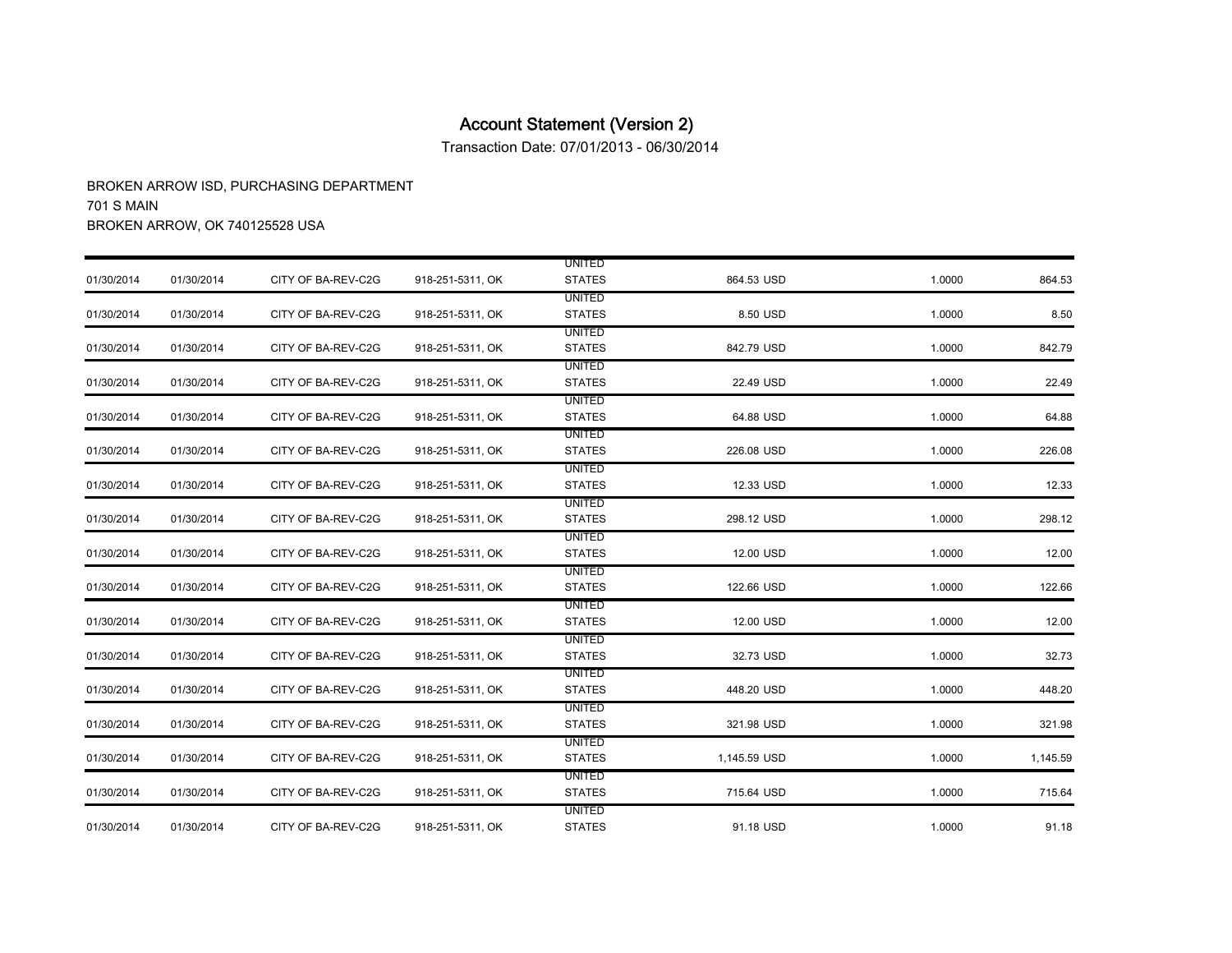Transaction Date: 07/01/2013 - 06/30/2014

|            |            |                    |                  | <b>UNITED</b> |              |        |          |
|------------|------------|--------------------|------------------|---------------|--------------|--------|----------|
| 01/30/2014 | 01/30/2014 | CITY OF BA-REV-C2G | 918-251-5311, OK | <b>STATES</b> | 864.53 USD   | 1.0000 | 864.53   |
|            |            |                    |                  | <b>UNITED</b> |              |        |          |
| 01/30/2014 | 01/30/2014 | CITY OF BA-REV-C2G | 918-251-5311, OK | <b>STATES</b> | 8.50 USD     | 1.0000 | 8.50     |
|            |            |                    |                  | <b>UNITED</b> |              |        |          |
| 01/30/2014 | 01/30/2014 | CITY OF BA-REV-C2G | 918-251-5311, OK | <b>STATES</b> | 842.79 USD   | 1.0000 | 842.79   |
|            |            |                    |                  | <b>UNITED</b> |              |        |          |
| 01/30/2014 | 01/30/2014 | CITY OF BA-REV-C2G | 918-251-5311, OK | <b>STATES</b> | 22.49 USD    | 1.0000 | 22.49    |
|            |            |                    |                  | <b>UNITED</b> |              |        |          |
| 01/30/2014 | 01/30/2014 | CITY OF BA-REV-C2G | 918-251-5311, OK | <b>STATES</b> | 64.88 USD    | 1.0000 | 64.88    |
|            |            |                    |                  | <b>UNITED</b> |              |        |          |
| 01/30/2014 | 01/30/2014 | CITY OF BA-REV-C2G | 918-251-5311, OK | <b>STATES</b> | 226.08 USD   | 1.0000 | 226.08   |
|            |            |                    |                  | <b>UNITED</b> |              |        |          |
| 01/30/2014 | 01/30/2014 | CITY OF BA-REV-C2G | 918-251-5311, OK | <b>STATES</b> | 12.33 USD    | 1.0000 | 12.33    |
|            |            |                    |                  | UNITED        |              |        |          |
| 01/30/2014 | 01/30/2014 | CITY OF BA-REV-C2G | 918-251-5311, OK | <b>STATES</b> | 298.12 USD   | 1.0000 | 298.12   |
|            |            |                    |                  | <b>UNITED</b> |              |        |          |
| 01/30/2014 | 01/30/2014 | CITY OF BA-REV-C2G | 918-251-5311, OK | <b>STATES</b> | 12.00 USD    | 1.0000 | 12.00    |
|            |            |                    |                  | UNITED        |              |        |          |
| 01/30/2014 | 01/30/2014 | CITY OF BA-REV-C2G | 918-251-5311, OK | <b>STATES</b> | 122.66 USD   | 1.0000 | 122.66   |
|            |            |                    |                  | <b>UNITED</b> |              |        |          |
| 01/30/2014 | 01/30/2014 | CITY OF BA-REV-C2G | 918-251-5311, OK | <b>STATES</b> | 12.00 USD    | 1.0000 | 12.00    |
|            |            |                    |                  | UNITED        |              |        |          |
| 01/30/2014 | 01/30/2014 | CITY OF BA-REV-C2G | 918-251-5311, OK | <b>STATES</b> | 32.73 USD    | 1.0000 | 32.73    |
|            |            |                    |                  | <b>UNITED</b> |              |        |          |
| 01/30/2014 | 01/30/2014 | CITY OF BA-REV-C2G | 918-251-5311, OK | <b>STATES</b> | 448.20 USD   | 1.0000 | 448.20   |
|            |            |                    |                  | <b>UNITED</b> |              |        |          |
| 01/30/2014 | 01/30/2014 | CITY OF BA-REV-C2G | 918-251-5311, OK | <b>STATES</b> | 321.98 USD   | 1.0000 | 321.98   |
|            |            |                    |                  | <b>UNITED</b> |              |        |          |
| 01/30/2014 | 01/30/2014 | CITY OF BA-REV-C2G | 918-251-5311, OK | <b>STATES</b> | 1,145.59 USD | 1.0000 | 1,145.59 |
|            |            |                    |                  | <b>UNITED</b> |              |        |          |
| 01/30/2014 | 01/30/2014 | CITY OF BA-REV-C2G | 918-251-5311, OK | <b>STATES</b> | 715.64 USD   | 1.0000 | 715.64   |
|            |            |                    |                  | <b>UNITED</b> |              |        |          |
| 01/30/2014 | 01/30/2014 | CITY OF BA-REV-C2G | 918-251-5311, OK | <b>STATES</b> | 91.18 USD    | 1.0000 | 91.18    |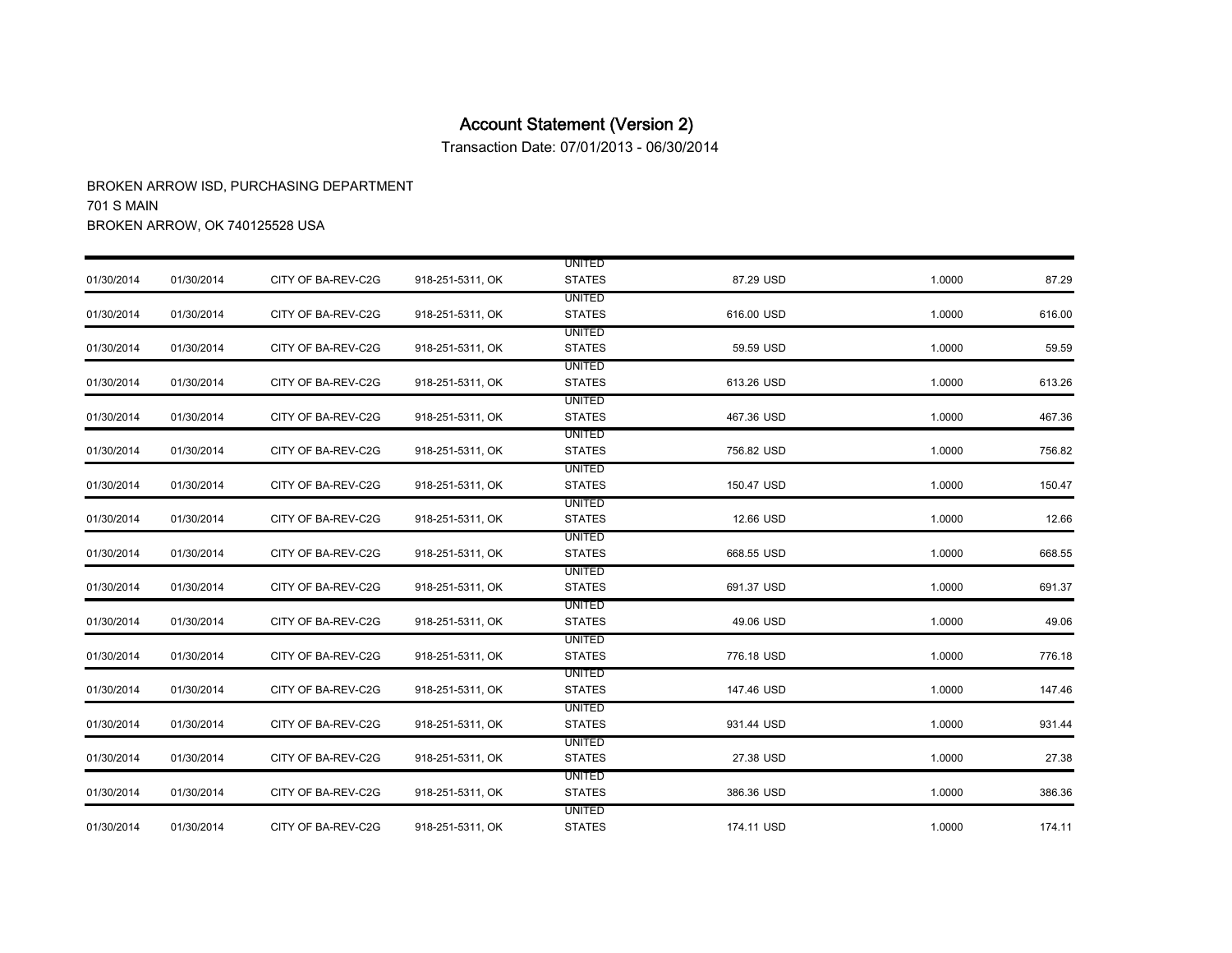Transaction Date: 07/01/2013 - 06/30/2014

|            |            |                    |                  | <b>UNITED</b> |            |        |        |
|------------|------------|--------------------|------------------|---------------|------------|--------|--------|
| 01/30/2014 | 01/30/2014 | CITY OF BA-REV-C2G | 918-251-5311, OK | <b>STATES</b> | 87.29 USD  | 1.0000 | 87.29  |
|            |            |                    |                  | <b>UNITED</b> |            |        |        |
| 01/30/2014 | 01/30/2014 | CITY OF BA-REV-C2G | 918-251-5311, OK | <b>STATES</b> | 616.00 USD | 1.0000 | 616.00 |
|            |            |                    |                  | <b>UNITED</b> |            |        |        |
| 01/30/2014 | 01/30/2014 | CITY OF BA-REV-C2G | 918-251-5311, OK | <b>STATES</b> | 59.59 USD  | 1.0000 | 59.59  |
|            |            |                    |                  | <b>UNITED</b> |            |        |        |
| 01/30/2014 | 01/30/2014 | CITY OF BA-REV-C2G | 918-251-5311, OK | <b>STATES</b> | 613.26 USD | 1.0000 | 613.26 |
|            |            |                    |                  | <b>UNITED</b> |            |        |        |
| 01/30/2014 | 01/30/2014 | CITY OF BA-REV-C2G | 918-251-5311, OK | <b>STATES</b> | 467.36 USD | 1.0000 | 467.36 |
|            |            |                    |                  | <b>UNITED</b> |            |        |        |
| 01/30/2014 | 01/30/2014 | CITY OF BA-REV-C2G | 918-251-5311, OK | <b>STATES</b> | 756.82 USD | 1.0000 | 756.82 |
|            |            |                    |                  | <b>UNITED</b> |            |        |        |
| 01/30/2014 | 01/30/2014 | CITY OF BA-REV-C2G | 918-251-5311, OK | <b>STATES</b> | 150.47 USD | 1.0000 | 150.47 |
|            |            |                    |                  | <b>UNITED</b> |            |        |        |
| 01/30/2014 | 01/30/2014 | CITY OF BA-REV-C2G | 918-251-5311, OK | <b>STATES</b> | 12.66 USD  | 1.0000 | 12.66  |
|            |            |                    |                  | <b>UNITED</b> |            |        |        |
| 01/30/2014 | 01/30/2014 | CITY OF BA-REV-C2G | 918-251-5311, OK | <b>STATES</b> | 668.55 USD | 1.0000 | 668.55 |
|            |            |                    |                  | <b>UNITED</b> |            |        |        |
| 01/30/2014 | 01/30/2014 | CITY OF BA-REV-C2G | 918-251-5311, OK | <b>STATES</b> | 691.37 USD | 1.0000 | 691.37 |
|            |            |                    |                  | <b>UNITED</b> |            |        |        |
| 01/30/2014 | 01/30/2014 | CITY OF BA-REV-C2G | 918-251-5311, OK | <b>STATES</b> | 49.06 USD  | 1.0000 | 49.06  |
|            |            |                    |                  | <b>UNITED</b> |            |        |        |
| 01/30/2014 | 01/30/2014 | CITY OF BA-REV-C2G | 918-251-5311, OK | <b>STATES</b> | 776.18 USD | 1.0000 | 776.18 |
|            |            |                    |                  | UNITED        |            |        |        |
| 01/30/2014 | 01/30/2014 | CITY OF BA-REV-C2G | 918-251-5311, OK | <b>STATES</b> | 147.46 USD | 1.0000 | 147.46 |
|            |            |                    |                  | <b>UNITED</b> |            |        |        |
| 01/30/2014 | 01/30/2014 | CITY OF BA-REV-C2G | 918-251-5311, OK | <b>STATES</b> | 931.44 USD | 1.0000 | 931.44 |
|            |            |                    |                  | <b>UNITED</b> |            |        |        |
| 01/30/2014 | 01/30/2014 | CITY OF BA-REV-C2G | 918-251-5311, OK | <b>STATES</b> | 27.38 USD  | 1.0000 | 27.38  |
|            |            |                    |                  | <b>UNITED</b> |            |        |        |
| 01/30/2014 | 01/30/2014 | CITY OF BA-REV-C2G | 918-251-5311, OK | <b>STATES</b> | 386.36 USD | 1.0000 | 386.36 |
|            |            |                    |                  | <b>UNITED</b> |            |        |        |
| 01/30/2014 | 01/30/2014 | CITY OF BA-REV-C2G | 918-251-5311, OK | <b>STATES</b> | 174.11 USD | 1.0000 | 174.11 |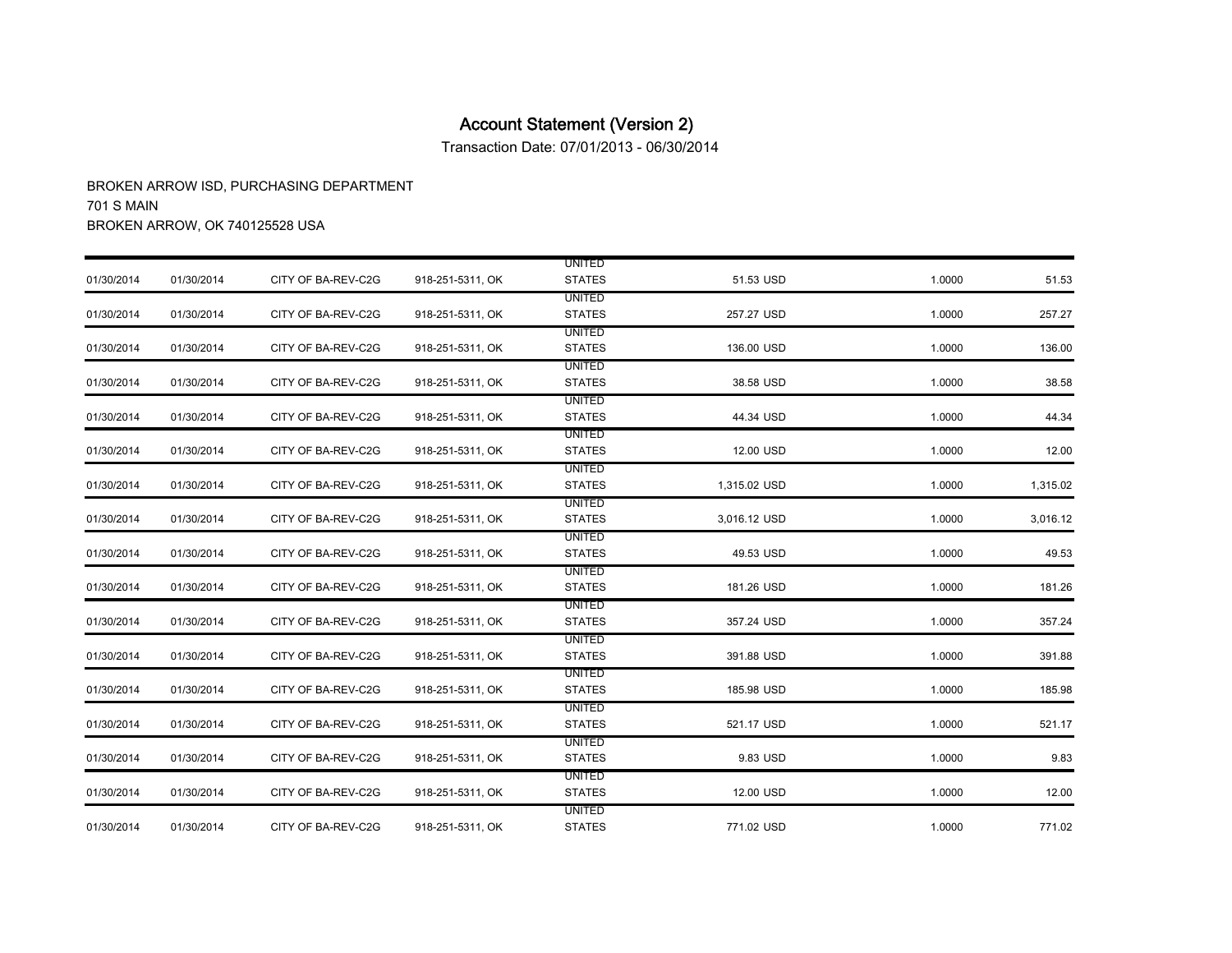Transaction Date: 07/01/2013 - 06/30/2014

|            |            |                    |                  | <b>UNITED</b> |              |        |          |
|------------|------------|--------------------|------------------|---------------|--------------|--------|----------|
| 01/30/2014 | 01/30/2014 | CITY OF BA-REV-C2G | 918-251-5311, OK | <b>STATES</b> | 51.53 USD    | 1.0000 | 51.53    |
|            |            |                    |                  | <b>UNITED</b> |              |        |          |
| 01/30/2014 | 01/30/2014 | CITY OF BA-REV-C2G | 918-251-5311, OK | <b>STATES</b> | 257.27 USD   | 1.0000 | 257.27   |
|            |            |                    |                  | <b>UNITED</b> |              |        |          |
| 01/30/2014 | 01/30/2014 | CITY OF BA-REV-C2G | 918-251-5311, OK | <b>STATES</b> | 136.00 USD   | 1.0000 | 136.00   |
|            |            |                    |                  | <b>UNITED</b> |              |        |          |
| 01/30/2014 | 01/30/2014 | CITY OF BA-REV-C2G | 918-251-5311, OK | <b>STATES</b> | 38.58 USD    | 1.0000 | 38.58    |
|            |            |                    |                  | <b>UNITED</b> |              |        |          |
| 01/30/2014 | 01/30/2014 | CITY OF BA-REV-C2G | 918-251-5311, OK | <b>STATES</b> | 44.34 USD    | 1.0000 | 44.34    |
|            |            |                    |                  | <b>UNITED</b> |              |        |          |
| 01/30/2014 | 01/30/2014 | CITY OF BA-REV-C2G | 918-251-5311, OK | <b>STATES</b> | 12.00 USD    | 1.0000 | 12.00    |
|            |            |                    |                  | <b>UNITED</b> |              |        |          |
| 01/30/2014 | 01/30/2014 | CITY OF BA-REV-C2G | 918-251-5311, OK | <b>STATES</b> | 1,315.02 USD | 1.0000 | 1,315.02 |
|            |            |                    |                  | UNITED        |              |        |          |
| 01/30/2014 | 01/30/2014 | CITY OF BA-REV-C2G | 918-251-5311, OK | <b>STATES</b> | 3,016.12 USD | 1.0000 | 3,016.12 |
|            |            |                    |                  | <b>UNITED</b> |              |        |          |
| 01/30/2014 | 01/30/2014 | CITY OF BA-REV-C2G | 918-251-5311, OK | <b>STATES</b> | 49.53 USD    | 1.0000 | 49.53    |
|            |            |                    |                  | <b>UNITED</b> |              |        |          |
| 01/30/2014 | 01/30/2014 | CITY OF BA-REV-C2G | 918-251-5311, OK | <b>STATES</b> | 181.26 USD   | 1.0000 | 181.26   |
|            |            |                    |                  | UNITED        |              |        |          |
| 01/30/2014 | 01/30/2014 | CITY OF BA-REV-C2G | 918-251-5311, OK | <b>STATES</b> | 357.24 USD   | 1.0000 | 357.24   |
|            |            |                    |                  | <b>UNITED</b> |              |        |          |
| 01/30/2014 | 01/30/2014 | CITY OF BA-REV-C2G | 918-251-5311, OK | <b>STATES</b> | 391.88 USD   | 1.0000 | 391.88   |
|            |            |                    |                  | <b>UNITED</b> |              |        |          |
| 01/30/2014 | 01/30/2014 | CITY OF BA-REV-C2G | 918-251-5311, OK | <b>STATES</b> | 185.98 USD   | 1.0000 | 185.98   |
|            |            |                    |                  | <b>UNITED</b> |              |        |          |
| 01/30/2014 | 01/30/2014 | CITY OF BA-REV-C2G | 918-251-5311, OK | <b>STATES</b> | 521.17 USD   | 1.0000 | 521.17   |
|            |            |                    |                  | <b>UNITED</b> |              |        |          |
| 01/30/2014 | 01/30/2014 | CITY OF BA-REV-C2G | 918-251-5311, OK | <b>STATES</b> | 9.83 USD     | 1.0000 | 9.83     |
|            |            |                    |                  | <b>UNITED</b> |              |        |          |
| 01/30/2014 | 01/30/2014 | CITY OF BA-REV-C2G | 918-251-5311, OK | <b>STATES</b> | 12.00 USD    | 1.0000 | 12.00    |
|            |            |                    |                  | <b>UNITED</b> |              |        |          |
| 01/30/2014 | 01/30/2014 | CITY OF BA-REV-C2G | 918-251-5311, OK | <b>STATES</b> | 771.02 USD   | 1.0000 | 771.02   |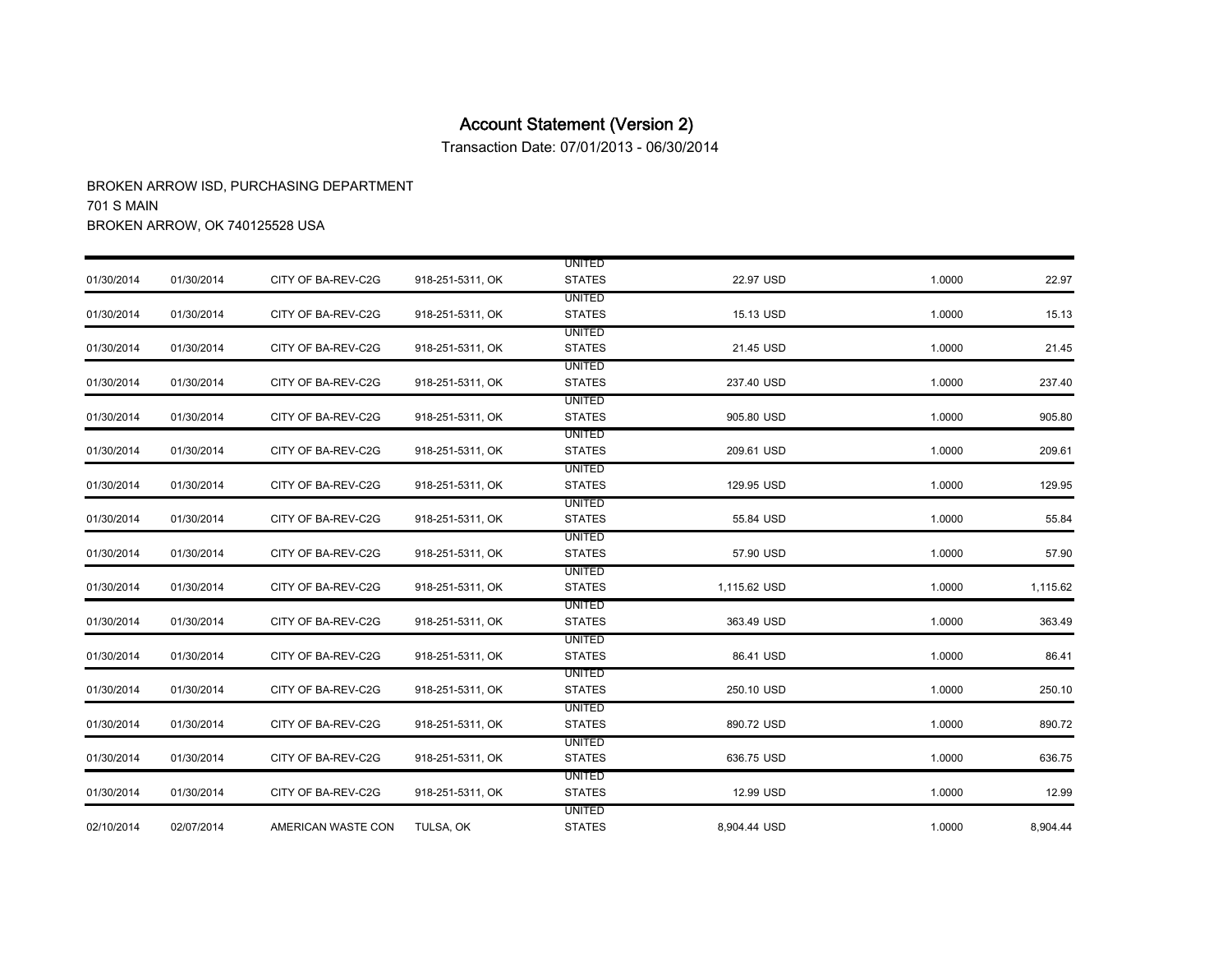Transaction Date: 07/01/2013 - 06/30/2014

|            |            |                    |                  | <b>UNITED</b> |              |        |          |
|------------|------------|--------------------|------------------|---------------|--------------|--------|----------|
| 01/30/2014 | 01/30/2014 | CITY OF BA-REV-C2G | 918-251-5311, OK | <b>STATES</b> | 22.97 USD    | 1.0000 | 22.97    |
|            |            |                    |                  | <b>UNITED</b> |              |        |          |
| 01/30/2014 | 01/30/2014 | CITY OF BA-REV-C2G | 918-251-5311, OK | <b>STATES</b> | 15.13 USD    | 1.0000 | 15.13    |
|            |            |                    |                  | <b>UNITED</b> |              |        |          |
| 01/30/2014 | 01/30/2014 | CITY OF BA-REV-C2G | 918-251-5311, OK | <b>STATES</b> | 21.45 USD    | 1.0000 | 21.45    |
|            |            |                    |                  | <b>UNITED</b> |              |        |          |
| 01/30/2014 | 01/30/2014 | CITY OF BA-REV-C2G | 918-251-5311, OK | <b>STATES</b> | 237.40 USD   | 1.0000 | 237.40   |
|            |            |                    |                  | <b>UNITED</b> |              |        |          |
| 01/30/2014 | 01/30/2014 | CITY OF BA-REV-C2G | 918-251-5311, OK | <b>STATES</b> | 905.80 USD   | 1.0000 | 905.80   |
|            |            |                    |                  | <b>UNITED</b> |              |        |          |
| 01/30/2014 | 01/30/2014 | CITY OF BA-REV-C2G | 918-251-5311, OK | <b>STATES</b> | 209.61 USD   | 1.0000 | 209.61   |
|            |            |                    |                  | UNITED        |              |        |          |
| 01/30/2014 | 01/30/2014 | CITY OF BA-REV-C2G | 918-251-5311, OK | <b>STATES</b> | 129.95 USD   | 1.0000 | 129.95   |
|            |            |                    |                  | <b>UNITED</b> |              |        |          |
| 01/30/2014 | 01/30/2014 | CITY OF BA-REV-C2G | 918-251-5311, OK | <b>STATES</b> | 55.84 USD    | 1.0000 | 55.84    |
|            |            |                    |                  | <b>UNITED</b> |              |        |          |
| 01/30/2014 | 01/30/2014 | CITY OF BA-REV-C2G | 918-251-5311, OK | <b>STATES</b> | 57.90 USD    | 1.0000 | 57.90    |
|            |            |                    |                  | <b>UNITED</b> |              |        |          |
| 01/30/2014 | 01/30/2014 | CITY OF BA-REV-C2G | 918-251-5311, OK | <b>STATES</b> | 1,115.62 USD | 1.0000 | 1,115.62 |
|            |            |                    |                  | <b>UNITED</b> |              |        |          |
| 01/30/2014 | 01/30/2014 | CITY OF BA-REV-C2G | 918-251-5311, OK | <b>STATES</b> | 363.49 USD   | 1.0000 | 363.49   |
|            |            |                    |                  | <b>UNITED</b> |              |        |          |
| 01/30/2014 | 01/30/2014 | CITY OF BA-REV-C2G | 918-251-5311, OK | <b>STATES</b> | 86.41 USD    | 1.0000 | 86.41    |
|            |            |                    |                  | <b>UNITED</b> |              |        |          |
| 01/30/2014 | 01/30/2014 | CITY OF BA-REV-C2G | 918-251-5311, OK | <b>STATES</b> | 250.10 USD   | 1.0000 | 250.10   |
|            |            |                    |                  | <b>UNITED</b> |              |        |          |
| 01/30/2014 | 01/30/2014 | CITY OF BA-REV-C2G | 918-251-5311, OK | <b>STATES</b> | 890.72 USD   | 1.0000 | 890.72   |
|            |            |                    |                  | <b>UNITED</b> |              |        |          |
| 01/30/2014 | 01/30/2014 | CITY OF BA-REV-C2G | 918-251-5311, OK | <b>STATES</b> | 636.75 USD   | 1.0000 | 636.75   |
|            |            |                    |                  | <b>UNITED</b> |              |        |          |
| 01/30/2014 | 01/30/2014 | CITY OF BA-REV-C2G | 918-251-5311, OK | <b>STATES</b> | 12.99 USD    | 1.0000 | 12.99    |
|            |            |                    |                  | <b>UNITED</b> |              |        |          |
| 02/10/2014 | 02/07/2014 | AMERICAN WASTE CON | TULSA, OK        | <b>STATES</b> | 8,904.44 USD | 1.0000 | 8,904.44 |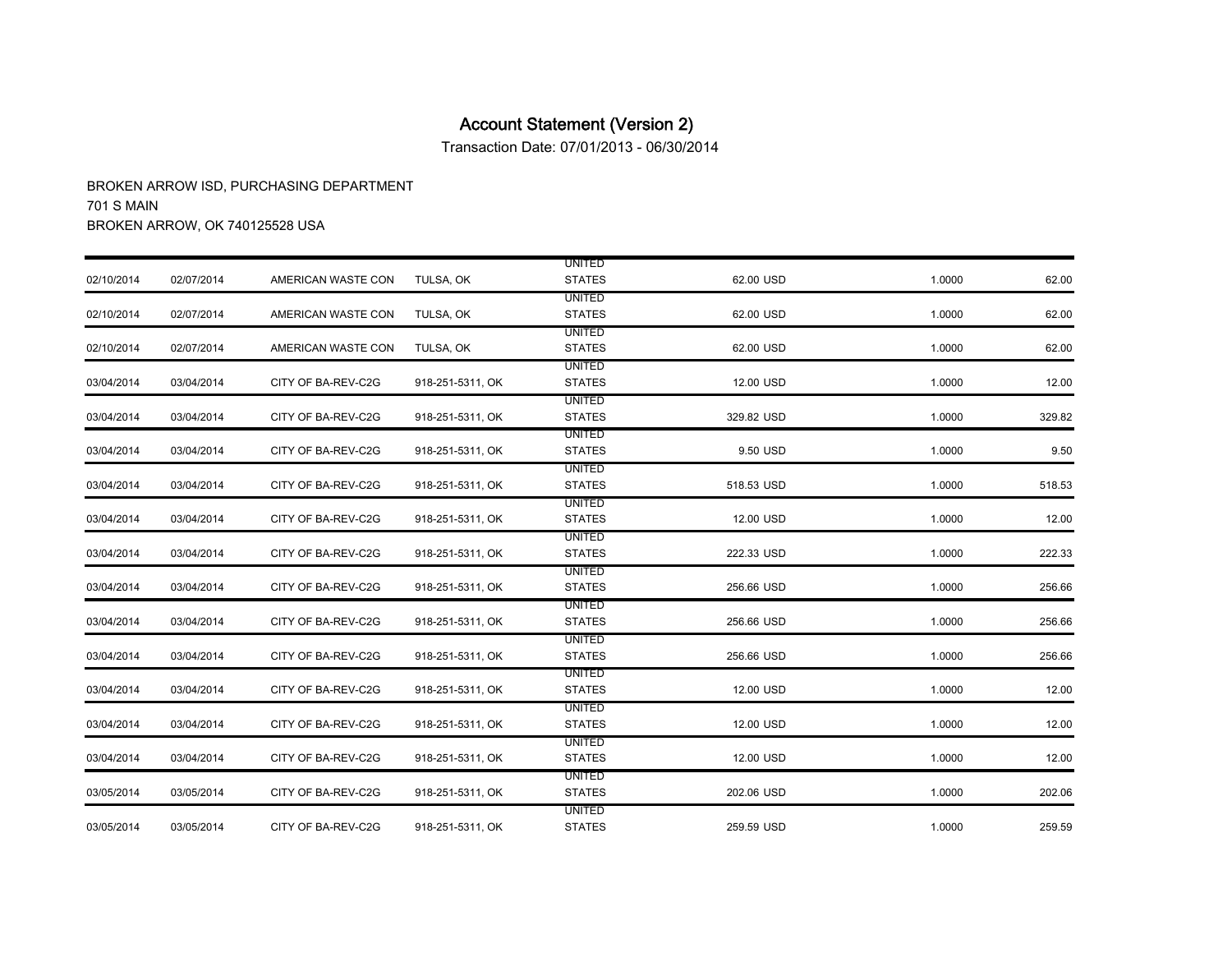Transaction Date: 07/01/2013 - 06/30/2014

|            |            |                    |                  | <b>UNITED</b>                  |            |        |        |
|------------|------------|--------------------|------------------|--------------------------------|------------|--------|--------|
| 02/10/2014 | 02/07/2014 | AMERICAN WASTE CON | TULSA, OK        | <b>STATES</b>                  | 62.00 USD  | 1.0000 | 62.00  |
| 02/10/2014 | 02/07/2014 | AMERICAN WASTE CON | TULSA, OK        | <b>UNITED</b><br><b>STATES</b> | 62.00 USD  | 1.0000 | 62.00  |
|            |            |                    |                  | <b>UNITED</b>                  |            |        |        |
| 02/10/2014 | 02/07/2014 | AMERICAN WASTE CON | TULSA, OK        | <b>STATES</b>                  | 62.00 USD  | 1.0000 | 62.00  |
| 03/04/2014 | 03/04/2014 | CITY OF BA-REV-C2G | 918-251-5311, OK | <b>UNITED</b><br><b>STATES</b> | 12.00 USD  | 1.0000 | 12.00  |
|            |            |                    |                  | <b>UNITED</b>                  |            |        |        |
| 03/04/2014 | 03/04/2014 | CITY OF BA-REV-C2G | 918-251-5311, OK | <b>STATES</b>                  | 329.82 USD | 1.0000 | 329.82 |
|            |            |                    |                  | <b>UNITED</b>                  |            |        |        |
| 03/04/2014 | 03/04/2014 | CITY OF BA-REV-C2G | 918-251-5311, OK | <b>STATES</b>                  | 9.50 USD   | 1.0000 | 9.50   |
|            |            |                    |                  | <b>UNITED</b>                  |            |        |        |
| 03/04/2014 | 03/04/2014 | CITY OF BA-REV-C2G | 918-251-5311, OK | <b>STATES</b>                  | 518.53 USD | 1.0000 | 518.53 |
|            |            |                    |                  | <b>UNITED</b>                  |            |        |        |
| 03/04/2014 | 03/04/2014 | CITY OF BA-REV-C2G | 918-251-5311, OK | <b>STATES</b>                  | 12.00 USD  | 1.0000 | 12.00  |
|            |            |                    |                  | <b>UNITED</b>                  |            |        |        |
| 03/04/2014 | 03/04/2014 | CITY OF BA-REV-C2G | 918-251-5311, OK | <b>STATES</b>                  | 222.33 USD | 1.0000 | 222.33 |
|            |            |                    |                  | <b>UNITED</b>                  |            |        |        |
| 03/04/2014 | 03/04/2014 | CITY OF BA-REV-C2G | 918-251-5311, OK | <b>STATES</b>                  | 256.66 USD | 1.0000 | 256.66 |
|            |            |                    |                  | <b>UNITED</b>                  |            |        |        |
| 03/04/2014 | 03/04/2014 | CITY OF BA-REV-C2G | 918-251-5311, OK | <b>STATES</b>                  | 256.66 USD | 1.0000 | 256.66 |
| 03/04/2014 | 03/04/2014 | CITY OF BA-REV-C2G | 918-251-5311, OK | <b>UNITED</b><br><b>STATES</b> | 256.66 USD | 1.0000 | 256.66 |
|            |            |                    |                  | <b>UNITED</b>                  |            |        |        |
| 03/04/2014 | 03/04/2014 | CITY OF BA-REV-C2G | 918-251-5311, OK | <b>STATES</b>                  | 12.00 USD  | 1.0000 | 12.00  |
|            |            |                    |                  | <b>UNITED</b>                  |            |        |        |
| 03/04/2014 | 03/04/2014 | CITY OF BA-REV-C2G | 918-251-5311, OK | <b>STATES</b>                  | 12.00 USD  | 1.0000 | 12.00  |
|            |            |                    |                  | <b>UNITED</b>                  |            |        |        |
| 03/04/2014 | 03/04/2014 | CITY OF BA-REV-C2G | 918-251-5311, OK | <b>STATES</b>                  | 12.00 USD  | 1.0000 | 12.00  |
|            |            |                    |                  | <b>UNITED</b>                  |            |        |        |
| 03/05/2014 | 03/05/2014 | CITY OF BA-REV-C2G | 918-251-5311, OK | <b>STATES</b>                  | 202.06 USD | 1.0000 | 202.06 |
|            |            |                    |                  | <b>UNITED</b>                  |            |        |        |
| 03/05/2014 | 03/05/2014 | CITY OF BA-REV-C2G | 918-251-5311, OK | <b>STATES</b>                  | 259.59 USD | 1.0000 | 259.59 |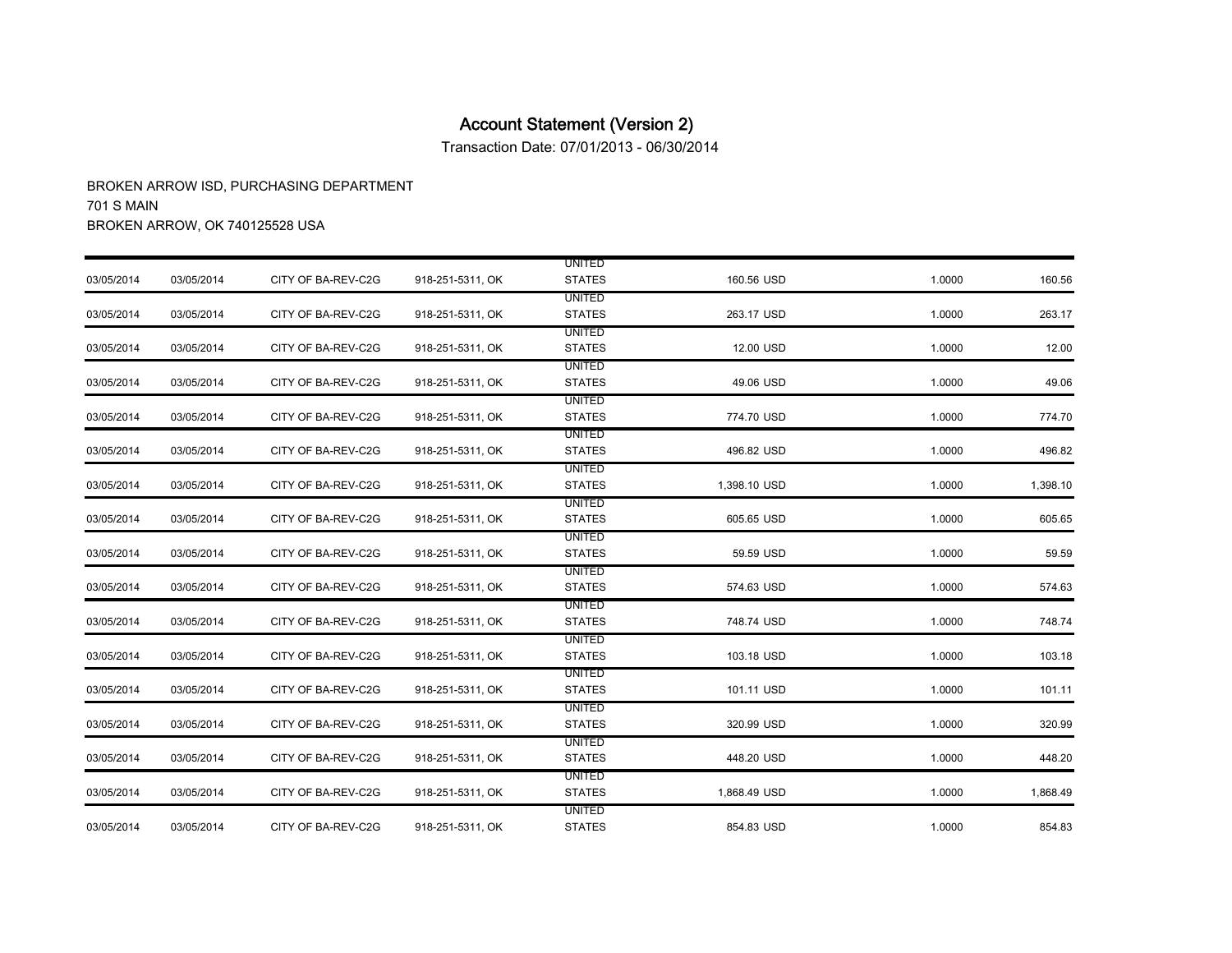Transaction Date: 07/01/2013 - 06/30/2014

|            |            |                    |                  | <b>UNITED</b> |              |        |          |
|------------|------------|--------------------|------------------|---------------|--------------|--------|----------|
| 03/05/2014 | 03/05/2014 | CITY OF BA-REV-C2G | 918-251-5311, OK | <b>STATES</b> | 160.56 USD   | 1.0000 | 160.56   |
|            |            |                    |                  | <b>UNITED</b> |              |        |          |
| 03/05/2014 | 03/05/2014 | CITY OF BA-REV-C2G | 918-251-5311, OK | <b>STATES</b> | 263.17 USD   | 1.0000 | 263.17   |
|            |            |                    |                  | <b>UNITED</b> |              |        |          |
| 03/05/2014 | 03/05/2014 | CITY OF BA-REV-C2G | 918-251-5311, OK | <b>STATES</b> | 12.00 USD    | 1.0000 | 12.00    |
|            |            |                    |                  | <b>UNITED</b> |              |        |          |
| 03/05/2014 | 03/05/2014 | CITY OF BA-REV-C2G | 918-251-5311, OK | <b>STATES</b> | 49.06 USD    | 1.0000 | 49.06    |
|            |            |                    |                  | <b>UNITED</b> |              |        |          |
| 03/05/2014 | 03/05/2014 | CITY OF BA-REV-C2G | 918-251-5311, OK | <b>STATES</b> | 774.70 USD   | 1.0000 | 774.70   |
|            |            |                    |                  | <b>UNITED</b> |              |        |          |
| 03/05/2014 | 03/05/2014 | CITY OF BA-REV-C2G | 918-251-5311, OK | <b>STATES</b> | 496.82 USD   | 1.0000 | 496.82   |
|            |            |                    |                  | <b>UNITED</b> |              |        |          |
| 03/05/2014 | 03/05/2014 | CITY OF BA-REV-C2G | 918-251-5311, OK | <b>STATES</b> | 1,398.10 USD | 1.0000 | 1,398.10 |
|            |            |                    |                  | <b>UNITED</b> |              |        |          |
| 03/05/2014 | 03/05/2014 | CITY OF BA-REV-C2G | 918-251-5311, OK | <b>STATES</b> | 605.65 USD   | 1.0000 | 605.65   |
|            |            |                    |                  | <b>UNITED</b> |              |        |          |
| 03/05/2014 | 03/05/2014 | CITY OF BA-REV-C2G | 918-251-5311, OK | <b>STATES</b> | 59.59 USD    | 1.0000 | 59.59    |
|            |            |                    |                  | UNITED        |              |        |          |
| 03/05/2014 | 03/05/2014 | CITY OF BA-REV-C2G | 918-251-5311, OK | <b>STATES</b> | 574.63 USD   | 1.0000 | 574.63   |
|            |            |                    |                  | UNITED        |              |        |          |
| 03/05/2014 | 03/05/2014 | CITY OF BA-REV-C2G | 918-251-5311, OK | <b>STATES</b> | 748.74 USD   | 1.0000 | 748.74   |
|            |            |                    |                  | <b>UNITED</b> |              |        |          |
| 03/05/2014 | 03/05/2014 | CITY OF BA-REV-C2G | 918-251-5311, OK | <b>STATES</b> | 103.18 USD   | 1.0000 | 103.18   |
|            |            |                    |                  | <b>UNITED</b> |              |        |          |
| 03/05/2014 | 03/05/2014 | CITY OF BA-REV-C2G | 918-251-5311, OK | <b>STATES</b> | 101.11 USD   | 1.0000 | 101.11   |
|            |            |                    |                  | <b>UNITED</b> |              |        |          |
| 03/05/2014 | 03/05/2014 | CITY OF BA-REV-C2G | 918-251-5311, OK | <b>STATES</b> | 320.99 USD   | 1.0000 | 320.99   |
|            |            |                    |                  | <b>UNITED</b> |              |        |          |
| 03/05/2014 | 03/05/2014 | CITY OF BA-REV-C2G | 918-251-5311, OK | <b>STATES</b> | 448.20 USD   | 1.0000 | 448.20   |
|            |            |                    |                  | UNITED        |              |        |          |
| 03/05/2014 | 03/05/2014 | CITY OF BA-REV-C2G | 918-251-5311, OK | <b>STATES</b> | 1,868.49 USD | 1.0000 | 1,868.49 |
|            |            |                    |                  | <b>UNITED</b> |              |        |          |
| 03/05/2014 | 03/05/2014 | CITY OF BA-REV-C2G | 918-251-5311, OK | <b>STATES</b> | 854.83 USD   | 1.0000 | 854.83   |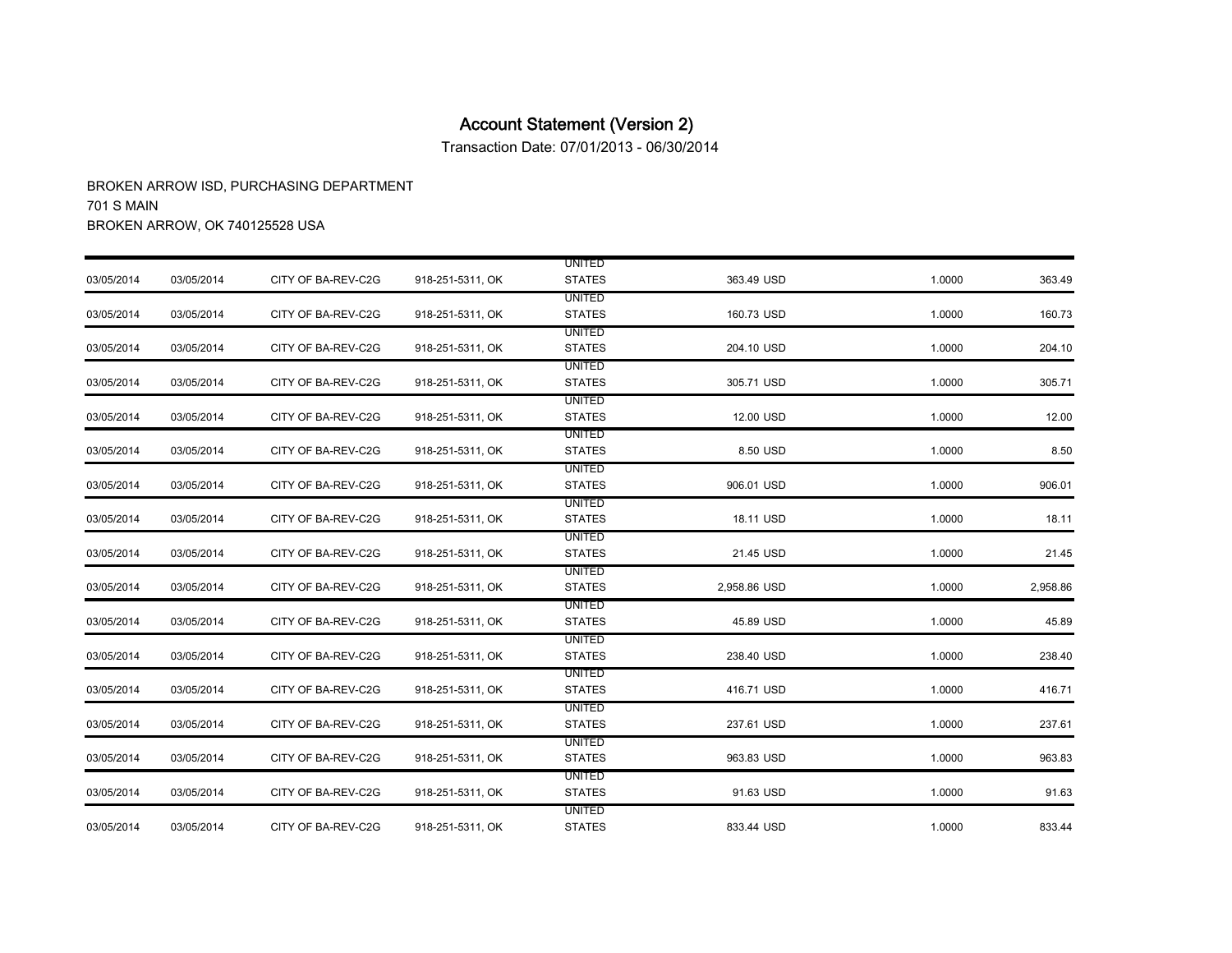Transaction Date: 07/01/2013 - 06/30/2014

|            |            |                    |                  | <b>UNITED</b> |              |        |          |
|------------|------------|--------------------|------------------|---------------|--------------|--------|----------|
| 03/05/2014 | 03/05/2014 | CITY OF BA-REV-C2G | 918-251-5311, OK | <b>STATES</b> | 363.49 USD   | 1.0000 | 363.49   |
|            |            |                    |                  | <b>UNITED</b> |              |        |          |
| 03/05/2014 | 03/05/2014 | CITY OF BA-REV-C2G | 918-251-5311, OK | <b>STATES</b> | 160.73 USD   | 1.0000 | 160.73   |
|            |            |                    |                  | <b>UNITED</b> |              |        |          |
| 03/05/2014 | 03/05/2014 | CITY OF BA-REV-C2G | 918-251-5311, OK | <b>STATES</b> | 204.10 USD   | 1.0000 | 204.10   |
|            |            |                    |                  | <b>UNITED</b> |              |        |          |
| 03/05/2014 | 03/05/2014 | CITY OF BA-REV-C2G | 918-251-5311, OK | <b>STATES</b> | 305.71 USD   | 1.0000 | 305.71   |
|            |            |                    |                  | <b>UNITED</b> |              |        |          |
| 03/05/2014 | 03/05/2014 | CITY OF BA-REV-C2G | 918-251-5311, OK | <b>STATES</b> | 12.00 USD    | 1.0000 | 12.00    |
|            |            |                    |                  | <b>UNITED</b> |              |        |          |
| 03/05/2014 | 03/05/2014 | CITY OF BA-REV-C2G | 918-251-5311, OK | <b>STATES</b> | 8.50 USD     | 1.0000 | 8.50     |
|            |            |                    |                  | <b>UNITED</b> |              |        |          |
| 03/05/2014 | 03/05/2014 | CITY OF BA-REV-C2G | 918-251-5311, OK | <b>STATES</b> | 906.01 USD   | 1.0000 | 906.01   |
|            |            |                    |                  | UNITED        |              |        |          |
| 03/05/2014 | 03/05/2014 | CITY OF BA-REV-C2G | 918-251-5311, OK | <b>STATES</b> | 18.11 USD    | 1.0000 | 18.11    |
|            |            |                    |                  | <b>UNITED</b> |              |        |          |
| 03/05/2014 | 03/05/2014 | CITY OF BA-REV-C2G | 918-251-5311, OK | <b>STATES</b> | 21.45 USD    | 1.0000 | 21.45    |
|            |            |                    |                  | <b>UNITED</b> |              |        |          |
| 03/05/2014 | 03/05/2014 | CITY OF BA-REV-C2G | 918-251-5311, OK | <b>STATES</b> | 2,958.86 USD | 1.0000 | 2,958.86 |
|            |            |                    |                  | <b>UNITED</b> |              |        |          |
| 03/05/2014 | 03/05/2014 | CITY OF BA-REV-C2G | 918-251-5311, OK | <b>STATES</b> | 45.89 USD    | 1.0000 | 45.89    |
|            |            |                    |                  | <b>UNITED</b> |              |        |          |
| 03/05/2014 | 03/05/2014 | CITY OF BA-REV-C2G | 918-251-5311, OK | <b>STATES</b> | 238.40 USD   | 1.0000 | 238.40   |
|            |            |                    |                  | <b>UNITED</b> |              |        |          |
| 03/05/2014 | 03/05/2014 | CITY OF BA-REV-C2G | 918-251-5311, OK | <b>STATES</b> | 416.71 USD   | 1.0000 | 416.71   |
|            |            |                    |                  | <b>UNITED</b> |              |        |          |
| 03/05/2014 | 03/05/2014 | CITY OF BA-REV-C2G | 918-251-5311, OK | <b>STATES</b> | 237.61 USD   | 1.0000 | 237.61   |
|            |            |                    |                  | <b>UNITED</b> |              |        |          |
| 03/05/2014 | 03/05/2014 | CITY OF BA-REV-C2G | 918-251-5311, OK | <b>STATES</b> | 963.83 USD   | 1.0000 | 963.83   |
|            |            |                    |                  | <b>UNITED</b> |              |        |          |
| 03/05/2014 | 03/05/2014 | CITY OF BA-REV-C2G | 918-251-5311, OK | <b>STATES</b> | 91.63 USD    | 1.0000 | 91.63    |
|            |            |                    |                  | <b>UNITED</b> |              |        |          |
| 03/05/2014 | 03/05/2014 | CITY OF BA-REV-C2G | 918-251-5311, OK | <b>STATES</b> | 833.44 USD   | 1.0000 | 833.44   |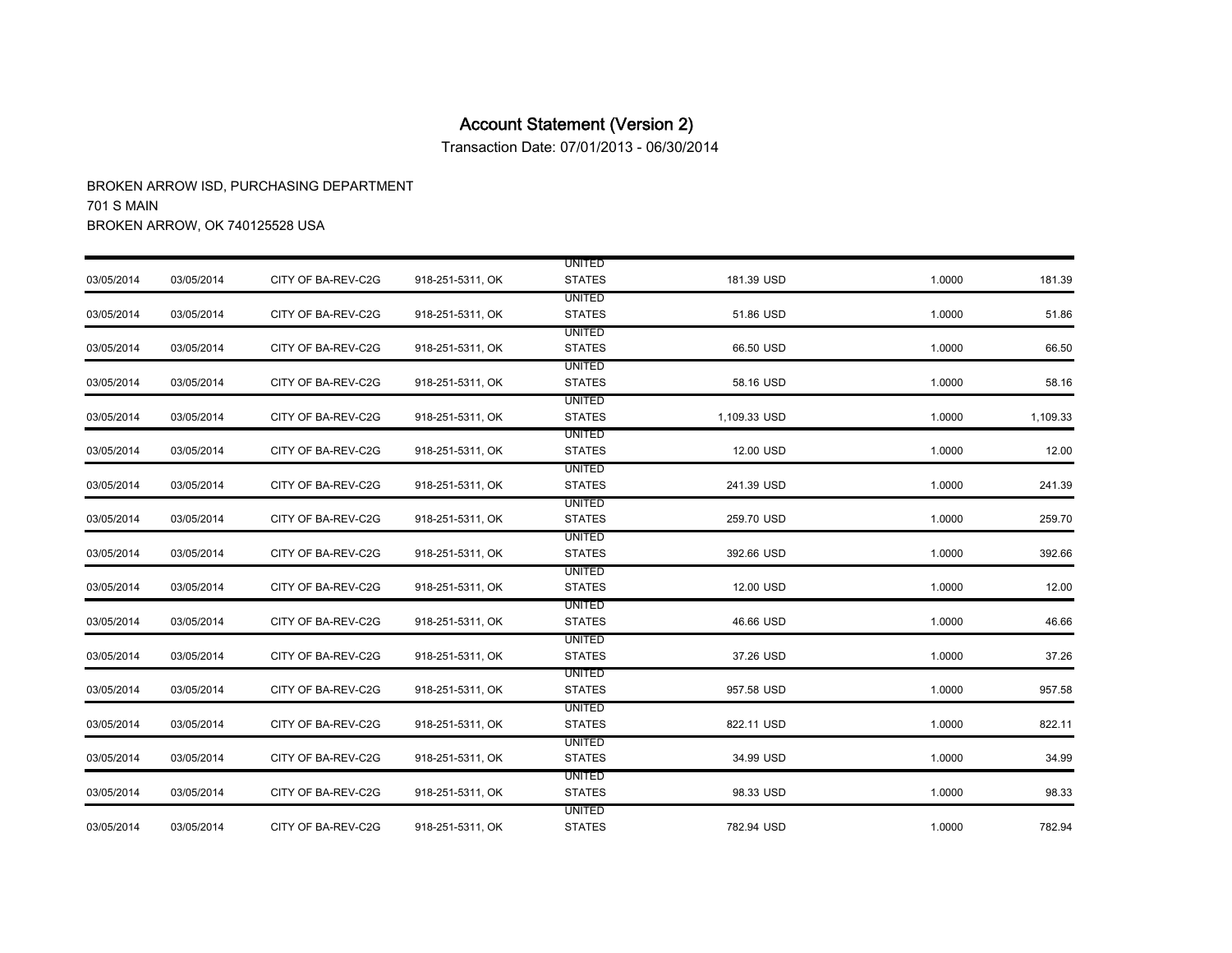Transaction Date: 07/01/2013 - 06/30/2014

|            |            |                    |                  | <b>UNITED</b> |              |        |          |
|------------|------------|--------------------|------------------|---------------|--------------|--------|----------|
| 03/05/2014 | 03/05/2014 | CITY OF BA-REV-C2G | 918-251-5311, OK | <b>STATES</b> | 181.39 USD   | 1.0000 | 181.39   |
|            |            |                    |                  | <b>UNITED</b> |              |        |          |
| 03/05/2014 | 03/05/2014 | CITY OF BA-REV-C2G | 918-251-5311, OK | <b>STATES</b> | 51.86 USD    | 1.0000 | 51.86    |
|            |            |                    |                  | <b>UNITED</b> |              |        |          |
| 03/05/2014 | 03/05/2014 | CITY OF BA-REV-C2G | 918-251-5311, OK | <b>STATES</b> | 66.50 USD    | 1.0000 | 66.50    |
|            |            |                    |                  | <b>UNITED</b> |              |        |          |
| 03/05/2014 | 03/05/2014 | CITY OF BA-REV-C2G | 918-251-5311, OK | <b>STATES</b> | 58.16 USD    | 1.0000 | 58.16    |
|            |            |                    |                  | <b>UNITED</b> |              |        |          |
| 03/05/2014 | 03/05/2014 | CITY OF BA-REV-C2G | 918-251-5311, OK | <b>STATES</b> | 1,109.33 USD | 1.0000 | 1,109.33 |
|            |            |                    |                  | <b>UNITED</b> |              |        |          |
| 03/05/2014 | 03/05/2014 | CITY OF BA-REV-C2G | 918-251-5311, OK | <b>STATES</b> | 12.00 USD    | 1.0000 | 12.00    |
|            |            |                    |                  | <b>UNITED</b> |              |        |          |
| 03/05/2014 | 03/05/2014 | CITY OF BA-REV-C2G | 918-251-5311, OK | <b>STATES</b> | 241.39 USD   | 1.0000 | 241.39   |
|            |            |                    |                  | <b>UNITED</b> |              |        |          |
| 03/05/2014 | 03/05/2014 | CITY OF BA-REV-C2G | 918-251-5311, OK | <b>STATES</b> | 259.70 USD   | 1.0000 | 259.70   |
|            |            |                    |                  | <b>UNITED</b> |              |        |          |
| 03/05/2014 | 03/05/2014 | CITY OF BA-REV-C2G | 918-251-5311, OK | <b>STATES</b> | 392.66 USD   | 1.0000 | 392.66   |
|            |            |                    |                  | <b>UNITED</b> |              |        |          |
| 03/05/2014 | 03/05/2014 | CITY OF BA-REV-C2G | 918-251-5311, OK | <b>STATES</b> | 12.00 USD    | 1.0000 | 12.00    |
|            |            |                    |                  | <b>UNITED</b> |              |        |          |
| 03/05/2014 | 03/05/2014 | CITY OF BA-REV-C2G | 918-251-5311, OK | <b>STATES</b> | 46.66 USD    | 1.0000 | 46.66    |
|            |            |                    |                  | <b>UNITED</b> |              |        |          |
| 03/05/2014 | 03/05/2014 | CITY OF BA-REV-C2G | 918-251-5311, OK | <b>STATES</b> | 37.26 USD    | 1.0000 | 37.26    |
|            |            |                    |                  | <b>UNITED</b> |              |        |          |
| 03/05/2014 | 03/05/2014 | CITY OF BA-REV-C2G | 918-251-5311, OK | <b>STATES</b> | 957.58 USD   | 1.0000 | 957.58   |
|            |            |                    |                  | <b>UNITED</b> |              |        |          |
| 03/05/2014 | 03/05/2014 | CITY OF BA-REV-C2G | 918-251-5311, OK | <b>STATES</b> | 822.11 USD   | 1.0000 | 822.11   |
|            |            |                    |                  | <b>UNITED</b> |              |        |          |
| 03/05/2014 | 03/05/2014 | CITY OF BA-REV-C2G | 918-251-5311, OK | <b>STATES</b> | 34.99 USD    | 1.0000 | 34.99    |
|            |            |                    |                  | <b>UNITED</b> |              |        |          |
| 03/05/2014 | 03/05/2014 | CITY OF BA-REV-C2G | 918-251-5311, OK | <b>STATES</b> | 98.33 USD    | 1.0000 | 98.33    |
|            |            |                    |                  | <b>UNITED</b> |              |        |          |
| 03/05/2014 | 03/05/2014 | CITY OF BA-REV-C2G | 918-251-5311, OK | <b>STATES</b> | 782.94 USD   | 1.0000 | 782.94   |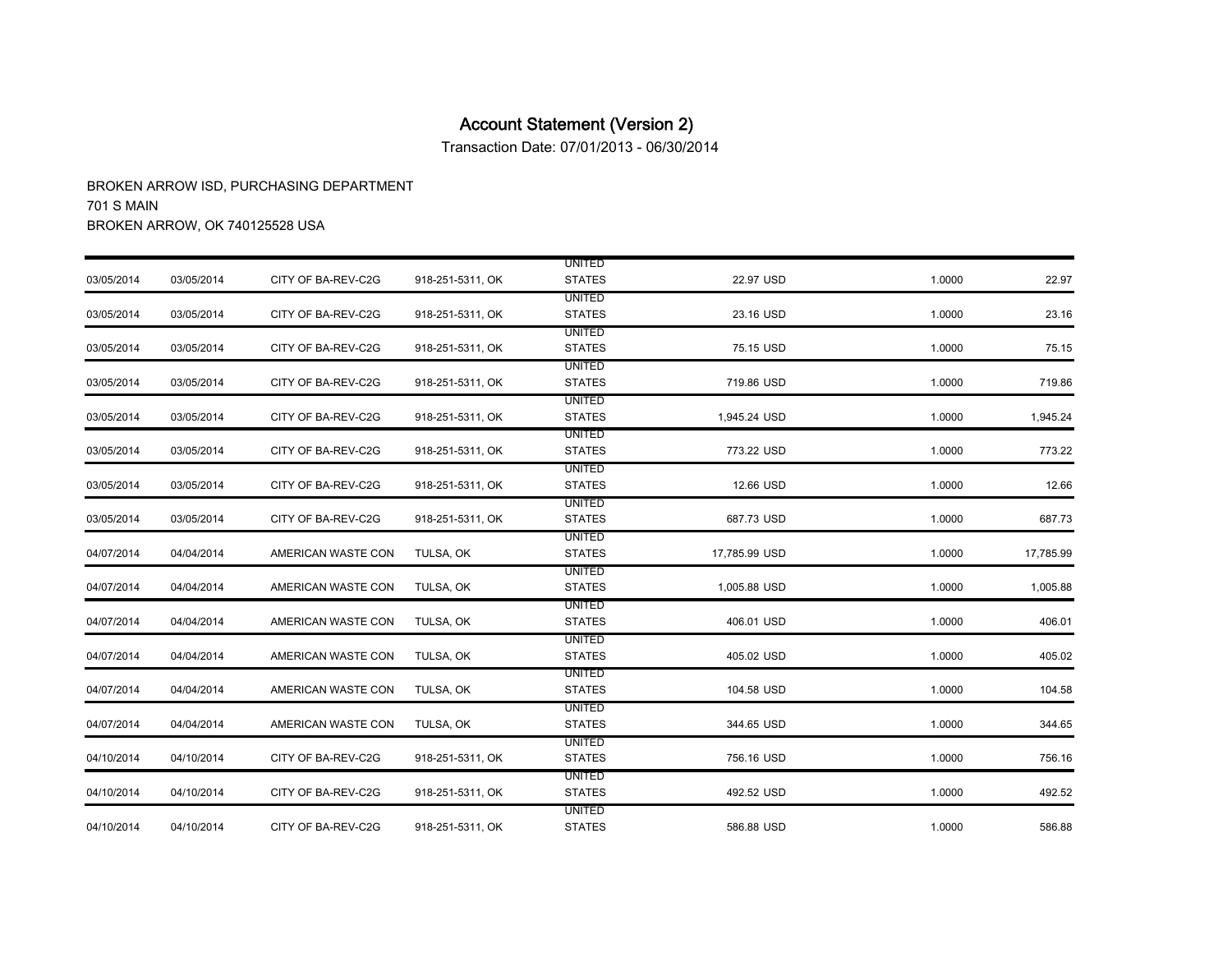Transaction Date: 07/01/2013 - 06/30/2014

|            |            |                    |                  | <b>UNITED</b> |               |        |           |
|------------|------------|--------------------|------------------|---------------|---------------|--------|-----------|
| 03/05/2014 | 03/05/2014 | CITY OF BA-REV-C2G | 918-251-5311, OK | <b>STATES</b> | 22.97 USD     | 1.0000 | 22.97     |
|            |            |                    |                  | <b>UNITED</b> |               |        |           |
| 03/05/2014 | 03/05/2014 | CITY OF BA-REV-C2G | 918-251-5311, OK | <b>STATES</b> | 23.16 USD     | 1.0000 | 23.16     |
|            |            |                    |                  | <b>UNITED</b> |               |        |           |
| 03/05/2014 | 03/05/2014 | CITY OF BA-REV-C2G | 918-251-5311, OK | <b>STATES</b> | 75.15 USD     | 1.0000 | 75.15     |
|            |            |                    |                  | <b>UNITED</b> |               |        |           |
| 03/05/2014 | 03/05/2014 | CITY OF BA-REV-C2G | 918-251-5311, OK | <b>STATES</b> | 719.86 USD    | 1.0000 | 719.86    |
|            |            |                    |                  | <b>UNITED</b> |               |        |           |
| 03/05/2014 | 03/05/2014 | CITY OF BA-REV-C2G | 918-251-5311, OK | <b>STATES</b> | 1,945.24 USD  | 1.0000 | 1,945.24  |
|            |            |                    |                  | <b>UNITED</b> |               |        |           |
| 03/05/2014 | 03/05/2014 | CITY OF BA-REV-C2G | 918-251-5311, OK | <b>STATES</b> | 773.22 USD    | 1.0000 | 773.22    |
|            |            |                    |                  | <b>UNITED</b> |               |        |           |
| 03/05/2014 | 03/05/2014 | CITY OF BA-REV-C2G | 918-251-5311, OK | <b>STATES</b> | 12.66 USD     | 1.0000 | 12.66     |
|            |            |                    |                  | <b>UNITED</b> |               |        |           |
| 03/05/2014 | 03/05/2014 | CITY OF BA-REV-C2G | 918-251-5311, OK | <b>STATES</b> | 687.73 USD    | 1.0000 | 687.73    |
|            |            |                    |                  | <b>UNITED</b> |               |        |           |
| 04/07/2014 | 04/04/2014 | AMERICAN WASTE CON | TULSA, OK        | <b>STATES</b> | 17,785.99 USD | 1.0000 | 17,785.99 |
|            |            |                    |                  | <b>UNITED</b> |               |        |           |
| 04/07/2014 | 04/04/2014 | AMERICAN WASTE CON | TULSA, OK        | <b>STATES</b> | 1,005.88 USD  | 1.0000 | 1,005.88  |
|            |            |                    |                  | <b>UNITED</b> |               |        |           |
| 04/07/2014 | 04/04/2014 | AMERICAN WASTE CON | TULSA, OK        | <b>STATES</b> | 406.01 USD    | 1.0000 | 406.01    |
|            |            |                    |                  | UNITED        |               |        |           |
| 04/07/2014 | 04/04/2014 | AMERICAN WASTE CON | TULSA, OK        | <b>STATES</b> | 405.02 USD    | 1.0000 | 405.02    |
|            |            |                    |                  | <b>UNITED</b> |               |        |           |
| 04/07/2014 | 04/04/2014 | AMERICAN WASTE CON | TULSA, OK        | <b>STATES</b> | 104.58 USD    | 1.0000 | 104.58    |
|            |            |                    |                  | <b>UNITED</b> |               |        |           |
| 04/07/2014 | 04/04/2014 | AMERICAN WASTE CON | TULSA, OK        | <b>STATES</b> | 344.65 USD    | 1.0000 | 344.65    |
|            |            |                    |                  | <b>UNITED</b> |               |        |           |
| 04/10/2014 | 04/10/2014 | CITY OF BA-REV-C2G | 918-251-5311, OK | <b>STATES</b> | 756.16 USD    | 1.0000 | 756.16    |
|            |            |                    |                  | UNITED        |               |        |           |
| 04/10/2014 | 04/10/2014 | CITY OF BA-REV-C2G | 918-251-5311, OK | <b>STATES</b> | 492.52 USD    | 1.0000 | 492.52    |
|            |            |                    |                  | <b>UNITED</b> |               |        |           |
| 04/10/2014 | 04/10/2014 | CITY OF BA-REV-C2G | 918-251-5311, OK | <b>STATES</b> | 586.88 USD    | 1.0000 | 586.88    |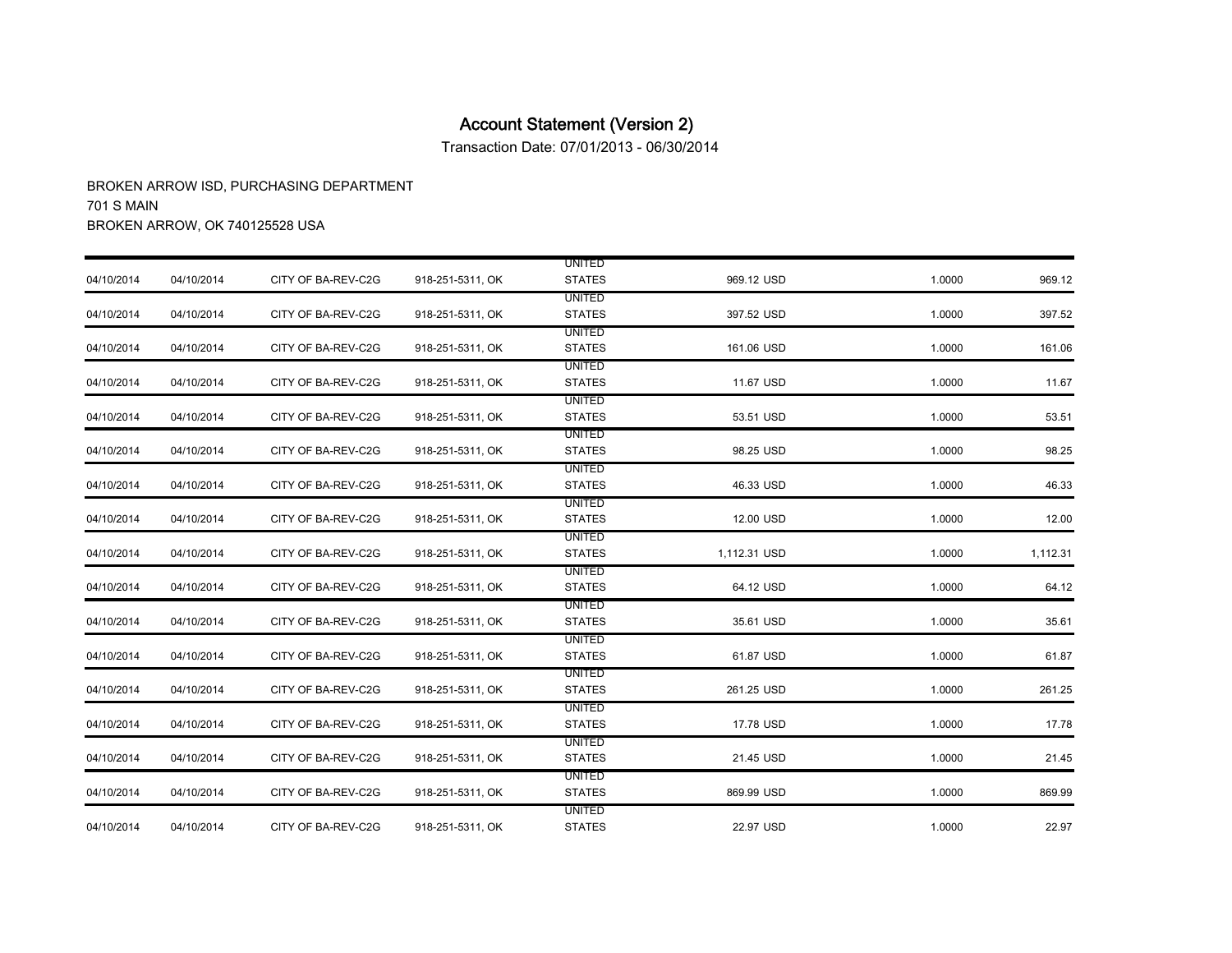Transaction Date: 07/01/2013 - 06/30/2014

|            |            |                    |                  | <b>UNITED</b> |              |        |          |
|------------|------------|--------------------|------------------|---------------|--------------|--------|----------|
| 04/10/2014 | 04/10/2014 | CITY OF BA-REV-C2G | 918-251-5311, OK | <b>STATES</b> | 969.12 USD   | 1.0000 | 969.12   |
|            |            |                    |                  | <b>UNITED</b> |              |        |          |
| 04/10/2014 | 04/10/2014 | CITY OF BA-REV-C2G | 918-251-5311, OK | <b>STATES</b> | 397.52 USD   | 1.0000 | 397.52   |
|            |            |                    |                  | <b>UNITED</b> |              |        |          |
| 04/10/2014 | 04/10/2014 | CITY OF BA-REV-C2G | 918-251-5311, OK | <b>STATES</b> | 161.06 USD   | 1.0000 | 161.06   |
|            |            |                    |                  | <b>UNITED</b> |              |        |          |
| 04/10/2014 | 04/10/2014 | CITY OF BA-REV-C2G | 918-251-5311, OK | <b>STATES</b> | 11.67 USD    | 1.0000 | 11.67    |
|            |            |                    |                  | UNITED        |              |        |          |
| 04/10/2014 | 04/10/2014 | CITY OF BA-REV-C2G | 918-251-5311, OK | <b>STATES</b> | 53.51 USD    | 1.0000 | 53.51    |
|            |            |                    |                  | <b>UNITED</b> |              |        |          |
| 04/10/2014 | 04/10/2014 | CITY OF BA-REV-C2G | 918-251-5311, OK | <b>STATES</b> | 98.25 USD    | 1.0000 | 98.25    |
|            |            |                    |                  | <b>UNITED</b> |              |        |          |
| 04/10/2014 | 04/10/2014 | CITY OF BA-REV-C2G | 918-251-5311, OK | <b>STATES</b> | 46.33 USD    | 1.0000 | 46.33    |
|            |            |                    |                  | <b>UNITED</b> |              |        |          |
| 04/10/2014 | 04/10/2014 | CITY OF BA-REV-C2G | 918-251-5311, OK | <b>STATES</b> | 12.00 USD    | 1.0000 | 12.00    |
|            |            |                    |                  | <b>UNITED</b> |              |        |          |
| 04/10/2014 | 04/10/2014 | CITY OF BA-REV-C2G | 918-251-5311, OK | <b>STATES</b> | 1,112.31 USD | 1.0000 | 1,112.31 |
|            |            |                    |                  | <b>UNITED</b> |              |        |          |
| 04/10/2014 | 04/10/2014 | CITY OF BA-REV-C2G | 918-251-5311, OK | <b>STATES</b> | 64.12 USD    | 1.0000 | 64.12    |
|            |            |                    |                  | UNITED        |              |        |          |
| 04/10/2014 | 04/10/2014 | CITY OF BA-REV-C2G | 918-251-5311, OK | <b>STATES</b> | 35.61 USD    | 1.0000 | 35.61    |
|            |            |                    |                  | <b>UNITED</b> |              |        |          |
| 04/10/2014 | 04/10/2014 | CITY OF BA-REV-C2G | 918-251-5311, OK | <b>STATES</b> | 61.87 USD    | 1.0000 | 61.87    |
|            |            |                    |                  | <b>UNITED</b> |              |        |          |
| 04/10/2014 | 04/10/2014 | CITY OF BA-REV-C2G | 918-251-5311, OK | <b>STATES</b> | 261.25 USD   | 1.0000 | 261.25   |
|            |            |                    |                  | <b>UNITED</b> |              |        |          |
| 04/10/2014 | 04/10/2014 | CITY OF BA-REV-C2G | 918-251-5311, OK | <b>STATES</b> | 17.78 USD    | 1.0000 | 17.78    |
|            |            |                    |                  | <b>UNITED</b> |              |        |          |
| 04/10/2014 | 04/10/2014 | CITY OF BA-REV-C2G | 918-251-5311, OK | <b>STATES</b> | 21.45 USD    | 1.0000 | 21.45    |
|            |            |                    |                  | <b>UNITED</b> |              |        |          |
| 04/10/2014 | 04/10/2014 | CITY OF BA-REV-C2G | 918-251-5311, OK | <b>STATES</b> | 869.99 USD   | 1.0000 | 869.99   |
|            |            |                    |                  | <b>UNITED</b> |              |        |          |
| 04/10/2014 | 04/10/2014 | CITY OF BA-REV-C2G | 918-251-5311, OK | <b>STATES</b> | 22.97 USD    | 1.0000 | 22.97    |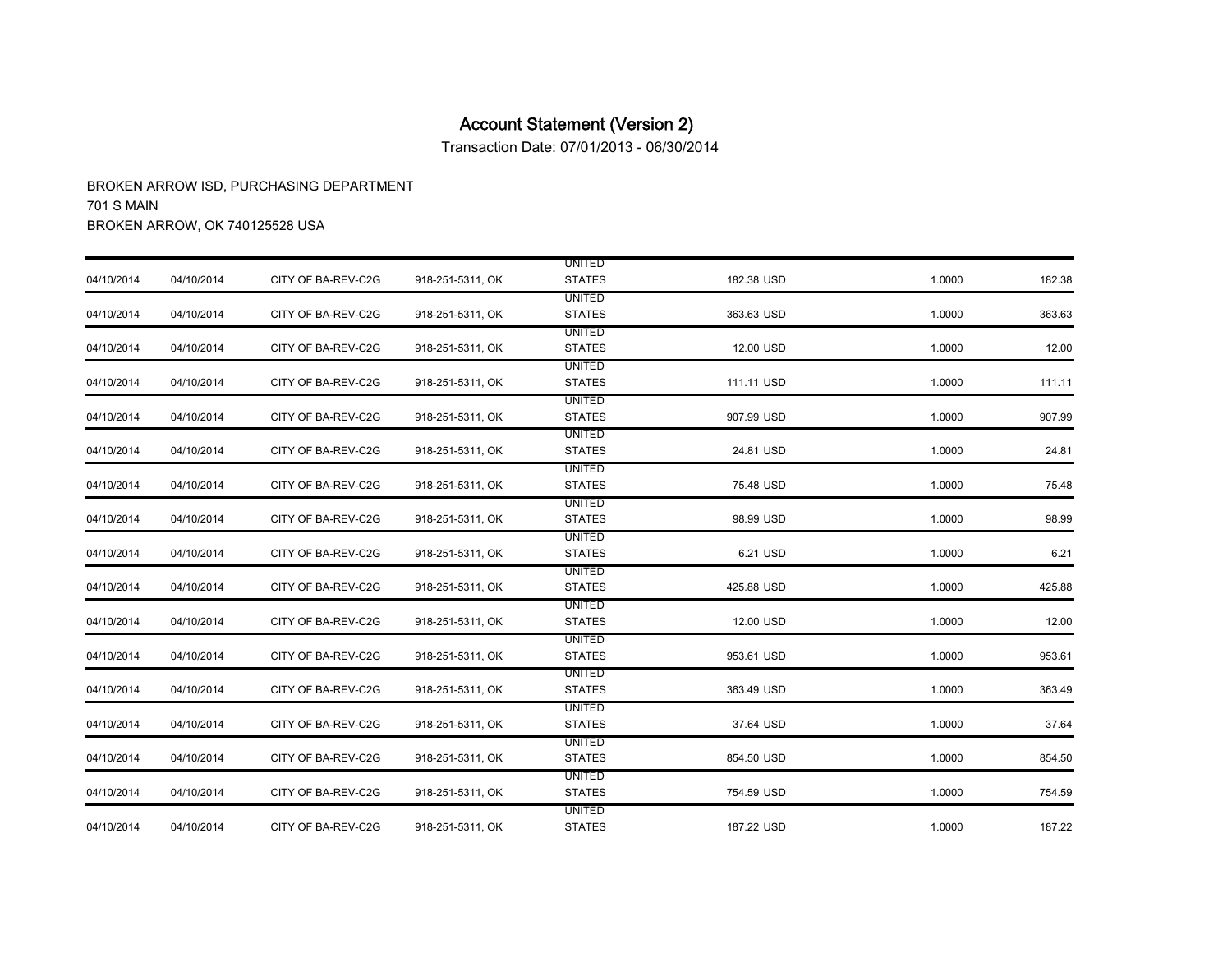Transaction Date: 07/01/2013 - 06/30/2014

|            |            |                    |                  | <b>UNITED</b> |            |        |        |
|------------|------------|--------------------|------------------|---------------|------------|--------|--------|
| 04/10/2014 | 04/10/2014 | CITY OF BA-REV-C2G | 918-251-5311, OK | <b>STATES</b> | 182.38 USD | 1.0000 | 182.38 |
|            |            |                    |                  | <b>UNITED</b> |            |        |        |
| 04/10/2014 | 04/10/2014 | CITY OF BA-REV-C2G | 918-251-5311, OK | <b>STATES</b> | 363.63 USD | 1.0000 | 363.63 |
|            |            |                    |                  | <b>UNITED</b> |            |        |        |
| 04/10/2014 | 04/10/2014 | CITY OF BA-REV-C2G | 918-251-5311, OK | <b>STATES</b> | 12.00 USD  | 1.0000 | 12.00  |
|            |            |                    |                  | <b>UNITED</b> |            |        |        |
| 04/10/2014 | 04/10/2014 | CITY OF BA-REV-C2G | 918-251-5311, OK | <b>STATES</b> | 111.11 USD | 1.0000 | 111.11 |
|            |            |                    |                  | <b>UNITED</b> |            |        |        |
| 04/10/2014 | 04/10/2014 | CITY OF BA-REV-C2G | 918-251-5311, OK | <b>STATES</b> | 907.99 USD | 1.0000 | 907.99 |
|            |            |                    |                  | <b>UNITED</b> |            |        |        |
| 04/10/2014 | 04/10/2014 | CITY OF BA-REV-C2G | 918-251-5311, OK | <b>STATES</b> | 24.81 USD  | 1.0000 | 24.81  |
|            |            |                    |                  | <b>UNITED</b> |            |        |        |
| 04/10/2014 | 04/10/2014 | CITY OF BA-REV-C2G | 918-251-5311, OK | <b>STATES</b> | 75.48 USD  | 1.0000 | 75.48  |
|            |            |                    |                  | UNITED        |            |        |        |
| 04/10/2014 | 04/10/2014 | CITY OF BA-REV-C2G | 918-251-5311, OK | <b>STATES</b> | 98.99 USD  | 1.0000 | 98.99  |
|            |            |                    |                  | <b>UNITED</b> |            |        |        |
| 04/10/2014 | 04/10/2014 | CITY OF BA-REV-C2G | 918-251-5311, OK | <b>STATES</b> | 6.21 USD   | 1.0000 | 6.21   |
|            |            |                    |                  | <b>UNITED</b> |            |        |        |
| 04/10/2014 | 04/10/2014 | CITY OF BA-REV-C2G | 918-251-5311, OK | <b>STATES</b> | 425.88 USD | 1.0000 | 425.88 |
|            |            |                    |                  | UNITED        |            |        |        |
| 04/10/2014 | 04/10/2014 | CITY OF BA-REV-C2G | 918-251-5311, OK | <b>STATES</b> | 12.00 USD  | 1.0000 | 12.00  |
|            |            |                    |                  | UNITED        |            |        |        |
| 04/10/2014 | 04/10/2014 | CITY OF BA-REV-C2G | 918-251-5311, OK | <b>STATES</b> | 953.61 USD | 1.0000 | 953.61 |
|            |            |                    |                  | <b>UNITED</b> |            |        |        |
| 04/10/2014 | 04/10/2014 | CITY OF BA-REV-C2G | 918-251-5311, OK | <b>STATES</b> | 363.49 USD | 1.0000 | 363.49 |
|            |            |                    |                  | <b>UNITED</b> |            |        |        |
| 04/10/2014 | 04/10/2014 | CITY OF BA-REV-C2G | 918-251-5311, OK | <b>STATES</b> | 37.64 USD  | 1.0000 | 37.64  |
|            |            |                    |                  | <b>UNITED</b> |            |        |        |
| 04/10/2014 | 04/10/2014 | CITY OF BA-REV-C2G | 918-251-5311, OK | <b>STATES</b> | 854.50 USD | 1.0000 | 854.50 |
|            |            |                    |                  | <b>UNITED</b> |            |        |        |
| 04/10/2014 | 04/10/2014 | CITY OF BA-REV-C2G | 918-251-5311, OK | <b>STATES</b> | 754.59 USD | 1.0000 | 754.59 |
|            |            |                    |                  | <b>UNITED</b> |            |        |        |
| 04/10/2014 | 04/10/2014 | CITY OF BA-REV-C2G | 918-251-5311, OK | <b>STATES</b> | 187.22 USD | 1.0000 | 187.22 |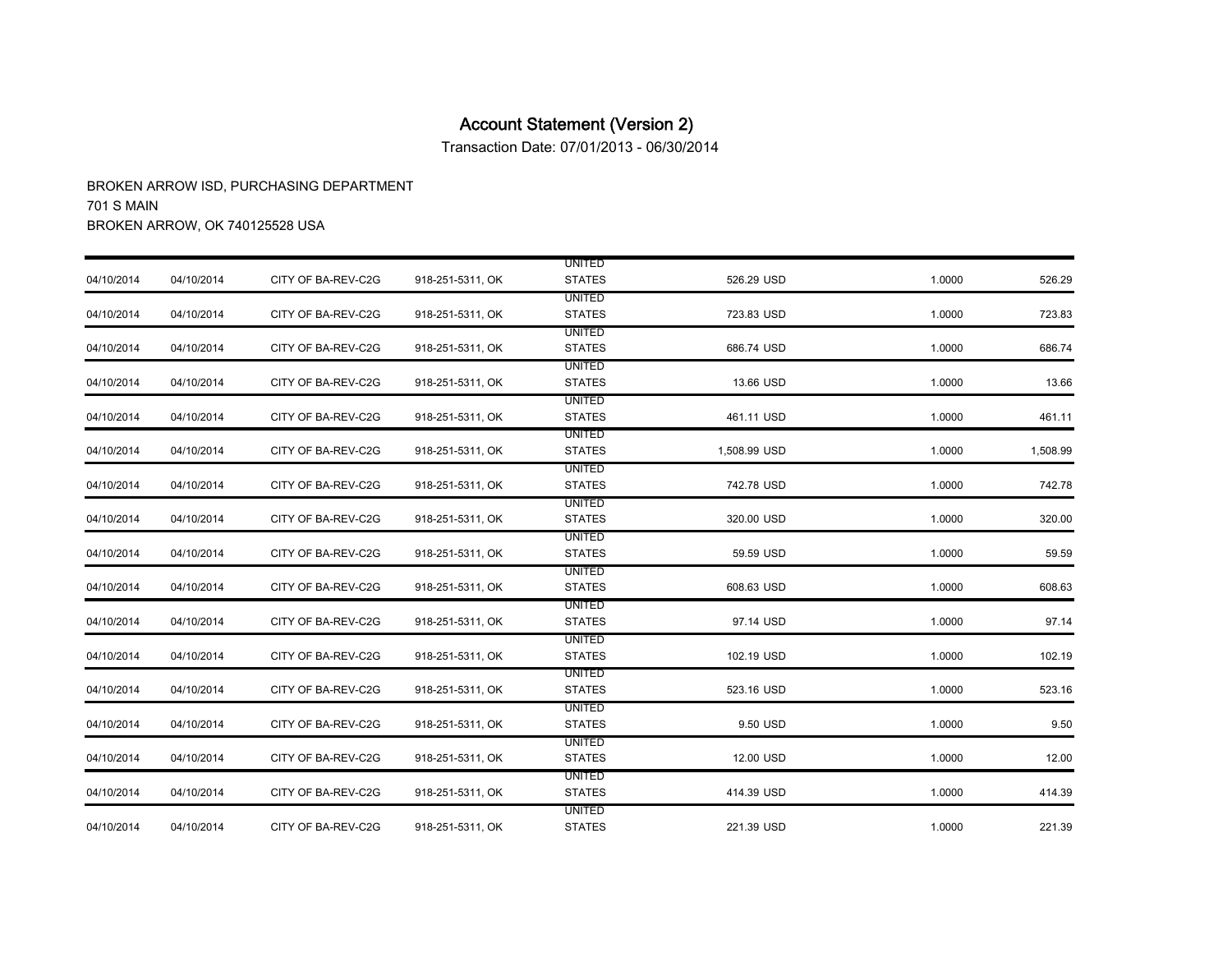Transaction Date: 07/01/2013 - 06/30/2014

|            |            |                    |                  | <b>UNITED</b> |              |        |          |
|------------|------------|--------------------|------------------|---------------|--------------|--------|----------|
| 04/10/2014 | 04/10/2014 | CITY OF BA-REV-C2G | 918-251-5311, OK | <b>STATES</b> | 526.29 USD   | 1.0000 | 526.29   |
|            |            |                    |                  | <b>UNITED</b> |              |        |          |
| 04/10/2014 | 04/10/2014 | CITY OF BA-REV-C2G | 918-251-5311, OK | <b>STATES</b> | 723.83 USD   | 1.0000 | 723.83   |
|            |            |                    |                  | <b>UNITED</b> |              |        |          |
| 04/10/2014 | 04/10/2014 | CITY OF BA-REV-C2G | 918-251-5311, OK | <b>STATES</b> | 686.74 USD   | 1.0000 | 686.74   |
|            |            |                    |                  | <b>UNITED</b> |              |        |          |
| 04/10/2014 | 04/10/2014 | CITY OF BA-REV-C2G | 918-251-5311, OK | <b>STATES</b> | 13.66 USD    | 1.0000 | 13.66    |
|            |            |                    |                  | <b>UNITED</b> |              |        |          |
| 04/10/2014 | 04/10/2014 | CITY OF BA-REV-C2G | 918-251-5311, OK | <b>STATES</b> | 461.11 USD   | 1.0000 | 461.11   |
|            |            |                    |                  | <b>UNITED</b> |              |        |          |
| 04/10/2014 | 04/10/2014 | CITY OF BA-REV-C2G | 918-251-5311, OK | <b>STATES</b> | 1,508.99 USD | 1.0000 | 1,508.99 |
|            |            |                    |                  | <b>UNITED</b> |              |        |          |
| 04/10/2014 | 04/10/2014 | CITY OF BA-REV-C2G | 918-251-5311, OK | <b>STATES</b> | 742.78 USD   | 1.0000 | 742.78   |
|            |            |                    |                  | UNITED        |              |        |          |
| 04/10/2014 | 04/10/2014 | CITY OF BA-REV-C2G | 918-251-5311, OK | <b>STATES</b> | 320.00 USD   | 1.0000 | 320.00   |
|            |            |                    |                  | <b>UNITED</b> |              |        |          |
| 04/10/2014 | 04/10/2014 | CITY OF BA-REV-C2G | 918-251-5311, OK | <b>STATES</b> | 59.59 USD    | 1.0000 | 59.59    |
|            |            |                    |                  | <b>UNITED</b> |              |        |          |
| 04/10/2014 | 04/10/2014 | CITY OF BA-REV-C2G | 918-251-5311, OK | <b>STATES</b> | 608.63 USD   | 1.0000 | 608.63   |
|            |            |                    |                  | UNITED        |              |        |          |
| 04/10/2014 | 04/10/2014 | CITY OF BA-REV-C2G | 918-251-5311, OK | <b>STATES</b> | 97.14 USD    | 1.0000 | 97.14    |
|            |            |                    |                  | UNITED        |              |        |          |
| 04/10/2014 | 04/10/2014 | CITY OF BA-REV-C2G | 918-251-5311, OK | <b>STATES</b> | 102.19 USD   | 1.0000 | 102.19   |
|            |            |                    |                  | <b>UNITED</b> |              |        |          |
| 04/10/2014 | 04/10/2014 | CITY OF BA-REV-C2G | 918-251-5311, OK | <b>STATES</b> | 523.16 USD   | 1.0000 | 523.16   |
|            |            |                    |                  | <b>UNITED</b> |              |        |          |
| 04/10/2014 | 04/10/2014 | CITY OF BA-REV-C2G | 918-251-5311, OK | <b>STATES</b> | 9.50 USD     | 1.0000 | 9.50     |
|            |            |                    |                  | <b>UNITED</b> |              |        |          |
| 04/10/2014 | 04/10/2014 | CITY OF BA-REV-C2G | 918-251-5311, OK | <b>STATES</b> | 12.00 USD    | 1.0000 | 12.00    |
|            |            |                    |                  | <b>UNITED</b> |              |        |          |
| 04/10/2014 | 04/10/2014 | CITY OF BA-REV-C2G | 918-251-5311, OK | <b>STATES</b> | 414.39 USD   | 1.0000 | 414.39   |
|            |            |                    |                  | <b>UNITED</b> |              |        |          |
| 04/10/2014 | 04/10/2014 | CITY OF BA-REV-C2G | 918-251-5311, OK | <b>STATES</b> | 221.39 USD   | 1.0000 | 221.39   |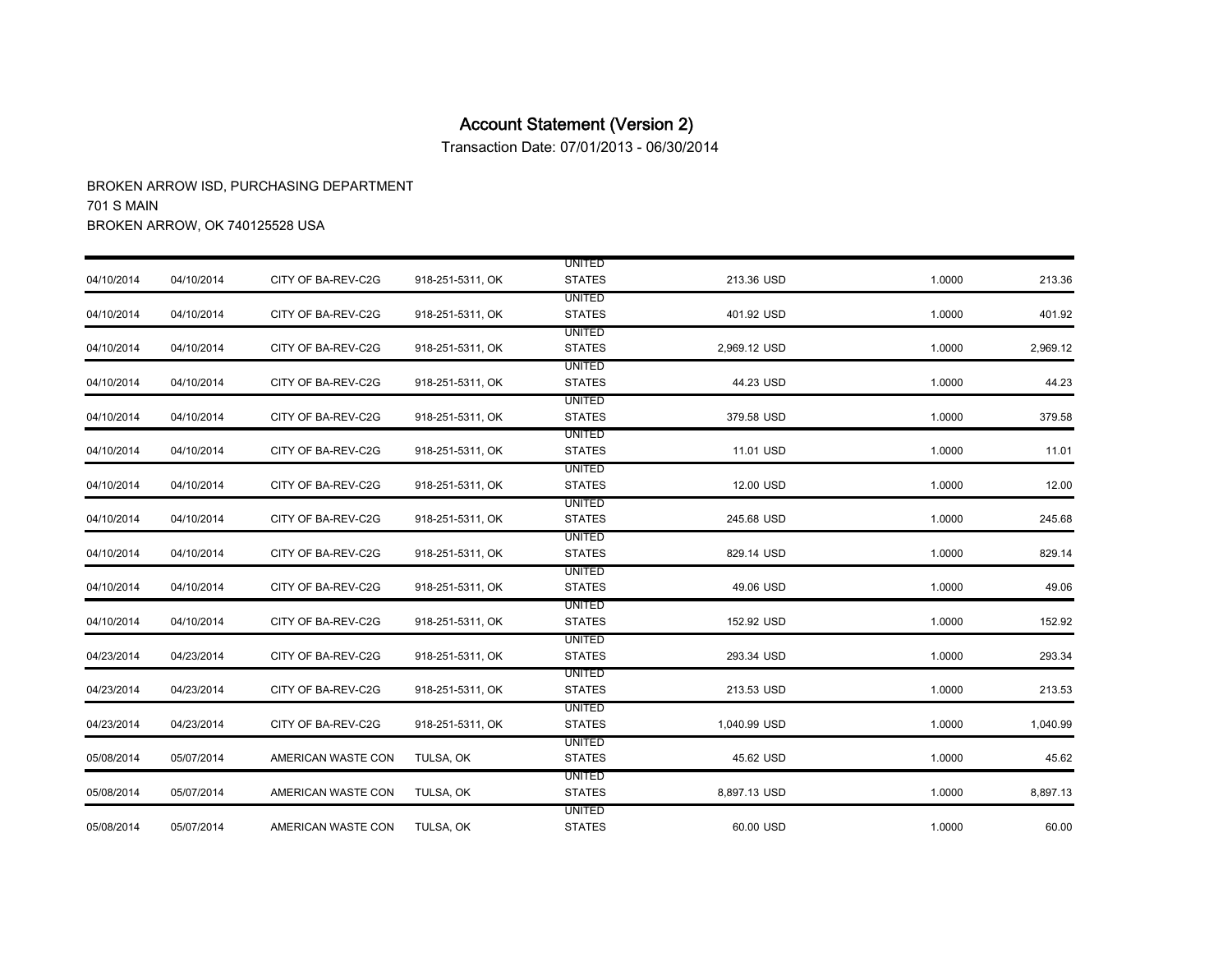Transaction Date: 07/01/2013 - 06/30/2014

|            |            |                    |                  | <b>UNITED</b> |              |        |          |
|------------|------------|--------------------|------------------|---------------|--------------|--------|----------|
| 04/10/2014 | 04/10/2014 | CITY OF BA-REV-C2G | 918-251-5311, OK | <b>STATES</b> | 213.36 USD   | 1.0000 | 213.36   |
|            |            |                    |                  | <b>UNITED</b> |              |        |          |
| 04/10/2014 | 04/10/2014 | CITY OF BA-REV-C2G | 918-251-5311, OK | <b>STATES</b> | 401.92 USD   | 1.0000 | 401.92   |
|            |            |                    |                  | <b>UNITED</b> |              |        |          |
| 04/10/2014 | 04/10/2014 | CITY OF BA-REV-C2G | 918-251-5311, OK | <b>STATES</b> | 2,969.12 USD | 1.0000 | 2,969.12 |
|            |            |                    |                  | <b>UNITED</b> |              |        |          |
| 04/10/2014 | 04/10/2014 | CITY OF BA-REV-C2G | 918-251-5311, OK | <b>STATES</b> | 44.23 USD    | 1.0000 | 44.23    |
|            |            |                    |                  | <b>UNITED</b> |              |        |          |
| 04/10/2014 | 04/10/2014 | CITY OF BA-REV-C2G | 918-251-5311, OK | <b>STATES</b> | 379.58 USD   | 1.0000 | 379.58   |
|            |            |                    |                  | <b>UNITED</b> |              |        |          |
| 04/10/2014 | 04/10/2014 | CITY OF BA-REV-C2G | 918-251-5311, OK | <b>STATES</b> | 11.01 USD    | 1.0000 | 11.01    |
|            |            |                    |                  | <b>UNITED</b> |              |        |          |
| 04/10/2014 | 04/10/2014 | CITY OF BA-REV-C2G | 918-251-5311, OK | <b>STATES</b> | 12.00 USD    | 1.0000 | 12.00    |
|            |            |                    |                  | UNITED        |              |        |          |
| 04/10/2014 | 04/10/2014 | CITY OF BA-REV-C2G | 918-251-5311, OK | <b>STATES</b> | 245.68 USD   | 1.0000 | 245.68   |
|            |            |                    |                  | <b>UNITED</b> |              |        |          |
| 04/10/2014 | 04/10/2014 | CITY OF BA-REV-C2G | 918-251-5311, OK | <b>STATES</b> | 829.14 USD   | 1.0000 | 829.14   |
|            |            |                    |                  | <b>UNITED</b> |              |        |          |
| 04/10/2014 | 04/10/2014 | CITY OF BA-REV-C2G | 918-251-5311, OK | <b>STATES</b> | 49.06 USD    | 1.0000 | 49.06    |
|            |            |                    |                  | UNITED        |              |        |          |
| 04/10/2014 | 04/10/2014 | CITY OF BA-REV-C2G | 918-251-5311, OK | <b>STATES</b> | 152.92 USD   | 1.0000 | 152.92   |
|            |            |                    |                  | <b>UNITED</b> |              |        |          |
| 04/23/2014 | 04/23/2014 | CITY OF BA-REV-C2G | 918-251-5311, OK | <b>STATES</b> | 293.34 USD   | 1.0000 | 293.34   |
|            |            |                    |                  | <b>UNITED</b> |              |        |          |
| 04/23/2014 | 04/23/2014 | CITY OF BA-REV-C2G | 918-251-5311, OK | <b>STATES</b> | 213.53 USD   | 1.0000 | 213.53   |
|            |            |                    |                  | <b>UNITED</b> |              |        |          |
| 04/23/2014 | 04/23/2014 | CITY OF BA-REV-C2G | 918-251-5311, OK | <b>STATES</b> | 1,040.99 USD | 1.0000 | 1,040.99 |
|            |            |                    |                  | <b>UNITED</b> |              |        |          |
| 05/08/2014 | 05/07/2014 | AMERICAN WASTE CON | TULSA, OK        | <b>STATES</b> | 45.62 USD    | 1.0000 | 45.62    |
|            |            |                    |                  | <b>UNITED</b> |              |        |          |
| 05/08/2014 | 05/07/2014 | AMERICAN WASTE CON | TULSA, OK        | <b>STATES</b> | 8,897.13 USD | 1.0000 | 8,897.13 |
|            |            |                    |                  | <b>UNITED</b> |              |        |          |
| 05/08/2014 | 05/07/2014 | AMERICAN WASTE CON | TULSA, OK        | <b>STATES</b> | 60.00 USD    | 1.0000 | 60.00    |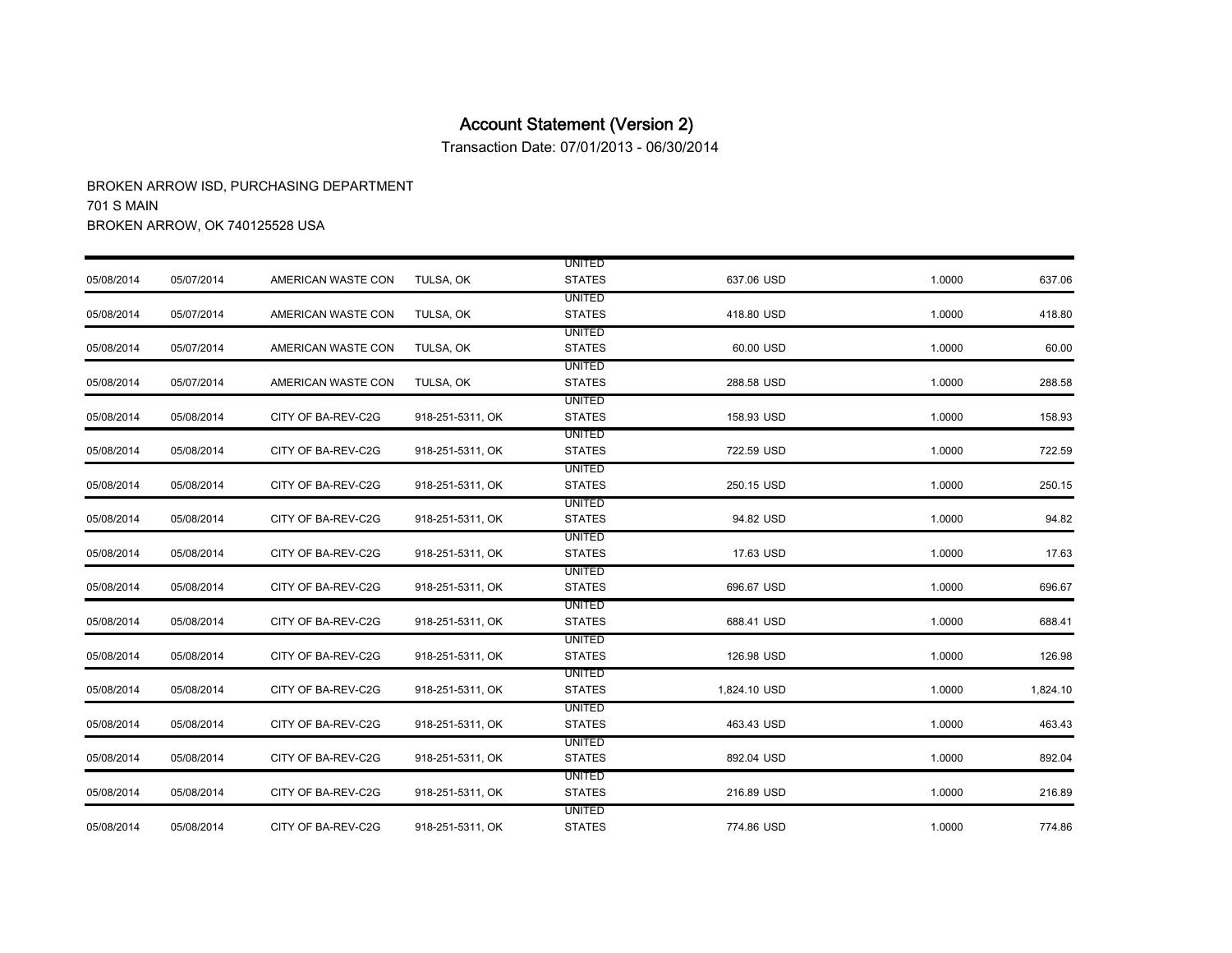Transaction Date: 07/01/2013 - 06/30/2014

|            |            |                    |                  | <b>UNITED</b> |              |        |          |
|------------|------------|--------------------|------------------|---------------|--------------|--------|----------|
| 05/08/2014 | 05/07/2014 | AMERICAN WASTE CON | TULSA, OK        | <b>STATES</b> | 637.06 USD   | 1.0000 | 637.06   |
|            |            |                    |                  | <b>UNITED</b> |              |        |          |
| 05/08/2014 | 05/07/2014 | AMERICAN WASTE CON | TULSA, OK        | <b>STATES</b> | 418.80 USD   | 1.0000 | 418.80   |
|            |            |                    |                  | <b>UNITED</b> |              |        |          |
| 05/08/2014 | 05/07/2014 | AMERICAN WASTE CON | TULSA, OK        | <b>STATES</b> | 60.00 USD    | 1.0000 | 60.00    |
|            |            |                    |                  | <b>UNITED</b> |              |        |          |
| 05/08/2014 | 05/07/2014 | AMERICAN WASTE CON | TULSA, OK        | <b>STATES</b> | 288.58 USD   | 1.0000 | 288.58   |
|            |            |                    |                  | <b>UNITED</b> |              |        |          |
| 05/08/2014 | 05/08/2014 | CITY OF BA-REV-C2G | 918-251-5311, OK | <b>STATES</b> | 158.93 USD   | 1.0000 | 158.93   |
|            |            |                    |                  | <b>UNITED</b> |              |        |          |
| 05/08/2014 | 05/08/2014 | CITY OF BA-REV-C2G | 918-251-5311, OK | <b>STATES</b> | 722.59 USD   | 1.0000 | 722.59   |
|            |            |                    |                  | <b>UNITED</b> |              |        |          |
| 05/08/2014 | 05/08/2014 | CITY OF BA-REV-C2G | 918-251-5311, OK | <b>STATES</b> | 250.15 USD   | 1.0000 | 250.15   |
|            |            |                    |                  | <b>UNITED</b> |              |        |          |
| 05/08/2014 | 05/08/2014 | CITY OF BA-REV-C2G | 918-251-5311, OK | <b>STATES</b> | 94.82 USD    | 1.0000 | 94.82    |
|            |            |                    |                  | UNITED        |              |        |          |
| 05/08/2014 | 05/08/2014 | CITY OF BA-REV-C2G | 918-251-5311, OK | <b>STATES</b> | 17.63 USD    | 1.0000 | 17.63    |
|            |            |                    |                  | <b>UNITED</b> |              |        |          |
| 05/08/2014 | 05/08/2014 | CITY OF BA-REV-C2G | 918-251-5311, OK | <b>STATES</b> | 696.67 USD   | 1.0000 | 696.67   |
|            |            |                    |                  | UNITED        |              |        |          |
| 05/08/2014 | 05/08/2014 | CITY OF BA-REV-C2G | 918-251-5311, OK | <b>STATES</b> | 688.41 USD   | 1.0000 | 688.41   |
|            |            |                    |                  | UNITED        |              |        |          |
| 05/08/2014 | 05/08/2014 | CITY OF BA-REV-C2G | 918-251-5311, OK | <b>STATES</b> | 126.98 USD   | 1.0000 | 126.98   |
|            |            |                    |                  | <b>UNITED</b> |              |        |          |
| 05/08/2014 | 05/08/2014 | CITY OF BA-REV-C2G | 918-251-5311, OK | <b>STATES</b> | 1,824.10 USD | 1.0000 | 1,824.10 |
|            |            |                    |                  | <b>UNITED</b> |              |        |          |
| 05/08/2014 | 05/08/2014 | CITY OF BA-REV-C2G | 918-251-5311, OK | <b>STATES</b> | 463.43 USD   | 1.0000 | 463.43   |
|            |            |                    |                  | <b>UNITED</b> |              |        |          |
| 05/08/2014 | 05/08/2014 | CITY OF BA-REV-C2G | 918-251-5311, OK | <b>STATES</b> | 892.04 USD   | 1.0000 | 892.04   |
|            |            |                    |                  | UNITED        |              |        |          |
| 05/08/2014 | 05/08/2014 | CITY OF BA-REV-C2G | 918-251-5311, OK | <b>STATES</b> | 216.89 USD   | 1.0000 | 216.89   |
|            |            |                    |                  | <b>UNITED</b> |              |        |          |
| 05/08/2014 | 05/08/2014 | CITY OF BA-REV-C2G | 918-251-5311, OK | <b>STATES</b> | 774.86 USD   | 1.0000 | 774.86   |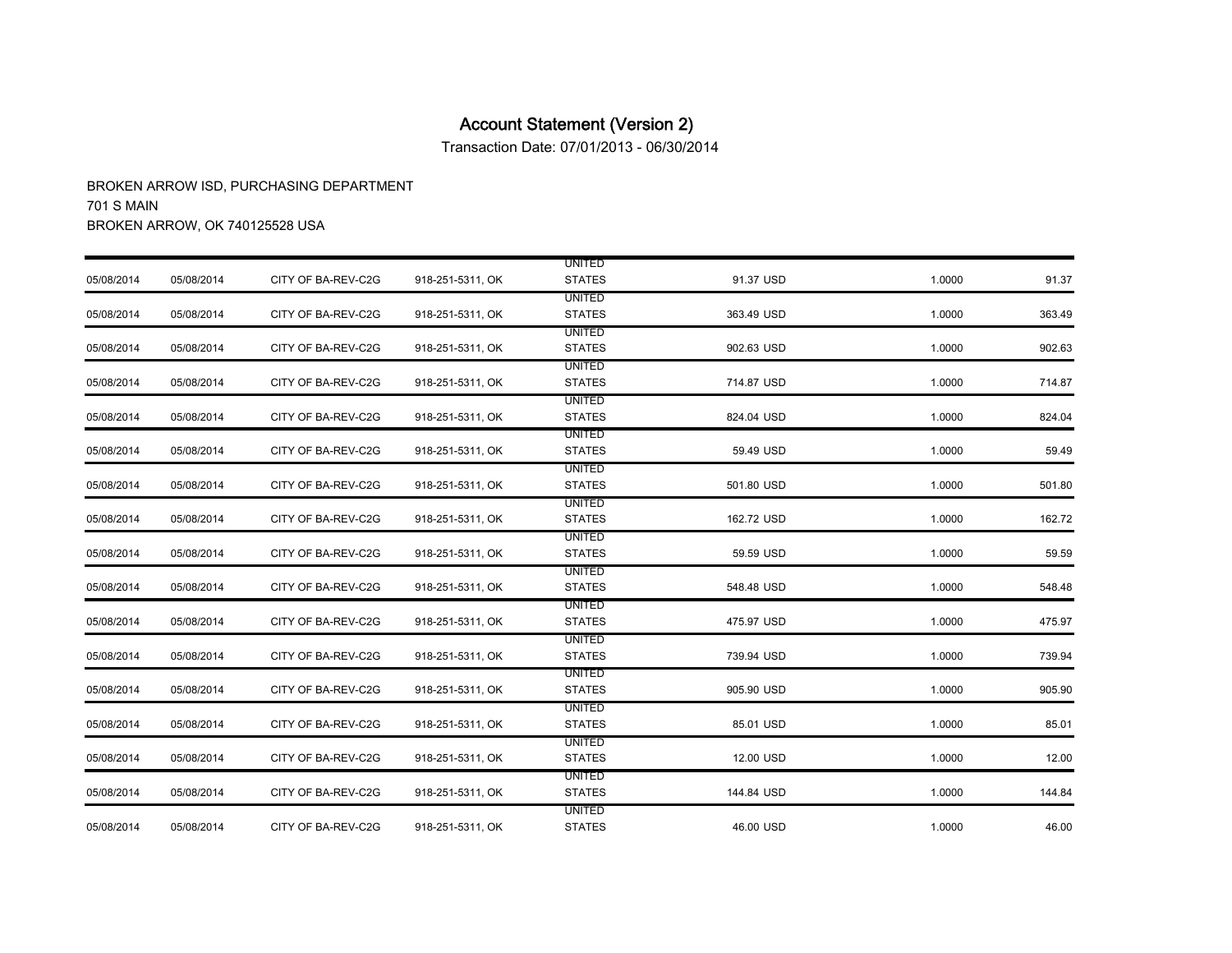Transaction Date: 07/01/2013 - 06/30/2014

|            |            |                    |                  | <b>UNITED</b> |            |        |        |
|------------|------------|--------------------|------------------|---------------|------------|--------|--------|
| 05/08/2014 | 05/08/2014 | CITY OF BA-REV-C2G | 918-251-5311, OK | <b>STATES</b> | 91.37 USD  | 1.0000 | 91.37  |
|            |            |                    |                  | <b>UNITED</b> |            |        |        |
| 05/08/2014 | 05/08/2014 | CITY OF BA-REV-C2G | 918-251-5311, OK | <b>STATES</b> | 363.49 USD | 1.0000 | 363.49 |
|            |            |                    |                  | <b>UNITED</b> |            |        |        |
| 05/08/2014 | 05/08/2014 | CITY OF BA-REV-C2G | 918-251-5311, OK | <b>STATES</b> | 902.63 USD | 1.0000 | 902.63 |
|            |            |                    |                  | <b>UNITED</b> |            |        |        |
| 05/08/2014 | 05/08/2014 | CITY OF BA-REV-C2G | 918-251-5311, OK | <b>STATES</b> | 714.87 USD | 1.0000 | 714.87 |
|            |            |                    |                  | <b>UNITED</b> |            |        |        |
| 05/08/2014 | 05/08/2014 | CITY OF BA-REV-C2G | 918-251-5311, OK | <b>STATES</b> | 824.04 USD | 1.0000 | 824.04 |
|            |            |                    |                  | <b>UNITED</b> |            |        |        |
| 05/08/2014 | 05/08/2014 | CITY OF BA-REV-C2G | 918-251-5311, OK | <b>STATES</b> | 59.49 USD  | 1.0000 | 59.49  |
|            |            |                    |                  | <b>UNITED</b> |            |        |        |
| 05/08/2014 | 05/08/2014 | CITY OF BA-REV-C2G | 918-251-5311, OK | <b>STATES</b> | 501.80 USD | 1.0000 | 501.80 |
|            |            |                    |                  | <b>UNITED</b> |            |        |        |
| 05/08/2014 | 05/08/2014 | CITY OF BA-REV-C2G | 918-251-5311, OK | <b>STATES</b> | 162.72 USD | 1.0000 | 162.72 |
|            |            |                    |                  | <b>UNITED</b> |            |        |        |
| 05/08/2014 | 05/08/2014 | CITY OF BA-REV-C2G | 918-251-5311, OK | <b>STATES</b> | 59.59 USD  | 1.0000 | 59.59  |
|            |            |                    |                  | UNITED        |            |        |        |
| 05/08/2014 | 05/08/2014 | CITY OF BA-REV-C2G | 918-251-5311, OK | <b>STATES</b> | 548.48 USD | 1.0000 | 548.48 |
|            |            |                    |                  | UNITED        |            |        |        |
| 05/08/2014 | 05/08/2014 | CITY OF BA-REV-C2G | 918-251-5311, OK | <b>STATES</b> | 475.97 USD | 1.0000 | 475.97 |
|            |            |                    |                  | <b>UNITED</b> |            |        |        |
| 05/08/2014 | 05/08/2014 | CITY OF BA-REV-C2G | 918-251-5311, OK | <b>STATES</b> | 739.94 USD | 1.0000 | 739.94 |
|            |            |                    |                  | <b>UNITED</b> |            |        |        |
| 05/08/2014 | 05/08/2014 | CITY OF BA-REV-C2G | 918-251-5311, OK | <b>STATES</b> | 905.90 USD | 1.0000 | 905.90 |
|            |            |                    |                  | <b>UNITED</b> |            |        |        |
| 05/08/2014 | 05/08/2014 | CITY OF BA-REV-C2G | 918-251-5311, OK | <b>STATES</b> | 85.01 USD  | 1.0000 | 85.01  |
|            |            |                    |                  | <b>UNITED</b> |            |        |        |
| 05/08/2014 | 05/08/2014 | CITY OF BA-REV-C2G | 918-251-5311, OK | <b>STATES</b> | 12.00 USD  | 1.0000 | 12.00  |
|            |            |                    |                  | UNITED        |            |        |        |
| 05/08/2014 | 05/08/2014 | CITY OF BA-REV-C2G | 918-251-5311, OK | <b>STATES</b> | 144.84 USD | 1.0000 | 144.84 |
|            |            |                    |                  | <b>UNITED</b> |            |        |        |
| 05/08/2014 | 05/08/2014 | CITY OF BA-REV-C2G | 918-251-5311, OK | <b>STATES</b> | 46.00 USD  | 1.0000 | 46.00  |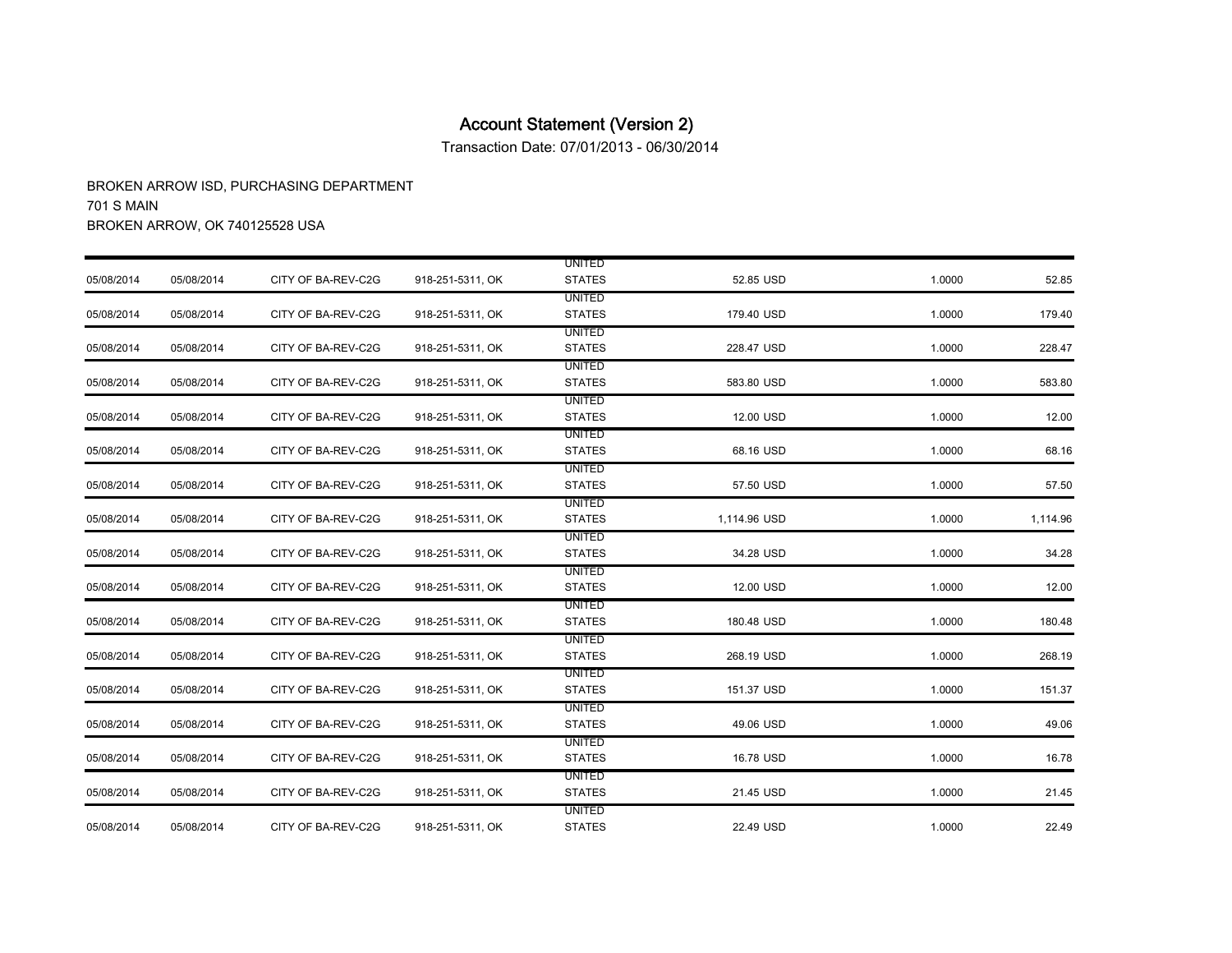Transaction Date: 07/01/2013 - 06/30/2014

|            |            |                    |                  | <b>UNITED</b> |              |        |          |
|------------|------------|--------------------|------------------|---------------|--------------|--------|----------|
| 05/08/2014 | 05/08/2014 | CITY OF BA-REV-C2G | 918-251-5311, OK | <b>STATES</b> | 52.85 USD    | 1.0000 | 52.85    |
|            |            |                    |                  | <b>UNITED</b> |              |        |          |
| 05/08/2014 | 05/08/2014 | CITY OF BA-REV-C2G | 918-251-5311, OK | <b>STATES</b> | 179.40 USD   | 1.0000 | 179.40   |
|            |            |                    |                  | <b>UNITED</b> |              |        |          |
| 05/08/2014 | 05/08/2014 | CITY OF BA-REV-C2G | 918-251-5311, OK | <b>STATES</b> | 228.47 USD   | 1.0000 | 228.47   |
|            |            |                    |                  | <b>UNITED</b> |              |        |          |
| 05/08/2014 | 05/08/2014 | CITY OF BA-REV-C2G | 918-251-5311, OK | <b>STATES</b> | 583.80 USD   | 1.0000 | 583.80   |
|            |            |                    |                  | <b>UNITED</b> |              |        |          |
| 05/08/2014 | 05/08/2014 | CITY OF BA-REV-C2G | 918-251-5311, OK | <b>STATES</b> | 12.00 USD    | 1.0000 | 12.00    |
|            |            |                    |                  | <b>UNITED</b> |              |        |          |
| 05/08/2014 | 05/08/2014 | CITY OF BA-REV-C2G | 918-251-5311, OK | <b>STATES</b> | 68.16 USD    | 1.0000 | 68.16    |
|            |            |                    |                  | <b>UNITED</b> |              |        |          |
| 05/08/2014 | 05/08/2014 | CITY OF BA-REV-C2G | 918-251-5311, OK | <b>STATES</b> | 57.50 USD    | 1.0000 | 57.50    |
|            |            |                    |                  | <b>UNITED</b> |              |        |          |
| 05/08/2014 | 05/08/2014 | CITY OF BA-REV-C2G | 918-251-5311, OK | <b>STATES</b> | 1,114.96 USD | 1.0000 | 1,114.96 |
|            |            |                    |                  | <b>UNITED</b> |              |        |          |
| 05/08/2014 | 05/08/2014 | CITY OF BA-REV-C2G | 918-251-5311, OK | <b>STATES</b> | 34.28 USD    | 1.0000 | 34.28    |
|            |            |                    |                  | <b>UNITED</b> |              |        |          |
| 05/08/2014 | 05/08/2014 | CITY OF BA-REV-C2G | 918-251-5311, OK | <b>STATES</b> | 12.00 USD    | 1.0000 | 12.00    |
|            |            |                    |                  | <b>UNITED</b> |              |        |          |
| 05/08/2014 | 05/08/2014 | CITY OF BA-REV-C2G | 918-251-5311, OK | <b>STATES</b> | 180.48 USD   | 1.0000 | 180.48   |
|            |            |                    |                  | <b>UNITED</b> |              |        |          |
| 05/08/2014 | 05/08/2014 | CITY OF BA-REV-C2G | 918-251-5311, OK | <b>STATES</b> | 268.19 USD   | 1.0000 | 268.19   |
|            |            |                    |                  | <b>UNITED</b> |              |        |          |
| 05/08/2014 | 05/08/2014 | CITY OF BA-REV-C2G | 918-251-5311, OK | <b>STATES</b> | 151.37 USD   | 1.0000 | 151.37   |
|            |            |                    |                  | <b>UNITED</b> |              |        |          |
| 05/08/2014 | 05/08/2014 | CITY OF BA-REV-C2G | 918-251-5311, OK | <b>STATES</b> | 49.06 USD    | 1.0000 | 49.06    |
|            |            |                    |                  | <b>UNITED</b> |              |        |          |
| 05/08/2014 | 05/08/2014 | CITY OF BA-REV-C2G | 918-251-5311, OK | <b>STATES</b> | 16.78 USD    | 1.0000 | 16.78    |
|            |            |                    |                  | <b>UNITED</b> |              |        |          |
| 05/08/2014 | 05/08/2014 | CITY OF BA-REV-C2G | 918-251-5311, OK | <b>STATES</b> | 21.45 USD    | 1.0000 | 21.45    |
|            |            |                    |                  | <b>UNITED</b> |              |        |          |
| 05/08/2014 | 05/08/2014 | CITY OF BA-REV-C2G | 918-251-5311, OK | <b>STATES</b> | 22.49 USD    | 1.0000 | 22.49    |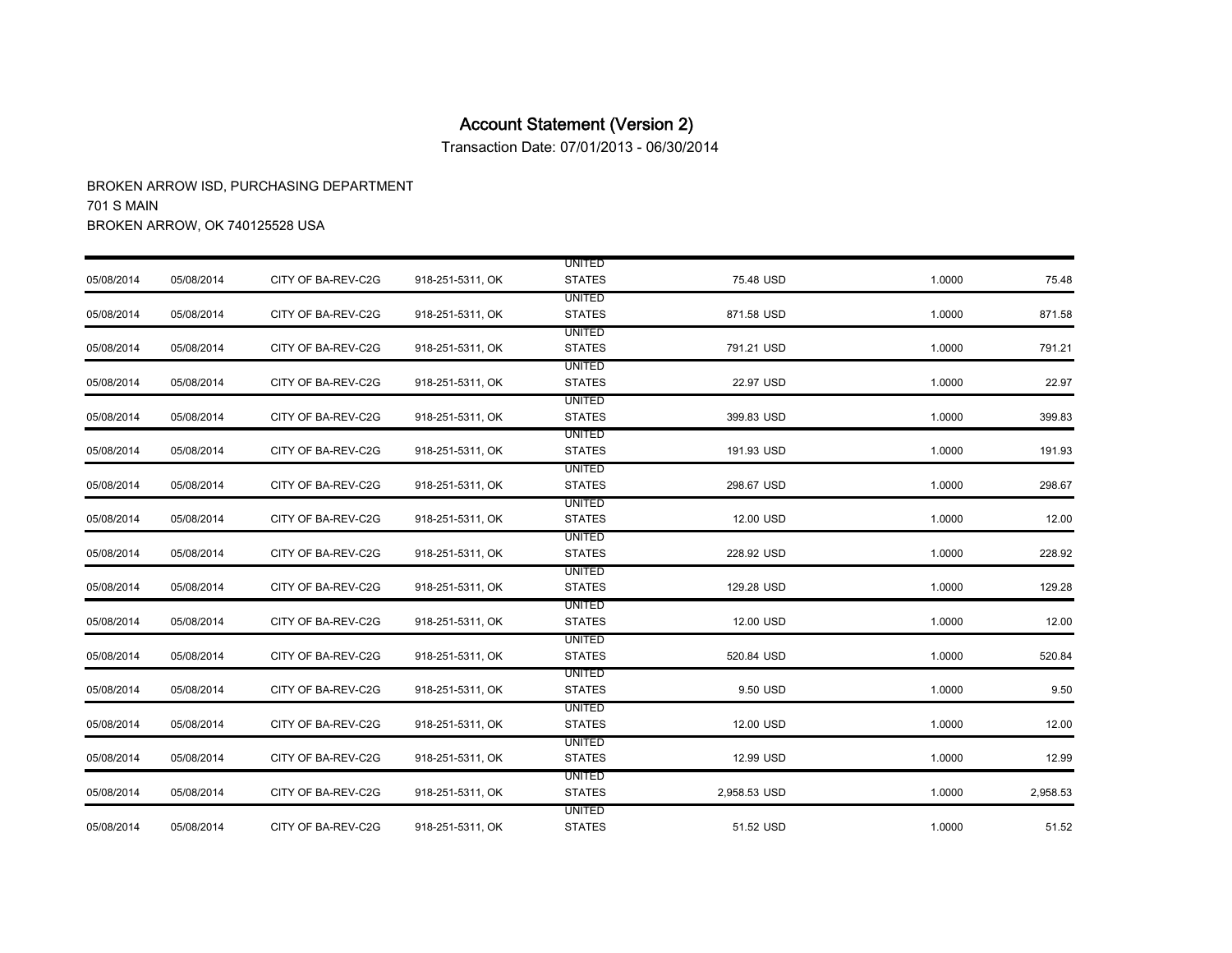Transaction Date: 07/01/2013 - 06/30/2014

|            |            |                    |                  | <b>UNITED</b> |              |        |          |
|------------|------------|--------------------|------------------|---------------|--------------|--------|----------|
| 05/08/2014 | 05/08/2014 | CITY OF BA-REV-C2G | 918-251-5311, OK | <b>STATES</b> | 75.48 USD    | 1.0000 | 75.48    |
|            |            |                    |                  | <b>UNITED</b> |              |        |          |
| 05/08/2014 | 05/08/2014 | CITY OF BA-REV-C2G | 918-251-5311, OK | <b>STATES</b> | 871.58 USD   | 1.0000 | 871.58   |
|            |            |                    |                  | <b>UNITED</b> |              |        |          |
| 05/08/2014 | 05/08/2014 | CITY OF BA-REV-C2G | 918-251-5311, OK | <b>STATES</b> | 791.21 USD   | 1.0000 | 791.21   |
|            |            |                    |                  | <b>UNITED</b> |              |        |          |
| 05/08/2014 | 05/08/2014 | CITY OF BA-REV-C2G | 918-251-5311, OK | <b>STATES</b> | 22.97 USD    | 1.0000 | 22.97    |
|            |            |                    |                  | <b>UNITED</b> |              |        |          |
| 05/08/2014 | 05/08/2014 | CITY OF BA-REV-C2G | 918-251-5311, OK | <b>STATES</b> | 399.83 USD   | 1.0000 | 399.83   |
|            |            |                    |                  | <b>UNITED</b> |              |        |          |
| 05/08/2014 | 05/08/2014 | CITY OF BA-REV-C2G | 918-251-5311, OK | <b>STATES</b> | 191.93 USD   | 1.0000 | 191.93   |
|            |            |                    |                  | <b>UNITED</b> |              |        |          |
| 05/08/2014 | 05/08/2014 | CITY OF BA-REV-C2G | 918-251-5311, OK | <b>STATES</b> | 298.67 USD   | 1.0000 | 298.67   |
|            |            |                    |                  | UNITED        |              |        |          |
| 05/08/2014 | 05/08/2014 | CITY OF BA-REV-C2G | 918-251-5311, OK | <b>STATES</b> | 12.00 USD    | 1.0000 | 12.00    |
|            |            |                    |                  | <b>UNITED</b> |              |        |          |
| 05/08/2014 | 05/08/2014 | CITY OF BA-REV-C2G | 918-251-5311, OK | <b>STATES</b> | 228.92 USD   | 1.0000 | 228.92   |
|            |            |                    |                  | <b>UNITED</b> |              |        |          |
| 05/08/2014 | 05/08/2014 | CITY OF BA-REV-C2G | 918-251-5311, OK | <b>STATES</b> | 129.28 USD   | 1.0000 | 129.28   |
|            |            |                    |                  | <b>UNITED</b> |              |        |          |
| 05/08/2014 | 05/08/2014 | CITY OF BA-REV-C2G | 918-251-5311, OK | <b>STATES</b> | 12.00 USD    | 1.0000 | 12.00    |
|            |            |                    |                  | UNITED        |              |        |          |
| 05/08/2014 | 05/08/2014 | CITY OF BA-REV-C2G | 918-251-5311, OK | <b>STATES</b> | 520.84 USD   | 1.0000 | 520.84   |
|            |            |                    |                  | <b>UNITED</b> |              |        |          |
| 05/08/2014 | 05/08/2014 | CITY OF BA-REV-C2G | 918-251-5311, OK | <b>STATES</b> | 9.50 USD     | 1.0000 | 9.50     |
|            |            |                    |                  | <b>UNITED</b> |              |        |          |
| 05/08/2014 | 05/08/2014 | CITY OF BA-REV-C2G | 918-251-5311, OK | <b>STATES</b> | 12.00 USD    | 1.0000 | 12.00    |
|            |            |                    |                  | <b>UNITED</b> |              |        |          |
| 05/08/2014 | 05/08/2014 | CITY OF BA-REV-C2G | 918-251-5311, OK | <b>STATES</b> | 12.99 USD    | 1.0000 | 12.99    |
|            |            |                    |                  | <b>UNITED</b> |              |        |          |
| 05/08/2014 | 05/08/2014 | CITY OF BA-REV-C2G | 918-251-5311, OK | <b>STATES</b> | 2,958.53 USD | 1.0000 | 2,958.53 |
|            |            |                    |                  | <b>UNITED</b> |              |        |          |
| 05/08/2014 | 05/08/2014 | CITY OF BA-REV-C2G | 918-251-5311, OK | <b>STATES</b> | 51.52 USD    | 1.0000 | 51.52    |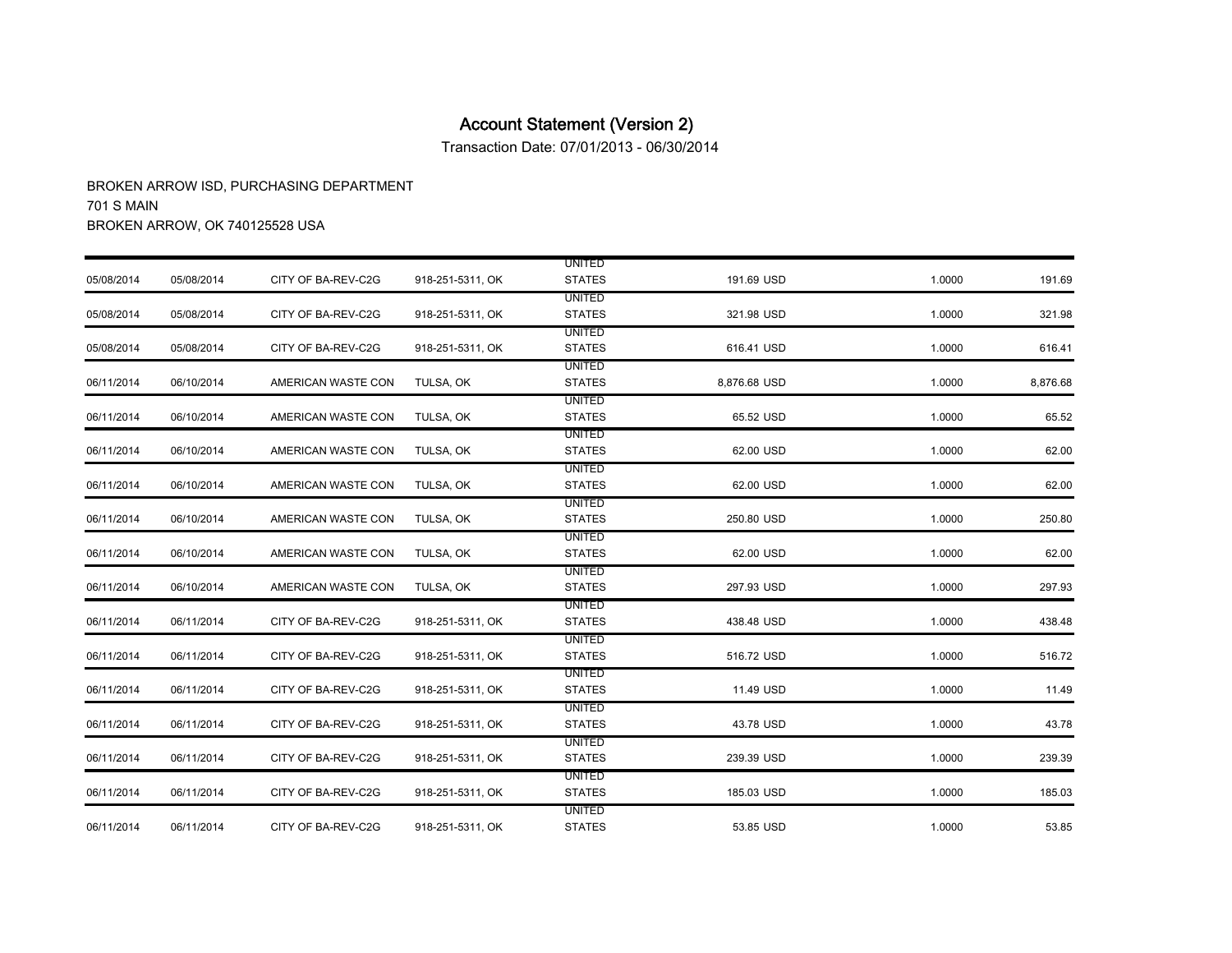Transaction Date: 07/01/2013 - 06/30/2014

|            |            |                    |                  | <b>UNITED</b>                  |              |        |          |
|------------|------------|--------------------|------------------|--------------------------------|--------------|--------|----------|
| 05/08/2014 | 05/08/2014 | CITY OF BA-REV-C2G | 918-251-5311, OK | <b>STATES</b>                  | 191.69 USD   | 1.0000 | 191.69   |
| 05/08/2014 | 05/08/2014 | CITY OF BA-REV-C2G | 918-251-5311, OK | <b>UNITED</b><br><b>STATES</b> | 321.98 USD   | 1.0000 | 321.98   |
|            |            |                    |                  | <b>UNITED</b>                  |              |        |          |
| 05/08/2014 | 05/08/2014 | CITY OF BA-REV-C2G | 918-251-5311, OK | <b>STATES</b>                  | 616.41 USD   | 1.0000 | 616.41   |
|            |            |                    |                  | <b>UNITED</b>                  |              |        |          |
| 06/11/2014 | 06/10/2014 | AMERICAN WASTE CON | TULSA, OK        | <b>STATES</b>                  | 8,876.68 USD | 1.0000 | 8,876.68 |
|            |            |                    |                  | <b>UNITED</b>                  |              |        |          |
| 06/11/2014 | 06/10/2014 | AMERICAN WASTE CON | TULSA, OK        | <b>STATES</b>                  | 65.52 USD    | 1.0000 | 65.52    |
| 06/11/2014 | 06/10/2014 | AMERICAN WASTE CON | TULSA, OK        | <b>UNITED</b><br><b>STATES</b> | 62.00 USD    | 1.0000 | 62.00    |
|            |            |                    |                  | UNITED                         |              |        |          |
| 06/11/2014 | 06/10/2014 | AMERICAN WASTE CON | TULSA, OK        | <b>STATES</b>                  | 62.00 USD    | 1.0000 | 62.00    |
|            |            |                    |                  | <b>UNITED</b>                  |              |        |          |
| 06/11/2014 | 06/10/2014 | AMERICAN WASTE CON | TULSA, OK        | <b>STATES</b>                  | 250.80 USD   | 1.0000 | 250.80   |
|            |            |                    |                  | <b>UNITED</b>                  |              |        |          |
| 06/11/2014 | 06/10/2014 | AMERICAN WASTE CON | TULSA, OK        | <b>STATES</b>                  | 62.00 USD    | 1.0000 | 62.00    |
|            |            |                    |                  | <b>UNITED</b>                  |              |        |          |
| 06/11/2014 | 06/10/2014 | AMERICAN WASTE CON | TULSA, OK        | <b>STATES</b>                  | 297.93 USD   | 1.0000 | 297.93   |
|            |            |                    |                  | <b>UNITED</b>                  |              |        |          |
| 06/11/2014 | 06/11/2014 | CITY OF BA-REV-C2G | 918-251-5311, OK | <b>STATES</b>                  | 438.48 USD   | 1.0000 | 438.48   |
|            |            |                    |                  | UNITED                         |              |        |          |
| 06/11/2014 | 06/11/2014 | CITY OF BA-REV-C2G | 918-251-5311, OK | <b>STATES</b>                  | 516.72 USD   | 1.0000 | 516.72   |
|            |            |                    |                  | <b>UNITED</b>                  |              |        |          |
| 06/11/2014 | 06/11/2014 | CITY OF BA-REV-C2G | 918-251-5311, OK | <b>STATES</b>                  | 11.49 USD    | 1.0000 | 11.49    |
|            |            |                    |                  | <b>UNITED</b>                  |              |        |          |
| 06/11/2014 | 06/11/2014 | CITY OF BA-REV-C2G | 918-251-5311, OK | <b>STATES</b>                  | 43.78 USD    | 1.0000 | 43.78    |
|            |            |                    |                  | UNITED                         |              |        |          |
| 06/11/2014 | 06/11/2014 | CITY OF BA-REV-C2G | 918-251-5311, OK | <b>STATES</b>                  | 239.39 USD   | 1.0000 | 239.39   |
|            |            |                    |                  | UNITED                         |              |        |          |
| 06/11/2014 | 06/11/2014 | CITY OF BA-REV-C2G | 918-251-5311, OK | <b>STATES</b>                  | 185.03 USD   | 1.0000 | 185.03   |
|            |            |                    |                  | <b>UNITED</b>                  |              |        |          |
| 06/11/2014 | 06/11/2014 | CITY OF BA-REV-C2G | 918-251-5311, OK | <b>STATES</b>                  | 53.85 USD    | 1.0000 | 53.85    |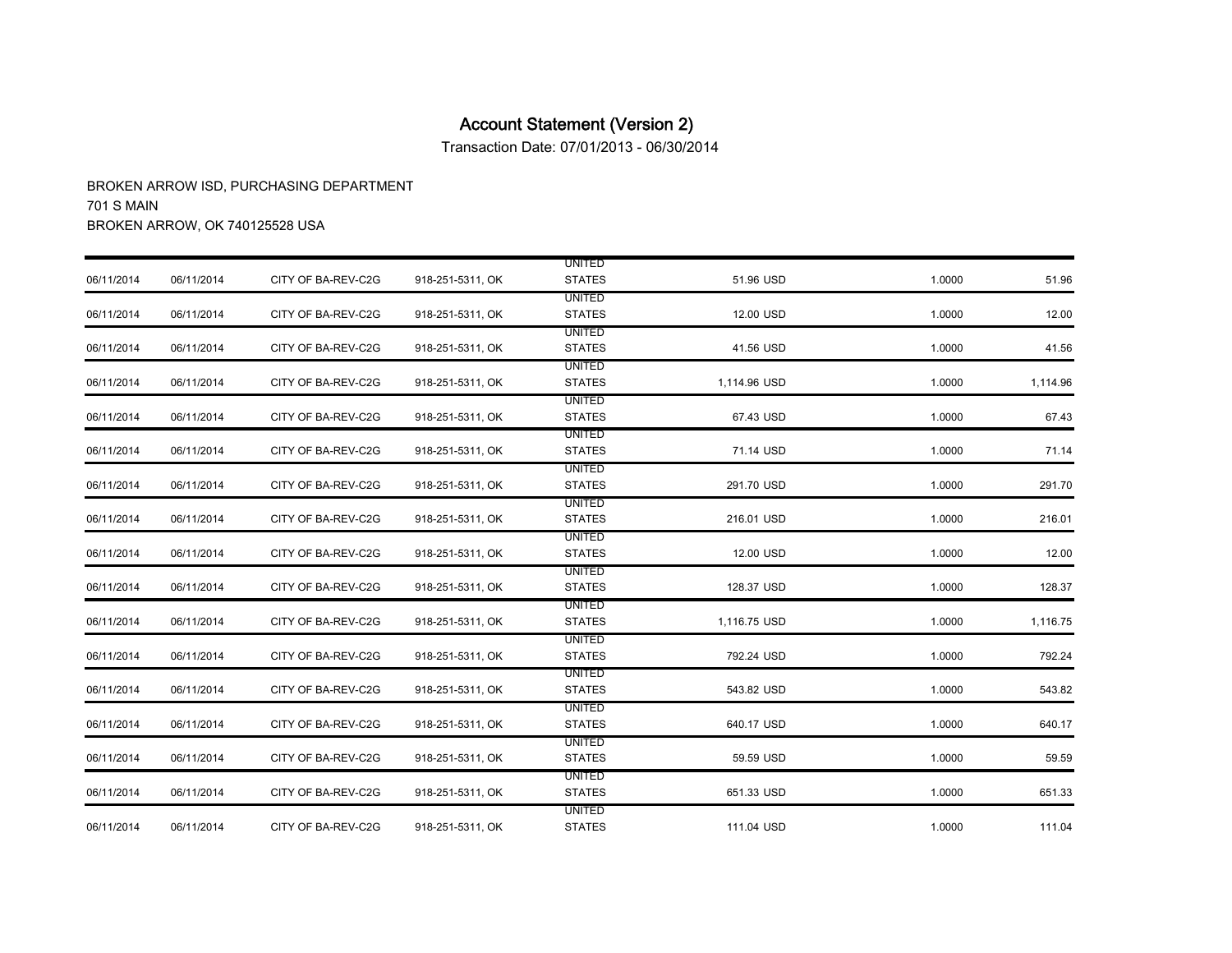Transaction Date: 07/01/2013 - 06/30/2014

|            |            |                    |                  | <b>UNITED</b> |              |        |          |
|------------|------------|--------------------|------------------|---------------|--------------|--------|----------|
| 06/11/2014 | 06/11/2014 | CITY OF BA-REV-C2G | 918-251-5311, OK | <b>STATES</b> | 51.96 USD    | 1.0000 | 51.96    |
|            |            |                    |                  | <b>UNITED</b> |              |        |          |
| 06/11/2014 | 06/11/2014 | CITY OF BA-REV-C2G | 918-251-5311, OK | <b>STATES</b> | 12.00 USD    | 1.0000 | 12.00    |
|            |            |                    |                  | <b>UNITED</b> |              |        |          |
| 06/11/2014 | 06/11/2014 | CITY OF BA-REV-C2G | 918-251-5311, OK | <b>STATES</b> | 41.56 USD    | 1.0000 | 41.56    |
|            |            |                    |                  | <b>UNITED</b> |              |        |          |
| 06/11/2014 | 06/11/2014 | CITY OF BA-REV-C2G | 918-251-5311, OK | <b>STATES</b> | 1,114.96 USD | 1.0000 | 1,114.96 |
|            |            |                    |                  | <b>UNITED</b> |              |        |          |
| 06/11/2014 | 06/11/2014 | CITY OF BA-REV-C2G | 918-251-5311, OK | <b>STATES</b> | 67.43 USD    | 1.0000 | 67.43    |
|            |            |                    |                  | <b>UNITED</b> |              |        |          |
| 06/11/2014 | 06/11/2014 | CITY OF BA-REV-C2G | 918-251-5311, OK | <b>STATES</b> | 71.14 USD    | 1.0000 | 71.14    |
|            |            |                    |                  | <b>UNITED</b> |              |        |          |
| 06/11/2014 | 06/11/2014 | CITY OF BA-REV-C2G | 918-251-5311, OK | <b>STATES</b> | 291.70 USD   | 1.0000 | 291.70   |
|            |            |                    |                  | UNITED        |              |        |          |
| 06/11/2014 | 06/11/2014 | CITY OF BA-REV-C2G | 918-251-5311, OK | <b>STATES</b> | 216.01 USD   | 1.0000 | 216.01   |
|            |            |                    |                  | UNITED        |              |        |          |
| 06/11/2014 | 06/11/2014 | CITY OF BA-REV-C2G | 918-251-5311, OK | <b>STATES</b> | 12.00 USD    | 1.0000 | 12.00    |
|            |            |                    |                  | <b>UNITED</b> |              |        |          |
| 06/11/2014 | 06/11/2014 | CITY OF BA-REV-C2G | 918-251-5311, OK | <b>STATES</b> | 128.37 USD   | 1.0000 | 128.37   |
|            |            |                    |                  | <b>UNITED</b> |              |        |          |
| 06/11/2014 | 06/11/2014 | CITY OF BA-REV-C2G | 918-251-5311, OK | <b>STATES</b> | 1,116.75 USD | 1.0000 | 1,116.75 |
|            |            |                    |                  | UNITED        |              |        |          |
| 06/11/2014 | 06/11/2014 | CITY OF BA-REV-C2G | 918-251-5311, OK | <b>STATES</b> | 792.24 USD   | 1.0000 | 792.24   |
|            |            |                    |                  | UNITED        |              |        |          |
| 06/11/2014 | 06/11/2014 | CITY OF BA-REV-C2G | 918-251-5311, OK | <b>STATES</b> | 543.82 USD   | 1.0000 | 543.82   |
|            |            |                    |                  | <b>UNITED</b> |              |        |          |
| 06/11/2014 | 06/11/2014 | CITY OF BA-REV-C2G | 918-251-5311, OK | <b>STATES</b> | 640.17 USD   | 1.0000 | 640.17   |
|            |            |                    |                  | UNITED        |              |        |          |
| 06/11/2014 | 06/11/2014 | CITY OF BA-REV-C2G | 918-251-5311, OK | <b>STATES</b> | 59.59 USD    | 1.0000 | 59.59    |
|            |            |                    |                  | UNITED        |              |        |          |
| 06/11/2014 | 06/11/2014 | CITY OF BA-REV-C2G | 918-251-5311, OK | <b>STATES</b> | 651.33 USD   | 1.0000 | 651.33   |
|            |            |                    |                  | UNITED        |              |        |          |
| 06/11/2014 | 06/11/2014 | CITY OF BA-REV-C2G | 918-251-5311, OK | <b>STATES</b> | 111.04 USD   | 1.0000 | 111.04   |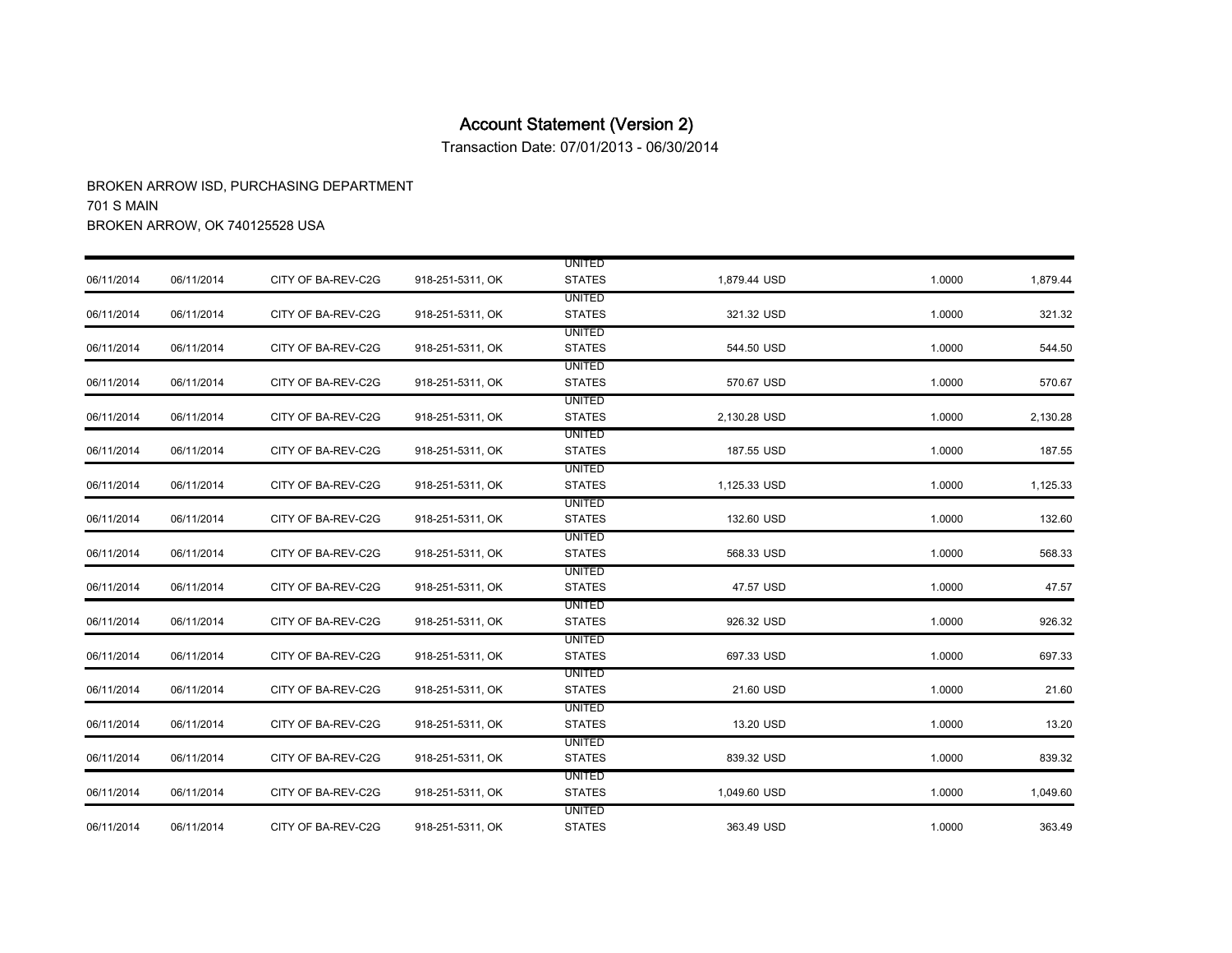Transaction Date: 07/01/2013 - 06/30/2014

|            |            |                    |                  | <b>UNITED</b> |              |        |          |
|------------|------------|--------------------|------------------|---------------|--------------|--------|----------|
| 06/11/2014 | 06/11/2014 | CITY OF BA-REV-C2G | 918-251-5311, OK | <b>STATES</b> | 1,879.44 USD | 1.0000 | 1,879.44 |
|            |            |                    |                  | <b>UNITED</b> |              |        |          |
| 06/11/2014 | 06/11/2014 | CITY OF BA-REV-C2G | 918-251-5311, OK | <b>STATES</b> | 321.32 USD   | 1.0000 | 321.32   |
|            |            |                    |                  | <b>UNITED</b> |              |        |          |
| 06/11/2014 | 06/11/2014 | CITY OF BA-REV-C2G | 918-251-5311, OK | <b>STATES</b> | 544.50 USD   | 1.0000 | 544.50   |
|            |            |                    |                  | <b>UNITED</b> |              |        |          |
| 06/11/2014 | 06/11/2014 | CITY OF BA-REV-C2G | 918-251-5311, OK | <b>STATES</b> | 570.67 USD   | 1.0000 | 570.67   |
|            |            |                    |                  | <b>UNITED</b> |              |        |          |
| 06/11/2014 | 06/11/2014 | CITY OF BA-REV-C2G | 918-251-5311, OK | <b>STATES</b> | 2,130.28 USD | 1.0000 | 2,130.28 |
|            |            |                    |                  | <b>UNITED</b> |              |        |          |
| 06/11/2014 | 06/11/2014 | CITY OF BA-REV-C2G | 918-251-5311, OK | <b>STATES</b> | 187.55 USD   | 1.0000 | 187.55   |
|            |            |                    |                  | <b>UNITED</b> |              |        |          |
| 06/11/2014 | 06/11/2014 | CITY OF BA-REV-C2G | 918-251-5311, OK | <b>STATES</b> | 1,125.33 USD | 1.0000 | 1,125.33 |
|            |            |                    |                  | <b>UNITED</b> |              |        |          |
| 06/11/2014 | 06/11/2014 | CITY OF BA-REV-C2G | 918-251-5311, OK | <b>STATES</b> | 132.60 USD   | 1.0000 | 132.60   |
|            |            |                    |                  | <b>UNITED</b> |              |        |          |
| 06/11/2014 | 06/11/2014 | CITY OF BA-REV-C2G | 918-251-5311, OK | <b>STATES</b> | 568.33 USD   | 1.0000 | 568.33   |
|            |            |                    |                  | <b>UNITED</b> |              |        |          |
| 06/11/2014 | 06/11/2014 | CITY OF BA-REV-C2G | 918-251-5311, OK | <b>STATES</b> | 47.57 USD    | 1.0000 | 47.57    |
|            |            |                    |                  | <b>UNITED</b> |              |        |          |
| 06/11/2014 | 06/11/2014 | CITY OF BA-REV-C2G | 918-251-5311, OK | <b>STATES</b> | 926.32 USD   | 1.0000 | 926.32   |
|            |            |                    |                  | <b>UNITED</b> |              |        |          |
| 06/11/2014 | 06/11/2014 | CITY OF BA-REV-C2G | 918-251-5311, OK | <b>STATES</b> | 697.33 USD   | 1.0000 | 697.33   |
|            |            |                    |                  | <b>UNITED</b> |              |        |          |
| 06/11/2014 | 06/11/2014 | CITY OF BA-REV-C2G | 918-251-5311, OK | <b>STATES</b> | 21.60 USD    | 1.0000 | 21.60    |
|            |            |                    |                  | UNITED        |              |        |          |
| 06/11/2014 | 06/11/2014 | CITY OF BA-REV-C2G | 918-251-5311, OK | <b>STATES</b> | 13.20 USD    | 1.0000 | 13.20    |
|            |            |                    |                  | <b>UNITED</b> |              |        |          |
| 06/11/2014 | 06/11/2014 | CITY OF BA-REV-C2G | 918-251-5311, OK | <b>STATES</b> | 839.32 USD   | 1.0000 | 839.32   |
|            |            |                    |                  | <b>UNITED</b> |              |        |          |
| 06/11/2014 | 06/11/2014 | CITY OF BA-REV-C2G | 918-251-5311, OK | <b>STATES</b> | 1,049.60 USD | 1.0000 | 1,049.60 |
|            |            |                    |                  | UNITED        |              |        |          |
| 06/11/2014 | 06/11/2014 | CITY OF BA-REV-C2G | 918-251-5311, OK | <b>STATES</b> | 363.49 USD   | 1.0000 | 363.49   |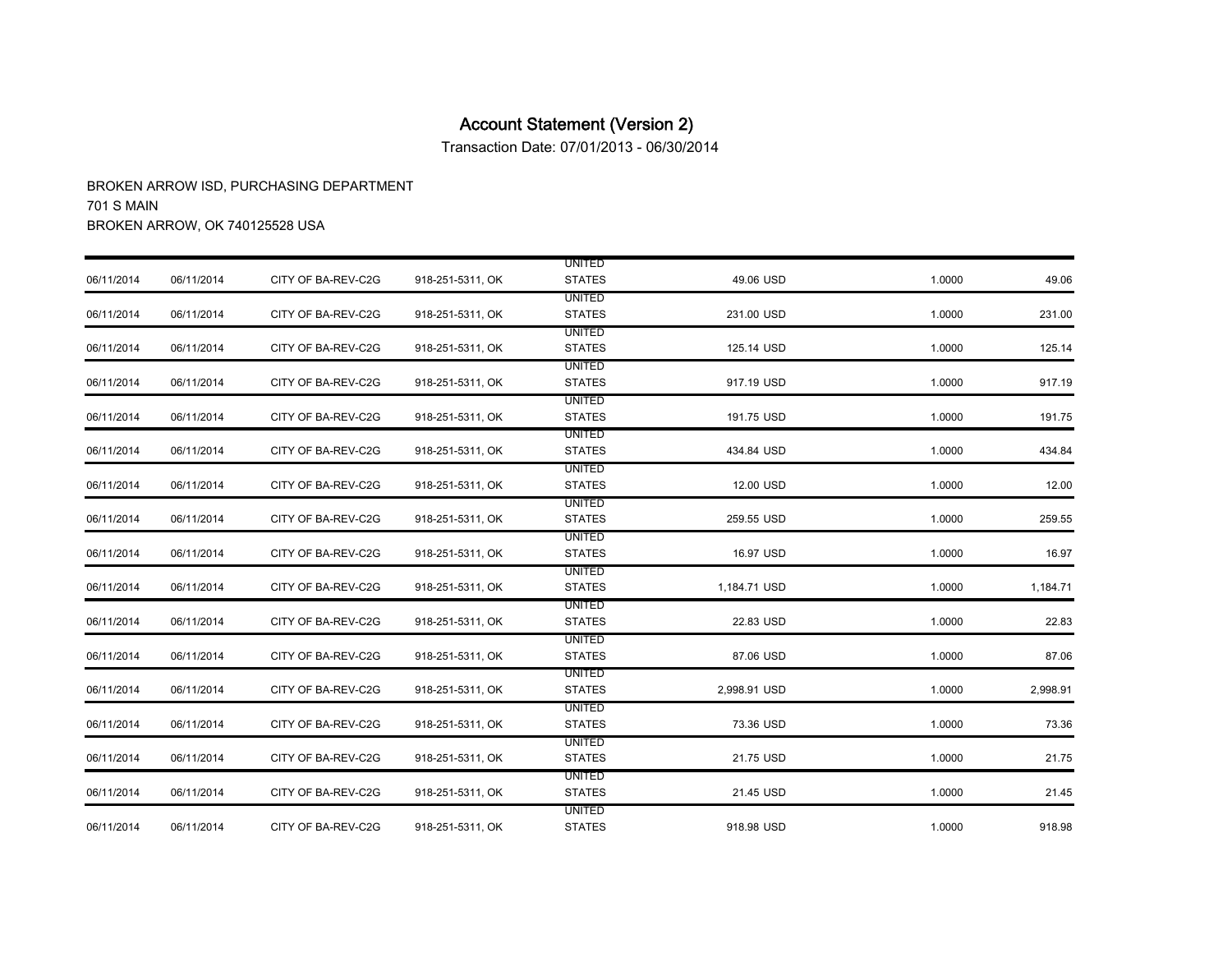Transaction Date: 07/01/2013 - 06/30/2014

|            |            |                    |                  | <b>UNITED</b> |              |        |          |
|------------|------------|--------------------|------------------|---------------|--------------|--------|----------|
| 06/11/2014 | 06/11/2014 | CITY OF BA-REV-C2G | 918-251-5311, OK | <b>STATES</b> | 49.06 USD    | 1.0000 | 49.06    |
|            |            |                    |                  | <b>UNITED</b> |              |        |          |
| 06/11/2014 | 06/11/2014 | CITY OF BA-REV-C2G | 918-251-5311, OK | <b>STATES</b> | 231.00 USD   | 1.0000 | 231.00   |
|            |            |                    |                  | <b>UNITED</b> |              |        |          |
| 06/11/2014 | 06/11/2014 | CITY OF BA-REV-C2G | 918-251-5311, OK | <b>STATES</b> | 125.14 USD   | 1.0000 | 125.14   |
|            |            |                    |                  | <b>UNITED</b> |              |        |          |
| 06/11/2014 | 06/11/2014 | CITY OF BA-REV-C2G | 918-251-5311, OK | <b>STATES</b> | 917.19 USD   | 1.0000 | 917.19   |
|            |            |                    |                  | <b>UNITED</b> |              |        |          |
| 06/11/2014 | 06/11/2014 | CITY OF BA-REV-C2G | 918-251-5311, OK | <b>STATES</b> | 191.75 USD   | 1.0000 | 191.75   |
|            |            |                    |                  | <b>UNITED</b> |              |        |          |
| 06/11/2014 | 06/11/2014 | CITY OF BA-REV-C2G | 918-251-5311, OK | <b>STATES</b> | 434.84 USD   | 1.0000 | 434.84   |
|            |            |                    |                  | UNITED        |              |        |          |
| 06/11/2014 | 06/11/2014 | CITY OF BA-REV-C2G | 918-251-5311, OK | <b>STATES</b> | 12.00 USD    | 1.0000 | 12.00    |
|            |            |                    |                  | <b>UNITED</b> |              |        |          |
| 06/11/2014 | 06/11/2014 | CITY OF BA-REV-C2G | 918-251-5311, OK | <b>STATES</b> | 259.55 USD   | 1.0000 | 259.55   |
|            |            |                    |                  | <b>UNITED</b> |              |        |          |
| 06/11/2014 | 06/11/2014 | CITY OF BA-REV-C2G | 918-251-5311, OK | <b>STATES</b> | 16.97 USD    | 1.0000 | 16.97    |
|            |            |                    |                  | <b>UNITED</b> |              |        |          |
| 06/11/2014 | 06/11/2014 | CITY OF BA-REV-C2G | 918-251-5311, OK | <b>STATES</b> | 1,184.71 USD | 1.0000 | 1,184.71 |
|            |            |                    |                  | <b>UNITED</b> |              |        |          |
| 06/11/2014 | 06/11/2014 | CITY OF BA-REV-C2G | 918-251-5311, OK | <b>STATES</b> | 22.83 USD    | 1.0000 | 22.83    |
|            |            |                    |                  | UNITED        |              |        |          |
| 06/11/2014 | 06/11/2014 | CITY OF BA-REV-C2G | 918-251-5311, OK | <b>STATES</b> | 87.06 USD    | 1.0000 | 87.06    |
|            |            |                    |                  | <b>UNITED</b> |              |        |          |
| 06/11/2014 | 06/11/2014 | CITY OF BA-REV-C2G | 918-251-5311, OK | <b>STATES</b> | 2,998.91 USD | 1.0000 | 2,998.91 |
|            |            |                    |                  | UNITED        |              |        |          |
| 06/11/2014 | 06/11/2014 | CITY OF BA-REV-C2G | 918-251-5311, OK | <b>STATES</b> | 73.36 USD    | 1.0000 | 73.36    |
|            |            |                    |                  | <b>UNITED</b> |              |        |          |
| 06/11/2014 | 06/11/2014 | CITY OF BA-REV-C2G | 918-251-5311, OK | <b>STATES</b> | 21.75 USD    | 1.0000 | 21.75    |
|            |            |                    |                  | <b>UNITED</b> |              |        |          |
| 06/11/2014 | 06/11/2014 | CITY OF BA-REV-C2G | 918-251-5311, OK | <b>STATES</b> | 21.45 USD    | 1.0000 | 21.45    |
|            |            |                    |                  | <b>UNITED</b> |              |        |          |
| 06/11/2014 | 06/11/2014 | CITY OF BA-REV-C2G | 918-251-5311, OK | <b>STATES</b> | 918.98 USD   | 1.0000 | 918.98   |